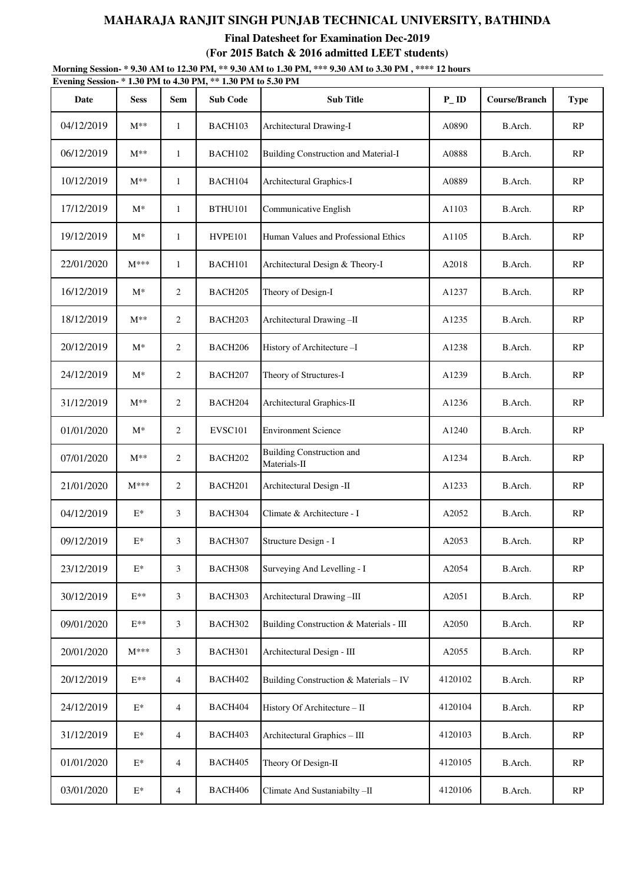**Final Datesheet for Examination Dec-2019 (For 2015 Batch & 2016 admitted LEET students)**

**Morning Session- \* 9.30 AM to 12.30 PM, \*\* 9.30 AM to 1.30 PM, \*\*\* 9.30 AM to 3.30 PM , \*\*\*\* 12 hours**

| Date       | <b>Sess</b>    | Sem            | <b>Sub Code</b> | <b>Sub Title</b>                                 | $P$ _ID | <b>Course/Branch</b> | <b>Type</b> |
|------------|----------------|----------------|-----------------|--------------------------------------------------|---------|----------------------|-------------|
| 04/12/2019 | $M^{**}$       | $\mathbf{1}$   | BACH103         | Architectural Drawing-I                          | A0890   | B.Arch.              | RP          |
| 06/12/2019 | $M^{**}$       | $\mathbf{1}$   | BACH102         | <b>Building Construction and Material-I</b>      | A0888   | B.Arch.              | RP          |
| 10/12/2019 | $M^{**}$       | $\mathbf{1}$   | BACH104         | Architectural Graphics-I                         | A0889   | B.Arch.              | RP          |
| 17/12/2019 | $M^*$          | $\mathbf{1}$   | <b>BTHU101</b>  | Communicative English                            | A1103   | B.Arch.              | RP          |
| 19/12/2019 | $M^*$          | $\mathbf{1}$   | HVPE101         | Human Values and Professional Ethics             | A1105   | B.Arch.              | RP          |
| 22/01/2020 | $M***$         | $\mathbf{1}$   | BACH101         | Architectural Design & Theory-I                  | A2018   | B.Arch.              | RP          |
| 16/12/2019 | $M^*$          | 2              | BACH205         | Theory of Design-I                               | A1237   | B.Arch.              | RP          |
| 18/12/2019 | $M^{**}$       | $\overline{c}$ | BACH203         | Architectural Drawing-II                         | A1235   | B.Arch.              | RP          |
| 20/12/2019 | $M^*$          | 2              | BACH206         | History of Architecture-I                        | A1238   | B.Arch.              | RP          |
| 24/12/2019 | $M^*$          | 2              | BACH207         | Theory of Structures-I                           | A1239   | B.Arch.              | RP          |
| 31/12/2019 | $M^{**}$       | 2              | BACH204         | Architectural Graphics-II                        | A1236   | B.Arch.              | RP          |
| 01/01/2020 | $M^*$          | 2              | <b>EVSC101</b>  | <b>Environment Science</b>                       | A1240   | B.Arch.              | RP          |
| 07/01/2020 | $M^{**}$       | $\overline{c}$ | BACH202         | <b>Building Construction and</b><br>Materials-II | A1234   | B.Arch.              | RP          |
| 21/01/2020 | $M***$         | 2              | BACH201         | Architectural Design -II                         | A1233   | B.Arch.              | RP          |
| 04/12/2019 | $E^*$          | 3              | BACH304         | Climate & Architecture - I                       | A2052   | B.Arch.              | RP          |
| 09/12/2019 | $\mathbf{E}^*$ | 3              | BACH307         | Structure Design - I                             | A2053   | B.Arch.              | RP          |
| 23/12/2019 | $E^*$          | 3              | BACH308         | Surveying And Levelling - I                      | A2054   | B.Arch.              | RP          |
| 30/12/2019 | $E^{**}$       | 3              | BACH303         | Architectural Drawing-III                        | A2051   | B.Arch.              | RP          |
| 09/01/2020 | $E^{**}$       | 3              | BACH302         | Building Construction & Materials - III          | A2050   | B.Arch.              | RP          |
| 20/01/2020 | $M***$         | 3              | BACH301         | Architectural Design - III                       | A2055   | B.Arch.              | RP          |
| 20/12/2019 | $E^{**}$       | 4              | BACH402         | Building Construction & Materials - IV           | 4120102 | B.Arch.              | RP          |
| 24/12/2019 | $E^*$          | $\overline{4}$ | BACH404         | History Of Architecture - II                     | 4120104 | B.Arch.              | RP          |
| 31/12/2019 | $\mathbf{E}^*$ | $\overline{4}$ | BACH403         | Architectural Graphics - III                     | 4120103 | B.Arch.              | RP          |
| 01/01/2020 | $E^*$          | 4              | BACH405         | Theory Of Design-II                              | 4120105 | B.Arch.              | RP          |
| 03/01/2020 | $\mathbf{E}^*$ | 4              | BACH406         | Climate And Sustaniabilty-II                     | 4120106 | B.Arch.              | RP          |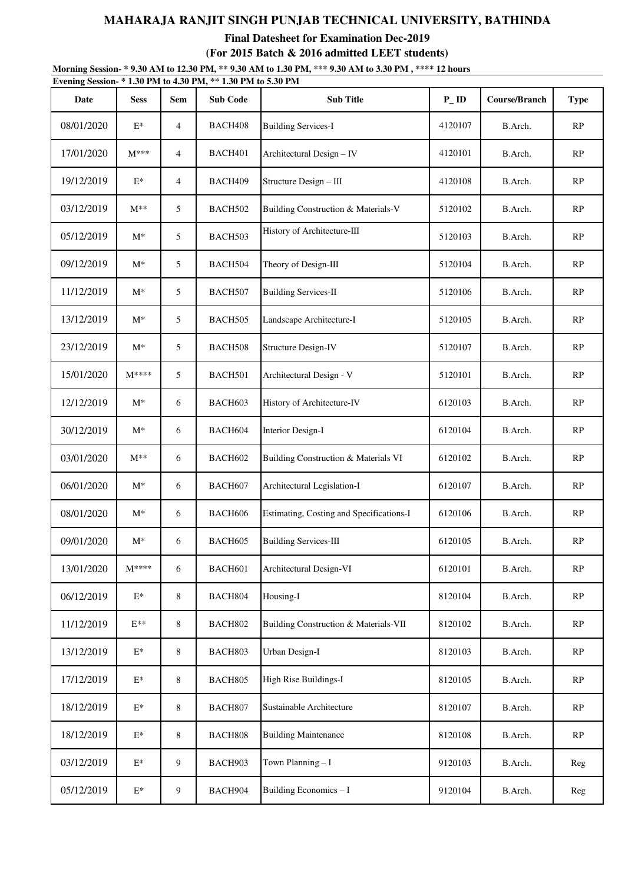**Final Datesheet for Examination Dec-2019 (For 2015 Batch & 2016 admitted LEET students)**

**Morning Session- \* 9.30 AM to 12.30 PM, \*\* 9.30 AM to 1.30 PM, \*\*\* 9.30 AM to 3.30 PM , \*\*\*\* 12 hours**

| Evening Session-*1.30 PM to 4.30 PM, **1.30 PM to 5.30 PM<br>Date | <b>Sess</b>     | <b>Sem</b>     | <b>Sub Code</b> | <b>Sub Title</b>                         | $P$ <sub>-ID</sub> | <b>Course/Branch</b> | <b>Type</b>   |
|-------------------------------------------------------------------|-----------------|----------------|-----------------|------------------------------------------|--------------------|----------------------|---------------|
| 08/01/2020                                                        | $E^*$           | 4              | BACH408         | <b>Building Services-I</b>               | 4120107            | B.Arch.              | RP            |
| 17/01/2020                                                        | $M***$          | $\overline{4}$ | BACH401         | Architectural Design - IV                | 4120101            | B.Arch.              | RP            |
| 19/12/2019                                                        | $E^*$           | $\overline{4}$ | BACH409         | Structure Design - III                   | 4120108            | B.Arch.              | RP            |
| 03/12/2019                                                        | $M^{**}$        | 5              | BACH502         | Building Construction & Materials-V      | 5120102            | B.Arch.              | RP            |
| 05/12/2019                                                        | $M^*$           | 5              | BACH503         | History of Architecture-III              | 5120103            | B.Arch.              | RP            |
| 09/12/2019                                                        | $M^*$           | 5              | BACH504         | Theory of Design-III                     | 5120104            | B.Arch.              | $\mathbf{RP}$ |
| 11/12/2019                                                        | $M^*$           | 5              | BACH507         | <b>Building Services-II</b>              | 5120106            | B.Arch.              | RP            |
| 13/12/2019                                                        | $M^*$           | 5              | BACH505         | Landscape Architecture-I                 | 5120105            | B.Arch.              | RP            |
| 23/12/2019                                                        | $M^*$           | 5              | BACH508         | <b>Structure Design-IV</b>               | 5120107            | B.Arch.              | RP            |
| 15/01/2020                                                        | $M***$          | 5              | BACH501         | Architectural Design - V                 | 5120101            | B.Arch.              | RP            |
| 12/12/2019                                                        | $M^*$           | 6              | BACH603         | History of Architecture-IV               | 6120103            | B.Arch.              | RP            |
| 30/12/2019                                                        | $M^*$           | 6              | BACH604         | <b>Interior Design-I</b>                 | 6120104            | B.Arch.              | RP            |
| 03/01/2020                                                        | $M^{**}$        | 6              | BACH602         | Building Construction & Materials VI     | 6120102            | B.Arch.              | RP            |
| 06/01/2020                                                        | $M^*$           | 6              | BACH607         | Architectural Legislation-I              | 6120107            | B.Arch.              | RP            |
| 08/01/2020                                                        | $M^*$           | 6              | BACH606         | Estimating, Costing and Specifications-I | 6120106            | B.Arch.              | RP            |
| 09/01/2020                                                        | $M^*$           | 6              | BACH605         | <b>Building Services-III</b>             | 6120105            | B.Arch.              | $\mathbf{RP}$ |
| 13/01/2020                                                        | $M***$          | 6              | BACH601         | Architectural Design-VI                  | 6120101            | B.Arch.              | RP            |
| 06/12/2019                                                        | $\mathbf{E}^*$  | 8              | BACH804         | Housing-I                                | 8120104            | B.Arch.              | RP            |
| 11/12/2019                                                        | $E**$           | 8              | BACH802         | Building Construction & Materials-VII    | 8120102            | B.Arch.              | RP            |
| 13/12/2019                                                        | $E^*$           | 8              | BACH803         | Urban Design-I                           | 8120103            | B.Arch.              | RP            |
| 17/12/2019                                                        | $\mathbf{E}^*$  | 8              | BACH805         | High Rise Buildings-I                    | 8120105            | B.Arch.              | RP            |
| 18/12/2019                                                        | $E^*$           | 8              | BACH807         | Sustainable Architecture                 | 8120107            | B.Arch.              | RP            |
| 18/12/2019                                                        | $\mathcal{E}^*$ | 8              | BACH808         | <b>Building Maintenance</b>              | 8120108            | B.Arch.              | RP            |
| 03/12/2019                                                        | $E^*$           | 9              | BACH903         | Town Planning-I                          | 9120103            | B.Arch.              | Reg           |
| 05/12/2019                                                        | $\mathbf{E}^*$  | $\overline{9}$ | BACH904         | Building Economics - I                   | 9120104            | B.Arch.              | Reg           |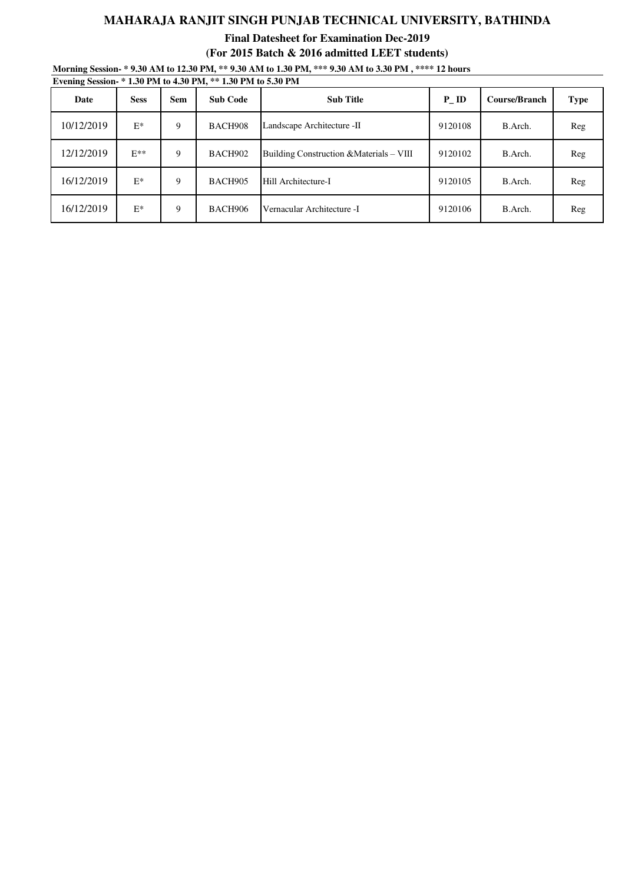**Final Datesheet for Examination Dec-2019 (For 2015 Batch & 2016 admitted LEET students)**

**Morning Session- \* 9.30 AM to 12.30 PM, \*\* 9.30 AM to 1.30 PM, \*\*\* 9.30 AM to 3.30 PM , \*\*\*\* 12 hours**

| Date       | <b>Sess</b> | <b>Sem</b> | <b>Sub Code</b> | <b>Sub Title</b>                         | P ID    | <b>Course/Branch</b> | <b>Type</b> |
|------------|-------------|------------|-----------------|------------------------------------------|---------|----------------------|-------------|
| 10/12/2019 | $E^*$       | 9          | BACH908         | Landscape Architecture -II               | 9120108 | B.Arch.              | Reg         |
| 12/12/2019 | $E**$       | 9          | BACH902         | Building Construction & Materials – VIII | 9120102 | B.Arch.              | Reg         |
| 16/12/2019 | $E^*$       | 9          | BACH905         | Hill Architecture-I                      | 9120105 | B.Arch.              | Reg         |
| 16/12/2019 | $E^*$       | 9          | <b>BACH906</b>  | Vernacular Architecture -I               | 9120106 | B.Arch.              | Reg         |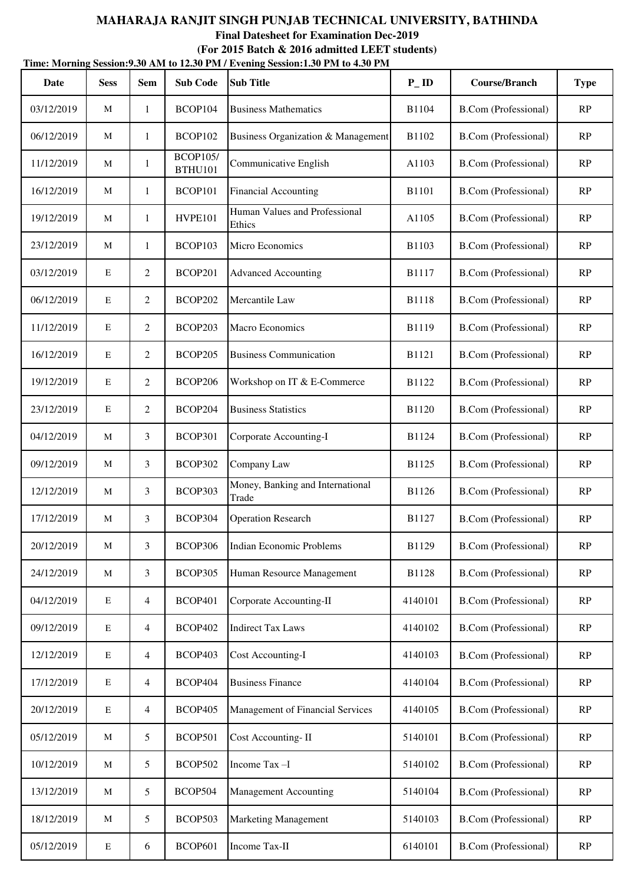**Final Datesheet for Examination Dec-2019**

|             | Time: Morning Session: 9.30 AM to 12.30 PM / Evening Session: 1.30 PM to 4.30 PM |                |                                   |                                           |                   |                             |             |  |  |  |  |  |
|-------------|----------------------------------------------------------------------------------|----------------|-----------------------------------|-------------------------------------------|-------------------|-----------------------------|-------------|--|--|--|--|--|
| <b>Date</b> | <b>Sess</b>                                                                      | <b>Sem</b>     | <b>Sub Code</b>                   | <b>Sub Title</b>                          | $P$ <sub>ID</sub> | <b>Course/Branch</b>        | <b>Type</b> |  |  |  |  |  |
| 03/12/2019  | M                                                                                | 1              | BCOP104                           | <b>Business Mathematics</b>               | <b>B1104</b>      | <b>B.Com</b> (Professional) | RP          |  |  |  |  |  |
| 06/12/2019  | M                                                                                | 1              | BCOP102                           | Business Organization & Management        | B1102             | <b>B.Com</b> (Professional) | RP          |  |  |  |  |  |
| 11/12/2019  | M                                                                                | $\mathbf{1}$   | <b>BCOP105/</b><br><b>BTHU101</b> | Communicative English                     | A1103             | <b>B.Com</b> (Professional) | RP          |  |  |  |  |  |
| 16/12/2019  | M                                                                                | $\mathbf{1}$   | BCOP101                           | <b>Financial Accounting</b>               | <b>B1101</b>      | <b>B.Com</b> (Professional) | RP          |  |  |  |  |  |
| 19/12/2019  | M                                                                                | 1              | HVPE101                           | Human Values and Professional<br>Ethics   | A1105             | <b>B.Com</b> (Professional) | RP          |  |  |  |  |  |
| 23/12/2019  | M                                                                                | 1              | BCOP103                           | Micro Economics                           | B1103             | <b>B.Com</b> (Professional) | RP          |  |  |  |  |  |
| 03/12/2019  | E                                                                                | 2              | BCOP201                           | <b>Advanced Accounting</b>                | B1117             | <b>B.Com</b> (Professional) | RP          |  |  |  |  |  |
| 06/12/2019  | E                                                                                | $\overline{c}$ | BCOP202                           | Mercantile Law                            | <b>B1118</b>      | <b>B.Com</b> (Professional) | RP          |  |  |  |  |  |
| 11/12/2019  | E                                                                                | $\overline{c}$ | BCOP203                           | Macro Economics                           | B1119             | <b>B.Com</b> (Professional) | RP          |  |  |  |  |  |
| 16/12/2019  | E                                                                                | 2              | BCOP205                           | <b>Business Communication</b>             | B1121             | <b>B.Com</b> (Professional) | RP          |  |  |  |  |  |
| 19/12/2019  | E                                                                                | $\overline{c}$ | BCOP206                           | Workshop on IT & E-Commerce               | B1122             | <b>B.Com</b> (Professional) | RP          |  |  |  |  |  |
| 23/12/2019  | E                                                                                | $\overline{c}$ | BCOP204                           | <b>Business Statistics</b>                | B1120             | <b>B.Com</b> (Professional) | RP          |  |  |  |  |  |
| 04/12/2019  | M                                                                                | 3              | BCOP301                           | Corporate Accounting-I                    | B1124             | <b>B.Com</b> (Professional) | RP          |  |  |  |  |  |
| 09/12/2019  | M                                                                                | 3              | BCOP302                           | Company Law                               | B1125             | <b>B.Com</b> (Professional) | RP          |  |  |  |  |  |
| 12/12/2019  | M                                                                                | 3              | BCOP303                           | Money, Banking and International<br>Trade | B1126             | <b>B.Com</b> (Professional) | RP          |  |  |  |  |  |
| 17/12/2019  | M                                                                                | 3              | BCOP304                           | <b>Operation Research</b>                 | B1127             | <b>B.Com</b> (Professional) | RP          |  |  |  |  |  |
| 20/12/2019  | M                                                                                | 3              | BCOP306                           | <b>Indian Economic Problems</b>           | B1129             | <b>B.Com</b> (Professional) | RP          |  |  |  |  |  |
| 24/12/2019  | M                                                                                | 3              | BCOP305                           | Human Resource Management                 | B1128             | <b>B.Com</b> (Professional) | RP          |  |  |  |  |  |
| 04/12/2019  | E                                                                                | 4              | <b>BCOP401</b>                    | Corporate Accounting-II                   | 4140101           | <b>B.Com</b> (Professional) | RP          |  |  |  |  |  |
| 09/12/2019  | E                                                                                | 4              | <b>BCOP402</b>                    | <b>Indirect Tax Laws</b>                  | 4140102           | <b>B.Com</b> (Professional) | RP          |  |  |  |  |  |
| 12/12/2019  | E                                                                                | $\overline{4}$ | BCOP403                           | <b>Cost Accounting-I</b>                  | 4140103           | <b>B.Com</b> (Professional) | RP          |  |  |  |  |  |
| 17/12/2019  | $\mathbf E$                                                                      | 4              | BCOP404                           | <b>Business Finance</b>                   | 4140104           | <b>B.Com</b> (Professional) | RP          |  |  |  |  |  |
| 20/12/2019  | $\mathbf E$                                                                      | $\overline{4}$ | BCOP405                           | Management of Financial Services          | 4140105           | <b>B.Com</b> (Professional) | RP          |  |  |  |  |  |
| 05/12/2019  | M                                                                                | 5              | BCOP501                           | Cost Accounting-II                        | 5140101           | <b>B.Com</b> (Professional) | RP          |  |  |  |  |  |
| 10/12/2019  | M                                                                                | 5              | BCOP502                           | Income Tax-I                              | 5140102           | <b>B.Com</b> (Professional) | RP          |  |  |  |  |  |
| 13/12/2019  | M                                                                                | 5              | BCOP504                           | <b>Management Accounting</b>              | 5140104           | <b>B.Com</b> (Professional) | RP          |  |  |  |  |  |
| 18/12/2019  | M                                                                                | 5              | BCOP503                           | <b>Marketing Management</b>               | 5140103           | <b>B.Com</b> (Professional) | RP          |  |  |  |  |  |
| 05/12/2019  | E                                                                                | 6              | BCOP601                           | Income Tax-II                             | 6140101           | <b>B.Com</b> (Professional) | RP          |  |  |  |  |  |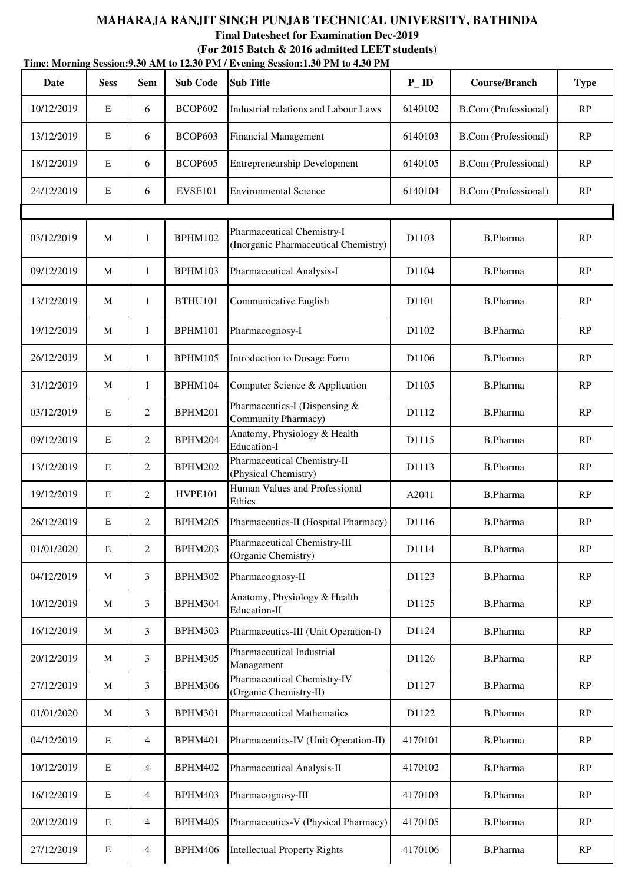**Final Datesheet for Examination Dec-2019**

|             | Time: Morning Session: 9.30 AM to 12.30 PM / Evening Session: 1.30 PM to 4.30 PM |                |                 |                                                                    |                   |                             |             |  |  |  |  |
|-------------|----------------------------------------------------------------------------------|----------------|-----------------|--------------------------------------------------------------------|-------------------|-----------------------------|-------------|--|--|--|--|
| <b>Date</b> | <b>Sess</b>                                                                      | <b>Sem</b>     | <b>Sub Code</b> | <b>Sub Title</b>                                                   | $P$ <sub>ID</sub> | <b>Course/Branch</b>        | <b>Type</b> |  |  |  |  |
| 10/12/2019  | E                                                                                | 6              | <b>BCOP602</b>  | Industrial relations and Labour Laws                               | 6140102           | <b>B.Com</b> (Professional) | RP          |  |  |  |  |
| 13/12/2019  | $\mathbf E$                                                                      | 6              | BCOP603         | <b>Financial Management</b>                                        | 6140103           | <b>B.Com</b> (Professional) | RP          |  |  |  |  |
| 18/12/2019  | E                                                                                | 6              | BCOP605         | <b>Entrepreneurship Development</b>                                | 6140105           | <b>B.Com</b> (Professional) | RP          |  |  |  |  |
| 24/12/2019  | E                                                                                | 6              | <b>EVSE101</b>  | <b>Environmental Science</b>                                       | 6140104           | <b>B.Com</b> (Professional) | RP          |  |  |  |  |
|             |                                                                                  |                |                 |                                                                    |                   |                             |             |  |  |  |  |
| 03/12/2019  | M                                                                                | $\mathbf{1}$   | BPHM102         | Pharmaceutical Chemistry-I<br>(Inorganic Pharmaceutical Chemistry) | D1103             | <b>B.Pharma</b>             | RP          |  |  |  |  |
| 09/12/2019  | M                                                                                | $\mathbf{1}$   | BPHM103         | Pharmaceutical Analysis-I                                          | D1104             | <b>B.Pharma</b>             | RP          |  |  |  |  |
| 13/12/2019  | M                                                                                | $\mathbf{1}$   | <b>BTHU101</b>  | Communicative English                                              | D1101             | <b>B.Pharma</b>             | RP          |  |  |  |  |
| 19/12/2019  | M                                                                                | $\mathbf{1}$   | BPHM101         | Pharmacognosy-I                                                    | D1102             | <b>B.Pharma</b>             | RP          |  |  |  |  |
| 26/12/2019  | M                                                                                | $\mathbf{1}$   | BPHM105         | Introduction to Dosage Form                                        | D1106             | <b>B.Pharma</b>             | RP          |  |  |  |  |
| 31/12/2019  | M                                                                                | $\mathbf{1}$   | BPHM104         | Computer Science & Application                                     | D1105             | <b>B.Pharma</b>             | RP          |  |  |  |  |
| 03/12/2019  | $\mathbf E$                                                                      | $\overline{2}$ | BPHM201         | Pharmaceutics-I (Dispensing &<br>Community Pharmacy)               | D1112             | <b>B.Pharma</b>             | RP          |  |  |  |  |
| 09/12/2019  | $\mathbf E$                                                                      | $\overline{2}$ | BPHM204         | Anatomy, Physiology & Health<br>Education-I                        | D1115             | <b>B.Pharma</b>             | RP          |  |  |  |  |
| 13/12/2019  | $\mathbf E$                                                                      | 2              | BPHM202         | Pharmaceutical Chemistry-II<br>(Physical Chemistry)                | D1113             | <b>B.Pharma</b>             | RP          |  |  |  |  |
| 19/12/2019  | $\mathbf E$                                                                      | $\overline{2}$ | HVPE101         | Human Values and Professional<br>Ethics                            | A2041             | <b>B.Pharma</b>             | RP          |  |  |  |  |
| 26/12/2019  | E                                                                                | $\overline{2}$ | BPHM205         | Pharmaceutics-II (Hospital Pharmacy)                               | D <sub>1116</sub> | <b>B.Pharma</b>             | RP          |  |  |  |  |
| 01/01/2020  | $\mathbf E$                                                                      | $\overline{2}$ | BPHM203         | Pharmaceutical Chemistry-III<br>(Organic Chemistry)                | D1114             | <b>B.Pharma</b>             | RP          |  |  |  |  |
| 04/12/2019  | M                                                                                | 3              | <b>BPHM302</b>  | Pharmacognosy-II                                                   | D1123             | <b>B.Pharma</b>             | RP          |  |  |  |  |
| 10/12/2019  | M                                                                                | 3              | BPHM304         | Anatomy, Physiology & Health<br>Education-II                       | D1125             | <b>B.Pharma</b>             | RP          |  |  |  |  |
| 16/12/2019  | M                                                                                | 3              | BPHM303         | Pharmaceutics-III (Unit Operation-I)                               | D1124             | <b>B.Pharma</b>             | RP          |  |  |  |  |
| 20/12/2019  | M                                                                                | 3              | BPHM305         | Pharmaceutical Industrial<br>Management                            | D1126             | <b>B.Pharma</b>             | RP          |  |  |  |  |
| 27/12/2019  | M                                                                                | 3              | BPHM306         | Pharmaceutical Chemistry-IV<br>(Organic Chemistry-II)              | D1127             | <b>B.Pharma</b>             | RP          |  |  |  |  |
| 01/01/2020  | M                                                                                | $\mathfrak{Z}$ | BPHM301         | <b>Pharmaceutical Mathematics</b>                                  | D1122             | <b>B.Pharma</b>             | RP          |  |  |  |  |
| 04/12/2019  | $\mathbf E$                                                                      | $\overline{4}$ | BPHM401         | Pharmaceutics-IV (Unit Operation-II)                               | 4170101           | <b>B.Pharma</b>             | RP          |  |  |  |  |
| 10/12/2019  | ${\bf E}$                                                                        | $\overline{4}$ | BPHM402         | Pharmaceutical Analysis-II                                         | 4170102           | <b>B.Pharma</b>             | RP          |  |  |  |  |
| 16/12/2019  | ${\bf E}$                                                                        | $\overline{4}$ | BPHM403         | Pharmacognosy-III                                                  | 4170103           | <b>B.Pharma</b>             | RP          |  |  |  |  |
| 20/12/2019  | $\mathbf E$                                                                      | $\overline{4}$ | BPHM405         | Pharmaceutics-V (Physical Pharmacy)                                | 4170105           | <b>B.Pharma</b>             | RP          |  |  |  |  |
| 27/12/2019  | ${\bf E}$                                                                        | $\overline{4}$ | BPHM406         | <b>Intellectual Property Rights</b>                                | 4170106           | <b>B.Pharma</b>             | RP          |  |  |  |  |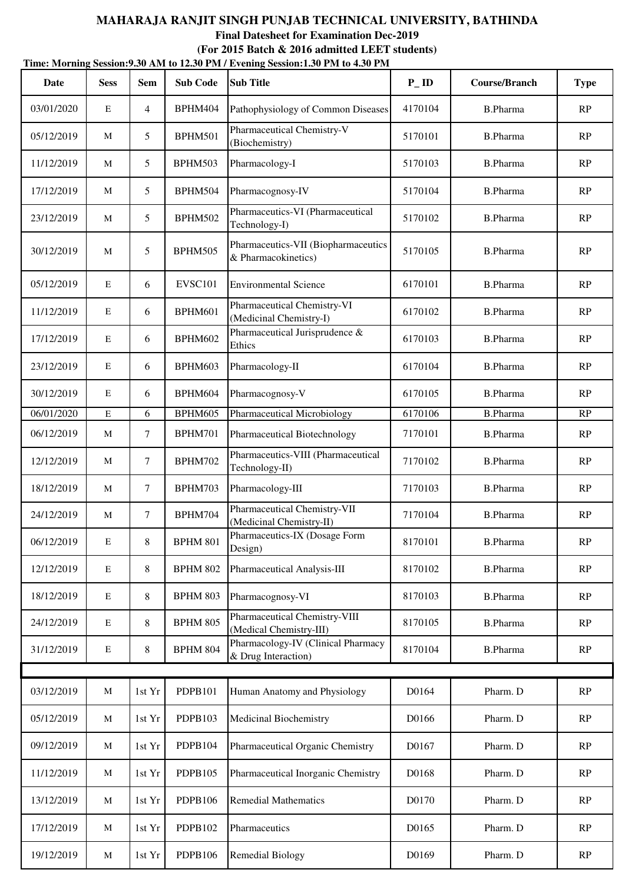|            | Time: Morning Session: 9.30 AM to 12.30 PM / Evening Session: 1.30 PM to 4.30 PM |                |                 |                                                            |                   |                      |             |  |  |  |  |  |
|------------|----------------------------------------------------------------------------------|----------------|-----------------|------------------------------------------------------------|-------------------|----------------------|-------------|--|--|--|--|--|
| Date       | <b>Sess</b>                                                                      | <b>Sem</b>     | <b>Sub Code</b> | <b>Sub Title</b>                                           | $P$ <sub>ID</sub> | <b>Course/Branch</b> | <b>Type</b> |  |  |  |  |  |
| 03/01/2020 | E                                                                                | $\overline{4}$ | BPHM404         | Pathophysiology of Common Diseases                         | 4170104           | <b>B.Pharma</b>      | RP          |  |  |  |  |  |
| 05/12/2019 | M                                                                                | 5              | <b>BPHM501</b>  | Pharmaceutical Chemistry-V<br>(Biochemistry)               | 5170101           | <b>B.Pharma</b>      | RP          |  |  |  |  |  |
| 11/12/2019 | M                                                                                | 5              | BPHM503         | Pharmacology-I                                             | 5170103           | <b>B.Pharma</b>      | RP          |  |  |  |  |  |
| 17/12/2019 | M                                                                                | 5              | BPHM504         | Pharmacognosy-IV                                           | 5170104           | <b>B.Pharma</b>      | RP          |  |  |  |  |  |
| 23/12/2019 | M                                                                                | 5              | BPHM502         | Pharmaceutics-VI (Pharmaceutical<br>Technology-I)          | 5170102           | <b>B.Pharma</b>      | RP          |  |  |  |  |  |
| 30/12/2019 | $\mathbf M$                                                                      | 5              | BPHM505         | Pharmaceutics-VII (Biopharmaceutics<br>& Pharmacokinetics) | 5170105           | <b>B.Pharma</b>      | RP          |  |  |  |  |  |
| 05/12/2019 | $\mathbf E$                                                                      | 6              | <b>EVSC101</b>  | <b>Environmental Science</b>                               | 6170101           | <b>B.Pharma</b>      | RP          |  |  |  |  |  |
| 11/12/2019 | $\mathbf E$                                                                      | 6              | BPHM601         | Pharmaceutical Chemistry-VI<br>(Medicinal Chemistry-I)     | 6170102           | <b>B.Pharma</b>      | RP          |  |  |  |  |  |
| 17/12/2019 | $\mathbf E$                                                                      | 6              | BPHM602         | Pharmaceutical Jurisprudence &<br>Ethics                   | 6170103           | <b>B.Pharma</b>      | RP          |  |  |  |  |  |
| 23/12/2019 | $\mathbf E$                                                                      | 6              | BPHM603         | Pharmacology-II                                            | 6170104           | <b>B.Pharma</b>      | RP          |  |  |  |  |  |
| 30/12/2019 | $\mathbf E$                                                                      | 6              | BPHM604         | Pharmacognosy-V                                            | 6170105           | <b>B.Pharma</b>      | RP          |  |  |  |  |  |
| 06/01/2020 | $\mathbf E$                                                                      | 6              | BPHM605         | Pharmaceutical Microbiology                                | 6170106           | <b>B.Pharma</b>      | RP          |  |  |  |  |  |
| 06/12/2019 | M                                                                                | $\tau$         | BPHM701         | Pharmaceutical Biotechnology                               | 7170101           | <b>B.Pharma</b>      | RP          |  |  |  |  |  |
| 12/12/2019 | M                                                                                | $\tau$         | BPHM702         | Pharmaceutics-VIII (Pharmaceutical<br>Technology-II)       | 7170102           | <b>B.Pharma</b>      | RP          |  |  |  |  |  |
| 18/12/2019 | M                                                                                | $\overline{7}$ | BPHM703         | Pharmacology-III                                           | 7170103           | <b>B.Pharma</b>      | RP          |  |  |  |  |  |
| 24/12/2019 | M                                                                                | $\overline{7}$ | BPHM704         | Pharmaceutical Chemistry-VII<br>(Medicinal Chemistry-II)   | 7170104           | <b>B.Pharma</b>      | RP          |  |  |  |  |  |
| 06/12/2019 | $\mathbf E$                                                                      | 8              | <b>BPHM 801</b> | Pharmaceutics-IX (Dosage Form<br>Design)                   | 8170101           | <b>B.Pharma</b>      | RP          |  |  |  |  |  |
| 12/12/2019 | ${\bf E}$                                                                        | 8              | <b>BPHM 802</b> | Pharmaceutical Analysis-III                                | 8170102           | <b>B.Pharma</b>      | RP          |  |  |  |  |  |
| 18/12/2019 | $\mathbf E$                                                                      | 8              | <b>BPHM 803</b> | Pharmacognosy-VI                                           | 8170103           | <b>B.Pharma</b>      | RP          |  |  |  |  |  |
| 24/12/2019 | $\mathbf E$                                                                      | 8              | <b>BPHM 805</b> | Pharmaceutical Chemistry-VIII<br>(Medical Chemistry-III)   | 8170105           | <b>B.Pharma</b>      | RP          |  |  |  |  |  |
| 31/12/2019 | ${\bf E}$                                                                        | 8              | <b>BPHM 804</b> | Pharmacology-IV (Clinical Pharmacy<br>& Drug Interaction)  | 8170104           | <b>B.Pharma</b>      | RP          |  |  |  |  |  |
|            |                                                                                  |                |                 |                                                            |                   |                      |             |  |  |  |  |  |
| 03/12/2019 | $\mathbf{M}$                                                                     | 1st Yr         | PDPB101         | Human Anatomy and Physiology                               | D0164             | Pharm. D             | RP          |  |  |  |  |  |
| 05/12/2019 | M                                                                                | 1st Yr         | PDPB103         | Medicinal Biochemistry                                     | D0166             | Pharm. D             | RP          |  |  |  |  |  |
| 09/12/2019 | M                                                                                | 1st Yr         | PDPB104         | Pharmaceutical Organic Chemistry                           | D0167             | Pharm. D             | RP          |  |  |  |  |  |
| 11/12/2019 | M                                                                                | 1st Yr         | PDPB105         | Pharmaceutical Inorganic Chemistry                         | D0168             | Pharm. D             | RP          |  |  |  |  |  |
| 13/12/2019 | M                                                                                | 1st Yr         | PDPB106         | <b>Remedial Mathematics</b>                                | D0170             | Pharm. D             | RP          |  |  |  |  |  |
| 17/12/2019 | M                                                                                | 1st Yr         | PDPB102         | Pharmaceutics                                              | D0165             | Pharm. D             | RP          |  |  |  |  |  |
| 19/12/2019 | M                                                                                | 1st Yr         | PDPB106         | <b>Remedial Biology</b>                                    | D0169             | Pharm. D             | RP          |  |  |  |  |  |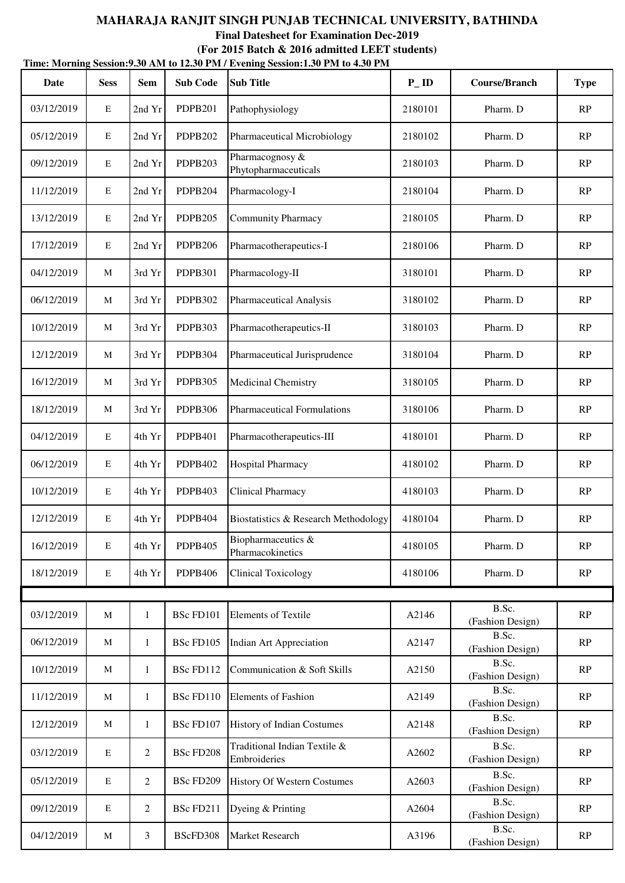**Time: Morning Session:9.30 AM to 12.30 PM / Evening Session:1.30 PM to 4.30 PM (For 2015 Batch & 2016 admitted LEET students)**

| Date       | <b>Sess</b> | <b>Sem</b>   | <b>Sub Code</b>  | <b>Sub Title</b>                             | $P$ <sub>ID</sub> | <b>Course/Branch</b>      | <b>Type</b> |
|------------|-------------|--------------|------------------|----------------------------------------------|-------------------|---------------------------|-------------|
| 03/12/2019 | E           | 2nd Yr       | <b>PDPB201</b>   | Pathophysiology                              | 2180101           | Pharm. D                  | RP          |
| 05/12/2019 | $\mathbf E$ | 2nd Yr       | <b>PDPB202</b>   | Pharmaceutical Microbiology                  | 2180102           | Pharm. D                  | RP          |
| 09/12/2019 | E           | 2nd Yr       | PDPB203          | Pharmacognosy &<br>Phytopharmaceuticals      | 2180103           | Pharm. D                  | RP          |
| 11/12/2019 | E           | 2nd Yr       | PDPB204          | Pharmacology-I                               | 2180104           | Pharm. D                  | RP          |
| 13/12/2019 | E           | 2nd Yr       | PDPB205          | <b>Community Pharmacy</b>                    | 2180105           | Pharm. D                  | RP          |
| 17/12/2019 | E           | 2nd Yr       | <b>PDPB206</b>   | Pharmacotherapeutics-I                       | 2180106           | Pharm. D                  | RP          |
| 04/12/2019 | M           | 3rd Yr       | <b>PDPB301</b>   | Pharmacology-II                              | 3180101           | Pharm. D                  | RP          |
| 06/12/2019 | M           | 3rd Yr       | <b>PDPB302</b>   | <b>Pharmaceutical Analysis</b>               | 3180102           | Pharm. D                  | RP          |
| 10/12/2019 | M           | 3rd Yr       | PDPB303          | Pharmacotherapeutics-II                      | 3180103           | Pharm. D                  | RP          |
| 12/12/2019 | M           | 3rd Yr       | PDPB304          | Pharmaceutical Jurisprudence                 | 3180104           | Pharm. D                  | RP          |
| 16/12/2019 | M           | 3rd Yr       | PDPB305          | Medicinal Chemistry                          | 3180105           | Pharm. D                  | RP          |
| 18/12/2019 | M           | 3rd Yr       | <b>PDPB306</b>   | <b>Pharmaceutical Formulations</b>           | 3180106           | Pharm. D                  | RP          |
| 04/12/2019 | E           | 4th Yr       | <b>PDPB401</b>   | Pharmacotherapeutics-III                     | 4180101           | Pharm. D                  | RP          |
| 06/12/2019 | E           | 4th Yr       | <b>PDPB402</b>   | Hospital Pharmacy                            | 4180102           | Pharm. D                  | RP          |
| 10/12/2019 | E           | 4th Yr       | PDPB403          | <b>Clinical Pharmacy</b>                     | 4180103           | Pharm. D                  | RP          |
| 12/12/2019 | E           | 4th Yr       | PDPB404          | Biostatistics & Research Methodology         | 4180104           | Pharm. D                  | RP          |
| 16/12/2019 | E           | 4th Yr       | PDPB405          | Biopharmaceutics &<br>Pharmacokinetics       | 4180105           | Pharm. D                  | RP          |
| 18/12/2019 | $\mathbf E$ | 4th Yr       | <b>PDPB406</b>   | <b>Clinical Toxicology</b>                   | 4180106           | Pharm. D                  | RP          |
|            |             |              |                  |                                              |                   |                           |             |
| 03/12/2019 | M           | $\mathbf{1}$ | BSc FD101        | <b>Elements of Textile</b>                   | A2146             | B.Sc.<br>(Fashion Design) | RP          |
| 06/12/2019 | M           | $\mathbf{1}$ | BSc FD105        | Indian Art Appreciation                      | A2147             | B.Sc.<br>(Fashion Design) | RP          |
| 10/12/2019 | M           | 1            | BSc FD112        | Communication & Soft Skills                  | A2150             | B.Sc.<br>(Fashion Design) | RP          |
| 11/12/2019 | M           | $\mathbf{1}$ | BSc FD110        | <b>Elements of Fashion</b>                   | A2149             | B.Sc.<br>(Fashion Design) | RP          |
| 12/12/2019 | M           | 1            | BSc FD107        | <b>History of Indian Costumes</b>            | A2148             | B.Sc.<br>(Fashion Design) | RP          |
| 03/12/2019 | E           | 2            | <b>BSc FD208</b> | Traditional Indian Textile &<br>Embroideries | A2602             | B.Sc.<br>(Fashion Design) | RP          |
| 05/12/2019 | $\mathbf E$ | 2            | BSc FD209        | <b>History Of Western Costumes</b>           | A2603             | B.Sc.<br>(Fashion Design) | RP          |
| 09/12/2019 | $\mathbf E$ | 2            | BSc FD211        | Dyeing & Printing                            | A2604             | B.Sc.<br>(Fashion Design) | RP          |
| 04/12/2019 | M           | 3            | BScFD308         | Market Research                              | A3196             | B.Sc.<br>(Fashion Design) | RP          |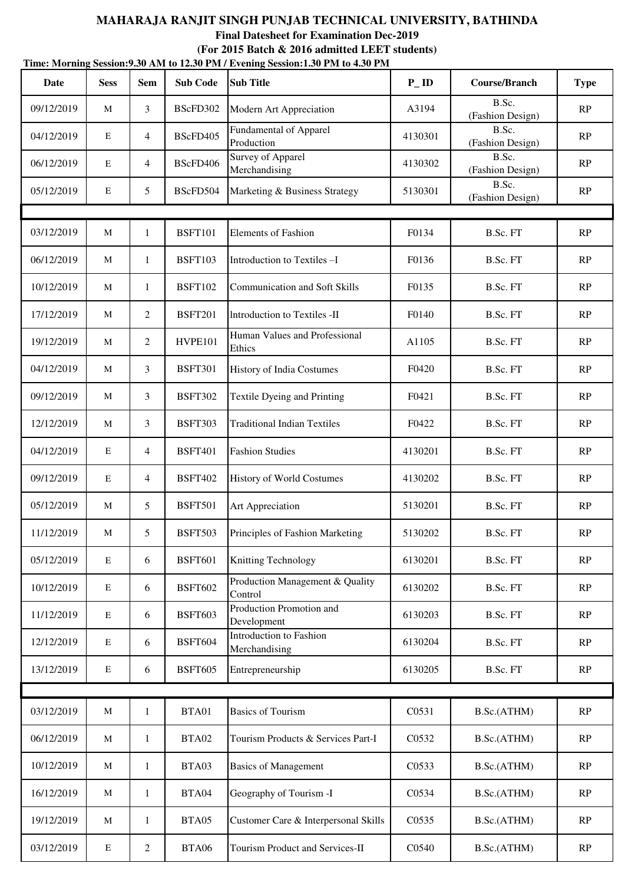| Time: Morning Session: 9.30 AM to 12.30 PM / Evening Session: 1.30 PM to 4.30 PM |              |                 |                 |                                             |                    |                           |             |  |  |  |
|----------------------------------------------------------------------------------|--------------|-----------------|-----------------|---------------------------------------------|--------------------|---------------------------|-------------|--|--|--|
| <b>Date</b>                                                                      | <b>Sess</b>  | <b>Sem</b>      | <b>Sub Code</b> | <b>Sub Title</b>                            | $P$ <sub>-ID</sub> | <b>Course/Branch</b>      | <b>Type</b> |  |  |  |
| 09/12/2019                                                                       | M            | $\mathfrak{Z}$  | BScFD302        | Modern Art Appreciation                     | A3194              | B.Sc.<br>(Fashion Design) | RP          |  |  |  |
| 04/12/2019                                                                       | $\mathbf E$  | $\overline{4}$  | BScFD405        | <b>Fundamental of Apparel</b><br>Production | 4130301            | B.Sc.<br>(Fashion Design) | RP          |  |  |  |
| 06/12/2019                                                                       | $\mathbf E$  | $\overline{4}$  | BScFD406        | Survey of Apparel<br>Merchandising          | 4130302            | B.Sc.<br>(Fashion Design) | RP          |  |  |  |
| 05/12/2019                                                                       | $\mathbf E$  | 5               | BScFD504        | Marketing & Business Strategy               | 5130301            | B.Sc.<br>(Fashion Design) | RP          |  |  |  |
|                                                                                  |              |                 |                 |                                             |                    |                           |             |  |  |  |
| 03/12/2019                                                                       | M            | 1               | <b>BSFT101</b>  | <b>Elements of Fashion</b>                  | F0134              | B.Sc. FT                  | RP          |  |  |  |
| 06/12/2019                                                                       | M            | $\mathbf{1}$    | <b>BSFT103</b>  | Introduction to Textiles-I                  | F0136              | B.Sc. FT                  | RP          |  |  |  |
| 10/12/2019                                                                       | $\mathbf{M}$ | $\mathbf{1}$    | <b>BSFT102</b>  | <b>Communication and Soft Skills</b>        | F0135              | B.Sc. FT                  | RP          |  |  |  |
| 17/12/2019                                                                       | M            | 2               | <b>BSFT201</b>  | Introduction to Textiles -II                | F0140              | B.Sc. FT                  | RP          |  |  |  |
| 19/12/2019                                                                       | M            | 2               | HVPE101         | Human Values and Professional<br>Ethics     | A1105              | B.Sc. FT                  | RP          |  |  |  |
| 04/12/2019                                                                       | M            | 3               | <b>BSFT301</b>  | History of India Costumes                   | F0420              | B.Sc. FT                  | RP          |  |  |  |
| 09/12/2019                                                                       | M            | 3               | <b>BSFT302</b>  | Textile Dyeing and Printing                 | F0421              | B.Sc. FT                  | RP          |  |  |  |
| 12/12/2019                                                                       | M            | 3               | <b>BSFT303</b>  | <b>Traditional Indian Textiles</b>          | F0422              | B.Sc. FT                  | RP          |  |  |  |
| 04/12/2019                                                                       | $\mathbf E$  | $\overline{4}$  | <b>BSFT401</b>  | <b>Fashion Studies</b>                      | 4130201            | B.Sc. FT                  | RP          |  |  |  |
| 09/12/2019                                                                       | $\mathbf E$  | $\overline{4}$  | <b>BSFT402</b>  | History of World Costumes                   | 4130202            | B.Sc. FT                  | RP          |  |  |  |
| 05/12/2019                                                                       | M            | $5\overline{)}$ | <b>BSFT501</b>  | Art Appreciation                            | 5130201            | B.Sc. FT                  | RP          |  |  |  |
| 11/12/2019                                                                       | $\mathbf{M}$ | 5               | <b>BSFT503</b>  | Principles of Fashion Marketing             | 5130202            | B.Sc. FT                  | RP          |  |  |  |
| 05/12/2019                                                                       | $\mathbf E$  | 6               | <b>BSFT601</b>  | Knitting Technology                         | 6130201            | B.Sc. FT                  | RP          |  |  |  |
| 10/12/2019                                                                       | $\mathbf E$  | 6               | <b>BSFT602</b>  | Production Management & Quality<br>Control  | 6130202            | B.Sc. FT                  | RP          |  |  |  |
| 11/12/2019                                                                       | $\mathbf E$  | 6               | <b>BSFT603</b>  | Production Promotion and<br>Development     | 6130203            | B.Sc. FT                  | RP          |  |  |  |
| 12/12/2019                                                                       | $\mathbf E$  | 6               | <b>BSFT604</b>  | Introduction to Fashion<br>Merchandising    | 6130204            | B.Sc. FT                  | RP          |  |  |  |
| 13/12/2019                                                                       | ${\bf E}$    | 6               | <b>BSFT605</b>  | Entrepreneurship                            | 6130205            | B.Sc. FT                  | RP          |  |  |  |
|                                                                                  |              |                 |                 |                                             |                    |                           |             |  |  |  |
| 03/12/2019                                                                       | M            | $\mathbf{1}$    | BTA01           | <b>Basics of Tourism</b>                    | C0531              | B.Sc.(ATHM)               | RP          |  |  |  |
| 06/12/2019                                                                       | M            | $\mathbf{1}$    | BTA02           | Tourism Products & Services Part-I          | C0532              | B.Sc.(ATHM)               | RP          |  |  |  |
| 10/12/2019                                                                       | M            | $\mathbf{1}$    | BTA03           | <b>Basics of Management</b>                 | C0533              | B.Sc.(ATHM)               | RP          |  |  |  |
| 16/12/2019                                                                       | M            | $\mathbf{1}$    | BTA04           | Geography of Tourism -I                     | C0534              | B.Sc.(ATHM)               | RP          |  |  |  |
| 19/12/2019                                                                       | M            | $\mathbf{1}$    | BTA05           | Customer Care & Interpersonal Skills        | C0535              | B.Sc.(ATHM)               | RP          |  |  |  |
| 03/12/2019                                                                       | ${\bf E}$    | $\overline{2}$  | <b>BTA06</b>    | Tourism Product and Services-II             | C0540              | B.Sc.(ATHM)               | RP          |  |  |  |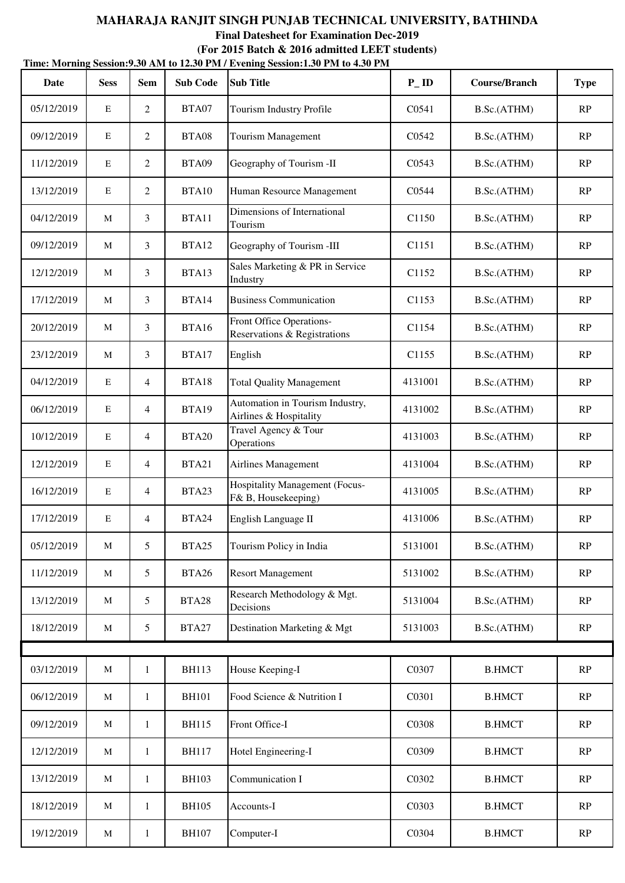| Date       | <b>Sess</b> | <b>Sem</b>     | <b>Sub Code</b> | THIIC, MOTHING SCSSION, SWO ANT to 12.30 I M / EVERING SCSSION, I.JO I M to 4.30 I M<br><b>Sub Title</b> | $P$ <sub>ID</sub>  | <b>Course/Branch</b> | <b>Type</b>            |
|------------|-------------|----------------|-----------------|----------------------------------------------------------------------------------------------------------|--------------------|----------------------|------------------------|
| 05/12/2019 | E           | $\overline{2}$ | BTA07           | Tourism Industry Profile                                                                                 | C <sub>0541</sub>  | B.Sc.(ATHM)          | RP                     |
| 09/12/2019 | E           | $\overline{2}$ | BTA08           | <b>Tourism Management</b>                                                                                | C <sub>0542</sub>  | B.Sc.(ATHM)          | RP                     |
| 11/12/2019 | $\mathbf E$ | 2              | BTA09           | Geography of Tourism -II                                                                                 | C0543              | B.Sc.(ATHM)          | RP                     |
| 13/12/2019 | E           | 2              | BTA10           | Human Resource Management                                                                                | C0544              | B.Sc.(ATHM)          | RP                     |
| 04/12/2019 | M           | 3              | BTA11           | Dimensions of International<br>Tourism                                                                   | C1150              | B.Sc.(ATHM)          | RP                     |
| 09/12/2019 | M           | 3              | BTA12           | Geography of Tourism -III                                                                                | C <sub>1151</sub>  | B.Sc.(ATHM)          | RP                     |
| 12/12/2019 | M           | 3              | BTA13           | Sales Marketing & PR in Service<br>Industry                                                              | C <sub>1152</sub>  | B.Sc.(ATHM)          | RP                     |
| 17/12/2019 | M           | 3              | BTA14           | <b>Business Communication</b>                                                                            | C <sub>1153</sub>  | B.Sc.(ATHM)          | RP                     |
| 20/12/2019 | M           | 3              | BTA16           | Front Office Operations-<br>Reservations & Registrations                                                 | C1154              | B.Sc.(ATHM)          | RP                     |
| 23/12/2019 | M           | 3              | BTA17           | English                                                                                                  | C1155              | B.Sc.(ATHM)          | RP                     |
| 04/12/2019 | E           | 4              | BTA18           | <b>Total Quality Management</b>                                                                          | 4131001            | B.Sc.(ATHM)          | RP                     |
| 06/12/2019 | $\mathbf E$ | 4              | BTA19           | Automation in Tourism Industry,<br>Airlines & Hospitality                                                | 4131002            | B.Sc.(ATHM)          | RP                     |
| 10/12/2019 | E           | 4              | <b>BTA20</b>    | Travel Agency & Tour<br>Operations                                                                       | 4131003            | B.Sc.(ATHM)          | RP                     |
| 12/12/2019 | E           | 4              | BTA21           | Airlines Management                                                                                      | 4131004            | B.Sc.(ATHM)          | RP                     |
| 16/12/2019 | E           | 4              | BTA23           | <b>Hospitality Management (Focus-</b><br>F& B, Housekeeping)                                             | 4131005            | B.Sc.(ATHM)          | RP                     |
| 17/12/2019 | E           | 4              | BTA24           | English Language II                                                                                      | 4131006            | B.Sc.(ATHM)          | RP                     |
| 05/12/2019 | M           | 5              | BTA25           | Tourism Policy in India                                                                                  | 5131001            | B.Sc.(ATHM)          | RP                     |
| 11/12/2019 | M           | 5              | <b>BTA26</b>    | <b>Resort Management</b>                                                                                 | 5131002            | B.Sc.(ATHM)          | RP                     |
| 13/12/2019 | M           | 5              | BTA28           | Research Methodology & Mgt.<br>Decisions                                                                 | 5131004            | B.Sc.(ATHM)          | RP                     |
| 18/12/2019 | M           | 5              | BTA27           | Destination Marketing & Mgt                                                                              | 5131003            | B.Sc.(ATHM)          | RP                     |
|            |             |                |                 |                                                                                                          |                    |                      |                        |
| 03/12/2019 | $\mathbf M$ | $\mathbf{1}$   | <b>BH113</b>    | House Keeping-I                                                                                          | C0307              | <b>B.HMCT</b>        | $\mathbf{RP}$          |
| 06/12/2019 | M           | $\mathbf{1}$   | <b>BH101</b>    | Food Science & Nutrition I                                                                               | C0301              | <b>B.HMCT</b>        | $\mathbf{RP}$          |
| 09/12/2019 | M           | $\mathbf{1}$   | <b>BH115</b>    | Front Office-I                                                                                           | C0308              | <b>B.HMCT</b>        | RP                     |
| 12/12/2019 | M           | $\mathbf{1}$   | <b>BH117</b>    | Hotel Engineering-I                                                                                      | C0309              | <b>B.HMCT</b>        | RP                     |
| 13/12/2019 | M           | $\mathbf{1}$   | <b>BH103</b>    | Communication I                                                                                          | C0302              | <b>B.HMCT</b>        | RP                     |
| 18/12/2019 | $\mathbf M$ | $\mathbf{1}$   | <b>BH105</b>    | Accounts-I                                                                                               | C <sub>0</sub> 303 | <b>B.HMCT</b>        | RP                     |
| 19/12/2019 | M           | 1              | <b>BH107</b>    | Computer-I                                                                                               | C0304              | <b>B.HMCT</b>        | $\mathbb{R}\mathrm{P}$ |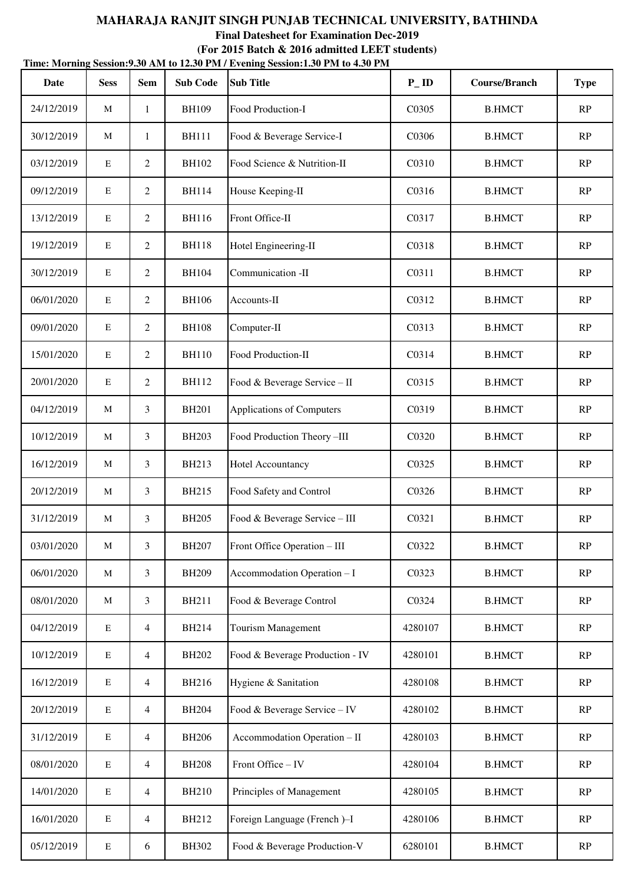| Date       | <b>Sess</b> | <b>Sem</b>     | <b>Sub Code</b> | THIIC, MOTHING SCSSION, SWO ANT to 12.50 I M / EVERING SCSSION, I WE TO THE TOTAL<br><b>Sub Title</b> | $P$ <sub>ID</sub>  | Course/Branch | <b>Type</b> |
|------------|-------------|----------------|-----------------|-------------------------------------------------------------------------------------------------------|--------------------|---------------|-------------|
| 24/12/2019 | M           | 1              | <b>BH109</b>    | Food Production-I                                                                                     | C <sub>0</sub> 305 | <b>B.HMCT</b> | RP          |
| 30/12/2019 | M           | 1              | <b>BH111</b>    | Food & Beverage Service-I                                                                             | C0306              | <b>B.HMCT</b> | RP          |
| 03/12/2019 | $\mathbf E$ | 2              | <b>BH102</b>    | Food Science & Nutrition-II                                                                           | C0310              | <b>B.HMCT</b> | RP          |
| 09/12/2019 | E           | 2              | <b>BH114</b>    | House Keeping-II                                                                                      | C0316              | <b>B.HMCT</b> | RP          |
| 13/12/2019 | $\mathbf E$ | 2              | <b>BH116</b>    | Front Office-II                                                                                       | C0317              | <b>B.HMCT</b> | RP          |
| 19/12/2019 | $\mathbf E$ | 2              | <b>BH118</b>    | Hotel Engineering-II                                                                                  | C0318              | <b>B.HMCT</b> | RP          |
| 30/12/2019 | E           | $\overline{2}$ | <b>BH104</b>    | Communication -II                                                                                     | C0311              | <b>B.HMCT</b> | RP          |
| 06/01/2020 | $\mathbf E$ | 2              | <b>BH106</b>    | Accounts-II                                                                                           | C0312              | <b>B.HMCT</b> | RP          |
| 09/01/2020 | $\mathbf E$ | 2              | <b>BH108</b>    | Computer-II                                                                                           | C0313              | <b>B.HMCT</b> | RP          |
| 15/01/2020 | E           | 2              | <b>BH110</b>    | Food Production-II                                                                                    | C0314              | <b>B.HMCT</b> | RP          |
| 20/01/2020 | $\mathbf E$ | 2              | <b>BH112</b>    | Food & Beverage Service - II                                                                          | C0315              | <b>B.HMCT</b> | RP          |
| 04/12/2019 | M           | 3              | <b>BH201</b>    | Applications of Computers                                                                             | C0319              | <b>B.HMCT</b> | RP          |
| 10/12/2019 | M           | 3              | <b>BH203</b>    | Food Production Theory-III                                                                            | C0320              | <b>B.HMCT</b> | RP          |
| 16/12/2019 | M           | 3              | <b>BH213</b>    | <b>Hotel Accountancy</b>                                                                              | C0325              | <b>B.HMCT</b> | RP          |
| 20/12/2019 | M           | 3              | <b>BH215</b>    | Food Safety and Control                                                                               | C0326              | <b>B.HMCT</b> | RP          |
| 31/12/2019 | M           | 3              | <b>BH205</b>    | Food & Beverage Service - III                                                                         | C0321              | <b>B.HMCT</b> | RP          |
| 03/01/2020 | M           | 3              | <b>BH207</b>    | Front Office Operation - III                                                                          | C0322              | <b>B.HMCT</b> | RP          |
| 06/01/2020 | M           | 3              | <b>BH209</b>    | Accommodation Operation - I                                                                           | C0323              | <b>B.HMCT</b> | RP          |
| 08/01/2020 | M           | 3              | <b>BH211</b>    | Food & Beverage Control                                                                               | C0324              | <b>B.HMCT</b> | RP          |
| 04/12/2019 | ${\bf E}$   | $\overline{4}$ | <b>BH214</b>    | <b>Tourism Management</b>                                                                             | 4280107            | <b>B.HMCT</b> | RP          |
| 10/12/2019 | ${\bf E}$   | $\overline{4}$ | <b>BH202</b>    | Food & Beverage Production - IV                                                                       | 4280101            | <b>B.HMCT</b> | RP          |
| 16/12/2019 | ${\bf E}$   | $\overline{4}$ | <b>BH216</b>    | Hygiene & Sanitation                                                                                  | 4280108            | <b>B.HMCT</b> | RP          |
| 20/12/2019 | ${\bf E}$   | $\overline{4}$ | <b>BH204</b>    | Food & Beverage Service - IV                                                                          | 4280102            | <b>B.HMCT</b> | RP          |
| 31/12/2019 | ${\bf E}$   | $\overline{4}$ | <b>BH206</b>    | Accommodation Operation - II                                                                          | 4280103            | <b>B.HMCT</b> | RP          |
| 08/01/2020 | $\mathbf E$ | $\overline{4}$ | <b>BH208</b>    | Front Office - IV                                                                                     | 4280104            | <b>B.HMCT</b> | RP          |
| 14/01/2020 | ${\bf E}$   | $\overline{4}$ | <b>BH210</b>    | Principles of Management                                                                              | 4280105            | <b>B.HMCT</b> | RP          |
| 16/01/2020 | ${\bf E}$   | $\overline{4}$ | <b>BH212</b>    | Foreign Language (French )-I                                                                          | 4280106            | <b>B.HMCT</b> | RP          |
| 05/12/2019 | ${\bf E}$   | 6              | <b>BH302</b>    | Food & Beverage Production-V                                                                          | 6280101            | <b>B.HMCT</b> | RP          |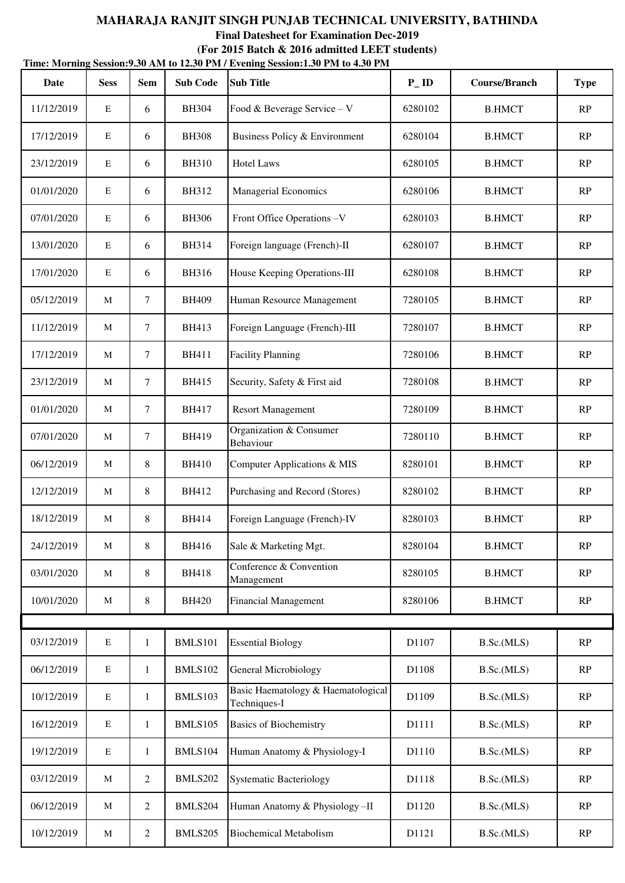| Date       | <b>Sess</b> | <b>Sem</b>     | <b>Sub Code</b> | THILE, INTUITING DESSION, SOUTHER TO TAKE THE PERCIFIC DESSION, I SO I IN TO 4.30 I IN<br><b>Sub Title</b> | $P$ <sub>ID</sub> | Course/Branch | <b>Type</b>            |
|------------|-------------|----------------|-----------------|------------------------------------------------------------------------------------------------------------|-------------------|---------------|------------------------|
| 11/12/2019 | E           | 6              | <b>BH304</b>    | Food & Beverage Service - V                                                                                | 6280102           | <b>B.HMCT</b> | RP                     |
| 17/12/2019 | $\mathbf E$ | 6              | <b>BH308</b>    | Business Policy & Environment                                                                              | 6280104           | <b>B.HMCT</b> | RP                     |
| 23/12/2019 | $\mathbf E$ | 6              | <b>BH310</b>    | <b>Hotel Laws</b>                                                                                          | 6280105           | <b>B.HMCT</b> | RP                     |
| 01/01/2020 | $\mathbf E$ | 6              | <b>BH312</b>    | Managerial Economics                                                                                       | 6280106           | <b>B.HMCT</b> | RP                     |
| 07/01/2020 | $\mathbf E$ | 6              | <b>BH306</b>    | Front Office Operations -V                                                                                 | 6280103           | <b>B.HMCT</b> | RP                     |
| 13/01/2020 | $\mathbf E$ | 6              | <b>BH314</b>    | Foreign language (French)-II                                                                               | 6280107           | <b>B.HMCT</b> | RP                     |
| 17/01/2020 | $\mathbf E$ | 6              | <b>BH316</b>    | House Keeping Operations-III                                                                               | 6280108           | <b>B.HMCT</b> | RP                     |
| 05/12/2019 | M           | $\tau$         | <b>BH409</b>    | Human Resource Management                                                                                  | 7280105           | <b>B.HMCT</b> | RP                     |
| 11/12/2019 | M           | $\tau$         | BH413           | Foreign Language (French)-III                                                                              | 7280107           | <b>B.HMCT</b> | RP                     |
| 17/12/2019 | M           | $\tau$         | <b>BH411</b>    | <b>Facility Planning</b>                                                                                   | 7280106           | <b>B.HMCT</b> | RP                     |
| 23/12/2019 | M           | $\tau$         | <b>BH415</b>    | Security, Safety & First aid                                                                               | 7280108           | <b>B.HMCT</b> | RP                     |
| 01/01/2020 | M           | $\tau$         | <b>BH417</b>    | <b>Resort Management</b>                                                                                   | 7280109           | <b>B.HMCT</b> | RP                     |
| 07/01/2020 | M           | $\tau$         | <b>BH419</b>    | Organization & Consumer<br>Behaviour                                                                       | 7280110           | <b>B.HMCT</b> | RP                     |
| 06/12/2019 | M           | 8              | <b>BH410</b>    | Computer Applications & MIS                                                                                | 8280101           | <b>B.HMCT</b> | RP                     |
| 12/12/2019 | M           | 8              | BH412           | Purchasing and Record (Stores)                                                                             | 8280102           | <b>B.HMCT</b> | RP                     |
| 18/12/2019 | M           | 8              | <b>BH414</b>    | Foreign Language (French)-IV                                                                               | 8280103           | <b>B.HMCT</b> | RP                     |
| 24/12/2019 | M           | 8              | <b>BH416</b>    | Sale & Marketing Mgt.                                                                                      | 8280104           | <b>B.HMCT</b> | RP                     |
| 03/01/2020 | M           | 8              | <b>BH418</b>    | Conference & Convention<br>Management                                                                      | 8280105           | <b>B.HMCT</b> | RP                     |
| 10/01/2020 | M           | 8              | <b>BH420</b>    | <b>Financial Management</b>                                                                                | 8280106           | <b>B.HMCT</b> | RP                     |
|            |             |                |                 |                                                                                                            |                   |               |                        |
| 03/12/2019 | ${\bf E}$   | $\mathbf{1}$   | <b>BMLS101</b>  | <b>Essential Biology</b>                                                                                   | D1107             | B.Sc.(MLS)    | RP                     |
| 06/12/2019 | ${\bf E}$   | 1              | BMLS102         | <b>General Microbiology</b>                                                                                | D1108             | B.Sc.(MLS)    | RP                     |
| 10/12/2019 | ${\bf E}$   | 1              | BMLS103         | Basic Haematology & Haematological<br>Techniques-I                                                         | D1109             | B.Sc.(MLS)    | RP                     |
| 16/12/2019 | ${\bf E}$   | $\mathbf{1}$   | BMLS105         | <b>Basics of Biochemistry</b>                                                                              | D1111             | B.Sc.(MLS)    | RP                     |
| 19/12/2019 | $\mathbf E$ | $\mathbf{1}$   | BMLS104         | Human Anatomy & Physiology-I                                                                               | D1110             | B.Sc.(MLS)    | RP                     |
| 03/12/2019 | M           | $\overline{2}$ | <b>BMLS202</b>  | <b>Systematic Bacteriology</b>                                                                             | D1118             | B.Sc.(MLS)    | RP                     |
| 06/12/2019 | M           | $\overline{2}$ | BMLS204         | Human Anatomy & Physiology-II                                                                              | D1120             | B.Sc.(MLS)    | RP                     |
| 10/12/2019 | M           | $\overline{2}$ | BMLS205         | <b>Biochemical Metabolism</b>                                                                              | D1121             | B.Sc.(MLS)    | $\mathbb{R}\mathrm{P}$ |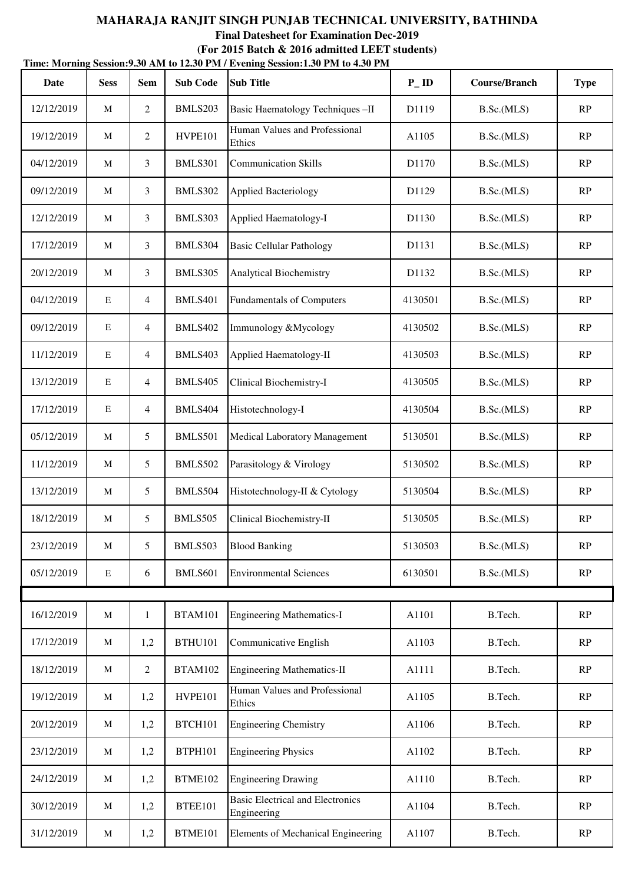|            | Time: Morning Session: 9.30 AM to 12.30 PM / Evening Session: 1.30 PM to 4.30 PM |                |                 |                                                        |                   |                      |               |  |  |  |  |  |
|------------|----------------------------------------------------------------------------------|----------------|-----------------|--------------------------------------------------------|-------------------|----------------------|---------------|--|--|--|--|--|
| Date       | <b>Sess</b>                                                                      | <b>Sem</b>     | <b>Sub Code</b> | <b>Sub Title</b>                                       | $P$ <sub>ID</sub> | <b>Course/Branch</b> | <b>Type</b>   |  |  |  |  |  |
| 12/12/2019 | M                                                                                | 2              | BMLS203         | Basic Haematology Techniques-II                        | D1119             | B.Sc.(MLS)           | RP            |  |  |  |  |  |
| 19/12/2019 | M                                                                                | $\overline{2}$ | HVPE101         | Human Values and Professional<br>Ethics                | A1105             | B.Sc.(MLS)           | RP            |  |  |  |  |  |
| 04/12/2019 | M                                                                                | 3              | <b>BMLS301</b>  | <b>Communication Skills</b>                            | D1170             | B.Sc.(MLS)           | RP            |  |  |  |  |  |
| 09/12/2019 | M                                                                                | 3              | BMLS302         | <b>Applied Bacteriology</b>                            | D1129             | B.Sc.(MLS)           | RP            |  |  |  |  |  |
| 12/12/2019 | M                                                                                | 3              | BMLS303         | Applied Haematology-I                                  | D1130             | B.Sc.(MLS)           | RP            |  |  |  |  |  |
| 17/12/2019 | M                                                                                | 3              | BMLS304         | <b>Basic Cellular Pathology</b>                        | D1131             | B.Sc.(MLS)           | RP            |  |  |  |  |  |
| 20/12/2019 | M                                                                                | 3              | BMLS305         | <b>Analytical Biochemistry</b>                         | D1132             | B.Sc.(MLS)           | RP            |  |  |  |  |  |
| 04/12/2019 | ${\bf E}$                                                                        | 4              | <b>BMLS401</b>  | <b>Fundamentals of Computers</b>                       | 4130501           | B.Sc.(MLS)           | RP            |  |  |  |  |  |
| 09/12/2019 | E                                                                                | 4              | <b>BMLS402</b>  | Immunology &Mycology                                   | 4130502           | B.Sc.(MLS)           | RP            |  |  |  |  |  |
| 11/12/2019 | E                                                                                | $\overline{4}$ | BMLS403         | Applied Haematology-II                                 | 4130503           | B.Sc.(MLS)           | RP            |  |  |  |  |  |
| 13/12/2019 | $\mathbf E$                                                                      | 4              | <b>BMLS405</b>  | Clinical Biochemistry-I                                | 4130505           | B.Sc.(MLS)           | RP            |  |  |  |  |  |
| 17/12/2019 | E                                                                                | 4              | BMLS404         | Histotechnology-I                                      | 4130504           | B.Sc.(MLS)           | RP            |  |  |  |  |  |
| 05/12/2019 | M                                                                                | 5              | <b>BMLS501</b>  | Medical Laboratory Management                          | 5130501           | B.Sc.(MLS)           | RP            |  |  |  |  |  |
| 11/12/2019 | M                                                                                | 5              | <b>BMLS502</b>  | Parasitology & Virology                                | 5130502           | B.Sc.(MLS)           | RP            |  |  |  |  |  |
| 13/12/2019 | M                                                                                | 5              | BMLS504         | Histotechnology-II & Cytology                          | 5130504           | B.Sc.(MLS)           | RP            |  |  |  |  |  |
| 18/12/2019 | M                                                                                | 5              | <b>BMLS505</b>  | Clinical Biochemistry-II                               | 5130505           | B.Sc.(MLS)           | RP            |  |  |  |  |  |
| 23/12/2019 | M                                                                                | 5              | BMLS503         | <b>Blood Banking</b>                                   | 5130503           | B.Sc.(MLS)           | RP            |  |  |  |  |  |
| 05/12/2019 | E                                                                                | 6              | BMLS601         | <b>Environmental Sciences</b>                          | 6130501           | B.Sc.(MLS)           | RP            |  |  |  |  |  |
|            |                                                                                  |                |                 |                                                        |                   |                      |               |  |  |  |  |  |
| 16/12/2019 | M                                                                                | $\mathbf{1}$   | <b>BTAM101</b>  | <b>Engineering Mathematics-I</b>                       | A1101             | B.Tech.              | $\mathbf{RP}$ |  |  |  |  |  |
| 17/12/2019 | M                                                                                | 1,2            | <b>BTHU101</b>  | Communicative English                                  | A1103             | B.Tech.              | RP            |  |  |  |  |  |
| 18/12/2019 | M                                                                                | $\overline{c}$ | <b>BTAM102</b>  | <b>Engineering Mathematics-II</b>                      | A1111             | B.Tech.              | RP            |  |  |  |  |  |
| 19/12/2019 | M                                                                                | 1,2            | HVPE101         | Human Values and Professional<br>Ethics                | A1105             | B.Tech.              | RP            |  |  |  |  |  |
| 20/12/2019 | M                                                                                | 1,2            | BTCH101         | <b>Engineering Chemistry</b>                           | A1106             | B.Tech.              | RP            |  |  |  |  |  |
| 23/12/2019 | M                                                                                | 1,2            | <b>BTPH101</b>  | <b>Engineering Physics</b>                             | A1102             | B.Tech.              | RP            |  |  |  |  |  |
| 24/12/2019 | M                                                                                | 1,2            | BTME102         | <b>Engineering Drawing</b>                             | A1110             | B.Tech.              | RP            |  |  |  |  |  |
| 30/12/2019 | M                                                                                | 1,2            | BTEE101         | <b>Basic Electrical and Electronics</b><br>Engineering | A1104             | B.Tech.              | RP            |  |  |  |  |  |
| 31/12/2019 | M                                                                                | 1,2            | BTME101         | <b>Elements of Mechanical Engineering</b>              | A1107             | B.Tech.              | $\mathbf{RP}$ |  |  |  |  |  |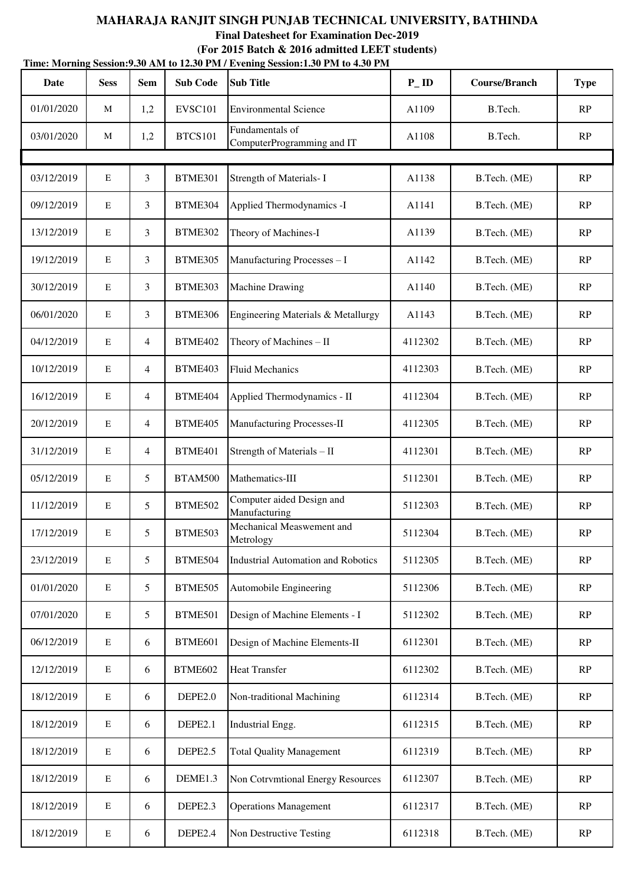**Final Datesheet for Examination Dec-2019**

| Time: Morning Session: 9.30 AM to 12.30 PM / Evening Session: 1.30 PM to 4.30 PM |             |                 |                 |                                               |                   |                      |               |
|----------------------------------------------------------------------------------|-------------|-----------------|-----------------|-----------------------------------------------|-------------------|----------------------|---------------|
| <b>Date</b>                                                                      | <b>Sess</b> | <b>Sem</b>      | <b>Sub Code</b> | <b>Sub Title</b>                              | $P$ <sub>ID</sub> | <b>Course/Branch</b> | <b>Type</b>   |
| 01/01/2020                                                                       | M           | 1,2             | EVSC101         | <b>Environmental Science</b>                  | A1109             | B.Tech.              | RP            |
| 03/01/2020                                                                       | M           | 1,2             | <b>BTCS101</b>  | Fundamentals of<br>ComputerProgramming and IT | A1108             | B.Tech.              | RP            |
|                                                                                  |             |                 |                 |                                               |                   |                      |               |
| 03/12/2019                                                                       | $\mathbf E$ | 3               | BTME301         | Strength of Materials- I                      | A1138             | B.Tech. (ME)         | RP            |
| 09/12/2019                                                                       | E           | 3               | BTME304         | Applied Thermodynamics -I                     | A1141             | B.Tech. (ME)         | RP            |
| 13/12/2019                                                                       | $\mathbf E$ | 3               | BTME302         | Theory of Machines-I                          | A1139             | B.Tech. (ME)         | RP            |
| 19/12/2019                                                                       | $\mathbf E$ | $\mathfrak{Z}$  | BTME305         | Manufacturing Processes - I                   | A1142             | B.Tech. (ME)         | RP            |
| 30/12/2019                                                                       | $\mathbf E$ | 3               | BTME303         | <b>Machine Drawing</b>                        | A1140             | B.Tech. (ME)         | RP            |
| 06/01/2020                                                                       | $\mathbf E$ | 3               | BTME306         | Engineering Materials & Metallurgy            | A1143             | B.Tech. (ME)         | RP            |
| 04/12/2019                                                                       | $\mathbf E$ | $\overline{4}$  | BTME402         | Theory of Machines - II                       | 4112302           | B.Tech. (ME)         | RP            |
| 10/12/2019                                                                       | $\mathbf E$ | $\overline{4}$  | BTME403         | <b>Fluid Mechanics</b>                        | 4112303           | B.Tech. (ME)         | RP            |
| 16/12/2019                                                                       | $\mathbf E$ | $\overline{4}$  | BTME404         | Applied Thermodynamics - II                   | 4112304           | B.Tech. (ME)         | RP            |
| 20/12/2019                                                                       | $\mathbf E$ | $\overline{4}$  | BTME405         | Manufacturing Processes-II                    | 4112305           | B.Tech. (ME)         | RP            |
| 31/12/2019                                                                       | $\mathbf E$ | $\overline{4}$  | BTME401         | Strength of Materials - II                    | 4112301           | B.Tech. (ME)         | RP            |
| 05/12/2019                                                                       | $\mathbf E$ | 5               | <b>BTAM500</b>  | Mathematics-III                               | 5112301           | B.Tech. (ME)         | RP            |
| 11/12/2019                                                                       | $\mathbf E$ | 5               | <b>BTME502</b>  | Computer aided Design and<br>Manufacturing    | 5112303           | B.Tech. (ME)         | RP            |
| 17/12/2019                                                                       | $\mathbf E$ | 5               | BTME503         | Mechanical Measwement and<br>Metrology        | 5112304           | B.Tech. (ME)         | RP            |
| 23/12/2019                                                                       | $\mathbf E$ | $5\overline{)}$ | BTME504         | <b>Industrial Automation and Robotics</b>     | 5112305           | B.Tech. (ME)         | RP            |
| 01/01/2020                                                                       | ${\bf E}$   | $5\overline{)}$ | BTME505         | Automobile Engineering                        | 5112306           | B.Tech. (ME)         | RP            |
| 07/01/2020                                                                       | $\mathbf E$ | 5               | BTME501         | Design of Machine Elements - I                | 5112302           | B.Tech. (ME)         | RP            |
| 06/12/2019                                                                       | $\mathbf E$ | 6               | BTME601         | Design of Machine Elements-II                 | 6112301           | B.Tech. (ME)         | RP            |
| 12/12/2019                                                                       | ${\bf E}$   | 6               | BTME602         | <b>Heat Transfer</b>                          | 6112302           | B.Tech. (ME)         | RP            |
| 18/12/2019                                                                       | $\mathbf E$ | 6               | DEPE2.0         | Non-traditional Machining                     | 6112314           | B.Tech. (ME)         | RP            |
| 18/12/2019                                                                       | ${\bf E}$   | 6               | DEPE2.1         | Industrial Engg.                              | 6112315           | B.Tech. (ME)         | RP            |
| 18/12/2019                                                                       | ${\bf E}$   | 6               | DEPE2.5         | <b>Total Quality Management</b>               | 6112319           | B.Tech. (ME)         | RP            |
| 18/12/2019                                                                       | $\mathbf E$ | 6               | DEME1.3         | Non Cotrvmtional Energy Resources             | 6112307           | B.Tech. (ME)         | RP            |
| 18/12/2019                                                                       | ${\bf E}$   | 6               | DEPE2.3         | <b>Operations Management</b>                  | 6112317           | B.Tech. (ME)         | RP            |
| 18/12/2019                                                                       | ${\bf E}$   | 6               | DEPE2.4         | Non Destructive Testing                       | 6112318           | B.Tech. (ME)         | $\mathbf{RP}$ |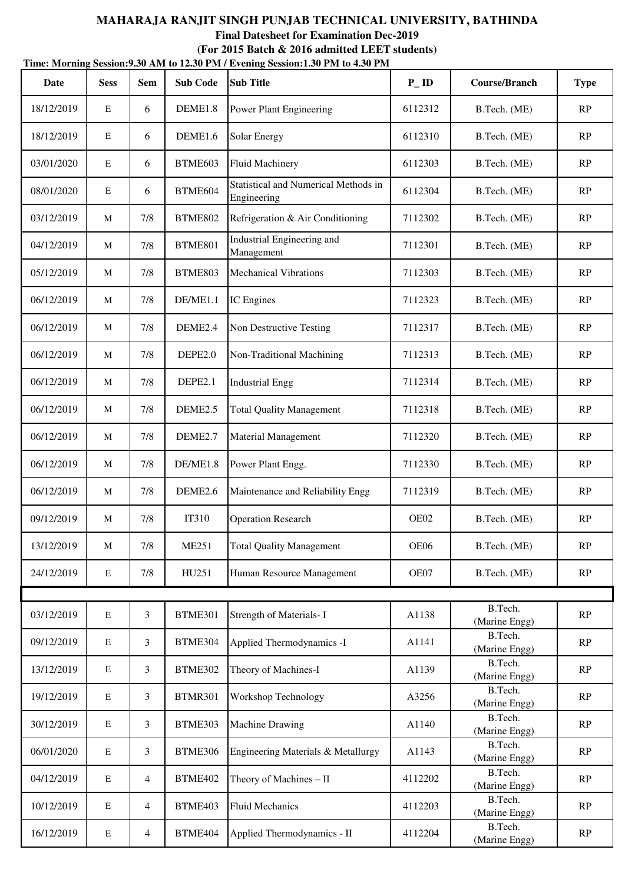| Time: Morning Session: 9.30 AM to 12.30 PM / Evening Session: 1.30 PM to 4.30 PM |             |                |                     |                                                            |                   |                          |             |  |  |  |
|----------------------------------------------------------------------------------|-------------|----------------|---------------------|------------------------------------------------------------|-------------------|--------------------------|-------------|--|--|--|
| Date                                                                             | <b>Sess</b> | <b>Sem</b>     | <b>Sub Code</b>     | <b>Sub Title</b>                                           | $P$ <sub>ID</sub> | <b>Course/Branch</b>     | <b>Type</b> |  |  |  |
| 18/12/2019                                                                       | E           | 6              | DEME1.8             | <b>Power Plant Engineering</b>                             | 6112312           | B.Tech. (ME)             | RP          |  |  |  |
| 18/12/2019                                                                       | $\mathbf E$ | 6              | DEME1.6             | Solar Energy                                               | 6112310           | B.Tech. (ME)             | RP          |  |  |  |
| 03/01/2020                                                                       | E           | 6              | BTME603             | <b>Fluid Machinery</b>                                     | 6112303           | B.Tech. (ME)             | RP          |  |  |  |
| 08/01/2020                                                                       | Ε           | 6              | BTME604             | <b>Statistical and Numerical Methods in</b><br>Engineering | 6112304           | B.Tech. (ME)             | RP          |  |  |  |
| 03/12/2019                                                                       | M           | 7/8            | <b>BTME802</b>      | Refrigeration & Air Conditioning                           | 7112302           | B.Tech. (ME)             | RP          |  |  |  |
| 04/12/2019                                                                       | M           | 7/8            | <b>BTME801</b>      | Industrial Engineering and<br>Management                   | 7112301           | B.Tech. (ME)             | RP          |  |  |  |
| 05/12/2019                                                                       | M           | 7/8            | <b>BTME803</b>      | <b>Mechanical Vibrations</b>                               | 7112303           | B.Tech. (ME)             | RP          |  |  |  |
| 06/12/2019                                                                       | M           | 7/8            | DE/ME1.1            | IC Engines                                                 | 7112323           | B.Tech. (ME)             | RP          |  |  |  |
| 06/12/2019                                                                       | M           | 7/8            | DEME <sub>2.4</sub> | Non Destructive Testing                                    | 7112317           | B.Tech. (ME)             | RP          |  |  |  |
| 06/12/2019                                                                       | M           | 7/8            | DEPE2.0             | Non-Traditional Machining                                  | 7112313           | B.Tech. (ME)             | RP          |  |  |  |
| 06/12/2019                                                                       | M           | 7/8            | DEPE2.1             | <b>Industrial Engg</b>                                     | 7112314           | B.Tech. (ME)             | RP          |  |  |  |
| 06/12/2019                                                                       | M           | 7/8            | DEME <sub>2.5</sub> | <b>Total Quality Management</b>                            | 7112318           | B.Tech. (ME)             | RP          |  |  |  |
| 06/12/2019                                                                       | M           | 7/8            | DEME <sub>2.7</sub> | <b>Material Management</b>                                 | 7112320           | B.Tech. (ME)             | RP          |  |  |  |
| 06/12/2019                                                                       | M           | 7/8            | DE/ME1.8            | Power Plant Engg.                                          | 7112330           | B.Tech. (ME)             | RP          |  |  |  |
| 06/12/2019                                                                       | M           | 7/8            | DEME <sub>2.6</sub> | Maintenance and Reliability Engg                           | 7112319           | B.Tech. (ME)             | RP          |  |  |  |
| 09/12/2019                                                                       | M           | 7/8            | IT310               | <b>Operation Research</b>                                  | OE02              | B.Tech. (ME)             | RP          |  |  |  |
| 13/12/2019                                                                       | M           | 7/8            | <b>ME251</b>        | <b>Total Quality Management</b>                            | OE06              | B.Tech. (ME)             | RP          |  |  |  |
| 24/12/2019                                                                       | $\mathbf E$ | 7/8            | HU251               | Human Resource Management                                  | OE07              | B.Tech. (ME)             | RP          |  |  |  |
|                                                                                  |             |                |                     |                                                            |                   | B.Tech.                  |             |  |  |  |
| 03/12/2019                                                                       | E           | 3              | BTME301             | Strength of Materials- I                                   | A1138             | (Marine Engg)            | RP          |  |  |  |
| 09/12/2019                                                                       | E           | 3              | BTME304             | Applied Thermodynamics -I                                  | A1141             | B.Tech.<br>(Marine Engg) | RP          |  |  |  |
| 13/12/2019                                                                       | $\mathbf E$ | 3              | BTME302             | Theory of Machines-I                                       | A1139             | B.Tech.<br>(Marine Engg) | RP          |  |  |  |
| 19/12/2019                                                                       | $\mathbf E$ | 3              | BTMR301             | Workshop Technology                                        | A3256             | B.Tech.<br>(Marine Engg) | RP          |  |  |  |
| 30/12/2019                                                                       | E           | 3              | BTME303             | <b>Machine Drawing</b>                                     | A1140             | B.Tech.<br>(Marine Engg) | RP          |  |  |  |
| 06/01/2020                                                                       | E           | 3              | BTME306             | Engineering Materials & Metallurgy                         | A1143             | B.Tech.<br>(Marine Engg) | RP          |  |  |  |
| 04/12/2019                                                                       | $\mathbf E$ | $\overline{4}$ | BTME402             | Theory of Machines - II                                    | 4112202           | B.Tech.<br>(Marine Engg) | RP          |  |  |  |
| 10/12/2019                                                                       | $\mathbf E$ | $\overline{4}$ | BTME403             | <b>Fluid Mechanics</b>                                     | 4112203           | B.Tech.<br>(Marine Engg) | RP          |  |  |  |
| 16/12/2019                                                                       | E           | $\overline{4}$ | BTME404             | Applied Thermodynamics - II                                | 4112204           | B.Tech.<br>(Marine Engg) | RP          |  |  |  |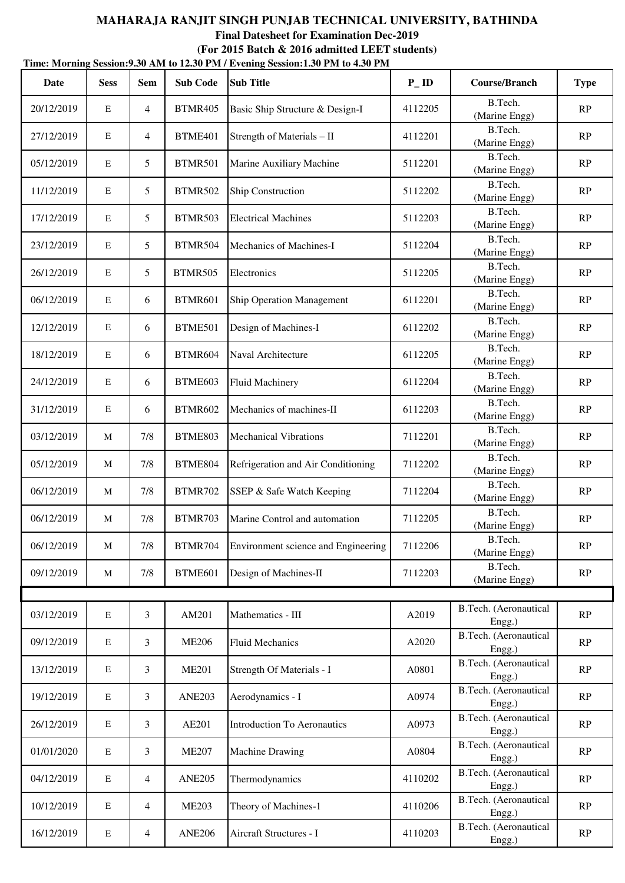|            | Time: Morning Session: 9.30 AM to 12.30 PM / Evening Session: 1.30 PM to 4.30 PM |                |                 |                                     |                   |                                 |             |  |  |  |  |
|------------|----------------------------------------------------------------------------------|----------------|-----------------|-------------------------------------|-------------------|---------------------------------|-------------|--|--|--|--|
| Date       | <b>Sess</b>                                                                      | <b>Sem</b>     | <b>Sub Code</b> | <b>Sub Title</b>                    | $P$ <sub>ID</sub> | <b>Course/Branch</b>            | <b>Type</b> |  |  |  |  |
| 20/12/2019 | E                                                                                | $\overline{4}$ | <b>BTMR405</b>  | Basic Ship Structure & Design-I     | 4112205           | B.Tech.<br>(Marine Engg)        | RP          |  |  |  |  |
| 27/12/2019 | $\mathbf E$                                                                      | $\overline{4}$ | BTME401         | Strength of Materials - II          | 4112201           | B.Tech.<br>(Marine Engg)        | RP          |  |  |  |  |
| 05/12/2019 | $\mathbf E$                                                                      | 5              | <b>BTMR501</b>  | Marine Auxiliary Machine            | 5112201           | B.Tech.<br>(Marine Engg)        | RP          |  |  |  |  |
| 11/12/2019 | $\mathbf E$                                                                      | 5              | <b>BTMR502</b>  | Ship Construction                   | 5112202           | B.Tech.<br>(Marine Engg)        | RP          |  |  |  |  |
| 17/12/2019 | $\mathbf E$                                                                      | 5              | <b>BTMR503</b>  | <b>Electrical Machines</b>          | 5112203           | B.Tech.<br>(Marine Engg)        | RP          |  |  |  |  |
| 23/12/2019 | $\mathbf E$                                                                      | 5              | <b>BTMR504</b>  | Mechanics of Machines-I             | 5112204           | B.Tech.<br>(Marine Engg)        | RP          |  |  |  |  |
| 26/12/2019 | $\mathbf E$                                                                      | 5              | <b>BTMR505</b>  | Electronics                         | 5112205           | B.Tech.<br>(Marine Engg)        | RP          |  |  |  |  |
| 06/12/2019 | $\mathbf E$                                                                      | 6              | <b>BTMR601</b>  | Ship Operation Management           | 6112201           | B.Tech.<br>(Marine Engg)        | RP          |  |  |  |  |
| 12/12/2019 | $\mathbf E$                                                                      | 6              | BTME501         | Design of Machines-I                | 6112202           | B.Tech.<br>(Marine Engg)        | RP          |  |  |  |  |
| 18/12/2019 | $\mathbf E$                                                                      | 6              | BTMR604         | Naval Architecture                  | 6112205           | B.Tech.<br>(Marine Engg)        | RP          |  |  |  |  |
| 24/12/2019 | $\mathbf E$                                                                      | 6              | BTME603         | <b>Fluid Machinery</b>              | 6112204           | B.Tech.<br>(Marine Engg)        | RP          |  |  |  |  |
| 31/12/2019 | $\mathbf E$                                                                      | 6              | <b>BTMR602</b>  | Mechanics of machines-II            | 6112203           | B.Tech.<br>(Marine Engg)        | RP          |  |  |  |  |
| 03/12/2019 | M                                                                                | 7/8            | <b>BTME803</b>  | <b>Mechanical Vibrations</b>        | 7112201           | B.Tech.<br>(Marine Engg)        | RP          |  |  |  |  |
| 05/12/2019 | M                                                                                | 7/8            | BTME804         | Refrigeration and Air Conditioning  | 7112202           | B.Tech.<br>(Marine Engg)        | RP          |  |  |  |  |
| 06/12/2019 | M                                                                                | 7/8            | <b>BTMR702</b>  | SSEP & Safe Watch Keeping           | 7112204           | B.Tech.<br>(Marine Engg)        | RP          |  |  |  |  |
| 06/12/2019 | M                                                                                | 7/8            | <b>BTMR703</b>  | Marine Control and automation       | 7112205           | B.Tech.<br>(Marine Engg)        | RP          |  |  |  |  |
| 06/12/2019 | M                                                                                | 7/8            | BTMR704         | Environment science and Engineering | 7112206           | B.Tech.<br>(Marine Engg)        | RP          |  |  |  |  |
| 09/12/2019 | M                                                                                | $7/8$          | BTME601         | Design of Machines-II               | 7112203           | B.Tech.<br>(Marine Engg)        | RP          |  |  |  |  |
|            |                                                                                  |                |                 |                                     |                   |                                 |             |  |  |  |  |
| 03/12/2019 | $\mathbf E$                                                                      | 3              | AM201           | Mathematics - III                   | A2019             | B.Tech. (Aeronautical<br>Engg.) | RP          |  |  |  |  |
| 09/12/2019 | $\mathbf E$                                                                      | 3              | <b>ME206</b>    | <b>Fluid Mechanics</b>              | A2020             | B.Tech. (Aeronautical<br>Engg.) | RP          |  |  |  |  |
| 13/12/2019 | ${\bf E}$                                                                        | 3              | <b>ME201</b>    | Strength Of Materials - I           | A0801             | B.Tech. (Aeronautical<br>Engg.) | RP          |  |  |  |  |
| 19/12/2019 | $\mathbf E$                                                                      | 3              | <b>ANE203</b>   | Aerodynamics - I                    | A0974             | B.Tech. (Aeronautical<br>Engg.) | RP          |  |  |  |  |
| 26/12/2019 | $\mathbf E$                                                                      | 3              | AE201           | <b>Introduction To Aeronautics</b>  | A0973             | B.Tech. (Aeronautical<br>Engg.) | RP          |  |  |  |  |
| 01/01/2020 | ${\bf E}$                                                                        | 3              | <b>ME207</b>    | Machine Drawing                     | A0804             | B.Tech. (Aeronautical<br>Engg.) | RP          |  |  |  |  |
| 04/12/2019 | $\mathbf E$                                                                      | $\overline{4}$ | <b>ANE205</b>   | Thermodynamics                      | 4110202           | B.Tech. (Aeronautical<br>Engg.) | RP          |  |  |  |  |
| 10/12/2019 | $\mathbf E$                                                                      | $\overline{4}$ | <b>ME203</b>    | Theory of Machines-1                | 4110206           | B.Tech. (Aeronautical<br>Engg.) | RP          |  |  |  |  |
| 16/12/2019 | ${\bf E}$                                                                        | $\overline{4}$ | <b>ANE206</b>   | Aircraft Structures - I             | 4110203           | B.Tech. (Aeronautical<br>Engg.) | RP          |  |  |  |  |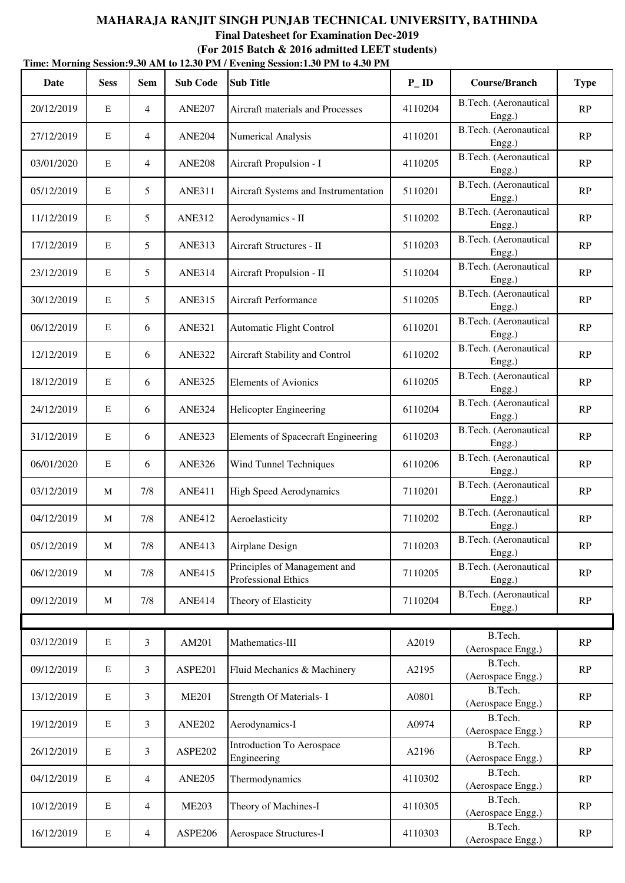| Date       | <b>Sess</b> | <b>Sem</b>     | <b>Sub Code</b> | THIIC, MOTHING SCSSION, SOUTHERN TO 12.SUT INT / EVERING SCSSION, I SUT INT TO THE INT<br><b>Sub Title</b> | $P$ ID  | <b>Course/Branch</b>            | <b>Type</b>   |
|------------|-------------|----------------|-----------------|------------------------------------------------------------------------------------------------------------|---------|---------------------------------|---------------|
| 20/12/2019 | E           | $\overline{4}$ | <b>ANE207</b>   | Aircraft materials and Processes                                                                           | 4110204 | B.Tech. (Aeronautical<br>Engg.) | RP            |
| 27/12/2019 | $\mathbf E$ | $\overline{4}$ | <b>ANE204</b>   | Numerical Analysis                                                                                         | 4110201 | B.Tech. (Aeronautical<br>Engg.) | RP            |
| 03/01/2020 | $\mathbf E$ | 4              | <b>ANE208</b>   | Aircraft Propulsion - I                                                                                    | 4110205 | B.Tech. (Aeronautical<br>Engg.) | RP            |
| 05/12/2019 | $\mathbf E$ | 5              | <b>ANE311</b>   | Aircraft Systems and Instrumentation                                                                       | 5110201 | B.Tech. (Aeronautical<br>Engg.) | RP            |
| 11/12/2019 | $\mathbf E$ | 5              | <b>ANE312</b>   | Aerodynamics - II                                                                                          | 5110202 | B.Tech. (Aeronautical<br>Engg.) | RP            |
| 17/12/2019 | $\mathbf E$ | 5              | <b>ANE313</b>   | Aircraft Structures - II                                                                                   | 5110203 | B.Tech. (Aeronautical<br>Engg.) | RP            |
| 23/12/2019 | $\mathbf E$ | 5              | <b>ANE314</b>   | Aircraft Propulsion - II                                                                                   | 5110204 | B.Tech. (Aeronautical<br>Engg.) | RP            |
| 30/12/2019 | $\mathbf E$ | 5              | <b>ANE315</b>   | Aircraft Performance                                                                                       | 5110205 | B.Tech. (Aeronautical<br>Engg.) | RP            |
| 06/12/2019 | $\mathbf E$ | 6              | <b>ANE321</b>   | <b>Automatic Flight Control</b>                                                                            | 6110201 | B.Tech. (Aeronautical<br>Engg.) | RP            |
| 12/12/2019 | $\mathbf E$ | 6              | <b>ANE322</b>   | Aircraft Stability and Control                                                                             | 6110202 | B.Tech. (Aeronautical<br>Engg.) | RP            |
| 18/12/2019 | ${\bf E}$   | 6              | <b>ANE325</b>   | <b>Elements of Avionics</b>                                                                                | 6110205 | B.Tech. (Aeronautical<br>Engg.) | RP            |
| 24/12/2019 | $\mathbf E$ | 6              | <b>ANE324</b>   | Helicopter Engineering                                                                                     | 6110204 | B.Tech. (Aeronautical<br>Engg.) | RP            |
| 31/12/2019 | $\mathbf E$ | 6              | <b>ANE323</b>   | <b>Elements of Spacecraft Engineering</b>                                                                  | 6110203 | B.Tech. (Aeronautical<br>Engg.) | RP            |
| 06/01/2020 | $\mathbf E$ | 6              | <b>ANE326</b>   | Wind Tunnel Techniques                                                                                     | 6110206 | B.Tech. (Aeronautical<br>Engg.) | $\mathbf{RP}$ |
| 03/12/2019 | M           | 7/8            | <b>ANE411</b>   | <b>High Speed Aerodynamics</b>                                                                             | 7110201 | B.Tech. (Aeronautical<br>Engg.) | RP            |
| 04/12/2019 | M           | 7/8            | <b>ANE412</b>   | Aeroelasticity                                                                                             | 7110202 | B.Tech. (Aeronautical<br>Engg.) | RP            |
| 05/12/2019 | M           | 7/8            | <b>ANE413</b>   | Airplane Design                                                                                            | 7110203 | B.Tech. (Aeronautical<br>Engg.) | RP            |
| 06/12/2019 | M           | 7/8            | <b>ANE415</b>   | Principles of Management and<br>Professional Ethics                                                        | 7110205 | B.Tech. (Aeronautical<br>Engg.) | RP            |
| 09/12/2019 | M           | 7/8            | <b>ANE414</b>   | Theory of Elasticity                                                                                       | 7110204 | B.Tech. (Aeronautical<br>Engg.) | RP            |
|            |             |                |                 |                                                                                                            |         |                                 |               |
| 03/12/2019 | $\mathbf E$ | $\mathfrak{Z}$ | AM201           | Mathematics-III                                                                                            | A2019   | B.Tech.<br>(Aerospace Engg.)    | RP            |
| 09/12/2019 | $\mathbf E$ | $\mathfrak{Z}$ | ASPE201         | Fluid Mechanics & Machinery                                                                                | A2195   | B.Tech.<br>(Aerospace Engg.)    | RP            |
| 13/12/2019 | ${\bf E}$   | $\mathfrak{Z}$ | <b>ME201</b>    | Strength Of Materials- I                                                                                   | A0801   | B.Tech.<br>(Aerospace Engg.)    | RP            |
| 19/12/2019 | $\mathbf E$ | 3              | <b>ANE202</b>   | Aerodynamics-I                                                                                             | A0974   | B.Tech.<br>(Aerospace Engg.)    | RP            |
| 26/12/2019 | $\mathbf E$ | $\mathfrak{Z}$ | ASPE202         | Introduction To Aerospace<br>Engineering                                                                   | A2196   | B.Tech.<br>(Aerospace Engg.)    | RP            |
| 04/12/2019 | ${\bf E}$   | $\overline{4}$ | <b>ANE205</b>   | Thermodynamics                                                                                             | 4110302 | B.Tech.<br>(Aerospace Engg.)    | RP            |
| 10/12/2019 | $\mathbf E$ | 4              | <b>ME203</b>    | Theory of Machines-I                                                                                       | 4110305 | B.Tech.<br>(Aerospace Engg.)    | RP            |
| 16/12/2019 | ${\bf E}$   | $\overline{4}$ | ASPE206         | Aerospace Structures-I                                                                                     | 4110303 | B.Tech.<br>(Aerospace Engg.)    | RP            |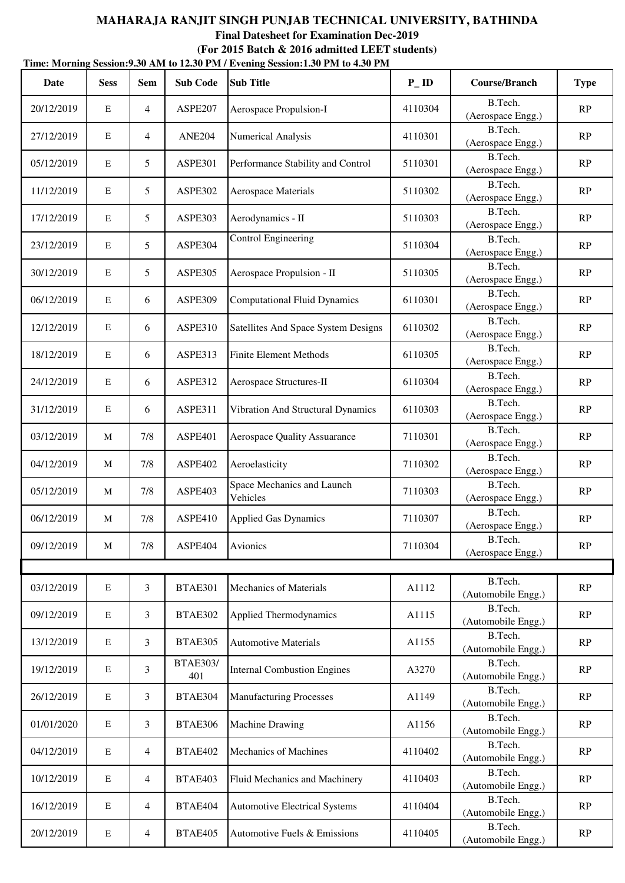|            | Time: Morning Session: 9.30 AM to 12.30 PM / Evening Session: 1.30 PM to 4.30 PM |                |                        |                                        |                   |                               |               |  |  |  |  |
|------------|----------------------------------------------------------------------------------|----------------|------------------------|----------------------------------------|-------------------|-------------------------------|---------------|--|--|--|--|
| Date       | <b>Sess</b>                                                                      | <b>Sem</b>     | <b>Sub Code</b>        | <b>Sub Title</b>                       | $P$ <sub>ID</sub> | <b>Course/Branch</b>          | <b>Type</b>   |  |  |  |  |
| 20/12/2019 | E                                                                                | $\overline{4}$ | ASPE207                | Aerospace Propulsion-I                 | 4110304           | B.Tech.<br>(Aerospace Engg.)  | RP            |  |  |  |  |
| 27/12/2019 | $\mathbf E$                                                                      | $\overline{4}$ | <b>ANE204</b>          | Numerical Analysis                     | 4110301           | B.Tech.<br>(Aerospace Engg.)  | RP            |  |  |  |  |
| 05/12/2019 | $\mathbf E$                                                                      | 5              | ASPE301                | Performance Stability and Control      | 5110301           | B.Tech.<br>(Aerospace Engg.)  | RP            |  |  |  |  |
| 11/12/2019 | $\mathbf E$                                                                      | 5              | ASPE302                | Aerospace Materials                    | 5110302           | B.Tech.<br>(Aerospace Engg.)  | RP            |  |  |  |  |
| 17/12/2019 | $\mathbf E$                                                                      | 5              | ASPE303                | Aerodynamics - II                      | 5110303           | B.Tech.<br>(Aerospace Engg.)  | RP            |  |  |  |  |
| 23/12/2019 | $\mathbf E$                                                                      | 5              | ASPE304                | <b>Control Engineering</b>             | 5110304           | B.Tech.<br>(Aerospace Engg.)  | RP            |  |  |  |  |
| 30/12/2019 | $\mathbf E$                                                                      | 5              | ASPE305                | Aerospace Propulsion - II              | 5110305           | B.Tech.<br>(Aerospace Engg.)  | RP            |  |  |  |  |
| 06/12/2019 | $\mathbf E$                                                                      | 6              | <b>ASPE309</b>         | <b>Computational Fluid Dynamics</b>    | 6110301           | B.Tech.<br>(Aerospace Engg.)  | RP            |  |  |  |  |
| 12/12/2019 | $\mathbf E$                                                                      | 6              | <b>ASPE310</b>         | Satellites And Space System Designs    | 6110302           | B.Tech.<br>(Aerospace Engg.)  | RP            |  |  |  |  |
| 18/12/2019 | $\mathbf E$                                                                      | 6              | ASPE313                | <b>Finite Element Methods</b>          | 6110305           | B.Tech.<br>(Aerospace Engg.)  | RP            |  |  |  |  |
| 24/12/2019 | $\mathbf E$                                                                      | 6              | ASPE312                | Aerospace Structures-II                | 6110304           | B.Tech.<br>(Aerospace Engg.)  | RP            |  |  |  |  |
| 31/12/2019 | $\mathbf E$                                                                      | 6              | ASPE311                | Vibration And Structural Dynamics      | 6110303           | B.Tech.<br>(Aerospace Engg.)  | RP            |  |  |  |  |
| 03/12/2019 | M                                                                                | 7/8            | ASPE401                | <b>Aerospace Quality Assuarance</b>    | 7110301           | B.Tech.<br>(Aerospace Engg.)  | RP            |  |  |  |  |
| 04/12/2019 | M                                                                                | 7/8            | ASPE402                | Aeroelasticity                         | 7110302           | B.Tech.<br>(Aerospace Engg.)  | RP            |  |  |  |  |
| 05/12/2019 | M                                                                                | 7/8            | ASPE403                | Space Mechanics and Launch<br>Vehicles | 7110303           | B.Tech.<br>(Aerospace Engg.)  | RP            |  |  |  |  |
| 06/12/2019 | M                                                                                | 7/8            | ASPE410                | <b>Applied Gas Dynamics</b>            | 7110307           | B.Tech.<br>(Aerospace Engg.)  | $\mathbf{RP}$ |  |  |  |  |
| 09/12/2019 | M                                                                                | 7/8            | ASPE404                | Avionics                               | 7110304           | B.Tech.<br>(Aerospace Engg.)  | RP            |  |  |  |  |
|            |                                                                                  |                |                        |                                        |                   |                               |               |  |  |  |  |
| 03/12/2019 | ${\bf E}$                                                                        | 3              | BTAE301                | Mechanics of Materials                 | A1112             | B.Tech.<br>(Automobile Engg.) | RP            |  |  |  |  |
| 09/12/2019 | $\mathbf E$                                                                      | 3              | BTAE302                | Applied Thermodynamics                 | A1115             | B.Tech.<br>(Automobile Engg.) | $\mathbf{RP}$ |  |  |  |  |
| 13/12/2019 | ${\bf E}$                                                                        | 3              | BTAE305                | <b>Automotive Materials</b>            | A1155             | B.Tech.<br>(Automobile Engg.) | RP            |  |  |  |  |
| 19/12/2019 | ${\bf E}$                                                                        | 3              | <b>BTAE303/</b><br>401 | <b>Internal Combustion Engines</b>     | A3270             | B.Tech.<br>(Automobile Engg.) | RP            |  |  |  |  |
| 26/12/2019 | $\mathbf E$                                                                      | 3              | BTAE304                | <b>Manufacturing Processes</b>         | A1149             | B.Tech.<br>(Automobile Engg.) | RP            |  |  |  |  |
| 01/01/2020 | $\mathbf E$                                                                      | 3              | BTAE306                | <b>Machine Drawing</b>                 | A1156             | B.Tech.<br>(Automobile Engg.) | RP            |  |  |  |  |
| 04/12/2019 | ${\bf E}$                                                                        | $\overline{4}$ | BTAE402                | Mechanics of Machines                  | 4110402           | B.Tech.<br>(Automobile Engg.) | RP            |  |  |  |  |
| 10/12/2019 | $\mathbf E$                                                                      | $\overline{4}$ | BTAE403                | Fluid Mechanics and Machinery          | 4110403           | B.Tech.<br>(Automobile Engg.) | RP            |  |  |  |  |
| 16/12/2019 | $\mathbf E$                                                                      | $\overline{4}$ | BTAE404                | <b>Automotive Electrical Systems</b>   | 4110404           | B.Tech.<br>(Automobile Engg.) | RP            |  |  |  |  |
| 20/12/2019 | ${\bf E}$                                                                        | 4              | BTAE405                | Automotive Fuels & Emissions           | 4110405           | B.Tech.<br>(Automobile Engg.) | RP            |  |  |  |  |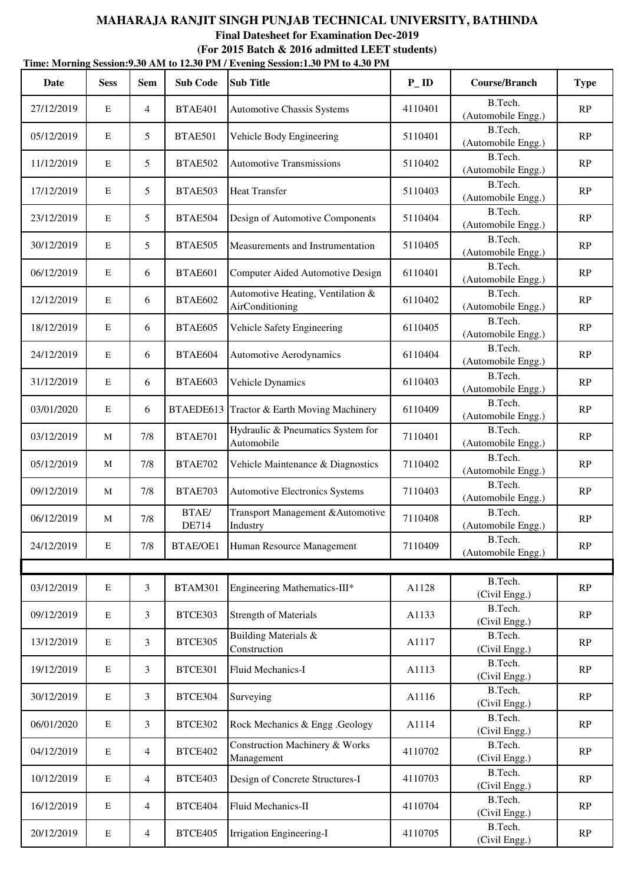|            | Time: Morning Session: 9.30 AM to 12.30 PM / Evening Session: 1.30 PM to 4.30 PM |                |                 |                                                      |                   |                               |               |  |  |  |  |
|------------|----------------------------------------------------------------------------------|----------------|-----------------|------------------------------------------------------|-------------------|-------------------------------|---------------|--|--|--|--|
| Date       | <b>Sess</b>                                                                      | <b>Sem</b>     | <b>Sub Code</b> | <b>Sub Title</b>                                     | $P$ <sub>ID</sub> | <b>Course/Branch</b>          | <b>Type</b>   |  |  |  |  |
| 27/12/2019 | $\mathbf E$                                                                      | $\overline{4}$ | BTAE401         | <b>Automotive Chassis Systems</b>                    | 4110401           | B.Tech.<br>(Automobile Engg.) | RP            |  |  |  |  |
| 05/12/2019 | $\mathbf E$                                                                      | 5              | BTAE501         | Vehicle Body Engineering                             | 5110401           | B.Tech.<br>(Automobile Engg.) | RP            |  |  |  |  |
| 11/12/2019 | $\mathbf E$                                                                      | 5              | BTAE502         | <b>Automotive Transmissions</b>                      | 5110402           | B.Tech.<br>(Automobile Engg.) | RP            |  |  |  |  |
| 17/12/2019 | $\mathbf E$                                                                      | 5              | BTAE503         | <b>Heat Transfer</b>                                 | 5110403           | B.Tech.<br>(Automobile Engg.) | RP            |  |  |  |  |
| 23/12/2019 | $\mathbf E$                                                                      | 5              | BTAE504         | Design of Automotive Components                      | 5110404           | B.Tech.<br>(Automobile Engg.) | RP            |  |  |  |  |
| 30/12/2019 | $\mathbf E$                                                                      | 5              | BTAE505         | Measurements and Instrumentation                     | 5110405           | B.Tech.<br>(Automobile Engg.) | RP            |  |  |  |  |
| 06/12/2019 | $\mathbf E$                                                                      | 6              | BTAE601         | Computer Aided Automotive Design                     | 6110401           | B.Tech.<br>(Automobile Engg.) | RP            |  |  |  |  |
| 12/12/2019 | $\mathbf E$                                                                      | 6              | BTAE602         | Automotive Heating, Ventilation &<br>AirConditioning | 6110402           | B.Tech.<br>(Automobile Engg.) | RP            |  |  |  |  |
| 18/12/2019 | $\mathbf E$                                                                      | 6              | BTAE605         | Vehicle Safety Engineering                           | 6110405           | B.Tech.<br>(Automobile Engg.) | $\mathbf{RP}$ |  |  |  |  |
| 24/12/2019 | $\mathbf E$                                                                      | 6              | BTAE604         | <b>Automotive Aerodynamics</b>                       | 6110404           | B.Tech.<br>(Automobile Engg.) | RP            |  |  |  |  |
| 31/12/2019 | $\mathbf E$                                                                      | 6              | BTAE603         | Vehicle Dynamics                                     | 6110403           | B.Tech.<br>(Automobile Engg.) | RP            |  |  |  |  |
| 03/01/2020 | $\mathbf E$                                                                      | 6              | BTAEDE613       | Tractor & Earth Moving Machinery                     | 6110409           | B.Tech.<br>(Automobile Engg.) | RP            |  |  |  |  |
| 03/12/2019 | M                                                                                | 7/8            | <b>BTAE701</b>  | Hydraulic & Pneumatics System for<br>Automobile      | 7110401           | B.Tech.<br>(Automobile Engg.) | RP            |  |  |  |  |
| 05/12/2019 | M                                                                                | 7/8            | <b>BTAE702</b>  | Vehicle Maintenance & Diagnostics                    | 7110402           | B.Tech.<br>(Automobile Engg.) | RP            |  |  |  |  |
| 09/12/2019 | M                                                                                | 7/8            | BTAE703         | <b>Automotive Electronics Systems</b>                | 7110403           | B.Tech.<br>(Automobile Engg.) | RP            |  |  |  |  |
| 06/12/2019 | M                                                                                | 7/8            | BTAE/<br>DE714  | Transport Management & Automotive<br>Industry        | 7110408           | B.Tech.<br>(Automobile Engg.) | RP            |  |  |  |  |
| 24/12/2019 | ${\bf E}$                                                                        | $7/8$          | BTAE/OE1        | Human Resource Management                            | 7110409           | B.Tech.<br>(Automobile Engg.) | RP            |  |  |  |  |
|            |                                                                                  |                |                 |                                                      |                   |                               |               |  |  |  |  |
| 03/12/2019 | ${\bf E}$                                                                        | 3              | <b>BTAM301</b>  | Engineering Mathematics-III*                         | A1128             | B.Tech.<br>(Civil Engg.)      | RP            |  |  |  |  |
| 09/12/2019 | $\mathbf E$                                                                      | 3              | BTCE303         | <b>Strength of Materials</b>                         | A1133             | B.Tech.<br>(Civil Engg.)      | RP            |  |  |  |  |
| 13/12/2019 | ${\bf E}$                                                                        | 3              | BTCE305         | <b>Building Materials &amp;</b><br>Construction      | A1117             | B.Tech.<br>(Civil Engg.)      | RP            |  |  |  |  |
| 19/12/2019 | ${\bf E}$                                                                        | 3              | BTCE301         | Fluid Mechanics-I                                    | A1113             | B.Tech.<br>(Civil Engg.)      | RP            |  |  |  |  |
| 30/12/2019 | $\mathbf E$                                                                      | 3              | BTCE304         | Surveying                                            | A1116             | B.Tech.<br>(Civil Engg.)      | RP            |  |  |  |  |
| 06/01/2020 | $\mathbf E$                                                                      | 3              | BTCE302         | Rock Mechanics & Engg .Geology                       | A1114             | B.Tech.<br>(Civil Engg.)      | RP            |  |  |  |  |
| 04/12/2019 | ${\bf E}$                                                                        | $\overline{4}$ | BTCE402         | Construction Machinery & Works<br>Management         | 4110702           | B.Tech.<br>(Civil Engg.)      | RP            |  |  |  |  |
| 10/12/2019 | $\mathbf E$                                                                      | $\overline{4}$ | BTCE403         | Design of Concrete Structures-I                      | 4110703           | B.Tech.<br>(Civil Engg.)      | RP            |  |  |  |  |
| 16/12/2019 | ${\bf E}$                                                                        | $\overline{4}$ | BTCE404         | Fluid Mechanics-II                                   | 4110704           | B.Tech.<br>(Civil Engg.)      | RP            |  |  |  |  |
| 20/12/2019 | ${\bf E}$                                                                        | $\overline{4}$ | BTCE405         | Irrigation Engineering-I                             | 4110705           | B.Tech.<br>(Civil Engg.)      | RP            |  |  |  |  |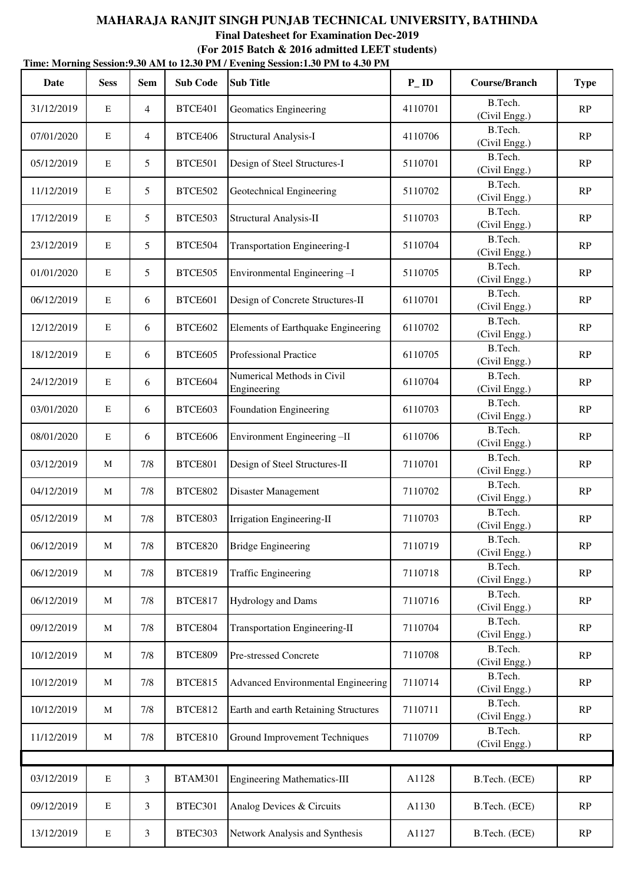|            | Time: Morning Session: 9.30 AM to 12.30 PM / Evening Session: 1.30 PM to 4.30 PM |                |                 |                                           |                   |                          |             |  |  |  |  |
|------------|----------------------------------------------------------------------------------|----------------|-----------------|-------------------------------------------|-------------------|--------------------------|-------------|--|--|--|--|
| Date       | <b>Sess</b>                                                                      | <b>Sem</b>     | <b>Sub Code</b> | <b>Sub Title</b>                          | $P$ <sub>ID</sub> | <b>Course/Branch</b>     | <b>Type</b> |  |  |  |  |
| 31/12/2019 | $\mathbf E$                                                                      | $\overline{4}$ | BTCE401         | Geomatics Engineering                     | 4110701           | B.Tech.<br>(Civil Engg.) | RP          |  |  |  |  |
| 07/01/2020 | $\mathbf E$                                                                      | $\overline{4}$ | BTCE406         | <b>Structural Analysis-I</b>              | 4110706           | B.Tech.<br>(Civil Engg.) | RP          |  |  |  |  |
| 05/12/2019 | $\mathbf E$                                                                      | 5              | BTCE501         | Design of Steel Structures-I              | 5110701           | B.Tech.<br>(Civil Engg.) | RP          |  |  |  |  |
| 11/12/2019 | $\mathbf E$                                                                      | 5              | BTCE502         | Geotechnical Engineering                  | 5110702           | B.Tech.<br>(Civil Engg.) | RP          |  |  |  |  |
| 17/12/2019 | $\mathbf E$                                                                      | 5              | BTCE503         | Structural Analysis-II                    | 5110703           | B.Tech.<br>(Civil Engg.) | RP          |  |  |  |  |
| 23/12/2019 | $\mathbf E$                                                                      | 5              | BTCE504         | <b>Transportation Engineering-I</b>       | 5110704           | B.Tech.<br>(Civil Engg.) | RP          |  |  |  |  |
| 01/01/2020 | $\mathbf E$                                                                      | 5              | BTCE505         | Environmental Engineering-I               | 5110705           | B.Tech.<br>(Civil Engg.) | RP          |  |  |  |  |
| 06/12/2019 | $\mathbf E$                                                                      | 6              | BTCE601         | Design of Concrete Structures-II          | 6110701           | B.Tech.<br>(Civil Engg.) | RP          |  |  |  |  |
| 12/12/2019 | $\mathbf E$                                                                      | 6              | BTCE602         | Elements of Earthquake Engineering        | 6110702           | B.Tech.<br>(Civil Engg.) | RP          |  |  |  |  |
| 18/12/2019 | $\mathbf E$                                                                      | 6              | BTCE605         | <b>Professional Practice</b>              | 6110705           | B.Tech.<br>(Civil Engg.) | RP          |  |  |  |  |
| 24/12/2019 | $\mathbf E$                                                                      | 6              | BTCE604         | Numerical Methods in Civil<br>Engineering | 6110704           | B.Tech.<br>(Civil Engg.) | RP          |  |  |  |  |
| 03/01/2020 | $\mathbf E$                                                                      | 6              | BTCE603         | Foundation Engineering                    | 6110703           | B.Tech.<br>(Civil Engg.) | RP          |  |  |  |  |
| 08/01/2020 | $\mathbf E$                                                                      | 6              | BTCE606         | Environment Engineering-II                | 6110706           | B.Tech.<br>(Civil Engg.) | RP          |  |  |  |  |
| 03/12/2019 | M                                                                                | 7/8            | BTCE801         | Design of Steel Structures-II             | 7110701           | B.Tech.<br>(Civil Engg.) | RP          |  |  |  |  |
| 04/12/2019 | M                                                                                | 7/8            | <b>BTCE802</b>  | Disaster Management                       | 7110702           | B.Tech.<br>(Civil Engg.) | RP          |  |  |  |  |
| 05/12/2019 | M                                                                                | 7/8            | BTCE803         | Irrigation Engineering-II                 | 7110703           | B.Tech.<br>(Civil Engg.) | RP          |  |  |  |  |
| 06/12/2019 | M                                                                                | 7/8            | <b>BTCE820</b>  | <b>Bridge Engineering</b>                 | 7110719           | B.Tech.<br>(Civil Engg.) | RP          |  |  |  |  |
| 06/12/2019 | M                                                                                | 7/8            | <b>BTCE819</b>  | <b>Traffic Engineering</b>                | 7110718           | B.Tech.<br>(Civil Engg.) | RP          |  |  |  |  |
| 06/12/2019 | M                                                                                | 7/8            | BTCE817         | Hydrology and Dams                        | 7110716           | B.Tech.<br>(Civil Engg.) | RP          |  |  |  |  |
| 09/12/2019 | M                                                                                | 7/8            | BTCE804         | <b>Transportation Engineering-II</b>      | 7110704           | B.Tech.<br>(Civil Engg.) | RP          |  |  |  |  |
| 10/12/2019 | M                                                                                | 7/8            | <b>BTCE809</b>  | Pre-stressed Concrete                     | 7110708           | B.Tech.<br>(Civil Engg.) | RP          |  |  |  |  |
| 10/12/2019 | M                                                                                | $7/8$          | <b>BTCE815</b>  | Advanced Environmental Engineering        | 7110714           | B.Tech.<br>(Civil Engg.) | RP          |  |  |  |  |
| 10/12/2019 | M                                                                                | 7/8            | <b>BTCE812</b>  | Earth and earth Retaining Structures      | 7110711           | B.Tech.<br>(Civil Engg.) | RP          |  |  |  |  |
| 11/12/2019 | M                                                                                | 7/8            | <b>BTCE810</b>  | <b>Ground Improvement Techniques</b>      | 7110709           | B.Tech.<br>(Civil Engg.) | RP          |  |  |  |  |
| 03/12/2019 | $\mathbf E$                                                                      | 3              | <b>BTAM301</b>  | <b>Engineering Mathematics-III</b>        | A1128             | B.Tech. (ECE)            | RP          |  |  |  |  |
| 09/12/2019 | ${\bf E}$                                                                        | 3              | BTEC301         | Analog Devices & Circuits                 | A1130             | B.Tech. (ECE)            | RP          |  |  |  |  |
| 13/12/2019 | ${\bf E}$                                                                        | 3              | BTEC303         | Network Analysis and Synthesis            | A1127             | B.Tech. (ECE)            | RP          |  |  |  |  |
|            |                                                                                  |                |                 |                                           |                   |                          |             |  |  |  |  |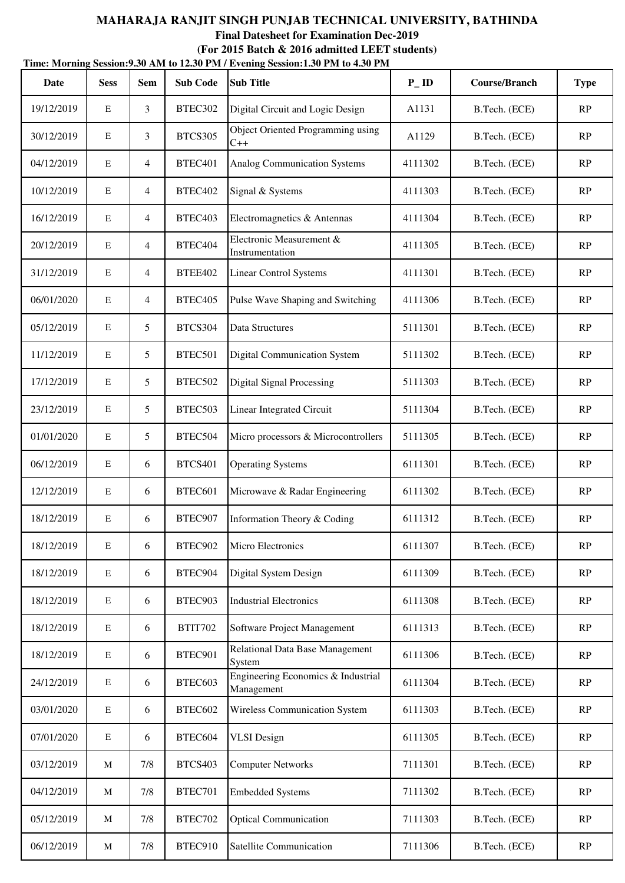|            | Time: Morning Session: 9.30 AM to 12.30 PM / Evening Session: 1.30 PM to 4.30 PM |                 |                     |                                                  |                   |                      |             |  |  |  |
|------------|----------------------------------------------------------------------------------|-----------------|---------------------|--------------------------------------------------|-------------------|----------------------|-------------|--|--|--|
| Date       | <b>Sess</b>                                                                      | <b>Sem</b>      | <b>Sub Code</b>     | <b>Sub Title</b>                                 | $P$ <sub>ID</sub> | <b>Course/Branch</b> | <b>Type</b> |  |  |  |
| 19/12/2019 | $\mathbf E$                                                                      | 3               | BTEC302             | Digital Circuit and Logic Design                 | A1131             | B.Tech. (ECE)        | RP          |  |  |  |
| 30/12/2019 | $\mathbf E$                                                                      | 3               | <b>BTCS305</b>      | Object Oriented Programming using<br>$C++$       | A1129             | B.Tech. (ECE)        | RP          |  |  |  |
| 04/12/2019 | $\mathbf E$                                                                      | $\overline{4}$  | BTEC <sub>401</sub> | <b>Analog Communication Systems</b>              | 4111302           | B.Tech. (ECE)        | RP          |  |  |  |
| 10/12/2019 | $\mathbf E$                                                                      | $\overline{4}$  | BTEC402             | Signal & Systems                                 | 4111303           | B.Tech. (ECE)        | RP          |  |  |  |
| 16/12/2019 | $\mathbf E$                                                                      | $\overline{4}$  | BTEC403             | Electromagnetics & Antennas                      | 4111304           | B.Tech. (ECE)        | RP          |  |  |  |
| 20/12/2019 | $\mathbf E$                                                                      | $\overline{4}$  | BTEC404             | Electronic Measurement &<br>Instrumentation      | 4111305           | B.Tech. (ECE)        | RP          |  |  |  |
| 31/12/2019 | $\mathbf E$                                                                      | $\overline{4}$  | <b>BTEE402</b>      | <b>Linear Control Systems</b>                    | 4111301           | B.Tech. (ECE)        | RP          |  |  |  |
| 06/01/2020 | $\mathbf E$                                                                      | $\overline{4}$  | BTEC405             | Pulse Wave Shaping and Switching                 | 4111306           | B.Tech. (ECE)        | RP          |  |  |  |
| 05/12/2019 | $\mathbf E$                                                                      | 5               | BTCS304             | Data Structures                                  | 5111301           | B.Tech. (ECE)        | RP          |  |  |  |
| 11/12/2019 | $\mathbf E$                                                                      | 5               | BTEC501             | <b>Digital Communication System</b>              | 5111302           | B.Tech. (ECE)        | RP          |  |  |  |
| 17/12/2019 | $\mathbf E$                                                                      | $5\overline{)}$ | BTEC502             | <b>Digital Signal Processing</b>                 | 5111303           | B.Tech. (ECE)        | RP          |  |  |  |
| 23/12/2019 | ${\bf E}$                                                                        | 5               | BTEC503             | <b>Linear Integrated Circuit</b>                 | 5111304           | B.Tech. (ECE)        | RP          |  |  |  |
| 01/01/2020 | $\mathbf E$                                                                      | 5               | BTEC504             | Micro processors & Microcontrollers              | 5111305           | B.Tech. (ECE)        | RP          |  |  |  |
| 06/12/2019 | $\mathbf E$                                                                      | 6               | <b>BTCS401</b>      | <b>Operating Systems</b>                         | 6111301           | B.Tech. (ECE)        | RP          |  |  |  |
| 12/12/2019 | $\mathbf E$                                                                      | 6               | BTEC601             | Microwave & Radar Engineering                    | 6111302           | B.Tech. (ECE)        | RP          |  |  |  |
| 18/12/2019 | E                                                                                | 6               | BTEC907             | Information Theory & Coding                      | 6111312           | B.Tech. (ECE)        | RP          |  |  |  |
| 18/12/2019 | $\mathbf E$                                                                      | 6               | BTEC902             | Micro Electronics                                | 6111307           | B.Tech. (ECE)        | RP          |  |  |  |
| 18/12/2019 | $\mathbf E$                                                                      | 6               | BTEC904             | Digital System Design                            | 6111309           | B.Tech. (ECE)        | RP          |  |  |  |
| 18/12/2019 | ${\bf E}$                                                                        | 6               | BTEC903             | <b>Industrial Electronics</b>                    | 6111308           | B.Tech. (ECE)        | RP          |  |  |  |
| 18/12/2019 | $\mathbf E$                                                                      | 6               | <b>BTIT702</b>      | Software Project Management                      | 6111313           | B.Tech. (ECE)        | RP          |  |  |  |
| 18/12/2019 | $\mathbf E$                                                                      | 6               | BTEC901             | Relational Data Base Management<br>System        | 6111306           | B.Tech. (ECE)        | RP          |  |  |  |
| 24/12/2019 | ${\bf E}$                                                                        | 6               | BTEC603             | Engineering Economics & Industrial<br>Management | 6111304           | B.Tech. (ECE)        | RP          |  |  |  |
| 03/01/2020 | $\mathbf E$                                                                      | 6               | BTEC602             | <b>Wireless Communication System</b>             | 6111303           | B.Tech. (ECE)        | RP          |  |  |  |
| 07/01/2020 | $\mathbf E$                                                                      | 6               | BTEC604             | <b>VLSI</b> Design                               | 6111305           | B.Tech. (ECE)        | RP          |  |  |  |
| 03/12/2019 | M                                                                                | 7/8             | <b>BTCS403</b>      | <b>Computer Networks</b>                         | 7111301           | B.Tech. (ECE)        | RP          |  |  |  |
| 04/12/2019 | M                                                                                | 7/8             | BTEC701             | <b>Embedded Systems</b>                          | 7111302           | B.Tech. (ECE)        | RP          |  |  |  |
| 05/12/2019 | M                                                                                | 7/8             | BTEC702             | <b>Optical Communication</b>                     | 7111303           | B.Tech. (ECE)        | RP          |  |  |  |
| 06/12/2019 | M                                                                                | 7/8             | BTEC910             | Satellite Communication                          | 7111306           | B.Tech. (ECE)        | RP          |  |  |  |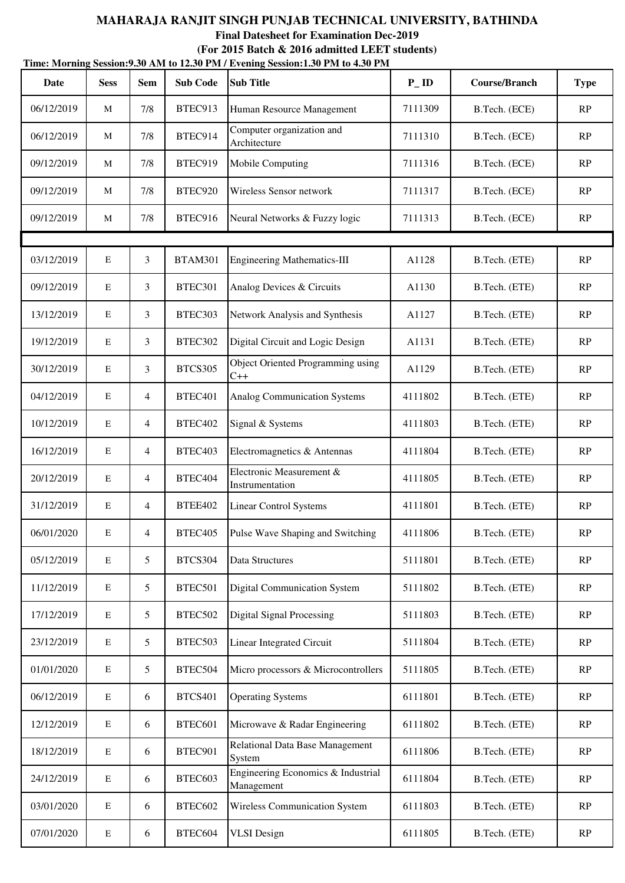|            | Time: Morning Session: 9.30 AM to 12.30 PM / Evening Session: 1.30 PM to 4.30 PM |                 |                 |                                                  |                   |                      |             |  |  |  |  |
|------------|----------------------------------------------------------------------------------|-----------------|-----------------|--------------------------------------------------|-------------------|----------------------|-------------|--|--|--|--|
| Date       | <b>Sess</b>                                                                      | <b>Sem</b>      | <b>Sub Code</b> | <b>Sub Title</b>                                 | $P$ <sub>ID</sub> | <b>Course/Branch</b> | <b>Type</b> |  |  |  |  |
| 06/12/2019 | M                                                                                | 7/8             | BTEC913         | Human Resource Management                        | 7111309           | B.Tech. (ECE)        | RP          |  |  |  |  |
| 06/12/2019 | M                                                                                | 7/8             | BTEC914         | Computer organization and<br>Architecture        | 7111310           | B.Tech. (ECE)        | RP          |  |  |  |  |
| 09/12/2019 | M                                                                                | 7/8             | BTEC919         | Mobile Computing                                 | 7111316           | B.Tech. (ECE)        | RP          |  |  |  |  |
| 09/12/2019 | M                                                                                | 7/8             | BTEC920         | Wireless Sensor network                          | 7111317           | B.Tech. (ECE)        | RP          |  |  |  |  |
| 09/12/2019 | M                                                                                | 7/8             | BTEC916         | Neural Networks & Fuzzy logic                    | 7111313           | B.Tech. (ECE)        | RP          |  |  |  |  |
|            |                                                                                  |                 |                 |                                                  |                   |                      |             |  |  |  |  |
| 03/12/2019 | $\mathbf E$                                                                      | 3               | <b>BTAM301</b>  | <b>Engineering Mathematics-III</b>               | A1128             | B.Tech. (ETE)        | RP          |  |  |  |  |
| 09/12/2019 | $\mathbf E$                                                                      | 3               | BTEC301         | Analog Devices & Circuits                        | A1130             | B.Tech. (ETE)        | RP          |  |  |  |  |
| 13/12/2019 | $\mathbf E$                                                                      | 3               | BTEC303         | Network Analysis and Synthesis                   | A1127             | B.Tech. (ETE)        | RP          |  |  |  |  |
| 19/12/2019 | $\mathbf E$                                                                      | 3               | BTEC302         | Digital Circuit and Logic Design                 | A1131             | B.Tech. (ETE)        | RP          |  |  |  |  |
| 30/12/2019 | $\mathbf E$                                                                      | 3               | <b>BTCS305</b>  | Object Oriented Programming using<br>$C++$       | A1129             | B.Tech. (ETE)        | RP          |  |  |  |  |
| 04/12/2019 | $\mathbf E$                                                                      | $\overline{4}$  | BTEC401         | <b>Analog Communication Systems</b>              | 4111802           | B.Tech. (ETE)        | RP          |  |  |  |  |
| 10/12/2019 | $\mathbf E$                                                                      | $\overline{4}$  | BTEC402         | Signal & Systems                                 | 4111803           | B.Tech. (ETE)        | RP          |  |  |  |  |
| 16/12/2019 | $\mathbf E$                                                                      | $\overline{4}$  | BTEC403         | Electromagnetics & Antennas                      | 4111804           | B.Tech. (ETE)        | RP          |  |  |  |  |
| 20/12/2019 | $\mathbf E$                                                                      | $\overline{4}$  | BTEC404         | Electronic Measurement &<br>Instrumentation      | 4111805           | B.Tech. (ETE)        | RP          |  |  |  |  |
| 31/12/2019 | E                                                                                | 4               | BTEE402         | <b>Linear Control Systems</b>                    | 4111801           | B.Tech. (ETE)        | RP          |  |  |  |  |
| 06/01/2020 | $\mathbf E$                                                                      | $\overline{4}$  | <b>BTEC405</b>  | Pulse Wave Shaping and Switching                 | 4111806           | B.Tech. (ETE)        | RP          |  |  |  |  |
| 05/12/2019 | $\mathbf E$                                                                      | $5\overline{)}$ | BTCS304         | Data Structures                                  | 5111801           | B.Tech. (ETE)        | RP          |  |  |  |  |
| 11/12/2019 | ${\bf E}$                                                                        | 5               | BTEC501         | <b>Digital Communication System</b>              | 5111802           | B.Tech. (ETE)        | RP          |  |  |  |  |
| 17/12/2019 | E                                                                                | $5\overline{)}$ | BTEC502         | <b>Digital Signal Processing</b>                 | 5111803           | B.Tech. (ETE)        | RP          |  |  |  |  |
| 23/12/2019 | ${\bf E}$                                                                        | 5               | BTEC503         | Linear Integrated Circuit                        | 5111804           | B.Tech. (ETE)        | RP          |  |  |  |  |
| 01/01/2020 | ${\bf E}$                                                                        | $5\overline{)}$ | BTEC504         | Micro processors & Microcontrollers              | 5111805           | B.Tech. (ETE)        | RP          |  |  |  |  |
| 06/12/2019 | ${\bf E}$                                                                        | 6               | <b>BTCS401</b>  | <b>Operating Systems</b>                         | 6111801           | B.Tech. (ETE)        | RP          |  |  |  |  |
| 12/12/2019 | ${\bf E}$                                                                        | 6               | BTEC601         | Microwave & Radar Engineering                    | 6111802           | B.Tech. (ETE)        | RP          |  |  |  |  |
| 18/12/2019 | ${\bf E}$                                                                        | 6               | BTEC901         | Relational Data Base Management<br>System        | 6111806           | B.Tech. (ETE)        | RP          |  |  |  |  |
| 24/12/2019 | ${\bf E}$                                                                        | 6               | BTEC603         | Engineering Economics & Industrial<br>Management | 6111804           | B.Tech. (ETE)        | RP          |  |  |  |  |
| 03/01/2020 | ${\bf E}$                                                                        | 6               | BTEC602         | <b>Wireless Communication System</b>             | 6111803           | B.Tech. (ETE)        | RP          |  |  |  |  |
| 07/01/2020 | $\mathbf E$                                                                      | 6               | BTEC604         | <b>VLSI</b> Design                               | 6111805           | B.Tech. (ETE)        | RP          |  |  |  |  |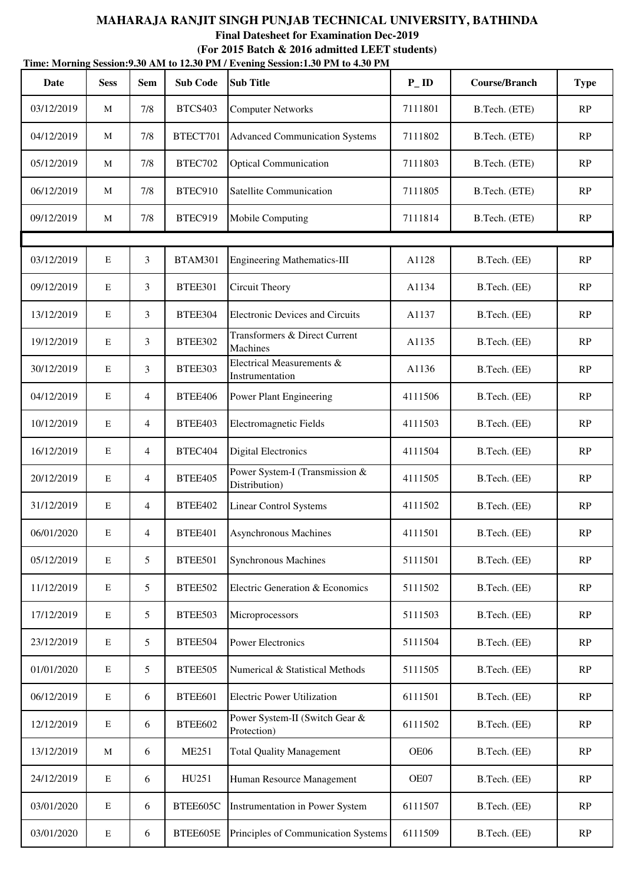|            | Time: Morning Session: 9.30 AM to 12.30 PM / Evening Session: 1.30 PM to 4.30 PM |                |                 |                                                 |                   |               |             |  |  |  |  |
|------------|----------------------------------------------------------------------------------|----------------|-----------------|-------------------------------------------------|-------------------|---------------|-------------|--|--|--|--|
| Date       | <b>Sess</b>                                                                      | <b>Sem</b>     | <b>Sub Code</b> | <b>Sub Title</b>                                | $P$ <sub>ID</sub> | Course/Branch | <b>Type</b> |  |  |  |  |
| 03/12/2019 | M                                                                                | 7/8            | <b>BTCS403</b>  | <b>Computer Networks</b>                        | 7111801           | B.Tech. (ETE) | RP          |  |  |  |  |
| 04/12/2019 | M                                                                                | 7/8            | BTECT701        | <b>Advanced Communication Systems</b>           | 7111802           | B.Tech. (ETE) | RP          |  |  |  |  |
| 05/12/2019 | M                                                                                | 7/8            | BTEC702         | <b>Optical Communication</b>                    | 7111803           | B.Tech. (ETE) | RP          |  |  |  |  |
| 06/12/2019 | M                                                                                | 7/8            | BTEC910         | Satellite Communication                         | 7111805           | B.Tech. (ETE) | RP          |  |  |  |  |
| 09/12/2019 | M                                                                                | 7/8            | BTEC919         | Mobile Computing                                | 7111814           | B.Tech. (ETE) | RP          |  |  |  |  |
|            |                                                                                  |                |                 |                                                 |                   |               |             |  |  |  |  |
| 03/12/2019 | $\mathbf E$                                                                      | 3              | <b>BTAM301</b>  | <b>Engineering Mathematics-III</b>              | A1128             | B.Tech. (EE)  | RP          |  |  |  |  |
| 09/12/2019 | $\mathbf E$                                                                      | 3              | BTEE301         | Circuit Theory                                  | A1134             | B.Tech. (EE)  | RP          |  |  |  |  |
| 13/12/2019 | $\mathbf E$                                                                      | 3              | BTEE304         | <b>Electronic Devices and Circuits</b>          | A1137             | B.Tech. (EE)  | RP          |  |  |  |  |
| 19/12/2019 | $\mathbf E$                                                                      | 3              | <b>BTEE302</b>  | Transformers & Direct Current<br>Machines       | A1135             | B.Tech. (EE)  | RP          |  |  |  |  |
| 30/12/2019 | $\mathbf E$                                                                      | 3              | BTEE303         | Electrical Measurements &<br>Instrumentation    | A1136             | B.Tech. (EE)  | RP          |  |  |  |  |
| 04/12/2019 | $\mathbf E$                                                                      | 4              | BTEE406         | Power Plant Engineering                         | 4111506           | B.Tech. (EE)  | RP          |  |  |  |  |
| 10/12/2019 | $\mathbf E$                                                                      | 4              | BTEE403         | <b>Electromagnetic Fields</b>                   | 4111503           | B.Tech. (EE)  | RP          |  |  |  |  |
| 16/12/2019 | $\mathbf E$                                                                      | $\overline{4}$ | BTEC404         | <b>Digital Electronics</b>                      | 4111504           | B.Tech. (EE)  | RP          |  |  |  |  |
| 20/12/2019 | $\mathbf E$                                                                      | $\overline{4}$ | <b>BTEE405</b>  | Power System-I (Transmission &<br>Distribution) | 4111505           | B.Tech. (EE)  | RP          |  |  |  |  |
| 31/12/2019 | E                                                                                | 4              | BTEE402         | <b>Linear Control Systems</b>                   | 4111502           | B.Tech. (EE)  | RP          |  |  |  |  |
| 06/01/2020 | $\mathbf E$                                                                      | 4              | BTEE401         | <b>Asynchronous Machines</b>                    | 4111501           | B.Tech. (EE)  | RP          |  |  |  |  |
| 05/12/2019 | $\mathbf E$                                                                      | 5              | BTEE501         | <b>Synchronous Machines</b>                     | 5111501           | B.Tech. (EE)  | RP          |  |  |  |  |
| 11/12/2019 | $\mathbf E$                                                                      | 5              | BTEE502         | Electric Generation & Economics                 | 5111502           | B.Tech. (EE)  | RP          |  |  |  |  |
| 17/12/2019 | $\mathbf E$                                                                      | 5              | BTEE503         | Microprocessors                                 | 5111503           | B.Tech. (EE)  | RP          |  |  |  |  |
| 23/12/2019 | ${\bf E}$                                                                        | 5              | BTEE504         | Power Electronics                               | 5111504           | B.Tech. (EE)  | RP          |  |  |  |  |
| 01/01/2020 | ${\bf E}$                                                                        | 5              | BTEE505         | Numerical & Statistical Methods                 | 5111505           | B.Tech. (EE)  | RP          |  |  |  |  |
| 06/12/2019 | ${\bf E}$                                                                        | 6              | BTEE601         | <b>Electric Power Utilization</b>               | 6111501           | B.Tech. (EE)  | RP          |  |  |  |  |
| 12/12/2019 | ${\bf E}$                                                                        | 6              | BTEE602         | Power System-II (Switch Gear &<br>Protection)   | 6111502           | B.Tech. (EE)  | RP          |  |  |  |  |
| 13/12/2019 | M                                                                                | 6              | <b>ME251</b>    | <b>Total Quality Management</b>                 | OE06              | B.Tech. (EE)  | RP          |  |  |  |  |
| 24/12/2019 | $\mathbf E$                                                                      | 6              | HU251           | Human Resource Management                       | OE07              | B.Tech. (EE)  | RP          |  |  |  |  |
| 03/01/2020 | ${\bf E}$                                                                        | 6              | BTEE605C        | Instrumentation in Power System                 | 6111507           | B.Tech. (EE)  | RP          |  |  |  |  |
| 03/01/2020 | ${\bf E}$                                                                        | 6              | BTEE605E        | Principles of Communication Systems             | 6111509           | B.Tech. (EE)  | RP          |  |  |  |  |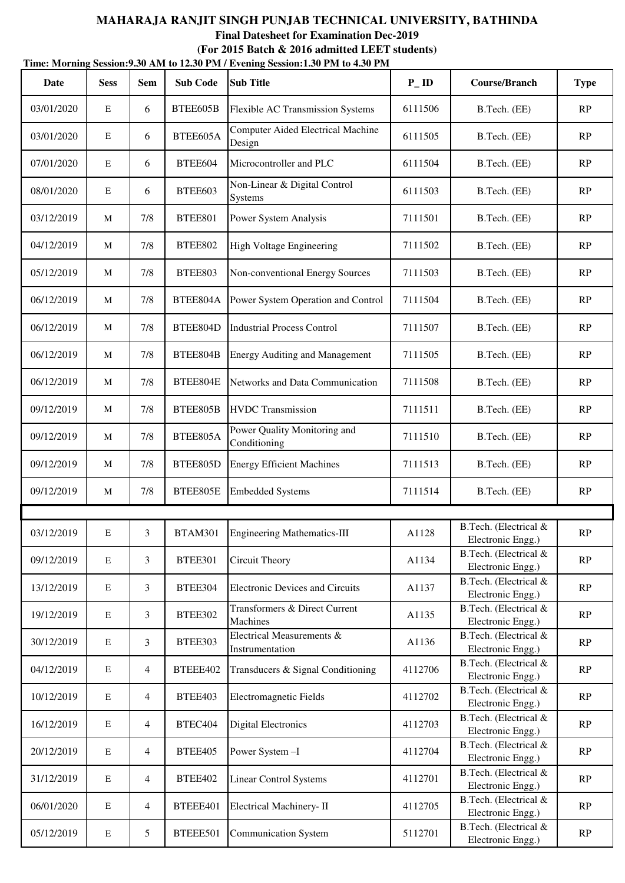| Date       | <b>Sess</b> | <b>Sem</b> | <b>Sub Code</b> | THIIC, MOTHING SESSION, S.SU ANT to 12.SU I'M / EVENING SESSION, I'SU I'M to 4.SU I'M<br><b>Sub Title</b> | $P$ <sub>ID</sub> | <b>Course/Branch</b>                       | <b>Type</b> |
|------------|-------------|------------|-----------------|-----------------------------------------------------------------------------------------------------------|-------------------|--------------------------------------------|-------------|
| 03/01/2020 | E           | 6          | BTEE605B        | <b>Flexible AC Transmission Systems</b>                                                                   | 6111506           | B.Tech. (EE)                               | RP          |
| 03/01/2020 | E           | 6          | BTEE605A        | <b>Computer Aided Electrical Machine</b><br>Design                                                        | 6111505           | B.Tech. (EE)                               | RP          |
| 07/01/2020 | E           | 6          | BTEE604         | Microcontroller and PLC                                                                                   | 6111504           | B.Tech. (EE)                               | RP          |
| 08/01/2020 | E           | 6          | BTEE603         | Non-Linear & Digital Control<br>Systems                                                                   | 6111503           | B.Tech. (EE)                               | RP          |
| 03/12/2019 | M           | 7/8        | <b>BTEE801</b>  | Power System Analysis                                                                                     | 7111501           | B.Tech. (EE)                               | RP          |
| 04/12/2019 | M           | 7/8        | <b>BTEE802</b>  | High Voltage Engineering                                                                                  | 7111502           | B.Tech. (EE)                               | RP          |
| 05/12/2019 | M           | 7/8        | BTEE803         | Non-conventional Energy Sources                                                                           | 7111503           | B.Tech. (EE)                               | RP          |
| 06/12/2019 | M           | 7/8        | BTEE804A        | Power System Operation and Control                                                                        | 7111504           | B.Tech. (EE)                               | RP          |
| 06/12/2019 | M           | 7/8        | BTEE804D        | <b>Industrial Process Control</b>                                                                         | 7111507           | B.Tech. (EE)                               | RP          |
| 06/12/2019 | M           | 7/8        | BTEE804B        | <b>Energy Auditing and Management</b>                                                                     | 7111505           | B.Tech. (EE)                               | RP          |
| 06/12/2019 | M           | 7/8        | BTEE804E        | Networks and Data Communication                                                                           | 7111508           | B.Tech. (EE)                               | RP          |
| 09/12/2019 | M           | 7/8        | BTEE805B        | <b>HVDC</b> Transmission                                                                                  | 7111511           | B.Tech. (EE)                               | RP          |
| 09/12/2019 | M           | 7/8        | BTEE805A        | Power Quality Monitoring and<br>Conditioning                                                              | 7111510           | B.Tech. (EE)                               | RP          |
| 09/12/2019 | M           | 7/8        | BTEE805D        | <b>Energy Efficient Machines</b>                                                                          | 7111513           | B.Tech. (EE)                               | RP          |
| 09/12/2019 | M           | 7/8        | BTEE805E        | <b>Embedded Systems</b>                                                                                   | 7111514           | B.Tech. (EE)                               | RP          |
|            |             |            |                 |                                                                                                           |                   |                                            |             |
| 03/12/2019 | E           | 3          | BTAM301         | Engineering Mathematics-III                                                                               | A1128             | B.Tech. (Electrical &<br>Electronic Engg.) | RP          |
| 09/12/2019 | $\mathbf E$ | 3          | <b>BTEE301</b>  | Circuit Theory                                                                                            | A1134             | B.Tech. (Electrical &<br>Electronic Engg.) | RP          |
| 13/12/2019 | $\mathbf E$ | 3          | BTEE304         | <b>Electronic Devices and Circuits</b>                                                                    | A1137             | B.Tech. (Electrical &<br>Electronic Engg.) | RP          |
| 19/12/2019 | ${\bf E}$   | 3          | <b>BTEE302</b>  | Transformers & Direct Current<br>Machines                                                                 | A1135             | B.Tech. (Electrical &<br>Electronic Engg.) | RP          |
| 30/12/2019 | E           | 3          | <b>BTEE303</b>  | Electrical Measurements &<br>Instrumentation                                                              | A1136             | B.Tech. (Electrical &<br>Electronic Engg.) | RP          |
| 04/12/2019 | $\mathbf E$ | 4          | BTEEE402        | Transducers & Signal Conditioning                                                                         | 4112706           | B.Tech. (Electrical &<br>Electronic Engg.) | RP          |
| 10/12/2019 | ${\bf E}$   | 4          | <b>BTEE403</b>  | Electromagnetic Fields                                                                                    | 4112702           | B.Tech. (Electrical &<br>Electronic Engg.) | RP          |
| 16/12/2019 | $\mathbf E$ | 4          | BTEC404         | <b>Digital Electronics</b>                                                                                | 4112703           | B.Tech. (Electrical &<br>Electronic Engg.) | RP          |
| 20/12/2019 | $\mathbf E$ | 4          | BTEE405         | Power System-I                                                                                            | 4112704           | B.Tech. (Electrical &<br>Electronic Engg.) | RP          |
| 31/12/2019 | E           | 4          | BTEE402         | <b>Linear Control Systems</b>                                                                             | 4112701           | B.Tech. (Electrical &<br>Electronic Engg.) | RP          |
| 06/01/2020 | ${\bf E}$   | 4          | BTEEE401        | Electrical Machinery-II                                                                                   | 4112705           | B.Tech. (Electrical &<br>Electronic Engg.) | RP          |
| 05/12/2019 | ${\bf E}$   | 5          | BTEEE501        | <b>Communication System</b>                                                                               | 5112701           | B.Tech. (Electrical &<br>Electronic Engg.) | RP          |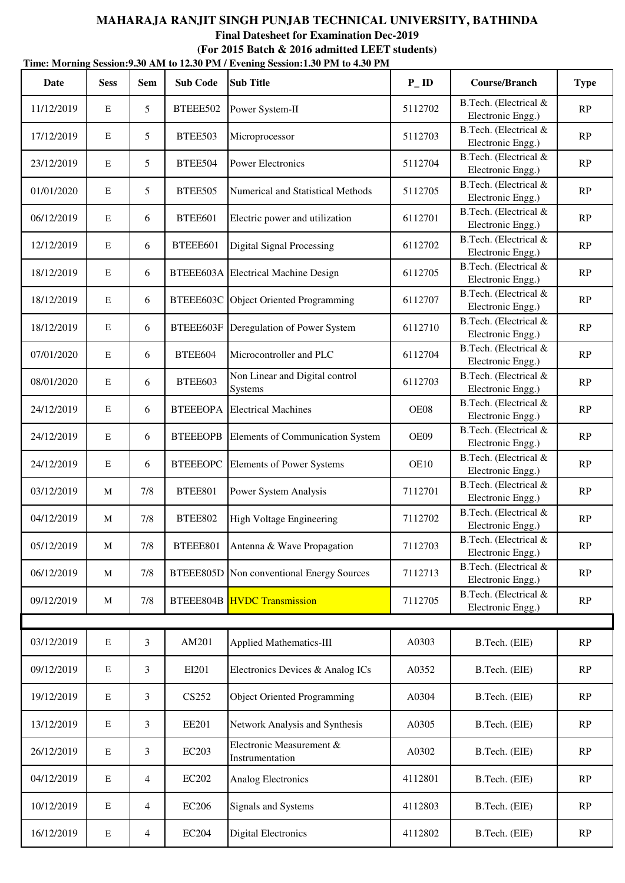**Time: Morning Session:9.30 AM to 12.30 PM / Evening Session:1.30 PM to 4.30 PM (For 2015 Batch & 2016 admitted LEET students)**

| Date       | <b>Sess</b>  | Sem             | <b>Sub Code</b> | Thing morning desirons for the to-throw The Prening desiron two Throw Thi<br><b>Sub Title</b> | $P$ <sub>ID</sub> | <b>Course/Branch</b>                       | <b>Type</b>            |
|------------|--------------|-----------------|-----------------|-----------------------------------------------------------------------------------------------|-------------------|--------------------------------------------|------------------------|
| 11/12/2019 | E            | $5\overline{)}$ | BTEEE502        | Power System-II                                                                               | 5112702           | B.Tech. (Electrical &<br>Electronic Engg.) | RP                     |
| 17/12/2019 | $\mathbf E$  | 5               | BTEE503         | Microprocessor                                                                                | 5112703           | B.Tech. (Electrical &<br>Electronic Engg.) | RP                     |
| 23/12/2019 | $\mathbf E$  | $5\overline{)}$ | BTEE504         | <b>Power Electronics</b>                                                                      | 5112704           | B.Tech. (Electrical &<br>Electronic Engg.) | $\mathbb{R}\mathrm{P}$ |
| 01/01/2020 | $\mathbf E$  | 5               | BTEE505         | <b>Numerical and Statistical Methods</b>                                                      | 5112705           | B.Tech. (Electrical &<br>Electronic Engg.) | RP                     |
| 06/12/2019 | $\mathbf E$  | 6               | BTEE601         | Electric power and utilization                                                                | 6112701           | B.Tech. (Electrical &<br>Electronic Engg.) | RP                     |
| 12/12/2019 | $\mathbf E$  | 6               | BTEEE601        | <b>Digital Signal Processing</b>                                                              | 6112702           | B.Tech. (Electrical &<br>Electronic Engg.) | RP                     |
| 18/12/2019 | $\mathbf E$  | 6               |                 | BTEEE603A Electrical Machine Design                                                           | 6112705           | B.Tech. (Electrical &<br>Electronic Engg.) | RP                     |
| 18/12/2019 | $\mathbf E$  | 6               |                 | BTEEE603C Object Oriented Programming                                                         | 6112707           | B.Tech. (Electrical &<br>Electronic Engg.) | RP                     |
| 18/12/2019 | $\mathbf E$  | 6               | BTEEE603F       | Deregulation of Power System                                                                  | 6112710           | B.Tech. (Electrical &<br>Electronic Engg.) | RP                     |
| 07/01/2020 | $\mathbf E$  | 6               | BTEE604         | Microcontroller and PLC                                                                       | 6112704           | B.Tech. (Electrical &<br>Electronic Engg.) | $\mathbf{RP}$          |
| 08/01/2020 | $\mathbf E$  | 6               | BTEE603         | Non Linear and Digital control<br>Systems                                                     | 6112703           | B.Tech. (Electrical &<br>Electronic Engg.) | RP                     |
| 24/12/2019 | $\mathbf E$  | 6               | <b>BTEEEOPA</b> | <b>Electrical Machines</b>                                                                    | OE08              | B.Tech. (Electrical &<br>Electronic Engg.) | RP                     |
| 24/12/2019 | $\mathbf E$  | 6               | <b>BTEEEOPB</b> | Elements of Communication System                                                              | OE09              | B.Tech. (Electrical &<br>Electronic Engg.) | $\mathbb{R}\mathrm{P}$ |
| 24/12/2019 | $\mathbf E$  | 6               | <b>BTEEEOPC</b> | <b>Elements of Power Systems</b>                                                              | <b>OE10</b>       | B.Tech. (Electrical &<br>Electronic Engg.) | RP                     |
| 03/12/2019 | M            | 7/8             | <b>BTEE801</b>  | Power System Analysis                                                                         | 7112701           | B.Tech. (Electrical &<br>Electronic Engg.) | RP                     |
| 04/12/2019 | $\mathbf{M}$ | 7/8             | <b>BTEE802</b>  | High Voltage Engineering                                                                      | 7112702           | B.Tech. (Electrical &<br>Electronic Engg.) | $\mathbf{RP}$          |
| 05/12/2019 | $\mathbf M$  | $7/8$           | BTEEE801        | Antenna & Wave Propagation                                                                    | 7112703           | B.Tech. (Electrical &<br>Electronic Engg.) | RP                     |
| 06/12/2019 | M            | 7/8             | BTEEE805D       | Non conventional Energy Sources                                                               | 7112713           | B.Tech. (Electrical &<br>Electronic Engg.) | RP                     |
| 09/12/2019 | M            | 7/8             |                 | <b>BTEEE804B</b> HVDC Transmission                                                            | 7112705           | B.Tech. (Electrical &<br>Electronic Engg.) | RP                     |
|            |              |                 |                 |                                                                                               |                   |                                            |                        |
| 03/12/2019 | $\mathbf E$  | $\mathfrak{Z}$  | AM201           | Applied Mathematics-III                                                                       | A0303             | B.Tech. (EIE)                              | RP                     |
| 09/12/2019 | $\mathbf E$  | 3               | EI201           | Electronics Devices & Analog ICs                                                              | A0352             | B.Tech. (EIE)                              | RP                     |
| 19/12/2019 | $\mathbf E$  | 3               | CS252           | <b>Object Oriented Programming</b>                                                            | A0304             | B.Tech. (EIE)                              | RP                     |
| 13/12/2019 | E            | 3               | <b>EE201</b>    | Network Analysis and Synthesis                                                                | A0305             | B.Tech. (EIE)                              | RP                     |
| 26/12/2019 | $\mathbf E$  | 3               | <b>EC203</b>    | Electronic Measurement &<br>Instrumentation                                                   | A0302             | B.Tech. (EIE)                              | RP                     |
| 04/12/2019 | $\mathbf E$  | $\overline{4}$  | <b>EC202</b>    | Analog Electronics                                                                            | 4112801           | B.Tech. (EIE)                              | RP                     |
| 10/12/2019 | $\mathbf E$  | 4               | <b>EC206</b>    | Signals and Systems                                                                           | 4112803           | B.Tech. (EIE)                              | RP                     |
| 16/12/2019 | ${\bf E}$    | $\overline{4}$  | <b>EC204</b>    | <b>Digital Electronics</b>                                                                    | 4112802           | B.Tech. (EIE)                              | RP                     |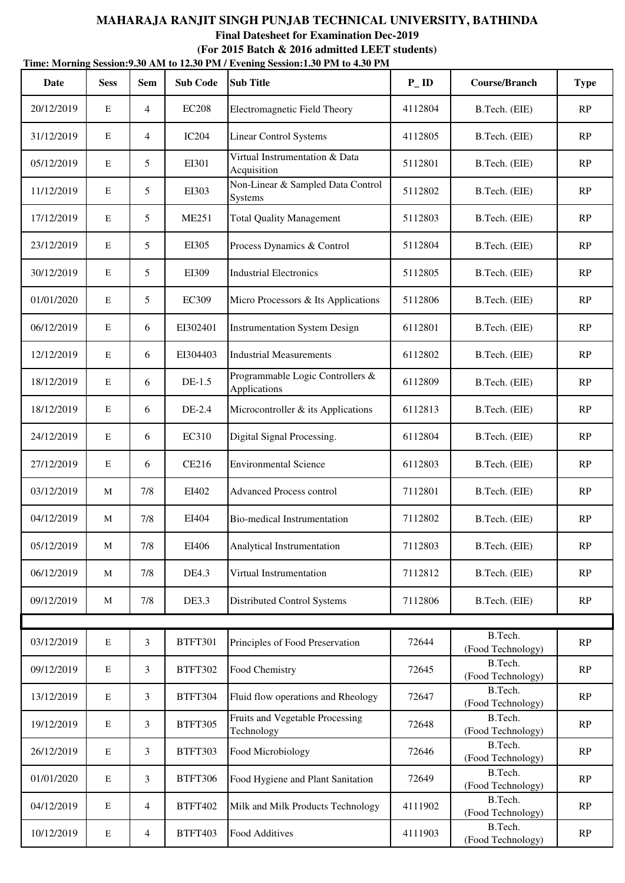| Date       | <b>Sess</b> | <b>Sem</b>     | <b>Sub Code</b> | $D_{\rm CO}$ and $D_{\rm O}$ and $D_{\rm O}$ and $D_{\rm O}$ and $D_{\rm O}$ and $D_{\rm O}$ and $D_{\rm O}$ and $D_{\rm O}$ and $D_{\rm O}$ and $D_{\rm O}$ and $D_{\rm O}$ and $D_{\rm O}$ and $D_{\rm O}$ and $D_{\rm O}$ and $D_{\rm O}$ and $D_{\rm O}$ and $D_{\rm O}$ and<br><b>Sub Title</b> | $P$ <sub>ID</sub> | <b>Course/Branch</b>         | <b>Type</b>   |
|------------|-------------|----------------|-----------------|------------------------------------------------------------------------------------------------------------------------------------------------------------------------------------------------------------------------------------------------------------------------------------------------------|-------------------|------------------------------|---------------|
| 20/12/2019 | E           | $\overline{4}$ | <b>EC208</b>    | Electromagnetic Field Theory                                                                                                                                                                                                                                                                         | 4112804           | B.Tech. (EIE)                | RP            |
| 31/12/2019 | $\mathbf E$ | $\overline{4}$ | <b>IC204</b>    | <b>Linear Control Systems</b>                                                                                                                                                                                                                                                                        | 4112805           | B.Tech. (EIE)                | RP            |
| 05/12/2019 | E           | 5              | EI301           | Virtual Instrumentation & Data<br>Acquisition                                                                                                                                                                                                                                                        | 5112801           | B.Tech. (EIE)                | RP            |
| 11/12/2019 | $\mathbf E$ | 5              | EI303           | Non-Linear & Sampled Data Control<br><b>Systems</b>                                                                                                                                                                                                                                                  | 5112802           | B.Tech. (EIE)                | RP            |
| 17/12/2019 | $\mathbf E$ | 5              | <b>ME251</b>    | <b>Total Quality Management</b>                                                                                                                                                                                                                                                                      | 5112803           | B.Tech. (EIE)                | RP            |
| 23/12/2019 | ${\bf E}$   | 5              | EI305           | Process Dynamics & Control                                                                                                                                                                                                                                                                           | 5112804           | B.Tech. (EIE)                | RP            |
| 30/12/2019 | $\mathbf E$ | 5              | EI309           | <b>Industrial Electronics</b>                                                                                                                                                                                                                                                                        | 5112805           | B.Tech. (EIE)                | RP            |
| 01/01/2020 | $\mathbf E$ | 5              | <b>EC309</b>    | Micro Processors & Its Applications                                                                                                                                                                                                                                                                  | 5112806           | B.Tech. (EIE)                | RP            |
| 06/12/2019 | E           | 6              | EI302401        | <b>Instrumentation System Design</b>                                                                                                                                                                                                                                                                 | 6112801           | B.Tech. (EIE)                | RP            |
| 12/12/2019 | $\mathbf E$ | 6              | EI304403        | <b>Industrial Measurements</b>                                                                                                                                                                                                                                                                       | 6112802           | B.Tech. (EIE)                | RP            |
| 18/12/2019 | $\mathbf E$ | 6              | $DE-1.5$        | Programmable Logic Controllers &<br>Applications                                                                                                                                                                                                                                                     | 6112809           | B.Tech. (EIE)                | RP            |
| 18/12/2019 | E           | 6              | DE-2.4          | Microcontroller & its Applications                                                                                                                                                                                                                                                                   | 6112813           | B.Tech. (EIE)                | RP            |
| 24/12/2019 | $\mathbf E$ | 6              | EC310           | Digital Signal Processing.                                                                                                                                                                                                                                                                           | 6112804           | B.Tech. (EIE)                | RP            |
| 27/12/2019 | $\mathbf E$ | 6              | <b>CE216</b>    | <b>Environmental Science</b>                                                                                                                                                                                                                                                                         | 6112803           | B.Tech. (EIE)                | RP            |
| 03/12/2019 | M           | 7/8            | EI402           | <b>Advanced Process control</b>                                                                                                                                                                                                                                                                      | 7112801           | B.Tech. (EIE)                | RP            |
| 04/12/2019 | M           | 7/8            | EI404           | <b>Bio-medical Instrumentation</b>                                                                                                                                                                                                                                                                   | 7112802           | B.Tech. (EIE)                | RP            |
| 05/12/2019 | $\mathbf M$ | 7/8            | EI406           | Analytical Instrumentation                                                                                                                                                                                                                                                                           | 7112803           | B.Tech. (EIE)                | RP            |
| 06/12/2019 | M           | 7/8            | DE4.3           | Virtual Instrumentation                                                                                                                                                                                                                                                                              | 7112812           | B.Tech. (EIE)                | RP            |
| 09/12/2019 | M           | 7/8            | DE3.3           | Distributed Control Systems                                                                                                                                                                                                                                                                          | 7112806           | B.Tech. (EIE)                | RP            |
|            |             |                |                 |                                                                                                                                                                                                                                                                                                      |                   |                              |               |
| 03/12/2019 | ${\bf E}$   | 3              | <b>BTFT301</b>  | Principles of Food Preservation                                                                                                                                                                                                                                                                      | 72644             | B.Tech.<br>(Food Technology) | RP            |
| 09/12/2019 | ${\bf E}$   | 3              | <b>BTFT302</b>  | Food Chemistry                                                                                                                                                                                                                                                                                       | 72645             | B.Tech.<br>(Food Technology) | RP            |
| 13/12/2019 | $\mathbf E$ | 3              | <b>BTFT304</b>  | Fluid flow operations and Rheology                                                                                                                                                                                                                                                                   | 72647             | B.Tech.<br>(Food Technology) | RP            |
| 19/12/2019 | ${\bf E}$   | 3              | <b>BTFT305</b>  | Fruits and Vegetable Processing<br>Technology                                                                                                                                                                                                                                                        | 72648             | B.Tech.<br>(Food Technology) | RP            |
| 26/12/2019 | $\mathbf E$ | 3              | BTFT303         | Food Microbiology                                                                                                                                                                                                                                                                                    | 72646             | B.Tech.<br>(Food Technology) | RP            |
| 01/01/2020 | ${\bf E}$   | 3              | <b>BTFT306</b>  | Food Hygiene and Plant Sanitation                                                                                                                                                                                                                                                                    | 72649             | B.Tech.<br>(Food Technology) | RP            |
| 04/12/2019 | ${\bf E}$   | $\overline{4}$ | <b>BTFT402</b>  | Milk and Milk Products Technology                                                                                                                                                                                                                                                                    | 4111902           | B.Tech.<br>(Food Technology) | RP            |
| 10/12/2019 | $\mathbf E$ | $\overline{4}$ | BTFT403         | Food Additives                                                                                                                                                                                                                                                                                       | 4111903           | B.Tech.<br>(Food Technology) | $\mathbf{RP}$ |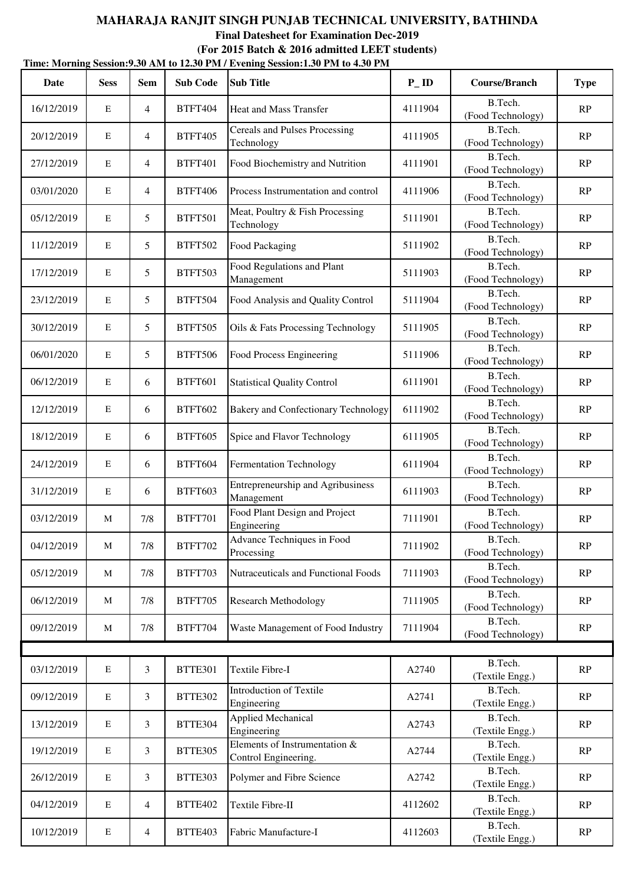|             | Time: Morning Session: 9.30 AM to 12.30 PM / Evening Session: 1.30 PM to 4.30 PM |                 |                 |                                                       |                   |                              |             |  |  |  |  |
|-------------|----------------------------------------------------------------------------------|-----------------|-----------------|-------------------------------------------------------|-------------------|------------------------------|-------------|--|--|--|--|
| <b>Date</b> | <b>Sess</b>                                                                      | <b>Sem</b>      | <b>Sub Code</b> | <b>Sub Title</b>                                      | $P$ <sub>ID</sub> | <b>Course/Branch</b>         | <b>Type</b> |  |  |  |  |
| 16/12/2019  | E                                                                                | $\overline{4}$  | <b>BTFT404</b>  | Heat and Mass Transfer                                | 4111904           | B.Tech.<br>(Food Technology) | RP          |  |  |  |  |
| 20/12/2019  | $\mathbf E$                                                                      | $\overline{4}$  | <b>BTFT405</b>  | Cereals and Pulses Processing<br>Technology           | 4111905           | B.Tech.<br>(Food Technology) | RP          |  |  |  |  |
| 27/12/2019  | $\mathbf E$                                                                      | $\overline{4}$  | <b>BTFT401</b>  | Food Biochemistry and Nutrition                       | 4111901           | B.Tech.<br>(Food Technology) | RP          |  |  |  |  |
| 03/01/2020  | E                                                                                | $\overline{4}$  | <b>BTFT406</b>  | Process Instrumentation and control                   | 4111906           | B.Tech.<br>(Food Technology) | RP          |  |  |  |  |
| 05/12/2019  | E                                                                                | 5               | <b>BTFT501</b>  | Meat, Poultry & Fish Processing<br>Technology         | 5111901           | B.Tech.<br>(Food Technology) | RP          |  |  |  |  |
| 11/12/2019  | E                                                                                | $5\overline{)}$ | <b>BTFT502</b>  | Food Packaging                                        | 5111902           | B.Tech.<br>(Food Technology) | RP          |  |  |  |  |
| 17/12/2019  | E                                                                                | $5\overline{)}$ | <b>BTFT503</b>  | Food Regulations and Plant<br>Management              | 5111903           | B.Tech.<br>(Food Technology) | RP          |  |  |  |  |
| 23/12/2019  | E                                                                                | 5               | <b>BTFT504</b>  | Food Analysis and Quality Control                     | 5111904           | B.Tech.<br>(Food Technology) | RP          |  |  |  |  |
| 30/12/2019  | E                                                                                | 5               | <b>BTFT505</b>  | Oils & Fats Processing Technology                     | 5111905           | B.Tech.<br>(Food Technology) | RP          |  |  |  |  |
| 06/01/2020  | E                                                                                | 5               | <b>BTFT506</b>  | Food Process Engineering                              | 5111906           | B.Tech.<br>(Food Technology) | RP          |  |  |  |  |
| 06/12/2019  | E                                                                                | 6               | <b>BTFT601</b>  | <b>Statistical Quality Control</b>                    | 6111901           | B.Tech.<br>(Food Technology) | RP          |  |  |  |  |
| 12/12/2019  | $\mathbf E$                                                                      | 6               | <b>BTFT602</b>  | <b>Bakery and Confectionary Technology</b>            | 6111902           | B.Tech.<br>(Food Technology) | RP          |  |  |  |  |
| 18/12/2019  | $\mathbf E$                                                                      | 6               | <b>BTFT605</b>  | Spice and Flavor Technology                           | 6111905           | B.Tech.<br>(Food Technology) | RP          |  |  |  |  |
| 24/12/2019  | $\mathbf E$                                                                      | 6               | <b>BTFT604</b>  | Fermentation Technology                               | 6111904           | B.Tech.<br>(Food Technology) | RP          |  |  |  |  |
| 31/12/2019  | $\mathbf E$                                                                      | 6               | <b>BTFT603</b>  | Entrepreneurship and Agribusiness<br>Management       | 6111903           | B.Tech.<br>(Food Technology) | RP          |  |  |  |  |
| 03/12/2019  | М                                                                                | 7/8             | <b>BTFT701</b>  | Food Plant Design and Project<br>Engineering          | 7111901           | B.Tech.<br>(Food Technology) | RP          |  |  |  |  |
| 04/12/2019  | M                                                                                | 7/8             | <b>BTFT702</b>  | Advance Techniques in Food<br>Processing              | 7111902           | B.Tech.<br>(Food Technology) | RP          |  |  |  |  |
| 05/12/2019  | M                                                                                | 7/8             | BTFT703         | Nutraceuticals and Functional Foods                   | 7111903           | B.Tech.<br>(Food Technology) | RP          |  |  |  |  |
| 06/12/2019  | M                                                                                | 7/8             | <b>BTFT705</b>  | <b>Research Methodology</b>                           | 7111905           | B.Tech.<br>(Food Technology) | RP          |  |  |  |  |
| 09/12/2019  | M                                                                                | 7/8             | <b>BTFT704</b>  | Waste Management of Food Industry                     | 7111904           | B.Tech.<br>(Food Technology) | RP          |  |  |  |  |
|             |                                                                                  |                 |                 |                                                       |                   |                              |             |  |  |  |  |
| 03/12/2019  | $\mathbf E$                                                                      | $\mathfrak{Z}$  | <b>BTTE301</b>  | Textile Fibre-I                                       | A2740             | B.Tech.<br>(Textile Engg.)   | RP          |  |  |  |  |
| 09/12/2019  | $\mathbf E$                                                                      | 3               | BTTE302         | <b>Introduction of Textile</b><br>Engineering         | A2741             | B.Tech.<br>(Textile Engg.)   | RP          |  |  |  |  |
| 13/12/2019  | $\mathbf E$                                                                      | $\mathfrak{Z}$  | BTTE304         | Applied Mechanical<br>Engineering                     | A2743             | B.Tech.<br>(Textile Engg.)   | RP          |  |  |  |  |
| 19/12/2019  | E                                                                                | 3               | BTTE305         | Elements of Instrumentation &<br>Control Engineering. | A2744             | B.Tech.<br>(Textile Engg.)   | RP          |  |  |  |  |
| 26/12/2019  | $\mathbf E$                                                                      | $\mathfrak{Z}$  | BTTE303         | Polymer and Fibre Science                             | A2742             | B.Tech.<br>(Textile Engg.)   | RP          |  |  |  |  |
| 04/12/2019  | ${\bf E}$                                                                        | $\overline{4}$  | BTTE402         | Textile Fibre-II                                      | 4112602           | B.Tech.<br>(Textile Engg.)   | RP          |  |  |  |  |
| 10/12/2019  | ${\bf E}$                                                                        | $\overline{4}$  | <b>BTTE403</b>  | Fabric Manufacture-I                                  | 4112603           | B.Tech.<br>(Textile Engg.)   | RP          |  |  |  |  |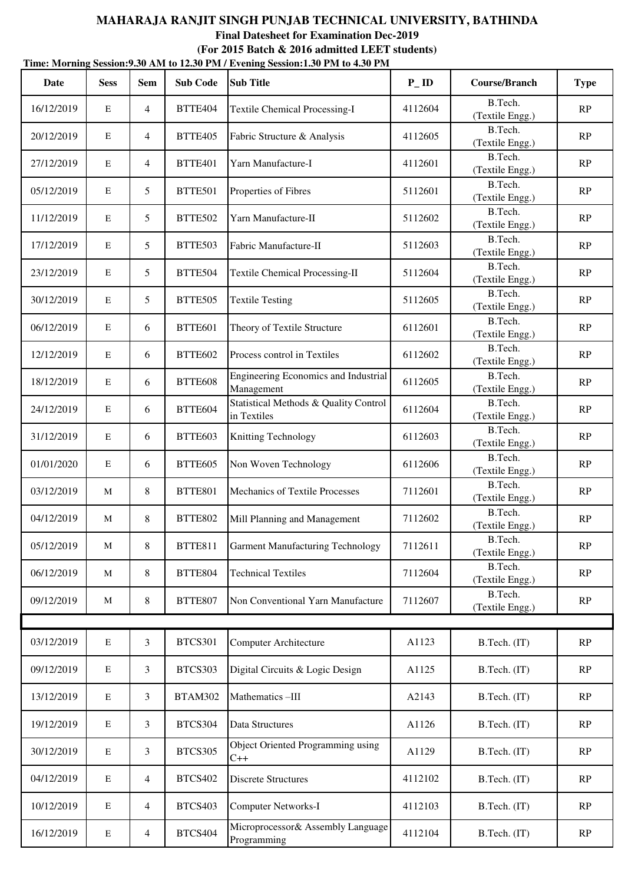|            | Time: Morning Session: 9.30 AM to 12.30 PM / Evening Session: 1.30 PM to 4.30 PM |                |                 |                                                      |                   |                            |             |  |  |  |  |
|------------|----------------------------------------------------------------------------------|----------------|-----------------|------------------------------------------------------|-------------------|----------------------------|-------------|--|--|--|--|
| Date       | <b>Sess</b>                                                                      | <b>Sem</b>     | <b>Sub Code</b> | <b>Sub Title</b>                                     | $P$ <sub>ID</sub> | <b>Course/Branch</b>       | <b>Type</b> |  |  |  |  |
| 16/12/2019 | E                                                                                | $\overline{4}$ | BTTE404         | <b>Textile Chemical Processing-I</b>                 | 4112604           | B.Tech.<br>(Textile Engg.) | RP          |  |  |  |  |
| 20/12/2019 | $\mathbf E$                                                                      | $\overline{4}$ | BTTE405         | Fabric Structure & Analysis                          | 4112605           | B.Tech.<br>(Textile Engg.) | RP          |  |  |  |  |
| 27/12/2019 | $\mathbf E$                                                                      | $\overline{4}$ | BTTE401         | Yarn Manufacture-I                                   | 4112601           | B.Tech.<br>(Textile Engg.) | RP          |  |  |  |  |
| 05/12/2019 | $\mathbf E$                                                                      | 5              | BTTE501         | Properties of Fibres                                 | 5112601           | B.Tech.<br>(Textile Engg.) | RP          |  |  |  |  |
| 11/12/2019 | $\mathbf E$                                                                      | 5              | BTTE502         | Yarn Manufacture-II                                  | 5112602           | B.Tech.<br>(Textile Engg.) | RP          |  |  |  |  |
| 17/12/2019 | $\mathbf E$                                                                      | 5              | BTTE503         | Fabric Manufacture-II                                | 5112603           | B.Tech.<br>(Textile Engg.) | RP          |  |  |  |  |
| 23/12/2019 | $\mathbf E$                                                                      | 5              | BTTE504         | <b>Textile Chemical Processing-II</b>                | 5112604           | B.Tech.<br>(Textile Engg.) | RP          |  |  |  |  |
| 30/12/2019 | $\mathbf E$                                                                      | 5              | <b>BTTE505</b>  | <b>Textile Testing</b>                               | 5112605           | B.Tech.<br>(Textile Engg.) | RP          |  |  |  |  |
| 06/12/2019 | $\mathbf E$                                                                      | 6              | BTTE601         | Theory of Textile Structure                          | 6112601           | B.Tech.<br>(Textile Engg.) | RP          |  |  |  |  |
| 12/12/2019 | $\mathbf E$                                                                      | 6              | BTTE602         | Process control in Textiles                          | 6112602           | B.Tech.<br>(Textile Engg.) | RP          |  |  |  |  |
| 18/12/2019 | $\mathbf E$                                                                      | 6              | <b>BTTE608</b>  | Engineering Economics and Industrial<br>Management   | 6112605           | B.Tech.<br>(Textile Engg.) | RP          |  |  |  |  |
| 24/12/2019 | $\mathbf E$                                                                      | 6              | <b>BTTE604</b>  | Statistical Methods & Quality Control<br>in Textiles | 6112604           | B.Tech.<br>(Textile Engg.) | RP          |  |  |  |  |
| 31/12/2019 | $\mathbf E$                                                                      | 6              | BTTE603         | <b>Knitting Technology</b>                           | 6112603           | B.Tech.<br>(Textile Engg.) | RP          |  |  |  |  |
| 01/01/2020 | $\mathbf E$                                                                      | 6              | BTTE605         | Non Woven Technology                                 | 6112606           | B.Tech.<br>(Textile Engg.) | RP          |  |  |  |  |
| 03/12/2019 | M                                                                                | 8              | <b>BTTE801</b>  | Mechanics of Textile Processes                       | 7112601           | B.Tech.<br>(Textile Engg.) | RP          |  |  |  |  |
| 04/12/2019 | M                                                                                | 8              | <b>BTTE802</b>  | Mill Planning and Management                         | 7112602           | B.Tech.<br>(Textile Engg.) | RP          |  |  |  |  |
| 05/12/2019 | M                                                                                | 8              | <b>BTTE811</b>  | <b>Garment Manufacturing Technology</b>              | 7112611           | B.Tech.<br>(Textile Engg.) | RP          |  |  |  |  |
| 06/12/2019 | M                                                                                | 8              | BTTE804         | <b>Technical Textiles</b>                            | 7112604           | B.Tech.<br>(Textile Engg.) | RP          |  |  |  |  |
| 09/12/2019 | M                                                                                | 8              | BTTE807         | Non Conventional Yarn Manufacture                    | 7112607           | B.Tech.<br>(Textile Engg.) | RP          |  |  |  |  |
|            |                                                                                  |                |                 |                                                      |                   |                            |             |  |  |  |  |
| 03/12/2019 | $\mathbf E$                                                                      | 3              | <b>BTCS301</b>  | <b>Computer Architecture</b>                         | A1123             | B.Tech. (IT)               | RP          |  |  |  |  |
| 09/12/2019 | ${\bf E}$                                                                        | 3              | BTCS303         | Digital Circuits & Logic Design                      | A1125             | B.Tech. (IT)               | RP          |  |  |  |  |
| 13/12/2019 | $\mathbf E$                                                                      | 3              | BTAM302         | Mathematics-III                                      | A2143             | B.Tech. (IT)               | RP          |  |  |  |  |
| 19/12/2019 | $\mathbf E$                                                                      | 3              | BTCS304         | Data Structures                                      | A1126             | B.Tech. (IT)               | RP          |  |  |  |  |
| 30/12/2019 | ${\bf E}$                                                                        | 3              | <b>BTCS305</b>  | Object Oriented Programming using<br>$C++$           | A1129             | B.Tech. (IT)               | RP          |  |  |  |  |
| 04/12/2019 | $\mathbf E$                                                                      | $\overline{4}$ | <b>BTCS402</b>  | <b>Discrete Structures</b>                           | 4112102           | B.Tech. (IT)               | RP          |  |  |  |  |
| 10/12/2019 | $\mathbf E$                                                                      | $\overline{4}$ | <b>BTCS403</b>  | <b>Computer Networks-I</b>                           | 4112103           | B.Tech. (IT)               | RP          |  |  |  |  |
| 16/12/2019 | ${\bf E}$                                                                        | $\overline{4}$ | <b>BTCS404</b>  | Microprocessor& Assembly Language<br>Programming     | 4112104           | B.Tech. (IT)               | RP          |  |  |  |  |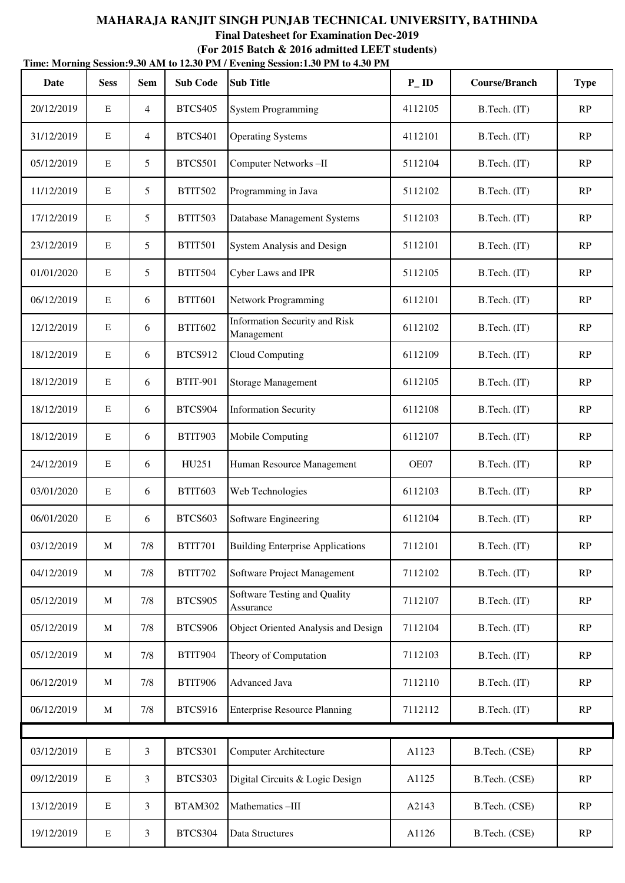|            | Time: Morning Session: 9.30 AM to 12.30 PM / Evening Session: 1.30 PM to 4.30 PM |                |                 |                                                    |                   |                      |               |  |  |  |  |
|------------|----------------------------------------------------------------------------------|----------------|-----------------|----------------------------------------------------|-------------------|----------------------|---------------|--|--|--|--|
| Date       | <b>Sess</b>                                                                      | <b>Sem</b>     | <b>Sub Code</b> | <b>Sub Title</b>                                   | $P$ <sub>ID</sub> | <b>Course/Branch</b> | <b>Type</b>   |  |  |  |  |
| 20/12/2019 | E                                                                                | 4              | <b>BTCS405</b>  | <b>System Programming</b>                          | 4112105           | B.Tech. (IT)         | RP            |  |  |  |  |
| 31/12/2019 | $\mathbf E$                                                                      | $\overline{4}$ | <b>BTCS401</b>  | <b>Operating Systems</b>                           | 4112101           | B.Tech. (IT)         | RP            |  |  |  |  |
| 05/12/2019 | E                                                                                | 5              | <b>BTCS501</b>  | Computer Networks-II                               | 5112104           | B.Tech. (IT)         | RP            |  |  |  |  |
| 11/12/2019 | E                                                                                | 5              | <b>BTIT502</b>  | Programming in Java                                | 5112102           | B.Tech. (IT)         | RP            |  |  |  |  |
| 17/12/2019 | $\mathbf E$                                                                      | 5              | <b>BTIT503</b>  | Database Management Systems                        | 5112103           | B.Tech. (IT)         | RP            |  |  |  |  |
| 23/12/2019 | E                                                                                | 5              | <b>BTIT501</b>  | System Analysis and Design                         | 5112101           | B.Tech. (IT)         | RP            |  |  |  |  |
| 01/01/2020 | E                                                                                | 5              | <b>BTIT504</b>  | Cyber Laws and IPR                                 | 5112105           | B.Tech. (IT)         | RP            |  |  |  |  |
| 06/12/2019 | E                                                                                | 6              | <b>BTIT601</b>  | <b>Network Programming</b>                         | 6112101           | B.Tech. (IT)         | RP            |  |  |  |  |
| 12/12/2019 | E                                                                                | 6              | <b>BTIT602</b>  | <b>Information Security and Risk</b><br>Management | 6112102           | B.Tech. (IT)         | RP            |  |  |  |  |
| 18/12/2019 | E                                                                                | 6              | <b>BTCS912</b>  | <b>Cloud Computing</b>                             | 6112109           | B.Tech. (IT)         | RP            |  |  |  |  |
| 18/12/2019 | $\mathbf E$                                                                      | 6              | <b>BTIT-901</b> | Storage Management                                 | 6112105           | B.Tech. (IT)         | RP            |  |  |  |  |
| 18/12/2019 | E                                                                                | 6              | BTCS904         | <b>Information Security</b>                        | 6112108           | B.Tech. (IT)         | RP            |  |  |  |  |
| 18/12/2019 | E                                                                                | 6              | <b>BTIT903</b>  | Mobile Computing                                   | 6112107           | B.Tech. (IT)         | RP            |  |  |  |  |
| 24/12/2019 | $\mathbf E$                                                                      | 6              | HU251           | Human Resource Management                          | OE07              | B.Tech. (IT)         | RP            |  |  |  |  |
| 03/01/2020 | E                                                                                | 6              | <b>BTIT603</b>  | Web Technologies                                   | 6112103           | B.Tech. (IT)         | RP            |  |  |  |  |
| 06/01/2020 | E                                                                                | 6              | <b>BTCS603</b>  | Software Engineering                               | 6112104           | B.Tech. (IT)         | RP            |  |  |  |  |
| 03/12/2019 | M                                                                                | 7/8            | <b>BTIT701</b>  | <b>Building Enterprise Applications</b>            | 7112101           | B.Tech. (IT)         | RP            |  |  |  |  |
| 04/12/2019 | M                                                                                | 7/8            | <b>BTIT702</b>  | Software Project Management                        | 7112102           | B.Tech. (IT)         | RP            |  |  |  |  |
| 05/12/2019 | M                                                                                | 7/8            | <b>BTCS905</b>  | Software Testing and Quality<br>Assurance          | 7112107           | B.Tech. (IT)         | RP            |  |  |  |  |
| 05/12/2019 | M                                                                                | 7/8            | <b>BTCS906</b>  | Object Oriented Analysis and Design                | 7112104           | B.Tech. (IT)         | RP            |  |  |  |  |
| 05/12/2019 | M                                                                                | 7/8            | <b>BTIT904</b>  | Theory of Computation                              | 7112103           | B.Tech. (IT)         | RP            |  |  |  |  |
| 06/12/2019 | M                                                                                | 7/8            | <b>BTIT906</b>  | Advanced Java                                      | 7112110           | B.Tech. (IT)         | RP            |  |  |  |  |
| 06/12/2019 | M                                                                                | 7/8            | <b>BTCS916</b>  | <b>Enterprise Resource Planning</b>                | 7112112           | B.Tech. (IT)         | RP            |  |  |  |  |
|            |                                                                                  |                |                 |                                                    |                   |                      |               |  |  |  |  |
| 03/12/2019 | $\mathbf E$                                                                      | 3              | <b>BTCS301</b>  | <b>Computer Architecture</b>                       | A1123             | B.Tech. (CSE)        | $\mathbf{RP}$ |  |  |  |  |
| 09/12/2019 | $\mathbf E$                                                                      | 3              | BTCS303         | Digital Circuits & Logic Design                    | A1125             | B.Tech. (CSE)        | RP            |  |  |  |  |
| 13/12/2019 | E                                                                                | 3              | <b>BTAM302</b>  | Mathematics-III                                    | A2143             | B.Tech. (CSE)        | RP            |  |  |  |  |
| 19/12/2019 | E                                                                                | 3              | BTCS304         | Data Structures                                    | A1126             | B.Tech. (CSE)        | RP            |  |  |  |  |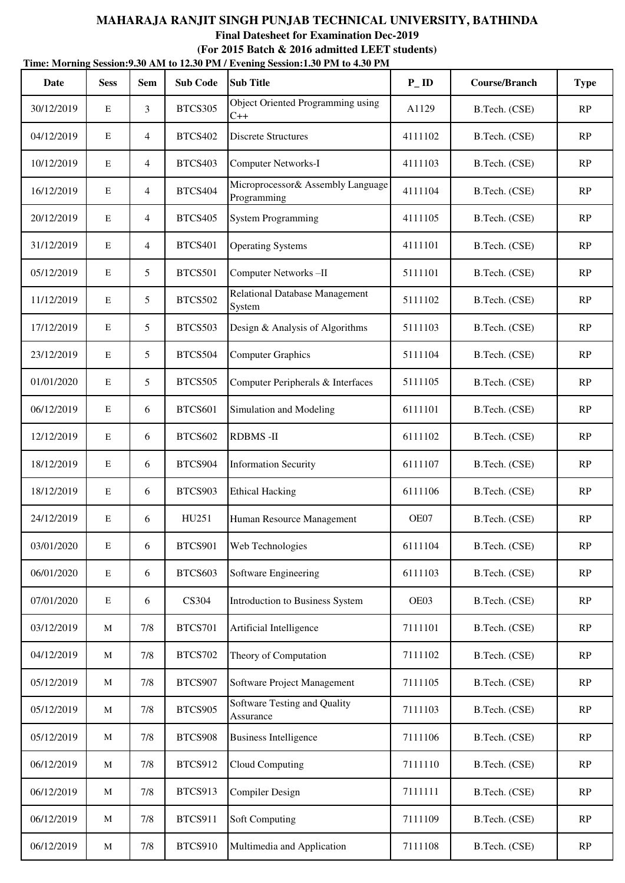|            |             |                 |                 | Time: Morning Session: 9.30 AM to 12.30 PM / Evening Session: 1.30 PM to 4.30 PM |                   |                      |             |
|------------|-------------|-----------------|-----------------|----------------------------------------------------------------------------------|-------------------|----------------------|-------------|
| Date       | <b>Sess</b> | <b>Sem</b>      | <b>Sub Code</b> | <b>Sub Title</b>                                                                 | $P$ <sub>ID</sub> | <b>Course/Branch</b> | <b>Type</b> |
| 30/12/2019 | E           | 3               | <b>BTCS305</b>  | Object Oriented Programming using<br>$C++$                                       | A1129             | B.Tech. (CSE)        | RP          |
| 04/12/2019 | $\mathbf E$ | $\overline{4}$  | <b>BTCS402</b>  | <b>Discrete Structures</b>                                                       | 4111102           | B.Tech. (CSE)        | RP          |
| 10/12/2019 | $\mathbf E$ | $\overline{4}$  | <b>BTCS403</b>  | <b>Computer Networks-I</b>                                                       | 4111103           | B.Tech. (CSE)        | RP          |
| 16/12/2019 | $\mathbf E$ | $\overline{4}$  | <b>BTCS404</b>  | Microprocessor& Assembly Language<br>Programming                                 | 4111104           | B.Tech. (CSE)        | RP          |
| 20/12/2019 | $\mathbf E$ | $\overline{4}$  | <b>BTCS405</b>  | <b>System Programming</b>                                                        | 4111105           | B.Tech. (CSE)        | RP          |
| 31/12/2019 | $\mathbf E$ | $\overline{4}$  | <b>BTCS401</b>  | <b>Operating Systems</b>                                                         | 4111101           | B.Tech. (CSE)        | RP          |
| 05/12/2019 | $\mathbf E$ | 5               | <b>BTCS501</b>  | Computer Networks-II                                                             | 5111101           | B.Tech. (CSE)        | RP          |
| 11/12/2019 | $\mathbf E$ | $5\overline{)}$ | <b>BTCS502</b>  | <b>Relational Database Management</b><br>System                                  | 5111102           | B.Tech. (CSE)        | RP          |
| 17/12/2019 | $\mathbf E$ | 5               | BTCS503         | Design & Analysis of Algorithms                                                  | 5111103           | B.Tech. (CSE)        | RP          |
| 23/12/2019 | $\mathbf E$ | 5               | <b>BTCS504</b>  | <b>Computer Graphics</b>                                                         | 5111104           | B.Tech. (CSE)        | RP          |
| 01/01/2020 | $\mathbf E$ | $5\overline{)}$ | <b>BTCS505</b>  | Computer Peripherals & Interfaces                                                | 5111105           | B.Tech. (CSE)        | RP          |
| 06/12/2019 | $\mathbf E$ | 6               | <b>BTCS601</b>  | Simulation and Modeling                                                          | 6111101           | B.Tech. (CSE)        | RP          |
| 12/12/2019 | $\mathbf E$ | 6               | <b>BTCS602</b>  | <b>RDBMS-II</b>                                                                  | 6111102           | B.Tech. (CSE)        | RP          |
| 18/12/2019 | $\mathbf E$ | 6               | <b>BTCS904</b>  | <b>Information Security</b>                                                      | 6111107           | B.Tech. (CSE)        | RP          |
| 18/12/2019 | $\mathbf E$ | 6               | <b>BTCS903</b>  | <b>Ethical Hacking</b>                                                           | 6111106           | B.Tech. (CSE)        | RP          |
| 24/12/2019 | ${\bf E}$   | 6               | HU251           | Human Resource Management                                                        | OE07              | B.Tech. (CSE)        | RP          |
| 03/01/2020 | $\mathbf E$ | 6               | <b>BTCS901</b>  | Web Technologies                                                                 | 6111104           | B.Tech. (CSE)        | RP          |
| 06/01/2020 | $\mathbf E$ | 6               | BTCS603         | Software Engineering                                                             | 6111103           | B.Tech. (CSE)        | RP          |
| 07/01/2020 | ${\bf E}$   | 6               | CS304           | <b>Introduction to Business System</b>                                           | OE03              | B.Tech. (CSE)        | RP          |
| 03/12/2019 | M           | 7/8             | <b>BTCS701</b>  | Artificial Intelligence                                                          | 7111101           | B.Tech. (CSE)        | RP          |
| 04/12/2019 | M           | 7/8             | <b>BTCS702</b>  | Theory of Computation                                                            | 7111102           | B.Tech. (CSE)        | RP          |
| 05/12/2019 | M           | $7/8$           | <b>BTCS907</b>  | Software Project Management                                                      | 7111105           | B.Tech. (CSE)        | RP          |
| 05/12/2019 | M           | 7/8             | <b>BTCS905</b>  | Software Testing and Quality<br>Assurance                                        | 7111103           | B.Tech. (CSE)        | RP          |
| 05/12/2019 | M           | 7/8             | <b>BTCS908</b>  | <b>Business Intelligence</b>                                                     | 7111106           | B.Tech. (CSE)        | RP          |
| 06/12/2019 | M           | 7/8             | <b>BTCS912</b>  | <b>Cloud Computing</b>                                                           | 7111110           | B.Tech. (CSE)        | RP          |
| 06/12/2019 | M           | 7/8             | <b>BTCS913</b>  | Compiler Design                                                                  | 7111111           | B.Tech. (CSE)        | RP          |
| 06/12/2019 | M           | 7/8             | <b>BTCS911</b>  | Soft Computing                                                                   | 7111109           | B.Tech. (CSE)        | RP          |
| 06/12/2019 | M           | $7/8$           | <b>BTCS910</b>  | Multimedia and Application                                                       | 7111108           | B.Tech. (CSE)        | RP          |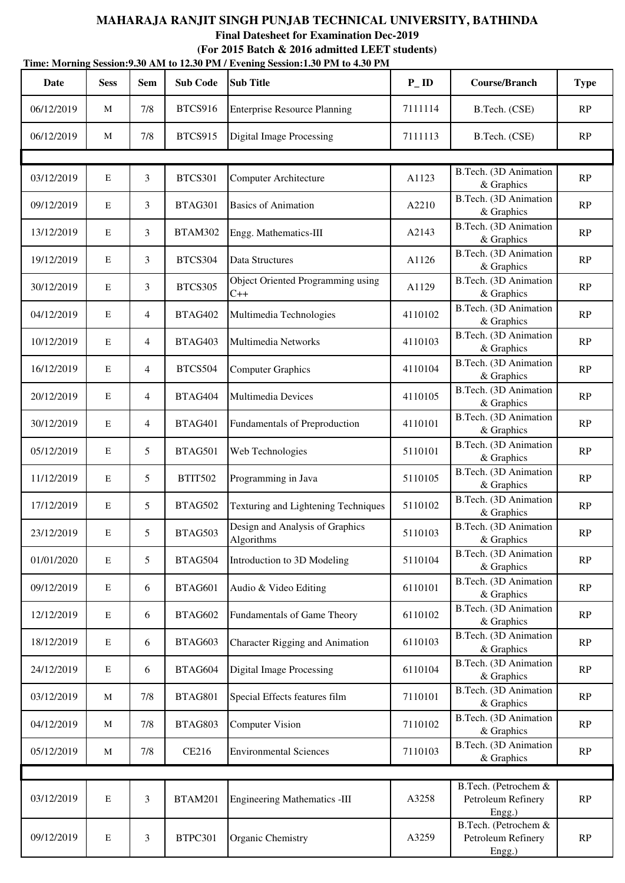**Final Datesheet for Examination Dec-2019**

|             | Time: Morning Session: 9.30 AM to 12.30 PM / Evening Session: 1.30 PM to 4.30 PM |                 |                 |                                               |                   |                                                      |             |  |  |  |
|-------------|----------------------------------------------------------------------------------|-----------------|-----------------|-----------------------------------------------|-------------------|------------------------------------------------------|-------------|--|--|--|
| <b>Date</b> | <b>Sess</b>                                                                      | <b>Sem</b>      | <b>Sub Code</b> | <b>Sub Title</b>                              | $P$ <sub>ID</sub> | <b>Course/Branch</b>                                 | <b>Type</b> |  |  |  |
| 06/12/2019  | M                                                                                | 7/8             | <b>BTCS916</b>  | <b>Enterprise Resource Planning</b>           | 7111114           | B.Tech. (CSE)                                        | RP          |  |  |  |
| 06/12/2019  | M                                                                                | 7/8             | <b>BTCS915</b>  | <b>Digital Image Processing</b>               | 7111113           | B.Tech. (CSE)                                        | RP          |  |  |  |
|             |                                                                                  |                 |                 |                                               |                   |                                                      |             |  |  |  |
| 03/12/2019  | $\mathbf E$                                                                      | 3               | <b>BTCS301</b>  | Computer Architecture                         | A1123             | B.Tech. (3D Animation<br>& Graphics                  | RP          |  |  |  |
| 09/12/2019  | E                                                                                | 3               | BTAG301         | <b>Basics of Animation</b>                    | A2210             | B.Tech. (3D Animation<br>& Graphics                  | RP          |  |  |  |
| 13/12/2019  | $\mathbf E$                                                                      | $\mathfrak{Z}$  | BTAM302         | Engg. Mathematics-III                         | A2143             | B.Tech. (3D Animation<br>& Graphics                  | RP          |  |  |  |
| 19/12/2019  | E                                                                                | $\mathfrak{Z}$  | BTCS304         | Data Structures                               | A1126             | B.Tech. (3D Animation<br>& Graphics                  | RP          |  |  |  |
| 30/12/2019  | $\mathbf E$                                                                      | 3               | <b>BTCS305</b>  | Object Oriented Programming using<br>$C++$    | A1129             | B.Tech. (3D Animation<br>& Graphics                  | RP          |  |  |  |
| 04/12/2019  | $\mathbf E$                                                                      | $\overline{4}$  | BTAG402         | Multimedia Technologies                       | 4110102           | B.Tech. (3D Animation<br>& Graphics                  | RP          |  |  |  |
| 10/12/2019  | E                                                                                | $\overline{4}$  | BTAG403         | <b>Multimedia Networks</b>                    | 4110103           | B.Tech. (3D Animation<br>& Graphics                  | RP          |  |  |  |
| 16/12/2019  | $\mathbf E$                                                                      | $\overline{4}$  | <b>BTCS504</b>  | <b>Computer Graphics</b>                      | 4110104           | B.Tech. (3D Animation<br>& Graphics                  | RP          |  |  |  |
| 20/12/2019  | E                                                                                | $\overline{4}$  | BTAG404         | Multimedia Devices                            | 4110105           | B.Tech. (3D Animation<br>& Graphics                  | RP          |  |  |  |
| 30/12/2019  | E                                                                                | $\overline{4}$  | BTAG401         | Fundamentals of Preproduction                 | 4110101           | B.Tech. (3D Animation<br>& Graphics                  | RP          |  |  |  |
| 05/12/2019  | $\mathbf E$                                                                      | 5               | BTAG501         | Web Technologies                              | 5110101           | B.Tech. (3D Animation<br>& Graphics                  | RP          |  |  |  |
| 11/12/2019  | E                                                                                | 5               | <b>BTIT502</b>  | Programming in Java                           | 5110105           | B.Tech. (3D Animation<br>& Graphics                  | RP          |  |  |  |
| 17/12/2019  | E                                                                                | $5\overline{)}$ | <b>BTAG502</b>  | Texturing and Lightening Techniques           | 5110102           | B.Tech. (3D Animation<br>& Graphics                  | RP          |  |  |  |
| 23/12/2019  | $\mathbf E$                                                                      | 5               | BTAG503         | Design and Analysis of Graphics<br>Algorithms | 5110103           | B.Tech. (3D Animation<br>& Graphics                  | RP          |  |  |  |
| 01/01/2020  | $\mathbf E$                                                                      | $5\overline{)}$ | BTAG504         | Introduction to 3D Modeling                   | 5110104           | B.Tech. (3D Animation<br>& Graphics                  | RP          |  |  |  |
| 09/12/2019  | E                                                                                | 6               | BTAG601         | Audio & Video Editing                         | 6110101           | B.Tech. (3D Animation<br>& Graphics                  | RP          |  |  |  |
| 12/12/2019  | E                                                                                | 6               | <b>BTAG602</b>  | Fundamentals of Game Theory                   | 6110102           | B.Tech. (3D Animation<br>& Graphics                  | RP          |  |  |  |
| 18/12/2019  | $\mathbf E$                                                                      | 6               | BTAG603         | Character Rigging and Animation               | 6110103           | B.Tech. (3D Animation<br>& Graphics                  | RP          |  |  |  |
| 24/12/2019  | $\mathbf E$                                                                      | 6               | BTAG604         | <b>Digital Image Processing</b>               | 6110104           | B.Tech. (3D Animation<br>& Graphics                  | RP          |  |  |  |
| 03/12/2019  | M                                                                                | 7/8             | BTAG801         | Special Effects features film                 | 7110101           | B.Tech. (3D Animation<br>& Graphics                  | RP          |  |  |  |
| 04/12/2019  | M                                                                                | 7/8             | BTAG803         | <b>Computer Vision</b>                        | 7110102           | B.Tech. (3D Animation<br>& Graphics                  | RP          |  |  |  |
| 05/12/2019  | M                                                                                | 7/8             | CE216           | <b>Environmental Sciences</b>                 | 7110103           | B.Tech. (3D Animation<br>& Graphics                  | RP          |  |  |  |
|             |                                                                                  |                 |                 |                                               |                   |                                                      |             |  |  |  |
| 03/12/2019  | E                                                                                | 3               | BTAM201         | <b>Engineering Mathematics -III</b>           | A3258             | B.Tech. (Petrochem &<br>Petroleum Refinery<br>Engg.) | RP          |  |  |  |
| 09/12/2019  | ${\bf E}$                                                                        | 3               | BTPC301         | Organic Chemistry                             | A3259             | B.Tech. (Petrochem &<br>Petroleum Refinery<br>Engg.) | RP          |  |  |  |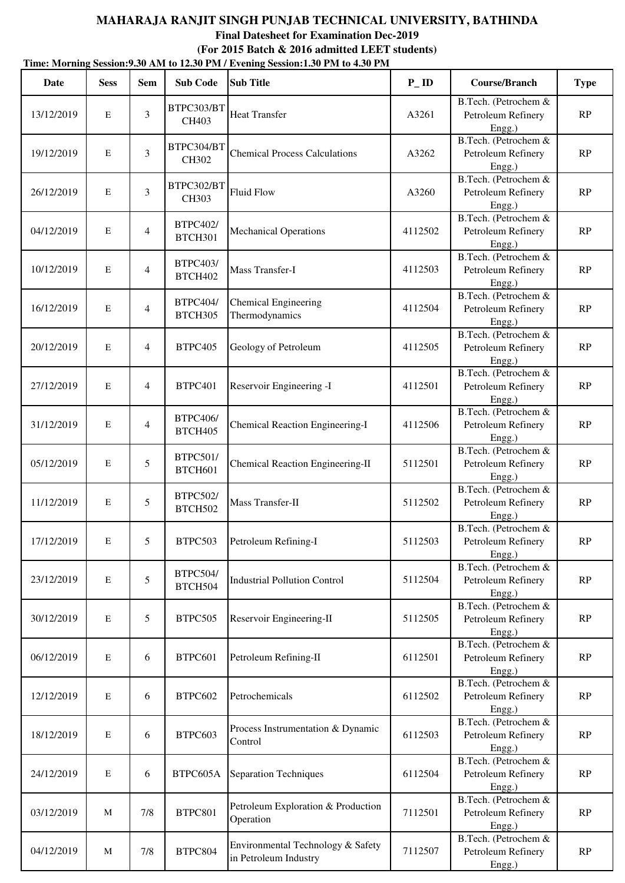|            |             |                |                            | Time: Morning Session: 9.30 AM to 12.30 PM / Evening Session: 1.30 PM to 4.30 PM |                   |                                                      |               |
|------------|-------------|----------------|----------------------------|----------------------------------------------------------------------------------|-------------------|------------------------------------------------------|---------------|
| Date       | <b>Sess</b> | <b>Sem</b>     | <b>Sub Code</b>            | <b>Sub Title</b>                                                                 | $P$ <sub>ID</sub> | <b>Course/Branch</b>                                 | <b>Type</b>   |
| 13/12/2019 | $\mathbf E$ | 3              | BTPC303/BT<br>CH403        | <b>Heat Transfer</b>                                                             | A3261             | B.Tech. (Petrochem &<br>Petroleum Refinery<br>Engg.) | RP            |
| 19/12/2019 | $\mathbf E$ | 3              | BTPC304/BT<br>CH302        | <b>Chemical Process Calculations</b>                                             | A3262             | B.Tech. (Petrochem &<br>Petroleum Refinery<br>Engg.) | RP            |
| 26/12/2019 | $\mathbf E$ | $\overline{3}$ | BTPC302/BT<br>CH303        | <b>Fluid Flow</b>                                                                | A3260             | B.Tech. (Petrochem &<br>Petroleum Refinery<br>Engg.) | RP            |
| 04/12/2019 | $\mathbf E$ | 4              | <b>BTPC402/</b><br>BTCH301 | <b>Mechanical Operations</b>                                                     | 4112502           | B.Tech. (Petrochem &<br>Petroleum Refinery<br>Engg.) | RP            |
| 10/12/2019 | $\mathbf E$ | 4              | <b>BTPC403/</b><br>BTCH402 | Mass Transfer-I                                                                  | 4112503           | B.Tech. (Petrochem &<br>Petroleum Refinery<br>Engg.) | RP            |
| 16/12/2019 | $\mathbf E$ | $\overline{4}$ | <b>BTPC404/</b><br>BTCH305 | <b>Chemical Engineering</b><br>Thermodynamics                                    | 4112504           | B.Tech. (Petrochem &<br>Petroleum Refinery<br>Engg.) | RP            |
| 20/12/2019 | $\mathbf E$ | $\overline{4}$ | BTPC405                    | Geology of Petroleum                                                             | 4112505           | B.Tech. (Petrochem &<br>Petroleum Refinery<br>Engg.) | RP            |
| 27/12/2019 | $\mathbf E$ | $\overline{4}$ | BTPC401                    | Reservoir Engineering -I                                                         | 4112501           | B.Tech. (Petrochem &<br>Petroleum Refinery<br>Engg.) | RP            |
| 31/12/2019 | $\mathbf E$ | 4              | <b>BTPC406/</b><br>BTCH405 | Chemical Reaction Engineering-I                                                  | 4112506           | B.Tech. (Petrochem &<br>Petroleum Refinery<br>Engg.) | RP            |
| 05/12/2019 | $\mathbf E$ | 5              | <b>BTPC501/</b><br>BTCH601 | <b>Chemical Reaction Engineering-II</b>                                          | 5112501           | B.Tech. (Petrochem &<br>Petroleum Refinery<br>Engg.) | RP            |
| 11/12/2019 | $\mathbf E$ | 5              | <b>BTPC502/</b><br>BTCH502 | Mass Transfer-II                                                                 | 5112502           | B.Tech. (Petrochem &<br>Petroleum Refinery<br>Engg.) | $\mathbf{RP}$ |
| 17/12/2019 | E           | 5              | BTPC503                    | Petroleum Refining-I                                                             | 5112503           | B.Tech. (Petrochem &<br>Petroleum Refinery<br>Engg.) | RP            |
| 23/12/2019 | $\mathbf E$ | 5              | <b>BTPC504/</b><br>BTCH504 | <b>Industrial Pollution Control</b>                                              | 5112504           | B.Tech. (Petrochem &<br>Petroleum Refinery<br>Engg.) | RP            |
| 30/12/2019 | $\mathbf E$ | 5              | BTPC505                    | Reservoir Engineering-II                                                         | 5112505           | B.Tech. (Petrochem &<br>Petroleum Refinery<br>Engg.) | RP            |
| 06/12/2019 | $\mathbf E$ | 6              | BTPC601                    | Petroleum Refining-II                                                            | 6112501           | B.Tech. (Petrochem &<br>Petroleum Refinery<br>Engg.) | $\mathbf{RP}$ |
| 12/12/2019 | $\mathbf E$ | 6              | BTPC602                    | Petrochemicals                                                                   | 6112502           | B.Tech. (Petrochem &<br>Petroleum Refinery<br>Engg.) | RP            |
| 18/12/2019 | $\mathbf E$ | 6              | BTPC603                    | Process Instrumentation & Dynamic<br>Control                                     | 6112503           | B.Tech. (Petrochem &<br>Petroleum Refinery<br>Engg.) | RP            |
| 24/12/2019 | $\mathbf E$ | 6              | BTPC605A                   | <b>Separation Techniques</b>                                                     | 6112504           | B.Tech. (Petrochem &<br>Petroleum Refinery<br>Engg.) | RP            |
| 03/12/2019 | M           | 7/8            | <b>BTPC801</b>             | Petroleum Exploration & Production<br>Operation                                  | 7112501           | B.Tech. (Petrochem &<br>Petroleum Refinery<br>Engg.) | RP            |
| 04/12/2019 | M           | 7/8            | BTPC804                    | Environmental Technology & Safety<br>in Petroleum Industry                       | 7112507           | B.Tech. (Petrochem &<br>Petroleum Refinery<br>Engg.) | RP            |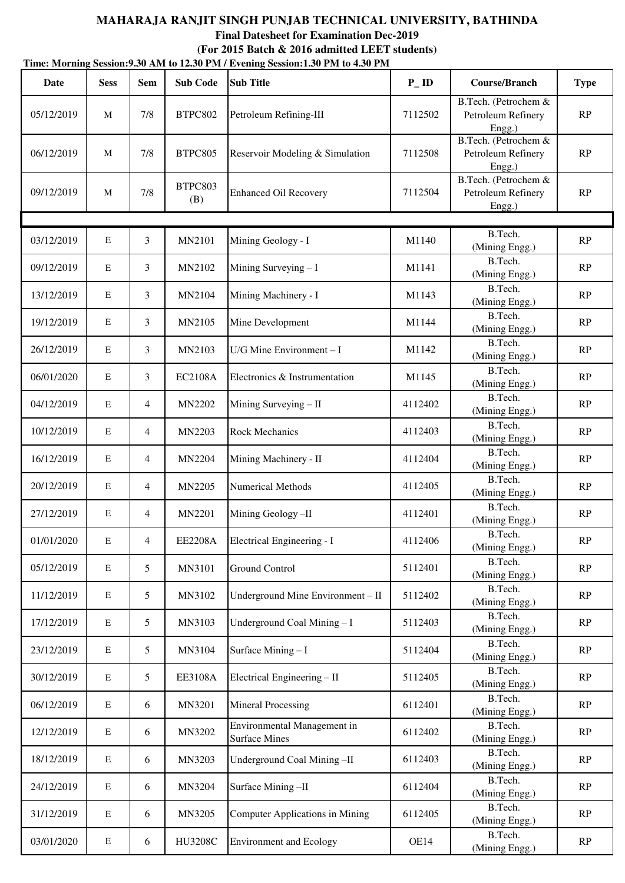**Time: Morning Session:9.30 AM to 12.30 PM / Evening Session:1.30 PM to 4.30 PM (For 2015 Batch & 2016 admitted LEET students)**

| <b>Date</b> | <b>Sess</b> | <b>Sem</b>      | <b>Sub Code</b> | <b>Sub Title</b>                                    | $P$ <sub>ID</sub> | <b>Course/Branch</b>                                 | <b>Type</b>   |
|-------------|-------------|-----------------|-----------------|-----------------------------------------------------|-------------------|------------------------------------------------------|---------------|
| 05/12/2019  | M           | 7/8             | BTPC802         | Petroleum Refining-III                              | 7112502           | B.Tech. (Petrochem &<br>Petroleum Refinery<br>Engg.) | RP            |
| 06/12/2019  | M           | 7/8             | BTPC805         | Reservoir Modeling & Simulation                     | 7112508           | B.Tech. (Petrochem &<br>Petroleum Refinery<br>Engg.) | RP            |
| 09/12/2019  | M           | 7/8             | BTPC803<br>(B)  | <b>Enhanced Oil Recovery</b>                        | 7112504           | B.Tech. (Petrochem &<br>Petroleum Refinery<br>Engg.) | RP            |
|             |             |                 |                 |                                                     |                   |                                                      |               |
| 03/12/2019  | $\mathbf E$ | 3               | MN2101          | Mining Geology - I                                  | M1140             | B.Tech.<br>(Mining Engg.)                            | RP            |
| 09/12/2019  | $\mathbf E$ | 3               | MN2102          | Mining Surveying - I                                | M1141             | B.Tech.<br>(Mining Engg.)                            | RP            |
| 13/12/2019  | $\mathbf E$ | 3               | MN2104          | Mining Machinery - I                                | M1143             | B.Tech.<br>(Mining Engg.)                            | RP            |
| 19/12/2019  | $\mathbf E$ | 3               | MN2105          | Mine Development                                    | M1144             | B.Tech.<br>(Mining Engg.)                            | RP            |
| 26/12/2019  | $\mathbf E$ | 3               | MN2103          | $U/G$ Mine Environment - I                          | M1142             | B.Tech.<br>(Mining Engg.)                            | RP            |
| 06/01/2020  | $\mathbf E$ | 3               | <b>EC2108A</b>  | Electronics & Instrumentation                       | M1145             | B.Tech.<br>(Mining Engg.)                            | RP            |
| 04/12/2019  | $\mathbf E$ | $\overline{4}$  | MN2202          | Mining Surveying - II                               | 4112402           | B.Tech.<br>(Mining Engg.)                            | RP            |
| 10/12/2019  | $\mathbf E$ | $\overline{4}$  | MN2203          | <b>Rock Mechanics</b>                               | 4112403           | B.Tech.<br>(Mining Engg.)                            | RP            |
| 16/12/2019  | ${\bf E}$   | $\overline{4}$  | MN2204          | Mining Machinery - II                               | 4112404           | B.Tech.<br>(Mining Engg.)                            | RP            |
| 20/12/2019  | E           | $\overline{4}$  | MN2205          | Numerical Methods                                   | 4112405           | B.Tech.<br>(Mining Engg.)                            | RP            |
| 27/12/2019  | $\mathbf E$ | $\overline{4}$  | MN2201          | Mining Geology-II                                   | 4112401           | B.Tech.<br>(Mining Engg.)                            | RP            |
| 01/01/2020  | ${\bf E}$   | 4               | <b>EE2208A</b>  | Electrical Engineering - I                          | 4112406           | B.Tech.<br>(Mining Engg.)                            | $\mathbf{RP}$ |
| 05/12/2019  | $\mathbf E$ | 5               | MN3101          | Ground Control                                      | 5112401           | B.Tech.<br>(Mining Engg.)                            | RP            |
| 11/12/2019  | ${\bf E}$   | $5\overline{)}$ | MN3102          | Underground Mine Environment - II                   | 5112402           | B.Tech.<br>(Mining Engg.)                            | RP            |
| 17/12/2019  | $\mathbf E$ | $5\overline{)}$ | MN3103          | Underground Coal Mining-I                           | 5112403           | B.Tech.<br>(Mining Engg.)                            | RP            |
| 23/12/2019  | E           | $5\overline{)}$ | MN3104          | Surface Mining - I                                  | 5112404           | B.Tech.<br>(Mining Engg.)                            | RP            |
| 30/12/2019  | $\mathbf E$ | $5\overline{)}$ | EE3108A         | Electrical Engineering - II                         | 5112405           | B.Tech.<br>(Mining Engg.)                            | RP            |
| 06/12/2019  | ${\bf E}$   | 6               | MN3201          | <b>Mineral Processing</b>                           | 6112401           | B.Tech.<br>(Mining Engg.)                            | RP            |
| 12/12/2019  | ${\bf E}$   | 6               | MN3202          | Environmental Management in<br><b>Surface Mines</b> | 6112402           | B.Tech.<br>(Mining Engg.)                            | RP            |
| 18/12/2019  | $\mathbf E$ | 6               | MN3203          | Underground Coal Mining-II                          | 6112403           | B.Tech.<br>(Mining Engg.)                            | RP            |
| 24/12/2019  | E           | 6               | MN3204          | Surface Mining-II                                   | 6112404           | B.Tech.<br>(Mining Engg.)                            | RP            |
| 31/12/2019  | $\mathbf E$ | 6               | MN3205          | Computer Applications in Mining                     | 6112405           | B.Tech.<br>(Mining Engg.)                            | RP            |
| 03/01/2020  | ${\bf E}$   | 6               | HU3208C         | <b>Environment</b> and Ecology                      | OE14              | B.Tech.<br>(Mining Engg.)                            | RP            |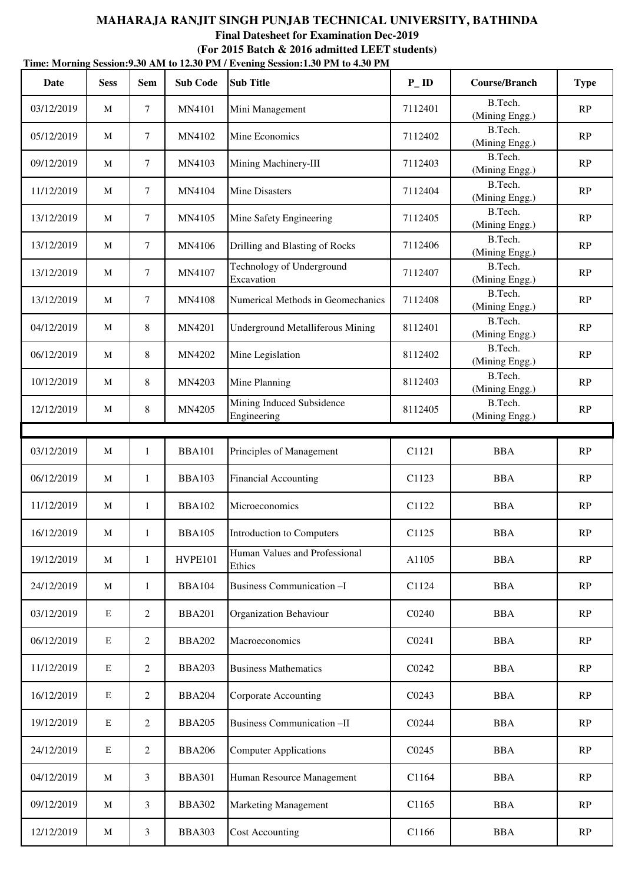|            | Time: Morning Session: 9.30 AM to 12.30 PM / Evening Session: 1.30 PM to 4.30 PM |                |                 |                                          |                   |                           |             |  |  |  |  |
|------------|----------------------------------------------------------------------------------|----------------|-----------------|------------------------------------------|-------------------|---------------------------|-------------|--|--|--|--|
| Date       | <b>Sess</b>                                                                      | <b>Sem</b>     | <b>Sub Code</b> | <b>Sub Title</b>                         | $P$ <sub>ID</sub> | Course/Branch             | <b>Type</b> |  |  |  |  |
| 03/12/2019 | M                                                                                | 7              | MN4101          | Mini Management                          | 7112401           | B.Tech.<br>(Mining Engg.) | RP          |  |  |  |  |
| 05/12/2019 | M                                                                                | $\tau$         | MN4102          | Mine Economics                           | 7112402           | B.Tech.<br>(Mining Engg.) | RP          |  |  |  |  |
| 09/12/2019 | M                                                                                | $\tau$         | MN4103          | Mining Machinery-III                     | 7112403           | B.Tech.<br>(Mining Engg.) | RP          |  |  |  |  |
| 11/12/2019 | M                                                                                | $\tau$         | MN4104          | <b>Mine Disasters</b>                    | 7112404           | B.Tech.<br>(Mining Engg.) | RP          |  |  |  |  |
| 13/12/2019 | M                                                                                | $\tau$         | MN4105          | Mine Safety Engineering                  | 7112405           | B.Tech.<br>(Mining Engg.) | RP          |  |  |  |  |
| 13/12/2019 | M                                                                                | $\tau$         | MN4106          | Drilling and Blasting of Rocks           | 7112406           | B.Tech.<br>(Mining Engg.) | RP          |  |  |  |  |
| 13/12/2019 | M                                                                                | $\tau$         | MN4107          | Technology of Underground<br>Excavation  | 7112407           | B.Tech.<br>(Mining Engg.) | RP          |  |  |  |  |
| 13/12/2019 | M                                                                                | $\overline{7}$ | MN4108          | Numerical Methods in Geomechanics        | 7112408           | B.Tech.<br>(Mining Engg.) | RP          |  |  |  |  |
| 04/12/2019 | M                                                                                | 8              | MN4201          | <b>Underground Metalliferous Mining</b>  | 8112401           | B.Tech.<br>(Mining Engg.) | RP          |  |  |  |  |
| 06/12/2019 | M                                                                                | 8              | MN4202          | Mine Legislation                         | 8112402           | B.Tech.<br>(Mining Engg.) | RP          |  |  |  |  |
| 10/12/2019 | M                                                                                | 8              | MN4203          | Mine Planning                            | 8112403           | B.Tech.<br>(Mining Engg.) | RP          |  |  |  |  |
| 12/12/2019 | M                                                                                | 8              | MN4205          | Mining Induced Subsidence<br>Engineering | 8112405           | B.Tech.<br>(Mining Engg.) | RP          |  |  |  |  |
|            |                                                                                  |                |                 |                                          |                   |                           |             |  |  |  |  |
| 03/12/2019 | $\mathbf M$                                                                      | 1              | <b>BBA101</b>   | Principles of Management                 | C1121             | <b>BBA</b>                | RP          |  |  |  |  |
| 06/12/2019 | M                                                                                | 1              | <b>BBA103</b>   | <b>Financial Accounting</b>              | C <sub>1123</sub> | <b>BBA</b>                | RP          |  |  |  |  |
| 11/12/2019 | M                                                                                | 1              | <b>BBA102</b>   | Microeconomics                           | C1122             | <b>BBA</b>                | RP          |  |  |  |  |
| 16/12/2019 | $\mathbf M$                                                                      | 1              | <b>BBA105</b>   | Introduction to Computers                | C <sub>1125</sub> | <b>BBA</b>                | RP          |  |  |  |  |
| 19/12/2019 | $\mathbf{M}$                                                                     | $\mathbf{1}$   | HVPE101         | Human Values and Professional<br>Ethics  | A1105             | <b>BBA</b>                | RP          |  |  |  |  |
| 24/12/2019 | M                                                                                | 1              | <b>BBA104</b>   | Business Communication-I                 | C1124             | <b>BBA</b>                | RP          |  |  |  |  |
| 03/12/2019 | E                                                                                | $\overline{2}$ | <b>BBA201</b>   | Organization Behaviour                   | C0240             | <b>BBA</b>                | RP          |  |  |  |  |
| 06/12/2019 | $\mathbf E$                                                                      | $\overline{2}$ | <b>BBA202</b>   | Macroeconomics                           | C0241             | <b>BBA</b>                | RP          |  |  |  |  |
| 11/12/2019 | E                                                                                | $\overline{2}$ | <b>BBA203</b>   | <b>Business Mathematics</b>              | C0242             | <b>BBA</b>                | RP          |  |  |  |  |
| 16/12/2019 | E                                                                                | $\overline{2}$ | <b>BBA204</b>   | Corporate Accounting                     | C0243             | <b>BBA</b>                | RP          |  |  |  |  |
| 19/12/2019 | E                                                                                | $\overline{2}$ | <b>BBA205</b>   | Business Communication -II               | C0244             | <b>BBA</b>                | RP          |  |  |  |  |
| 24/12/2019 | E                                                                                | $\overline{2}$ | <b>BBA206</b>   | <b>Computer Applications</b>             | C0245             | <b>BBA</b>                | RP          |  |  |  |  |
| 04/12/2019 | M                                                                                | 3              | <b>BBA301</b>   | Human Resource Management                | C1164             | <b>BBA</b>                | RP          |  |  |  |  |
| 09/12/2019 | M                                                                                | 3              | <b>BBA302</b>   | <b>Marketing Management</b>              | C1165             | <b>BBA</b>                | RP          |  |  |  |  |
| 12/12/2019 | M                                                                                | 3              | <b>BBA303</b>   | <b>Cost Accounting</b>                   | C1166             | <b>BBA</b>                | RP          |  |  |  |  |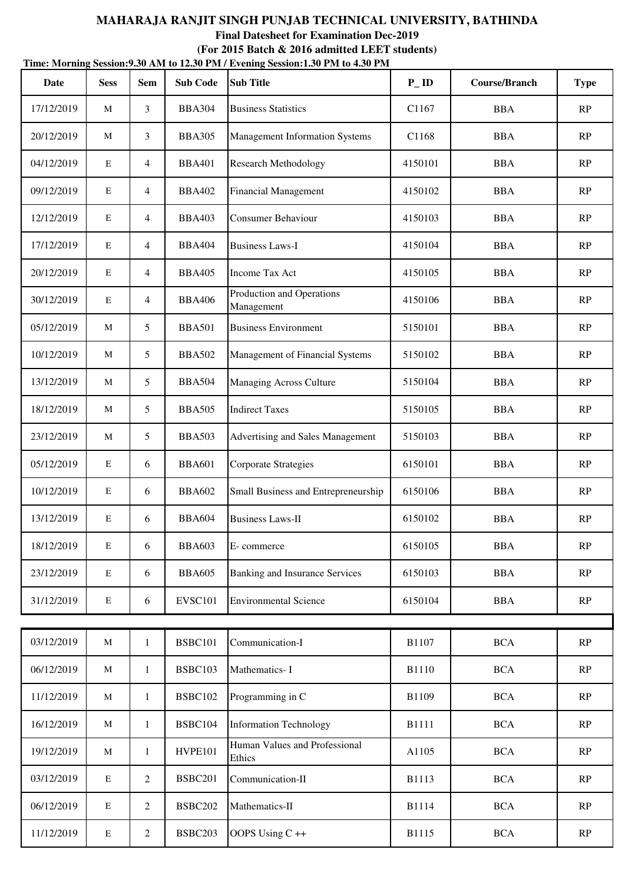| Date       | <b>Sess</b> | <b>Sem</b>     | <b>Sub Code</b> | <b>Sub Title</b>                        | $P$ <sub>ID</sub> | <b>Course/Branch</b> | <b>Type</b>   |
|------------|-------------|----------------|-----------------|-----------------------------------------|-------------------|----------------------|---------------|
| 17/12/2019 | M           | 3              | <b>BBA304</b>   | <b>Business Statistics</b>              | C1167             | <b>BBA</b>           | RP            |
| 20/12/2019 | M           | 3              | <b>BBA305</b>   | <b>Management Information Systems</b>   | C1168             | <b>BBA</b>           | RP            |
| 04/12/2019 | E           | 4              | <b>BBA401</b>   | <b>Research Methodology</b>             | 4150101           | <b>BBA</b>           | RP            |
| 09/12/2019 | E           | $\overline{4}$ | <b>BBA402</b>   | <b>Financial Management</b>             | 4150102           | <b>BBA</b>           | RP            |
| 12/12/2019 | E           | $\overline{4}$ | <b>BBA403</b>   | <b>Consumer Behaviour</b>               | 4150103           | <b>BBA</b>           | RP            |
| 17/12/2019 | E           | 4              | <b>BBA404</b>   | <b>Business Laws-I</b>                  | 4150104           | <b>BBA</b>           | RP            |
| 20/12/2019 | E           | 4              | <b>BBA405</b>   | <b>Income Tax Act</b>                   | 4150105           | <b>BBA</b>           | RP            |
| 30/12/2019 | E           | 4              | <b>BBA406</b>   | Production and Operations<br>Management | 4150106           | <b>BBA</b>           | RP            |
| 05/12/2019 | M           | 5              | <b>BBA501</b>   | <b>Business Environment</b>             | 5150101           | <b>BBA</b>           | RP            |
| 10/12/2019 | M           | 5              | <b>BBA502</b>   | Management of Financial Systems         | 5150102           | <b>BBA</b>           | RP            |
| 13/12/2019 | M           | 5              | <b>BBA504</b>   | <b>Managing Across Culture</b>          | 5150104           | <b>BBA</b>           | RP            |
| 18/12/2019 | M           | 5              | <b>BBA505</b>   | <b>Indirect Taxes</b>                   | 5150105           | <b>BBA</b>           | RP            |
| 23/12/2019 | M           | 5              | <b>BBA503</b>   | Advertising and Sales Management        | 5150103           | <b>BBA</b>           | RP            |
| 05/12/2019 | E           | 6              | <b>BBA601</b>   | Corporate Strategies                    | 6150101           | <b>BBA</b>           | RP            |
| 10/12/2019 | E           | 6              | <b>BBA602</b>   | Small Business and Entrepreneurship     | 6150106           | <b>BBA</b>           | RP            |
| 13/12/2019 | E           | 6              | <b>BBA604</b>   | <b>Business Laws-II</b>                 | 6150102           | <b>BBA</b>           | RP            |
| 18/12/2019 | E           | 6              | <b>BBA603</b>   | E-commerce                              | 6150105           | <b>BBA</b>           | RP            |
| 23/12/2019 | E           | 6              | <b>BBA605</b>   | <b>Banking and Insurance Services</b>   | 6150103           | <b>BBA</b>           | RP            |
| 31/12/2019 | ${\bf E}$   | 6              | <b>EVSC101</b>  | <b>Environmental Science</b>            | 6150104           | <b>BBA</b>           | RP            |
|            |             |                |                 |                                         |                   |                      |               |
| 03/12/2019 | $\mathbf M$ | $\mathbf{1}$   | <b>BSBC101</b>  | Communication-I                         | B1107             | <b>BCA</b>           | RP            |
| 06/12/2019 | M           | $\mathbf{1}$   | <b>BSBC103</b>  | Mathematics-I                           | <b>B1110</b>      | <b>BCA</b>           | RP            |
| 11/12/2019 | $\mathbf M$ | $\mathbf{1}$   | <b>BSBC102</b>  | Programming in C                        | B1109             | <b>BCA</b>           | RP            |
| 16/12/2019 | M           | $\mathbf{1}$   | BSBC104         | <b>Information Technology</b>           | <b>B1111</b>      | <b>BCA</b>           | RP            |
| 19/12/2019 | M           | $\mathbf{1}$   | HVPE101         | Human Values and Professional<br>Ethics | A1105             | <b>BCA</b>           | $\mathbf{RP}$ |
| 03/12/2019 | $\mathbf E$ | $\overline{c}$ | <b>BSBC201</b>  | Communication-II                        | B1113             | <b>BCA</b>           | RP            |
| 06/12/2019 | E           | $\overline{c}$ | <b>BSBC202</b>  | Mathematics-II                          | <b>B1114</b>      | <b>BCA</b>           | RP            |
| 11/12/2019 | ${\bf E}$   | $\overline{c}$ | BSBC203         | OOPS Using C++                          | B1115             | <b>BCA</b>           | $\mathbf{RP}$ |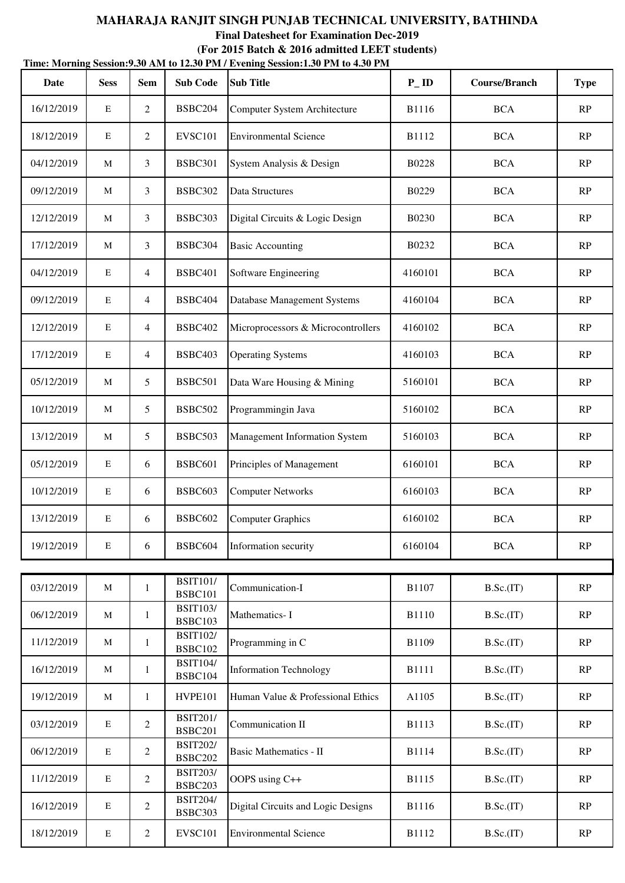| Date       | <b>Sess</b> | <b>Sem</b>     | <b>Sub Code</b>                   | <b>Sub Title</b>                     | $P$ <sub>ID</sub> | <b>Course/Branch</b> | <b>Type</b> |
|------------|-------------|----------------|-----------------------------------|--------------------------------------|-------------------|----------------------|-------------|
| 16/12/2019 | E           | $\overline{c}$ | BSBC204                           | Computer System Architecture         | <b>B1116</b>      | <b>BCA</b>           | RP          |
| 18/12/2019 | E           | 2              | <b>EVSC101</b>                    | <b>Environmental Science</b>         | B1112             | <b>BCA</b>           | RP          |
| 04/12/2019 | M           | 3              | <b>BSBC301</b>                    | System Analysis & Design             | <b>B0228</b>      | <b>BCA</b>           | RP          |
| 09/12/2019 | M           | 3              | BSBC302                           | Data Structures                      | B0229             | <b>BCA</b>           | RP          |
| 12/12/2019 | M           | 3              | BSBC303                           | Digital Circuits & Logic Design      | B0230             | <b>BCA</b>           | RP          |
| 17/12/2019 | M           | 3              | BSBC304                           | <b>Basic Accounting</b>              | B0232             | <b>BCA</b>           | RP          |
| 04/12/2019 | E           | 4              | <b>BSBC401</b>                    | Software Engineering                 | 4160101           | <b>BCA</b>           | RP          |
| 09/12/2019 | $\mathbf E$ | 4              | <b>BSBC404</b>                    | Database Management Systems          | 4160104           | <b>BCA</b>           | RP          |
| 12/12/2019 | E           | 4              | <b>BSBC402</b>                    | Microprocessors & Microcontrollers   | 4160102           | <b>BCA</b>           | RP          |
| 17/12/2019 | E           | $\overline{4}$ | BSBC403                           | <b>Operating Systems</b>             | 4160103           | <b>BCA</b>           | RP          |
| 05/12/2019 | M           | 5              | <b>BSBC501</b>                    | Data Ware Housing & Mining           | 5160101           | <b>BCA</b>           | RP          |
| 10/12/2019 | $\mathbf M$ | 5              | <b>BSBC502</b>                    | Programmingin Java                   | 5160102           | <b>BCA</b>           | RP          |
| 13/12/2019 | M           | 5              | BSBC503                           | <b>Management Information System</b> | 5160103           | <b>BCA</b>           | RP          |
| 05/12/2019 | ${\bf E}$   | 6              | <b>BSBC601</b>                    | Principles of Management             | 6160101           | <b>BCA</b>           | RP          |
| 10/12/2019 | E           | 6              | BSBC603                           | <b>Computer Networks</b>             | 6160103           | <b>BCA</b>           | RP          |
| 13/12/2019 | E           | 6              | <b>BSBC602</b>                    | <b>Computer Graphics</b>             | 6160102           | <b>BCA</b>           | RP          |
| 19/12/2019 | E           | 6              | BSBC604                           | Information security                 | 6160104           | <b>BCA</b>           | RP          |
|            |             |                | <b>BSIT101/</b>                   |                                      |                   |                      |             |
| 03/12/2019 | $\mathbf M$ | $\mathbf{1}$   | <b>BSBC101</b><br><b>BSIT103/</b> | Communication-I                      | B1107             | B.Sc.(IT)            | RP          |
| 06/12/2019 | M           | $\mathbf{1}$   | <b>BSBC103</b>                    | Mathematics-I                        | <b>B1110</b>      | B.Sc.(IT)            | RP          |
| 11/12/2019 | M           | $\mathbf{1}$   | <b>BSIT102/</b><br><b>BSBC102</b> | Programming in C                     | B1109             | B.Sc.(IT)            | RP          |
| 16/12/2019 | M           | $\mathbf{1}$   | <b>BSIT104/</b><br>BSBC104        | <b>Information Technology</b>        | <b>B1111</b>      | B.Sc.(IT)            | RP          |
| 19/12/2019 | M           | $\mathbf{1}$   | HVPE101                           | Human Value & Professional Ethics    | A1105             | B.Sc.(IT)            | RP          |
| 03/12/2019 | E           | 2              | <b>BSIT201/</b><br><b>BSBC201</b> | Communication II                     | B1113             | B.Sc.(IT)            | RP          |
| 06/12/2019 | $\mathbf E$ | $\overline{2}$ | <b>BSIT202/</b><br><b>BSBC202</b> | <b>Basic Mathematics - II</b>        | B1114             | B.Sc.(IT)            | RP          |
| 11/12/2019 | $\mathbf E$ | 2              | <b>BSIT203/</b><br><b>BSBC203</b> | OOPS using C++                       | B1115             | B.Sc.(IT)            | RP          |
| 16/12/2019 | E           | $\overline{c}$ | <b>BSIT204/</b><br>BSBC303        | Digital Circuits and Logic Designs   | B1116             | B.Sc.(IT)            | RP          |
| 18/12/2019 | ${\bf E}$   | $\overline{c}$ | <b>EVSC101</b>                    | <b>Environmental Science</b>         | B1112             | B.Sc.(IT)            | RP          |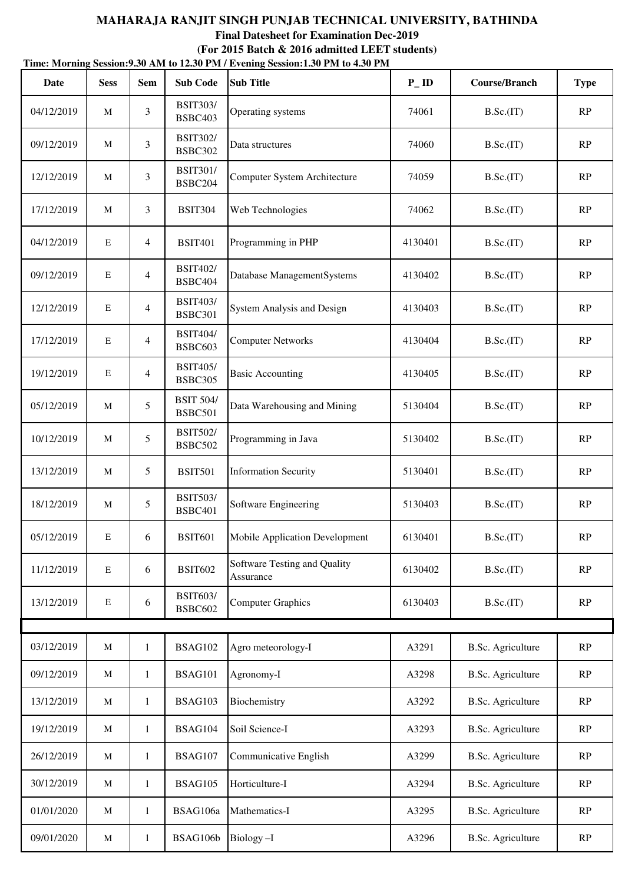**Time: Morning Session:9.30 AM to 12.30 PM / Evening Session:1.30 PM to 4.30 PM (For 2015 Batch & 2016 admitted LEET students)**

| Date       | <b>Sess</b> | <b>Sem</b>     | <b>Sub Code</b>                    | <b>Sub Title</b>                          | $P$ <sub>ID</sub> | <b>Course/Branch</b>     | <b>Type</b>   |
|------------|-------------|----------------|------------------------------------|-------------------------------------------|-------------------|--------------------------|---------------|
| 04/12/2019 | M           | 3              | <b>BSIT303/</b><br><b>BSBC403</b>  | Operating systems                         | 74061             | B.Sc.(IT)                | RP            |
| 09/12/2019 | M           | 3              | <b>BSIT302/</b><br><b>BSBC302</b>  | Data structures                           | 74060             | B.Sc.(IT)                | RP            |
| 12/12/2019 | M           | 3              | <b>BSIT301/</b><br>BSBC204         | Computer System Architecture              | 74059             | B.Sc.(IT)                | RP            |
| 17/12/2019 | M           | $\overline{3}$ | <b>BSIT304</b>                     | Web Technologies                          | 74062             | B.Sc.(IT)                | RP            |
| 04/12/2019 | E           | $\overline{4}$ | <b>BSIT401</b>                     | Programming in PHP                        | 4130401           | B.Sc.(IT)                | RP            |
| 09/12/2019 | E           | $\overline{4}$ | <b>BSIT402/</b><br>BSBC404         | Database ManagementSystems                | 4130402           | B.Sc.(IT)                | RP            |
| 12/12/2019 | E           | $\overline{4}$ | <b>BSIT403/</b><br><b>BSBC301</b>  | <b>System Analysis and Design</b>         | 4130403           | B.Sc.(IT)                | RP            |
| 17/12/2019 | E           | $\overline{4}$ | <b>BSIT404/</b><br><b>BSBC603</b>  | <b>Computer Networks</b>                  | 4130404           | B.Sc.(IT)                | RP            |
| 19/12/2019 | $\mathbf E$ | $\overline{4}$ | <b>BSIT405/</b><br><b>BSBC305</b>  | <b>Basic Accounting</b>                   | 4130405           | B.Sc.(IT)                | RP            |
| 05/12/2019 | M           | 5              | <b>BSIT 504/</b><br><b>BSBC501</b> | Data Warehousing and Mining               | 5130404           | B.Sc.(IT)                | $\mathbf{RP}$ |
| 10/12/2019 | M           | 5              | <b>BSIT502/</b><br><b>BSBC502</b>  | Programming in Java                       | 5130402           | B.Sc.(IT)                | RP            |
| 13/12/2019 | M           | 5              | <b>BSIT501</b>                     | <b>Information Security</b>               | 5130401           | B.Sc.(IT)                | RP            |
| 18/12/2019 | M           | 5              | <b>BSIT503/</b><br><b>BSBC401</b>  | Software Engineering                      | 5130403           | B.Sc.(IT)                | RP            |
| 05/12/2019 | E           | 6              | <b>BSIT601</b>                     | Mobile Application Development            | 6130401           | B.Sc.(IT)                | RP            |
| 11/12/2019 | $\mathbf E$ | 6              | <b>BSIT602</b>                     | Software Testing and Quality<br>Assurance | 6130402           | B.Sc.(IT)                | $\mathbf{RP}$ |
| 13/12/2019 | E           | 6              | <b>BSIT603/</b><br><b>BSBC602</b>  | <b>Computer Graphics</b>                  | 6130403           | B.Sc.(IT)                | RP            |
|            |             |                |                                    |                                           |                   |                          |               |
| 03/12/2019 | M           | $\mathbf{1}$   | <b>BSAG102</b>                     | Agro meteorology-I                        | A3291             | <b>B.Sc. Agriculture</b> | RP            |
| 09/12/2019 | M           | $\mathbf{1}$   | <b>BSAG101</b>                     | Agronomy-I                                | A3298             | <b>B.Sc. Agriculture</b> | $\mathbf{RP}$ |
| 13/12/2019 | M           | $\mathbf{1}$   | <b>BSAG103</b>                     | Biochemistry                              | A3292             | <b>B.Sc.</b> Agriculture | RP            |
| 19/12/2019 | M           | $\mathbf{1}$   | <b>BSAG104</b>                     | Soil Science-I                            | A3293             | <b>B.Sc.</b> Agriculture | RP            |
| 26/12/2019 | M           | $\mathbf{1}$   | <b>BSAG107</b>                     | Communicative English                     | A3299             | <b>B.Sc. Agriculture</b> | RP            |
| 30/12/2019 | $\mathbf M$ | $\mathbf{1}$   | <b>BSAG105</b>                     | Horticulture-I                            | A3294             | <b>B.Sc. Agriculture</b> | RP            |
| 01/01/2020 | M           | $\mathbf{1}$   | BSAG106a                           | Mathematics-I                             | A3295             | <b>B.Sc. Agriculture</b> | RP            |
| 09/01/2020 | M           | $\mathbf{1}$   | BSAG106b                           | Biology-I                                 | A3296             | <b>B.Sc. Agriculture</b> | RP            |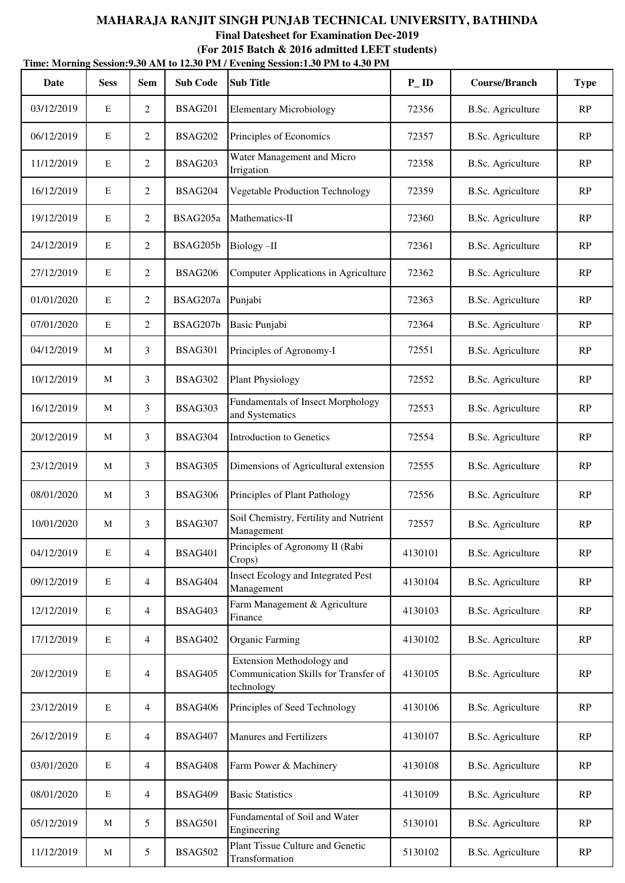# **MAHARAJA RANJIT SINGH PUNJAB TECHNICAL UNIVERSITY, BATHINDA Final Datesheet for Examination Dec-2019 (For 2015 Batch & 2016 admitted LEET students)**

| Time: Morning Session: 9.30 AM to 12.30 PM / Evening Session: 1.30 PM to 4.30 PM |             |                |                 |                                                                                 |                   |                          |             |  |  |  |  |
|----------------------------------------------------------------------------------|-------------|----------------|-----------------|---------------------------------------------------------------------------------|-------------------|--------------------------|-------------|--|--|--|--|
| Date                                                                             | <b>Sess</b> | <b>Sem</b>     | <b>Sub Code</b> | <b>Sub Title</b>                                                                | $P$ <sub>ID</sub> | <b>Course/Branch</b>     | <b>Type</b> |  |  |  |  |
| 03/12/2019                                                                       | E           | $\overline{2}$ | <b>BSAG201</b>  | <b>Elementary Microbiology</b>                                                  | 72356             | <b>B.Sc.</b> Agriculture | RP          |  |  |  |  |
| 06/12/2019                                                                       | E           | $\overline{c}$ | <b>BSAG202</b>  | Principles of Economics                                                         | 72357             | <b>B.Sc.</b> Agriculture | RP          |  |  |  |  |
| 11/12/2019                                                                       | E           | $\overline{2}$ | <b>BSAG203</b>  | Water Management and Micro<br>Irrigation                                        | 72358             | <b>B.Sc. Agriculture</b> | RP          |  |  |  |  |
| 16/12/2019                                                                       | E           | 2              | <b>BSAG204</b>  | <b>Vegetable Production Technology</b>                                          | 72359             | <b>B.Sc.</b> Agriculture | RP          |  |  |  |  |
| 19/12/2019                                                                       | E           | 2              | BSAG205a        | Mathematics-II                                                                  | 72360             | <b>B.Sc.</b> Agriculture | RP          |  |  |  |  |
| 24/12/2019                                                                       | E           | $\overline{2}$ | BSAG205b        | Biology-II                                                                      | 72361             | <b>B.Sc.</b> Agriculture | RP          |  |  |  |  |
| 27/12/2019                                                                       | E           | 2              | <b>BSAG206</b>  | Computer Applications in Agriculture                                            | 72362             | <b>B.Sc.</b> Agriculture | RP          |  |  |  |  |
| 01/01/2020                                                                       | E           | $\overline{c}$ | BSAG207a        | Punjabi                                                                         | 72363             | <b>B.Sc.</b> Agriculture | RP          |  |  |  |  |
| 07/01/2020                                                                       | $\mathbf E$ | $\overline{c}$ | BSAG207b        | Basic Punjabi                                                                   | 72364             | <b>B.Sc.</b> Agriculture | RP          |  |  |  |  |
| 04/12/2019                                                                       | M           | 3              | <b>BSAG301</b>  | Principles of Agronomy-I                                                        | 72551             | <b>B.Sc.</b> Agriculture | RP          |  |  |  |  |
| 10/12/2019                                                                       | M           | 3              | <b>BSAG302</b>  | <b>Plant Physiology</b>                                                         | 72552             | <b>B.Sc.</b> Agriculture | RP          |  |  |  |  |
| 16/12/2019                                                                       | M           | 3              | BSAG303         | Fundamentals of Insect Morphology<br>and Systematics                            | 72553             | <b>B.Sc.</b> Agriculture | RP          |  |  |  |  |
| 20/12/2019                                                                       | M           | 3              | BSAG304         | Introduction to Genetics                                                        | 72554             | <b>B.Sc.</b> Agriculture | RP          |  |  |  |  |
| 23/12/2019                                                                       | M           | 3              | BSAG305         | Dimensions of Agricultural extension                                            | 72555             | <b>B.Sc.</b> Agriculture | RP          |  |  |  |  |
| 08/01/2020                                                                       | M           | 3              | <b>BSAG306</b>  | Principles of Plant Pathology                                                   | 72556             | <b>B.Sc.</b> Agriculture | RP          |  |  |  |  |
| 10/01/2020                                                                       | M           | 3              | BSAG307         | Soil Chemistry, Fertility and Nutrient<br>Management                            | 72557             | B.Sc. Agriculture        | RP          |  |  |  |  |
| 04/12/2019                                                                       | $\mathbf E$ | $\overline{4}$ | <b>BSAG401</b>  | Principles of Agronomy II (Rabi<br>Crops)                                       | 4130101           | <b>B.Sc. Agriculture</b> | RP          |  |  |  |  |
| 09/12/2019                                                                       | E           | $\overline{4}$ | <b>BSAG404</b>  | <b>Insect Ecology and Integrated Pest</b><br>Management                         | 4130104           | <b>B.Sc.</b> Agriculture | RP          |  |  |  |  |
| 12/12/2019                                                                       | E           | $\overline{4}$ | <b>BSAG403</b>  | Farm Management & Agriculture<br>Finance                                        | 4130103           | <b>B.Sc.</b> Agriculture | RP          |  |  |  |  |
| 17/12/2019                                                                       | E           | $\overline{4}$ | <b>BSAG402</b>  | <b>Organic Farming</b>                                                          | 4130102           | <b>B.Sc. Agriculture</b> | RP          |  |  |  |  |
| 20/12/2019                                                                       | E           | $\overline{4}$ | <b>BSAG405</b>  | Extension Methodology and<br>Communication Skills for Transfer of<br>technology | 4130105           | <b>B.Sc.</b> Agriculture | RP          |  |  |  |  |
| 23/12/2019                                                                       | E           | $\overline{4}$ | <b>BSAG406</b>  | Principles of Seed Technology                                                   | 4130106           | <b>B.Sc.</b> Agriculture | RP          |  |  |  |  |
| 26/12/2019                                                                       | E           | $\overline{4}$ | <b>BSAG407</b>  | Manures and Fertilizers                                                         | 4130107           | <b>B.Sc.</b> Agriculture | RP          |  |  |  |  |
| 03/01/2020                                                                       | ${\bf E}$   | $\overline{4}$ | <b>BSAG408</b>  | Farm Power & Machinery                                                          | 4130108           | <b>B.Sc. Agriculture</b> | RP          |  |  |  |  |
| 08/01/2020                                                                       | E           | $\overline{4}$ | <b>BSAG409</b>  | <b>Basic Statistics</b>                                                         | 4130109           | <b>B.Sc.</b> Agriculture | RP          |  |  |  |  |
| 05/12/2019                                                                       | M           | 5              | <b>BSAG501</b>  | Fundamental of Soil and Water<br>Engineering                                    | 5130101           | <b>B.Sc.</b> Agriculture | RP          |  |  |  |  |
| 11/12/2019                                                                       | M           | 5              | <b>BSAG502</b>  | Plant Tissue Culture and Genetic<br>Transformation                              | 5130102           | <b>B.Sc.</b> Agriculture | RP          |  |  |  |  |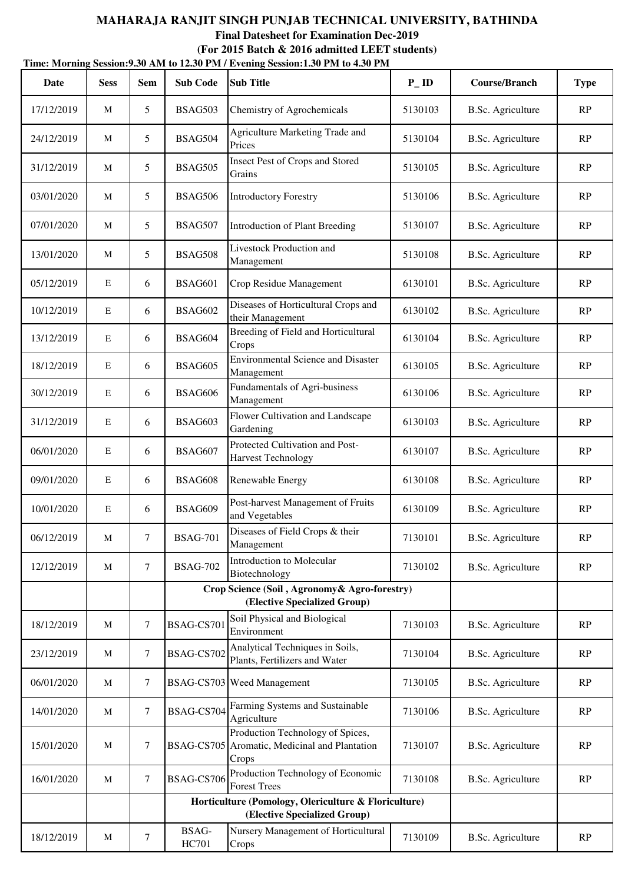# **MAHARAJA RANJIT SINGH PUNJAB TECHNICAL UNIVERSITY, BATHINDA Final Datesheet for Examination Dec-2019**

**Time: Morning Session:9.30 AM to 12.30 PM / Evening Session:1.30 PM to 4.30 PM (For 2015 Batch & 2016 admitted LEET students)**

| Date       | <b>Sess</b> | <b>Sem</b>       | <b>Sub Code</b>       | <b>Sub Title</b>                                                                           | $P$ <sub>ID</sub> | <b>Course/Branch</b>     | <b>Type</b>   |
|------------|-------------|------------------|-----------------------|--------------------------------------------------------------------------------------------|-------------------|--------------------------|---------------|
| 17/12/2019 | M           | 5                | BSAG503               | Chemistry of Agrochemicals                                                                 | 5130103           | <b>B.Sc. Agriculture</b> | RP            |
| 24/12/2019 | M           | 5                | <b>BSAG504</b>        | Agriculture Marketing Trade and<br>Prices                                                  | 5130104           | <b>B.Sc.</b> Agriculture | RP            |
| 31/12/2019 | M           | 5                | <b>BSAG505</b>        | Insect Pest of Crops and Stored<br>Grains                                                  | 5130105           | <b>B.Sc.</b> Agriculture | RP            |
| 03/01/2020 | М           | 5                | <b>BSAG506</b>        | <b>Introductory Forestry</b>                                                               | 5130106           | <b>B.Sc.</b> Agriculture |               |
| 07/01/2020 | M           | 5                | <b>BSAG507</b>        | Introduction of Plant Breeding                                                             | 5130107           | <b>B.Sc.</b> Agriculture | RP            |
| 13/01/2020 | M           | 5                | <b>BSAG508</b>        | Livestock Production and<br>Management                                                     | 5130108           | <b>B.Sc.</b> Agriculture | RP            |
| 05/12/2019 | E           | 6                | <b>BSAG601</b>        | Crop Residue Management                                                                    | 6130101           | <b>B.Sc.</b> Agriculture | RP            |
| 10/12/2019 | $\mathbf E$ | 6                | <b>BSAG602</b>        | Diseases of Horticultural Crops and<br>their Management                                    | 6130102           | <b>B.Sc. Agriculture</b> | RP            |
| 13/12/2019 | $\mathbf E$ | 6                | <b>BSAG604</b>        | Breeding of Field and Horticultural<br>Crops                                               | 6130104           | <b>B.Sc.</b> Agriculture | RP            |
| 18/12/2019 | E           | 6                | <b>BSAG605</b>        | <b>Environmental Science and Disaster</b><br>Management                                    | 6130105           | <b>B.Sc. Agriculture</b> | RP            |
| 30/12/2019 | $\mathbf E$ | 6                | <b>BSAG606</b>        | Fundamentals of Agri-business<br>Management                                                | 6130106           | <b>B.Sc. Agriculture</b> | RP            |
| 31/12/2019 | $\mathbf E$ | 6                | <b>BSAG603</b>        | Flower Cultivation and Landscape<br>Gardening                                              | 6130103           | <b>B.Sc.</b> Agriculture | RP            |
| 06/01/2020 | $\mathbf E$ | 6                | <b>BSAG607</b>        | Protected Cultivation and Post-<br><b>Harvest Technology</b>                               | 6130107           | <b>B.Sc. Agriculture</b> | RP            |
| 09/01/2020 | E           | 6                | <b>BSAG608</b>        | Renewable Energy                                                                           | 6130108           | <b>B.Sc.</b> Agriculture | RP            |
| 10/01/2020 | $\mathbf E$ | 6                | <b>BSAG609</b>        | Post-harvest Management of Fruits<br>and Vegetables                                        | 6130109           | <b>B.Sc.</b> Agriculture | RP            |
| 06/12/2019 | M           | $\tau$           | <b>BSAG-701</b>       | Diseases of Field Crops & their<br>Management                                              | 7130101           | <b>B.Sc. Agriculture</b> | $\mathbf{RP}$ |
| 12/12/2019 | M           | $\tau$           | <b>BSAG-702</b>       | Introduction to Molecular<br>Biotechnology                                                 | 7130102           | <b>B.Sc.</b> Agriculture | RP            |
|            |             |                  |                       | Crop Science (Soil, Agronomy & Agro-forestry)<br>(Elective Specialized Group)              |                   |                          |               |
| 18/12/2019 | M           | 7                | BSAG-CS701            | Soil Physical and Biological<br>Environment                                                | 7130103           | <b>B.Sc.</b> Agriculture | RP            |
| 23/12/2019 | M           | $\tau$           | BSAG-CS702            | Analytical Techniques in Soils,<br>Plants, Fertilizers and Water                           | 7130104           | <b>B.Sc.</b> Agriculture | RP            |
| 06/01/2020 | M           | $\tau$           |                       | <b>BSAG-CS703</b> Weed Management                                                          | 7130105           | <b>B.Sc.</b> Agriculture | RP            |
| 14/01/2020 | M           | $\tau$           | BSAG-CS704            | Farming Systems and Sustainable<br>Agriculture                                             | 7130106           | <b>B.Sc.</b> Agriculture | RP            |
| 15/01/2020 | M           | 7                |                       | Production Technology of Spices,<br>BSAG-CS705 Aromatic, Medicinal and Plantation<br>Crops | 7130107           | <b>B.Sc.</b> Agriculture | RP            |
| 16/01/2020 | M           | $\tau$           | BSAG-CS706            | Production Technology of Economic<br><b>Forest Trees</b>                                   | 7130108           | B.Sc. Agriculture        | RP            |
|            |             |                  |                       | Horticulture (Pomology, Olericulture & Floriculture)<br>(Elective Specialized Group)       |                   |                          |               |
| 18/12/2019 | M           | $\boldsymbol{7}$ | BSAG-<br><b>HC701</b> | Nursery Management of Horticultural<br>Crops                                               | 7130109           | <b>B.Sc.</b> Agriculture | RP            |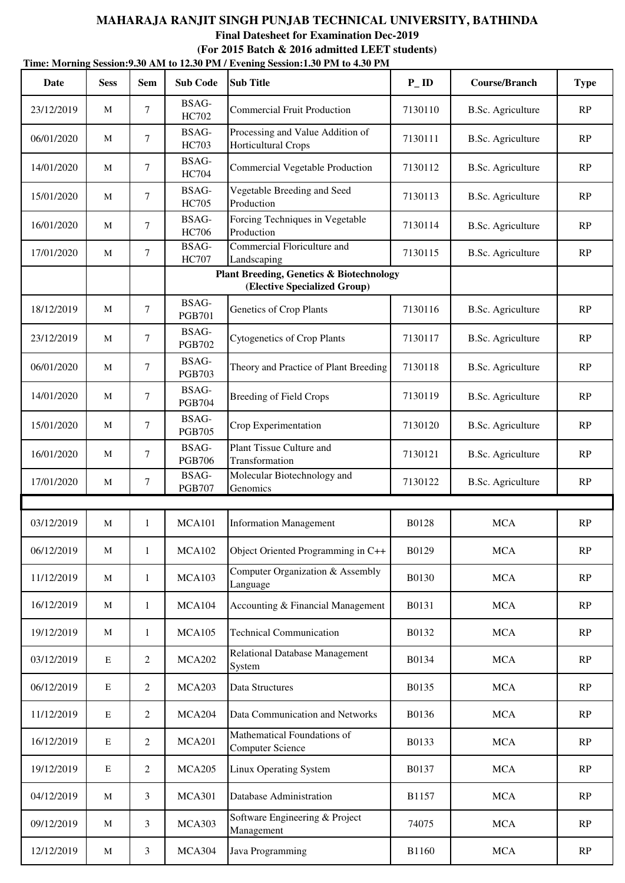# **Time: Morning Session:9.30 AM to 12.30 PM / Evening Session:1.30 PM to 4.30 PM MAHARAJA RANJIT SINGH PUNJAB TECHNICAL UNIVERSITY, BATHINDA Final Datesheet for Examination Dec-2019 (For 2015 Batch & 2016 admitted LEET students)**

| Date       | <b>Sess</b> | <b>Sem</b>     | <b>Sub Code</b>        | <b>Sub Title</b>                                                                    | $P$ <sub>ID</sub> | <b>Course/Branch</b>     | <b>Type</b> |
|------------|-------------|----------------|------------------------|-------------------------------------------------------------------------------------|-------------------|--------------------------|-------------|
| 23/12/2019 | M           | $\tau$         | BSAG-<br>HC702         | <b>Commercial Fruit Production</b>                                                  | 7130110           | <b>B.Sc.</b> Agriculture | RP          |
| 06/01/2020 | M           | 7              | BSAG-<br><b>HC703</b>  | Processing and Value Addition of<br>Horticultural Crops                             | 7130111           | <b>B.Sc.</b> Agriculture | RP          |
| 14/01/2020 | M           | 7              | BSAG-<br><b>HC704</b>  | Commercial Vegetable Production                                                     | 7130112           | <b>B.Sc.</b> Agriculture | RP          |
| 15/01/2020 | M           | $\tau$         | BSAG-<br><b>HC705</b>  | Vegetable Breeding and Seed<br>Production                                           | 7130113           | <b>B.Sc.</b> Agriculture | RP          |
| 16/01/2020 | M           | 7              | BSAG-<br><b>HC706</b>  | Forcing Techniques in Vegetable<br>Production                                       | 7130114           | <b>B.Sc.</b> Agriculture | RP          |
| 17/01/2020 | M           | $\tau$         | BSAG-<br><b>HC707</b>  | Commercial Floriculture and<br>Landscaping                                          | 7130115           | <b>B.Sc.</b> Agriculture | RP          |
|            |             |                |                        | <b>Plant Breeding, Genetics &amp; Biotechnology</b><br>(Elective Specialized Group) |                   |                          |             |
| 18/12/2019 | M           | $\tau$         | BSAG-<br><b>PGB701</b> | Genetics of Crop Plants                                                             | 7130116           | <b>B.Sc.</b> Agriculture | RP          |
| 23/12/2019 | M           | 7              | BSAG-<br><b>PGB702</b> | <b>Cytogenetics of Crop Plants</b>                                                  | 7130117           | <b>B.Sc.</b> Agriculture | RP          |
| 06/01/2020 | M           | 7              | BSAG-<br><b>PGB703</b> | Theory and Practice of Plant Breeding                                               | 7130118           | <b>B.Sc.</b> Agriculture | RP          |
| 14/01/2020 | M           | $\tau$         | BSAG-<br><b>PGB704</b> | <b>Breeding of Field Crops</b>                                                      | 7130119           | <b>B.Sc.</b> Agriculture | RP          |
| 15/01/2020 | M           | 7              | BSAG-<br><b>PGB705</b> | Crop Experimentation                                                                | 7130120           | <b>B.Sc.</b> Agriculture | RP          |
| 16/01/2020 | M           | $\tau$         | BSAG-<br><b>PGB706</b> | Plant Tissue Culture and<br>Transformation                                          | 7130121           | <b>B.Sc.</b> Agriculture | RP          |
| 17/01/2020 | M           | 7              | BSAG-<br><b>PGB707</b> | Molecular Biotechnology and<br>Genomics                                             | 7130122           | <b>B.Sc.</b> Agriculture | RP          |
|            |             |                |                        |                                                                                     |                   |                          |             |
| 03/12/2019 | M           | $\mathbf{1}$   | <b>MCA101</b>          | <b>Information Management</b>                                                       | B0128             | <b>MCA</b>               | RP          |
| 06/12/2019 | M           | $\mathbf{1}$   | <b>MCA102</b>          | Object Oriented Programming in C++                                                  | B0129             | <b>MCA</b>               | RP          |
| 11/12/2019 | M           | $\mathbf{1}$   | <b>MCA103</b>          | Computer Organization & Assembly<br>Language                                        | B0130             | <b>MCA</b>               | RP          |
| 16/12/2019 | M           | $\mathbf{1}$   | MCA104                 | Accounting & Financial Management                                                   | B0131             | <b>MCA</b>               | RP          |
| 19/12/2019 | M           | $\mathbf{1}$   | <b>MCA105</b>          | <b>Technical Communication</b>                                                      | B0132             | <b>MCA</b>               | RP          |
| 03/12/2019 | ${\bf E}$   | $\overline{2}$ | <b>MCA202</b>          | Relational Database Management<br>System                                            | B0134             | <b>MCA</b>               | RP          |
| 06/12/2019 | E           | $\overline{2}$ | <b>MCA203</b>          | Data Structures                                                                     | B0135             | <b>MCA</b>               | RP          |
| 11/12/2019 | E           | $\overline{2}$ | MCA204                 | Data Communication and Networks                                                     | B0136             | <b>MCA</b>               | RP          |
| 16/12/2019 | ${\bf E}$   | $\overline{2}$ | <b>MCA201</b>          | Mathematical Foundations of<br><b>Computer Science</b>                              | B0133             | <b>MCA</b>               | RP          |
| 19/12/2019 | E           | $\overline{2}$ | <b>MCA205</b>          | <b>Linux Operating System</b>                                                       | <b>B0137</b>      | <b>MCA</b>               | RP          |
| 04/12/2019 | M           | 3              | <b>MCA301</b>          | Database Administration                                                             | B1157             | <b>MCA</b>               | RP          |
| 09/12/2019 | M           | 3              | <b>MCA303</b>          | Software Engineering & Project<br>Management                                        | 74075             | <b>MCA</b>               | RP          |
| 12/12/2019 | M           | 3              | MCA304                 | Java Programming                                                                    | <b>B1160</b>      | <b>MCA</b>               | RP          |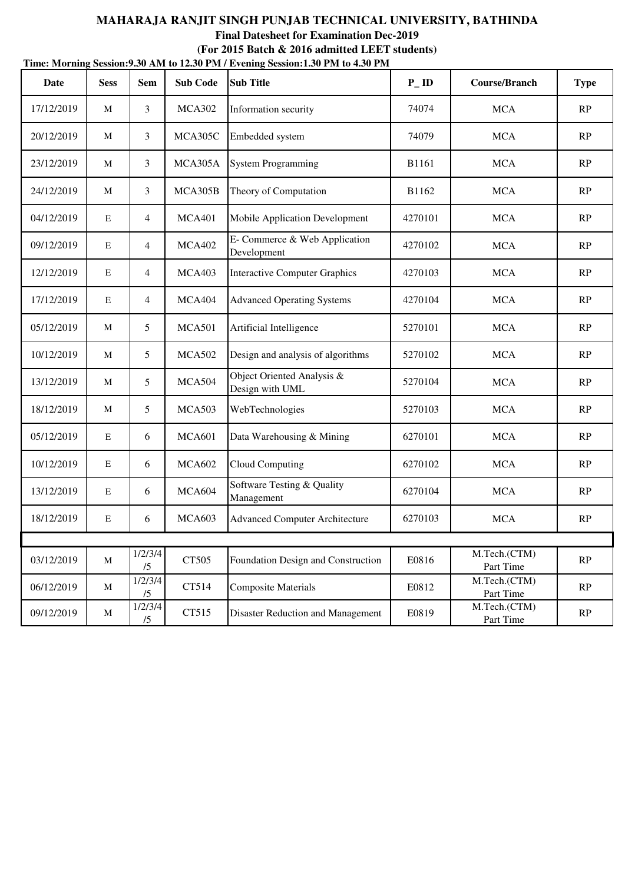# **MAHARAJA RANJIT SINGH PUNJAB TECHNICAL UNIVERSITY, BATHINDA Final Datesheet for Examination Dec-2019 (For 2015 Batch & 2016 admitted LEET students)**

| Time: Morning Session: 9.30 AM to 12.30 PM / Evening Session: 1.30 PM to 4.30 PM |              |                |                 |                                               |                   |                           |             |  |  |  |
|----------------------------------------------------------------------------------|--------------|----------------|-----------------|-----------------------------------------------|-------------------|---------------------------|-------------|--|--|--|
| Date                                                                             | <b>Sess</b>  | <b>Sem</b>     | <b>Sub Code</b> | <b>Sub Title</b>                              | $P$ <sub>ID</sub> | <b>Course/Branch</b>      | <b>Type</b> |  |  |  |
| 17/12/2019                                                                       | M            | 3              | <b>MCA302</b>   | Information security                          | 74074             | <b>MCA</b>                | RP          |  |  |  |
| 20/12/2019                                                                       | M            | 3              | MCA305C         | Embedded system                               | 74079             | <b>MCA</b>                | RP          |  |  |  |
| 23/12/2019                                                                       | M            | 3              | MCA305A         | <b>System Programming</b>                     | <b>B1161</b>      | <b>MCA</b>                | RP          |  |  |  |
| 24/12/2019                                                                       | M            | 3              | MCA305B         | Theory of Computation                         | B1162             | <b>MCA</b>                | RP          |  |  |  |
| 04/12/2019                                                                       | $\mathbf E$  | $\overline{4}$ | <b>MCA401</b>   | Mobile Application Development                | 4270101           | <b>MCA</b>                | RP          |  |  |  |
| 09/12/2019                                                                       | $\mathbf E$  | $\overline{4}$ | <b>MCA402</b>   | E- Commerce & Web Application<br>Development  | 4270102           | <b>MCA</b>                | RP          |  |  |  |
| 12/12/2019                                                                       | $\mathbf E$  | 4              | <b>MCA403</b>   | <b>Interactive Computer Graphics</b>          | 4270103           | <b>MCA</b>                | RP          |  |  |  |
| 17/12/2019                                                                       | $\mathbf E$  | $\overline{4}$ | <b>MCA404</b>   | <b>Advanced Operating Systems</b>             | 4270104           | <b>MCA</b>                | RP          |  |  |  |
| 05/12/2019                                                                       | M            | 5              | <b>MCA501</b>   | Artificial Intelligence                       | 5270101           | <b>MCA</b>                | RP          |  |  |  |
| 10/12/2019                                                                       | M            | 5              | <b>MCA502</b>   | Design and analysis of algorithms             | 5270102           | <b>MCA</b>                | RP          |  |  |  |
| 13/12/2019                                                                       | М            | 5              | MCA504          | Object Oriented Analysis &<br>Design with UML | 5270104           | <b>MCA</b>                | RP          |  |  |  |
| 18/12/2019                                                                       | $\mathbf{M}$ | 5              | <b>MCA503</b>   | WebTechnologies                               | 5270103           | <b>MCA</b>                | RP          |  |  |  |
| 05/12/2019                                                                       | ${\bf E}$    | 6              | <b>MCA601</b>   | Data Warehousing & Mining                     | 6270101           | <b>MCA</b>                | RP          |  |  |  |
| 10/12/2019                                                                       | $\mathbf E$  | 6              | <b>MCA602</b>   | Cloud Computing                               | 6270102           | <b>MCA</b>                | RP          |  |  |  |
| 13/12/2019                                                                       | $\mathbf E$  | 6              | <b>MCA604</b>   | Software Testing & Quality<br>Management      | 6270104           | <b>MCA</b>                | RP          |  |  |  |
| 18/12/2019                                                                       | E            | 6              | <b>MCA603</b>   | <b>Advanced Computer Architecture</b>         | 6270103           | <b>MCA</b>                | RP          |  |  |  |
|                                                                                  |              |                |                 |                                               |                   |                           |             |  |  |  |
| 03/12/2019                                                                       | $\mathbf{M}$ | 1/2/3/4<br>/5  | CT505           | Foundation Design and Construction            | E0816             | M.Tech.(CTM)<br>Part Time | RP          |  |  |  |
| 06/12/2019                                                                       | M            | 1/2/3/4<br>/5  | CT514           | <b>Composite Materials</b>                    | E0812             | M.Tech.(CTM)<br>Part Time | RP          |  |  |  |
| 09/12/2019                                                                       | M            | 1/2/3/4<br>/5  | CT515           | <b>Disaster Reduction and Management</b>      | E0819             | M.Tech.(CTM)<br>Part Time | RP          |  |  |  |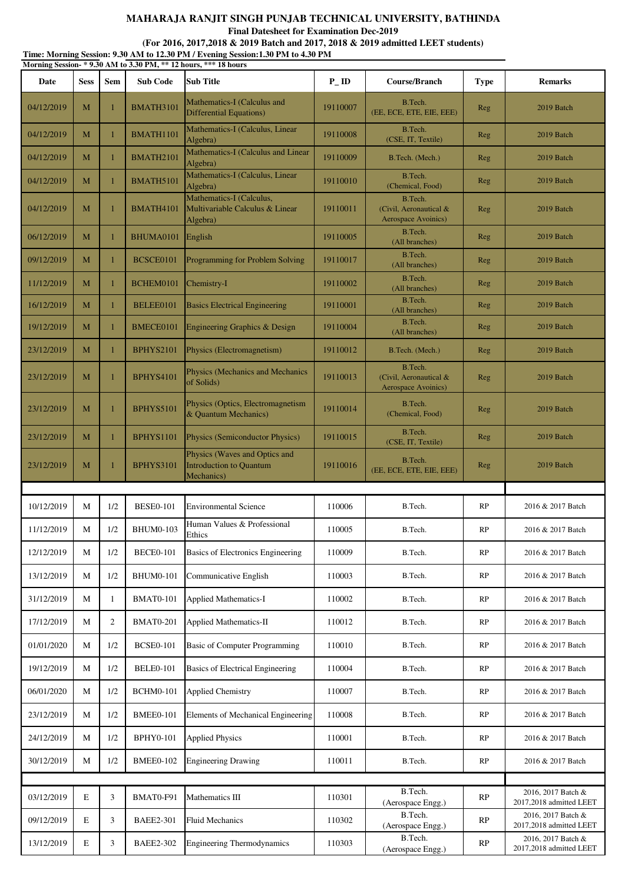**Final Datesheet for Examination Dec-2019**

|            |             |              |                  | Morning Session-*9.30 AM to 3.30 PM, ** 12 hours, *** 18 hours                |          |                                                          |             |                                               |
|------------|-------------|--------------|------------------|-------------------------------------------------------------------------------|----------|----------------------------------------------------------|-------------|-----------------------------------------------|
| Date       | <b>Sess</b> | <b>Sem</b>   | <b>Sub Code</b>  | Sub Title                                                                     | $P$ _ID  | Course/Branch                                            | <b>Type</b> | <b>Remarks</b>                                |
| 04/12/2019 | M           | $\mathbf{1}$ | BMATH3101        | Mathematics-I (Calculus and<br><b>Differential Equations</b> )                | 19110007 | B.Tech.<br>(EE, ECE, ETE, EIE, EEE)                      | <b>Reg</b>  | 2019 Batch                                    |
| 04/12/2019 | M           | 1            | BMATH1101        | Mathematics-I (Calculus, Linear<br>Algebra)                                   | 19110008 | B.Tech.<br>(CSE, IT, Textile)                            | <b>Reg</b>  | 2019 Batch                                    |
| 04/12/2019 | M           | 1            | <b>BMATH2101</b> | Mathematics-I (Calculus and Linear<br>Algebra)                                | 19110009 | B.Tech. (Mech.)                                          | <b>Reg</b>  | 2019 Batch                                    |
| 04/12/2019 | M           | $\mathbf{1}$ | BMATH5101        | Mathematics-I (Calculus, Linear<br>Algebra)                                   | 19110010 | B.Tech.<br>(Chemical, Food)                              | Reg         | 2019 Batch                                    |
| 04/12/2019 | M           | $\mathbf{1}$ | BMATH4101        | Mathematics-I (Calculus,<br>Multivariable Calculus & Linear<br>Algebra)       | 19110011 | B.Tech.<br>(Civil, Aeronautical &<br>Aerospace Avoinics) | Reg         | 2019 Batch                                    |
| 06/12/2019 | M           | 1            | BHUMA0101        | English                                                                       | 19110005 | B.Tech.<br>(All branches)                                | Reg         | 2019 Batch                                    |
| 09/12/2019 | M           | $\mathbf{1}$ | BCSCE0101        | Programming for Problem Solving                                               | 19110017 | B.Tech.<br>(All branches)                                | Reg         | 2019 Batch                                    |
| 11/12/2019 | M           |              | BCHEM0101        | Chemistry-I                                                                   | 19110002 | B.Tech.<br>(All branches)                                | <b>Reg</b>  | 2019 Batch                                    |
| 16/12/2019 | M           | $\mathbf{1}$ | BELEE0101        | <b>Basics Electrical Engineering</b>                                          | 19110001 | B.Tech.<br>(All branches)                                | Reg         | 2019 Batch                                    |
| 19/12/2019 | M           | 1            | BMECE0101        | Engineering Graphics & Design                                                 | 19110004 | B.Tech.<br>(All branches)                                | Reg         | 2019 Batch                                    |
| 23/12/2019 | M           | $\mathbf{1}$ | <b>BPHYS2101</b> | Physics (Electromagnetism)                                                    | 19110012 | B.Tech. (Mech.)                                          | Reg         | 2019 Batch                                    |
| 23/12/2019 | M           | 1            | <b>BPHYS4101</b> | <b>Physics (Mechanics and Mechanics</b> )<br>of Solids)                       | 19110013 | B.Tech.<br>(Civil, Aeronautical &<br>Aerospace Avoinics) | Reg         | 2019 Batch                                    |
| 23/12/2019 | M           | $\mathbf{1}$ | <b>BPHYS5101</b> | Physics (Optics, Electromagnetism<br>& Quantum Mechanics)                     | 19110014 | B.Tech.<br>(Chemical, Food)                              | Reg         | 2019 Batch                                    |
| 23/12/2019 | M           | $\mathbf{1}$ | <b>BPHYS1101</b> | Physics (Semiconductor Physics)                                               | 19110015 | B.Tech.<br>(CSE, IT, Textile)                            | <b>Reg</b>  | 2019 Batch                                    |
| 23/12/2019 | M           | 1            | <b>BPHYS3101</b> | Physics (Waves and Optics and<br><b>Introduction to Quantum</b><br>Mechanics) | 19110016 | B.Tech.<br>(EE, ECE, ETE, EIE, EEE)                      | Reg         | 2019 Batch                                    |
|            |             |              |                  |                                                                               |          |                                                          |             |                                               |
| 10/12/2019 | M           | 1/2          | <b>BESE0-101</b> | <b>Environmental Science</b>                                                  | 110006   | B.Tech.                                                  | RP          | 2016 & 2017 Batch                             |
| 11/12/2019 | M           | 1/2          | <b>BHUM0-103</b> | Human Values & Professional<br>Ethics                                         | 110005   | B.Tech.                                                  | RP          | 2016 & 2017 Batch                             |
| 12/12/2019 | М           | 1/2          | <b>BECE0-101</b> | Basics of Electronics Engineering                                             | 110009   | B.Tech.                                                  | RP          | 2016 & 2017 Batch                             |
| 13/12/2019 | М           | 1/2          | <b>BHUM0-101</b> | Communicative English                                                         | 110003   | B.Tech.                                                  | RP          | 2016 & 2017 Batch                             |
| 31/12/2019 | М           | 1            | <b>BMAT0-101</b> | <b>Applied Mathematics-I</b>                                                  | 110002   | B.Tech.                                                  | RP          | 2016 & 2017 Batch                             |
| 17/12/2019 | М           | 2            | <b>BMAT0-201</b> | <b>Applied Mathematics-II</b>                                                 | 110012   | B.Tech.                                                  | RP          | 2016 & 2017 Batch                             |
| 01/01/2020 | М           | 1/2          | <b>BCSE0-101</b> | <b>Basic of Computer Programming</b>                                          | 110010   | B.Tech.                                                  | RP          | 2016 & 2017 Batch                             |
| 19/12/2019 | М           | 1/2          | <b>BELE0-101</b> | <b>Basics of Electrical Engineering</b>                                       | 110004   | B.Tech.                                                  | RP          | 2016 & 2017 Batch                             |
| 06/01/2020 | М           | 1/2          | <b>BCHM0-101</b> | <b>Applied Chemistry</b>                                                      | 110007   | B.Tech.                                                  | RP          | 2016 & 2017 Batch                             |
| 23/12/2019 | М           | 1/2          | <b>BMEE0-101</b> | Elements of Mechanical Engineering                                            | 110008   | B.Tech.                                                  | RP          | 2016 & 2017 Batch                             |
| 24/12/2019 | М           | 1/2          | <b>BPHY0-101</b> | <b>Applied Physics</b>                                                        | 110001   | B.Tech.                                                  | RP          | 2016 & 2017 Batch                             |
| 30/12/2019 | М           | 1/2          | <b>BMEE0-102</b> | <b>Engineering Drawing</b>                                                    | 110011   | B.Tech.                                                  | RP          | 2016 & 2017 Batch                             |
|            |             |              |                  |                                                                               |          |                                                          |             |                                               |
| 03/12/2019 | E           | 3            | BMAT0-F91        | Mathematics III                                                               | 110301   | B.Tech.<br>(Aerospace Engg.)                             | RP          | 2016, 2017 Batch &<br>2017,2018 admitted LEET |
| 09/12/2019 | E           | 3            | <b>BAEE2-301</b> | <b>Fluid Mechanics</b>                                                        | 110302   | B.Tech.<br>(Aerospace Engg.)                             | RP          | 2016, 2017 Batch &<br>2017,2018 admitted LEET |
| 13/12/2019 | Ε           | 3            | <b>BAEE2-302</b> | <b>Engineering Thermodynamics</b>                                             | 110303   | B.Tech.<br>(Aerospace Engg.)                             | RP          | 2016, 2017 Batch &<br>2017,2018 admitted LEET |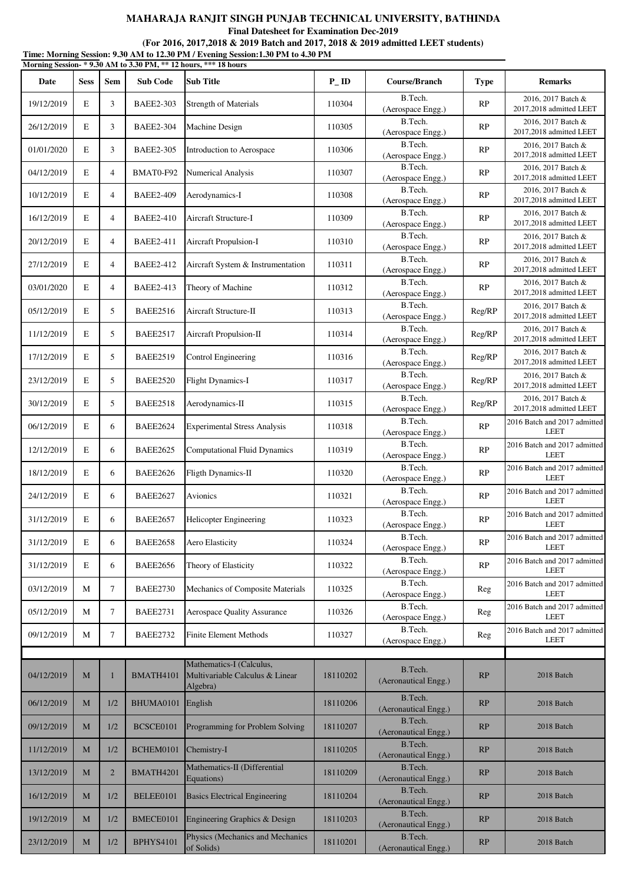**Final Datesheet for Examination Dec-2019**

|            |             |                |                  | Morning Session-* 9.30 AM to 3.30 PM, ** 12 hours, *** 18 hours         |          |                                 |             |                                               |
|------------|-------------|----------------|------------------|-------------------------------------------------------------------------|----------|---------------------------------|-------------|-----------------------------------------------|
| Date       | <b>Sess</b> | Sem            | <b>Sub Code</b>  | <b>Sub Title</b>                                                        | PID      | Course/Branch                   | <b>Type</b> | <b>Remarks</b>                                |
| 19/12/2019 | $\mathbf E$ | 3              | <b>BAEE2-303</b> | <b>Strength of Materials</b>                                            | 110304   | B.Tech.<br>(Aerospace Engg.)    | RP          | 2016, 2017 Batch &<br>2017,2018 admitted LEET |
| 26/12/2019 | E           | 3              | <b>BAEE2-304</b> | Machine Design                                                          | 110305   | B.Tech.<br>(Aerospace Engg.)    | RP          | 2016, 2017 Batch &<br>2017,2018 admitted LEET |
| 01/01/2020 | E           | 3              | <b>BAEE2-305</b> | Introduction to Aerospace                                               | 110306   | B.Tech.<br>(Aerospace Engg.)    | RP          | 2016, 2017 Batch &<br>2017,2018 admitted LEET |
| 04/12/2019 | E           | $\overline{4}$ | BMAT0-F92        | <b>Numerical Analysis</b>                                               | 110307   | B.Tech.<br>(Aerospace Engg.)    | RP          | 2016, 2017 Batch &<br>2017,2018 admitted LEET |
| 10/12/2019 | E           | $\overline{4}$ | <b>BAEE2-409</b> | Aerodynamics-I                                                          | 110308   | B.Tech.<br>(Aerospace Engg.)    | RP          | 2016, 2017 Batch &<br>2017,2018 admitted LEET |
| 16/12/2019 | E           | $\overline{4}$ | <b>BAEE2-410</b> | Aircraft Structure-I                                                    | 110309   | B.Tech.<br>(Aerospace Engg.)    | RP          | 2016, 2017 Batch &<br>2017,2018 admitted LEET |
| 20/12/2019 | E           | 4              | <b>BAEE2-411</b> | Aircraft Propulsion-I                                                   | 110310   | B.Tech.<br>(Aerospace Engg.)    | RP          | 2016, 2017 Batch &<br>2017,2018 admitted LEET |
| 27/12/2019 | E           | $\overline{4}$ | <b>BAEE2-412</b> | Aircraft System & Instrumentation                                       | 110311   | B.Tech.<br>(Aerospace Engg.)    | RP          | 2016, 2017 Batch &<br>2017,2018 admitted LEET |
| 03/01/2020 | E           | $\overline{4}$ | <b>BAEE2-413</b> | Theory of Machine                                                       | 110312   | B.Tech.<br>(Aerospace Engg.)    | RP          | 2016, 2017 Batch &<br>2017,2018 admitted LEET |
| 05/12/2019 | E           | 5              | <b>BAEE2516</b>  | Aircraft Structure-II                                                   | 110313   | B.Tech.<br>(Aerospace Engg.)    | Reg/RP      | 2016, 2017 Batch &<br>2017,2018 admitted LEET |
| 11/12/2019 | E           | 5              | <b>BAEE2517</b>  | Aircraft Propulsion-II                                                  | 110314   | B.Tech.<br>(Aerospace Engg.)    | Reg/RP      | 2016, 2017 Batch &<br>2017,2018 admitted LEET |
| 17/12/2019 | E           | 5              | <b>BAEE2519</b>  | Control Engineering                                                     | 110316   | B.Tech.<br>(Aerospace Engg.)    | Reg/RP      | 2016, 2017 Batch &<br>2017,2018 admitted LEET |
| 23/12/2019 | $\mathbf E$ | 5              | <b>BAEE2520</b>  | <b>Flight Dynamics-I</b>                                                | 110317   | B.Tech.<br>(Aerospace Engg.)    | Reg/RP      | 2016, 2017 Batch &<br>2017,2018 admitted LEET |
| 30/12/2019 | E           | 5              | <b>BAEE2518</b>  | Aerodynamics-II                                                         | 110315   | B.Tech.<br>(Aerospace Engg.)    | Reg/RP      | 2016, 2017 Batch &<br>2017,2018 admitted LEET |
| 06/12/2019 | E           | 6              | <b>BAEE2624</b>  | <b>Experimental Stress Analysis</b>                                     | 110318   | B.Tech.<br>(Aerospace Engg.)    | RP          | 2016 Batch and 2017 admitted<br><b>LEET</b>   |
| 12/12/2019 | E           | 6              | <b>BAEE2625</b>  | <b>Computational Fluid Dynamics</b>                                     | 110319   | B.Tech.<br>(Aerospace Engg.)    | RP          | 2016 Batch and 2017 admitted<br><b>LEET</b>   |
| 18/12/2019 | E           | 6              | <b>BAEE2626</b>  | Fligth Dynamics-II                                                      | 110320   | B.Tech.<br>(Aerospace Engg.)    | RP          | 2016 Batch and 2017 admitted<br><b>LEET</b>   |
| 24/12/2019 | E           | 6              | <b>BAEE2627</b>  | Avionics                                                                | 110321   | B.Tech.<br>(Aerospace Engg.)    | RP          | 2016 Batch and 2017 admitted<br><b>LEET</b>   |
| 31/12/2019 | E           | 6              | <b>BAEE2657</b>  | Helicopter Engineering                                                  | 110323   | B.Tech.<br>(Aerospace Engg.)    | RP          | 2016 Batch and 2017 admitted<br><b>LEET</b>   |
| 31/12/2019 | E           | 6              | <b>BAEE2658</b>  | Aero Elasticity                                                         | 110324   | B.Tech.<br>(Aerospace Engg.)    | RP          | 2016 Batch and 2017 admitted<br><b>LEET</b>   |
| 31/12/2019 | E           | 6              | <b>BAEE2656</b>  | Theory of Elasticity                                                    | 110322   | B.Tech.<br>(Aerospace Engg.)    | RP          | 2016 Batch and 2017 admitted<br><b>LEET</b>   |
| 03/12/2019 | М           | 7              | <b>BAEE2730</b>  | Mechanics of Composite Materials                                        | 110325   | B.Tech.<br>(Aerospace Engg.)    | Reg         | 2016 Batch and 2017 admitted<br><b>LEET</b>   |
| 05/12/2019 | М           | $\tau$         | <b>BAEE2731</b>  | <b>Aerospace Quality Assurance</b>                                      | 110326   | B.Tech.<br>(Aerospace Engg.)    | Reg         | 2016 Batch and 2017 admitted<br><b>LEET</b>   |
| 09/12/2019 | М           | $\tau$         | <b>BAEE2732</b>  | <b>Finite Element Methods</b>                                           | 110327   | B.Tech.<br>(Aerospace Engg.)    | Reg         | 2016 Batch and 2017 admitted<br><b>LEET</b>   |
|            |             |                |                  |                                                                         |          |                                 |             |                                               |
| 04/12/2019 | M           | 1              | BMATH4101        | Mathematics-I (Calculus,<br>Multivariable Calculus & Linear<br>Algebra) | 18110202 | B.Tech.<br>(Aeronautical Engg.) | RP          | 2018 Batch                                    |
| 06/12/2019 | M           | 1/2            | BHUMA0101        | English                                                                 | 18110206 | B.Tech.<br>(Aeronautical Engg.) | RP          | 2018 Batch                                    |
| 09/12/2019 | M           | 1/2            | BCSCE0101        | Programming for Problem Solving                                         | 18110207 | B.Tech.<br>(Aeronautical Engg.) | RP          | 2018 Batch                                    |
| 11/12/2019 | M           | 1/2            | BCHEM0101        | Chemistry-I                                                             | 18110205 | B.Tech.<br>(Aeronautical Engg.) | RP          | 2018 Batch                                    |
| 13/12/2019 | M           | $\overline{2}$ | BMATH4201        | Mathematics-II (Differential<br>Equations)                              | 18110209 | B.Tech.<br>(Aeronautical Engg.) | RP          | 2018 Batch                                    |
| 16/12/2019 | M           | 1/2            | BELEE0101        | <b>Basics Electrical Engineering</b>                                    | 18110204 | B.Tech.<br>(Aeronautical Engg.) | RP          | 2018 Batch                                    |
| 19/12/2019 | M           | 1/2            | BMECE0101        | Engineering Graphics & Design                                           | 18110203 | B.Tech.<br>(Aeronautical Engg.) | RP          | 2018 Batch                                    |
| 23/12/2019 | $\mathbf M$ | $1/2$          | BPHYS4101        | Physics (Mechanics and Mechanics<br>of Solids)                          | 18110201 | B.Tech.<br>(Aeronautical Engg.) | RP          | 2018 Batch                                    |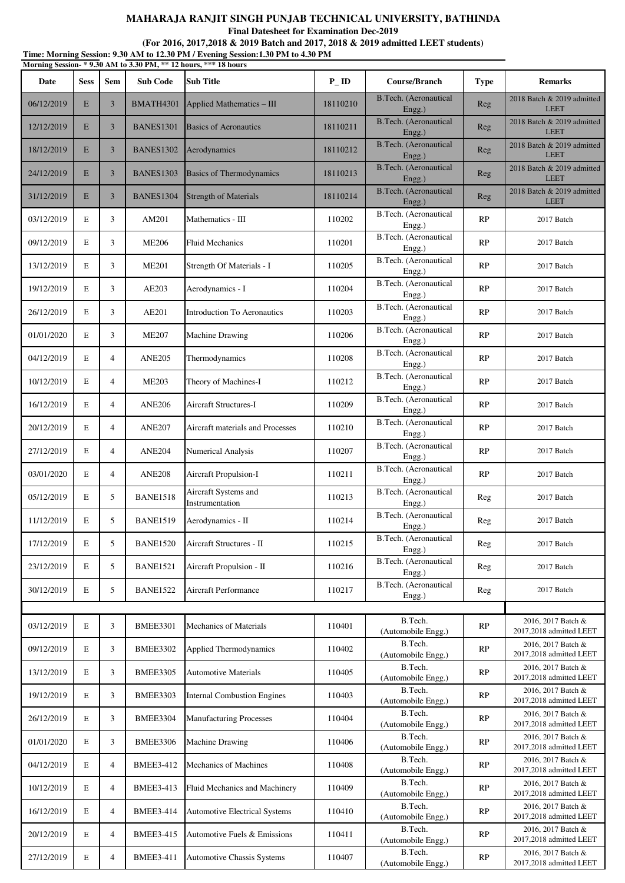**Final Datesheet for Examination Dec-2019**

|            |             |                |                  | Morning Session-* 9.30 AM to 3.30 PM, ** 12 hours, *** 18 hours |                    |                                        |             |                                               |
|------------|-------------|----------------|------------------|-----------------------------------------------------------------|--------------------|----------------------------------------|-------------|-----------------------------------------------|
| Date       | <b>Sess</b> | <b>Sem</b>     | <b>Sub Code</b>  | <b>Sub Title</b>                                                | $P$ <sub>-ID</sub> | Course/Branch                          | <b>Type</b> | <b>Remarks</b>                                |
| 06/12/2019 | E           | 3              | BMATH4301        | Applied Mathematics - III                                       | 18110210           | <b>B.Tech.</b> (Aeronautical<br>Engg.) | Reg         | 2018 Batch & 2019 admitted<br><b>LEET</b>     |
| 12/12/2019 | E           | 3              | <b>BANES1301</b> | <b>Basics of Aeronautics</b>                                    | 18110211           | B.Tech. (Aeronautical<br>Engg.)        | Reg         | 2018 Batch & 2019 admitted<br><b>LEET</b>     |
| 18/12/2019 | E           | 3              | <b>BANES1302</b> | Aerodynamics                                                    | 18110212           | <b>B.Tech.</b> (Aeronautical<br>Engg.) | Reg         | 2018 Batch & 2019 admitted<br><b>LEET</b>     |
| 24/12/2019 | E           | $\overline{3}$ | <b>BANES1303</b> | <b>Basics of Thermodynamics</b>                                 | 18110213           | B.Tech. (Aeronautical<br>Engg.)        | Reg         | 2018 Batch & 2019 admitted<br><b>LEET</b>     |
| 31/12/2019 | E           | 3              | BANES1304        | <b>Strength of Materials</b>                                    | 18110214           | B.Tech. (Aeronautical<br>Engg.)        | Reg         | 2018 Batch & 2019 admitted<br><b>LEET</b>     |
| 03/12/2019 | Е           | 3              | AM201            | Mathematics - III                                               | 110202             | B.Tech. (Aeronautical<br>Engg.)        | RP          | 2017 Batch                                    |
| 09/12/2019 | Е           | 3              | <b>ME206</b>     | <b>Fluid Mechanics</b>                                          | 110201             | B.Tech. (Aeronautical<br>Engg.)        | RP          | 2017 Batch                                    |
| 13/12/2019 | E           | 3              | <b>ME201</b>     | Strength Of Materials - I                                       | 110205             | B.Tech. (Aeronautical<br>Engg.)        | RP          | 2017 Batch                                    |
| 19/12/2019 | E           | 3              | AE203            | Aerodynamics - I                                                | 110204             | B.Tech. (Aeronautical<br>Engg.)        | RP          | 2017 Batch                                    |
| 26/12/2019 | E           | 3              | AE201            | <b>Introduction To Aeronautics</b>                              | 110203             | B.Tech. (Aeronautical<br>Engg.)        | RP          | 2017 Batch                                    |
| 01/01/2020 | Е           | 3              | <b>ME207</b>     | Machine Drawing                                                 | 110206             | B.Tech. (Aeronautical<br>Engg.)        | RP          | 2017 Batch                                    |
| 04/12/2019 | E           | $\overline{4}$ | <b>ANE205</b>    | Thermodynamics                                                  | 110208             | B.Tech. (Aeronautical<br>Engg.)        | RP          | 2017 Batch                                    |
| 10/12/2019 | Е           | $\overline{4}$ | <b>ME203</b>     | Theory of Machines-I                                            | 110212             | B.Tech. (Aeronautical<br>Engg.)        | RP          | 2017 Batch                                    |
| 16/12/2019 | E           | $\overline{4}$ | <b>ANE206</b>    | Aircraft Structures-I                                           | 110209             | B.Tech. (Aeronautical<br>Engg.)        | RP          | 2017 Batch                                    |
| 20/12/2019 | E           | $\overline{4}$ | <b>ANE207</b>    | Aircraft materials and Processes                                | 110210             | B.Tech. (Aeronautical<br>Engg.)        | RP          | 2017 Batch                                    |
| 27/12/2019 | E           | $\overline{4}$ | <b>ANE204</b>    | Numerical Analysis                                              | 110207             | B.Tech. (Aeronautical<br>Engg.)        | RP          | 2017 Batch                                    |
| 03/01/2020 | Е           | $\overline{4}$ | <b>ANE208</b>    | Aircraft Propulsion-I                                           | 110211             | B.Tech. (Aeronautical<br>Engg.)        | RP          | 2017 Batch                                    |
| 05/12/2019 | E           | 5              | <b>BANE1518</b>  | Aircraft Systems and<br>Instrumentation                         | 110213             | B.Tech. (Aeronautical<br>Engg.)        | Reg         | 2017 Batch                                    |
| 11/12/2019 | E           | 5              | <b>BANE1519</b>  | Aerodynamics - II                                               | 110214             | B.Tech. (Aeronautical<br>Engg.)        | Reg         | 2017 Batch                                    |
| 17/12/2019 | $\mathbf E$ | 5              | <b>BANE1520</b>  | Aircraft Structures - II                                        | 110215             | B.Tech. (Aeronautical<br>Engg.)        | Reg         | 2017 Batch                                    |
| 23/12/2019 | E           | 5              | <b>BANE1521</b>  | Aircraft Propulsion - II                                        | 110216             | B.Tech. (Aeronautical<br>Engg.)        | Reg         | 2017 Batch                                    |
| 30/12/2019 | E           | 5              | <b>BANE1522</b>  | Aircraft Performance                                            | 110217             | B.Tech. (Aeronautical<br>Engg.)        | Reg         | 2017 Batch                                    |
|            |             |                |                  |                                                                 |                    |                                        |             |                                               |
| 03/12/2019 | E           | 3              | <b>BMEE3301</b>  | Mechanics of Materials                                          | 110401             | B.Tech.<br>(Automobile Engg.)          | RP          | 2016, 2017 Batch &<br>2017,2018 admitted LEET |
| 09/12/2019 | E           | 3              | <b>BMEE3302</b>  | Applied Thermodynamics                                          | 110402             | B.Tech.<br>(Automobile Engg.)          | RP          | 2016, 2017 Batch &<br>2017,2018 admitted LEET |
| 13/12/2019 | Е           | 3              | <b>BMEE3305</b>  | <b>Automotive Materials</b>                                     | 110405             | B.Tech.<br>(Automobile Engg.)          | RP          | 2016, 2017 Batch &<br>2017,2018 admitted LEET |
| 19/12/2019 | Е           | 3              | <b>BMEE3303</b>  | <b>Internal Combustion Engines</b>                              | 110403             | B.Tech.<br>(Automobile Engg.)          | RP          | 2016, 2017 Batch &<br>2017,2018 admitted LEET |
| 26/12/2019 | Е           | 3              | <b>BMEE3304</b>  | <b>Manufacturing Processes</b>                                  | 110404             | B.Tech.<br>(Automobile Engg.)          | RP          | 2016, 2017 Batch &<br>2017,2018 admitted LEET |
| 01/01/2020 | Е           | 3              | <b>BMEE3306</b>  | Machine Drawing                                                 | 110406             | B.Tech.<br>(Automobile Engg.)          | RP          | 2016, 2017 Batch &<br>2017,2018 admitted LEET |
| 04/12/2019 | Е           | $\overline{4}$ | <b>BMEE3-412</b> | Mechanics of Machines                                           | 110408             | B.Tech.<br>(Automobile Engg.)          | RP          | 2016, 2017 Batch &<br>2017,2018 admitted LEET |
| 10/12/2019 | E           | $\overline{4}$ | <b>BMEE3-413</b> | Fluid Mechanics and Machinery                                   | 110409             | B.Tech.<br>(Automobile Engg.)          | RP          | 2016, 2017 Batch &<br>2017,2018 admitted LEET |
| 16/12/2019 | Е           | $\overline{4}$ | <b>BMEE3-414</b> | <b>Automotive Electrical Systems</b>                            | 110410             | B.Tech.<br>(Automobile Engg.)          | RP          | 2016, 2017 Batch &<br>2017,2018 admitted LEET |
| 20/12/2019 | Е           | $\overline{4}$ | <b>BMEE3-415</b> | Automotive Fuels & Emissions                                    | 110411             | B.Tech.<br>(Automobile Engg.)          | RP          | 2016, 2017 Batch &<br>2017,2018 admitted LEET |
| 27/12/2019 | E           | $\overline{4}$ | <b>BMEE3-411</b> | <b>Automotive Chassis Systems</b>                               | 110407             | B.Tech.<br>(Automobile Engg.)          | RP          | 2016, 2017 Batch &<br>2017,2018 admitted LEET |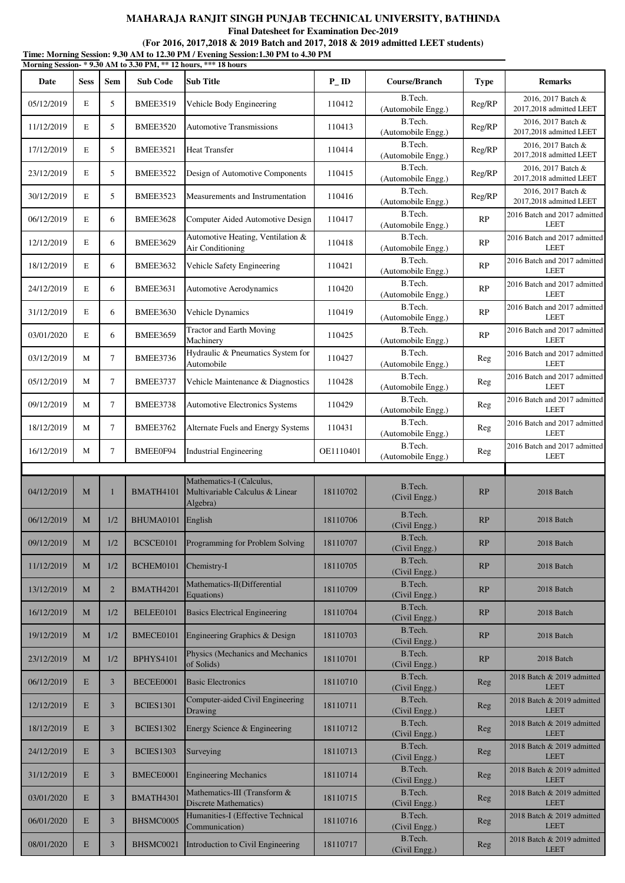**Final Datesheet for Examination Dec-2019**

|            |             |                |                  | Morning Session-* 9.30 AM to 3.30 PM, ** 12 hours, *** 18 hours         |           |                               |             |                                               |
|------------|-------------|----------------|------------------|-------------------------------------------------------------------------|-----------|-------------------------------|-------------|-----------------------------------------------|
| Date       | <b>Sess</b> | <b>Sem</b>     | <b>Sub Code</b>  | <b>Sub Title</b>                                                        | $P$ _ID   | Course/Branch                 | <b>Type</b> | <b>Remarks</b>                                |
| 05/12/2019 | E           | 5              | <b>BMEE3519</b>  | Vehicle Body Engineering                                                | 110412    | B.Tech.<br>(Automobile Engg.) | Reg/RP      | 2016, 2017 Batch &<br>2017,2018 admitted LEET |
| 11/12/2019 | Е           | 5              | <b>BMEE3520</b>  | <b>Automotive Transmissions</b>                                         | 110413    | B.Tech.<br>(Automobile Engg.) | Reg/RP      | 2016, 2017 Batch &<br>2017,2018 admitted LEET |
| 17/12/2019 | E           | 5              | <b>BMEE3521</b>  | <b>Heat Transfer</b>                                                    | 110414    | B.Tech.<br>(Automobile Engg.) | Reg/RP      | 2016, 2017 Batch &<br>2017,2018 admitted LEET |
| 23/12/2019 | Е           | 5              | <b>BMEE3522</b>  | Design of Automotive Components                                         | 110415    | B.Tech.<br>(Automobile Engg.) | Reg/RP      | 2016, 2017 Batch &<br>2017,2018 admitted LEET |
| 30/12/2019 | E           | 5              | <b>BMEE3523</b>  | Measurements and Instrumentation                                        | 110416    | B.Tech.<br>(Automobile Engg.) | Reg/RP      | 2016, 2017 Batch &<br>2017,2018 admitted LEET |
| 06/12/2019 | Е           | 6              | <b>BMEE3628</b>  | Computer Aided Automotive Design                                        | 110417    | B.Tech.<br>(Automobile Engg.) | RP          | 2016 Batch and 2017 admitted<br>LEET          |
| 12/12/2019 | Е           | 6              | <b>BMEE3629</b>  | Automotive Heating, Ventilation &<br>Air Conditioning                   | 110418    | B.Tech.<br>(Automobile Engg.) | RP          | 2016 Batch and 2017 admitted<br><b>LEET</b>   |
| 18/12/2019 | Е           | 6              | <b>BMEE3632</b>  | Vehicle Safety Engineering                                              | 110421    | B.Tech.<br>(Automobile Engg.) | RP          | 2016 Batch and 2017 admitted<br><b>LEET</b>   |
| 24/12/2019 | Е           | 6              | <b>BMEE3631</b>  | <b>Automotive Aerodynamics</b>                                          | 110420    | B.Tech.<br>(Automobile Engg.) | RP          | 2016 Batch and 2017 admitted<br><b>LEET</b>   |
| 31/12/2019 | E           | 6              | <b>BMEE3630</b>  | Vehicle Dynamics                                                        | 110419    | B.Tech.<br>(Automobile Engg.) | RP          | 2016 Batch and 2017 admitted<br><b>LEET</b>   |
| 03/01/2020 | E           | 6              | <b>BMEE3659</b>  | <b>Tractor and Earth Moving</b><br>Machinery                            | 110425    | B.Tech.<br>(Automobile Engg.) | RP          | 2016 Batch and 2017 admitted<br><b>LEET</b>   |
| 03/12/2019 | M           | $\tau$         | BMEE3736         | Hydraulic & Pneumatics System for<br>Automobile                         | 110427    | B.Tech.<br>(Automobile Engg.) | Reg         | 2016 Batch and 2017 admitted<br><b>LEET</b>   |
| 05/12/2019 | M           | 7              | <b>BMEE3737</b>  | Vehicle Maintenance & Diagnostics                                       | 110428    | B.Tech.<br>(Automobile Engg.) | Reg         | 2016 Batch and 2017 admitted<br><b>LEET</b>   |
| 09/12/2019 | M           | 7              | <b>BMEE3738</b>  | Automotive Electronics Systems                                          | 110429    | B.Tech.<br>(Automobile Engg.) | Reg         | 2016 Batch and 2017 admitted<br><b>LEET</b>   |
| 18/12/2019 | M           | $\tau$         | <b>BMEE3762</b>  | Alternate Fuels and Energy Systems                                      | 110431    | B.Tech.<br>(Automobile Engg.) | Reg         | 2016 Batch and 2017 admitted<br><b>LEET</b>   |
| 16/12/2019 | M           | 7              | BMEE0F94         | <b>Industrial Engineering</b>                                           | OE1110401 | B.Tech.<br>(Automobile Engg.) | Reg         | 2016 Batch and 2017 admitted<br><b>LEET</b>   |
|            |             |                |                  |                                                                         |           |                               |             |                                               |
| 04/12/2019 | M           | -1             | BMATH4101        | Mathematics-I (Calculus,<br>Multivariable Calculus & Linear<br>Algebra) | 18110702  | B.Tech.<br>(Civil Engg.)      | RP          | 2018 Batch                                    |
| 06/12/2019 | M           | 1/2            | BHUMA0101        | English                                                                 | 18110706  | B.Tech.<br>(Civil Engg.)      | RP          | 2018 Batch                                    |
| 09/12/2019 | М           | 1/2            | BCSCE0101        | Programming for Problem Solving                                         | 18110707  | B.Tech.<br>(Civil Engg.)      | RP          | 2018 Batch                                    |
| 11/12/2019 | M           | 1/2            | BCHEM0101        | Chemistry-I                                                             | 18110705  | B.Tech.<br>(Civil Engg.)      | RP          | 2018 Batch                                    |
| 13/12/2019 | $\mathbf M$ | $\overline{2}$ | BMATH4201        | Mathematics-II(Differential<br>Equations)                               | 18110709  | B.Tech.<br>(Civil Engg.)      | RP          | 2018 Batch                                    |
| 16/12/2019 | M           | 1/2            | BELEE0101        | <b>Basics Electrical Engineering</b>                                    | 18110704  | B.Tech.<br>(Civil Engg.)      | RP          | 2018 Batch                                    |
| 19/12/2019 | M           | 1/2            | BMECE0101        | Engineering Graphics & Design                                           | 18110703  | B.Tech.<br>(Civil Engg.)      | RP          | 2018 Batch                                    |
| 23/12/2019 | M           | 1/2            | <b>BPHYS4101</b> | Physics (Mechanics and Mechanics<br>of Solids)                          | 18110701  | B.Tech.<br>(Civil Engg.)      | RP          | 2018 Batch                                    |
| 06/12/2019 | E           | $\mathfrak{Z}$ | BECEE0001        | <b>Basic Electronics</b>                                                | 18110710  | B.Tech.<br>(Civil Engg.)      | Reg         | 2018 Batch & 2019 admitted<br><b>LEET</b>     |
| 12/12/2019 | E           | $\overline{3}$ | <b>BCIES1301</b> | Computer-aided Civil Engineering<br>Drawing                             | 18110711  | B.Tech.<br>(Civil Engg.)      | Reg         | 2018 Batch & 2019 admitted<br><b>LEET</b>     |
| 18/12/2019 | E           | $\overline{3}$ | <b>BCIES1302</b> | Energy Science & Engineering                                            | 18110712  | B.Tech.<br>(Civil Engg.)      | Reg         | 2018 Batch & 2019 admitted<br><b>LEET</b>     |
| 24/12/2019 | E           | 3              | <b>BCIES1303</b> | Surveying                                                               | 18110713  | B.Tech.<br>(Civil Engg.)      | Reg         | 2018 Batch & 2019 admitted<br><b>LEET</b>     |
| 31/12/2019 | E           | 3              | BMECE0001        | <b>Engineering Mechanics</b>                                            | 18110714  | B.Tech.<br>(Civil Engg.)      | Reg         | 2018 Batch & 2019 admitted<br><b>LEET</b>     |
| 03/01/2020 | E           | $\mathfrak{Z}$ | BMATH4301        | Mathematics-III (Transform &<br>Discrete Mathematics)                   | 18110715  | B.Tech.<br>(Civil Engg.)      | Reg         | 2018 Batch & 2019 admitted<br><b>LEET</b>     |
| 06/01/2020 | E           | 3              | BHSMC0005        | Humanities-I (Effective Technical<br>Communication)                     | 18110716  | B.Tech.<br>(Civil Engg.)      | Reg         | 2018 Batch & 2019 admitted<br><b>LEET</b>     |
| 08/01/2020 | $\mathbf E$ | $\mathfrak{Z}$ | BHSMC0021        | Introduction to Civil Engineering                                       | 18110717  | B.Tech.<br>(Civil Engg.)      | Reg         | 2018 Batch & 2019 admitted<br><b>LEET</b>     |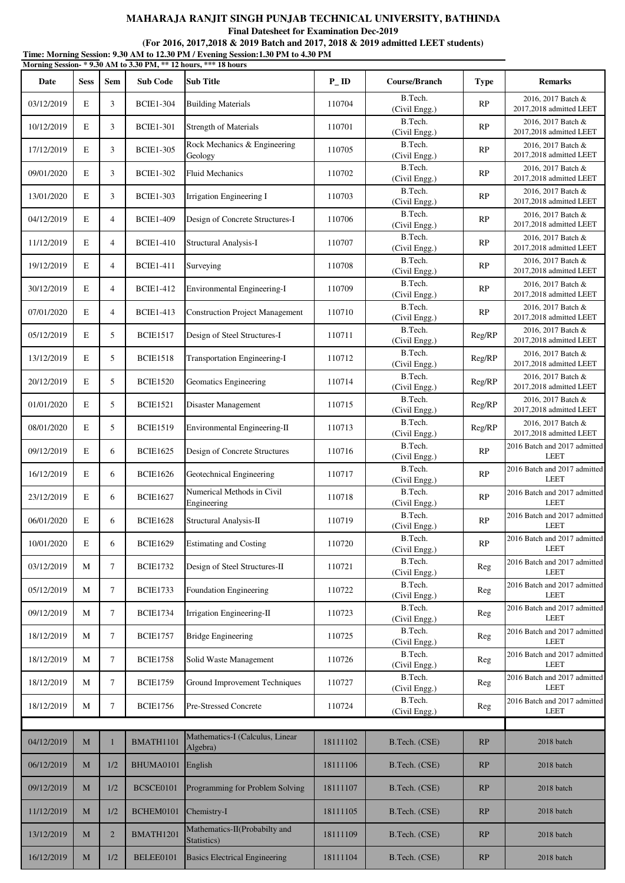**Final Datesheet for Examination Dec-2019**

|            |             |                |                  | Morning Session-* 9.30 AM to 3.30 PM, ** 12 hours, *** 18 hours |                   |                          |             |                                               |
|------------|-------------|----------------|------------------|-----------------------------------------------------------------|-------------------|--------------------------|-------------|-----------------------------------------------|
| Date       | <b>Sess</b> | <b>Sem</b>     | <b>Sub Code</b>  | <b>Sub Title</b>                                                | $P$ <sub>ID</sub> | Course/Branch            | <b>Type</b> | <b>Remarks</b>                                |
| 03/12/2019 | E           | 3              | <b>BCIE1-304</b> | <b>Building Materials</b>                                       | 110704            | B.Tech.<br>(Civil Engg.) | RP          | 2016, 2017 Batch &<br>2017,2018 admitted LEET |
| 10/12/2019 | E           | 3              | <b>BCIE1-301</b> | <b>Strength of Materials</b>                                    | 110701            | B.Tech.<br>(Civil Engg.) | RP          | 2016, 2017 Batch &<br>2017,2018 admitted LEET |
| 17/12/2019 | E           | 3              | <b>BCIE1-305</b> | Rock Mechanics & Engineering<br>Geology                         | 110705            | B.Tech.<br>(Civil Engg.) | RP          | 2016, 2017 Batch &<br>2017,2018 admitted LEET |
| 09/01/2020 | E           | 3              | <b>BCIE1-302</b> | <b>Fluid Mechanics</b>                                          | 110702            | B.Tech.<br>(Civil Engg.) | RP          | 2016, 2017 Batch &<br>2017,2018 admitted LEET |
| 13/01/2020 | E           | 3              | <b>BCIE1-303</b> | Irrigation Engineering I                                        | 110703            | B.Tech.<br>(Civil Engg.) | RP          | 2016, 2017 Batch &<br>2017,2018 admitted LEET |
| 04/12/2019 | E           | $\overline{4}$ | <b>BCIE1-409</b> | Design of Concrete Structures-I                                 | 110706            | B.Tech.<br>(Civil Engg.) | RP          | 2016, 2017 Batch &<br>2017,2018 admitted LEET |
| 11/12/2019 | $\mathbf E$ | $\overline{4}$ | <b>BCIE1-410</b> | <b>Structural Analysis-I</b>                                    | 110707            | B.Tech.<br>(Civil Engg.) | RP          | 2016, 2017 Batch &<br>2017,2018 admitted LEET |
| 19/12/2019 | E           | $\overline{4}$ | <b>BCIE1-411</b> | Surveying                                                       | 110708            | B.Tech.<br>(Civil Engg.) | RP          | 2016, 2017 Batch &<br>2017,2018 admitted LEET |
| 30/12/2019 | E           | $\overline{4}$ | <b>BCIE1-412</b> | Environmental Engineering-I                                     | 110709            | B.Tech.<br>(Civil Engg.) | RP          | 2016, 2017 Batch &<br>2017,2018 admitted LEET |
| 07/01/2020 | E           | $\overline{4}$ | <b>BCIE1-413</b> | <b>Construction Project Management</b>                          | 110710            | B.Tech.<br>(Civil Engg.) | RP          | 2016, 2017 Batch &<br>2017,2018 admitted LEET |
| 05/12/2019 | E           | 5              | <b>BCIE1517</b>  | Design of Steel Structures-I                                    | 110711            | B.Tech.<br>(Civil Engg.) | Reg/RP      | 2016, 2017 Batch &<br>2017,2018 admitted LEET |
| 13/12/2019 | E           | 5              | <b>BCIE1518</b>  | Transportation Engineering-I                                    | 110712            | B.Tech.<br>(Civil Engg.) | Reg/RP      | 2016, 2017 Batch &<br>2017,2018 admitted LEET |
| 20/12/2019 | E           | 5              | <b>BCIE1520</b>  | Geomatics Engineering                                           | 110714            | B.Tech.<br>(Civil Engg.) | Reg/RP      | 2016, 2017 Batch &<br>2017,2018 admitted LEET |
| 01/01/2020 | $\mathbf E$ | 5              | <b>BCIE1521</b>  | Disaster Management                                             | 110715            | B.Tech.<br>(Civil Engg.) | Reg/RP      | 2016, 2017 Batch &<br>2017,2018 admitted LEET |
| 08/01/2020 | E           | 5              | <b>BCIE1519</b>  | Environmental Engineering-II                                    | 110713            | B.Tech.<br>(Civil Engg.) | Reg/RP      | 2016, 2017 Batch &<br>2017,2018 admitted LEET |
| 09/12/2019 | E           | 6              | <b>BCIE1625</b>  | Design of Concrete Structures                                   | 110716            | B.Tech.<br>(Civil Engg.) | RP          | 2016 Batch and 2017 admitted<br><b>LEET</b>   |
| 16/12/2019 | E           | 6              | <b>BCIE1626</b>  | Geotechnical Engineering                                        | 110717            | B.Tech.<br>(Civil Engg.) | RP          | 2016 Batch and 2017 admitted<br><b>LEET</b>   |
| 23/12/2019 | E           | 6              | <b>BCIE1627</b>  | Numerical Methods in Civil<br>Engineering                       | 110718            | B.Tech.<br>(Civil Engg.) | RP          | 2016 Batch and 2017 admitted<br><b>LEET</b>   |
| 06/01/2020 | E           | 6              | <b>BCIE1628</b>  | Structural Analysis-II                                          | 110719            | B.Tech.<br>(Civil Engg.) | RP          | 2016 Batch and 2017 admitted<br><b>LEET</b>   |
| 10/01/2020 | E           | 6              | <b>BCIE1629</b>  | <b>Estimating and Costing</b>                                   | 110720            | B.Tech.<br>(Civil Engg.) | RP          | 2016 Batch and 2017 admitted<br><b>LEET</b>   |
| 03/12/2019 | М           | $\tau$         | <b>BCIE1732</b>  | Design of Steel Structures-II                                   | 110721            | B.Tech.<br>(Civil Engg.) | Reg         | 2016 Batch and 2017 admitted<br><b>LEET</b>   |
| 05/12/2019 | М           | 7              | <b>BCIE1733</b>  | Foundation Engineering                                          | 110722            | B.Tech.<br>(Civil Engg.) | Reg         | 2016 Batch and 2017 admitted<br><b>LEET</b>   |
| 09/12/2019 | M           | $\tau$         | <b>BCIE1734</b>  | Irrigation Engineering-II                                       | 110723            | B.Tech.<br>(Civil Engg.) | Reg         | 2016 Batch and 2017 admitted<br><b>LEET</b>   |
| 18/12/2019 | М           | 7              | <b>BCIE1757</b>  | <b>Bridge Engineering</b>                                       | 110725            | B.Tech.<br>(Civil Engg.) | Reg         | 2016 Batch and 2017 admitted<br><b>LEET</b>   |
| 18/12/2019 | М           | $\tau$         | <b>BCIE1758</b>  | Solid Waste Management                                          | 110726            | B.Tech.<br>(Civil Engg.) | Reg         | 2016 Batch and 2017 admitted<br><b>LEET</b>   |
| 18/12/2019 | М           | $\tau$         | <b>BCIE1759</b>  | Ground Improvement Techniques                                   | 110727            | B.Tech.<br>(Civil Engg.) | Reg         | 2016 Batch and 2017 admitted<br><b>LEET</b>   |
| 18/12/2019 | М           | $\tau$         | <b>BCIE1756</b>  | Pre-Stressed Concrete                                           | 110724            | B.Tech.<br>(Civil Engg.) | Reg         | 2016 Batch and 2017 admitted<br><b>LEET</b>   |
|            |             |                |                  |                                                                 |                   |                          |             |                                               |
| 04/12/2019 | M           |                | <b>BMATH1101</b> | Mathematics-I (Calculus, Linear<br>Algebra)                     | 18111102          | B.Tech. (CSE)            | RP          | 2018 batch                                    |
| 06/12/2019 | M           | 1/2            | BHUMA0101        | English                                                         | 18111106          | B.Tech. (CSE)            | RP          | 2018 batch                                    |
| 09/12/2019 | $\mathbf M$ | 1/2            | BCSCE0101        | Programming for Problem Solving                                 | 18111107          | B.Tech. (CSE)            | RP          | 2018 batch                                    |
| 11/12/2019 | M           | 1/2            | BCHEM0101        | Chemistry-I                                                     | 18111105          | B.Tech. (CSE)            | RP          | 2018 batch                                    |
| 13/12/2019 | M           | $\overline{2}$ | BMATH1201        | Mathematics-II(Probabilty and<br>Statistics)                    | 18111109          | B.Tech. (CSE)            | RP          | 2018 batch                                    |
| 16/12/2019 | M           | 1/2            | BELEE0101        | <b>Basics Electrical Engineering</b>                            | 18111104          | B.Tech. (CSE)            | RP          | 2018 batch                                    |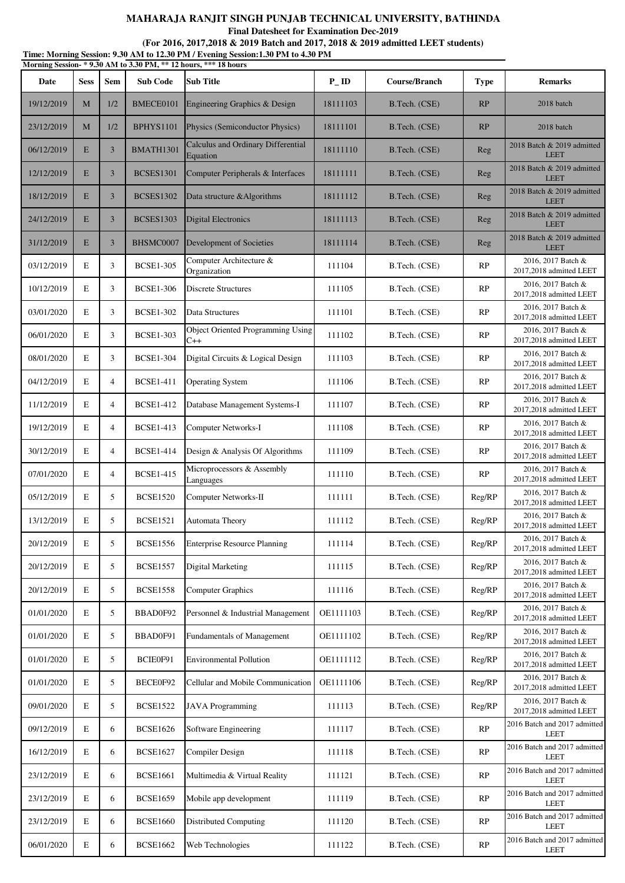**Final Datesheet for Examination Dec-2019**

| Time: Morning Session: 9.30 AM to 12.30 PM / Evening Session: 1.30 PM to 4.30 PM |  |
|----------------------------------------------------------------------------------|--|
| Morning Session-*9.30 AM to 3.30 PM, ** 12 hours, *** 18 hours                   |  |

| итот шще резогон-<br>Date | <b>Sess</b> | Sem            | $2.00$ The to $0.00$ T M <sub>3</sub><br><b>Sub Code</b> | <b>Sub Title</b>                                  | $P$ <sub>ID</sub> | Course/Branch | <b>Type</b> | <b>Remarks</b>                                |
|---------------------------|-------------|----------------|----------------------------------------------------------|---------------------------------------------------|-------------------|---------------|-------------|-----------------------------------------------|
| 19/12/2019                | M           | 1/2            | BMECE0101                                                | Engineering Graphics & Design                     | 18111103          | B.Tech. (CSE) | RP          | 2018 batch                                    |
| 23/12/2019                | M           | 1/2            | <b>BPHYS1101</b>                                         | Physics (Semiconductor Physics)                   | 18111101          | B.Tech. (CSE) | RP          | 2018 batch                                    |
| 06/12/2019                | E           | $\mathfrak{Z}$ | BMATH1301                                                | Calculus and Ordinary Differential<br>Equation    | 18111110          | B.Tech. (CSE) | Reg         | 2018 Batch & 2019 admitted<br><b>LEET</b>     |
| 12/12/2019                | E           | $\mathfrak{Z}$ | <b>BCSES1301</b>                                         | Computer Peripherals & Interfaces                 | 18111111          | B.Tech. (CSE) | Reg         | 2018 Batch & 2019 admitted<br><b>LEET</b>     |
| 18/12/2019                | E           | $\overline{3}$ | <b>BCSES1302</b>                                         | Data structure & Algorithms                       | 18111112          | B.Tech. (CSE) | Reg         | 2018 Batch & 2019 admitted<br><b>LEET</b>     |
| 24/12/2019                | E           | $\overline{3}$ | <b>BCSES1303</b>                                         | Digital Electronics                               | 18111113          | B.Tech. (CSE) | Reg         | 2018 Batch & 2019 admitted<br><b>LEET</b>     |
| 31/12/2019                | E           | $\mathfrak{Z}$ | BHSMC0007                                                | Development of Societies                          | 18111114          | B.Tech. (CSE) | Reg         | 2018 Batch & 2019 admitted<br><b>LEET</b>     |
| 03/12/2019                | E           | 3              | <b>BCSE1-305</b>                                         | Computer Architecture &<br>Organization           | 111104            | B.Tech. (CSE) | RP          | 2016, 2017 Batch &<br>2017,2018 admitted LEET |
| 10/12/2019                | E           | 3              | <b>BCSE1-306</b>                                         | <b>Discrete Structures</b>                        | 111105            | B.Tech. (CSE) | RP          | 2016, 2017 Batch &<br>2017,2018 admitted LEET |
| 03/01/2020                | E           | 3              | <b>BCSE1-302</b>                                         | Data Structures                                   | 111101            | B.Tech. (CSE) | <b>RP</b>   | 2016, 2017 Batch &<br>2017,2018 admitted LEET |
| 06/01/2020                | E           | 3              | <b>BCSE1-303</b>                                         | <b>Object Oriented Programming Using</b><br>$C++$ | 111102            | B.Tech. (CSE) | RP          | 2016, 2017 Batch &<br>2017,2018 admitted LEET |
| 08/01/2020                | E           | 3              | <b>BCSE1-304</b>                                         | Digital Circuits & Logical Design                 | 111103            | B.Tech. (CSE) | <b>RP</b>   | 2016, 2017 Batch &<br>2017,2018 admitted LEET |
| 04/12/2019                | E           | $\overline{4}$ | <b>BCSE1-411</b>                                         | <b>Operating System</b>                           | 111106            | B.Tech. (CSE) | RP          | 2016, 2017 Batch &<br>2017,2018 admitted LEET |
| 11/12/2019                | E           | $\overline{4}$ | <b>BCSE1-412</b>                                         | Database Management Systems-I                     | 111107            | B.Tech. (CSE) | RP          | 2016, 2017 Batch &<br>2017,2018 admitted LEET |
| 19/12/2019                | E           | $\overline{4}$ | <b>BCSE1-413</b>                                         | Computer Networks-I                               | 111108            | B.Tech. (CSE) | RP          | 2016, 2017 Batch &<br>2017,2018 admitted LEET |
| 30/12/2019                | E           | $\overline{4}$ | <b>BCSE1-414</b>                                         | Design & Analysis Of Algorithms                   | 111109            | B.Tech. (CSE) | RP          | 2016, 2017 Batch &<br>2017,2018 admitted LEET |
| 07/01/2020                | E           | $\overline{4}$ | <b>BCSE1-415</b>                                         | Microprocessors & Assembly<br>Languages           | 111110            | B.Tech. (CSE) | RP          | 2016, 2017 Batch &<br>2017,2018 admitted LEET |
| 05/12/2019                | E           | 5              | <b>BCSE1520</b>                                          | Computer Networks-II                              | 111111            | B.Tech. (CSE) | Reg/RP      | 2016, 2017 Batch &<br>2017,2018 admitted LEET |
| 13/12/2019                | E           | 5              | <b>BCSE1521</b>                                          | Automata Theory                                   | 111112            | B.Tech. (CSE) | Reg/RP      | 2016, 2017 Batch &<br>2017,2018 admitted LEET |
| 20/12/2019                | Ε           | 5              | <b>BCSE1556</b>                                          | <b>Enterprise Resource Planning</b>               | 111114            | B.Tech. (CSE) | Reg/RP      | 2016, 2017 Batch &<br>2017,2018 admitted LEET |
| 20/12/2019                | E           | 5              | <b>BCSE1557</b>                                          | Digital Marketing                                 | 111115            | B.Tech. (CSE) | Reg/RP      | 2016, 2017 Batch &<br>2017,2018 admitted LEET |
| 20/12/2019                | Е           | 5              | <b>BCSE1558</b>                                          | <b>Computer Graphics</b>                          | 111116            | B.Tech. (CSE) | Reg/RP      | 2016, 2017 Batch &<br>2017,2018 admitted LEET |
| 01/01/2020                | E           | 5              | BBAD0F92                                                 | Personnel & Industrial Management                 | OE1111103         | B.Tech. (CSE) | Reg/RP      | 2016, 2017 Batch &<br>2017,2018 admitted LEET |
| 01/01/2020                | Е           | 5              | BBAD0F91                                                 | Fundamentals of Management                        | OE1111102         | B.Tech. (CSE) | Reg/RP      | 2016, 2017 Batch &<br>2017,2018 admitted LEET |
| 01/01/2020                | Е           | 5              | BCIE0F91                                                 | <b>Environmental Pollution</b>                    | OE1111112         | B.Tech. (CSE) | Reg/RP      | 2016, 2017 Batch &<br>2017,2018 admitted LEET |
| 01/01/2020                | E           | 5              | BECE0F92                                                 | Cellular and Mobile Communication                 | OE1111106         | B.Tech. (CSE) | Reg/RP      | 2016, 2017 Batch &<br>2017,2018 admitted LEET |
| 09/01/2020                | E           | 5              | <b>BCSE1522</b>                                          | <b>JAVA Programming</b>                           | 111113            | B.Tech. (CSE) | Reg/RP      | 2016, 2017 Batch &<br>2017,2018 admitted LEET |
| 09/12/2019                | E           | 6              | <b>BCSE1626</b>                                          | Software Engineering                              | 111117            | B.Tech. (CSE) | RP          | 2016 Batch and 2017 admitted<br><b>LEET</b>   |
| 16/12/2019                | Е           | 6              | <b>BCSE1627</b>                                          | Compiler Design                                   | 111118            | B.Tech. (CSE) | <b>RP</b>   | 2016 Batch and 2017 admitted<br><b>LEET</b>   |
| 23/12/2019                | Е           | 6              | <b>BCSE1661</b>                                          | Multimedia & Virtual Reality                      | 111121            | B.Tech. (CSE) | RP          | 2016 Batch and 2017 admitted<br><b>LEET</b>   |
| 23/12/2019                | Е           | 6              | <b>BCSE1659</b>                                          | Mobile app development                            | 111119            | B.Tech. (CSE) | <b>RP</b>   | 2016 Batch and 2017 admitted<br><b>LEET</b>   |
| 23/12/2019                | Е           | 6              | <b>BCSE1660</b>                                          | <b>Distributed Computing</b>                      | 111120            | B.Tech. (CSE) | <b>RP</b>   | 2016 Batch and 2017 admitted<br><b>LEET</b>   |
| 06/01/2020                | Е           | 6              | <b>BCSE1662</b>                                          | Web Technologies                                  | 111122            | B.Tech. (CSE) | RP          | 2016 Batch and 2017 admitted<br><b>LEET</b>   |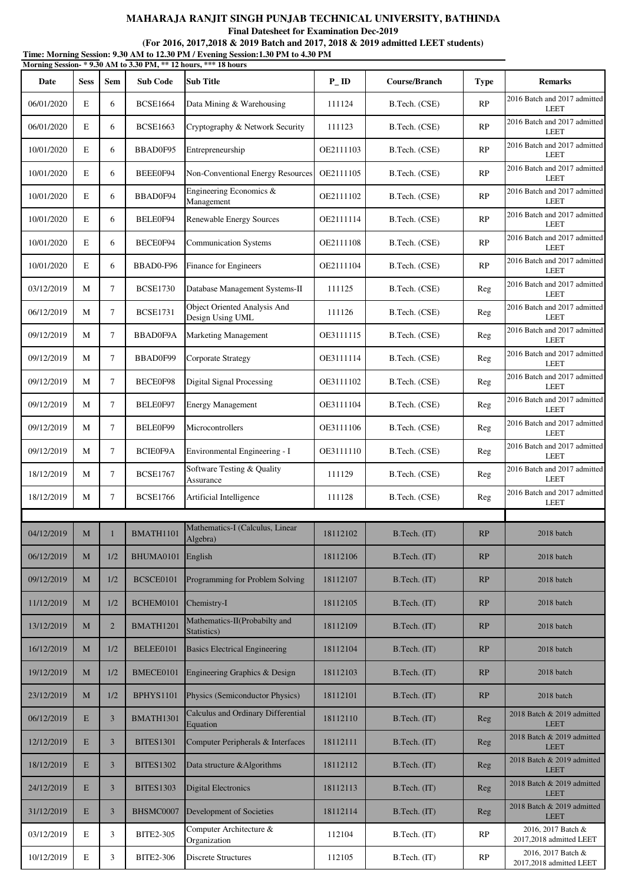**Final Datesheet for Examination Dec-2019**

|            |             |                |                  | Time: Morning Session: 9.30 AM to 12.30 PM / Evening Session:1.30 PM to 4.30 PM<br>Morning Session-* 9.30 AM to 3.30 PM, ** 12 hours, *** 18 hours |                    |               |             |                                               |
|------------|-------------|----------------|------------------|----------------------------------------------------------------------------------------------------------------------------------------------------|--------------------|---------------|-------------|-----------------------------------------------|
| Date       | <b>Sess</b> | <b>Sem</b>     | <b>Sub Code</b>  | <b>Sub Title</b>                                                                                                                                   | $P$ <sub>-ID</sub> | Course/Branch | <b>Type</b> | <b>Remarks</b>                                |
| 06/01/2020 | E           | 6              | <b>BCSE1664</b>  | Data Mining & Warehousing                                                                                                                          | 111124             | B.Tech. (CSE) | RP          | 2016 Batch and 2017 admitted<br><b>LEET</b>   |
| 06/01/2020 | E           | 6              | <b>BCSE1663</b>  | Cryptography & Network Security                                                                                                                    | 111123             | B.Tech. (CSE) | RP          | 2016 Batch and 2017 admitted<br><b>LEET</b>   |
| 10/01/2020 | E           | 6              | BBAD0F95         | Entrepreneurship                                                                                                                                   | OE2111103          | B.Tech. (CSE) | RP          | 2016 Batch and 2017 admitted<br><b>LEET</b>   |
| 10/01/2020 | E           | 6              | BEEE0F94         | Non-Conventional Energy Resources                                                                                                                  | OE2111105          | B.Tech. (CSE) | RP          | 2016 Batch and 2017 admitted<br><b>LEET</b>   |
| 10/01/2020 | E           | 6              | BBAD0F94         | Engineering Economics &<br>Management                                                                                                              | OE2111102          | B.Tech. (CSE) | RP          | 2016 Batch and 2017 admitted<br><b>LEET</b>   |
| 10/01/2020 | E           | 6              | BELE0F94         | Renewable Energy Sources                                                                                                                           | OE2111114          | B.Tech. (CSE) | RP          | 2016 Batch and 2017 admitted<br><b>LEET</b>   |
| 10/01/2020 | E           | 6              | BECE0F94         | <b>Communication Systems</b>                                                                                                                       | OE2111108          | B.Tech. (CSE) | RP          | 2016 Batch and 2017 admitted<br><b>LEET</b>   |
| 10/01/2020 | E           | 6              | BBAD0-F96        | Finance for Engineers                                                                                                                              | OE2111104          | B.Tech. (CSE) | RP          | 2016 Batch and 2017 admitted<br><b>LEET</b>   |
| 03/12/2019 | M           | 7              | <b>BCSE1730</b>  | Database Management Systems-II                                                                                                                     | 111125             | B.Tech. (CSE) | Reg         | 2016 Batch and 2017 admitted<br><b>LEET</b>   |
| 06/12/2019 | M           | $\tau$         | <b>BCSE1731</b>  | <b>Object Oriented Analysis And</b><br>Design Using UML                                                                                            | 111126             | B.Tech. (CSE) | Reg         | 2016 Batch and 2017 admitted<br><b>LEET</b>   |
| 09/12/2019 | M           | $\tau$         | BBAD0F9A         | <b>Marketing Management</b>                                                                                                                        | OE3111115          | B.Tech. (CSE) | Reg         | 2016 Batch and 2017 admitted<br><b>LEET</b>   |
| 09/12/2019 | M           | 7              | BBAD0F99         | <b>Corporate Strategy</b>                                                                                                                          | OE3111114          | B.Tech. (CSE) | Reg         | 2016 Batch and 2017 admitted<br><b>LEET</b>   |
| 09/12/2019 | M           | $\tau$         | BECE0F98         | <b>Digital Signal Processing</b>                                                                                                                   | OE3111102          | B.Tech. (CSE) | Reg         | 2016 Batch and 2017 admitted<br><b>LEET</b>   |
| 09/12/2019 | M           | $\tau$         | BELE0F97         | <b>Energy Management</b>                                                                                                                           | OE3111104          | B.Tech. (CSE) | Reg         | 2016 Batch and 2017 admitted<br><b>LEET</b>   |
| 09/12/2019 | M           | 7              | BELE0F99         | Microcontrollers                                                                                                                                   | OE3111106          | B.Tech. (CSE) | Reg         | 2016 Batch and 2017 admitted<br><b>LEET</b>   |
| 09/12/2019 | M           | $\tau$         | BCIE0F9A         | Environmental Engineering - I                                                                                                                      | OE3111110          | B.Tech. (CSE) | Reg         | 2016 Batch and 2017 admitted<br><b>LEET</b>   |
| 18/12/2019 | M           | $\tau$         | <b>BCSE1767</b>  | Software Testing & Quality<br>Assurance                                                                                                            | 111129             | B.Tech. (CSE) | Reg         | 2016 Batch and 2017 admitted<br><b>LEET</b>   |
| 18/12/2019 | М           | 7              | <b>BCSE1766</b>  | Artificial Intelligence                                                                                                                            | 111128             | B.Tech. (CSE) | Reg         | 2016 Batch and 2017 admitted<br><b>LEET</b>   |
|            |             |                |                  |                                                                                                                                                    |                    |               |             |                                               |
| 04/12/2019 | M           | $\mathbf{1}$   | BMATH1101        | Mathematics-I (Calculus, Linear<br>Algebra)                                                                                                        | 18112102           | B.Tech. (IT)  | RP          | 2018 batch                                    |
| 06/12/2019 | M           | 1/2            | BHUMA0101        | English                                                                                                                                            | 18112106           | B.Tech. (IT)  | RP          | 2018 batch                                    |
| 09/12/2019 | M           | 1/2            | BCSCE0101        | Programming for Problem Solving                                                                                                                    | 18112107           | B.Tech. (IT)  | RP          | 2018 batch                                    |
| 11/12/2019 | M           | 1/2            | BCHEM0101        | Chemistry-I                                                                                                                                        | 18112105           | B.Tech. (IT)  | RP          | 2018 batch                                    |
| 13/12/2019 | M           | $\overline{2}$ | BMATH1201        | Mathematics-II(Probabilty and<br>Statistics)                                                                                                       | 18112109           | B.Tech. (IT)  | RP          | 2018 batch                                    |
| 16/12/2019 | $\mathbf M$ | 1/2            | BELEE0101        | <b>Basics Electrical Engineering</b>                                                                                                               | 18112104           | B.Tech. (IT)  | RP          | 2018 batch                                    |
| 19/12/2019 | M           | 1/2            | BMECE0101        | Engineering Graphics & Design                                                                                                                      | 18112103           | B.Tech. (IT)  | RP          | 2018 batch                                    |
| 23/12/2019 | M           | 1/2            | <b>BPHYS1101</b> | Physics (Semiconductor Physics)                                                                                                                    | 18112101           | B.Tech. (IT)  | RP          | 2018 batch                                    |
| 06/12/2019 | E           | $\overline{3}$ | BMATH1301        | Calculus and Ordinary Differential<br>Equation                                                                                                     | 18112110           | B.Tech. (IT)  | Reg         | 2018 Batch & 2019 admitted<br><b>LEET</b>     |
| 12/12/2019 | E           | $\overline{3}$ | <b>BITES1301</b> | Computer Peripherals & Interfaces                                                                                                                  | 18112111           | B.Tech. (IT)  | Reg         | 2018 Batch & 2019 admitted<br><b>LEET</b>     |
| 18/12/2019 | E           | 3              | <b>BITES1302</b> | Data structure & Algorithms                                                                                                                        | 18112112           | B.Tech. (IT)  | Reg         | 2018 Batch & 2019 admitted<br><b>LEET</b>     |
| 24/12/2019 | E           | $\mathfrak{Z}$ | <b>BITES1303</b> | <b>Digital Electronics</b>                                                                                                                         | 18112113           | B.Tech. (IT)  | Reg         | 2018 Batch & 2019 admitted<br><b>LEET</b>     |
| 31/12/2019 | E           | $\overline{3}$ | BHSMC0007        | Development of Societies                                                                                                                           | 18112114           | B.Tech. (IT)  | Reg         | 2018 Batch & 2019 admitted<br><b>LEET</b>     |
| 03/12/2019 | E           | 3              | <b>BITE2-305</b> | Computer Architecture &<br>Organization                                                                                                            | 112104             | B.Tech. (IT)  | RP          | 2016, 2017 Batch &<br>2017,2018 admitted LEET |
| 10/12/2019 | $\mathbf E$ | 3              | <b>BITE2-306</b> | <b>Discrete Structures</b>                                                                                                                         | 112105             | B.Tech. (IT)  | RP          | 2016, 2017 Batch &<br>2017,2018 admitted LEET |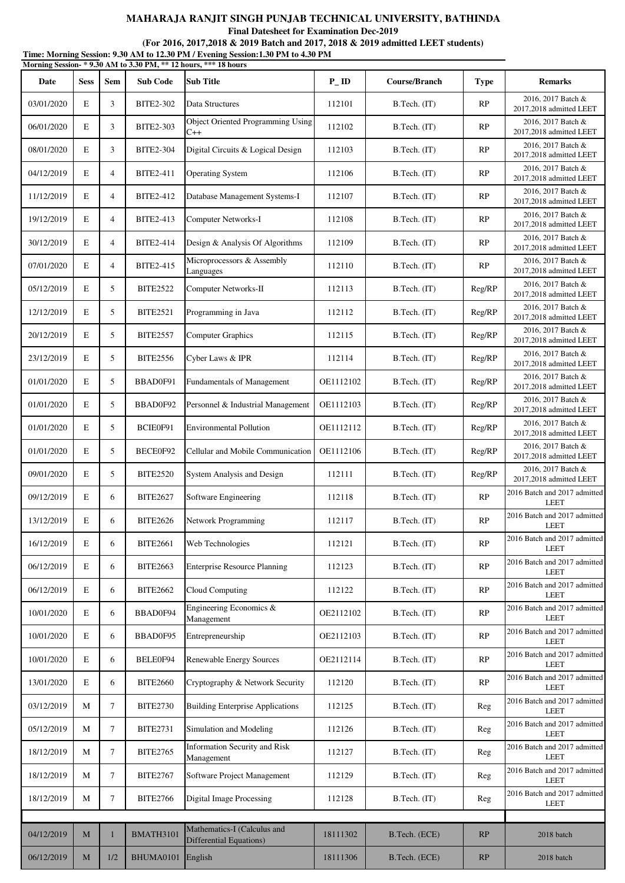**Final Datesheet for Examination Dec-2019**

|            |             |                |                  | Morning Session-*9.30 AM to 3.30 PM, ** 12 hours, *** 18 hours |                   |               |             |                                               |
|------------|-------------|----------------|------------------|----------------------------------------------------------------|-------------------|---------------|-------------|-----------------------------------------------|
| Date       | <b>Sess</b> | Sem            | <b>Sub Code</b>  | <b>Sub Title</b>                                               | $P$ <sub>ID</sub> | Course/Branch | <b>Type</b> | <b>Remarks</b>                                |
| 03/01/2020 | E           | 3              | <b>BITE2-302</b> | Data Structures                                                | 112101            | B.Tech. (IT)  | RP          | 2016, 2017 Batch &<br>2017,2018 admitted LEET |
| 06/01/2020 | E           | 3              | <b>BITE2-303</b> | <b>Object Oriented Programming Using</b><br>$C++$              | 112102            | B.Tech. (IT)  | RP          | 2016, 2017 Batch &<br>2017,2018 admitted LEET |
| 08/01/2020 | E           | 3              | <b>BITE2-304</b> | Digital Circuits & Logical Design                              | 112103            | B.Tech. (IT)  | RP          | 2016, 2017 Batch &<br>2017,2018 admitted LEET |
| 04/12/2019 | E           | $\overline{4}$ | BITE2-411        | <b>Operating System</b>                                        | 112106            | B.Tech. (IT)  | RP          | 2016, 2017 Batch &<br>2017,2018 admitted LEET |
| 11/12/2019 | E           | $\overline{4}$ | <b>BITE2-412</b> | Database Management Systems-I                                  | 112107            | B.Tech. (IT)  | RP          | 2016, 2017 Batch &<br>2017,2018 admitted LEET |
| 19/12/2019 | E           | $\overline{4}$ | BITE2-413        | Computer Networks-I                                            | 112108            | B.Tech. (IT)  | RP          | 2016, 2017 Batch &<br>2017,2018 admitted LEET |
| 30/12/2019 | E           | $\overline{4}$ | <b>BITE2-414</b> | Design & Analysis Of Algorithms                                | 112109            | B.Tech. (IT)  | RP          | 2016, 2017 Batch &<br>2017,2018 admitted LEET |
| 07/01/2020 | $\mathbf E$ | $\overline{4}$ | <b>BITE2-415</b> | Microprocessors & Assembly<br>Languages                        | 112110            | B.Tech. (IT)  | RP          | 2016, 2017 Batch &<br>2017,2018 admitted LEET |
| 05/12/2019 | E           | 5              | <b>BITE2522</b>  | Computer Networks-II                                           | 112113            | B.Tech. (IT)  | Reg/RP      | 2016, 2017 Batch &<br>2017,2018 admitted LEET |
| 12/12/2019 | E           | 5              | <b>BITE2521</b>  | Programming in Java                                            | 112112            | B.Tech. (IT)  | Reg/RP      | 2016, 2017 Batch &<br>2017,2018 admitted LEET |
| 20/12/2019 | E           | 5              | <b>BITE2557</b>  | <b>Computer Graphics</b>                                       | 112115            | B.Tech. (IT)  | Reg/RP      | 2016, 2017 Batch &<br>2017,2018 admitted LEET |
| 23/12/2019 | E           | 5              | <b>BITE2556</b>  | Cyber Laws & IPR                                               | 112114            | B.Tech. (IT)  | Reg/RP      | 2016, 2017 Batch &<br>2017,2018 admitted LEET |
| 01/01/2020 | E           | 5              | BBAD0F91         | Fundamentals of Management                                     | OE1112102         | B.Tech. (IT)  | Reg/RP      | 2016, 2017 Batch &<br>2017,2018 admitted LEET |
| 01/01/2020 | E           | 5              | BBAD0F92         | Personnel & Industrial Management                              | OE1112103         | B.Tech. (IT)  | Reg/RP      | 2016, 2017 Batch &<br>2017,2018 admitted LEET |
| 01/01/2020 | $\mathbf E$ | 5              | BCIE0F91         | <b>Environmental Pollution</b>                                 | OE1112112         | B.Tech. (IT)  | Reg/RP      | 2016, 2017 Batch &<br>2017,2018 admitted LEET |
| 01/01/2020 | E           | 5              | BECE0F92         | Cellular and Mobile Communication                              | OE1112106         | B.Tech. (IT)  | Reg/RP      | 2016, 2017 Batch &<br>2017,2018 admitted LEET |
| 09/01/2020 | E           | 5              | <b>BITE2520</b>  | System Analysis and Design                                     | 112111            | B.Tech. (IT)  | Reg/RP      | 2016, 2017 Batch &<br>2017,2018 admitted LEET |
| 09/12/2019 | E           | 6              | <b>BITE2627</b>  | Software Engineering                                           | 112118            | B.Tech. (IT)  | RP          | 2016 Batch and 2017 admitted<br><b>LEET</b>   |
| 13/12/2019 | E           | 6              | <b>BITE2626</b>  | Network Programming                                            | 112117            | B.Tech. (IT)  | RP          | 2016 Batch and 2017 admitted<br><b>LEET</b>   |
| 16/12/2019 | E           | 6              | <b>BITE2661</b>  | Web Technologies                                               | 112121            | B.Tech. (IT)  | RP          | 2016 Batch and 2017 admitted<br><b>LEET</b>   |
| 06/12/2019 | $\mathbf E$ | 6              | <b>BITE2663</b>  | <b>Enterprise Resource Planning</b>                            | 112123            | B.Tech. (IT)  | RP          | 2016 Batch and 2017 admitted<br><b>LEET</b>   |
| 06/12/2019 | $\mathbf E$ | 6              | <b>BITE2662</b>  | Cloud Computing                                                | 112122            | B.Tech. (IT)  | RP          | 2016 Batch and 2017 admitted<br><b>LEET</b>   |
| 10/01/2020 | $\mathbf E$ | 6              | BBAD0F94         | Engineering Economics &<br>Management                          | OE2112102         | B.Tech. (IT)  | RP          | 2016 Batch and 2017 admitted<br><b>LEET</b>   |
| 10/01/2020 | E           | 6              | BBAD0F95         | Entrepreneurship                                               | OE2112103         | B.Tech. (IT)  | RP          | 2016 Batch and 2017 admitted<br><b>LEET</b>   |
| 10/01/2020 | E           | 6              | BELE0F94         | Renewable Energy Sources                                       | OE2112114         | B.Tech. (IT)  | RP          | 2016 Batch and 2017 admitted<br><b>LEET</b>   |
| 13/01/2020 | $\mathbf E$ | 6              | <b>BITE2660</b>  | Cryptography & Network Security                                | 112120            | B.Tech. (IT)  | RP          | 2016 Batch and 2017 admitted<br><b>LEET</b>   |
| 03/12/2019 | М           | 7              | <b>BITE2730</b>  | <b>Building Enterprise Applications</b>                        | 112125            | B.Tech. (IT)  | Reg         | 2016 Batch and 2017 admitted<br><b>LEET</b>   |
| 05/12/2019 | М           | 7              | <b>BITE2731</b>  | Simulation and Modeling                                        | 112126            | B.Tech. (IT)  | Reg         | 2016 Batch and 2017 admitted<br><b>LEET</b>   |
| 18/12/2019 | М           | 7              | <b>BITE2765</b>  | Information Security and Risk<br>Management                    | 112127            | B.Tech. (IT)  | Reg         | 2016 Batch and 2017 admitted<br><b>LEET</b>   |
| 18/12/2019 | М           | 7              | <b>BITE2767</b>  | Software Project Management                                    | 112129            | B.Tech. (IT)  | Reg         | 2016 Batch and 2017 admitted<br><b>LEET</b>   |
| 18/12/2019 | M           | 7              | <b>BITE2766</b>  | <b>Digital Image Processing</b>                                | 112128            | B.Tech. (IT)  | Reg         | 2016 Batch and 2017 admitted<br><b>LEET</b>   |
|            |             |                |                  |                                                                |                   |               |             |                                               |
| 04/12/2019 | M           | 1              | BMATH3101        | Mathematics-I (Calculus and<br><b>Differential Equations)</b>  | 18111302          | B.Tech. (ECE) | RP          | 2018 batch                                    |
| 06/12/2019 | M           | 1/2            | BHUMA0101        | English                                                        | 18111306          | B.Tech. (ECE) | RP          | 2018 batch                                    |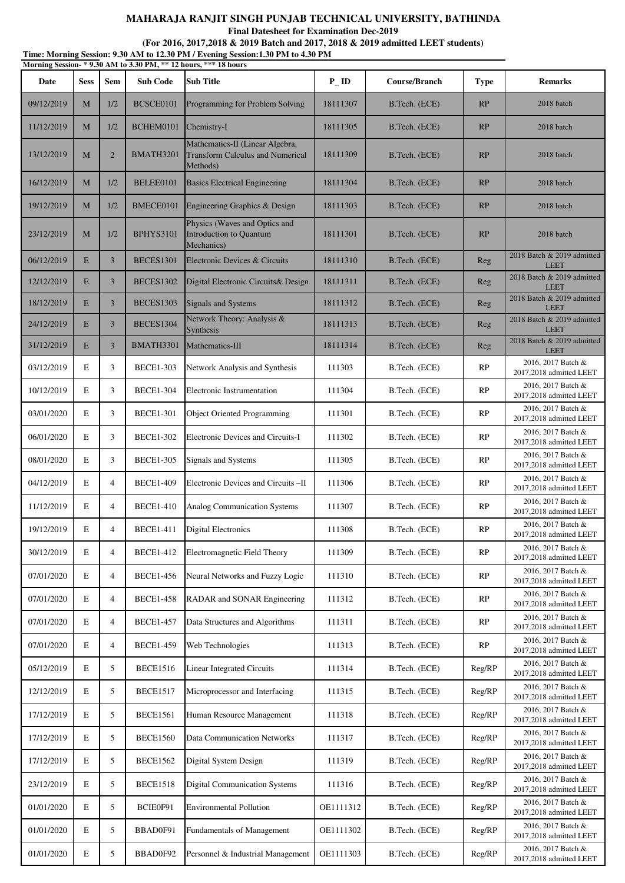**Final Datesheet for Examination Dec-2019**

|                                                                  | Time: Morning Session: 9.30 AM to 12.30 PM / Evening Session:1.30 PM to 4.30 PM |
|------------------------------------------------------------------|---------------------------------------------------------------------------------|
| Morning Session- * 9.30 AM to 3.30 PM, ** 12 hours, *** 18 hours |                                                                                 |

| итогнице освяси-<br>Date | <b>Sess</b> | Sem            | $2.00$ The to $0.00$ T $\rm m_{\odot}$<br><b>Sub Code</b> | <b>Sub Title</b>                                                                       | $P$ <sub>ID</sub> | Course/Branch | <b>Type</b> | <b>Remarks</b>                                |
|--------------------------|-------------|----------------|-----------------------------------------------------------|----------------------------------------------------------------------------------------|-------------------|---------------|-------------|-----------------------------------------------|
| 09/12/2019               | M           | 1/2            | BCSCE0101                                                 | Programming for Problem Solving                                                        | 18111307          | B.Tech. (ECE) | RP          | 2018 batch                                    |
| 11/12/2019               | M           | 1/2            | BCHEM0101                                                 | Chemistry-I                                                                            | 18111305          | B.Tech. (ECE) | RP          | 2018 batch                                    |
| 13/12/2019               | M           | $\overline{2}$ | BMATH3201                                                 | Mathematics-II (Linear Algebra,<br><b>Transform Calculus and Numerical</b><br>Methods) | 18111309          | B.Tech. (ECE) | RP          | 2018 batch                                    |
| 16/12/2019               | M           | 1/2            | BELEE0101                                                 | <b>Basics Electrical Engineering</b>                                                   | 18111304          | B.Tech. (ECE) | RP          | 2018 batch                                    |
| 19/12/2019               | M           | 1/2            | BMECE0101                                                 | Engineering Graphics & Design                                                          | 18111303          | B.Tech. (ECE) | RP          | 2018 batch                                    |
| 23/12/2019               | M           | 1/2            | <b>BPHYS3101</b>                                          | Physics (Waves and Optics and<br>Introduction to Quantum<br>Mechanics)                 | 18111301          | B.Tech. (ECE) | RP          | 2018 batch                                    |
| 06/12/2019               | E           | $\mathfrak{Z}$ | <b>BECES1301</b>                                          | Electronic Devices & Circuits                                                          | 18111310          | B.Tech. (ECE) | Reg         | 2018 Batch & 2019 admitted<br><b>LEET</b>     |
| 12/12/2019               | E           | $\mathfrak{Z}$ | <b>BECES1302</b>                                          | Digital Electronic Circuits& Design                                                    | 18111311          | B.Tech. (ECE) | Reg         | 2018 Batch & 2019 admitted<br><b>LEET</b>     |
| 18/12/2019               | E           | $\overline{3}$ | <b>BECES1303</b>                                          | <b>Signals and Systems</b>                                                             | 18111312          | B.Tech. (ECE) | Reg         | 2018 Batch & 2019 admitted<br><b>LEET</b>     |
| 24/12/2019               | E           | 3              | <b>BECES1304</b>                                          | Network Theory: Analysis &<br>Synthesis                                                | 18111313          | B.Tech. (ECE) | Reg         | 2018 Batch & 2019 admitted<br><b>LEET</b>     |
| 31/12/2019               | E           | $\overline{3}$ | BMATH3301                                                 | Mathematics-III                                                                        | 18111314          | B.Tech. (ECE) | Reg         | 2018 Batch & 2019 admitted<br><b>LEET</b>     |
| 03/12/2019               | E           | 3              | <b>BECE1-303</b>                                          | Network Analysis and Synthesis                                                         | 111303            | B.Tech. (ECE) | RP          | 2016, 2017 Batch &<br>2017,2018 admitted LEET |
| 10/12/2019               | Е           | 3              | <b>BECE1-304</b>                                          | Electronic Instrumentation                                                             | 111304            | B.Tech. (ECE) | RP          | 2016, 2017 Batch &<br>2017,2018 admitted LEET |
| 03/01/2020               | E           | 3              | <b>BECE1-301</b>                                          | <b>Object Oriented Programming</b>                                                     | 111301            | B.Tech. (ECE) | RP          | 2016, 2017 Batch &<br>2017,2018 admitted LEET |
| 06/01/2020               | E           | 3              | <b>BECE1-302</b>                                          | Electronic Devices and Circuits-I                                                      | 111302            | B.Tech. (ECE) | RP          | 2016, 2017 Batch &<br>2017,2018 admitted LEET |
| 08/01/2020               | E           | 3              | <b>BECE1-305</b>                                          | Signals and Systems                                                                    | 111305            | B.Tech. (ECE) | RP          | 2016, 2017 Batch &<br>2017,2018 admitted LEET |
| 04/12/2019               | Е           | 4              | <b>BECE1-409</b>                                          | Electronic Devices and Circuits -II                                                    | 111306            | B.Tech. (ECE) | RP          | 2016, 2017 Batch &<br>2017,2018 admitted LEET |
| 11/12/2019               | E           | 4              | <b>BECE1-410</b>                                          | Analog Communication Systems                                                           | 111307            | B.Tech. (ECE) | RP          | 2016, 2017 Batch &<br>2017,2018 admitted LEET |
| 19/12/2019               | E           | $\overline{4}$ | <b>BECE1-411</b>                                          | Digital Electronics                                                                    | 111308            | B.Tech. (ECE) | RP          | 2016, 2017 Batch &<br>2017,2018 admitted LEET |
| 30/12/2019               | E           | $\overline{4}$ | <b>BECE1-412</b>                                          | Electromagnetic Field Theory                                                           | 111309            | B.Tech. (ECE) | RP          | 2016, 2017 Batch &<br>2017,2018 admitted LEET |
| 07/01/2020               | E           | 4              | <b>BECE1-456</b>                                          | Neural Networks and Fuzzy Logic                                                        | 111310            | B.Tech. (ECE) | RP          | 2016, 2017 Batch &<br>2017,2018 admitted LEET |
| 07/01/2020               | E           | $\overline{4}$ | <b>BECE1-458</b>                                          | RADAR and SONAR Engineering                                                            | 111312            | B.Tech. (ECE) | RP          | 2016, 2017 Batch &<br>2017,2018 admitted LEET |
| 07/01/2020               | E           | $\overline{4}$ | <b>BECE1-457</b>                                          | Data Structures and Algorithms                                                         | 111311            | B.Tech. (ECE) | RP          | 2016, 2017 Batch &<br>2017,2018 admitted LEET |
| 07/01/2020               | Е           | $\overline{4}$ | <b>BECE1-459</b>                                          | Web Technologies                                                                       | 111313            | B.Tech. (ECE) | RP          | 2016, 2017 Batch &<br>2017,2018 admitted LEET |
| 05/12/2019               | E           | 5              | <b>BECE1516</b>                                           | <b>Linear Integrated Circuits</b>                                                      | 111314            | B.Tech. (ECE) | Reg/RP      | 2016, 2017 Batch &<br>2017,2018 admitted LEET |
| 12/12/2019               | E           | 5              | <b>BECE1517</b>                                           | Microprocessor and Interfacing                                                         | 111315            | B.Tech. (ECE) | Reg/RP      | 2016, 2017 Batch &<br>2017,2018 admitted LEET |
| 17/12/2019               | E           | 5              | <b>BECE1561</b>                                           | Human Resource Management                                                              | 111318            | B.Tech. (ECE) | Reg/RP      | 2016, 2017 Batch &<br>2017,2018 admitted LEET |
| 17/12/2019               | E           | 5              | <b>BECE1560</b>                                           | <b>Data Communication Networks</b>                                                     | 111317            | B.Tech. (ECE) | Reg/RP      | 2016, 2017 Batch &<br>2017,2018 admitted LEET |
| 17/12/2019               | E           | 5              | <b>BECE1562</b>                                           | Digital System Design                                                                  | 111319            | B.Tech. (ECE) | Reg/RP      | 2016, 2017 Batch &<br>2017,2018 admitted LEET |
| 23/12/2019               | E           | 5              | <b>BECE1518</b>                                           | <b>Digital Communication Systems</b>                                                   | 111316            | B.Tech. (ECE) | Reg/RP      | 2016, 2017 Batch &<br>2017,2018 admitted LEET |
| 01/01/2020               | E           | 5              | BCIE0F91                                                  | <b>Environmental Pollution</b>                                                         | OE1111312         | B.Tech. (ECE) | Reg/RP      | 2016, 2017 Batch &<br>2017,2018 admitted LEET |
| 01/01/2020               | E           | 5              | BBAD0F91                                                  | Fundamentals of Management                                                             | OE1111302         | B.Tech. (ECE) | Reg/RP      | 2016, 2017 Batch &<br>2017,2018 admitted LEET |
| 01/01/2020               | Е           | 5              | BBAD0F92                                                  | Personnel & Industrial Management                                                      | OE1111303         | B.Tech. (ECE) | Reg/RP      | 2016, 2017 Batch &<br>2017,2018 admitted LEET |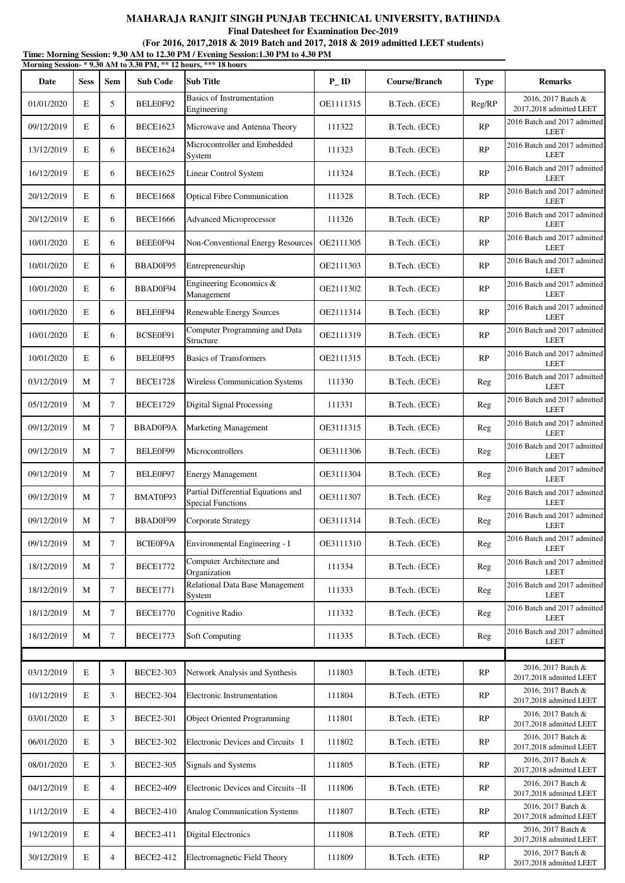**Final Datesheet for Examination Dec-2019**

|            |             |                |                  | Morning Session-* 9.30 AM to 3.30 PM, ** 12 hours, *** 18 hours |                    |               |             |                                               |
|------------|-------------|----------------|------------------|-----------------------------------------------------------------|--------------------|---------------|-------------|-----------------------------------------------|
| Date       | <b>Sess</b> | <b>Sem</b>     | <b>Sub Code</b>  | <b>Sub Title</b>                                                | $P$ <sub>-ID</sub> | Course/Branch | <b>Type</b> | <b>Remarks</b>                                |
| 01/01/2020 | E           | 5              | BELE0F92         | <b>Basics of Instrumentation</b><br>Engineering                 | OE1111315          | B.Tech. (ECE) | Reg/RP      | 2016, 2017 Batch &<br>2017,2018 admitted LEET |
| 09/12/2019 | E           | 6              | <b>BECE1623</b>  | Microwave and Antenna Theory                                    | 111322             | B.Tech. (ECE) | RP          | 2016 Batch and 2017 admitted<br><b>LEET</b>   |
| 13/12/2019 | E           | 6              | <b>BECE1624</b>  | Microcontroller and Embedded<br>System                          | 111323             | B.Tech. (ECE) | RP          | 2016 Batch and 2017 admitted<br><b>LEET</b>   |
| 16/12/2019 | E           | 6              | <b>BECE1625</b>  | Linear Control System                                           | 111324             | B.Tech. (ECE) | RP          | 2016 Batch and 2017 admitted<br><b>LEET</b>   |
| 20/12/2019 | E           | 6              | <b>BECE1668</b>  | <b>Optical Fibre Communication</b>                              | 111328             | B.Tech. (ECE) | RP          | 2016 Batch and 2017 admitted<br><b>LEET</b>   |
| 20/12/2019 | E           | 6              | <b>BECE1666</b>  | <b>Advanced Microprocessor</b>                                  | 111326             | B.Tech. (ECE) | RP          | 2016 Batch and 2017 admitted<br><b>LEET</b>   |
| 10/01/2020 | E           | 6              | BEEE0F94         | Non-Conventional Energy Resources                               | OE2111305          | B.Tech. (ECE) | RP          | 2016 Batch and 2017 admitted<br><b>LEET</b>   |
| 10/01/2020 | E           | 6              | BBAD0F95         | Entrepreneurship                                                | OE2111303          | B.Tech. (ECE) | RP          | 2016 Batch and 2017 admitted<br><b>LEET</b>   |
| 10/01/2020 | E           | 6              | BBAD0F94         | Engineering Economics &<br>Management                           | OE2111302          | B.Tech. (ECE) | RP          | 2016 Batch and 2017 admitted<br><b>LEET</b>   |
| 10/01/2020 | E           | 6              | BELE0F94         | Renewable Energy Sources                                        | OE2111314          | B.Tech. (ECE) | RP          | 2016 Batch and 2017 admitted<br><b>LEET</b>   |
| 10/01/2020 | E           | 6              | BCSE0F91         | Computer Programming and Data<br>Structure                      | OE2111319          | B.Tech. (ECE) | RP          | 2016 Batch and 2017 admitted<br><b>LEET</b>   |
| 10/01/2020 | E           | 6              | BELE0F95         | <b>Basics of Transformers</b>                                   | OE2111315          | B.Tech. (ECE) | RP          | 2016 Batch and 2017 admitted<br><b>LEET</b>   |
| 03/12/2019 | M           | 7              | <b>BECE1728</b>  | Wireless Communication Systems                                  | 111330             | B.Tech. (ECE) | Reg         | 2016 Batch and 2017 admitted<br><b>LEET</b>   |
| 05/12/2019 | М           | 7              | <b>BECE1729</b>  | <b>Digital Signal Processing</b>                                | 111331             | B.Tech. (ECE) | Reg         | 2016 Batch and 2017 admitted<br><b>LEET</b>   |
| 09/12/2019 | M           | $\tau$         | BBAD0F9A         | <b>Marketing Management</b>                                     | OE3111315          | B.Tech. (ECE) | Reg         | 2016 Batch and 2017 admitted<br><b>LEET</b>   |
| 09/12/2019 | М           | 7              | BELE0F99         | Microcontrollers                                                | OE3111306          | B.Tech. (ECE) | Reg         | 2016 Batch and 2017 admitted<br><b>LEET</b>   |
| 09/12/2019 | M           | $\tau$         | BELE0F97         | <b>Energy Management</b>                                        | OE3111304          | B.Tech. (ECE) | Reg         | 2016 Batch and 2017 admitted<br><b>LEET</b>   |
| 09/12/2019 | М           | 7              | BMAT0F93         | Partial Differential Equations and<br><b>Special Functions</b>  | OE3111307          | B.Tech. (ECE) | Reg         | 2016 Batch and 2017 admitted<br><b>LEET</b>   |
| 09/12/2019 | М           | $\tau$         | BBAD0F99         | <b>Corporate Strategy</b>                                       | OE3111314          | B.Tech. (ECE) | Reg         | 2016 Batch and 2017 admitted<br><b>LEET</b>   |
| 09/12/2019 | M           | $\tau$         | BCIE0F9A         | Environmental Engineering - I                                   | OE3111310          | B.Tech. (ECE) | Reg         | 2016 Batch and 2017 admitted<br><b>LEET</b>   |
| 18/12/2019 | M           | $\tau$         | <b>BECE1772</b>  | Computer Architecture and<br>Organization                       | 111334             | B.Tech. (ECE) | Reg         | 2016 Batch and 2017 admitted<br><b>LEET</b>   |
| 18/12/2019 | M           | $\tau$         | <b>BECE1771</b>  | Relational Data Base Management<br>System                       | 111333             | B.Tech. (ECE) | Reg         | 2016 Batch and 2017 admitted<br><b>LEET</b>   |
| 18/12/2019 | M           | $\tau$         | <b>BECE1770</b>  | Cognitive Radio                                                 | 111332             | B.Tech. (ECE) | Reg         | 2016 Batch and 2017 admitted<br><b>LEET</b>   |
| 18/12/2019 | M           | 7              | <b>BECE1773</b>  | Soft Computing                                                  | 111335             | B.Tech. (ECE) | Reg         | 2016 Batch and 2017 admitted<br><b>LEET</b>   |
|            |             |                |                  |                                                                 |                    |               |             |                                               |
| 03/12/2019 | E           | 3              | <b>BECE2-303</b> | Network Analysis and Synthesis                                  | 111803             | B.Tech. (ETE) | RP          | 2016, 2017 Batch &<br>2017,2018 admitted LEET |
| 10/12/2019 | E           | 3              | <b>BECE2-304</b> | Electronic Instrumentation                                      | 111804             | B.Tech. (ETE) | RP          | 2016, 2017 Batch &<br>2017,2018 admitted LEET |
| 03/01/2020 | E           | 3              | <b>BECE2-301</b> | <b>Object Oriented Programming</b>                              | 111801             | B.Tech. (ETE) | RP          | 2016, 2017 Batch &<br>2017,2018 admitted LEET |
| 06/01/2020 | E           | 3              | <b>BECE2-302</b> | Electronic Devices and Circuits I                               | 111802             | B.Tech. (ETE) | RP          | 2016, 2017 Batch &<br>2017,2018 admitted LEET |
| 08/01/2020 | E           | 3              | <b>BECE2-305</b> | Signals and Systems                                             | 111805             | B.Tech. (ETE) | RP          | 2016, 2017 Batch &<br>2017,2018 admitted LEET |
| 04/12/2019 | E           | $\overline{4}$ | <b>BECE2-409</b> | Electronic Devices and Circuits-II                              | 111806             | B.Tech. (ETE) | RP          | 2016, 2017 Batch &<br>2017,2018 admitted LEET |
| 11/12/2019 | E           | 4              | <b>BECE2-410</b> | Analog Communication Systems                                    | 111807             | B.Tech. (ETE) | RP          | 2016, 2017 Batch &<br>2017,2018 admitted LEET |
| 19/12/2019 | E           | $\overline{4}$ | <b>BECE2-411</b> | <b>Digital Electronics</b>                                      | 111808             | B.Tech. (ETE) | RP          | 2016, 2017 Batch &<br>2017,2018 admitted LEET |
| 30/12/2019 | $\mathbf E$ | $\overline{4}$ | <b>BECE2-412</b> | Electromagnetic Field Theory                                    | 111809             | B.Tech. (ETE) | RP          | 2016, 2017 Batch &<br>2017,2018 admitted LEET |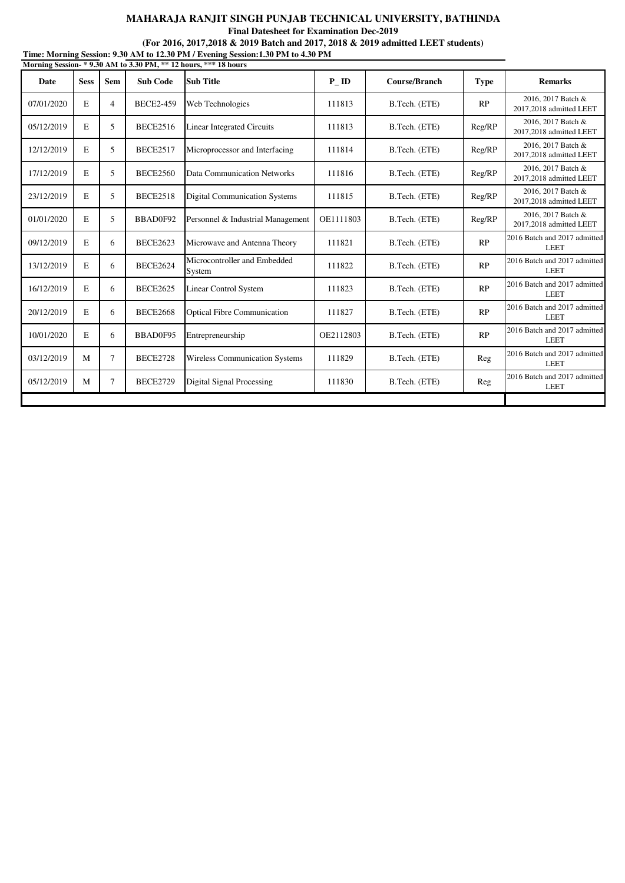**Final Datesheet for Examination Dec-2019**

**Time: Morning Session: 9.30 AM to 12.30 PM / Evening Session:1.30 PM to 4.30 PM**

|             |             |                |                  | Morning Session-*9.30 AM to 3.30 PM, ** 12 hours, *** 18 hours |           |                      |             |                                               |
|-------------|-------------|----------------|------------------|----------------------------------------------------------------|-----------|----------------------|-------------|-----------------------------------------------|
| <b>Date</b> | <b>Sess</b> | Sem            | <b>Sub Code</b>  | <b>Sub Title</b>                                               | P ID      | <b>Course/Branch</b> | <b>Type</b> | <b>Remarks</b>                                |
| 07/01/2020  | E           | $\overline{4}$ | <b>BECE2-459</b> | Web Technologies                                               | 111813    | B.Tech. (ETE)        | RP          | 2016, 2017 Batch &<br>2017,2018 admitted LEET |
| 05/12/2019  | E           | 5              | <b>BECE2516</b>  | <b>Linear Integrated Circuits</b>                              | 111813    | B.Tech. (ETE)        | Reg/RP      | 2016, 2017 Batch &<br>2017,2018 admitted LEET |
| 12/12/2019  | E           | 5              | <b>BECE2517</b>  | Microprocessor and Interfacing                                 | 111814    | B.Tech. (ETE)        | Reg/RP      | 2016, 2017 Batch &<br>2017,2018 admitted LEET |
| 17/12/2019  | E           | 5              | <b>BECE2560</b>  | Data Communication Networks                                    | 111816    | B.Tech. (ETE)        | Reg/RP      | 2016, 2017 Batch &<br>2017,2018 admitted LEET |
| 23/12/2019  | E           | 5              | <b>BECE2518</b>  | <b>Digital Communication Systems</b>                           | 111815    | B.Tech. (ETE)        | Reg/RP      | 2016, 2017 Batch &<br>2017,2018 admitted LEET |
| 01/01/2020  | E           | $\overline{5}$ | BBAD0F92         | Personnel & Industrial Management                              | OE1111803 | B.Tech. (ETE)        | Reg/RP      | 2016, 2017 Batch &<br>2017,2018 admitted LEET |
| 09/12/2019  | E           | 6              | <b>BECE2623</b>  | Microwave and Antenna Theory                                   | 111821    | B.Tech. (ETE)        | RP          | 2016 Batch and 2017 admitted<br><b>LEET</b>   |
| 13/12/2019  | E           | 6              | <b>BECE2624</b>  | Microcontroller and Embedded<br>System                         | 111822    | B.Tech. (ETE)        | RP          | 2016 Batch and 2017 admitted<br><b>LEET</b>   |
| 16/12/2019  | E           | 6              | <b>BECE2625</b>  | <b>Linear Control System</b>                                   | 111823    | B.Tech. (ETE)        | RP          | 2016 Batch and 2017 admitted<br><b>LEET</b>   |
| 20/12/2019  | E           | 6              | <b>BECE2668</b>  | <b>Optical Fibre Communication</b>                             | 111827    | B.Tech. (ETE)        | RP          | 2016 Batch and 2017 admitted<br><b>LEET</b>   |
| 10/01/2020  | E           | 6              | BBAD0F95         | Entrepreneurship                                               | OE2112803 | B.Tech. (ETE)        | RP          | 2016 Batch and 2017 admitted<br><b>LEET</b>   |
| 03/12/2019  | M           | $\tau$         | <b>BECE2728</b>  | Wireless Communication Systems                                 | 111829    | B.Tech. (ETE)        | Reg         | 2016 Batch and 2017 admitted<br><b>LEET</b>   |
| 05/12/2019  | M           | 7              | <b>BECE2729</b>  | Digital Signal Processing                                      | 111830    | B.Tech. (ETE)        | Reg         | 2016 Batch and 2017 admitted<br><b>LEET</b>   |
|             |             |                |                  |                                                                |           |                      |             |                                               |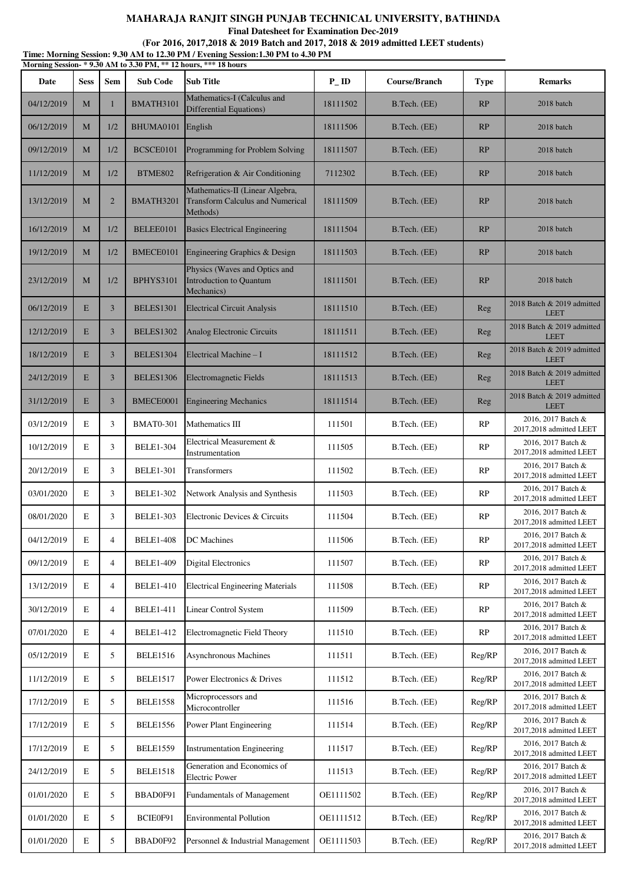|            |             |                |                  | (For 2016, 2017, 2018 & 2019 Batch and 2017, 2018 & 2019 admitted LEET students)<br>Time: Morning Session: 9.30 AM to 12.30 PM / Evening Session:1.30 PM to 4.30 PM |          |               |             |                                               |
|------------|-------------|----------------|------------------|---------------------------------------------------------------------------------------------------------------------------------------------------------------------|----------|---------------|-------------|-----------------------------------------------|
| Date       | <b>Sess</b> | Sem            | <b>Sub Code</b>  | Morning Session-*9.30 AM to 3.30 PM, ** 12 hours, *** 18 hours<br><b>Sub Title</b>                                                                                  | PID      | Course/Branch | <b>Type</b> | <b>Remarks</b>                                |
| 04/12/2019 | M           | 1              | <b>BMATH3101</b> | Mathematics-I (Calculus and<br><b>Differential Equations)</b>                                                                                                       | 18111502 | B.Tech. (EE)  | RP          | 2018 batch                                    |
| 06/12/2019 | M           | 1/2            | BHUMA0101        | English                                                                                                                                                             | 18111506 | B.Tech. (EE)  | RP          | 2018 batch                                    |
| 09/12/2019 | M           | 1/2            | BCSCE0101        | Programming for Problem Solving                                                                                                                                     | 18111507 | B.Tech. (EE)  | RP          | 2018 batch                                    |
| 11/12/2019 | M           | 1/2            | BTME802          | Refrigeration & Air Conditioning                                                                                                                                    | 7112302  | B.Tech. (EE)  | RP          | 2018 batch                                    |
| 13/12/2019 | M           | $\overline{2}$ | BMATH3201        | Mathematics-II (Linear Algebra,<br><b>Transform Calculus and Numerical</b><br>Methods)                                                                              | 18111509 | B.Tech. (EE)  | RP          | 2018 batch                                    |
| 16/12/2019 | M           | 1/2            | BELEE0101        | <b>Basics Electrical Engineering</b>                                                                                                                                | 18111504 | B.Tech. (EE)  | RP          | 2018 batch                                    |
| 19/12/2019 | M           | 1/2            | BMECE0101        | Engineering Graphics & Design                                                                                                                                       | 18111503 | B.Tech. (EE)  | RP          | 2018 batch                                    |
| 23/12/2019 | M           | 1/2            | <b>BPHYS3101</b> | Physics (Waves and Optics and<br>Introduction to Quantum<br>Mechanics)                                                                                              | 18111501 | B.Tech. (EE)  | RP          | 2018 batch                                    |
| 06/12/2019 | E           | 3              | <b>BELES1301</b> | <b>Electrical Circuit Analysis</b>                                                                                                                                  | 18111510 | B.Tech. (EE)  | Reg         | 2018 Batch & 2019 admitted<br><b>LEET</b>     |
| 12/12/2019 | E           | 3              | <b>BELES1302</b> | <b>Analog Electronic Circuits</b>                                                                                                                                   | 18111511 | B.Tech. (EE)  | Reg         | 2018 Batch & 2019 admitted<br><b>LEET</b>     |
| 18/12/2019 | E           | 3              | <b>BELES1304</b> | Electrical Machine - I                                                                                                                                              | 18111512 | B.Tech. (EE)  | Reg         | 2018 Batch & 2019 admitted<br><b>LEET</b>     |
| 24/12/2019 | E           | 3              | <b>BELES1306</b> | <b>Electromagnetic Fields</b>                                                                                                                                       | 18111513 | B.Tech. (EE)  | Reg         | 2018 Batch & 2019 admitted<br><b>LEET</b>     |
| 31/12/2019 | E           | 3              | BMECE0001        | <b>Engineering Mechanics</b>                                                                                                                                        | 18111514 | B.Tech. (EE)  | Reg         | 2018 Batch & 2019 admitted<br><b>LEET</b>     |
| 03/12/2019 | E           | 3              | <b>BMAT0-301</b> | Mathematics III                                                                                                                                                     | 111501   | B.Tech. (EE)  | RP          | 2016, 2017 Batch &<br>2017,2018 admitted LEET |
| 10/12/2019 | $\mathbf E$ | 3              | <b>BELE1-304</b> | Electrical Measurement &<br>Instrumentation                                                                                                                         | 111505   | B.Tech. (EE)  | RP          | 2016, 2017 Batch &<br>2017,2018 admitted LEET |
| 20/12/2019 | E           | 3              | <b>BELE1-301</b> | Transformers                                                                                                                                                        | 111502   | B.Tech. (EE)  | RP          | 2016, 2017 Batch &<br>2017,2018 admitted LEET |
| 03/01/2020 | E           | 3              | <b>BELE1-302</b> | Network Analysis and Synthesis                                                                                                                                      | 111503   | B.Tech. (EE)  | RP          | 2016, 2017 Batch &<br>2017,2018 admitted LEET |
| 08/01/2020 | Ε           | 3              | <b>BELE1-303</b> | Electronic Devices & Circuits                                                                                                                                       | 111504   | B.Tech. (EE)  | RP          | 2016, 2017 Batch &<br>2017,2018 admitted LEET |
| 04/12/2019 | E           | $\overline{4}$ | <b>BELE1-408</b> | <b>DC</b> Machines                                                                                                                                                  | 111506   | B.Tech. (EE)  | RP          | 2016, 2017 Batch &<br>2017,2018 admitted LEET |
| 09/12/2019 | E           | $\overline{4}$ | <b>BELE1-409</b> | <b>Digital Electronics</b>                                                                                                                                          | 111507   | B.Tech. (EE)  | RP          | 2016, 2017 Batch &<br>2017,2018 admitted LEET |
| 13/12/2019 | E           | $\overline{4}$ | <b>BELE1-410</b> | <b>Electrical Engineering Materials</b>                                                                                                                             | 111508   | B.Tech. (EE)  | RP          | 2016, 2017 Batch &<br>2017,2018 admitted LEET |
| 30/12/2019 | E           | $\overline{4}$ | <b>BELE1-411</b> | <b>Linear Control System</b>                                                                                                                                        | 111509   | B.Tech. (EE)  | RP          | 2016, 2017 Batch &<br>2017,2018 admitted LEET |
| 07/01/2020 | E           | $\overline{4}$ | <b>BELE1-412</b> | Electromagnetic Field Theory                                                                                                                                        | 111510   | B.Tech. (EE)  | RP          | 2016, 2017 Batch &<br>2017,2018 admitted LEET |
| 05/12/2019 | E           | 5              | <b>BELE1516</b>  | <b>Asynchronous Machines</b>                                                                                                                                        | 111511   | B.Tech. (EE)  | Reg/RP      | 2016, 2017 Batch &<br>2017,2018 admitted LEET |
| 11/12/2019 | E           | 5              | <b>BELE1517</b>  | Power Electronics & Drives                                                                                                                                          | 111512   | B.Tech. (EE)  | Reg/RP      | 2016, 2017 Batch &<br>2017,2018 admitted LEET |
| 17/12/2019 | E           | 5              | <b>BELE1558</b>  | Microprocessors and<br>Microcontroller                                                                                                                              | 111516   | B.Tech. (EE)  | Reg/RP      | 2016, 2017 Batch &<br>2017,2018 admitted LEET |
| 17/12/2019 | Е           | 5              | <b>BELE1556</b>  | Power Plant Engineering                                                                                                                                             | 111514   | B.Tech. (EE)  | Reg/RP      | 2016, 2017 Batch &<br>2017,2018 admitted LEET |

17/12/2019 E 5 BELE1559 Instrumentation Engineering 111517 B.Tech. (EE) Reg/RP 2016, 2017 Batch &

01/01/2020 E 5 BBAD0F91 Fundamentals of Management OE1111502 B.Tech. (EE) Reg/RP 2016, 2017 Batch &

01/01/2020 E 5 BCIE0F91 Environmental Pollution OE1111512 B.Tech. (EE) Reg/RP 2016, 2017 Batch &

01/01/2020 E 5 BBAD0F92 Personnel & Industrial Management OE1111503 B.Tech. (EE) Reg/RP 2016, 2017 Batch &

Generation and Economics of 111513 B.Tech. (EE) Reg/RP 2016, 2017 Batch & Electric Power

24/12/2019 E  $\begin{array}{|c|c|c|c|c|c|c|c|c|} \hline \end{array}$  BELE1518 Generation and Economics of Electric Power

2017,2018 admitted LEET

2017,2018 admitted LEET

2017,2018 admitted LEET

2017,2018 admitted LEET

2017,2018 admitted LEET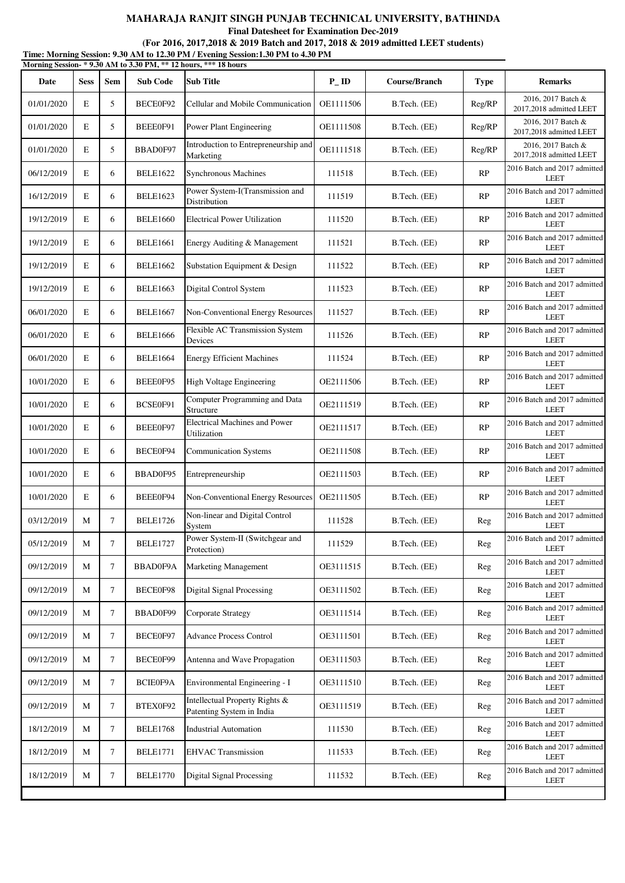**Final Datesheet for Examination Dec-2019**

| Time: Morning Session: 9.30 AM to 12.30 PM / Evening Session:1.30 PM to 4.30 PM |  |
|---------------------------------------------------------------------------------|--|
| Morning Session- * 9.30 AM to 3.30 PM, ** 12 hours, *** 18 hours                |  |

| $\cdots$<br>Date | <b>Sess</b> | Sem    | <b>Sub Code</b> | <b>Sub Title</b>                                            | $P$ <sub>ID</sub> | Course/Branch | <b>Type</b> | <b>Remarks</b>                                |
|------------------|-------------|--------|-----------------|-------------------------------------------------------------|-------------------|---------------|-------------|-----------------------------------------------|
| 01/01/2020       | E           | 5      | BECE0F92        | Cellular and Mobile Communication                           | OE1111506         | B.Tech. (EE)  | Reg/RP      | 2016, 2017 Batch &<br>2017,2018 admitted LEET |
| 01/01/2020       | E           | 5      | BEEE0F91        | Power Plant Engineering                                     | OE1111508         | B.Tech. (EE)  | Reg/RP      | 2016, 2017 Batch &<br>2017,2018 admitted LEET |
| 01/01/2020       | E           | 5      | BBAD0F97        | Introduction to Entrepreneurship and<br>Marketing           | OE1111518         | B.Tech. (EE)  | Reg/RP      | 2016, 2017 Batch &<br>2017,2018 admitted LEET |
| 06/12/2019       | E           | 6      | <b>BELE1622</b> | Synchronous Machines                                        | 111518            | B.Tech. (EE)  | RP          | 2016 Batch and 2017 admitted<br><b>LEET</b>   |
| 16/12/2019       | E           | 6      | <b>BELE1623</b> | Power System-I(Transmission and<br>Distribution             | 111519            | B.Tech. (EE)  | RP          | 2016 Batch and 2017 admitted<br><b>LEET</b>   |
| 19/12/2019       | E           | 6      | <b>BELE1660</b> | <b>Electrical Power Utilization</b>                         | 111520            | B.Tech. (EE)  | RP          | 2016 Batch and 2017 admitted<br><b>LEET</b>   |
| 19/12/2019       | E           | 6      | <b>BELE1661</b> | Energy Auditing & Management                                | 111521            | B.Tech. (EE)  | RP          | 2016 Batch and 2017 admitted<br><b>LEET</b>   |
| 19/12/2019       | E           | 6      | <b>BELE1662</b> | Substation Equipment & Design                               | 111522            | B.Tech. (EE)  | RP          | 2016 Batch and 2017 admitted<br><b>LEET</b>   |
| 19/12/2019       | E           | 6      | <b>BELE1663</b> | Digital Control System                                      | 111523            | B.Tech. (EE)  | RP          | 2016 Batch and 2017 admitted<br><b>LEET</b>   |
| 06/01/2020       | E           | 6      | <b>BELE1667</b> | Non-Conventional Energy Resources                           | 111527            | B.Tech. (EE)  | RP          | 2016 Batch and 2017 admitted<br><b>LEET</b>   |
| 06/01/2020       | E           | 6      | <b>BELE1666</b> | Flexible AC Transmission System<br>Devices                  | 111526            | B.Tech. (EE)  | RP          | 2016 Batch and 2017 admitted<br><b>LEET</b>   |
| 06/01/2020       | E           | 6      | <b>BELE1664</b> | <b>Energy Efficient Machines</b>                            | 111524            | B.Tech. (EE)  | RP          | 2016 Batch and 2017 admitted<br><b>LEET</b>   |
| 10/01/2020       | E           | 6      | BEEE0F95        | High Voltage Engineering                                    | OE2111506         | B.Tech. (EE)  | RP          | 2016 Batch and 2017 admitted<br>LEET          |
| 10/01/2020       | E           | 6      | BCSE0F91        | Computer Programming and Data<br>Structure                  | OE2111519         | B.Tech. (EE)  | RP          | 2016 Batch and 2017 admitted<br><b>LEET</b>   |
| 10/01/2020       | E           | 6      | BEEE0F97        | Electrical Machines and Power<br>Utilization                | OE2111517         | B.Tech. (EE)  | RP          | 2016 Batch and 2017 admitted<br><b>LEET</b>   |
| 10/01/2020       | E           | 6      | BECE0F94        | <b>Communication Systems</b>                                | OE2111508         | B.Tech. (EE)  | RP          | 2016 Batch and 2017 admitted<br><b>LEET</b>   |
| 10/01/2020       | E           | 6      | BBAD0F95        | Entrepreneurship                                            | OE2111503         | B.Tech. (EE)  | RP          | 2016 Batch and 2017 admitted<br><b>LEET</b>   |
| 10/01/2020       | E           | 6      | BEEE0F94        | Non-Conventional Energy Resources                           | OE2111505         | B.Tech. (EE)  | RP          | 2016 Batch and 2017 admitted<br><b>LEET</b>   |
| 03/12/2019       | M           | $\tau$ | <b>BELE1726</b> | Non-linear and Digital Control<br>System                    | 111528            | B.Tech. (EE)  | Reg         | 2016 Batch and 2017 admitted<br><b>LEET</b>   |
| 05/12/2019       | M           | $\tau$ | <b>BELE1727</b> | Power System-II (Switchgear and<br>Protection)              | 111529            | B.Tech. (EE)  | Reg         | 2016 Batch and 2017 admitted<br><b>LEET</b>   |
| 09/12/2019       | М           | 7      | <b>BBAD0F9A</b> | <b>Marketing Management</b>                                 | OE3111515         | B.Tech. (EE)  | Reg         | 2016 Batch and 2017 admitted<br><b>LEET</b>   |
| 09/12/2019       | M           | $\tau$ | BECE0F98        | <b>Digital Signal Processing</b>                            | OE3111502         | B.Tech. (EE)  | <b>Reg</b>  | 2016 Batch and 2017 admitted<br><b>LEET</b>   |
| 09/12/2019       | M           | 7      | BBAD0F99        | Corporate Strategy                                          | OE3111514         | B.Tech. (EE)  | Reg         | 2016 Batch and 2017 admitted<br><b>LEET</b>   |
| 09/12/2019       | М           | 7      | BECE0F97        | <b>Advance Process Control</b>                              | OE3111501         | B.Tech. (EE)  | Reg         | 2016 Batch and 2017 admitted<br><b>LEET</b>   |
| 09/12/2019       | M           | 7      | BECE0F99        | Antenna and Wave Propagation                                | OE3111503         | B.Tech. (EE)  | Reg         | 2016 Batch and 2017 admitted<br><b>LEET</b>   |
| 09/12/2019       | M           | 7      | BCIE0F9A        | Environmental Engineering - I                               | OE3111510         | B.Tech. (EE)  | <b>Reg</b>  | 2016 Batch and 2017 admitted<br><b>LEET</b>   |
| 09/12/2019       | M           | $\tau$ | BTEX0F92        | Intellectual Property Rights &<br>Patenting System in India | OE3111519         | B.Tech. (EE)  | Reg         | 2016 Batch and 2017 admitted<br><b>LEET</b>   |
| 18/12/2019       | M           | 7      | <b>BELE1768</b> | <b>Industrial Automation</b>                                | 111530            | B.Tech. (EE)  | <b>Reg</b>  | 2016 Batch and 2017 admitted<br><b>LEET</b>   |
| 18/12/2019       | M           | 7      | <b>BELE1771</b> | <b>EHVAC Transmission</b>                                   | 111533            | B.Tech. (EE)  | Reg         | 2016 Batch and 2017 admitted<br><b>LEET</b>   |
| 18/12/2019       | M           | $\tau$ | <b>BELE1770</b> | <b>Digital Signal Processing</b>                            | 111532            | B.Tech. (EE)  | <b>Reg</b>  | 2016 Batch and 2017 admitted<br><b>LEET</b>   |
|                  |             |        |                 |                                                             |                   |               |             |                                               |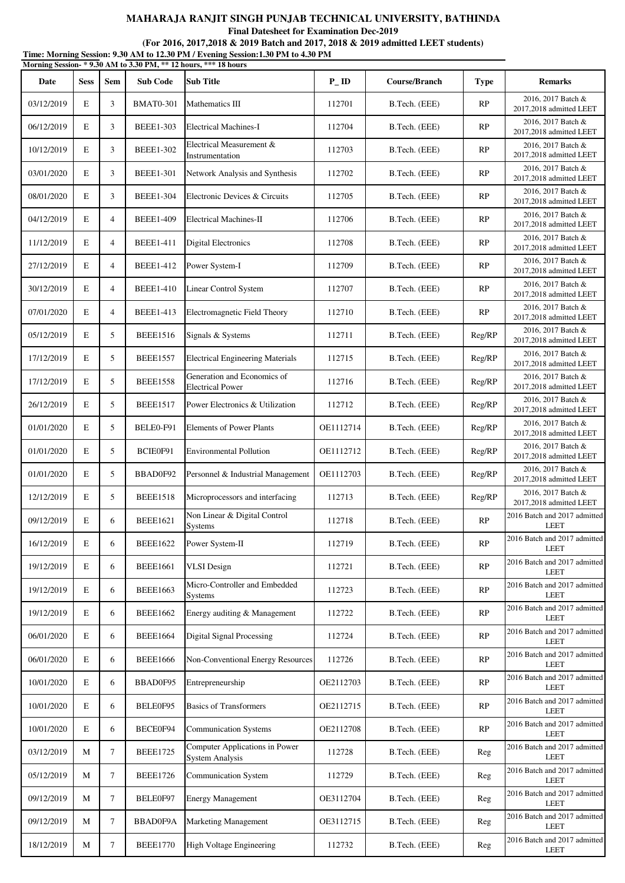**Final Datesheet for Examination Dec-2019**

|            |             |                |                  | Morning Session-* 9.30 AM to 3.30 PM, ** 12 hours, *** 18 hours |           |                      |             |                                               |
|------------|-------------|----------------|------------------|-----------------------------------------------------------------|-----------|----------------------|-------------|-----------------------------------------------|
| Date       | <b>Sess</b> | <b>Sem</b>     | <b>Sub Code</b>  | <b>Sub Title</b>                                                | $P$ _ID   | <b>Course/Branch</b> | <b>Type</b> | <b>Remarks</b>                                |
| 03/12/2019 | $\mathbf E$ | 3              | <b>BMAT0-301</b> | Mathematics III                                                 | 112701    | B.Tech. (EEE)        | RP          | 2016, 2017 Batch &<br>2017,2018 admitted LEET |
| 06/12/2019 | E           | 3              | <b>BEEE1-303</b> | <b>Electrical Machines-I</b>                                    | 112704    | B.Tech. (EEE)        | RP          | 2016, 2017 Batch &<br>2017,2018 admitted LEET |
| 10/12/2019 | E           | 3              | <b>BEEE1-302</b> | Electrical Measurement &<br>Instrumentation                     | 112703    | B.Tech. (EEE)        | RP          | 2016, 2017 Batch &<br>2017,2018 admitted LEET |
| 03/01/2020 | E           | 3              | <b>BEEE1-301</b> | Network Analysis and Synthesis                                  | 112702    | B.Tech. (EEE)        | RP          | 2016, 2017 Batch &<br>2017,2018 admitted LEET |
| 08/01/2020 | E           | 3              | <b>BEEE1-304</b> | Electronic Devices & Circuits                                   | 112705    | B.Tech. (EEE)        | RP          | 2016, 2017 Batch &<br>2017,2018 admitted LEET |
| 04/12/2019 | E           | $\overline{4}$ | <b>BEEE1-409</b> | Electrical Machines-II                                          | 112706    | B.Tech. (EEE)        | RP          | 2016, 2017 Batch &<br>2017,2018 admitted LEET |
| 11/12/2019 | E           | $\overline{4}$ | <b>BEEE1-411</b> | <b>Digital Electronics</b>                                      | 112708    | B.Tech. (EEE)        | RP          | 2016, 2017 Batch &<br>2017,2018 admitted LEET |
| 27/12/2019 | E           | $\overline{4}$ | <b>BEEE1-412</b> | Power System-I                                                  | 112709    | B.Tech. (EEE)        | RP          | 2016, 2017 Batch &<br>2017,2018 admitted LEET |
| 30/12/2019 | E           | $\overline{4}$ | <b>BEEE1-410</b> | <b>Linear Control System</b>                                    | 112707    | B.Tech. (EEE)        | RP          | 2016, 2017 Batch &<br>2017,2018 admitted LEET |
| 07/01/2020 | E           | $\overline{4}$ | <b>BEEE1-413</b> | Electromagnetic Field Theory                                    | 112710    | B.Tech. (EEE)        | RP          | 2016, 2017 Batch &<br>2017,2018 admitted LEET |
| 05/12/2019 | E           | 5              | <b>BEEE1516</b>  | Signals & Systems                                               | 112711    | B.Tech. (EEE)        | Reg/RP      | 2016, 2017 Batch &<br>2017,2018 admitted LEET |
| 17/12/2019 | E           | 5              | <b>BEEE1557</b>  | <b>Electrical Engineering Materials</b>                         | 112715    | B.Tech. (EEE)        | Reg/RP      | 2016, 2017 Batch &<br>2017,2018 admitted LEET |
| 17/12/2019 | E           | 5              | <b>BEEE1558</b>  | Generation and Economics of<br><b>Electrical Power</b>          | 112716    | B.Tech. (EEE)        | Reg/RP      | 2016, 2017 Batch &<br>2017,2018 admitted LEET |
| 26/12/2019 | E           | 5              | <b>BEEE1517</b>  | Power Electronics & Utilization                                 | 112712    | B.Tech. (EEE)        | Reg/RP      | 2016, 2017 Batch &<br>2017,2018 admitted LEET |
| 01/01/2020 | E           | 5              | BELE0-F91        | <b>Elements of Power Plants</b>                                 | OE1112714 | B.Tech. (EEE)        | Reg/RP      | 2016, 2017 Batch &<br>2017,2018 admitted LEET |
| 01/01/2020 | E           | 5              | BCIE0F91         | <b>Environmental Pollution</b>                                  | OE1112712 | B.Tech. (EEE)        | Reg/RP      | 2016, 2017 Batch &<br>2017,2018 admitted LEET |
| 01/01/2020 | E           | 5              | BBAD0F92         | Personnel & Industrial Management                               | OE1112703 | B.Tech. (EEE)        | Reg/RP      | 2016, 2017 Batch &<br>2017,2018 admitted LEET |
| 12/12/2019 | E           | 5              | <b>BEEE1518</b>  | Microprocessors and interfacing                                 | 112713    | B.Tech. (EEE)        | Reg/RP      | 2016, 2017 Batch &<br>2017,2018 admitted LEET |
| 09/12/2019 | E           | 6              | <b>BEEE1621</b>  | Non Linear & Digital Control<br><b>Systems</b>                  | 112718    | B.Tech. (EEE)        | RP          | 2016 Batch and 2017 admitted<br>LEET          |
| 16/12/2019 | E           | 6              | <b>BEEE1622</b>  | Power System-II                                                 | 112719    | B.Tech. (EEE)        | RP          | 2016 Batch and 2017 admitted<br><b>LEET</b>   |
| 19/12/2019 | E           | 6              | <b>BEEE1661</b>  | <b>VLSI</b> Design                                              | 112721    | B.Tech. (EEE)        | RP          | 2016 Batch and 2017 admitted<br><b>LEET</b>   |
| 19/12/2019 | E           | 6              | <b>BEEE1663</b>  | Micro-Controller and Embedded<br>Systems                        | 112723    | B.Tech. (EEE)        | <b>RP</b>   | 2016 Batch and 2017 admitted<br><b>LEET</b>   |
| 19/12/2019 | E           | 6              | <b>BEEE1662</b>  | Energy auditing & Management                                    | 112722    | B.Tech. (EEE)        | RP          | 2016 Batch and 2017 admitted<br><b>LEET</b>   |
| 06/01/2020 | E           | 6              | <b>BEEE1664</b>  | <b>Digital Signal Processing</b>                                | 112724    | B.Tech. (EEE)        | RP          | 2016 Batch and 2017 admitted<br><b>LEET</b>   |
| 06/01/2020 | E           | 6              | <b>BEEE1666</b>  | Non-Conventional Energy Resources                               | 112726    | B.Tech. (EEE)        | <b>RP</b>   | 2016 Batch and 2017 admitted<br><b>LEET</b>   |
| 10/01/2020 | E           | 6              | BBAD0F95         | Entrepreneurship                                                | OE2112703 | B.Tech. (EEE)        | RP          | 2016 Batch and 2017 admitted<br><b>LEET</b>   |
| 10/01/2020 | E           | 6              | BELE0F95         | <b>Basics of Transformers</b>                                   | OE2112715 | B.Tech. (EEE)        | RP          | 2016 Batch and 2017 admitted<br><b>LEET</b>   |
| 10/01/2020 | E           | 6              | BECE0F94         | <b>Communication Systems</b>                                    | OE2112708 | B.Tech. (EEE)        | RP          | 2016 Batch and 2017 admitted<br><b>LEET</b>   |
| 03/12/2019 | M           | $\tau$         | <b>BEEE1725</b>  | Computer Applications in Power<br><b>System Analysis</b>        | 112728    | B.Tech. (EEE)        | Reg         | 2016 Batch and 2017 admitted<br><b>LEET</b>   |
| 05/12/2019 | M           | $\tau$         | <b>BEEE1726</b>  | <b>Communication System</b>                                     | 112729    | B.Tech. (EEE)        | Reg         | 2016 Batch and 2017 admitted<br><b>LEET</b>   |
| 09/12/2019 | M           | 7              | BELE0F97         | <b>Energy Management</b>                                        | OE3112704 | B.Tech. (EEE)        | Reg         | 2016 Batch and 2017 admitted<br><b>LEET</b>   |
| 09/12/2019 | M           | $\tau$         | BBAD0F9A         | Marketing Management                                            | OE3112715 | B.Tech. (EEE)        | Reg         | 2016 Batch and 2017 admitted<br><b>LEET</b>   |
| 18/12/2019 | M           | $\tau$         | <b>BEEE1770</b>  | High Voltage Engineering                                        | 112732    | B.Tech. (EEE)        | Reg         | 2016 Batch and 2017 admitted<br><b>LEET</b>   |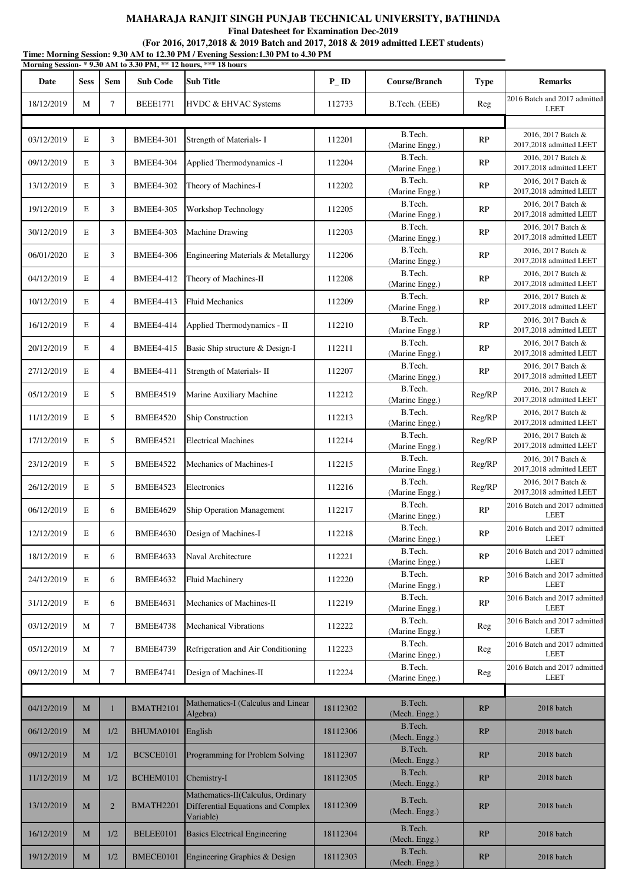**Final Datesheet for Examination Dec-2019**

|            |             |                |                  | Time: Morning Session: 9.30 AM to 12.30 PM / Evening Session:1.30 PM to 4.30 PM<br>Morning Session- * 9.30 AM to 3.30 PM, ** 12 hours, *** 18 hours |                    |                           |             |                                               |
|------------|-------------|----------------|------------------|-----------------------------------------------------------------------------------------------------------------------------------------------------|--------------------|---------------------------|-------------|-----------------------------------------------|
| Date       | <b>Sess</b> | <b>Sem</b>     | <b>Sub Code</b>  | <b>Sub Title</b>                                                                                                                                    | $P$ <sub>-ID</sub> | <b>Course/Branch</b>      | <b>Type</b> | <b>Remarks</b>                                |
| 18/12/2019 | M           | $\tau$         | <b>BEEE1771</b>  | HVDC & EHVAC Systems                                                                                                                                | 112733             | B.Tech. (EEE)             | Reg         | 2016 Batch and 2017 admitted<br><b>LEET</b>   |
|            |             |                |                  |                                                                                                                                                     |                    |                           |             |                                               |
| 03/12/2019 | $\mathbf E$ | 3              | <b>BMEE4-301</b> | Strength of Materials- I                                                                                                                            | 112201             | B.Tech.<br>(Marine Engg.) | RP          | 2016, 2017 Batch &<br>2017,2018 admitted LEET |
| 09/12/2019 | E           | 3              | <b>BMEE4-304</b> | Applied Thermodynamics -I                                                                                                                           | 112204             | B.Tech.<br>(Marine Engg.) | RP          | 2016, 2017 Batch &<br>2017,2018 admitted LEET |
| 13/12/2019 | E           | 3              | <b>BMEE4-302</b> | Theory of Machines-I                                                                                                                                | 112202             | B.Tech.<br>(Marine Engg.) | <b>RP</b>   | 2016, 2017 Batch &<br>2017,2018 admitted LEET |
| 19/12/2019 | $\mathbf E$ | 3              | <b>BMEE4-305</b> | Workshop Technology                                                                                                                                 | 112205             | B.Tech.<br>(Marine Engg.) | RP          | 2016, 2017 Batch &<br>2017,2018 admitted LEET |
| 30/12/2019 | E           | 3              | <b>BMEE4-303</b> | <b>Machine Drawing</b>                                                                                                                              | 112203             | B.Tech.<br>(Marine Engg.) | RP          | 2016, 2017 Batch &<br>2017,2018 admitted LEET |
| 06/01/2020 | E           | 3              | <b>BMEE4-306</b> | Engineering Materials & Metallurgy                                                                                                                  | 112206             | B.Tech.<br>(Marine Engg.) | RP          | 2016, 2017 Batch &<br>2017,2018 admitted LEET |
| 04/12/2019 | $\mathbf E$ | $\overline{4}$ | <b>BMEE4-412</b> | Theory of Machines-II                                                                                                                               | 112208             | B.Tech.<br>(Marine Engg.) | RP          | 2016, 2017 Batch &<br>2017,2018 admitted LEET |
| 10/12/2019 | E           | $\overline{4}$ | <b>BMEE4-413</b> | <b>Fluid Mechanics</b>                                                                                                                              | 112209             | B.Tech.<br>(Marine Engg.) | RP          | 2016, 2017 Batch &<br>2017,2018 admitted LEET |
| 16/12/2019 | E           | $\overline{4}$ | <b>BMEE4-414</b> | Applied Thermodynamics - II                                                                                                                         | 112210             | B.Tech.<br>(Marine Engg.) | RP          | 2016, 2017 Batch &<br>2017,2018 admitted LEET |
| 20/12/2019 | $\mathbf E$ | $\overline{4}$ | <b>BMEE4-415</b> | Basic Ship structure & Design-I                                                                                                                     | 112211             | B.Tech.<br>(Marine Engg.) | RP          | 2016, 2017 Batch &<br>2017,2018 admitted LEET |
| 27/12/2019 | E           | $\overline{4}$ | <b>BMEE4-411</b> | Strength of Materials- II                                                                                                                           | 112207             | B.Tech.<br>(Marine Engg.) | RP          | 2016, 2017 Batch &<br>2017,2018 admitted LEET |
| 05/12/2019 | E           | 5              | <b>BMEE4519</b>  | Marine Auxiliary Machine                                                                                                                            | 112212             | B.Tech.<br>(Marine Engg.) | Reg/RP      | 2016, 2017 Batch &<br>2017,2018 admitted LEET |
| 11/12/2019 | $\mathbf E$ | 5              | <b>BMEE4520</b>  | Ship Construction                                                                                                                                   | 112213             | B.Tech.<br>(Marine Engg.) | Reg/RP      | 2016, 2017 Batch &<br>2017,2018 admitted LEET |
| 17/12/2019 | Е           | 5              | <b>BMEE4521</b>  | <b>Electrical Machines</b>                                                                                                                          | 112214             | B.Tech.<br>(Marine Engg.) | Reg/RP      | 2016, 2017 Batch &<br>2017,2018 admitted LEET |
| 23/12/2019 | E           | 5              | <b>BMEE4522</b>  | Mechanics of Machines-I                                                                                                                             | 112215             | B.Tech.<br>(Marine Engg.) | Reg/RP      | 2016, 2017 Batch &<br>2017,2018 admitted LEET |
| 26/12/2019 | E           | 5              | <b>BMEE4523</b>  | Electronics                                                                                                                                         | 112216             | B.Tech.<br>(Marine Engg.) | Reg/RP      | 2016, 2017 Batch &<br>2017,2018 admitted LEET |
| 06/12/2019 | E           | 6              | <b>BMEE4629</b>  | <b>Ship Operation Management</b>                                                                                                                    | 112217             | B.Tech.<br>(Marine Engg.) | RP          | 2016 Batch and 2017 admitted<br>LEET          |
| 12/12/2019 | Е           | 6              | <b>BMEE4630</b>  | Design of Machines-I                                                                                                                                | 112218             | B.Tech.<br>(Marine Engg.) | RP          | 2016 Batch and 2017 admitted<br><b>LEET</b>   |
| 18/12/2019 | Е           | 6              | BMEE4633         | Naval Architecture                                                                                                                                  | 112221             | B.Tech.<br>(Marine Engg.) | RP          | 2016 Batch and 2017 admitted<br><b>LEET</b>   |
| 24/12/2019 | Е           | 6              | <b>BMEE4632</b>  | <b>Fluid Machinery</b>                                                                                                                              | 112220             | B.Tech.<br>(Marine Engg.) | RP          | 2016 Batch and 2017 admitted<br><b>LEET</b>   |
| 31/12/2019 | Е           | 6              | <b>BMEE4631</b>  | Mechanics of Machines-II                                                                                                                            | 112219             | B.Tech.<br>(Marine Engg.) | <b>RP</b>   | 2016 Batch and 2017 admitted<br><b>LEET</b>   |
| 03/12/2019 | М           | $\tau$         | <b>BMEE4738</b>  | <b>Mechanical Vibrations</b>                                                                                                                        | 112222             | B.Tech.<br>(Marine Engg.) | Reg         | 2016 Batch and 2017 admitted<br><b>LEET</b>   |
| 05/12/2019 | М           | $\tau$         | <b>BMEE4739</b>  | Refrigeration and Air Conditioning                                                                                                                  | 112223             | B.Tech.<br>(Marine Engg.) | Reg         | 2016 Batch and 2017 admitted<br><b>LEET</b>   |
| 09/12/2019 | М           | $\tau$         | <b>BMEE4741</b>  | Design of Machines-II                                                                                                                               | 112224             | B.Tech.<br>(Marine Engg.) | Reg         | 2016 Batch and 2017 admitted<br><b>LEET</b>   |
|            |             |                |                  |                                                                                                                                                     |                    |                           |             |                                               |
| 04/12/2019 | M           | 1              | BMATH2101        | Mathematics-I (Calculus and Linear<br>Algebra)                                                                                                      | 18112302           | B.Tech.<br>(Mech. Engg.)  | RP          | 2018 batch                                    |
| 06/12/2019 | $\mathbf M$ | 1/2            | BHUMA0101        | English                                                                                                                                             | 18112306           | B.Tech.<br>(Mech. Engg.)  | RP          | 2018 batch                                    |
| 09/12/2019 | M           | 1/2            | BCSCE0101        | Programming for Problem Solving                                                                                                                     | 18112307           | B.Tech.<br>(Mech. Engg.)  | RP          | 2018 batch                                    |
| 11/12/2019 | M           | 1/2            | BCHEM0101        | Chemistry-I                                                                                                                                         | 18112305           | B.Tech.<br>(Mech. Engg.)  | RP          | 2018 batch                                    |
| 13/12/2019 | M           | $\overline{2}$ | BMATH2201        | Mathematics-II(Calculus, Ordinary<br>Differential Equations and Complex<br>Variable)                                                                | 18112309           | B.Tech.<br>(Mech. Engg.)  | RP          | 2018 batch                                    |
| 16/12/2019 | M           | 1/2            | BELEE0101        | <b>Basics Electrical Engineering</b>                                                                                                                | 18112304           | B.Tech.<br>(Mech. Engg.)  | RP          | 2018 batch                                    |
| 19/12/2019 | $\mathbf M$ | 1/2            | BMECE0101        | Engineering Graphics & Design                                                                                                                       | 18112303           | B.Tech.<br>(Mech. Engg.)  | RP          | 2018 batch                                    |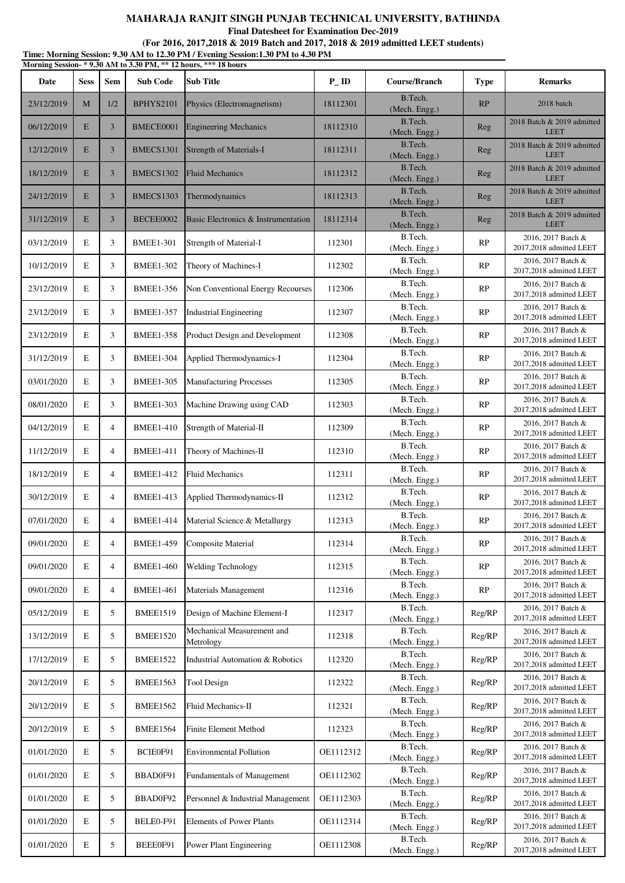**Final Datesheet for Examination Dec-2019**

|            |             |                |                  | Morning Session-*9.30 AM to 3.30 PM, ** 12 hours, *** 18 hours |                    |                          |               |                                               |
|------------|-------------|----------------|------------------|----------------------------------------------------------------|--------------------|--------------------------|---------------|-----------------------------------------------|
| Date       | <b>Sess</b> | <b>Sem</b>     | <b>Sub Code</b>  | <b>Sub Title</b>                                               | $P$ <sub>-ID</sub> | Course/Branch            | <b>Type</b>   | <b>Remarks</b>                                |
| 23/12/2019 | M           | 1/2            | BPHYS2101        | Physics (Electromagnetism)                                     | 18112301           | B.Tech.<br>(Mech. Engg.) | RP            | 2018 batch                                    |
| 06/12/2019 | E           | 3              | BMECE0001        | <b>Engineering Mechanics</b>                                   | 18112310           | B.Tech.<br>(Mech. Engg.) | Reg           | 2018 Batch & 2019 admitted<br><b>LEET</b>     |
| 12/12/2019 | E           | 3              | BMECS1301        | <b>Strength of Materials-I</b>                                 | 18112311           | B.Tech.<br>(Mech. Engg.) | Reg           | 2018 Batch & 2019 admitted<br><b>LEET</b>     |
| 18/12/2019 | E           | 3              | <b>BMECS1302</b> | <b>Fluid Mechanics</b>                                         | 18112312           | B.Tech.<br>(Mech. Engg.) | Reg           | 2018 Batch & 2019 admitted<br><b>LEET</b>     |
| 24/12/2019 | E           | 3              | BMECS1303        | Thermodynamics                                                 | 18112313           | B.Tech.<br>(Mech. Engg.) | Reg           | 2018 Batch & 2019 admitted<br><b>LEET</b>     |
| 31/12/2019 | E           | 3              | BECEE0002        | Basic Electronics & Instrumentation                            | 18112314           | B.Tech.<br>(Mech. Engg.) | Reg           | 2018 Batch & 2019 admitted<br><b>LEET</b>     |
| 03/12/2019 | E           | 3              | <b>BMEE1-301</b> | Strength of Material-I                                         | 112301             | B.Tech.<br>(Mech. Engg.) | RP            | 2016, 2017 Batch &<br>2017,2018 admitted LEET |
| 10/12/2019 | E           | 3              | <b>BMEE1-302</b> | Theory of Machines-I                                           | 112302             | B.Tech.<br>(Mech. Engg.) | RP            | 2016, 2017 Batch &<br>2017,2018 admitted LEET |
| 23/12/2019 | $\mathbf E$ | 3              | <b>BMEE1-356</b> | Non Conventional Energy Recourses                              | 112306             | B.Tech.<br>(Mech. Engg.) | RP            | 2016, 2017 Batch &<br>2017,2018 admitted LEET |
| 23/12/2019 | E           | 3              | <b>BMEE1-357</b> | <b>Industrial Engineering</b>                                  | 112307             | B.Tech.<br>(Mech. Engg.) | RP            | 2016, 2017 Batch &<br>2017,2018 admitted LEET |
| 23/12/2019 | E           | 3              | <b>BMEE1-358</b> | Product Design and Development                                 | 112308             | B.Tech.<br>(Mech. Engg.) | RP            | 2016, 2017 Batch &<br>2017,2018 admitted LEET |
| 31/12/2019 | E           | 3              | <b>BMEE1-304</b> | Applied Thermodynamics-I                                       | 112304             | B.Tech.<br>(Mech. Engg.) | RP            | 2016, 2017 Batch &<br>2017,2018 admitted LEET |
| 03/01/2020 | E           | 3              | <b>BMEE1-305</b> | <b>Manufacturing Processes</b>                                 | 112305             | B.Tech.<br>(Mech. Engg.) | RP            | 2016, 2017 Batch &<br>2017,2018 admitted LEET |
| 08/01/2020 | E           | 3              | <b>BMEE1-303</b> | Machine Drawing using CAD                                      | 112303             | B.Tech.<br>(Mech. Engg.) | RP            | 2016, 2017 Batch &<br>2017,2018 admitted LEET |
| 04/12/2019 | $\mathbf E$ | $\overline{4}$ | <b>BMEE1-410</b> | Strength of Material-II                                        | 112309             | B.Tech.<br>(Mech. Engg.) | RP            | 2016, 2017 Batch &<br>2017,2018 admitted LEET |
| 11/12/2019 | $\mathbf E$ | $\overline{4}$ | <b>BMEE1-411</b> | Theory of Machines-II                                          | 112310             | B.Tech.<br>(Mech. Engg.) | RP            | 2016, 2017 Batch &<br>2017,2018 admitted LEET |
| 18/12/2019 | E           | $\overline{4}$ | <b>BMEE1-412</b> | <b>Fluid Mechanics</b>                                         | 112311             | B.Tech.<br>(Mech. Engg.) | RP            | 2016, 2017 Batch &<br>2017,2018 admitted LEET |
| 30/12/2019 | E           | $\overline{4}$ | <b>BMEE1-413</b> | Applied Thermodynamics-II                                      | 112312             | B.Tech.<br>(Mech. Engg.) | RP            | 2016, 2017 Batch &<br>2017,2018 admitted LEET |
| 07/01/2020 | E           | $\overline{4}$ | <b>BMEE1-414</b> | Material Science & Metallurgy                                  | 112313             | B.Tech.<br>(Mech. Engg.) | RP            | 2016, 2017 Batch &<br>2017,2018 admitted LEET |
| 09/01/2020 | $\mathbf E$ | 4              | <b>BMEE1-459</b> | <b>Composite Material</b>                                      | 112314             | B.Tech.<br>(Mech. Engg.) | $\mathbf{RP}$ | 2016, 2017 Batch &<br>2017,2018 admitted LEET |
| 09/01/2020 | $\mathbf E$ | $\overline{4}$ | <b>BMEE1-460</b> | <b>Welding Technology</b>                                      | 112315             | B.Tech.<br>(Mech. Engg.) | RP            | 2016, 2017 Batch &<br>2017,2018 admitted LEET |
| 09/01/2020 | $\mathbf E$ | $\overline{4}$ | <b>BMEE1-461</b> | Materials Management                                           | 112316             | B.Tech.<br>(Mech. Engg.) | RP            | 2016, 2017 Batch &<br>2017,2018 admitted LEET |
| 05/12/2019 | $\mathbf E$ | 5              | <b>BMEE1519</b>  | Design of Machine Element-I                                    | 112317             | B.Tech.<br>(Mech. Engg.) | Reg/RP        | 2016, 2017 Batch &<br>2017,2018 admitted LEET |
| 13/12/2019 | $\mathbf E$ | 5              | <b>BMEE1520</b>  | Mechanical Measurement and<br>Metrology                        | 112318             | B.Tech.<br>(Mech. Engg.) | Reg/RP        | 2016, 2017 Batch &<br>2017,2018 admitted LEET |
| 17/12/2019 | E           | 5              | <b>BMEE1522</b>  | Industrial Automation & Robotics                               | 112320             | B.Tech.<br>(Mech. Engg.) | Reg/RP        | 2016, 2017 Batch &<br>2017,2018 admitted LEET |
| 20/12/2019 | E           | 5              | <b>BMEE1563</b>  | Tool Design                                                    | 112322             | B.Tech.<br>(Mech. Engg.) | Reg/RP        | 2016, 2017 Batch &<br>2017,2018 admitted LEET |
| 20/12/2019 | E           | 5              | <b>BMEE1562</b>  | Fluid Mechanics-II                                             | 112321             | B.Tech.<br>(Mech. Engg.) | Reg/RP        | 2016, 2017 Batch &<br>2017,2018 admitted LEET |
| 20/12/2019 | $\mathbf E$ | 5              | <b>BMEE1564</b>  | Finite Element Method                                          | 112323             | B.Tech.<br>(Mech. Engg.) | Reg/RP        | 2016, 2017 Batch &<br>2017,2018 admitted LEET |
| 01/01/2020 | $\mathbf E$ | 5              | BCIE0F91         | <b>Environmental Pollution</b>                                 | OE1112312          | B.Tech.<br>(Mech. Engg.) | Reg/RP        | 2016, 2017 Batch &<br>2017,2018 admitted LEET |
| 01/01/2020 | $\mathbf E$ | 5              | BBAD0F91         | Fundamentals of Management                                     | OE1112302          | B.Tech.<br>(Mech. Engg.) | Reg/RP        | 2016, 2017 Batch &<br>2017,2018 admitted LEET |
| 01/01/2020 | E           | 5              | BBAD0F92         | Personnel & Industrial Management                              | OE1112303          | B.Tech.<br>(Mech. Engg.) | Reg/RP        | 2016, 2017 Batch &<br>2017,2018 admitted LEET |
| 01/01/2020 | E           | 5              | BELE0-F91        | <b>Elements of Power Plants</b>                                | OE1112314          | B.Tech.<br>(Mech. Engg.) | Reg/RP        | 2016, 2017 Batch &<br>2017,2018 admitted LEET |
| 01/01/2020 | $\mathbf E$ | 5              | BEEE0F91         | Power Plant Engineering                                        | OE1112308          | B.Tech.<br>(Mech. Engg.) | Reg/RP        | 2016, 2017 Batch &<br>2017,2018 admitted LEET |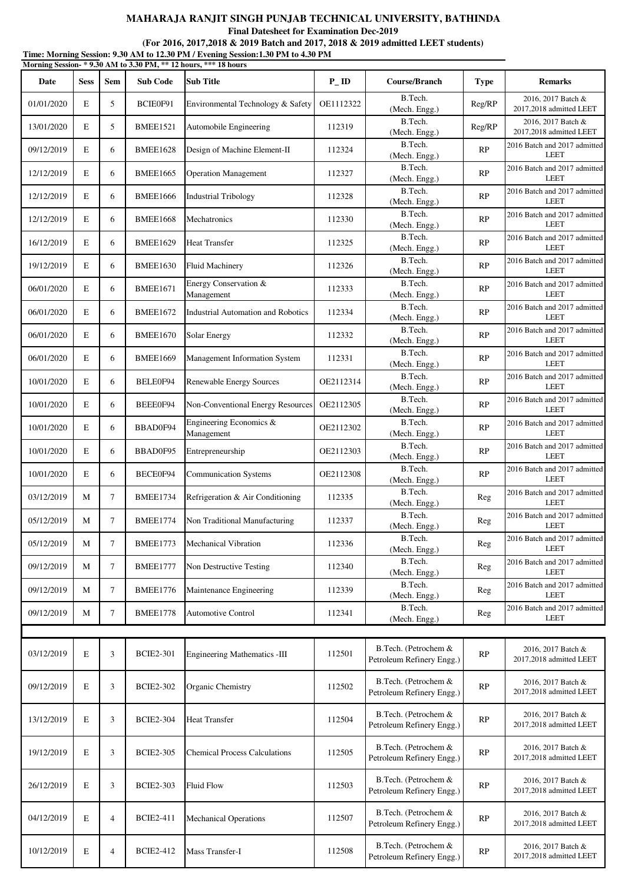**Final Datesheet for Examination Dec-2019**

|            |             |                |                  | Morning Session- * 9.30 AM to 3.30 PM, ** 12 hours, *** 18 hours |                    |                                                   |             |                                               |
|------------|-------------|----------------|------------------|------------------------------------------------------------------|--------------------|---------------------------------------------------|-------------|-----------------------------------------------|
| Date       | <b>Sess</b> | Sem            | <b>Sub Code</b>  | <b>Sub Title</b>                                                 | $P$ <sub>-ID</sub> | Course/Branch                                     | <b>Type</b> | <b>Remarks</b>                                |
| 01/01/2020 | E           | 5              | BCIE0F91         | Environmental Technology & Safety                                | OE1112322          | B.Tech.<br>(Mech. Engg.)                          | Reg/RP      | 2016, 2017 Batch &<br>2017,2018 admitted LEET |
| 13/01/2020 | E           | 5              | <b>BMEE1521</b>  | Automobile Engineering                                           | 112319             | B.Tech.<br>(Mech. Engg.)                          | Reg/RP      | 2016, 2017 Batch &<br>2017,2018 admitted LEET |
| 09/12/2019 | E           | 6              | <b>BMEE1628</b>  | Design of Machine Element-II                                     | 112324             | B.Tech.<br>(Mech. Engg.)                          | RP          | 2016 Batch and 2017 admitted<br><b>LEET</b>   |
| 12/12/2019 | E           | 6              | <b>BMEE1665</b>  | <b>Operation Management</b>                                      | 112327             | B.Tech.<br>(Mech. Engg.)                          | RP          | 2016 Batch and 2017 admitted<br><b>LEET</b>   |
| 12/12/2019 | E           | 6              | <b>BMEE1666</b>  | <b>Industrial Tribology</b>                                      | 112328             | B.Tech.<br>(Mech. Engg.)                          | RP          | 2016 Batch and 2017 admitted<br><b>LEET</b>   |
| 12/12/2019 | E           | 6              | <b>BMEE1668</b>  | Mechatronics                                                     | 112330             | B.Tech.<br>(Mech. Engg.)                          | RP          | 2016 Batch and 2017 admitted<br><b>LEET</b>   |
| 16/12/2019 | E           | 6              | <b>BMEE1629</b>  | <b>Heat Transfer</b>                                             | 112325             | B.Tech.<br>(Mech. Engg.)                          | RP          | 2016 Batch and 2017 admitted<br><b>LEET</b>   |
| 19/12/2019 | E           | 6              | <b>BMEE1630</b>  | <b>Fluid Machinery</b>                                           | 112326             | B.Tech.<br>(Mech. Engg.)                          | RP          | 2016 Batch and 2017 admitted<br><b>LEET</b>   |
| 06/01/2020 | E           | 6              | <b>BMEE1671</b>  | Energy Conservation &<br>Management                              | 112333             | B.Tech.<br>(Mech. Engg.)                          | RP          | 2016 Batch and 2017 admitted<br><b>LEET</b>   |
| 06/01/2020 | E           | 6              | <b>BMEE1672</b>  | <b>Industrial Automation and Robotics</b>                        | 112334             | B.Tech.<br>(Mech. Engg.)                          | RP          | 2016 Batch and 2017 admitted<br><b>LEET</b>   |
| 06/01/2020 | E           | 6              | <b>BMEE1670</b>  | <b>Solar Energy</b>                                              | 112332             | B.Tech.<br>(Mech. Engg.)                          | RP          | 2016 Batch and 2017 admitted<br><b>LEET</b>   |
| 06/01/2020 | E           | 6              | <b>BMEE1669</b>  | Management Information System                                    | 112331             | B.Tech.<br>(Mech. Engg.)                          | RP          | 2016 Batch and 2017 admitted<br><b>LEET</b>   |
| 10/01/2020 | E           | 6              | BELE0F94         | Renewable Energy Sources                                         | OE2112314          | B.Tech.<br>(Mech. Engg.)                          | RP          | 2016 Batch and 2017 admitted<br><b>LEET</b>   |
| 10/01/2020 | E           | 6              | BEEE0F94         | Non-Conventional Energy Resources                                | OE2112305          | B.Tech.<br>(Mech. Engg.)                          | RP          | 2016 Batch and 2017 admitted<br><b>LEET</b>   |
| 10/01/2020 | E           | 6              | BBAD0F94         | Engineering Economics &<br>Management                            | OE2112302          | B.Tech.<br>(Mech. Engg.)                          | RP          | 2016 Batch and 2017 admitted<br><b>LEET</b>   |
| 10/01/2020 | E           | 6              | BBAD0F95         | Entrepreneurship                                                 | OE2112303          | B.Tech.<br>(Mech. Engg.)                          | RP          | 2016 Batch and 2017 admitted<br><b>LEET</b>   |
| 10/01/2020 | E           | 6              | BECE0F94         | <b>Communication Systems</b>                                     | OE2112308          | B.Tech.<br>(Mech. Engg.)                          | RP          | 2016 Batch and 2017 admitted<br><b>LEET</b>   |
| 03/12/2019 | M           | $\tau$         | <b>BMEE1734</b>  | Refrigeration & Air Conditioning                                 | 112335             | B.Tech.<br>(Mech. Engg.)                          | Reg         | 2016 Batch and 2017 admitted<br><b>LEET</b>   |
| 05/12/2019 | M           | 7              | <b>BMEE1774</b>  | Non Traditional Manufacturing                                    | 112337             | B.Tech.<br>(Mech. Engg.)                          | Reg         | 2016 Batch and 2017 admitted<br><b>LEET</b>   |
| 05/12/2019 | M           | $\tau$         | <b>BMEE1773</b>  | <b>Mechanical Vibration</b>                                      | 112336             | B.Tech.<br>(Mech. Engg.)                          | Reg         | 2016 Batch and 2017 admitted<br><b>LEET</b>   |
| 09/12/2019 | M           | 7              | <b>BMEE1777</b>  | Non Destructive Testing                                          | 112340             | B.Tech.<br>(Mech. Engg.)                          | Reg         | 2016 Batch and 2017 admitted<br><b>LEET</b>   |
| 09/12/2019 | M           | 7              | <b>BMEE1776</b>  | Maintenance Engineering                                          | 112339             | B.Tech.<br>(Mech. Engg.)                          | Reg         | 2016 Batch and 2017 admitted<br><b>LEET</b>   |
| 09/12/2019 | M           | $\tau$         | <b>BMEE1778</b>  | <b>Automotive Control</b>                                        | 112341             | B.Tech.<br>(Mech. Engg.)                          | Reg         | 2016 Batch and 2017 admitted<br><b>LEET</b>   |
|            |             |                |                  |                                                                  |                    |                                                   |             |                                               |
| 03/12/2019 | E           | 3              | <b>BCIE2-301</b> | Engineering Mathematics -III                                     | 112501             | B.Tech. (Petrochem &<br>Petroleum Refinery Engg.) | RP          | 2016, 2017 Batch &<br>2017,2018 admitted LEET |
| 09/12/2019 | E           | 3              | <b>BCIE2-302</b> | Organic Chemistry                                                | 112502             | B.Tech. (Petrochem &<br>Petroleum Refinery Engg.) | RP          | 2016, 2017 Batch &<br>2017,2018 admitted LEET |
| 13/12/2019 | E           | 3              | <b>BCIE2-304</b> | <b>Heat Transfer</b>                                             | 112504             | B.Tech. (Petrochem &<br>Petroleum Refinery Engg.) | RP          | 2016, 2017 Batch &<br>2017,2018 admitted LEET |
| 19/12/2019 | E           | 3              | <b>BCIE2-305</b> | <b>Chemical Process Calculations</b>                             | 112505             | B.Tech. (Petrochem &<br>Petroleum Refinery Engg.) | RP          | 2016, 2017 Batch &<br>2017,2018 admitted LEET |
| 26/12/2019 | E           | 3              | <b>BCIE2-303</b> | <b>Fluid Flow</b>                                                | 112503             | B.Tech. (Petrochem &<br>Petroleum Refinery Engg.) | RP          | 2016, 2017 Batch &<br>2017,2018 admitted LEET |
| 04/12/2019 | E           | $\overline{4}$ | <b>BCIE2-411</b> | <b>Mechanical Operations</b>                                     | 112507             | B.Tech. (Petrochem &<br>Petroleum Refinery Engg.) | RP          | 2016, 2017 Batch &<br>2017,2018 admitted LEET |
| 10/12/2019 | E           | 4              | <b>BCIE2-412</b> | Mass Transfer-I                                                  | 112508             | B.Tech. (Petrochem &<br>Petroleum Refinery Engg.) | RP          | 2016, 2017 Batch &<br>2017,2018 admitted LEET |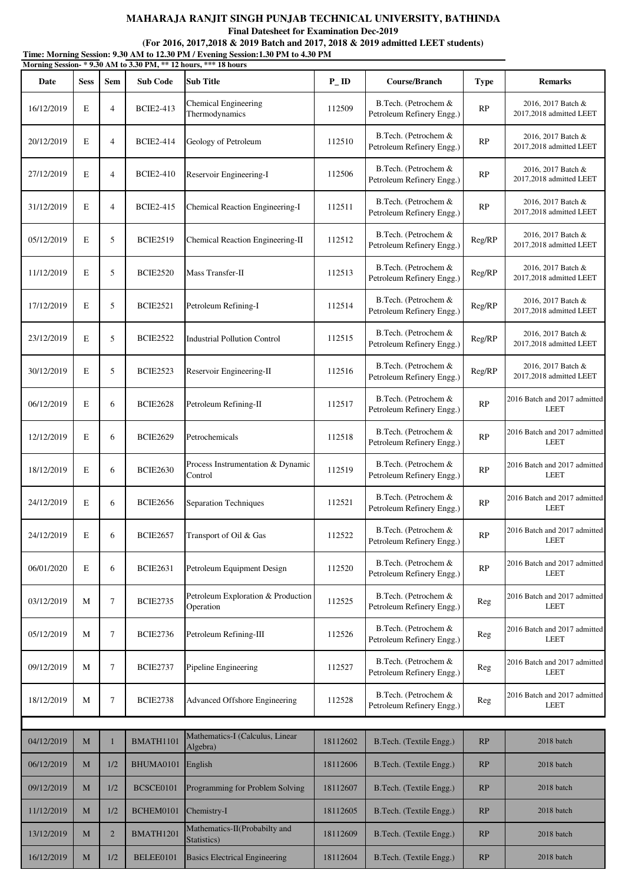**Final Datesheet for Examination Dec-2019**

|            |             |                |                  | Morning Session- * 9.30 AM to 3.30 PM, ** 12 hours, *** 18 hours |                   |                                                   |             |                                               |
|------------|-------------|----------------|------------------|------------------------------------------------------------------|-------------------|---------------------------------------------------|-------------|-----------------------------------------------|
| Date       | <b>Sess</b> | <b>Sem</b>     | <b>Sub Code</b>  | Sub Title                                                        | $P$ <sub>ID</sub> | Course/Branch                                     | <b>Type</b> | <b>Remarks</b>                                |
| 16/12/2019 | E           | $\overline{4}$ | <b>BCIE2-413</b> | <b>Chemical Engineering</b><br>Thermodynamics                    | 112509            | B.Tech. (Petrochem &<br>Petroleum Refinery Engg.) | RP          | 2016, 2017 Batch &<br>2017,2018 admitted LEET |
| 20/12/2019 | $\mathbf E$ | $\overline{4}$ | <b>BCIE2-414</b> | Geology of Petroleum                                             | 112510            | B.Tech. (Petrochem &<br>Petroleum Refinery Engg.) | RP          | 2016, 2017 Batch &<br>2017,2018 admitted LEET |
| 27/12/2019 | E           | $\overline{4}$ | <b>BCIE2-410</b> | Reservoir Engineering-I                                          | 112506            | B.Tech. (Petrochem &<br>Petroleum Refinery Engg.) | RP          | 2016, 2017 Batch &<br>2017,2018 admitted LEET |
| 31/12/2019 | $\mathbf E$ | $\overline{4}$ | <b>BCIE2-415</b> | Chemical Reaction Engineering-I                                  | 112511            | B.Tech. (Petrochem &<br>Petroleum Refinery Engg.) | RP          | 2016, 2017 Batch &<br>2017,2018 admitted LEET |
| 05/12/2019 | $\mathbf E$ | 5              | <b>BCIE2519</b>  | Chemical Reaction Engineering-II                                 | 112512            | B.Tech. (Petrochem &<br>Petroleum Refinery Engg.) | Reg/RP      | 2016, 2017 Batch &<br>2017,2018 admitted LEET |
| 11/12/2019 | $\mathbf E$ | 5              | <b>BCIE2520</b>  | Mass Transfer-II                                                 | 112513            | B.Tech. (Petrochem &<br>Petroleum Refinery Engg.) | Reg/RP      | 2016, 2017 Batch &<br>2017,2018 admitted LEET |
| 17/12/2019 | E           | 5              | <b>BCIE2521</b>  | Petroleum Refining-I                                             | 112514            | B.Tech. (Petrochem &<br>Petroleum Refinery Engg.) | Reg/RP      | 2016, 2017 Batch &<br>2017,2018 admitted LEET |
| 23/12/2019 | $\mathbf E$ | 5              | <b>BCIE2522</b>  | <b>Industrial Pollution Control</b>                              | 112515            | B.Tech. (Petrochem &<br>Petroleum Refinery Engg.) | Reg/RP      | 2016, 2017 Batch &<br>2017,2018 admitted LEET |
| 30/12/2019 | E           | 5              | <b>BCIE2523</b>  | Reservoir Engineering-II                                         | 112516            | B.Tech. (Petrochem &<br>Petroleum Refinery Engg.) | Reg/RP      | 2016, 2017 Batch &<br>2017,2018 admitted LEET |
| 06/12/2019 | E           | 6              | <b>BCIE2628</b>  | Petroleum Refining-II                                            | 112517            | B.Tech. (Petrochem &<br>Petroleum Refinery Engg.) | RP          | 2016 Batch and 2017 admitted<br><b>LEET</b>   |
| 12/12/2019 | E           | 6              | <b>BCIE2629</b>  | Petrochemicals                                                   | 112518            | B.Tech. (Petrochem &<br>Petroleum Refinery Engg.) | RP          | 2016 Batch and 2017 admitted<br><b>LEET</b>   |
| 18/12/2019 | E           | 6              | <b>BCIE2630</b>  | Process Instrumentation & Dynamic<br>Control                     | 112519            | B.Tech. (Petrochem &<br>Petroleum Refinery Engg.) | RP          | 2016 Batch and 2017 admitted<br><b>LEET</b>   |
| 24/12/2019 | $\mathbf E$ | 6              | <b>BCIE2656</b>  | Separation Techniques                                            | 112521            | B.Tech. (Petrochem &<br>Petroleum Refinery Engg.) | RP          | 2016 Batch and 2017 admitted<br><b>LEET</b>   |
| 24/12/2019 | E           | 6              | <b>BCIE2657</b>  | Transport of Oil & Gas                                           | 112522            | B.Tech. (Petrochem &<br>Petroleum Refinery Engg.) | RP          | 2016 Batch and 2017 admitted<br>LEET          |
| 06/01/2020 | $\mathbf E$ | 6              | <b>BCIE2631</b>  | Petroleum Equipment Design                                       | 112520            | B.Tech. (Petrochem &<br>Petroleum Refinery Engg.) | RP          | 2016 Batch and 2017 admitted<br><b>LEET</b>   |
| 03/12/2019 | М           | $\tau$         | <b>BCIE2735</b>  | Petroleum Exploration & Production<br>Operation                  | 112525            | B.Tech. (Petrochem &<br>Petroleum Refinery Engg.) | Reg         | 2016 Batch and 2017 admitted<br>LEET          |
| 05/12/2019 | $\mathbf M$ | $\tau$         | <b>BCIE2736</b>  | Petroleum Refining-III                                           | 112526            | B.Tech. (Petrochem &<br>Petroleum Refinery Engg.) | Reg         | 2016 Batch and 2017 admitted<br><b>LEET</b>   |
| 09/12/2019 | М           | $\tau$         | <b>BCIE2737</b>  | Pipeline Engineering                                             | 112527            | B.Tech. (Petrochem &<br>Petroleum Refinery Engg.) | Reg         | 2016 Batch and 2017 admitted<br>LEET          |
| 18/12/2019 | М           | 7              | <b>BCIE2738</b>  | Advanced Offshore Engineering                                    | 112528            | B.Tech. (Petrochem &<br>Petroleum Refinery Engg.) | Reg         | 2016 Batch and 2017 admitted<br><b>LEET</b>   |
|            |             |                |                  |                                                                  |                   |                                                   |             |                                               |
| 04/12/2019 | $\mathbf M$ |                | BMATH1101        | Mathematics-I (Calculus, Linear<br>Algebra)                      | 18112602          | B.Tech. (Textile Engg.)                           | RP          | 2018 batch                                    |
| 06/12/2019 | M           | 1/2            | BHUMA0101        | English                                                          | 18112606          | B.Tech. (Textile Engg.)                           | RP          | 2018 batch                                    |
| 09/12/2019 | M           | 1/2            | BCSCE0101        | Programming for Problem Solving                                  | 18112607          | B.Tech. (Textile Engg.)                           | RP          | 2018 batch                                    |
| 11/12/2019 | M           | 1/2            | BCHEM0101        | Chemistry-I                                                      | 18112605          | B.Tech. (Textile Engg.)                           | RP          | 2018 batch                                    |
| 13/12/2019 | M           | $\overline{2}$ | BMATH1201        | Mathematics-II(Probabilty and<br>Statistics)                     | 18112609          | B.Tech. (Textile Engg.)                           | RP          | 2018 batch                                    |
| 16/12/2019 | $\mathbf M$ | 1/2            | BELEE0101        | <b>Basics Electrical Engineering</b>                             | 18112604          | B.Tech. (Textile Engg.)                           | RP          | 2018 batch                                    |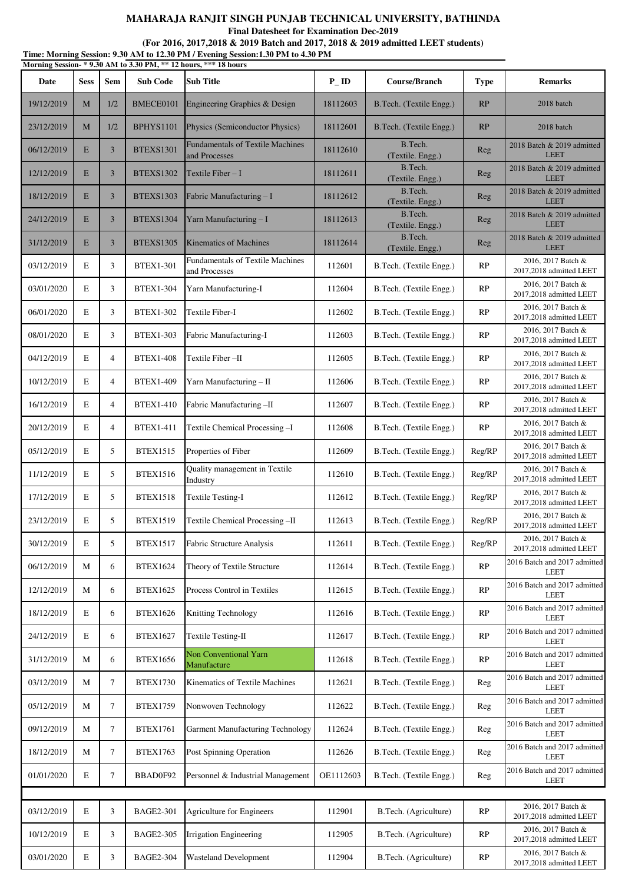**Final Datesheet for Examination Dec-2019**

| Time: Morning Session: 9.30 AM to 12.30 PM / Evening Session: 1.30 PM to 4.30 PM |  |
|----------------------------------------------------------------------------------|--|
| Morning Session- * 9.30 AM to 3.30 PM, ** 12 hours, *** 18 hours                 |  |

| Date       | <b>Sess</b> | Sem            | <b>Sub Code</b>  | <b>Sub Title</b>                                         | $P$ <sub>-ID</sub> | Course/Branch               | <b>Type</b> | <b>Remarks</b>                                |
|------------|-------------|----------------|------------------|----------------------------------------------------------|--------------------|-----------------------------|-------------|-----------------------------------------------|
| 19/12/2019 | M           | 1/2            | BMECE0101        | Engineering Graphics & Design                            | 18112603           | B.Tech. (Textile Engg.)     | RP          | 2018 batch                                    |
| 23/12/2019 | M           | 1/2            | <b>BPHYS1101</b> | Physics (Semiconductor Physics)                          | 18112601           | B.Tech. (Textile Engg.)     | RP          | 2018 batch                                    |
| 06/12/2019 | E           | $\mathbf{3}$   | <b>BTEXS1301</b> | <b>Fundamentals of Textile Machines</b><br>and Processes | 18112610           | B.Tech.<br>(Textile. Engg.) | Reg         | 2018 Batch & 2019 admitted<br><b>LEET</b>     |
| 12/12/2019 | E           | $\mathbf{3}$   | <b>BTEXS1302</b> | Textile Fiber $-I$                                       | 18112611           | B.Tech.<br>(Textile. Engg.) | Reg         | 2018 Batch & 2019 admitted<br><b>LEET</b>     |
| 18/12/2019 | E           | $\overline{3}$ | <b>BTEXS1303</b> | Fabric Manufacturing - I                                 | 18112612           | B.Tech.<br>(Textile. Engg.) | Reg         | 2018 Batch & 2019 admitted<br><b>LEET</b>     |
| 24/12/2019 | E           | $\overline{3}$ | BTEXS1304        | Yarn Manufacturing - I                                   | 18112613           | B.Tech.<br>(Textile. Engg.) | Reg         | 2018 Batch & 2019 admitted<br><b>LEET</b>     |
| 31/12/2019 | E           | $\mathbf{3}$   | <b>BTEXS1305</b> | <b>Kinematics of Machines</b>                            | 18112614           | B.Tech.<br>(Textile. Engg.) | Reg         | 2018 Batch & 2019 admitted<br><b>LEET</b>     |
| 03/12/2019 | E           | 3              | <b>BTEX1-301</b> | Fundamentals of Textile Machines<br>and Processes        | 112601             | B.Tech. (Textile Engg.)     | RP          | 2016, 2017 Batch &<br>2017,2018 admitted LEET |
| 03/01/2020 | E           | 3              | <b>BTEX1-304</b> | Yarn Manufacturing-I                                     | 112604             | B.Tech. (Textile Engg.)     | RP          | 2016, 2017 Batch &<br>2017,2018 admitted LEET |
| 06/01/2020 | E           | 3              | <b>BTEX1-302</b> | Textile Fiber-I                                          | 112602             | B.Tech. (Textile Engg.)     | RP          | 2016, 2017 Batch &<br>2017,2018 admitted LEET |
| 08/01/2020 | E           | 3              | <b>BTEX1-303</b> | Fabric Manufacturing-I                                   | 112603             | B.Tech. (Textile Engg.)     | RP          | 2016, 2017 Batch &<br>2017,2018 admitted LEET |
| 04/12/2019 | E           | $\overline{4}$ | <b>BTEX1-408</b> | Textile Fiber-II                                         | 112605             | B.Tech. (Textile Engg.)     | RP          | 2016, 2017 Batch &<br>2017,2018 admitted LEET |
| 10/12/2019 | E           | $\overline{4}$ | <b>BTEX1-409</b> | Yarn Manufacturing - II                                  | 112606             | B.Tech. (Textile Engg.)     | RP          | 2016, 2017 Batch &<br>2017,2018 admitted LEET |
| 16/12/2019 | E           | $\overline{4}$ | <b>BTEX1-410</b> | Fabric Manufacturing-II                                  | 112607             | B.Tech. (Textile Engg.)     | RP          | 2016, 2017 Batch &<br>2017,2018 admitted LEET |
| 20/12/2019 | E           | $\overline{4}$ | <b>BTEX1-411</b> | Textile Chemical Processing-I                            | 112608             | B.Tech. (Textile Engg.)     | RP          | 2016, 2017 Batch &<br>2017,2018 admitted LEET |
| 05/12/2019 | E           | 5              | <b>BTEX1515</b>  | Properties of Fiber                                      | 112609             | B.Tech. (Textile Engg.)     | Reg/RP      | 2016, 2017 Batch &<br>2017,2018 admitted LEET |
| 11/12/2019 | E           | 5              | <b>BTEX1516</b>  | Quality management in Textile<br>Industry                | 112610             | B.Tech. (Textile Engg.)     | Reg/RP      | 2016, 2017 Batch &<br>2017,2018 admitted LEET |
| 17/12/2019 | E           | 5              | <b>BTEX1518</b>  | <b>Textile Testing-I</b>                                 | 112612             | B.Tech. (Textile Engg.)     | Reg/RP      | 2016, 2017 Batch &<br>2017,2018 admitted LEET |
| 23/12/2019 | E           | 5              | <b>BTEX1519</b>  | Textile Chemical Processing-II                           | 112613             | B.Tech. (Textile Engg.)     | Reg/RP      | 2016, 2017 Batch &<br>2017,2018 admitted LEET |
| 30/12/2019 | $\mathbf E$ | 5              | <b>BTEX1517</b>  | <b>Fabric Structure Analysis</b>                         | 112611             | B.Tech. (Textile Engg.)     | Reg/RP      | 2016, 2017 Batch &<br>2017,2018 admitted LEET |
| 06/12/2019 | M           | 6              | <b>BTEX1624</b>  | Theory of Textile Structure                              | 112614             | B.Tech. (Textile Engg.)     | RP          | 2016 Batch and 2017 admitted<br><b>LEET</b>   |
| 12/12/2019 | M           | 6              | <b>BTEX1625</b>  | Process Control in Textiles                              | 112615             | B.Tech. (Textile Engg.)     | RP          | 2016 Batch and 2017 admitted<br><b>LEET</b>   |
| 18/12/2019 | E           | 6              | <b>BTEX1626</b>  | Knitting Technology                                      | 112616             | B.Tech. (Textile Engg.)     | RP          | 2016 Batch and 2017 admitted<br><b>LEET</b>   |
| 24/12/2019 | Ε           | 6              | <b>BTEX1627</b>  | Textile Testing-II                                       | 112617             | B.Tech. (Textile Engg.)     | RP          | 2016 Batch and 2017 admitted<br>LEET          |
| 31/12/2019 | M           | 6              | <b>BTEX1656</b>  | <b>Non Conventional Yarn</b><br>Manufacture              | 112618             | B.Tech. (Textile Engg.)     | RP          | 2016 Batch and 2017 admitted<br><b>LEET</b>   |
| 03/12/2019 | M           | $\tau$         | <b>BTEX1730</b>  | Kinematics of Textile Machines                           | 112621             | B.Tech. (Textile Engg.)     | Reg         | 2016 Batch and 2017 admitted<br><b>LEET</b>   |
| 05/12/2019 | M           | $\tau$         | <b>BTEX1759</b>  | Nonwoven Technology                                      | 112622             | B.Tech. (Textile Engg.)     | Reg         | 2016 Batch and 2017 admitted<br><b>LEET</b>   |
| 09/12/2019 | M           | $\tau$         | <b>BTEX1761</b>  | <b>Garment Manufacturing Technology</b>                  | 112624             | B.Tech. (Textile Engg.)     | Reg         | 2016 Batch and 2017 admitted<br><b>LEET</b>   |
| 18/12/2019 | M           | 7              | <b>BTEX1763</b>  | Post Spinning Operation                                  | 112626             | B.Tech. (Textile Engg.)     | Reg         | 2016 Batch and 2017 admitted<br><b>LEET</b>   |
| 01/01/2020 | Ε           | $\tau$         | BBAD0F92         | Personnel & Industrial Management                        | OE1112603          | B.Tech. (Textile Engg.)     | Reg         | 2016 Batch and 2017 admitted<br><b>LEET</b>   |
|            |             |                |                  |                                                          |                    |                             |             |                                               |
| 03/12/2019 | E           | 3              | <b>BAGE2-301</b> | Agriculture for Engineers                                | 112901             | B.Tech. (Agriculture)       | RP          | 2016, 2017 Batch &<br>2017,2018 admitted LEET |
| 10/12/2019 | Ε           | 3              | <b>BAGE2-305</b> | Irrigation Engineering                                   | 112905             | B.Tech. (Agriculture)       | RP          | 2016, 2017 Batch &<br>2017,2018 admitted LEET |
| 03/01/2020 | E           | 3              | <b>BAGE2-304</b> | <b>Wasteland Development</b>                             | 112904             | B.Tech. (Agriculture)       | RP          | 2016, 2017 Batch &<br>2017,2018 admitted LEET |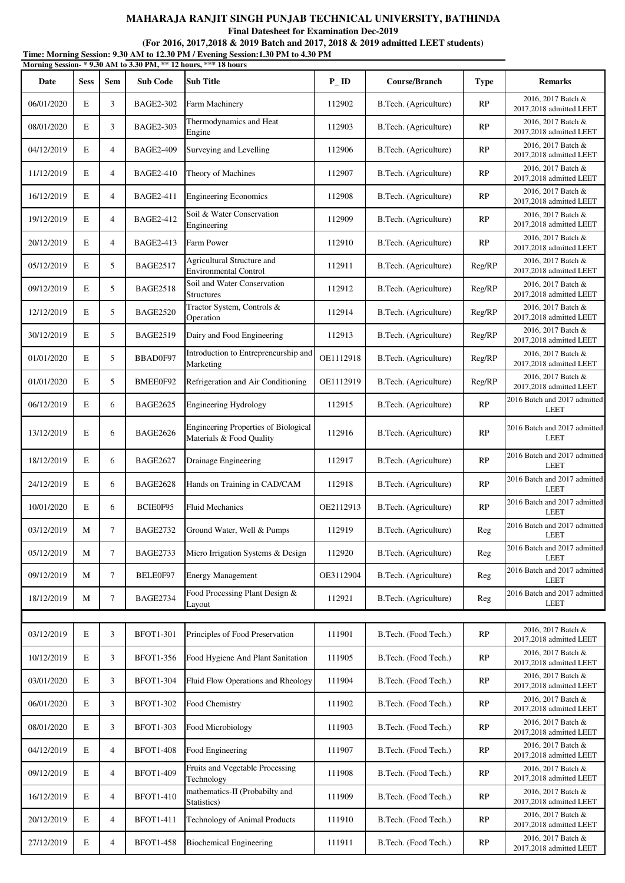**Final Datesheet for Examination Dec-2019**

| Morning Session-*9.30 AM to 3.30 PM, ** 12 hours, *** 18 hours |             |                |                  |                                                                  |                    |                       |               |                                               |  |  |
|----------------------------------------------------------------|-------------|----------------|------------------|------------------------------------------------------------------|--------------------|-----------------------|---------------|-----------------------------------------------|--|--|
| Date                                                           | <b>Sess</b> | <b>Sem</b>     | <b>Sub Code</b>  | <b>Sub Title</b>                                                 | $P$ <sub>-ID</sub> | Course/Branch         | <b>Type</b>   | <b>Remarks</b>                                |  |  |
| 06/01/2020                                                     | E           | 3              | <b>BAGE2-302</b> | Farm Machinery                                                   | 112902             | B.Tech. (Agriculture) | RP            | 2016, 2017 Batch &<br>2017,2018 admitted LEET |  |  |
| 08/01/2020                                                     | $\mathbf E$ | 3              | <b>BAGE2-303</b> | Thermodynamics and Heat<br>Engine                                | 112903             | B.Tech. (Agriculture) | <b>RP</b>     | 2016, 2017 Batch &<br>2017,2018 admitted LEET |  |  |
| 04/12/2019                                                     | E           | 4              | <b>BAGE2-409</b> | Surveying and Levelling                                          | 112906             | B.Tech. (Agriculture) | RP            | 2016, 2017 Batch &<br>2017,2018 admitted LEET |  |  |
| 11/12/2019                                                     | E           | $\overline{4}$ | <b>BAGE2-410</b> | Theory of Machines                                               | 112907             | B.Tech. (Agriculture) | RP            | 2016, 2017 Batch &<br>2017,2018 admitted LEET |  |  |
| 16/12/2019                                                     | E           | $\overline{4}$ | <b>BAGE2-411</b> | <b>Engineering Economics</b>                                     | 112908             | B.Tech. (Agriculture) | RP            | 2016, 2017 Batch &<br>2017,2018 admitted LEET |  |  |
| 19/12/2019                                                     | E           | $\overline{4}$ | <b>BAGE2-412</b> | Soil & Water Conservation<br>Engineering                         | 112909             | B.Tech. (Agriculture) | <b>RP</b>     | 2016, 2017 Batch &<br>2017,2018 admitted LEET |  |  |
| 20/12/2019                                                     | E           | $\overline{4}$ | <b>BAGE2-413</b> | Farm Power                                                       | 112910             | B.Tech. (Agriculture) | RP            | 2016, 2017 Batch &<br>2017,2018 admitted LEET |  |  |
| 05/12/2019                                                     | E           | 5              | <b>BAGE2517</b>  | Agricultural Structure and<br><b>Environmental Control</b>       | 112911             | B.Tech. (Agriculture) | Reg/RP        | 2016, 2017 Batch &<br>2017,2018 admitted LEET |  |  |
| 09/12/2019                                                     | E           | 5              | <b>BAGE2518</b>  | Soil and Water Conservation<br><b>Structures</b>                 | 112912             | B.Tech. (Agriculture) | Reg/RP        | 2016, 2017 Batch &<br>2017,2018 admitted LEET |  |  |
| 12/12/2019                                                     | E           | 5              | <b>BAGE2520</b>  | Tractor System, Controls &<br>Operation                          | 112914             | B.Tech. (Agriculture) | Reg/RP        | 2016, 2017 Batch &<br>2017,2018 admitted LEET |  |  |
| 30/12/2019                                                     | E           | 5              | <b>BAGE2519</b>  | Dairy and Food Engineering                                       | 112913             | B.Tech. (Agriculture) | Reg/RP        | 2016, 2017 Batch &<br>2017,2018 admitted LEET |  |  |
| 01/01/2020                                                     | E           | 5              | BBAD0F97         | Introduction to Entrepreneurship and<br>Marketing                | OE1112918          | B.Tech. (Agriculture) | Reg/RP        | 2016, 2017 Batch &<br>2017,2018 admitted LEET |  |  |
| 01/01/2020                                                     | E           | 5              | BMEE0F92         | Refrigeration and Air Conditioning                               | OE1112919          | B.Tech. (Agriculture) | Reg/RP        | 2016, 2017 Batch &<br>2017,2018 admitted LEET |  |  |
| 06/12/2019                                                     | E           | 6              | <b>BAGE2625</b>  | <b>Engineering Hydrology</b>                                     | 112915             | B.Tech. (Agriculture) | RP            | 2016 Batch and 2017 admitted<br><b>LEET</b>   |  |  |
| 13/12/2019                                                     | $\mathbf E$ | 6              | <b>BAGE2626</b>  | Engineering Properties of Biological<br>Materials & Food Quality | 112916             | B.Tech. (Agriculture) | RP            | 2016 Batch and 2017 admitted<br><b>LEET</b>   |  |  |
| 18/12/2019                                                     | E           | 6              | <b>BAGE2627</b>  | Drainage Engineering                                             | 112917             | B.Tech. (Agriculture) | RP            | 2016 Batch and 2017 admitted<br><b>LEET</b>   |  |  |
| 24/12/2019                                                     | E           | 6              | <b>BAGE2628</b>  | Hands on Training in CAD/CAM                                     | 112918             | B.Tech. (Agriculture) | RP            | 2016 Batch and 2017 admitted<br><b>LEET</b>   |  |  |
| 10/01/2020                                                     | E           | 6              | BCIE0F95         | <b>Fluid Mechanics</b>                                           | OE2112913          | B.Tech. (Agriculture) | RP            | 2016 Batch and 2017 admitted<br><b>LEET</b>   |  |  |
| 03/12/2019                                                     | $\mathbf M$ | 7              | <b>BAGE2732</b>  | Ground Water, Well & Pumps                                       | 112919             | B.Tech. (Agriculture) | Reg           | 2016 Batch and 2017 admitted<br><b>LEET</b>   |  |  |
| 05/12/2019                                                     | М           | $\tau$         | <b>BAGE2733</b>  | Micro Irrigation Systems & Design                                | 112920             | B.Tech. (Agriculture) | Reg           | 2016 Batch and 2017 admitted<br><b>LEET</b>   |  |  |
| 09/12/2019                                                     | M           | 7              | BELE0F97         | <b>Energy Management</b>                                         | OE3112904          | B.Tech. (Agriculture) | Reg           | 2016 Batch and 2017 admitted<br><b>LEET</b>   |  |  |
| 18/12/2019                                                     | М           | 7              | <b>BAGE2734</b>  | Food Processing Plant Design &<br>Layout                         | 112921             | B.Tech. (Agriculture) | Reg           | 2016 Batch and 2017 admitted<br><b>LEET</b>   |  |  |
|                                                                |             |                |                  |                                                                  |                    |                       |               | 2016, 2017 Batch &                            |  |  |
| 03/12/2019                                                     | $\mathbf E$ | 3              | <b>BFOT1-301</b> | Principles of Food Preservation                                  | 111901             | B.Tech. (Food Tech.)  | RP            | 2017,2018 admitted LEET<br>2016, 2017 Batch & |  |  |
| 10/12/2019                                                     | E           | 3              | <b>BFOT1-356</b> | Food Hygiene And Plant Sanitation                                | 111905             | B.Tech. (Food Tech.)  | RP            | 2017,2018 admitted LEET                       |  |  |
| 03/01/2020                                                     | E           | 3              | <b>BFOT1-304</b> | Fluid Flow Operations and Rheology                               | 111904             | B.Tech. (Food Tech.)  | RP            | 2016, 2017 Batch &<br>2017,2018 admitted LEET |  |  |
| 06/01/2020                                                     | E           | 3              | <b>BFOT1-302</b> | Food Chemistry                                                   | 111902             | B.Tech. (Food Tech.)  | RP            | 2016, 2017 Batch &<br>2017,2018 admitted LEET |  |  |
| 08/01/2020                                                     | E           | 3              | <b>BFOT1-303</b> | Food Microbiology                                                | 111903             | B.Tech. (Food Tech.)  | RP            | 2016, 2017 Batch &<br>2017,2018 admitted LEET |  |  |
| 04/12/2019                                                     | $\mathbf E$ | $\overline{4}$ | <b>BFOT1-408</b> | Food Engineering                                                 | 111907             | B.Tech. (Food Tech.)  | RP            | 2016, 2017 Batch &<br>2017,2018 admitted LEET |  |  |
| 09/12/2019                                                     | E           | $\overline{4}$ | <b>BFOT1-409</b> | Fruits and Vegetable Processing<br>Technology                    | 111908             | B.Tech. (Food Tech.)  | RP            | 2016, 2017 Batch &<br>2017,2018 admitted LEET |  |  |
| 16/12/2019                                                     | E           | 4              | <b>BFOT1-410</b> | mathematics-II (Probabilty and<br>Statistics)                    | 111909             | B.Tech. (Food Tech.)  | <b>RP</b>     | 2016, 2017 Batch &<br>2017,2018 admitted LEET |  |  |
| 20/12/2019                                                     | E           | 4              | <b>BFOT1-411</b> | Technology of Animal Products                                    | 111910             | B.Tech. (Food Tech.)  | RP            | 2016, 2017 Batch &<br>2017,2018 admitted LEET |  |  |
| 27/12/2019                                                     | E           | 4              | <b>BFOT1-458</b> | <b>Biochemical Engineering</b>                                   | 111911             | B.Tech. (Food Tech.)  | $\mathbf{RP}$ | 2016, 2017 Batch &<br>2017,2018 admitted LEET |  |  |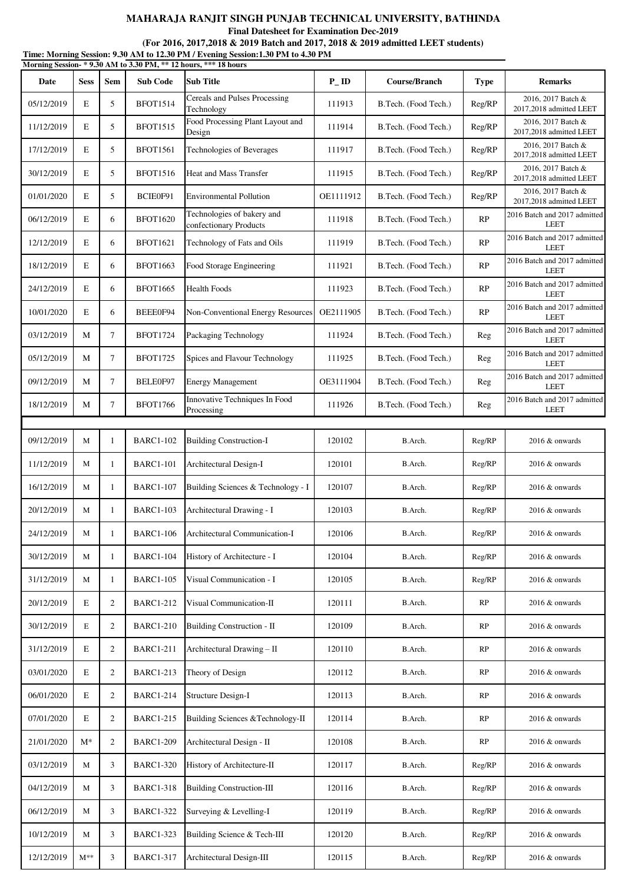**Final Datesheet for Examination Dec-2019**

| Time: Morning Session: 9.30 AM to 12.30 PM / Evening Session: 1.30 PM to 4.30 PM |
|----------------------------------------------------------------------------------|
| Morning Session- * 9.30 AM to 3.30 PM, ** 12 hours, *** 18 hours                 |

| Date       | <b>Sess</b> | Sem            | <b>Sub Code</b>  | <b>Sub Title</b>                                     | $P$ <sub>ID</sub> | Course/Branch        | <b>Type</b> | <b>Remarks</b>                                |
|------------|-------------|----------------|------------------|------------------------------------------------------|-------------------|----------------------|-------------|-----------------------------------------------|
| 05/12/2019 | E           | 5              | <b>BFOT1514</b>  | Cereals and Pulses Processing<br>Technology          | 111913            | B.Tech. (Food Tech.) | Reg/RP      | 2016, 2017 Batch &<br>2017,2018 admitted LEET |
| 11/12/2019 | E           | 5              | <b>BFOT1515</b>  | Food Processing Plant Layout and<br>Design           | 111914            | B.Tech. (Food Tech.) | Reg/RP      | 2016, 2017 Batch &<br>2017,2018 admitted LEET |
| 17/12/2019 | E           | 5              | <b>BFOT1561</b>  | Technologies of Beverages                            | 111917            | B.Tech. (Food Tech.) | Reg/RP      | 2016, 2017 Batch &<br>2017,2018 admitted LEET |
| 30/12/2019 | E           | 5              | <b>BFOT1516</b>  | <b>Heat and Mass Transfer</b>                        | 111915            | B.Tech. (Food Tech.) | Reg/RP      | 2016, 2017 Batch &<br>2017,2018 admitted LEET |
| 01/01/2020 | E           | 5              | BCIE0F91         | <b>Environmental Pollution</b>                       | OE1111912         | B.Tech. (Food Tech.) | Reg/RP      | 2016, 2017 Batch &<br>2017,2018 admitted LEET |
| 06/12/2019 | E           | 6              | <b>BFOT1620</b>  | Technologies of bakery and<br>confectionary Products | 111918            | B.Tech. (Food Tech.) | RP          | 2016 Batch and 2017 admitted<br><b>LEET</b>   |
| 12/12/2019 | E           | 6              | <b>BFOT1621</b>  | Technology of Fats and Oils                          | 111919            | B.Tech. (Food Tech.) | RP          | 2016 Batch and 2017 admitted<br><b>LEET</b>   |
| 18/12/2019 | E           | 6              | <b>BFOT1663</b>  | Food Storage Engineering                             | 111921            | B.Tech. (Food Tech.) | RP          | 2016 Batch and 2017 admitted<br><b>LEET</b>   |
| 24/12/2019 | E           | 6              | <b>BFOT1665</b>  | <b>Health Foods</b>                                  | 111923            | B.Tech. (Food Tech.) | RP          | 2016 Batch and 2017 admitted<br><b>LEET</b>   |
| 10/01/2020 | E           | 6              | BEEE0F94         | Non-Conventional Energy Resources                    | OE2111905         | B.Tech. (Food Tech.) | RP          | 2016 Batch and 2017 admitted<br><b>LEET</b>   |
| 03/12/2019 | M           | $\tau$         | <b>BFOT1724</b>  | Packaging Technology                                 | 111924            | B.Tech. (Food Tech.) | Reg         | 2016 Batch and 2017 admitted<br><b>LEET</b>   |
| 05/12/2019 | M           | $\tau$         | <b>BFOT1725</b>  | Spices and Flavour Technology                        | 111925            | B.Tech. (Food Tech.) | Reg         | 2016 Batch and 2017 admitted<br><b>LEET</b>   |
| 09/12/2019 | M           | $\tau$         | BELE0F97         | <b>Energy Management</b>                             | OE3111904         | B.Tech. (Food Tech.) | Reg         | 2016 Batch and 2017 admitted<br><b>LEET</b>   |
| 18/12/2019 | M           | $\tau$         | <b>BFOT1766</b>  | Innovative Techniques In Food<br>Processing          | 111926            | B.Tech. (Food Tech.) | Reg         | 2016 Batch and 2017 admitted<br><b>LEET</b>   |
|            |             |                |                  |                                                      |                   |                      |             |                                               |
| 09/12/2019 | M           | 1              | <b>BARC1-102</b> | <b>Building Construction-I</b>                       | 120102            | B.Arch.              | Reg/RP      | 2016 & onwards                                |
| 11/12/2019 | M           | 1              | <b>BARC1-101</b> | Architectural Design-I                               | 120101            | B.Arch.              | Reg/RP      | 2016 & onwards                                |
| 16/12/2019 | M           | 1              | <b>BARC1-107</b> | Building Sciences & Technology - I                   | 120107            | B.Arch.              | Reg/RP      | 2016 & onwards                                |
| 20/12/2019 | M           | 1              | <b>BARC1-103</b> | Architectural Drawing - I                            | 120103            | B.Arch.              | Reg/RP      | 2016 & onwards                                |
| 24/12/2019 | M           | 1              | <b>BARC1-106</b> | Architectural Communication-I                        | 120106            | B.Arch.              | Reg/RP      | 2016 & onwards                                |
| 30/12/2019 | M           | 1              | <b>BARC1-104</b> | History of Architecture - I                          | 120104            | B.Arch.              | Reg/RP      | 2016 & onwards                                |
| 31/12/2019 | M           | $\mathbf{1}$   | <b>BARC1-105</b> | Visual Communication - I                             | 120105            | B.Arch.              | Reg/RP      | 2016 & onwards                                |
| 20/12/2019 | E           | $\overline{2}$ | <b>BARC1-212</b> | Visual Communication-II                              | 120111            | B.Arch.              | RP          | 2016 & onwards                                |
| 30/12/2019 | Е           | $\overline{2}$ | <b>BARC1-210</b> | Building Construction - II                           | 120109            | B.Arch.              | RP          | 2016 & onwards                                |
| 31/12/2019 | E           | $\overline{2}$ | <b>BARC1-211</b> | Architectural Drawing - II                           | 120110            | B.Arch.              | RP          | 2016 & onwards                                |
| 03/01/2020 | E           | $\overline{2}$ | <b>BARC1-213</b> | Theory of Design                                     | 120112            | B.Arch.              | RP          | 2016 & onwards                                |
| 06/01/2020 | E           | $\overline{2}$ | <b>BARC1-214</b> | Structure Design-I                                   | 120113            | B.Arch.              | RP          | 2016 & onwards                                |
| 07/01/2020 | E           | $\overline{2}$ | <b>BARC1-215</b> | Building Sciences & Technology-II                    | 120114            | B.Arch.              | RP          | 2016 & onwards                                |
| 21/01/2020 | $M^*$       | $\overline{2}$ | <b>BARC1-209</b> | Architectural Design - II                            | 120108            | B.Arch.              | RP          | 2016 & onwards                                |
| 03/12/2019 | M           | 3              | <b>BARC1-320</b> | History of Architecture-II                           | 120117            | B.Arch.              | Reg/RP      | 2016 & onwards                                |
| 04/12/2019 | M           | 3              | <b>BARC1-318</b> | <b>Building Construction-III</b>                     | 120116            | B.Arch.              | Reg/RP      | 2016 & onwards                                |
| 06/12/2019 | M           | 3              | <b>BARC1-322</b> | Surveying & Levelling-I                              | 120119            | B.Arch.              | Reg/RP      | 2016 & onwards                                |
| 10/12/2019 | M           | 3              | <b>BARC1-323</b> | Building Science & Tech-III                          | 120120            | B.Arch.              | Reg/RP      | 2016 & onwards                                |
| 12/12/2019 | $M^{**}$    | 3              | <b>BARC1-317</b> | Architectural Design-III                             | 120115            | B.Arch.              | Reg/RP      | 2016 & onwards                                |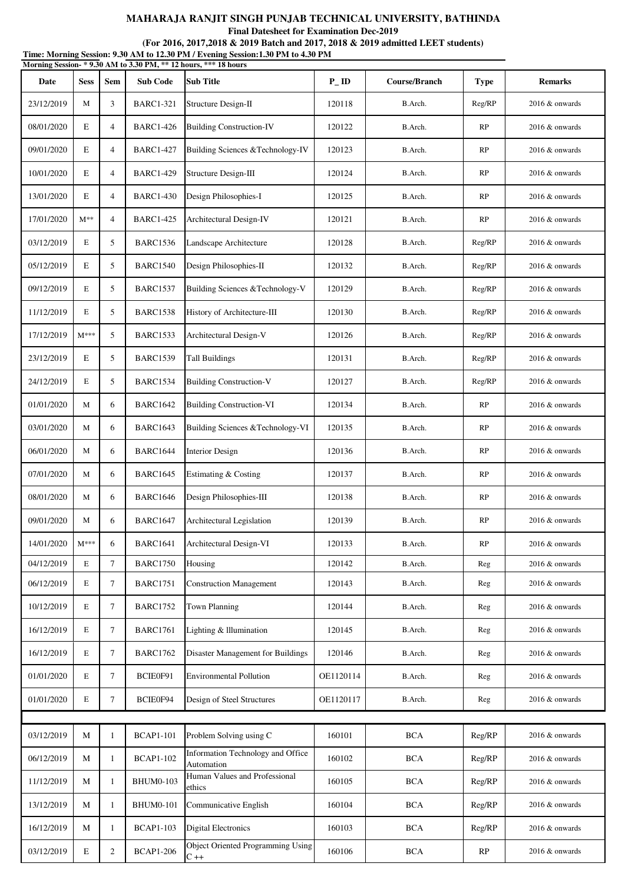**Final Datesheet for Examination Dec-2019**

| Morning Session-* 9.30 AM to 3.30 PM, ** 12 hours, *** 18 hours |             |                |                  |                                                   |           |               |              |                   |  |  |
|-----------------------------------------------------------------|-------------|----------------|------------------|---------------------------------------------------|-----------|---------------|--------------|-------------------|--|--|
| Date                                                            | <b>Sess</b> | Sem            | <b>Sub Code</b>  | <b>Sub Title</b>                                  | $P$ ID    | Course/Branch | <b>Type</b>  | <b>Remarks</b>    |  |  |
| 23/12/2019                                                      | M           | 3              | <b>BARC1-321</b> | Structure Design-II                               | 120118    | B.Arch.       | Reg/RP       | $2016 \&$ onwards |  |  |
| 08/01/2020                                                      | E           | 4              | <b>BARC1-426</b> | <b>Building Construction-IV</b>                   | 120122    | B.Arch.       | RP           | $2016 \&$ onwards |  |  |
| 09/01/2020                                                      | E           | $\overline{4}$ | <b>BARC1-427</b> | Building Sciences & Technology-IV                 | 120123    | B.Arch.       | RP           | $2016 \&$ onwards |  |  |
| 10/01/2020                                                      | E           | 4              | <b>BARC1-429</b> | Structure Design-III                              | 120124    | B.Arch.       | RP           | $2016 \&$ onwards |  |  |
| 13/01/2020                                                      | E           | $\overline{4}$ | <b>BARC1-430</b> | Design Philosophies-I                             | 120125    | B.Arch.       | RP           | $2016 \&$ onwards |  |  |
| 17/01/2020                                                      | $M^{**}$    | $\overline{4}$ | <b>BARC1-425</b> | Architectural Design-IV                           | 120121    | B.Arch.       | RP           | 2016 & onwards    |  |  |
| 03/12/2019                                                      | Е           | 5              | <b>BARC1536</b>  | Landscape Architecture                            | 120128    | B.Arch.       | Reg/RP       | $2016 \&$ onwards |  |  |
| 05/12/2019                                                      | E           | 5              | <b>BARC1540</b>  | Design Philosophies-II                            | 120132    | B.Arch.       | Reg/RP       | $2016 \&$ onwards |  |  |
| 09/12/2019                                                      | Е           | 5              | <b>BARC1537</b>  | Building Sciences &Technology-V                   | 120129    | B.Arch.       | Reg/RP       | $2016 \&$ onwards |  |  |
| 11/12/2019                                                      | E           | 5              | <b>BARC1538</b>  | History of Architecture-III                       | 120130    | B.Arch.       | Reg/RP       | $2016 \&$ onwards |  |  |
| 17/12/2019                                                      | $M***$      | 5              | <b>BARC1533</b>  | Architectural Design-V                            | 120126    | B.Arch.       | Reg/RP       | 2016 & onwards    |  |  |
| 23/12/2019                                                      | E           | 5              | <b>BARC1539</b>  | <b>Tall Buildings</b>                             | 120131    | B.Arch.       | Reg/RP       | 2016 & onwards    |  |  |
| 24/12/2019                                                      | Е           | 5              | <b>BARC1534</b>  | <b>Building Construction-V</b>                    | 120127    | B.Arch.       | Reg/RP       | 2016 & onwards    |  |  |
| 01/01/2020                                                      | M           | 6              | <b>BARC1642</b>  | <b>Building Construction-VI</b>                   | 120134    | B.Arch.       | RP           | 2016 & onwards    |  |  |
| 03/01/2020                                                      | М           | 6              | <b>BARC1643</b>  | Building Sciences & Technology-VI                 | 120135    | B.Arch.       | RP           | $2016 \&$ onwards |  |  |
| 06/01/2020                                                      | М           | 6              | <b>BARC1644</b>  | Interior Design                                   | 120136    | B.Arch.       | RP           | $2016 \&$ onwards |  |  |
| 07/01/2020                                                      | M           | 6              | <b>BARC1645</b>  | Estimating & Costing                              | 120137    | B.Arch.       | RP           | 2016 & onwards    |  |  |
| 08/01/2020                                                      | М           | 6              | <b>BARC1646</b>  | Design Philosophies-III                           | 120138    | B.Arch.       | RP           | $2016 \&$ onwards |  |  |
| 09/01/2020                                                      | М           | 6              | <b>BARC1647</b>  | Architectural Legislation                         | 120139    | B.Arch.       | RP           | 2016 & onwards    |  |  |
| 14/01/2020                                                      | $M***$      | 6              | <b>BARC1641</b>  | Architectural Design-VI                           | 120133    | B.Arch.       | RP           | 2016 & onwards    |  |  |
| 04/12/2019                                                      | Е           | $\tau$         | <b>BARC1750</b>  | Housing                                           | 120142    | B.Arch.       | $\mbox{Reg}$ | 2016 & onwards    |  |  |
| 06/12/2019                                                      | Е           | $\tau$         | <b>BARC1751</b>  | <b>Construction Management</b>                    | 120143    | B.Arch.       | Reg          | 2016 & onwards    |  |  |
| 10/12/2019                                                      | Е           | $\tau$         | <b>BARC1752</b>  | Town Planning                                     | 120144    | B.Arch.       | Reg          | 2016 & onwards    |  |  |
| 16/12/2019                                                      | Е           | $\tau$         | <b>BARC1761</b>  | Lighting & Illumination                           | 120145    | B.Arch.       | Reg          | 2016 & onwards    |  |  |
| 16/12/2019                                                      | Е           | $\tau$         | <b>BARC1762</b>  | Disaster Management for Buildings                 | 120146    | B.Arch.       | $\mbox{Reg}$ | 2016 & onwards    |  |  |
| 01/01/2020                                                      | Е           | $\tau$         | BCIE0F91         | <b>Environmental Pollution</b>                    | OE1120114 | B.Arch.       | Reg          | 2016 & onwards    |  |  |
| 01/01/2020                                                      | E           | $\tau$         | BCIE0F94         | Design of Steel Structures                        | OE1120117 | B.Arch.       | Reg          | $2016 \&$ onwards |  |  |
|                                                                 |             |                |                  |                                                   |           |               |              |                   |  |  |
| 03/12/2019                                                      | M           | $\mathbf{1}$   | <b>BCAP1-101</b> | Problem Solving using C                           | 160101    | <b>BCA</b>    | Reg/RP       | 2016 & onwards    |  |  |
| 06/12/2019                                                      | M           | $\mathbf{1}$   | <b>BCAP1-102</b> | Information Technology and Office<br>Automation   | 160102    | <b>BCA</b>    | Reg/RP       | $2016 \&$ onwards |  |  |
| 11/12/2019                                                      | M           | $\mathbf{1}$   | <b>BHUM0-103</b> | Human Values and Professional<br>ethics           | 160105    | <b>BCA</b>    | Reg/RP       | $2016 \&$ onwards |  |  |
| 13/12/2019                                                      | M           | $\mathbf{1}$   | <b>BHUM0-101</b> | Communicative English                             | 160104    | <b>BCA</b>    | Reg/RP       | 2016 & onwards    |  |  |
| 16/12/2019                                                      | M           | $\mathbf{1}$   | <b>BCAP1-103</b> | <b>Digital Electronics</b>                        | 160103    | <b>BCA</b>    | Reg/RP       | $2016 \&$ onwards |  |  |
| 03/12/2019                                                      | $\mathbf E$ | $\overline{2}$ | <b>BCAP1-206</b> | <b>Object Oriented Programming Using</b><br>$C++$ | 160106    | <b>BCA</b>    | RP           | $2016 \&$ onwards |  |  |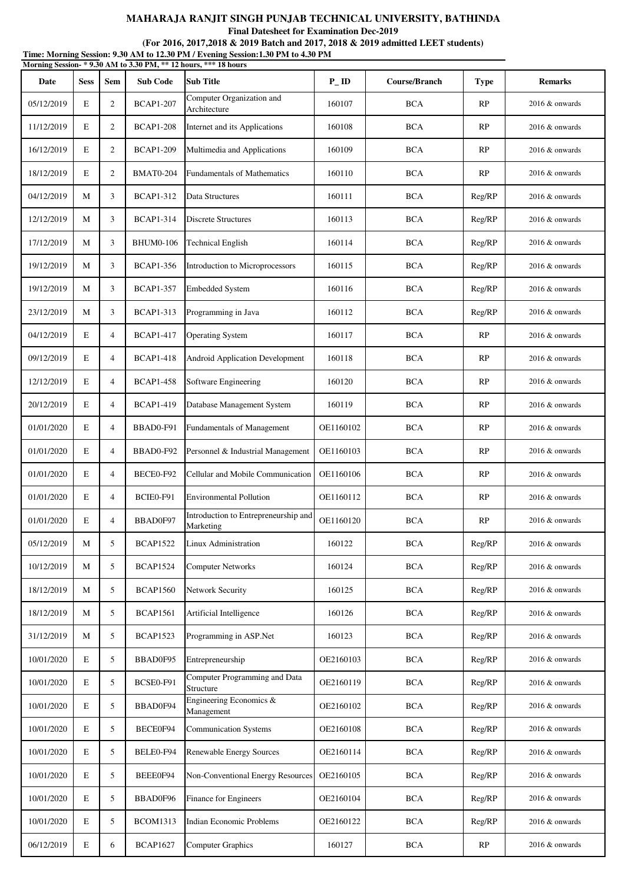**Final Datesheet for Examination Dec-2019**

|            |             |                |                  | Morning Session-* 9.30 AM to 3.30 PM, ** 12 hours, *** 18 hours |                    |               |             |                   |
|------------|-------------|----------------|------------------|-----------------------------------------------------------------|--------------------|---------------|-------------|-------------------|
| Date       | <b>Sess</b> | <b>Sem</b>     | <b>Sub Code</b>  | <b>Sub Title</b>                                                | $P$ <sub>-ID</sub> | Course/Branch | <b>Type</b> | <b>Remarks</b>    |
| 05/12/2019 | E           | $\overline{2}$ | <b>BCAP1-207</b> | Computer Organization and<br>Architecture                       | 160107             | <b>BCA</b>    | RP          | $2016 \&$ onwards |
| 11/12/2019 | E           | 2              | <b>BCAP1-208</b> | Internet and its Applications                                   | 160108             | <b>BCA</b>    | RP          | $2016 \&$ onwards |
| 16/12/2019 | E           | 2              | <b>BCAP1-209</b> | Multimedia and Applications                                     | 160109             | <b>BCA</b>    | RP          | $2016 \&$ onwards |
| 18/12/2019 | E           | $\overline{2}$ | <b>BMAT0-204</b> | <b>Fundamentals of Mathematics</b>                              | 160110             | <b>BCA</b>    | <b>RP</b>   | 2016 & onwards    |
| 04/12/2019 | M           | 3              | <b>BCAP1-312</b> | Data Structures                                                 | 160111             | <b>BCA</b>    | Reg/RP      | 2016 & onwards    |
| 12/12/2019 | M           | 3              | <b>BCAP1-314</b> | <b>Discrete Structures</b>                                      | 160113             | <b>BCA</b>    | Reg/RP      | $2016 \&$ onwards |
| 17/12/2019 | M           | 3              | <b>BHUM0-106</b> | <b>Technical English</b>                                        | 160114             | <b>BCA</b>    | Reg/RP      | $2016 \&$ onwards |
| 19/12/2019 | M           | 3              | <b>BCAP1-356</b> | Introduction to Microprocessors                                 | 160115             | <b>BCA</b>    | Reg/RP      | $2016 \&$ onwards |
| 19/12/2019 | M           | 3              | <b>BCAP1-357</b> | <b>Embedded System</b>                                          | 160116             | <b>BCA</b>    | Reg/RP      | $2016 \&$ onwards |
| 23/12/2019 | M           | 3              | <b>BCAP1-313</b> | Programming in Java                                             | 160112             | <b>BCA</b>    | Reg/RP      | $2016 \&$ onwards |
| 04/12/2019 | E           | $\overline{4}$ | <b>BCAP1-417</b> | <b>Operating System</b>                                         | 160117             | <b>BCA</b>    | <b>RP</b>   | 2016 & onwards    |
| 09/12/2019 | E           | $\overline{4}$ | <b>BCAP1-418</b> | Android Application Development                                 | 160118             | <b>BCA</b>    | <b>RP</b>   | 2016 & onwards    |
| 12/12/2019 | E           | $\overline{4}$ | <b>BCAP1-458</b> | Software Engineering                                            | 160120             | <b>BCA</b>    | RP          | $2016 \&$ onwards |
| 20/12/2019 | E           | $\overline{4}$ | <b>BCAP1-419</b> | Database Management System                                      | 160119             | <b>BCA</b>    | RP          | $2016 \&$ onwards |
| 01/01/2020 | E           | $\overline{4}$ | BBAD0-F91        | Fundamentals of Management                                      | OE1160102          | <b>BCA</b>    | <b>RP</b>   | $2016 \&$ onwards |
| 01/01/2020 | E           | $\overline{4}$ | BBAD0-F92        | Personnel & Industrial Management                               | OE1160103          | <b>BCA</b>    | RP          | $2016 \&$ onwards |
| 01/01/2020 | E           | $\overline{4}$ | BECE0-F92        | Cellular and Mobile Communication                               | OE1160106          | <b>BCA</b>    | <b>RP</b>   | $2016 \&$ onwards |
| 01/01/2020 | E           | $\overline{4}$ | BCIE0-F91        | <b>Environmental Pollution</b>                                  | OE1160112          | <b>BCA</b>    | RP          | 2016 & onwards    |
| 01/01/2020 | E           | $\overline{4}$ | BBAD0F97         | Introduction to Entrepreneurship and<br>Marketing               | OE1160120          | <b>BCA</b>    | RP          | 2016 & onwards    |
| 05/12/2019 | M           | 5              | <b>BCAP1522</b>  | Linux Administration                                            | 160122             | <b>BCA</b>    | Reg/RP      | 2016 & onwards    |
| 10/12/2019 | M           | 5              | <b>BCAP1524</b>  | <b>Computer Networks</b>                                        | 160124             | <b>BCA</b>    | Reg/RP      | 2016 & onwards    |
| 18/12/2019 | M           | 5              | <b>BCAP1560</b>  | Network Security                                                | 160125             | <b>BCA</b>    | Reg/RP      | 2016 & onwards    |
| 18/12/2019 | M           | 5              | <b>BCAP1561</b>  | Artificial Intelligence                                         | 160126             | <b>BCA</b>    | Reg/RP      | 2016 & onwards    |
| 31/12/2019 | M           | 5              | <b>BCAP1523</b>  | Programming in ASP.Net                                          | 160123             | <b>BCA</b>    | Reg/RP      | 2016 & onwards    |
| 10/01/2020 | E           | 5              | BBAD0F95         | Entrepreneurship                                                | OE2160103          | <b>BCA</b>    | Reg/RP      | 2016 & onwards    |
| 10/01/2020 | E           | 5              | BCSE0-F91        | Computer Programming and Data<br>Structure                      | OE2160119          | <b>BCA</b>    | Reg/RP      | 2016 & onwards    |
| 10/01/2020 | E           | 5              | BBAD0F94         | Engineering Economics &<br>Management                           | OE2160102          | <b>BCA</b>    | Reg/RP      | 2016 & onwards    |
| 10/01/2020 | E           | 5              | BECE0F94         | Communication Systems                                           | OE2160108          | <b>BCA</b>    | Reg/RP      | 2016 & onwards    |
| 10/01/2020 | E           | 5              | BELE0-F94        | Renewable Energy Sources                                        | OE2160114          | <b>BCA</b>    | Reg/RP      | 2016 & onwards    |
| 10/01/2020 | E           | 5              | BEEE0F94         | <b>Non-Conventional Energy Resources</b>                        | OE2160105          | <b>BCA</b>    | Reg/RP      | 2016 & onwards    |
| 10/01/2020 | E           | 5              | BBAD0F96         | Finance for Engineers                                           | OE2160104          | <b>BCA</b>    | Reg/RP      | 2016 & onwards    |
| 10/01/2020 | E           | 5              | <b>BCOM1313</b>  | Indian Economic Problems                                        | OE2160122          | <b>BCA</b>    | Reg/RP      | 2016 & onwards    |
| 06/12/2019 | E           | 6              | <b>BCAP1627</b>  | <b>Computer Graphics</b>                                        | 160127             | <b>BCA</b>    | RP          | 2016 & onwards    |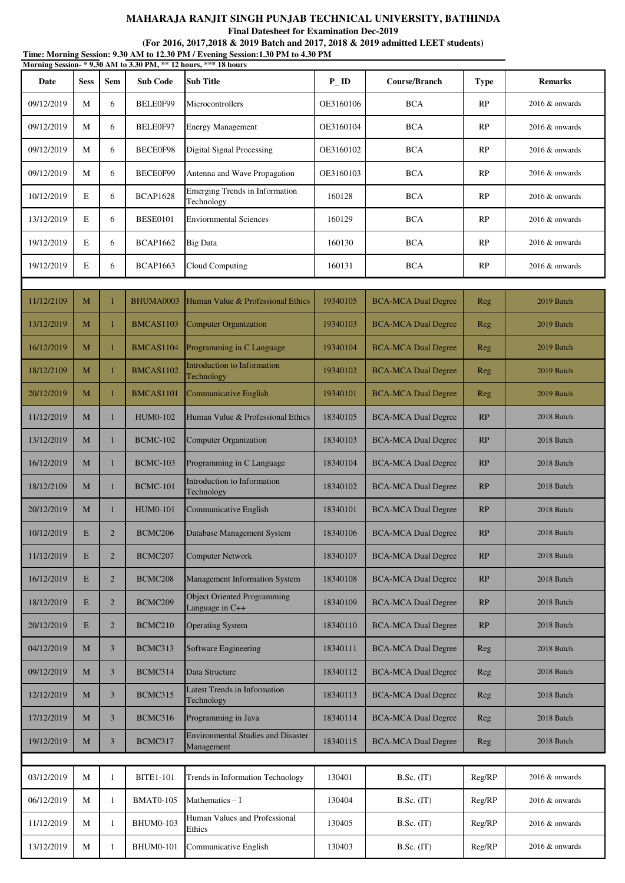**Final Datesheet for Examination Dec-2019**

| Time: Morning Session: 9.30 AM to 12.30 PM / Evening Session:1.30 PM to 4.30 PM<br>Morning Session-*9.30 AM to 3.30 PM, ** 12 hours, *** 18 hours |             |                |                     |                                                         |                    |                            |             |                   |  |  |
|---------------------------------------------------------------------------------------------------------------------------------------------------|-------------|----------------|---------------------|---------------------------------------------------------|--------------------|----------------------------|-------------|-------------------|--|--|
| Date                                                                                                                                              | <b>Sess</b> | <b>Sem</b>     | <b>Sub Code</b>     | <b>Sub Title</b>                                        | $P$ <sub>-ID</sub> | Course/Branch              | <b>Type</b> | <b>Remarks</b>    |  |  |
| 09/12/2019                                                                                                                                        | М           | 6              | BELE0F99            | Microcontrollers                                        | OE3160106          | <b>BCA</b>                 | RP          | 2016 & onwards    |  |  |
| 09/12/2019                                                                                                                                        | M           | 6              | BELE0F97            | <b>Energy Management</b>                                | OE3160104          | <b>BCA</b>                 | RP          | 2016 & onwards    |  |  |
| 09/12/2019                                                                                                                                        | М           | 6              | BECE0F98            | <b>Digital Signal Processing</b>                        | OE3160102          | <b>BCA</b>                 | RP          | $2016 \&$ onwards |  |  |
| 09/12/2019                                                                                                                                        | М           | 6              | BECE0F99            | Antenna and Wave Propagation                            | OE3160103          | <b>BCA</b>                 | RP          | 2016 & onwards    |  |  |
| 10/12/2019                                                                                                                                        | E           | 6              | <b>BCAP1628</b>     | Emerging Trends in Information<br>Technology            | 160128             | <b>BCA</b>                 | RP          | 2016 & onwards    |  |  |
| 13/12/2019                                                                                                                                        | E           | 6              | <b>BESE0101</b>     | <b>Enviornmental Sciences</b>                           | 160129             | <b>BCA</b>                 | RP          | $2016 \&$ onwards |  |  |
| 19/12/2019                                                                                                                                        | $\mathbf E$ | 6              | <b>BCAP1662</b>     | <b>Big Data</b>                                         | 160130             | <b>BCA</b>                 | RP          | $2016 \&$ onwards |  |  |
| 19/12/2019                                                                                                                                        | $\mathbf E$ | 6              | <b>BCAP1663</b>     | Cloud Computing                                         | 160131             | <b>BCA</b>                 | RP          | $2016 \&$ onwards |  |  |
|                                                                                                                                                   |             |                |                     |                                                         |                    |                            |             |                   |  |  |
| 11/12/2109                                                                                                                                        | M           |                | BHUMA0003           | Human Value & Professional Ethics                       | 19340105           | <b>BCA-MCA Dual Degree</b> | Reg         | 2019 Batch        |  |  |
| 13/12/2019                                                                                                                                        | M           | 1              | BMCAS1103           | <b>Computer Organization</b>                            | 19340103           | <b>BCA-MCA Dual Degree</b> | Reg         | 2019 Batch        |  |  |
| 16/12/2019                                                                                                                                        | M           | -1             | BMCAS1104           | Programming in C Language                               | 19340104           | <b>BCA-MCA Dual Degree</b> | Reg         | 2019 Batch        |  |  |
| 18/12/2109                                                                                                                                        | М           | $\mathbf{1}$   | BMCAS1102           | <b>Introduction to Information</b><br>Technology        | 19340102           | <b>BCA-MCA Dual Degree</b> | Reg         | 2019 Batch        |  |  |
| 20/12/2019                                                                                                                                        | M           | -1             | BMCAS1101           | Communicative English                                   | 19340101           | <b>BCA-MCA Dual Degree</b> | Reg         | 2019 Batch        |  |  |
| 11/12/2019                                                                                                                                        | M           | 1              | <b>HUM0-102</b>     | Human Value & Professional Ethics                       | 18340105           | <b>BCA-MCA Dual Degree</b> | RP          | 2018 Batch        |  |  |
| 13/12/2019                                                                                                                                        | M           | $\mathbf{1}$   | <b>BCMC-102</b>     | Computer Organization                                   | 18340103           | <b>BCA-MCA Dual Degree</b> | RP          | 2018 Batch        |  |  |
| 16/12/2019                                                                                                                                        | M           | 1              | <b>BCMC-103</b>     | Programming in C Language                               | 18340104           | <b>BCA-MCA Dual Degree</b> | RP          | 2018 Batch        |  |  |
| 18/12/2109                                                                                                                                        | M           | 1              | <b>BCMC-101</b>     | Introduction to Information<br>Technology               | 18340102           | <b>BCA-MCA Dual Degree</b> | RP          | 2018 Batch        |  |  |
| 20/12/2019                                                                                                                                        | M           | 1              | <b>HUM0-101</b>     | Communicative English                                   | 18340101           | <b>BCA-MCA Dual Degree</b> | <b>RP</b>   | 2018 Batch        |  |  |
| 10/12/2019                                                                                                                                        | E           | $\overline{2}$ | BCMC206             | Database Management System                              | 18340106           | <b>BCA-MCA Dual Degree</b> | RP          | 2018 Batch        |  |  |
| 11/12/2019                                                                                                                                        | E           | $\overline{2}$ | BCMC <sub>207</sub> | <b>Computer Network</b>                                 | 18340107           | <b>BCA-MCA Dual Degree</b> | RP          | 2018 Batch        |  |  |
| 16/12/2019                                                                                                                                        | E           | $\overline{2}$ | BCMC <sub>208</sub> | Management Information System                           | 18340108           | <b>BCA-MCA Dual Degree</b> | RP          | 2018 Batch        |  |  |
| 18/12/2019                                                                                                                                        | E           | $\overline{2}$ | BCMC209             | <b>Object Oriented Programming</b><br>Language in C++   | 18340109           | <b>BCA-MCA Dual Degree</b> | RP          | 2018 Batch        |  |  |
| 20/12/2019                                                                                                                                        | E           | $\overline{2}$ | BCMC210             | <b>Operating System</b>                                 | 18340110           | <b>BCA-MCA Dual Degree</b> | RP          | 2018 Batch        |  |  |
| 04/12/2019                                                                                                                                        | M           | 3              | BCMC313             | Software Engineering                                    | 18340111           | <b>BCA-MCA Dual Degree</b> | Reg         | 2018 Batch        |  |  |
| 09/12/2019                                                                                                                                        | M           | 3              | BCMC314             | Data Structure                                          | 18340112           | <b>BCA-MCA Dual Degree</b> | Reg         | 2018 Batch        |  |  |
| 12/12/2019                                                                                                                                        | M           | 3              | BCMC315             | <b>Latest Trends in Information</b><br>Technology       | 18340113           | <b>BCA-MCA Dual Degree</b> | Reg         | 2018 Batch        |  |  |
| 17/12/2019                                                                                                                                        | M           | 3              | BCMC316             | Programming in Java                                     | 18340114           | <b>BCA-MCA Dual Degree</b> | Reg         | 2018 Batch        |  |  |
| 19/12/2019                                                                                                                                        | M           | 3              | BCMC317             | <b>Environmental Studies and Disaster</b><br>Management | 18340115           | <b>BCA-MCA Dual Degree</b> | Reg         | 2018 Batch        |  |  |
|                                                                                                                                                   |             |                |                     |                                                         |                    |                            |             |                   |  |  |
| 03/12/2019                                                                                                                                        | М           | 1              | <b>BITE1-101</b>    | Trends in Information Technology                        | 130401             | B.Sc. (IT)                 | Reg/RP      | 2016 & onwards    |  |  |
| 06/12/2019                                                                                                                                        | М           | 1              | <b>BMAT0-105</b>    | Mathematics $-I$                                        | 130404             | $B.Sc.$ (IT)               | Reg/RP      | 2016 & onwards    |  |  |
| 11/12/2019                                                                                                                                        | М           | 1              | <b>BHUM0-103</b>    | Human Values and Professional<br>Ethics                 | 130405             | $B.Sc.$ (IT)               | Reg/RP      | 2016 & onwards    |  |  |
| 13/12/2019                                                                                                                                        | M           | 1              | <b>BHUM0-101</b>    | Communicative English                                   | 130403             | $B.Sc.$ (IT)               | Reg/RP      | 2016 & onwards    |  |  |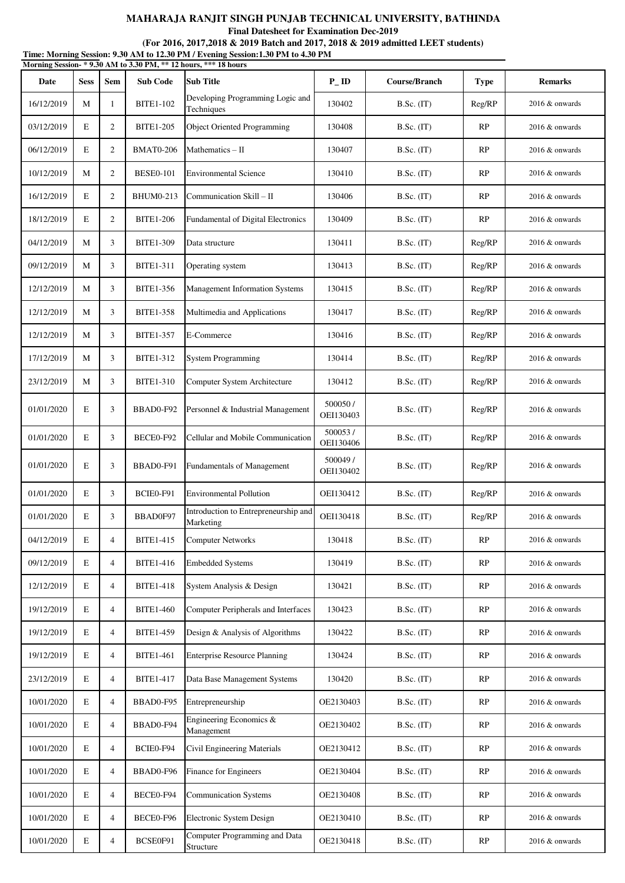**Final Datesheet for Examination Dec-2019**

| Time: Morning Session: 9.30 AM to 12.30 PM / Evening Session:1.30 PM to 4.30 PM<br>Morning Session-*9.30 AM to 3.30 PM, ** 12 hours, *** 18 hours |             |                |                  |                                                   |                       |                   |             |                   |  |  |
|---------------------------------------------------------------------------------------------------------------------------------------------------|-------------|----------------|------------------|---------------------------------------------------|-----------------------|-------------------|-------------|-------------------|--|--|
| Date                                                                                                                                              | <b>Sess</b> | <b>Sem</b>     | <b>Sub Code</b>  | <b>Sub Title</b>                                  | $P$ <sub>-ID</sub>    | Course/Branch     | <b>Type</b> | <b>Remarks</b>    |  |  |
| 16/12/2019                                                                                                                                        | M           | $\mathbf{1}$   | <b>BITE1-102</b> | Developing Programming Logic and<br>Techniques    | 130402                | $B.Sc.$ (IT)      | Reg/RP      | $2016 \&$ onwards |  |  |
| 03/12/2019                                                                                                                                        | E           | $\overline{2}$ | <b>BITE1-205</b> | <b>Object Oriented Programming</b>                | 130408                | $B.Sc.$ (IT)      | RP          | 2016 & onwards    |  |  |
| 06/12/2019                                                                                                                                        | E           | $\overline{2}$ | <b>BMAT0-206</b> | Mathematics $-$ II                                | 130407                | $B.Sc.$ (IT)      | RP          | 2016 & onwards    |  |  |
| 10/12/2019                                                                                                                                        | M           | $\overline{2}$ | <b>BESE0-101</b> | <b>Environmental Science</b>                      | 130410                | $B.Sc.$ (IT)      | RP          | $2016 \&$ onwards |  |  |
| 16/12/2019                                                                                                                                        | E           | 2              | <b>BHUM0-213</b> | Communication Skill - II                          | 130406                | B.Sc. (IT)        | <b>RP</b>   | 2016 & onwards    |  |  |
| 18/12/2019                                                                                                                                        | E           | $\overline{2}$ | <b>BITE1-206</b> | Fundamental of Digital Electronics                | 130409                | $B.Sc.$ (IT)      | RP          | 2016 & onwards    |  |  |
| 04/12/2019                                                                                                                                        | M           | 3              | <b>BITE1-309</b> | Data structure                                    | 130411                | $B.Sc.$ (IT)      | Reg/RP      | $2016 \&$ onwards |  |  |
| 09/12/2019                                                                                                                                        | M           | 3              | <b>BITE1-311</b> | Operating system                                  | 130413                | $B.Sc.$ (IT)      | Reg/RP      | $2016 \&$ onwards |  |  |
| 12/12/2019                                                                                                                                        | M           | 3              | <b>BITE1-356</b> | Management Information Systems                    | 130415                | $B.Sc.$ (IT)      | Reg/RP      | $2016 \&$ onwards |  |  |
| 12/12/2019                                                                                                                                        | M           | 3              | <b>BITE1-358</b> | Multimedia and Applications                       | 130417                | $B.Sc.$ (IT)      | Reg/RP      | $2016 \&$ onwards |  |  |
| 12/12/2019                                                                                                                                        | M           | 3              | <b>BITE1-357</b> | E-Commerce                                        | 130416                | B.Sc. (IT)        | Reg/RP      | $2016 \&$ onwards |  |  |
| 17/12/2019                                                                                                                                        | M           | 3              | <b>BITE1-312</b> | <b>System Programming</b>                         | 130414                | $B.Sc.$ (IT)      | Reg/RP      | 2016 & onwards    |  |  |
| 23/12/2019                                                                                                                                        | M           | 3              | <b>BITE1-310</b> | Computer System Architecture                      | 130412                | $B.Sc.$ (IT)      | Reg/RP      | 2016 & onwards    |  |  |
| 01/01/2020                                                                                                                                        | E           | 3              | BBAD0-F92        | Personnel & Industrial Management                 | 500050/<br>OEI130403  | B.Sc. (IT)        | Reg/RP      | 2016 & onwards    |  |  |
| 01/01/2020                                                                                                                                        | E           | 3              | BECE0-F92        | Cellular and Mobile Communication                 | 500053/<br>OEI130406  | $B.Sc.$ (IT)      | Reg/RP      | $2016 \&$ onwards |  |  |
| 01/01/2020                                                                                                                                        | E           | 3              | BBAD0-F91        | Fundamentals of Management                        | 500049 /<br>OEI130402 | $B.Sc.$ (IT)      | Reg/RP      | 2016 & onwards    |  |  |
| 01/01/2020                                                                                                                                        | E           | 3              | BCIE0-F91        | <b>Environmental Pollution</b>                    | OEI130412             | $B.Sc.$ (IT)      | Reg/RP      | $2016 \&$ onwards |  |  |
| 01/01/2020                                                                                                                                        | E           | 3              | BBAD0F97         | Introduction to Entrepreneurship and<br>Marketing | OEI130418             | <b>B.Sc.</b> (IT) | Reg/RP      | 2016 & onwards    |  |  |
| 04/12/2019                                                                                                                                        | E           | $\overline{4}$ | <b>BITE1-415</b> | <b>Computer Networks</b>                          | 130418                | $B.Sc.$ (IT)      | RP          | 2016 & onwards    |  |  |
| 09/12/2019                                                                                                                                        | $\mathbf E$ | $\overline{4}$ | <b>BITE1-416</b> | <b>Embedded Systems</b>                           | 130419                | B.Sc. (IT)        | RP          | 2016 & onwards    |  |  |
| 12/12/2019                                                                                                                                        | E           | $\overline{4}$ | <b>BITE1-418</b> | System Analysis & Design                          | 130421                | $B.Sc.$ (IT)      | RP          | $2016 \&$ onwards |  |  |
| 19/12/2019                                                                                                                                        | E           | $\overline{4}$ | <b>BITE1-460</b> | <b>Computer Peripherals and Interfaces</b>        | 130423                | $B.Sc.$ (IT)      | RP          | 2016 & onwards    |  |  |
| 19/12/2019                                                                                                                                        | E           | $\overline{4}$ | <b>BITE1-459</b> | Design & Analysis of Algorithms                   | 130422                | B.Sc. (IT)        | RP          | 2016 & onwards    |  |  |
| 19/12/2019                                                                                                                                        | E           | $\overline{4}$ | <b>BITE1-461</b> | <b>Enterprise Resource Planning</b>               | 130424                | $B.Sc.$ (IT)      | RP          | 2016 & onwards    |  |  |
| 23/12/2019                                                                                                                                        | E           | $\overline{4}$ | <b>BITE1-417</b> | Data Base Management Systems                      | 130420                | B.Sc. (IT)        | <b>RP</b>   | 2016 & onwards    |  |  |
| 10/01/2020                                                                                                                                        | E           | $\overline{4}$ | BBAD0-F95        | Entrepreneurship                                  | OE2130403             | $B.Sc.$ (IT)      | RP          | 2016 & onwards    |  |  |
| 10/01/2020                                                                                                                                        | E           | $\overline{4}$ | BBAD0-F94        | Engineering Economics &<br>Management             | OE2130402             | $B.Sc.$ (IT)      | RP          | $2016 \&$ onwards |  |  |
| 10/01/2020                                                                                                                                        | E           | $\overline{4}$ | BCIE0-F94        | Civil Engineering Materials                       | OE2130412             | $B.Sc.$ (IT)      | <b>RP</b>   | 2016 & onwards    |  |  |
| 10/01/2020                                                                                                                                        | E           | $\overline{4}$ | BBAD0-F96        | Finance for Engineers                             | OE2130404             | B.Sc. (IT)        | RP          | $2016 \&$ onwards |  |  |
| 10/01/2020                                                                                                                                        | E           | $\overline{4}$ | BECE0-F94        | <b>Communication Systems</b>                      | OE2130408             | $B.Sc.$ (IT)      | <b>RP</b>   | 2016 & onwards    |  |  |
| 10/01/2020                                                                                                                                        | E           | $\overline{4}$ | BECE0-F96        | Electronic System Design                          | OE2130410             | $B.Sc.$ (IT)      | RP          | 2016 & onwards    |  |  |
| 10/01/2020                                                                                                                                        | E           | $\overline{4}$ | BCSE0F91         | Computer Programming and Data<br>Structure        | OE2130418             | B.Sc. (IT)        | RP          | 2016 & onwards    |  |  |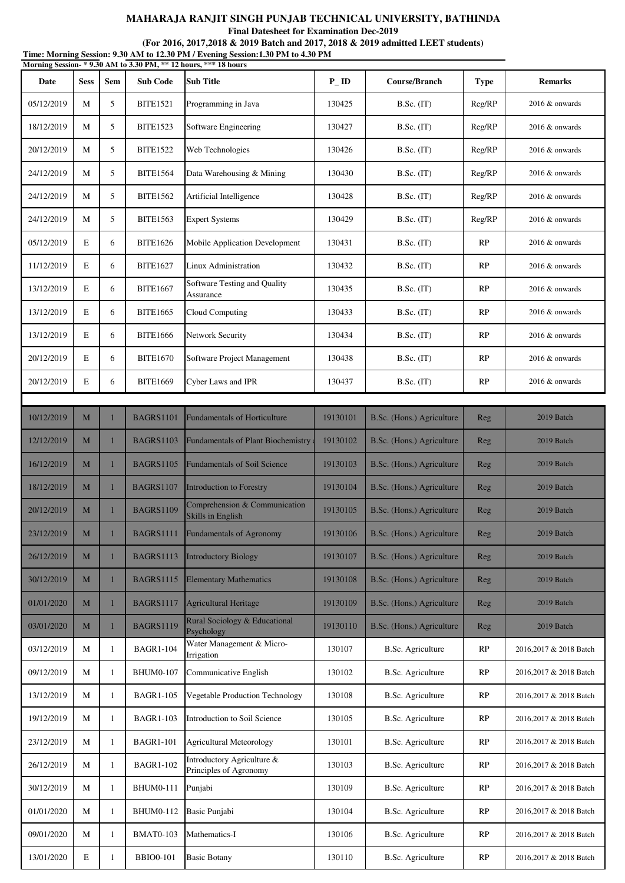**Final Datesheet for Examination Dec-2019**

|            |             |              |                  | Time: Morning Session: 9.30 AM to 12.30 PM / Evening Session:1.30 PM to 4.30 PM<br>Morning Session-*9.30 AM to 3.30 PM, ** 12 hours, *** 18 hours |                    |                           |             |                        |
|------------|-------------|--------------|------------------|---------------------------------------------------------------------------------------------------------------------------------------------------|--------------------|---------------------------|-------------|------------------------|
| Date       | <b>Sess</b> | Sem          | <b>Sub Code</b>  | <b>Sub Title</b>                                                                                                                                  | $P$ <sub>-ID</sub> | Course/Branch             | <b>Type</b> | <b>Remarks</b>         |
| 05/12/2019 | M           | 5            | <b>BITE1521</b>  | Programming in Java                                                                                                                               | 130425             | $B.Sc.$ (IT)              | Reg/RP      | 2016 & onwards         |
| 18/12/2019 | M           | 5            | <b>BITE1523</b>  | Software Engineering                                                                                                                              | 130427             | B.Sc. (IT)                | Reg/RP      | 2016 & onwards         |
| 20/12/2019 | М           | 5            | <b>BITE1522</b>  | Web Technologies                                                                                                                                  | 130426             | $B.Sc.$ (IT)              | Reg/RP      | $2016 \&$ onwards      |
| 24/12/2019 | M           | 5            | <b>BITE1564</b>  | Data Warehousing & Mining                                                                                                                         | 130430             | $B.Sc.$ (IT)              | Reg/RP      | 2016 & onwards         |
| 24/12/2019 | M           | 5            | <b>BITE1562</b>  | Artificial Intelligence                                                                                                                           | 130428             | $B.Sc.$ (IT)              | Reg/RP      | 2016 & onwards         |
| 24/12/2019 | М           | 5            | <b>BITE1563</b>  | <b>Expert Systems</b>                                                                                                                             | 130429             | $B.Sc.$ (IT)              | Reg/RP      | 2016 & onwards         |
| 05/12/2019 | E           | 6            | <b>BITE1626</b>  | Mobile Application Development                                                                                                                    | 130431             | $B.Sc.$ (IT)              | RP          | $2016 \&$ onwards      |
| 11/12/2019 | E           | 6            | <b>BITE1627</b>  | Linux Administration                                                                                                                              | 130432             | $B.Sc.$ (IT)              | RP          | $2016 \&$ onwards      |
| 13/12/2019 | E           | 6            | <b>BITE1667</b>  | Software Testing and Quality<br>Assurance                                                                                                         | 130435             | $B.Sc.$ (IT)              | RP          | 2016 & onwards         |
| 13/12/2019 | E           | 6            | <b>BITE1665</b>  | Cloud Computing                                                                                                                                   | 130433             | $B.Sc.$ (IT)              | RP          | $2016 \&$ onwards      |
| 13/12/2019 | E           | 6            | <b>BITE1666</b>  | Network Security                                                                                                                                  | 130434             | $B.Sc.$ (IT)              | RP          | $2016 \&$ onwards      |
| 20/12/2019 | E           | 6            | <b>BITE1670</b>  | Software Project Management                                                                                                                       | 130438             | $B.Sc.$ (IT)              | RP          | 2016 & onwards         |
| 20/12/2019 | E           | 6            | <b>BITE1669</b>  | <b>Cyber Laws and IPR</b>                                                                                                                         | 130437             | B.Sc. (IT)                | RP          | 2016 & onwards         |
|            |             |              |                  |                                                                                                                                                   |                    |                           |             |                        |
| 10/12/2019 | M           | $\mathbf{1}$ | <b>BAGRS1101</b> | <b>Fundamentals of Horticulture</b>                                                                                                               | 19130101           | B.Sc. (Hons.) Agriculture | Reg         | 2019 Batch             |
| 12/12/2019 | M           | 1            | <b>BAGRS1103</b> | <b>Fundamentals of Plant Biochemistry</b>                                                                                                         | 19130102           | B.Sc. (Hons.) Agriculture | Reg         | 2019 Batch             |
| 16/12/2019 | M           | 1            | <b>BAGRS1105</b> | <b>Fundamentals of Soil Science</b>                                                                                                               | 19130103           | B.Sc. (Hons.) Agriculture | Reg         | 2019 Batch             |
| 18/12/2019 | M           | $\mathbf{1}$ | <b>BAGRS1107</b> | Introduction to Forestry                                                                                                                          | 19130104           | B.Sc. (Hons.) Agriculture | Reg         | 2019 Batch             |
| 20/12/2019 | M           |              | <b>BAGRS1109</b> | Comprehension & Communication<br><b>Skills in English</b>                                                                                         | 19130105           | B.Sc. (Hons.) Agriculture | Reg         | 2019 Batch             |
| 23/12/2019 | M           |              | <b>BAGRS1111</b> | <b>Fundamentals of Agronomy</b>                                                                                                                   | 19130106           | B.Sc. (Hons.) Agriculture | Reg         | 2019 Batch             |
| 26/12/2019 | M           | 1            | <b>BAGRS1113</b> | <b>Introductory Biology</b>                                                                                                                       | 19130107           | B.Sc. (Hons.) Agriculture | Reg         | 2019 Batch             |
| 30/12/2019 | M           | ٠            | <b>BAGRS1115</b> | <b>Elementary Mathematics</b>                                                                                                                     | 19130108           | B.Sc. (Hons.) Agriculture | Reg         | 2019 Batch             |
| 01/01/2020 | M           | $\mathbf{1}$ | <b>BAGRS1117</b> | <b>Agricultural Heritage</b>                                                                                                                      | 19130109           | B.Sc. (Hons.) Agriculture | Reg         | 2019 Batch             |
| 03/01/2020 | M           | 1            | <b>BAGRS1119</b> | Rural Sociology & Educational<br>Psychology                                                                                                       | 19130110           | B.Sc. (Hons.) Agriculture | Reg         | 2019 Batch             |
| 03/12/2019 | M           | 1            | <b>BAGR1-104</b> | Water Management & Micro-<br>Irrigation                                                                                                           | 130107             | <b>B.Sc. Agriculture</b>  | RP          | 2016,2017 & 2018 Batch |
| 09/12/2019 | М           | 1            | <b>BHUM0-107</b> | Communicative English                                                                                                                             | 130102             | <b>B.Sc.</b> Agriculture  | RP          | 2016,2017 & 2018 Batch |
| 13/12/2019 | M           | 1            | <b>BAGR1-105</b> | Vegetable Production Technology                                                                                                                   | 130108             | <b>B.Sc.</b> Agriculture  | RP          | 2016,2017 & 2018 Batch |
| 19/12/2019 | M           | 1            | <b>BAGR1-103</b> | Introduction to Soil Science                                                                                                                      | 130105             | <b>B.Sc.</b> Agriculture  | RP          | 2016,2017 & 2018 Batch |
| 23/12/2019 | М           | 1            | <b>BAGR1-101</b> | <b>Agricultural Meteorology</b>                                                                                                                   | 130101             | <b>B.Sc.</b> Agriculture  | RP          | 2016,2017 & 2018 Batch |
| 26/12/2019 | M           | 1            | <b>BAGR1-102</b> | Introductory Agriculture &<br>Principles of Agronomy                                                                                              | 130103             | <b>B.Sc.</b> Agriculture  | RP          | 2016,2017 & 2018 Batch |
| 30/12/2019 | M           | 1            | <b>BHUM0-111</b> | Punjabi                                                                                                                                           | 130109             | <b>B.Sc.</b> Agriculture  | RP          | 2016,2017 & 2018 Batch |
| 01/01/2020 | М           | 1            | <b>BHUM0-112</b> | Basic Punjabi                                                                                                                                     | 130104             | <b>B.Sc. Agriculture</b>  | RP          | 2016,2017 & 2018 Batch |
| 09/01/2020 | M           | 1            | <b>BMAT0-103</b> | Mathematics-I                                                                                                                                     | 130106             | <b>B.Sc.</b> Agriculture  | RP          | 2016,2017 & 2018 Batch |
| 13/01/2020 | E           | 1            | <b>BBIO0-101</b> | <b>Basic Botany</b>                                                                                                                               | 130110             | B.Sc. Agriculture         | RP          | 2016,2017 & 2018 Batch |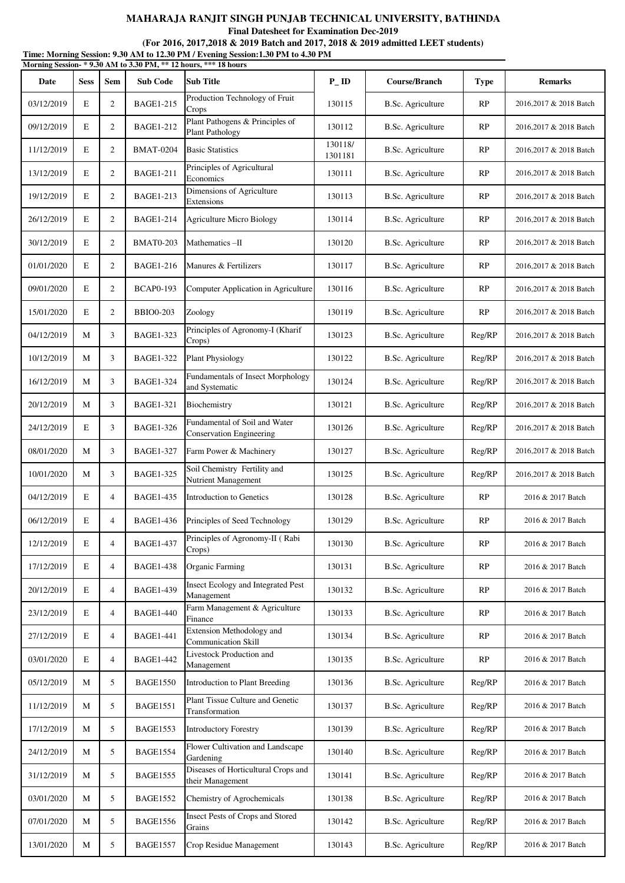**Final Datesheet for Examination Dec-2019**

|            |             |                |                  | Time: Morning Session: 9.30 AM to 12.30 PM / Evening Session:1.30 PM to 4.30 PM<br>Morning Session-*9.30 AM to 3.30 PM, ** 12 hours, *** 18 hours |                    |                          |             |                        |
|------------|-------------|----------------|------------------|---------------------------------------------------------------------------------------------------------------------------------------------------|--------------------|--------------------------|-------------|------------------------|
| Date       | <b>Sess</b> | Sem            | <b>Sub Code</b>  | <b>Sub Title</b>                                                                                                                                  | $P$ <sub>ID</sub>  | Course/Branch            | <b>Type</b> | <b>Remarks</b>         |
| 03/12/2019 | E           | 2              | <b>BAGE1-215</b> | Production Technology of Fruit<br>Crops                                                                                                           | 130115             | <b>B.Sc.</b> Agriculture | RP          | 2016,2017 & 2018 Batch |
| 09/12/2019 | E           | $\overline{2}$ | <b>BAGE1-212</b> | Plant Pathogens & Principles of<br><b>Plant Pathology</b>                                                                                         | 130112             | <b>B.Sc.</b> Agriculture | RP          | 2016,2017 & 2018 Batch |
| 11/12/2019 | E           | $\overline{2}$ | <b>BMAT-0204</b> | <b>Basic Statistics</b>                                                                                                                           | 130118/<br>1301181 | <b>B.Sc.</b> Agriculture | RP          | 2016,2017 & 2018 Batch |
| 13/12/2019 | E           | $\overline{2}$ | <b>BAGE1-211</b> | Principles of Agricultural<br>Economics                                                                                                           | 130111             | <b>B.Sc.</b> Agriculture | RP          | 2016,2017 & 2018 Batch |
| 19/12/2019 | E           | $\overline{2}$ | <b>BAGE1-213</b> | Dimensions of Agriculture<br>Extensions                                                                                                           | 130113             | <b>B.Sc.</b> Agriculture | RP          | 2016,2017 & 2018 Batch |
| 26/12/2019 | E           | 2              | BAGE1-214        | <b>Agriculture Micro Biology</b>                                                                                                                  | 130114             | <b>B.Sc.</b> Agriculture | RP          | 2016,2017 & 2018 Batch |
| 30/12/2019 | E           | $\overline{2}$ | <b>BMAT0-203</b> | Mathematics-II                                                                                                                                    | 130120             | <b>B.Sc.</b> Agriculture | RP          | 2016,2017 & 2018 Batch |
| 01/01/2020 | E           | $\overline{2}$ | <b>BAGE1-216</b> | Manures & Fertilizers                                                                                                                             | 130117             | B.Sc. Agriculture        | RP          | 2016,2017 & 2018 Batch |
| 09/01/2020 | E           | $\overline{2}$ | <b>BCAP0-193</b> | Computer Application in Agriculture                                                                                                               | 130116             | <b>B.Sc.</b> Agriculture | RP          | 2016.2017 & 2018 Batch |
| 15/01/2020 | E           | $\overline{2}$ | <b>BBIO0-203</b> | Zoology                                                                                                                                           | 130119             | <b>B.Sc.</b> Agriculture | RP          | 2016,2017 & 2018 Batch |
| 04/12/2019 | M           | 3              | <b>BAGE1-323</b> | Principles of Agronomy-I (Kharif<br>Crops)                                                                                                        | 130123             | <b>B.Sc.</b> Agriculture | Reg/RP      | 2016,2017 & 2018 Batch |
| 10/12/2019 | M           | 3              | <b>BAGE1-322</b> | <b>Plant Physiology</b>                                                                                                                           | 130122             | <b>B.Sc.</b> Agriculture | Reg/RP      | 2016,2017 & 2018 Batch |
| 16/12/2019 | M           | 3              | <b>BAGE1-324</b> | <b>Fundamentals of Insect Morphology</b><br>and Systematic                                                                                        | 130124             | <b>B.Sc.</b> Agriculture | Reg/RP      | 2016,2017 & 2018 Batch |
| 20/12/2019 | M           | 3              | <b>BAGE1-321</b> | Biochemistry                                                                                                                                      | 130121             | <b>B.Sc.</b> Agriculture | Reg/RP      | 2016,2017 & 2018 Batch |
| 24/12/2019 | E           | 3              | <b>BAGE1-326</b> | Fundamental of Soil and Water<br><b>Conservation Engineering</b>                                                                                  | 130126             | <b>B.Sc.</b> Agriculture | Reg/RP      | 2016,2017 & 2018 Batch |
| 08/01/2020 | M           | 3              | <b>BAGE1-327</b> | Farm Power & Machinery                                                                                                                            | 130127             | <b>B.Sc.</b> Agriculture | Reg/RP      | 2016,2017 & 2018 Batch |
| 10/01/2020 | M           | 3              | <b>BAGE1-325</b> | Soil Chemistry Fertility and<br>Nutrient Management                                                                                               | 130125             | <b>B.Sc.</b> Agriculture | Reg/RP      | 2016,2017 & 2018 Batch |
| 04/12/2019 | E           | $\overline{4}$ | <b>BAGE1-435</b> | Introduction to Genetics                                                                                                                          | 130128             | <b>B.Sc.</b> Agriculture | RP          | 2016 & 2017 Batch      |
| 06/12/2019 | Е           | 4              | BAGE1-436        | Principles of Seed Technology                                                                                                                     | 130129             | B.Sc. Agriculture        | RP          | 2016 & 2017 Batch      |
| 12/12/2019 | E           | $\overline{4}$ | <b>BAGE1-437</b> | Principles of Agronomy-II (Rabi<br>Crops)                                                                                                         | 130130             | <b>B.Sc.</b> Agriculture | RP          | 2016 & 2017 Batch      |
| 17/12/2019 | E           | $\overline{4}$ | <b>BAGE1-438</b> | Organic Farming                                                                                                                                   | 130131             | <b>B.Sc.</b> Agriculture | RP          | 2016 & 2017 Batch      |
| 20/12/2019 | Е           | $\overline{4}$ | <b>BAGE1-439</b> | Insect Ecology and Integrated Pest<br>Management                                                                                                  | 130132             | <b>B.Sc.</b> Agriculture | RP          | 2016 & 2017 Batch      |
| 23/12/2019 | E           | $\overline{4}$ | <b>BAGE1-440</b> | Farm Management & Agriculture<br>Finance                                                                                                          | 130133             | <b>B.Sc.</b> Agriculture | RP          | 2016 & 2017 Batch      |
| 27/12/2019 | E           | $\overline{4}$ | <b>BAGE1-441</b> | Extension Methodology and<br><b>Communication Skill</b>                                                                                           | 130134             | <b>B.Sc.</b> Agriculture | RP          | 2016 & 2017 Batch      |
| 03/01/2020 | E           | $\overline{4}$ | <b>BAGE1-442</b> | Livestock Production and<br>Management                                                                                                            | 130135             | <b>B.Sc.</b> Agriculture | RP          | 2016 & 2017 Batch      |
| 05/12/2019 | M           | 5              | <b>BAGE1550</b>  | Introduction to Plant Breeding                                                                                                                    | 130136             | <b>B.Sc.</b> Agriculture | Reg/RP      | 2016 & 2017 Batch      |
| 11/12/2019 | M           | 5              | <b>BAGE1551</b>  | Plant Tissue Culture and Genetic<br>Transformation                                                                                                | 130137             | <b>B.Sc.</b> Agriculture | Reg/RP      | 2016 & 2017 Batch      |
| 17/12/2019 | M           | 5              | <b>BAGE1553</b>  | <b>Introductory Forestry</b>                                                                                                                      | 130139             | <b>B.Sc.</b> Agriculture | Reg/RP      | 2016 & 2017 Batch      |
| 24/12/2019 | M           | 5              | <b>BAGE1554</b>  | Flower Cultivation and Landscape<br>Gardening                                                                                                     | 130140             | <b>B.Sc.</b> Agriculture | Reg/RP      | 2016 & 2017 Batch      |
| 31/12/2019 | M           | 5              | <b>BAGE1555</b>  | Diseases of Horticultural Crops and<br>their Management                                                                                           | 130141             | <b>B.Sc.</b> Agriculture | Reg/RP      | 2016 & 2017 Batch      |
| 03/01/2020 | M           | 5              | <b>BAGE1552</b>  | Chemistry of Agrochemicals                                                                                                                        | 130138             | <b>B.Sc.</b> Agriculture | Reg/RP      | 2016 & 2017 Batch      |
| 07/01/2020 | M           | 5              | <b>BAGE1556</b>  | Insect Pests of Crops and Stored<br>Grains                                                                                                        | 130142             | <b>B.Sc.</b> Agriculture | Reg/RP      | 2016 & 2017 Batch      |
| 13/01/2020 | M           | 5              | <b>BAGE1557</b>  | Crop Residue Management                                                                                                                           | 130143             | B.Sc. Agriculture        | Reg/RP      | 2016 & 2017 Batch      |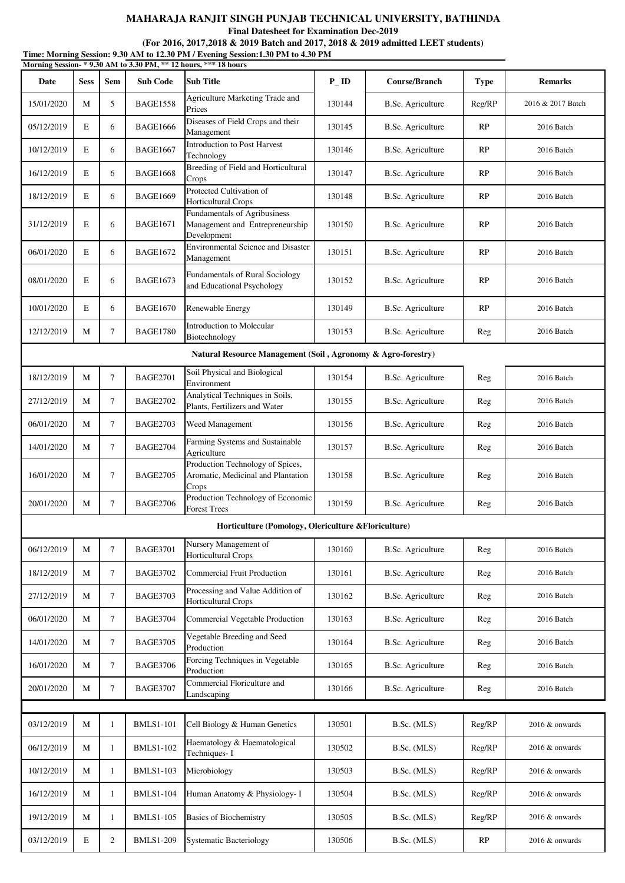**Final Datesheet for Examination Dec-2019**

| Time: Morning Session: 9.30 AM to 12.30 PM / Evening Session: 1.30 PM to 4.30 PM<br>Morning Session-*9.30 AM to 3.30 PM, ** 12 hours, *** 18 hours |              |        |                  |                                                                                       |         |                          |             |                   |  |
|----------------------------------------------------------------------------------------------------------------------------------------------------|--------------|--------|------------------|---------------------------------------------------------------------------------------|---------|--------------------------|-------------|-------------------|--|
| Date                                                                                                                                               | <b>Sess</b>  | Sem    | <b>Sub Code</b>  | <b>Sub Title</b>                                                                      | $P$ _ID | Course/Branch            | <b>Type</b> | <b>Remarks</b>    |  |
| 15/01/2020                                                                                                                                         | M            | 5      | <b>BAGE1558</b>  | Agriculture Marketing Trade and<br>Prices                                             | 130144  | <b>B.Sc.</b> Agriculture | Reg/RP      | 2016 & 2017 Batch |  |
| 05/12/2019                                                                                                                                         | E            | 6      | <b>BAGE1666</b>  | Diseases of Field Crops and their<br>Management                                       | 130145  | <b>B.Sc.</b> Agriculture | RP          | 2016 Batch        |  |
| 10/12/2019                                                                                                                                         | E            | 6      | <b>BAGE1667</b>  | Introduction to Post Harvest<br>Technology                                            | 130146  | <b>B.Sc.</b> Agriculture | <b>RP</b>   | 2016 Batch        |  |
| 16/12/2019                                                                                                                                         | E            | 6      | <b>BAGE1668</b>  | Breeding of Field and Horticultural<br>Crops                                          | 130147  | <b>B.Sc.</b> Agriculture | RP          | 2016 Batch        |  |
| 18/12/2019                                                                                                                                         | E            | 6      | <b>BAGE1669</b>  | Protected Cultivation of<br>Horticultural Crops                                       | 130148  | B.Sc. Agriculture        | <b>RP</b>   | 2016 Batch        |  |
| 31/12/2019                                                                                                                                         | E            | 6      | <b>BAGE1671</b>  | <b>Fundamentals of Agribusiness</b><br>Management and Entrepreneurship<br>Development | 130150  | <b>B.Sc.</b> Agriculture | <b>RP</b>   | 2016 Batch        |  |
| 06/01/2020                                                                                                                                         | E            | 6      | <b>BAGE1672</b>  | <b>Environmental Science and Disaster</b><br>Management                               | 130151  | <b>B.Sc.</b> Agriculture | <b>RP</b>   | 2016 Batch        |  |
| 08/01/2020                                                                                                                                         | E            | 6      | <b>BAGE1673</b>  | <b>Fundamentals of Rural Sociology</b><br>and Educational Psychology                  | 130152  | <b>B.Sc.</b> Agriculture | <b>RP</b>   | 2016 Batch        |  |
| 10/01/2020                                                                                                                                         | E            | 6      | <b>BAGE1670</b>  | Renewable Energy                                                                      | 130149  | <b>B.Sc.</b> Agriculture | <b>RP</b>   | 2016 Batch        |  |
| 12/12/2019                                                                                                                                         | M            | 7      | <b>BAGE1780</b>  | Introduction to Molecular<br>Biotechnology                                            | 130153  | <b>B.Sc.</b> Agriculture | Reg         | 2016 Batch        |  |
|                                                                                                                                                    |              |        |                  | Natural Resource Management (Soil, Agronomy & Agro-forestry)                          |         |                          |             |                   |  |
| 18/12/2019                                                                                                                                         | $\mathbf{M}$ | $\tau$ | <b>BAGE2701</b>  | Soil Physical and Biological<br>Environment                                           | 130154  | <b>B.Sc.</b> Agriculture | Reg         | 2016 Batch        |  |
| 27/12/2019                                                                                                                                         | M            | 7      | <b>BAGE2702</b>  | Analytical Techniques in Soils,<br>Plants, Fertilizers and Water                      | 130155  | <b>B.Sc.</b> Agriculture | Reg         | 2016 Batch        |  |
| 06/01/2020                                                                                                                                         | M            | $\tau$ | <b>BAGE2703</b>  | Weed Management                                                                       | 130156  | <b>B.Sc.</b> Agriculture | Reg         | 2016 Batch        |  |
| 14/01/2020                                                                                                                                         | M            | $\tau$ | <b>BAGE2704</b>  | Farming Systems and Sustainable<br>Agriculture                                        | 130157  | <b>B.Sc.</b> Agriculture | Reg         | 2016 Batch        |  |
| 16/01/2020                                                                                                                                         | M            | 7      | <b>BAGE2705</b>  | Production Technology of Spices,<br>Aromatic, Medicinal and Plantation<br>Crops       | 130158  | <b>B.Sc.</b> Agriculture | Reg         | 2016 Batch        |  |
| 20/01/2020                                                                                                                                         | M            | $\tau$ | <b>BAGE2706</b>  | Production Technology of Economic<br><b>Forest Trees</b>                              | 130159  | <b>B.Sc.</b> Agriculture | Reg         | 2016 Batch        |  |
|                                                                                                                                                    |              |        |                  | Horticulture (Pomology, Olericulture & Floriculture)                                  |         |                          |             |                   |  |
| 06/12/2019                                                                                                                                         | $\mathbf{M}$ | $\tau$ | <b>BAGE3701</b>  | Nursery Management of<br><b>Horticultural Crops</b>                                   | 130160  | <b>B.Sc.</b> Agriculture | Reg         | 2016 Batch        |  |
| 18/12/2019                                                                                                                                         | M            | $\tau$ | <b>BAGE3702</b>  | <b>Commercial Fruit Production</b>                                                    | 130161  | <b>B.Sc. Agriculture</b> | Reg         | 2016 Batch        |  |
| 27/12/2019                                                                                                                                         | M            | $\tau$ | <b>BAGE3703</b>  | Processing and Value Addition of<br><b>Horticultural Crops</b>                        | 130162  | <b>B.Sc.</b> Agriculture | Reg         | 2016 Batch        |  |
| 06/01/2020                                                                                                                                         | M            | $\tau$ | <b>BAGE3704</b>  | Commercial Vegetable Production                                                       | 130163  | <b>B.Sc.</b> Agriculture | Reg         | 2016 Batch        |  |
| 14/01/2020                                                                                                                                         | M            | 7      | <b>BAGE3705</b>  | Vegetable Breeding and Seed<br>Production                                             | 130164  | <b>B.Sc.</b> Agriculture | Reg         | 2016 Batch        |  |
| 16/01/2020                                                                                                                                         | M            | $\tau$ | <b>BAGE3706</b>  | Forcing Techniques in Vegetable<br>Production                                         | 130165  | <b>B.Sc.</b> Agriculture | Reg         | 2016 Batch        |  |
| 20/01/2020                                                                                                                                         | M            | $\tau$ | <b>BAGE3707</b>  | Commercial Floriculture and<br>Landscaping                                            | 130166  | <b>B.Sc.</b> Agriculture | Reg         | 2016 Batch        |  |
|                                                                                                                                                    |              |        |                  |                                                                                       |         |                          |             |                   |  |
| 03/12/2019                                                                                                                                         | M            | 1      | <b>BMLS1-101</b> | Cell Biology & Human Genetics                                                         | 130501  | B.Sc. (MLS)              | Reg/RP      | $2016 \&$ onwards |  |
| 06/12/2019                                                                                                                                         | M            | 1      | <b>BMLS1-102</b> | Haematology & Haematological<br>Techniques-I                                          | 130502  | B.Sc. (MLS)              | Reg/RP      | 2016 & onwards    |  |
| 10/12/2019                                                                                                                                         | M            | 1      | <b>BMLS1-103</b> | Microbiology                                                                          | 130503  | B.Sc. (MLS)              | Reg/RP      | 2016 & onwards    |  |
| 16/12/2019                                                                                                                                         | M            | 1      | <b>BMLS1-104</b> | Human Anatomy & Physiology- I                                                         | 130504  | B.Sc. (MLS)              | Reg/RP      | 2016 & onwards    |  |
| 19/12/2019                                                                                                                                         | M            | 1      | <b>BMLS1-105</b> | <b>Basics of Biochemistry</b>                                                         | 130505  | B.Sc. (MLS)              | Reg/RP      | 2016 & onwards    |  |
| 03/12/2019                                                                                                                                         | E            | 2      | <b>BMLS1-209</b> | <b>Systematic Bacteriology</b>                                                        | 130506  | B.Sc. (MLS)              | RP          | 2016 & onwards    |  |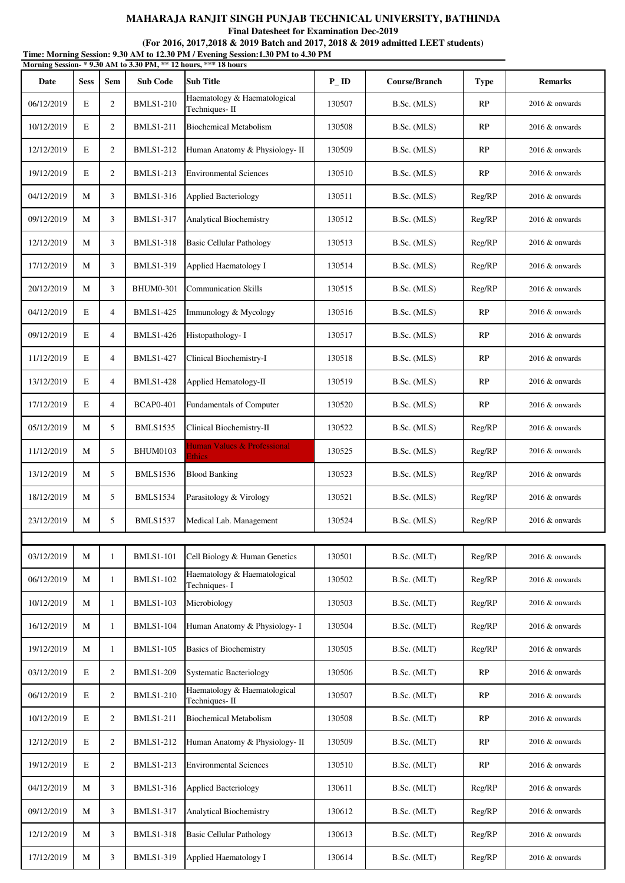**Final Datesheet for Examination Dec-2019**

#### **(For 2016, 2017,2018 & 2019 Batch and 2017, 2018 & 2019 admitted LEET students)**

**Time: Morning Session: 9.30 AM to 12.30 PM / Evening Session:1.30 PM to 4.30 PM Morning Session- \* 9.30 AM to 3.30 PM, \*\* 12 hours, \*\*\* 18 hours**

| Date       | <b>Sess</b>  | Sem            | <b>Sub Code</b>  | <b>Sub Title</b>                                              | $P_{-}ID$ | Course/Branch | <b>Type</b> | <b>Remarks</b>    |
|------------|--------------|----------------|------------------|---------------------------------------------------------------|-----------|---------------|-------------|-------------------|
| 06/12/2019 | E            | 2              | <b>BMLS1-210</b> | Haematology & Haematological<br>Techniques-II                 | 130507    | B.Sc. (MLS)   | RP          | 2016 & onwards    |
| 10/12/2019 | E            | $\overline{2}$ | <b>BMLS1-211</b> | <b>Biochemical Metabolism</b>                                 | 130508    | B.Sc. (MLS)   | <b>RP</b>   | 2016 & onwards    |
| 12/12/2019 | E            | $\overline{2}$ | <b>BMLS1-212</b> | Human Anatomy & Physiology- II                                | 130509    | B.Sc. (MLS)   | RP          | $2016 \&$ onwards |
| 19/12/2019 | E            | $\overline{2}$ | <b>BMLS1-213</b> | <b>Environmental Sciences</b>                                 | 130510    | B.Sc. (MLS)   | RP          | 2016 & onwards    |
| 04/12/2019 | M            | 3              | <b>BMLS1-316</b> | <b>Applied Bacteriology</b>                                   | 130511    | B.Sc. (MLS)   | Reg/RP      | $2016 \&$ onwards |
| 09/12/2019 | M            | 3              | <b>BMLS1-317</b> | Analytical Biochemistry                                       | 130512    | B.Sc. (MLS)   | Reg/RP      | 2016 & onwards    |
| 12/12/2019 | M            | 3              | <b>BMLS1-318</b> | <b>Basic Cellular Pathology</b>                               | 130513    | B.Sc. (MLS)   | Reg/RP      | 2016 & onwards    |
| 17/12/2019 | M            | 3              | <b>BMLS1-319</b> | Applied Haematology I                                         | 130514    | B.Sc. (MLS)   | Reg/RP      | 2016 & onwards    |
| 20/12/2019 | M            | 3              | <b>BHUM0-301</b> | <b>Communication Skills</b>                                   | 130515    | B.Sc. (MLS)   | Reg/RP      | 2016 & onwards    |
| 04/12/2019 | E            | $\overline{4}$ | <b>BMLS1-425</b> | Immunology & Mycology                                         | 130516    | B.Sc. (MLS)   | RP          | 2016 & onwards    |
| 09/12/2019 | E            | $\overline{4}$ | <b>BMLS1-426</b> | Histopathology- I                                             | 130517    | B.Sc. (MLS)   | <b>RP</b>   | 2016 & onwards    |
| 11/12/2019 | E            | $\overline{4}$ | <b>BMLS1-427</b> | Clinical Biochemistry-I                                       | 130518    | B.Sc. (MLS)   | RP          | $2016 \&$ onwards |
| 13/12/2019 | E            | $\overline{4}$ | <b>BMLS1-428</b> | Applied Hematology-II                                         | 130519    | B.Sc. (MLS)   | RP          | 2016 & onwards    |
| 17/12/2019 | E            | $\overline{4}$ | <b>BCAP0-401</b> | Fundamentals of Computer                                      | 130520    | B.Sc. (MLS)   | RP          | 2016 & onwards    |
| 05/12/2019 | M            | 5              | <b>BMLS1535</b>  | Clinical Biochemistry-II                                      | 130522    | B.Sc. (MLS)   | Reg/RP      | $2016 \&$ onwards |
| 11/12/2019 | M            | 5              | <b>BHUM0103</b>  | Human Values & Professional<br>Ethics                         | 130525    | B.Sc. (MLS)   | Reg/RP      | $2016 \&$ onwards |
| 13/12/2019 | M            | 5              | <b>BMLS1536</b>  | <b>Blood Banking</b>                                          | 130523    | B.Sc. (MLS)   | Reg/RP      | 2016 & onwards    |
| 18/12/2019 | M            | 5              | <b>BMLS1534</b>  | Parasitology & Virology                                       | 130521    | B.Sc. (MLS)   | Reg/RP      | 2016 & onwards    |
| 23/12/2019 | M            | 5              | <b>BMLS1537</b>  | Medical Lab. Management                                       | 130524    | B.Sc. (MLS)   | Reg/RP      | $2016 \&$ onwards |
|            |              |                |                  |                                                               |           |               |             |                   |
| 03/12/2019 | $\mathbf{M}$ | 1              | <b>BMLS1-101</b> | Cell Biology & Human Genetics<br>Haematology & Haematological | 130501    | B.Sc. (MLT)   | Reg/RP      | 2016 & onwards    |
| 06/12/2019 | M            | 1              | <b>BMLS1-102</b> | Techniques-I                                                  | 130502    | B.Sc. (MLT)   | Reg/RP      | 2016 & onwards    |
| 10/12/2019 | M            | 1              | <b>BMLS1-103</b> | Microbiology                                                  | 130503    | B.Sc. (MLT)   | Reg/RP      | 2016 & onwards    |
| 16/12/2019 | M            | 1              | <b>BMLS1-104</b> | Human Anatomy & Physiology- I                                 | 130504    | B.Sc. (MLT)   | Reg/RP      | 2016 & onwards    |
| 19/12/2019 | M            | 1              | <b>BMLS1-105</b> | <b>Basics of Biochemistry</b>                                 | 130505    | B.Sc. (MLT)   | Reg/RP      | 2016 & onwards    |
| 03/12/2019 | E            | $\overline{2}$ | <b>BMLS1-209</b> | <b>Systematic Bacteriology</b>                                | 130506    | B.Sc. (MLT)   | RP          | 2016 & onwards    |
| 06/12/2019 | E            | $\mathbf{2}$   | <b>BMLS1-210</b> | Haematology & Haematological<br>Techniques-II                 | 130507    | B.Sc. (MLT)   | RP          | 2016 & onwards    |
| 10/12/2019 | E            | $\mathbf{2}$   | <b>BMLS1-211</b> | <b>Biochemical Metabolism</b>                                 | 130508    | B.Sc. (MLT)   | RP          | $2016 \&$ onwards |
| 12/12/2019 | E            | $\overline{2}$ | <b>BMLS1-212</b> | Human Anatomy & Physiology- II                                | 130509    | B.Sc. (MLT)   | RP          | 2016 & onwards    |
| 19/12/2019 | E            | 2              | <b>BMLS1-213</b> | <b>Environmental Sciences</b>                                 | 130510    | B.Sc. (MLT)   | RP          | 2016 & onwards    |
| 04/12/2019 | M            | 3              | <b>BMLS1-316</b> | <b>Applied Bacteriology</b>                                   | 130611    | B.Sc. (MLT)   | Reg/RP      | 2016 & onwards    |
| 09/12/2019 | M            | 3              | <b>BMLS1-317</b> | Analytical Biochemistry                                       | 130612    | B.Sc. (MLT)   | Reg/RP      | $2016 \&$ onwards |
| 12/12/2019 | M            | 3              | <b>BMLS1-318</b> | <b>Basic Cellular Pathology</b>                               | 130613    | B.Sc. (MLT)   | Reg/RP      | $2016 \&$ onwards |
| 17/12/2019 | M            | 3              | <b>BMLS1-319</b> | Applied Haematology I                                         | 130614    | B.Sc. (MLT)   | Reg/RP      | $2016 \&$ onwards |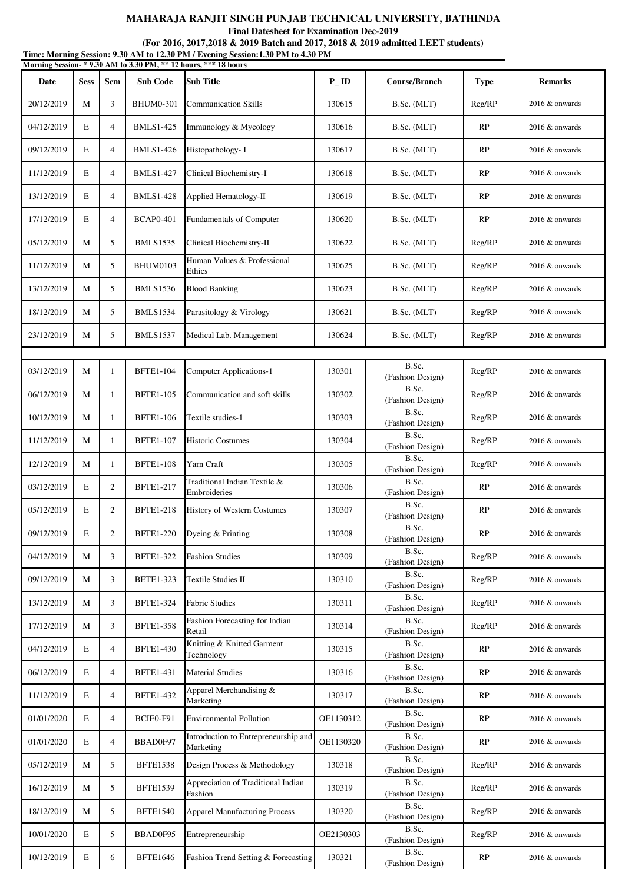|                                                                                                                                                     |             |                |                  | MAHARAJA RANJIT SINGH PUNJAB TECHNICAL UNIVERSITY, BATHINDA<br><b>Final Datesheet for Examination Dec-2019</b> |                   |                           |        |                   |  |
|-----------------------------------------------------------------------------------------------------------------------------------------------------|-------------|----------------|------------------|----------------------------------------------------------------------------------------------------------------|-------------------|---------------------------|--------|-------------------|--|
|                                                                                                                                                     |             |                |                  | (For 2016, 2017, 2018 & 2019 Batch and 2017, 2018 & 2019 admitted LEET students)                               |                   |                           |        |                   |  |
| Time: Morning Session: 9.30 AM to 12.30 PM / Evening Session:1.30 PM to 4.30 PM<br>Morning Session- * 9.30 AM to 3.30 PM, ** 12 hours, *** 18 hours |             |                |                  |                                                                                                                |                   |                           |        |                   |  |
| Date                                                                                                                                                | <b>Sess</b> | Sem            | <b>Sub Code</b>  | <b>Sub Title</b>                                                                                               | $P$ <sub>ID</sub> | Course/Branch             | Type   | <b>Remarks</b>    |  |
| 20/12/2019                                                                                                                                          | M           | 3              | <b>BHUM0-301</b> | <b>Communication Skills</b>                                                                                    | 130615            | B.Sc. (MLT)               | Reg/RP | 2016 & onwards    |  |
| 04/12/2019                                                                                                                                          | E           | $\overline{4}$ | <b>BMLS1-425</b> | Immunology & Mycology                                                                                          | 130616            | B.Sc. (MLT)               | RP     | 2016 & onwards    |  |
| 09/12/2019                                                                                                                                          | E           | 4              | <b>BMLS1-426</b> | Histopathology- I                                                                                              | 130617            | B.Sc. (MLT)               | RP     | 2016 & onwards    |  |
| 11/12/2019                                                                                                                                          | E           | 4              | <b>BMLS1-427</b> | Clinical Biochemistry-I                                                                                        | 130618            | B.Sc. (MLT)               | RP     | 2016 & onwards    |  |
| 13/12/2019                                                                                                                                          | E           | $\overline{4}$ | <b>BMLS1-428</b> | Applied Hematology-II                                                                                          | 130619            | B.Sc. (MLT)               | RP     | $2016 \&$ onwards |  |
| 17/12/2019                                                                                                                                          | E           | $\overline{4}$ | <b>BCAP0-401</b> | <b>Fundamentals of Computer</b>                                                                                | 130620            | B.Sc. (MLT)               | RP     | $2016 \&$ onwards |  |
| 05/12/2019                                                                                                                                          | М           | 5              | <b>BMLS1535</b>  | Clinical Biochemistry-II                                                                                       | 130622            | B.Sc. (MLT)               | Reg/RP | 2016 & onwards    |  |
| 11/12/2019                                                                                                                                          | М           | 5              | <b>BHUM0103</b>  | Human Values & Professional<br>Ethics                                                                          | 130625            | B.Sc. (MLT)               | Reg/RP | 2016 & onwards    |  |
| 13/12/2019                                                                                                                                          | М           | 5              | <b>BMLS1536</b>  | <b>Blood Banking</b>                                                                                           | 130623            | B.Sc. (MLT)               | Reg/RP | 2016 & onwards    |  |
| 18/12/2019                                                                                                                                          | М           | 5              | <b>BMLS1534</b>  | Parasitology & Virology                                                                                        | 130621            | B.Sc. (MLT)               | Reg/RP | 2016 & onwards    |  |
| 23/12/2019                                                                                                                                          | М           | 5              | <b>BMLS1537</b>  | Medical Lab. Management                                                                                        | 130624            | B.Sc. (MLT)               | Reg/RP | 2016 & onwards    |  |
|                                                                                                                                                     |             |                |                  |                                                                                                                |                   |                           |        |                   |  |
| 03/12/2019                                                                                                                                          | М           | $\mathbf{1}$   | <b>BFTE1-104</b> | <b>Computer Applications-1</b>                                                                                 | 130301            | B.Sc.<br>(Fashion Design) | Reg/RP | 2016 & onwards    |  |
| 06/12/2019                                                                                                                                          | М           | $\mathbf{1}$   | <b>BFTE1-105</b> | Communication and soft skills                                                                                  | 130302            | B.Sc.<br>(Fashion Design) | Reg/RP | 2016 & onwards    |  |
| 10/12/2019                                                                                                                                          | М           | 1              | <b>BFTE1-106</b> | Textile studies-1                                                                                              | 130303            | B.Sc.<br>(Fashion Design) | Reg/RP | $2016 \&$ onwards |  |
| 11/12/2019                                                                                                                                          | М           | 1              | <b>BFTE1-107</b> | <b>Historic Costumes</b>                                                                                       | 130304            | B.Sc.<br>(Fashion Design) | Reg/RP | 2016 & onwards    |  |
| 12/12/2019                                                                                                                                          | М           | 1              | <b>BFTE1-108</b> | Yarn Craft                                                                                                     | 130305            | B.Sc.<br>(Fashion Design) | Reg/RP | 2016 & onwards    |  |
| 03/12/2019                                                                                                                                          | E           | 2              | <b>BFTE1-217</b> | Traditional Indian Textile &<br>Embroideries                                                                   | 130306            | B.Sc.<br>(Fashion Design) | RP     | 2016 & onwards    |  |
| 05/12/2019                                                                                                                                          | E           | $\overline{2}$ | <b>BFTE1-218</b> | History of Western Costumes                                                                                    | 130307            | B.Sc.<br>(Fashion Design) | RP     | 2016 & onwards    |  |
| 09/12/2019                                                                                                                                          | E           | $\overline{2}$ | <b>BFTE1-220</b> | Dyeing & Printing                                                                                              | 130308            | B.Sc.<br>(Fashion Design) | RP     | 2016 & onwards    |  |
| 04/12/2019                                                                                                                                          | М           | 3              | <b>BFTE1-322</b> | <b>Fashion Studies</b>                                                                                         | 130309            | B.Sc.<br>(Fashion Design) | Reg/RP | 2016 & onwards    |  |
| 09/12/2019                                                                                                                                          | М           | 3              | <b>BETE1-323</b> | Textile Studies II                                                                                             | 130310            | B.Sc.<br>(Fashion Design) | Reg/RP | 2016 & onwards    |  |
| 13/12/2019                                                                                                                                          | М           | 3              | <b>BFTE1-324</b> | <b>Fabric Studies</b>                                                                                          | 130311            | B.Sc.<br>(Fashion Design) | Reg/RP | 2016 & onwards    |  |
| 17/12/2019                                                                                                                                          | М           | 3              | <b>BFTE1-358</b> | Fashion Forecasting for Indian<br>Retail                                                                       | 130314            | B.Sc.<br>(Fashion Design) | Reg/RP | 2016 & onwards    |  |
| 04/12/2019                                                                                                                                          | E           | $\overline{4}$ | <b>BFTE1-430</b> | Knitting & Knitted Garment<br>Technology                                                                       | 130315            | B.Sc.<br>(Fashion Design) | RP     | 2016 & onwards    |  |
| 06/12/2019                                                                                                                                          | E           | 4              | <b>BFTE1-431</b> | <b>Material Studies</b>                                                                                        | 130316            | B.Sc.<br>(Fashion Design) | RP     | 2016 & onwards    |  |
| 11/12/2019                                                                                                                                          | E           | 4              | <b>BFTE1-432</b> | Apparel Merchandising &<br>Marketing                                                                           | 130317            | B.Sc.<br>(Fashion Design) | RP     | 2016 & onwards    |  |
| 01/01/2020                                                                                                                                          | E           | $\overline{4}$ | BCIE0-F91        | <b>Environmental Pollution</b>                                                                                 | OE1130312         | B.Sc.<br>(Fashion Design) | RP     | 2016 & onwards    |  |
| 01/01/2020                                                                                                                                          | E           | $\overline{4}$ | BBAD0F97         | Introduction to Entrepreneurship and<br>Marketing                                                              | OE1130320         | B.Sc.<br>(Fashion Design) | RP     | 2016 & onwards    |  |

B.SC.<br>(Fashion Design) Reg/RP 2016 & onwards

B.Sc.<br>
(Fashion Design) Reg/RP 2016 & onwards

B.Sc.<br>(Fashion Design) Reg/RP 2016 & onwards

B.Sc.<br>(Fashion Design) Reg/RP 2016 & onwards

B.Sc.<br>
(Fashion Design) RP 2016 & onwards

 $0.05/12/2019$  M 5 BFTE1538 Design Process & Methodology 130318 B.Sc.

16/12/2019 M 5 BFTE1539 Appreciation of Traditional Indian 130319 M B.Sc.

 $18/12/2019$  M 5 BFTE1540 Apparel Manufacturing Process 130320 B.Sc.

 $10/01/2020$  E 5 BBAD0F95 Entrepreneurship OE2130303 B.Sc.

 $10/12/2019$  E 6 BFTE1646 Fashion Trend Setting & Forecasting 130321 B.Sc.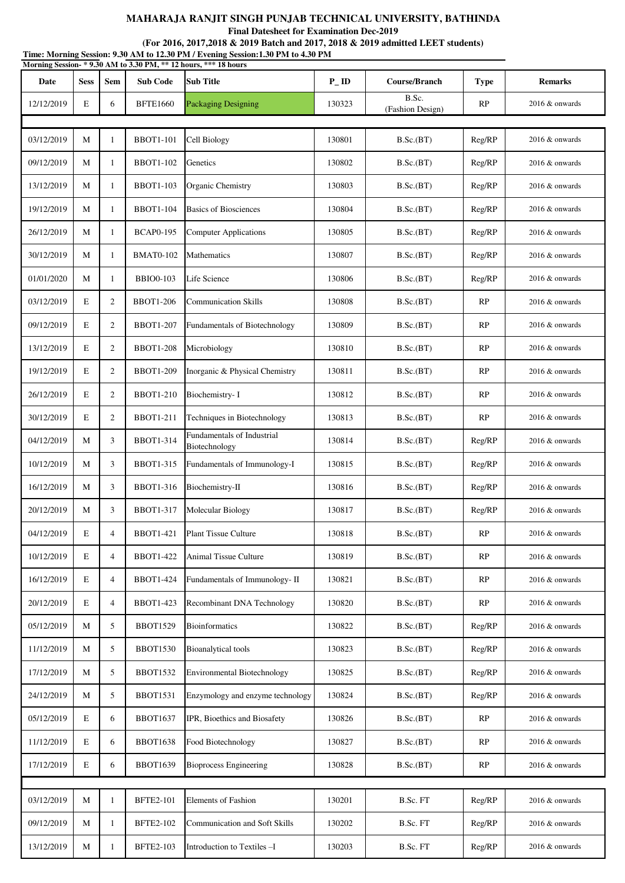**Final Datesheet for Examination Dec-2019**

| Time: Morning Session: 9.30 AM to 12.30 PM / Evening Session:1.30 PM to 4.30 PM<br>Morning Session-*9.30 AM to 3.30 PM, ** 12 hours, *** 18 hours |             |                |                  |                                             |           |                           |             |                   |  |
|---------------------------------------------------------------------------------------------------------------------------------------------------|-------------|----------------|------------------|---------------------------------------------|-----------|---------------------------|-------------|-------------------|--|
| Date                                                                                                                                              | <b>Sess</b> | Sem            | <b>Sub Code</b>  | <b>Sub Title</b>                            | $P_{-}ID$ | Course/Branch             | <b>Type</b> | <b>Remarks</b>    |  |
| 12/12/2019                                                                                                                                        | E           | 6              | <b>BFTE1660</b>  | <b>Packaging Designing</b>                  | 130323    | B.Sc.<br>(Fashion Design) | RP          | $2016 \&$ onwards |  |
|                                                                                                                                                   |             |                |                  |                                             |           |                           |             |                   |  |
| 03/12/2019                                                                                                                                        | M           | $\mathbf{1}$   | <b>BBOT1-101</b> | Cell Biology                                | 130801    | B.Sc.(BT)                 | Reg/RP      | 2016 & onwards    |  |
| 09/12/2019                                                                                                                                        | M           | $\mathbf{1}$   | <b>BBOT1-102</b> | Genetics                                    | 130802    | B.Sc.(BT)                 | Reg/RP      | $2016 \&$ onwards |  |
| 13/12/2019                                                                                                                                        | M           | $\mathbf{1}$   | <b>BBOT1-103</b> | Organic Chemistry                           | 130803    | B.Sc.(BT)                 | Reg/RP      | $2016 \&$ onwards |  |
| 19/12/2019                                                                                                                                        | M           | 1              | <b>BBOT1-104</b> | <b>Basics of Biosciences</b>                | 130804    | B.Sc.(BT)                 | Reg/RP      | 2016 & onwards    |  |
| 26/12/2019                                                                                                                                        | M           | $\mathbf{1}$   | <b>BCAP0-195</b> | <b>Computer Applications</b>                | 130805    | B.Sc.(BT)                 | Reg/RP      | 2016 & onwards    |  |
| 30/12/2019                                                                                                                                        | M           | 1              | <b>BMAT0-102</b> | Mathematics                                 | 130807    | B.Sc.(BT)                 | Reg/RP      | $2016 \&$ onwards |  |
| 01/01/2020                                                                                                                                        | M           | 1              | <b>BBIO0-103</b> | Life Science                                | 130806    | B.Sc.(BT)                 | Reg/RP      | $2016 \&$ onwards |  |
| 03/12/2019                                                                                                                                        | E           | $\overline{c}$ | <b>BBOT1-206</b> | <b>Communication Skills</b>                 | 130808    | B.Sc.(BT)                 | RP          | $2016 \&$ onwards |  |
| 09/12/2019                                                                                                                                        | E           | $\overline{c}$ | <b>BBOT1-207</b> | Fundamentals of Biotechnology               | 130809    | B.Sc.(BT)                 | RP          | $2016 \&$ onwards |  |
| 13/12/2019                                                                                                                                        | E           | $\overline{2}$ | <b>BBOT1-208</b> | Microbiology                                | 130810    | B.Sc.(BT)                 | RP          | 2016 & onwards    |  |
| 19/12/2019                                                                                                                                        | E           | $\overline{c}$ | <b>BBOT1-209</b> | Inorganic & Physical Chemistry              | 130811    | B.Sc.(BT)                 | RP          | 2016 & onwards    |  |
| 26/12/2019                                                                                                                                        | E           | $\overline{2}$ | <b>BBOT1-210</b> | Biochemistry-I                              | 130812    | B.Sc.(BT)                 | RP          | $2016 \&$ onwards |  |
| 30/12/2019                                                                                                                                        | E           | $\overline{2}$ | <b>BBOT1-211</b> | Techniques in Biotechnology                 | 130813    | B.Sc.(BT)                 | RP          | $2016 \&$ onwards |  |
| 04/12/2019                                                                                                                                        | M           | 3              | <b>BBOT1-314</b> | Fundamentals of Industrial<br>Biotechnology | 130814    | B.Sc.(BT)                 | Reg/RP      | $2016 \&$ onwards |  |
| 10/12/2019                                                                                                                                        | M           | 3              | <b>BBOT1-315</b> | Fundamentals of Immunology-I                | 130815    | B.Sc.(BT)                 | Reg/RP      | 2016 & onwards    |  |
| 16/12/2019                                                                                                                                        | M           | 3              | <b>BBOT1-316</b> | Biochemistry-II                             | 130816    | B.Sc.(BT)                 | Reg/RP      | 2016 & onwards    |  |
| 20/12/2019                                                                                                                                        | М           | 3              | <b>BBOT1-317</b> | Molecular Biology                           | 130817    | B.Sc.(BT)                 | Reg/RP      | 2016 & onwards    |  |
| 04/12/2019                                                                                                                                        | E           | 4              | <b>BBOT1-421</b> | <b>Plant Tissue Culture</b>                 | 130818    | B.Sc.(BT)                 | RP          | 2016 & onwards    |  |
| 10/12/2019                                                                                                                                        | E           | $\overline{4}$ | <b>BBOT1-422</b> | Animal Tissue Culture                       | 130819    | B.Sc.(BT)                 | RP          | 2016 & onwards    |  |
| 16/12/2019                                                                                                                                        | E           | $\overline{4}$ | <b>BBOT1-424</b> | Fundamentals of Immunology- II              | 130821    | B.Sc.(BT)                 | RP          | 2016 & onwards    |  |
| 20/12/2019                                                                                                                                        | E           | 4              | <b>BBOT1-423</b> | <b>Recombinant DNA Technology</b>           | 130820    | B.Sc.(BT)                 | RP          | 2016 & onwards    |  |
| 05/12/2019                                                                                                                                        | M           | 5              | <b>BBOT1529</b>  | <b>Bioinformatics</b>                       | 130822    | B.Sc.(BT)                 | Reg/RP      | $2016 \&$ onwards |  |
| 11/12/2019                                                                                                                                        | M           | 5              | <b>BBOT1530</b>  | Bioanalytical tools                         | 130823    | B.Sc.(BT)                 | Reg/RP      | 2016 & onwards    |  |
| 17/12/2019                                                                                                                                        | M           | 5              | <b>BBOT1532</b>  | <b>Environmental Biotechnology</b>          | 130825    | B.Sc.(BT)                 | Reg/RP      | 2016 & onwards    |  |
| 24/12/2019                                                                                                                                        | M           | 5              | <b>BBOT1531</b>  | Enzymology and enzyme technology            | 130824    | B.Sc.(BT)                 | Reg/RP      | 2016 & onwards    |  |
| 05/12/2019                                                                                                                                        | E           | 6              | <b>BBOT1637</b>  | IPR, Bioethics and Biosafety                | 130826    | B.Sc.(BT)                 | RP          | 2016 & onwards    |  |
| 11/12/2019                                                                                                                                        | E           | 6              | <b>BBOT1638</b>  | Food Biotechnology                          | 130827    | B.Sc.(BT)                 | RP          | 2016 & onwards    |  |
| 17/12/2019                                                                                                                                        | E           | 6              | <b>BBOT1639</b>  | <b>Bioprocess Engineering</b>               | 130828    | B.Sc.(BT)                 | RP          | 2016 & onwards    |  |
| 03/12/2019                                                                                                                                        | M           | $\mathbf{1}$   | <b>BFTE2-101</b> | Elements of Fashion                         | 130201    | B.Sc. FT                  | Reg/RP      | 2016 & onwards    |  |
|                                                                                                                                                   |             |                |                  |                                             |           |                           |             |                   |  |
| 09/12/2019                                                                                                                                        | M           | $\mathbf{1}$   | <b>BFTE2-102</b> | <b>Communication and Soft Skills</b>        | 130202    | B.Sc. FT                  | Reg/RP      | 2016 & onwards    |  |
| 13/12/2019                                                                                                                                        | M           | $\mathbf{1}$   | <b>BFTE2-103</b> | Introduction to Textiles-I                  | 130203    | B.Sc. FT                  | Reg/RP      | 2016 & onwards    |  |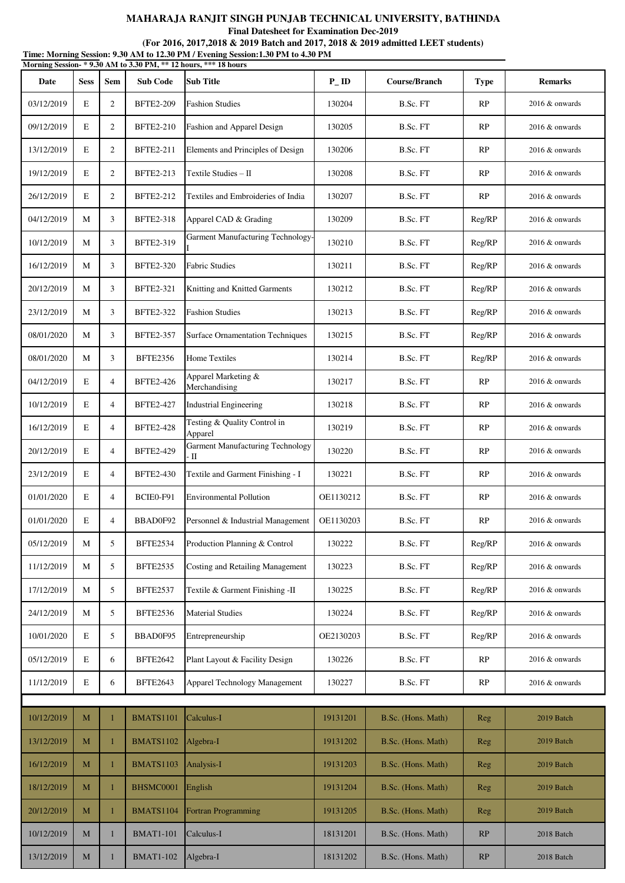**Final Datesheet for Examination Dec-2019**

| Time: Morning Session: 9.30 AM to 12.30 PM / Evening Session:1.30 PM to 4.30 PM<br>Morning Session-*9.30 AM to 3.30 PM, ** 12 hours, *** 18 hours |             |                |                  |                                         |                   |                    |             |                   |
|---------------------------------------------------------------------------------------------------------------------------------------------------|-------------|----------------|------------------|-----------------------------------------|-------------------|--------------------|-------------|-------------------|
| Date                                                                                                                                              | <b>Sess</b> | Sem            | <b>Sub Code</b>  | <b>Sub Title</b>                        | $P$ <sub>ID</sub> | Course/Branch      | <b>Type</b> | <b>Remarks</b>    |
| 03/12/2019                                                                                                                                        | E           | $\mathfrak{2}$ | <b>BFTE2-209</b> | <b>Fashion Studies</b>                  | 130204            | B.Sc. FT           | RP          | $2016 \&$ onwards |
| 09/12/2019                                                                                                                                        | E           | $\overline{2}$ | <b>BFTE2-210</b> | Fashion and Apparel Design              | 130205            | B.Sc. FT           | RP          | 2016 & onwards    |
| 13/12/2019                                                                                                                                        | E           | $\mathfrak{2}$ | <b>BFTE2-211</b> | Elements and Principles of Design       | 130206            | B.Sc. FT           | RP          | $2016 \&$ onwards |
| 19/12/2019                                                                                                                                        | E           | $\mathfrak{2}$ | <b>BFTE2-213</b> | Textile Studies - II                    | 130208            | B.Sc. FT           | RP          | $2016 \&$ onwards |
| 26/12/2019                                                                                                                                        | E           | $\overline{c}$ | <b>BFTE2-212</b> | Textiles and Embroideries of India      | 130207            | B.Sc. FT           | RP          | 2016 & onwards    |
| 04/12/2019                                                                                                                                        | M           | 3              | <b>BFTE2-318</b> | Apparel CAD & Grading                   | 130209            | B.Sc. FT           | Reg/RP      | 2016 & onwards    |
| 10/12/2019                                                                                                                                        | M           | 3              | <b>BFTE2-319</b> | Garment Manufacturing Technology-       | 130210            | B.Sc. FT           | Reg/RP      | $2016 \&$ onwards |
| 16/12/2019                                                                                                                                        | M           | 3              | <b>BFTE2-320</b> | <b>Fabric Studies</b>                   | 130211            | B.Sc. FT           | Reg/RP      | $2016 \&$ onwards |
| 20/12/2019                                                                                                                                        | М           | 3              | <b>BFTE2-321</b> | Knitting and Knitted Garments           | 130212            | B.Sc. FT           | Reg/RP      | 2016 & onwards    |
| 23/12/2019                                                                                                                                        | M           | 3              | <b>BFTE2-322</b> | <b>Fashion Studies</b>                  | 130213            | B.Sc. FT           | Reg/RP      | $2016 \&$ onwards |
| 08/01/2020                                                                                                                                        | M           | 3              | <b>BFTE2-357</b> | <b>Surface Ornamentation Techniques</b> | 130215            | B.Sc. FT           | Reg/RP      | $2016 \&$ onwards |
| 08/01/2020                                                                                                                                        | М           | 3              | <b>BFTE2356</b>  | Home Textiles                           | 130214            | B.Sc. FT           | Reg/RP      | $2016 \&$ onwards |
| 04/12/2019                                                                                                                                        | E           | $\overline{4}$ | <b>BFTE2-426</b> | Apparel Marketing &<br>Merchandising    | 130217            | B.Sc. FT           | RP          | $2016 \&$ onwards |
| 10/12/2019                                                                                                                                        | E           | $\overline{4}$ | <b>BFTE2-427</b> | <b>Industrial Engineering</b>           | 130218            | B.Sc. FT           | RP          | $2016 \&$ onwards |
| 16/12/2019                                                                                                                                        | E           | 4              | <b>BFTE2-428</b> | Testing & Quality Control in<br>Apparel | 130219            | B.Sc. FT           | RP          | 2016 & onwards    |
| 20/12/2019                                                                                                                                        | E           | $\overline{4}$ | <b>BFTE2-429</b> | Garment Manufacturing Technology<br>- П | 130220            | B.Sc. FT           | RP          | $2016 \&$ onwards |
| 23/12/2019                                                                                                                                        | E           | $\overline{4}$ | <b>BFTE2-430</b> | Textile and Garment Finishing - I       | 130221            | B.Sc. FT           | RP          | 2016 & onwards    |
| 01/01/2020                                                                                                                                        | E           | $\overline{4}$ | BCIE0-F91        | <b>Environmental Pollution</b>          | OE1130212         | B.Sc. FT           | RP          | 2016 & onwards    |
| 01/01/2020                                                                                                                                        | Е           | 4              | BBAD0F92         | Personnel & Industrial Management       | OE1130203         | B.Sc. FT           | RP          | 2016 & onwards    |
| 05/12/2019                                                                                                                                        | М           | 5              | <b>BFTE2534</b>  | Production Planning & Control           | 130222            | B.Sc. FT           | Reg/RP      | 2016 & onwards    |
| 11/12/2019                                                                                                                                        | М           | 5              | <b>BFTE2535</b>  | Costing and Retailing Management        | 130223            | B.Sc. FT           | Reg/RP      | 2016 & onwards    |
| 17/12/2019                                                                                                                                        | М           | 5              | <b>BFTE2537</b>  | Textile & Garment Finishing -II         | 130225            | B.Sc. FT           | Reg/RP      | 2016 & onwards    |
| 24/12/2019                                                                                                                                        | М           | 5              | <b>BFTE2536</b>  | <b>Material Studies</b>                 | 130224            | B.Sc. FT           | Reg/RP      | 2016 & onwards    |
| 10/01/2020                                                                                                                                        | E           | 5              | BBAD0F95         | Entrepreneurship                        | OE2130203         | B.Sc. FT           | Reg/RP      | 2016 & onwards    |
| 05/12/2019                                                                                                                                        | E           | 6              | <b>BFTE2642</b>  | Plant Layout & Facility Design          | 130226            | B.Sc. FT           | RP          | 2016 & onwards    |
| 11/12/2019                                                                                                                                        | $\mathbf E$ | 6              | <b>BFTE2643</b>  | Apparel Technology Management           | 130227            | B.Sc. FT           | RP          | 2016 & onwards    |
|                                                                                                                                                   |             |                |                  |                                         |                   |                    |             |                   |
| 10/12/2019                                                                                                                                        | M           | $\mathbf{1}$   | <b>BMATS1101</b> | Calculus-I                              | 19131201          | B.Sc. (Hons. Math) | Reg         | 2019 Batch        |
| 13/12/2019                                                                                                                                        | М           | $\mathbf{1}$   | <b>BMATS1102</b> | Algebra-I                               | 19131202          | B.Sc. (Hons. Math) | Reg         | 2019 Batch        |
| 16/12/2019                                                                                                                                        | M           | 1              | <b>BMATS1103</b> | Analysis-I                              | 19131203          | B.Sc. (Hons. Math) | Reg         | 2019 Batch        |
| 18/12/2019                                                                                                                                        | $\mathbf M$ | $\mathbf{1}$   | BHSMC0001        | English                                 | 19131204          | B.Sc. (Hons. Math) | Reg         | 2019 Batch        |
| 20/12/2019                                                                                                                                        | М           | $\mathbf{1}$   | BMATS1104        | Fortran Programming                     | 19131205          | B.Sc. (Hons. Math) | Reg         | 2019 Batch        |
| 10/12/2019                                                                                                                                        | M           | 1              | <b>BMAT1-101</b> | Calculus-I                              | 18131201          | B.Sc. (Hons. Math) | RP          | 2018 Batch        |
| 13/12/2019                                                                                                                                        | $\mathbf M$ | 1              | <b>BMAT1-102</b> | Algebra-I                               | 18131202          | B.Sc. (Hons. Math) | RP          | 2018 Batch        |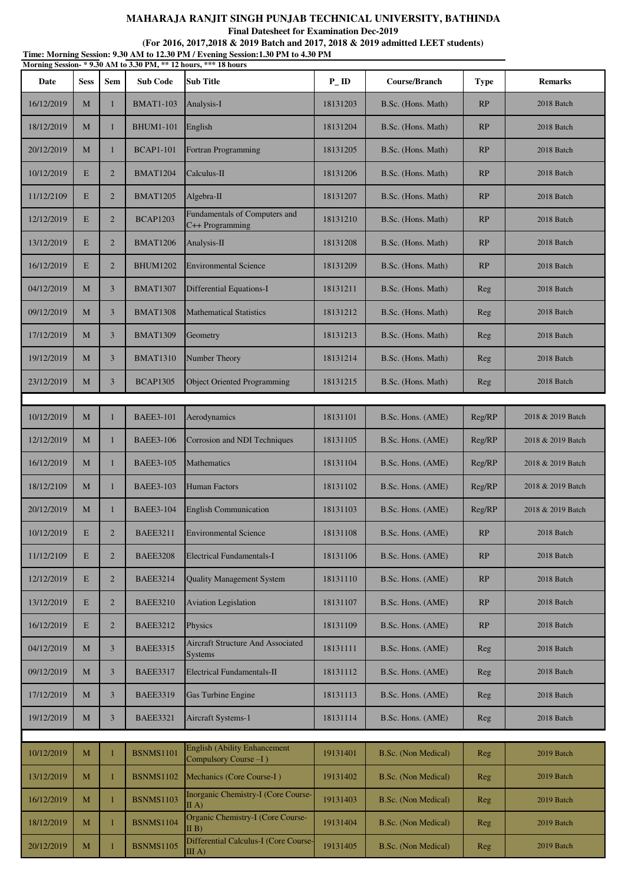**Final Datesheet for Examination Dec-2019**

| Time: Morning Session: 9.30 AM to 12.30 PM / Evening Session: 1.30 PM to 4.30 PM<br>Morning Session-*9.30 AM to 3.30 PM, ** 12 hours, *** 18 hours |             |                |                  |                                                                  |                   |                     |             |                   |  |
|----------------------------------------------------------------------------------------------------------------------------------------------------|-------------|----------------|------------------|------------------------------------------------------------------|-------------------|---------------------|-------------|-------------------|--|
| Date                                                                                                                                               | <b>Sess</b> | <b>Sem</b>     | <b>Sub Code</b>  | <b>Sub Title</b>                                                 | $P$ <sub>ID</sub> | Course/Branch       | <b>Type</b> | <b>Remarks</b>    |  |
| 16/12/2019                                                                                                                                         | M           | 1              | <b>BMAT1-103</b> | Analysis-I                                                       | 18131203          | B.Sc. (Hons. Math)  | RP          | 2018 Batch        |  |
| 18/12/2019                                                                                                                                         | M           | 1              | <b>BHUM1-101</b> | English                                                          | 18131204          | B.Sc. (Hons. Math)  | RP          | 2018 Batch        |  |
| 20/12/2019                                                                                                                                         | M           | $\mathbf{1}$   | <b>BCAP1-101</b> | Fortran Programming                                              | 18131205          | B.Sc. (Hons. Math)  | RP          | 2018 Batch        |  |
| 10/12/2019                                                                                                                                         | E           | $\overline{2}$ | <b>BMAT1204</b>  | Calculus-II                                                      | 18131206          | B.Sc. (Hons. Math)  | RP          | 2018 Batch        |  |
| 11/12/2109                                                                                                                                         | E           | $\overline{2}$ | <b>BMAT1205</b>  | Algebra-II                                                       | 18131207          | B.Sc. (Hons. Math)  | RP          | 2018 Batch        |  |
| 12/12/2019                                                                                                                                         | E           | $\overline{2}$ | <b>BCAP1203</b>  | Fundamentals of Computers and<br>C++ Programming                 | 18131210          | B.Sc. (Hons. Math)  | RP          | 2018 Batch        |  |
| 13/12/2019                                                                                                                                         | E           | $\overline{2}$ | <b>BMAT1206</b>  | Analysis-II                                                      | 18131208          | B.Sc. (Hons. Math)  | RP          | 2018 Batch        |  |
| 16/12/2019                                                                                                                                         | E           | $\overline{2}$ | <b>BHUM1202</b>  | <b>Environmental Science</b>                                     | 18131209          | B.Sc. (Hons. Math)  | RP          | 2018 Batch        |  |
| 04/12/2019                                                                                                                                         | M           | 3              | <b>BMAT1307</b>  | Differential Equations-I                                         | 18131211          | B.Sc. (Hons. Math)  | Reg         | 2018 Batch        |  |
| 09/12/2019                                                                                                                                         | M           | 3              | <b>BMAT1308</b>  | <b>Mathematical Statistics</b>                                   | 18131212          | B.Sc. (Hons. Math)  | Reg         | 2018 Batch        |  |
| 17/12/2019                                                                                                                                         | M           | $\overline{3}$ | <b>BMAT1309</b>  | Geometry                                                         | 18131213          | B.Sc. (Hons. Math)  | Reg         | 2018 Batch        |  |
| 19/12/2019                                                                                                                                         | M           | 3              | <b>BMAT1310</b>  | Number Theory                                                    | 18131214          | B.Sc. (Hons. Math)  | Reg         | 2018 Batch        |  |
| 23/12/2019                                                                                                                                         | M           | 3              | <b>BCAP1305</b>  | <b>Object Oriented Programming</b>                               | 18131215          | B.Sc. (Hons. Math)  | Reg         | 2018 Batch        |  |
|                                                                                                                                                    |             |                |                  |                                                                  |                   |                     |             |                   |  |
| 10/12/2019                                                                                                                                         | M           | 1              | <b>BAEE3-101</b> | Aerodynamics                                                     | 18131101          | B.Sc. Hons. (AME)   | Reg/RP      | 2018 & 2019 Batch |  |
| 12/12/2019                                                                                                                                         | M           | 1              | <b>BAEE3-106</b> | Corrosion and NDI Techniques                                     | 18131105          | B.Sc. Hons. (AME)   | Reg/RP      | 2018 & 2019 Batch |  |
| 16/12/2019                                                                                                                                         | M           | 1              | <b>BAEE3-105</b> | Mathematics                                                      | 18131104          | B.Sc. Hons. (AME)   | Reg/RP      | 2018 & 2019 Batch |  |
| 18/12/2109                                                                                                                                         | M           | 1              | <b>BAEE3-103</b> | <b>Human Factors</b>                                             | 18131102          | B.Sc. Hons. (AME)   | Reg/RP      | 2018 & 2019 Batch |  |
| 20/12/2019                                                                                                                                         | M           | 1              | <b>BAEE3-104</b> | <b>English Communication</b>                                     | 18131103          | B.Sc. Hons. (AME)   | Reg/RP      | 2018 & 2019 Batch |  |
| 10/12/2019                                                                                                                                         | E           | $\overline{2}$ | <b>BAEE3211</b>  | <b>Environmental Science</b>                                     | 18131108          | B.Sc. Hons. (AME)   | RP          | 2018 Batch        |  |
| 11/12/2109                                                                                                                                         | E           | $\overline{2}$ | <b>BAEE3208</b>  | <b>Electrical Fundamentals-I</b>                                 | 18131106          | B.Sc. Hons. (AME)   | RP          | 2018 Batch        |  |
| 12/12/2019                                                                                                                                         | E           | $\overline{2}$ | <b>BAEE3214</b>  | <b>Quality Management System</b>                                 | 18131110          | B.Sc. Hons. (AME)   | RP          | 2018 Batch        |  |
| 13/12/2019                                                                                                                                         | E           | $\overline{2}$ | <b>BAEE3210</b>  | <b>Aviation Legislation</b>                                      | 18131107          | B.Sc. Hons. (AME)   | RP          | 2018 Batch        |  |
| 16/12/2019                                                                                                                                         | E           | $\overline{2}$ | <b>BAEE3212</b>  | Physics                                                          | 18131109          | B.Sc. Hons. (AME)   | RP          | 2018 Batch        |  |
| 04/12/2019                                                                                                                                         | M           | 3              | <b>BAEE3315</b>  | <b>Aircraft Structure And Associated</b><br><b>Systems</b>       | 18131111          | B.Sc. Hons. (AME)   | Reg         | 2018 Batch        |  |
| 09/12/2019                                                                                                                                         | M           | $\overline{3}$ | <b>BAEE3317</b>  | Electrical Fundamentals-II                                       | 18131112          | B.Sc. Hons. (AME)   | Reg         | 2018 Batch        |  |
| 17/12/2019                                                                                                                                         | M           | $\overline{3}$ | <b>BAEE3319</b>  | Gas Turbine Engine                                               | 18131113          | B.Sc. Hons. (AME)   | Reg         | 2018 Batch        |  |
| 19/12/2019                                                                                                                                         | M           | $\overline{3}$ | <b>BAEE3321</b>  | Aircraft Systems-1                                               | 18131114          | B.Sc. Hons. (AME)   | Reg         | 2018 Batch        |  |
|                                                                                                                                                    |             |                |                  | <b>English (Ability Enhancement</b>                              |                   |                     |             |                   |  |
| 10/12/2019                                                                                                                                         | $\mathbf M$ |                | <b>BSNMS1101</b> | Compulsory Course -I)                                            | 19131401          | B.Sc. (Non Medical) | Reg         | 2019 Batch        |  |
| 13/12/2019                                                                                                                                         | M           | $\mathbf{1}$   | <b>BSNMS1102</b> | Mechanics (Core Course-I)<br>Inorganic Chemistry-I (Core Course- | 19131402          | B.Sc. (Non Medical) | Reg         | 2019 Batch        |  |
| 16/12/2019                                                                                                                                         | M           | 1              | <b>BSNMS1103</b> | $\Pi$ A)<br>Organic Chemistry-I (Core Course-                    | 19131403          | B.Sc. (Non Medical) | Reg         | 2019 Batch        |  |
| 18/12/2019                                                                                                                                         | M           | $\mathbf{1}$   | <b>BSNMS1104</b> | $\Pi$ B)                                                         | 19131404          | B.Sc. (Non Medical) | Reg         | 2019 Batch        |  |
| 20/12/2019                                                                                                                                         | $\mathbf M$ | 1              | <b>BSNMS1105</b> | Differential Calculus-I (Core Course-<br>III A)                  | 19131405          | B.Sc. (Non Medical) | Reg         | 2019 Batch        |  |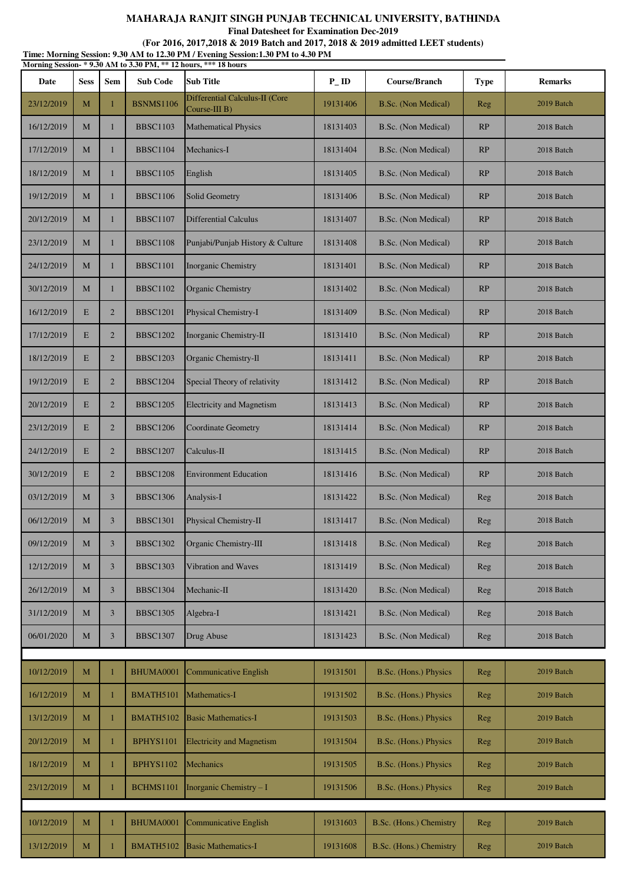**Final Datesheet for Examination Dec-2019**

| Time: Morning Session: 9.30 AM to 12.30 PM / Evening Session:1.30 PM to 4.30 PM<br>Morning Session-*9.30 AM to 3.30 PM, ** 12 hours, *** 18 hours |             |                |                  |                                                    |                    |                         |             |                |  |
|---------------------------------------------------------------------------------------------------------------------------------------------------|-------------|----------------|------------------|----------------------------------------------------|--------------------|-------------------------|-------------|----------------|--|
| Date                                                                                                                                              | <b>Sess</b> | <b>Sem</b>     | <b>Sub Code</b>  | <b>Sub Title</b>                                   | $P$ <sub>-ID</sub> | Course/Branch           | <b>Type</b> | <b>Remarks</b> |  |
| 23/12/2019                                                                                                                                        | M           | $\mathbf{1}$   | <b>BSNMS1106</b> | Differential Calculus-II (Core<br>Course-III $B$ ) | 19131406           | B.Sc. (Non Medical)     | Reg         | 2019 Batch     |  |
| 16/12/2019                                                                                                                                        | M           | 1              | <b>BBSC1103</b>  | <b>Mathematical Physics</b>                        | 18131403           | B.Sc. (Non Medical)     | RP          | 2018 Batch     |  |
| 17/12/2019                                                                                                                                        | M           | $\mathbf{1}$   | <b>BBSC1104</b>  | Mechanics-I                                        | 18131404           | B.Sc. (Non Medical)     | RP          | 2018 Batch     |  |
| 18/12/2019                                                                                                                                        | M           | $\mathbf{1}$   | <b>BBSC1105</b>  | English                                            | 18131405           | B.Sc. (Non Medical)     | RP          | 2018 Batch     |  |
| 19/12/2019                                                                                                                                        | M           | $\mathbf{1}$   | <b>BBSC1106</b>  | Solid Geometry                                     | 18131406           | B.Sc. (Non Medical)     | RP          | 2018 Batch     |  |
| 20/12/2019                                                                                                                                        | M           | $\mathbf{1}$   | <b>BBSC1107</b>  | <b>Differential Calculus</b>                       | 18131407           | B.Sc. (Non Medical)     | RP          | 2018 Batch     |  |
| 23/12/2019                                                                                                                                        | M           | $\mathbf{1}$   | <b>BBSC1108</b>  | Punjabi/Punjab History & Culture                   | 18131408           | B.Sc. (Non Medical)     | RP          | 2018 Batch     |  |
| 24/12/2019                                                                                                                                        | M           | 1              | <b>BBSC1101</b>  | Inorganic Chemistry                                | 18131401           | B.Sc. (Non Medical)     | RP          | 2018 Batch     |  |
| 30/12/2019                                                                                                                                        | M           | $\mathbf{1}$   | <b>BBSC1102</b>  | Organic Chemistry                                  | 18131402           | B.Sc. (Non Medical)     | RP          | 2018 Batch     |  |
| 16/12/2019                                                                                                                                        | E           | $\overline{2}$ | <b>BBSC1201</b>  | Physical Chemistry-I                               | 18131409           | B.Sc. (Non Medical)     | RP          | 2018 Batch     |  |
| 17/12/2019                                                                                                                                        | E           | $\overline{2}$ | <b>BBSC1202</b>  | Inorganic Chemistry-II                             | 18131410           | B.Sc. (Non Medical)     | RP          | 2018 Batch     |  |
| 18/12/2019                                                                                                                                        | E           | $\overline{2}$ | <b>BBSC1203</b>  | Organic Chemistry-Il                               | 18131411           | B.Sc. (Non Medical)     | RP          | 2018 Batch     |  |
| 19/12/2019                                                                                                                                        | E           | $\overline{2}$ | <b>BBSC1204</b>  | Special Theory of relativity                       | 18131412           | B.Sc. (Non Medical)     | RP          | 2018 Batch     |  |
| 20/12/2019                                                                                                                                        | E           | $\overline{2}$ | <b>BBSC1205</b>  | <b>Electricity and Magnetism</b>                   | 18131413           | B.Sc. (Non Medical)     | RP          | 2018 Batch     |  |
| 23/12/2019                                                                                                                                        | E           | $\overline{2}$ | <b>BBSC1206</b>  | Coordinate Geometry                                | 18131414           | B.Sc. (Non Medical)     | RP          | 2018 Batch     |  |
| 24/12/2019                                                                                                                                        | E           | $\overline{2}$ | <b>BBSC1207</b>  | Calculus-II                                        | 18131415           | B.Sc. (Non Medical)     | RP          | 2018 Batch     |  |
| 30/12/2019                                                                                                                                        | E           | $\overline{2}$ | <b>BBSC1208</b>  | <b>Environment Education</b>                       | 18131416           | B.Sc. (Non Medical)     | RP          | 2018 Batch     |  |
| 03/12/2019                                                                                                                                        | M           | 3              | <b>BBSC1306</b>  | Analysis-I                                         | 18131422           | B.Sc. (Non Medical)     | Reg         | 2018 Batch     |  |
| 06/12/2019                                                                                                                                        | M           | 3              | BBSC1301         | Physical Chemistry-II                              | 18131417           | B.Sc. (Non Medical)     | Reg         | 2018 Batch     |  |
| 09/12/2019                                                                                                                                        | M           | $\overline{3}$ | <b>BBSC1302</b>  | Organic Chemistry-III                              | 18131418           | B.Sc. (Non Medical)     | Reg         | 2018 Batch     |  |
| 12/12/2019                                                                                                                                        | M           | 3              | <b>BBSC1303</b>  | Vibration and Waves                                | 18131419           | B.Sc. (Non Medical)     | Reg         | 2018 Batch     |  |
| 26/12/2019                                                                                                                                        | M           | 3              | <b>BBSC1304</b>  | Mechanic-II                                        | 18131420           | B.Sc. (Non Medical)     | Reg         | 2018 Batch     |  |
| 31/12/2019                                                                                                                                        | $\mathbf M$ | $\mathfrak{Z}$ | <b>BBSC1305</b>  | Algebra-I                                          | 18131421           | B.Sc. (Non Medical)     | Reg         | 2018 Batch     |  |
| 06/01/2020                                                                                                                                        | M           | 3              | <b>BBSC1307</b>  | Drug Abuse                                         | 18131423           | B.Sc. (Non Medical)     | Reg         | 2018 Batch     |  |
|                                                                                                                                                   |             |                |                  |                                                    |                    |                         |             |                |  |
| 10/12/2019                                                                                                                                        | M           | $\mathbf{1}$   | BHUMA0001        | <b>Communicative English</b>                       | 19131501           | B.Sc. (Hons.) Physics   | Reg         | 2019 Batch     |  |
| 16/12/2019                                                                                                                                        | M           | $\mathbf{1}$   | BMATH5101        | Mathematics-I                                      | 19131502           | B.Sc. (Hons.) Physics   | Reg         | 2019 Batch     |  |
| 13/12/2019                                                                                                                                        | M           | -1             | <b>BMATH5102</b> | <b>Basic Mathematics-I</b>                         | 19131503           | B.Sc. (Hons.) Physics   | Reg         | 2019 Batch     |  |
| 20/12/2019                                                                                                                                        | M           | $\mathbf{1}$   | <b>BPHYS1101</b> | <b>Electricity and Magnetism</b>                   | 19131504           | B.Sc. (Hons.) Physics   | Reg         | 2019 Batch     |  |
| 18/12/2019                                                                                                                                        | $\mathbf M$ | $\mathbf{1}$   | <b>BPHYS1102</b> | Mechanics                                          | 19131505           | B.Sc. (Hons.) Physics   | Reg         | 2019 Batch     |  |
| 23/12/2019                                                                                                                                        | $\mathbf M$ | 1              | <b>BCHMS1101</b> | Inorganic Chemistry $-1$                           | 19131506           | B.Sc. (Hons.) Physics   | Reg         | 2019 Batch     |  |
| 10/12/2019                                                                                                                                        | M           |                | BHUMA0001        | <b>Communicative English</b>                       | 19131603           | B.Sc. (Hons.) Chemistry | Reg         | 2019 Batch     |  |
| 13/12/2019                                                                                                                                        | $\mathbf M$ |                | <b>BMATH5102</b> | <b>Basic Mathematics-I</b>                         | 19131608           | B.Sc. (Hons.) Chemistry | Reg         | 2019 Batch     |  |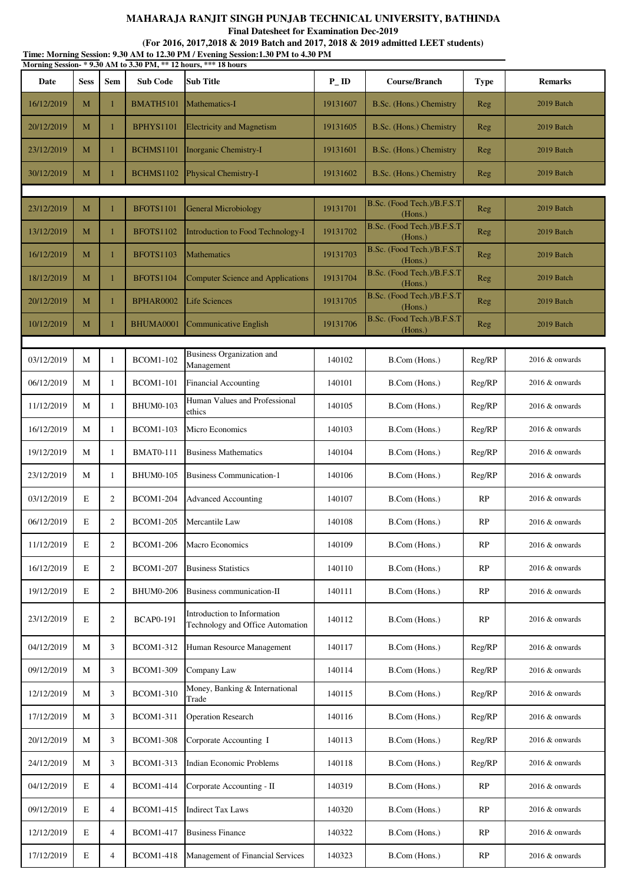**Final Datesheet for Examination Dec-2019**

| Time: Morning Session: 9.30 AM to 12.30 PM / Evening Session: 1.30 PM to 4.30 PM<br>Morning Session-*9.30 AM to 3.30 PM, ** 12 hours, *** 18 hours |             |                |                  |                                                                 |          |                                       |             |                   |  |
|----------------------------------------------------------------------------------------------------------------------------------------------------|-------------|----------------|------------------|-----------------------------------------------------------------|----------|---------------------------------------|-------------|-------------------|--|
| Date                                                                                                                                               | <b>Sess</b> | <b>Sem</b>     | <b>Sub Code</b>  | <b>Sub Title</b>                                                | $P$ _ID  | Course/Branch                         | <b>Type</b> | <b>Remarks</b>    |  |
| 16/12/2019                                                                                                                                         | M           | 1              | BMATH5101        | Mathematics-I                                                   | 19131607 | B.Sc. (Hons.) Chemistry               | Reg         | 2019 Batch        |  |
| 20/12/2019                                                                                                                                         | M           | 1              | <b>BPHYS1101</b> | <b>Electricity and Magnetism</b>                                | 19131605 | B.Sc. (Hons.) Chemistry               | Reg         | 2019 Batch        |  |
| 23/12/2019                                                                                                                                         | M           | 1              | BCHMS1101        | Inorganic Chemistry-I                                           | 19131601 | B.Sc. (Hons.) Chemistry               | Reg         | 2019 Batch        |  |
| 30/12/2019                                                                                                                                         | M           | 1              | <b>BCHMS1102</b> | Physical Chemistry-I                                            | 19131602 | B.Sc. (Hons.) Chemistry               | Reg         | 2019 Batch        |  |
|                                                                                                                                                    |             |                |                  |                                                                 |          | B.Sc. (Food Tech.)/B.F.S.T            |             |                   |  |
| 23/12/2019                                                                                                                                         | M           |                | <b>BFOTS1101</b> | General Microbiology                                            | 19131701 | (Hons.)<br>B.Sc. (Food Tech.)/B.F.S.T | Reg         | 2019 Batch        |  |
| 13/12/2019                                                                                                                                         | M           | $\mathbf{1}$   | <b>BFOTS1102</b> | Introduction to Food Technology-I                               | 19131702 | (Hons.)                               | Reg         | 2019 Batch        |  |
| 16/12/2019                                                                                                                                         | M           | 1              | <b>BFOTS1103</b> | <b>Mathematics</b>                                              | 19131703 | B.Sc. (Food Tech.)/B.F.S.T<br>(Hons.) | Reg         | 2019 Batch        |  |
| 18/12/2019                                                                                                                                         | M           | $\mathbf{1}$   | BFOTS1104        | Computer Science and Applications                               | 19131704 | B.Sc. (Food Tech.)/B.F.S.T<br>(Hons.) | Reg         | 2019 Batch        |  |
| 20/12/2019                                                                                                                                         | M           | 1              | <b>BPHAR0002</b> | <b>Life Sciences</b>                                            | 19131705 | B.Sc. (Food Tech.)/B.F.S.T<br>(Hons.) | Reg         | 2019 Batch        |  |
| 10/12/2019                                                                                                                                         | M           | 1              | BHUMA0001        | Communicative English                                           | 19131706 | B.Sc. (Food Tech.)/B.F.S.T<br>(Hons.) | Reg         | 2019 Batch        |  |
| 03/12/2019                                                                                                                                         | М           |                | <b>BCOM1-102</b> | Business Organization and                                       | 140102   | B.Com (Hons.)                         | Reg/RP      |                   |  |
|                                                                                                                                                    |             | 1              |                  | Management                                                      |          |                                       |             | $2016 \&$ onwards |  |
| 06/12/2019                                                                                                                                         | М           | 1              | <b>BCOM1-101</b> | <b>Financial Accounting</b><br>Human Values and Professional    | 140101   | B.Com (Hons.)                         | Reg/RP      | 2016 & onwards    |  |
| 11/12/2019                                                                                                                                         | M           | 1              | <b>BHUM0-103</b> | ethics                                                          | 140105   | B.Com (Hons.)                         | Reg/RP      | 2016 & onwards    |  |
| 16/12/2019                                                                                                                                         | М           | 1              | <b>BCOM1-103</b> | Micro Economics                                                 | 140103   | B.Com (Hons.)                         | Reg/RP      | $2016 \&$ onwards |  |
| 19/12/2019                                                                                                                                         | М           | 1              | <b>BMAT0-111</b> | <b>Business Mathematics</b>                                     | 140104   | B.Com (Hons.)                         | Reg/RP      | 2016 & onwards    |  |
| 23/12/2019                                                                                                                                         | М           | 1              | <b>BHUM0-105</b> | <b>Business Communication-1</b>                                 | 140106   | B.Com (Hons.)                         | Reg/RP      | 2016 & onwards    |  |
| 03/12/2019                                                                                                                                         | E           | $\overline{2}$ | <b>BCOM1-204</b> | <b>Advanced Accounting</b>                                      | 140107   | B.Com (Hons.)                         | RP          | $2016 \&$ onwards |  |
| 06/12/2019                                                                                                                                         | Е           | $\sqrt{2}$     | <b>BCOM1-205</b> | Mercantile Law                                                  | 140108   | B.Com (Hons.)                         | RP          | $2016 \&$ onwards |  |
| 11/12/2019                                                                                                                                         | E           | 2              | <b>BCOM1-206</b> | <b>Macro Economics</b>                                          | 140109   | B.Com (Hons.)                         | RP          | 2016 & onwards    |  |
| 16/12/2019                                                                                                                                         | E           | 2              | <b>BCOM1-207</b> | <b>Business Statistics</b>                                      | 140110   | B.Com (Hons.)                         | RP          | 2016 & onwards    |  |
| 19/12/2019                                                                                                                                         | E           | $\overline{2}$ | <b>BHUM0-206</b> | Business communication-II                                       | 140111   | B.Com (Hons.)                         | RP          | 2016 & onwards    |  |
| 23/12/2019                                                                                                                                         | E           | $\mathfrak{2}$ | <b>BCAP0-191</b> | Introduction to Information<br>Technology and Office Automation | 140112   | B.Com (Hons.)                         | RP          | $2016 \&$ onwards |  |
| 04/12/2019                                                                                                                                         | М           | 3              | <b>BCOM1-312</b> | Human Resource Management                                       | 140117   | B.Com (Hons.)                         | Reg/RP      | $2016 \&$ onwards |  |
| 09/12/2019                                                                                                                                         | М           | 3              | <b>BCOM1-309</b> | Company Law                                                     | 140114   | B.Com (Hons.)                         | Reg/RP      | $2016 \&$ onwards |  |
| 12/12/2019                                                                                                                                         | M           | 3              | <b>BCOM1-310</b> | Money, Banking & International<br>Trade                         | 140115   | B.Com (Hons.)                         | Reg/RP      | 2016 & onwards    |  |
| 17/12/2019                                                                                                                                         | M           | 3              | <b>BCOM1-311</b> | <b>Operation Research</b>                                       | 140116   | B.Com (Hons.)                         | Reg/RP      | 2016 & onwards    |  |
| 20/12/2019                                                                                                                                         | М           | 3              | <b>BCOM1-308</b> | Corporate Accounting I                                          | 140113   | B.Com (Hons.)                         | Reg/RP      | 2016 & onwards    |  |
| 24/12/2019                                                                                                                                         | М           | 3              | <b>BCOM1-313</b> | <b>Indian Economic Problems</b>                                 | 140118   | B.Com (Hons.)                         | Reg/RP      | 2016 & onwards    |  |
| 04/12/2019                                                                                                                                         | E           | $\overline{4}$ | <b>BCOM1-414</b> | Corporate Accounting - II                                       | 140319   | B.Com (Hons.)                         | RP          | $2016 \&$ onwards |  |
| 09/12/2019                                                                                                                                         | E           | $\overline{4}$ | <b>BCOM1-415</b> | <b>Indirect Tax Laws</b>                                        | 140320   | B.Com (Hons.)                         | RP          | $2016 \&$ onwards |  |
| 12/12/2019                                                                                                                                         | E           | 4              | <b>BCOM1-417</b> | <b>Business Finance</b>                                         | 140322   | B.Com (Hons.)                         | RP          | 2016 & onwards    |  |
| 17/12/2019                                                                                                                                         | $\mathbf E$ | 4              | <b>BCOM1-418</b> | Management of Financial Services                                | 140323   | B.Com (Hons.)                         | RP          | 2016 & onwards    |  |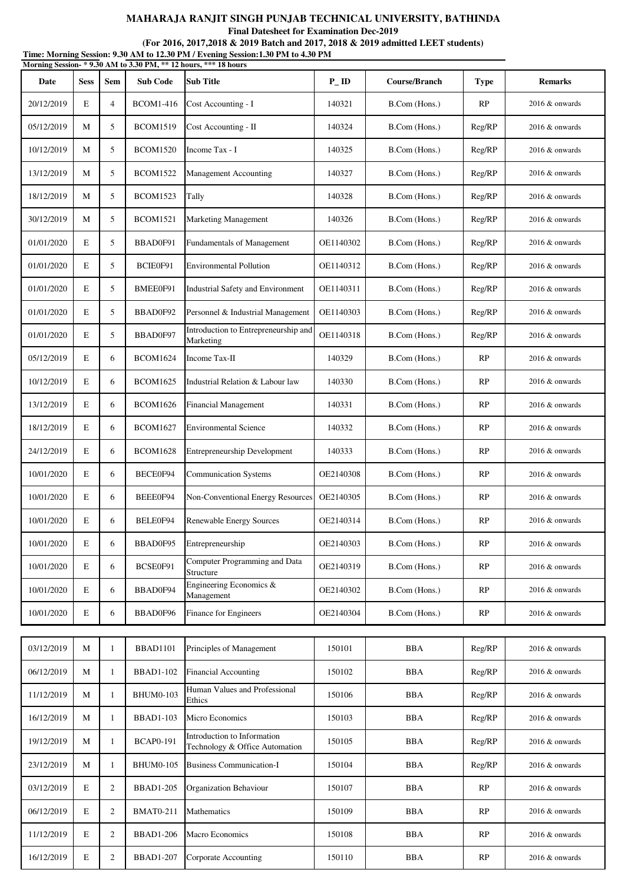**Final Datesheet for Examination Dec-2019**

| Time: Morning Session: 9.30 AM to 12.30 PM / Evening Session:1.30 PM to 4.30 PM<br>Morning Session-*9.30 AM to 3.30 PM, ** 12 hours, *** 18 hours |             |                |                  |                                                               |                   |               |             |                   |  |  |
|---------------------------------------------------------------------------------------------------------------------------------------------------|-------------|----------------|------------------|---------------------------------------------------------------|-------------------|---------------|-------------|-------------------|--|--|
| Date                                                                                                                                              | <b>Sess</b> | Sem            | <b>Sub Code</b>  | <b>Sub Title</b>                                              | $P$ <sub>ID</sub> | Course/Branch | <b>Type</b> | <b>Remarks</b>    |  |  |
| 20/12/2019                                                                                                                                        | E           | $\overline{4}$ | <b>BCOM1-416</b> | Cost Accounting - I                                           | 140321            | B.Com (Hons.) | RP          | $2016 \&$ onwards |  |  |
| 05/12/2019                                                                                                                                        | M           | 5              | <b>BCOM1519</b>  | Cost Accounting - II                                          | 140324            | B.Com (Hons.) | Reg/RP      | 2016 & onwards    |  |  |
| 10/12/2019                                                                                                                                        | M           | 5              | <b>BCOM1520</b>  | Income Tax - I                                                | 140325            | B.Com (Hons.) | Reg/RP      | $2016 \&$ onwards |  |  |
| 13/12/2019                                                                                                                                        | M           | 5              | <b>BCOM1522</b>  | Management Accounting                                         | 140327            | B.Com (Hons.) | Reg/RP      | $2016 \&$ onwards |  |  |
| 18/12/2019                                                                                                                                        | M           | 5              | <b>BCOM1523</b>  | Tally                                                         | 140328            | B.Com (Hons.) | Reg/RP      | 2016 & onwards    |  |  |
| 30/12/2019                                                                                                                                        | M           | 5              | <b>BCOM1521</b>  | Marketing Management                                          | 140326            | B.Com (Hons.) | Reg/RP      | $2016 \&$ onwards |  |  |
| 01/01/2020                                                                                                                                        | E           | 5              | BBAD0F91         | Fundamentals of Management                                    | OE1140302         | B.Com (Hons.) | Reg/RP      | $2016 \&$ onwards |  |  |
| 01/01/2020                                                                                                                                        | E           | 5              | BCIE0F91         | <b>Environmental Pollution</b>                                | OE1140312         | B.Com (Hons.) | Reg/RP      | 2016 & onwards    |  |  |
| 01/01/2020                                                                                                                                        | E           | 5              | BMEE0F91         | Industrial Safety and Environment                             | OE1140311         | B.Com (Hons.) | Reg/RP      | 2016 & onwards    |  |  |
| 01/01/2020                                                                                                                                        | E           | 5              | BBAD0F92         | Personnel & Industrial Management                             | OE1140303         | B.Com (Hons.) | Reg/RP      | $2016 \&$ onwards |  |  |
| 01/01/2020                                                                                                                                        | E           | 5              | BBAD0F97         | Introduction to Entrepreneurship and<br>Marketing             | OE1140318         | B.Com (Hons.) | Reg/RP      | $2016 \&$ onwards |  |  |
| 05/12/2019                                                                                                                                        | E           | 6              | <b>BCOM1624</b>  | Income Tax-II                                                 | 140329            | B.Com (Hons.) | <b>RP</b>   | 2016 & onwards    |  |  |
| 10/12/2019                                                                                                                                        | E           | 6              | <b>BCOM1625</b>  | Industrial Relation & Labour law                              | 140330            | B.Com (Hons.) | RP          | 2016 & onwards    |  |  |
| 13/12/2019                                                                                                                                        | E           | 6              | <b>BCOM1626</b>  | <b>Financial Management</b>                                   | 140331            | B.Com (Hons.) | <b>RP</b>   | $2016 \&$ onwards |  |  |
| 18/12/2019                                                                                                                                        | E           | 6              | <b>BCOM1627</b>  | <b>Environmental Science</b>                                  | 140332            | B.Com (Hons.) | <b>RP</b>   | $2016 \&$ onwards |  |  |
| 24/12/2019                                                                                                                                        | E           | 6              | <b>BCOM1628</b>  | Entrepreneurship Development                                  | 140333            | B.Com (Hons.) | RP          | $2016 \&$ onwards |  |  |
| 10/01/2020                                                                                                                                        | E           | 6              | BECE0F94         | <b>Communication Systems</b>                                  | OE2140308         | B.Com (Hons.) | <b>RP</b>   | 2016 & onwards    |  |  |
| 10/01/2020                                                                                                                                        | E           | 6              | BEEE0F94         | Non-Conventional Energy Resources                             | OE2140305         | B.Com (Hons.) | <b>RP</b>   | 2016 & onwards    |  |  |
| 10/01/2020                                                                                                                                        | Е           | 6              | BELE0F94         | Renewable Energy Sources                                      | OE2140314         | B.Com (Hons.) | <b>RP</b>   | $2016 \&$ onwards |  |  |
| 10/01/2020                                                                                                                                        | $\mathbf E$ | 6              | BBAD0F95         | Entrepreneurship                                              | OE2140303         | B.Com (Hons.) | RP          | 2016 & onwards    |  |  |
| 10/01/2020                                                                                                                                        | E           | 6              | BCSE0F91         | Computer Programming and Data<br>Structure                    | OE2140319         | B.Com (Hons.) | RP          | 2016 & onwards    |  |  |
| 10/01/2020                                                                                                                                        | Е           | 6              | BBAD0F94         | Engineering Economics &<br>Management                         | OE2140302         | B.Com (Hons.) | RP          | 2016 & onwards    |  |  |
| 10/01/2020                                                                                                                                        | E           | 6              | BBAD0F96         | Finance for Engineers                                         | OE2140304         | B.Com (Hons.) | RP          | 2016 & onwards    |  |  |
|                                                                                                                                                   |             |                |                  |                                                               |                   |               |             |                   |  |  |
| 03/12/2019                                                                                                                                        | M           | 1              | <b>BBAD1101</b>  | Principles of Management                                      | 150101            | <b>BBA</b>    | Reg/RP      | 2016 & onwards    |  |  |
| 06/12/2019                                                                                                                                        | M           | 1              | <b>BBAD1-102</b> | <b>Financial Accounting</b><br>Human Values and Professional  | 150102            | <b>BBA</b>    | Reg/RP      | 2016 & onwards    |  |  |
| 11/12/2019                                                                                                                                        | M           | $\mathbf{1}$   | <b>BHUM0-103</b> | Ethics                                                        | 150106            | <b>BBA</b>    | Reg/RP      | 2016 & onwards    |  |  |
| 16/12/2019                                                                                                                                        | M           | $\mathbf{1}$   | <b>BBAD1-103</b> | Micro Economics                                               | 150103            | <b>BBA</b>    | Reg/RP      | 2016 & onwards    |  |  |
| 19/12/2019                                                                                                                                        | M           | $\mathbf{1}$   | <b>BCAP0-191</b> | Introduction to Information<br>Technology & Office Automation | 150105            | <b>BBA</b>    | Reg/RP      | 2016 & onwards    |  |  |
| 23/12/2019                                                                                                                                        | M           | $\mathbf{1}$   | <b>BHUM0-105</b> | <b>Business Communication-I</b>                               | 150104            | <b>BBA</b>    | Reg/RP      | 2016 & onwards    |  |  |
| 03/12/2019                                                                                                                                        | E           | $\overline{2}$ | <b>BBAD1-205</b> | Organization Behaviour                                        | 150107            | <b>BBA</b>    | RP          | 2016 & onwards    |  |  |
| 06/12/2019                                                                                                                                        | E           | $\mathbf{2}$   | <b>BMAT0-211</b> | Mathematics                                                   | 150109            | <b>BBA</b>    | RP          | $2016 \&$ onwards |  |  |
| 11/12/2019                                                                                                                                        | E           | $\overline{2}$ | <b>BBAD1-206</b> | Macro Economics                                               | 150108            | <b>BBA</b>    | RP          | 2016 & onwards    |  |  |
| 16/12/2019                                                                                                                                        | E           | $\overline{2}$ | <b>BBAD1-207</b> | Corporate Accounting                                          | 150110            | <b>BBA</b>    | RP          | 2016 & onwards    |  |  |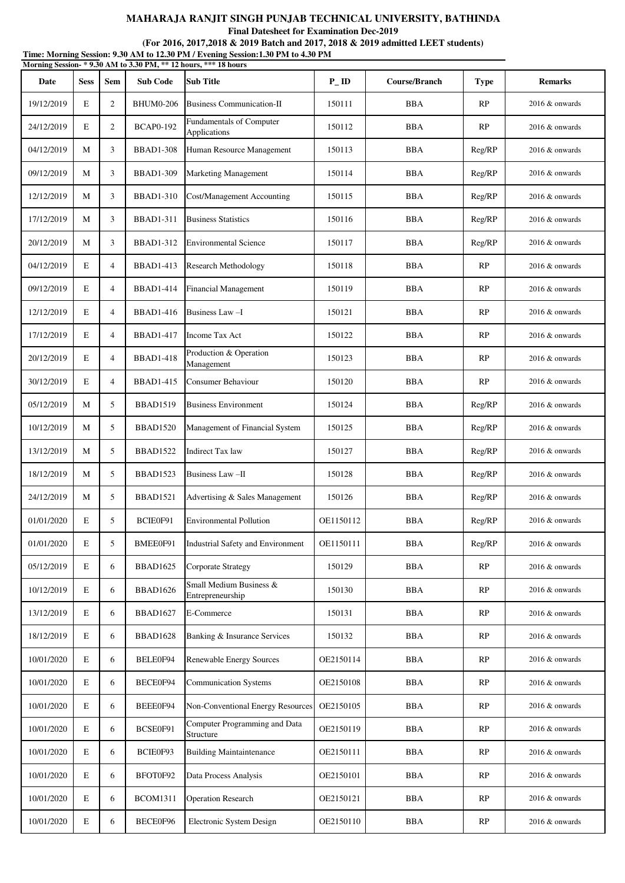**Final Datesheet for Examination Dec-2019**

**Time: Morning Session: 9.30 AM to 12.30 PM / Evening Session:1.30 PM to 4.30 PM (For 2016, 2017,2018 & 2019 Batch and 2017, 2018 & 2019 admitted LEET students)**

| Morning Session- * 9.30 AM to 3.30 PM, ** 12 hours, *** 18 hours |             |                |                  |                                             |           |                      |             |                   |  |  |
|------------------------------------------------------------------|-------------|----------------|------------------|---------------------------------------------|-----------|----------------------|-------------|-------------------|--|--|
| Date                                                             | <b>Sess</b> | <b>Sem</b>     | <b>Sub Code</b>  | <b>Sub Title</b>                            | $P$ _ID   | <b>Course/Branch</b> | <b>Type</b> | <b>Remarks</b>    |  |  |
| 19/12/2019                                                       | E           | $\overline{c}$ | <b>BHUM0-206</b> | <b>Business Communication-II</b>            | 150111    | <b>BBA</b>           | RP          | 2016 & onwards    |  |  |
| 24/12/2019                                                       | E           | $\overline{2}$ | <b>BCAP0-192</b> | Fundamentals of Computer<br>Applications    | 150112    | <b>BBA</b>           | RP          | 2016 & onwards    |  |  |
| 04/12/2019                                                       | М           | 3              | <b>BBAD1-308</b> | Human Resource Management                   | 150113    | <b>BBA</b>           | Reg/RP      | $2016 \&$ onwards |  |  |
| 09/12/2019                                                       | М           | 3              | <b>BBAD1-309</b> | Marketing Management                        | 150114    | <b>BBA</b>           | Reg/RP      | $2016 \&$ onwards |  |  |
| 12/12/2019                                                       | М           | 3              | <b>BBAD1-310</b> | Cost/Management Accounting                  | 150115    | <b>BBA</b>           | Reg/RP      | 2016 & onwards    |  |  |
| 17/12/2019                                                       | М           | 3              | <b>BBAD1-311</b> | <b>Business Statistics</b>                  | 150116    | <b>BBA</b>           | Reg/RP      | 2016 & onwards    |  |  |
| 20/12/2019                                                       | М           | 3              | <b>BBAD1-312</b> | <b>Environmental Science</b>                | 150117    | <b>BBA</b>           | Reg/RP      | 2016 & onwards    |  |  |
| 04/12/2019                                                       | E           | $\overline{4}$ | <b>BBAD1-413</b> | Research Methodology                        | 150118    | <b>BBA</b>           | RP          | $2016 \&$ onwards |  |  |
| 09/12/2019                                                       | E           | $\overline{4}$ | <b>BBAD1-414</b> | <b>Financial Management</b>                 | 150119    | <b>BBA</b>           | RP          | $2016 \&$ onwards |  |  |
| 12/12/2019                                                       | E           | $\overline{4}$ | <b>BBAD1-416</b> | Business Law-I                              | 150121    | <b>BBA</b>           | RP          | $2016 \&$ onwards |  |  |
| 17/12/2019                                                       | E           | $\overline{4}$ | <b>BBAD1-417</b> | <b>Income Tax Act</b>                       | 150122    | <b>BBA</b>           | RP          | 2016 & onwards    |  |  |
| 20/12/2019                                                       | E           | $\overline{4}$ | <b>BBAD1-418</b> | Production & Operation<br>Management        | 150123    | <b>BBA</b>           | RP          | 2016 & onwards    |  |  |
| 30/12/2019                                                       | E           | 4              | <b>BBAD1-415</b> | Consumer Behaviour                          | 150120    | <b>BBA</b>           | RP          | 2016 & onwards    |  |  |
| 05/12/2019                                                       | М           | 5              | <b>BBAD1519</b>  | <b>Business Environment</b>                 | 150124    | <b>BBA</b>           | Reg/RP      | $2016 \&$ onwards |  |  |
| 10/12/2019                                                       | М           | 5              | <b>BBAD1520</b>  | Management of Financial System              | 150125    | <b>BBA</b>           | Reg/RP      | 2016 & onwards    |  |  |
| 13/12/2019                                                       | М           | 5              | <b>BBAD1522</b>  | <b>Indirect Tax law</b>                     | 150127    | <b>BBA</b>           | Reg/RP      | $2016 \&$ onwards |  |  |
| 18/12/2019                                                       | М           | 5              | <b>BBAD1523</b>  | Business Law-II                             | 150128    | <b>BBA</b>           | Reg/RP      | $2016 \&$ onwards |  |  |
| 24/12/2019                                                       | М           | 5              | <b>BBAD1521</b>  | Advertising & Sales Management              | 150126    | <b>BBA</b>           | Reg/RP      | 2016 & onwards    |  |  |
| 01/01/2020                                                       | E           | 5              | BCIE0F91         | Environmental Pollution                     | OE1150112 | <b>BBA</b>           | Reg/RP      | $2016 \&$ onwards |  |  |
| 01/01/2020                                                       | E           | 5              | BMEE0F91         | Industrial Safety and Environment           | OE1150111 | <b>BBA</b>           | Reg/RP      | 2016 & onwards    |  |  |
| 05/12/2019                                                       | $\mathbf E$ | 6              | <b>BBAD1625</b>  | Corporate Strategy                          | 150129    | <b>BBA</b>           | RP          | 2016 & onwards    |  |  |
| 10/12/2019                                                       | $\mathbf E$ | 6              | <b>BBAD1626</b>  | Small Medium Business &<br>Entrepreneurship | 150130    | <b>BBA</b>           | RP          | 2016 & onwards    |  |  |
| 13/12/2019                                                       | E           | 6              | BBAD1627         | E-Commerce                                  | 150131    | <b>BBA</b>           | RP          | 2016 & onwards    |  |  |
| 18/12/2019                                                       | $\mathbf E$ | 6              | <b>BBAD1628</b>  | Banking & Insurance Services                | 150132    | <b>BBA</b>           | RP          | 2016 & onwards    |  |  |
| 10/01/2020                                                       | E           | 6              | BELE0F94         | Renewable Energy Sources                    | OE2150114 | <b>BBA</b>           | RP          | 2016 & onwards    |  |  |
| 10/01/2020                                                       | E           | 6              | BECE0F94         | <b>Communication Systems</b>                | OE2150108 | <b>BBA</b>           | RP          | 2016 & onwards    |  |  |
| 10/01/2020                                                       | $\mathbf E$ | 6              | BEEE0F94         | Non-Conventional Energy Resources           | OE2150105 | <b>BBA</b>           | RP          | 2016 & onwards    |  |  |
| 10/01/2020                                                       | $\mathbf E$ | 6              | BCSE0F91         | Computer Programming and Data<br>Structure  | OE2150119 | <b>BBA</b>           | RP          | 2016 & onwards    |  |  |
| 10/01/2020                                                       | E           | 6              | BCIE0F93         | <b>Building Maintaintenance</b>             | OE2150111 | <b>BBA</b>           | RP          | 2016 & onwards    |  |  |
| 10/01/2020                                                       | $\mathbf E$ | 6              | BFOT0F92         | Data Process Analysis                       | OE2150101 | <b>BBA</b>           | RP          | 2016 & onwards    |  |  |
| 10/01/2020                                                       | $\mathbf E$ | 6              | <b>BCOM1311</b>  | <b>Operation Research</b>                   | OE2150121 | <b>BBA</b>           | RP          | 2016 & onwards    |  |  |
| 10/01/2020                                                       | $\mathbf E$ | 6              | BECE0F96         | Electronic System Design                    | OE2150110 | <b>BBA</b>           | RP          | 2016 & onwards    |  |  |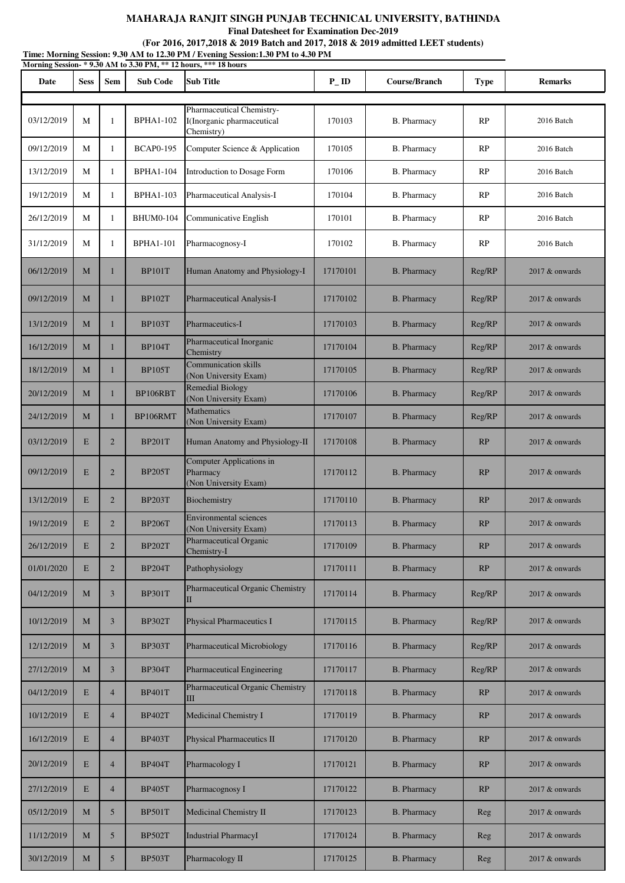**Final Datesheet for Examination Dec-2019**

|            | Time: Morning Session: 9.30 AM to 12.30 PM / Evening Session:1.30 PM to 4.30 PM<br>Morning Session-*9.30 AM to 3.30 PM, ** 12 hours, *** 18 hours |                |                  |                                                               |                   |                    |             |                  |  |  |
|------------|---------------------------------------------------------------------------------------------------------------------------------------------------|----------------|------------------|---------------------------------------------------------------|-------------------|--------------------|-------------|------------------|--|--|
| Date       | <b>Sess</b>                                                                                                                                       | Sem            | <b>Sub Code</b>  | Sub Title                                                     | $P$ <sub>ID</sub> | Course/Branch      | <b>Type</b> | <b>Remarks</b>   |  |  |
|            |                                                                                                                                                   |                |                  | Pharmaceutical Chemistry-                                     |                   |                    |             |                  |  |  |
| 03/12/2019 | M                                                                                                                                                 | 1              | <b>BPHA1-102</b> | I(Inorganic pharmaceutical<br>Chemistry)                      | 170103            | B. Pharmacy        | RP          | 2016 Batch       |  |  |
| 09/12/2019 | M                                                                                                                                                 | $\mathbf{1}$   | <b>BCAP0-195</b> | Computer Science & Application                                | 170105            | B. Pharmacy        | RP          | 2016 Batch       |  |  |
| 13/12/2019 | M                                                                                                                                                 | $\mathbf{1}$   | <b>BPHA1-104</b> | Introduction to Dosage Form                                   | 170106            | <b>B.</b> Pharmacy | <b>RP</b>   | 2016 Batch       |  |  |
| 19/12/2019 | M                                                                                                                                                 | 1              | <b>BPHA1-103</b> | Pharmaceutical Analysis-I                                     | 170104            | <b>B.</b> Pharmacy | <b>RP</b>   | 2016 Batch       |  |  |
| 26/12/2019 | M                                                                                                                                                 | 1              | <b>BHUM0-104</b> | Communicative English                                         | 170101            | B. Pharmacy        | <b>RP</b>   | 2016 Batch       |  |  |
| 31/12/2019 | M                                                                                                                                                 | 1              | <b>BPHA1-101</b> | Pharmacognosy-I                                               | 170102            | <b>B.</b> Pharmacy | RP          | 2016 Batch       |  |  |
| 06/12/2019 | M                                                                                                                                                 | $\mathbf{1}$   | <b>BP101T</b>    | Human Anatomy and Physiology-I                                | 17170101          | <b>B.</b> Pharmacy | Reg/RP      | 2017 & onwards   |  |  |
| 09/12/2019 | M                                                                                                                                                 | $\mathbf{1}$   | <b>BP102T</b>    | Pharmaceutical Analysis-I                                     | 17170102          | <b>B.</b> Pharmacy | Reg/RP      | 2017 & onwards   |  |  |
| 13/12/2019 | M                                                                                                                                                 | $\mathbf{1}$   | <b>BP103T</b>    | Pharmaceutics-I                                               | 17170103          | <b>B.</b> Pharmacy | Reg/RP      | 2017 & onwards   |  |  |
| 16/12/2019 | M                                                                                                                                                 | $\mathbf{1}$   | <b>BP104T</b>    | Pharmaceutical Inorganic<br>Chemistry                         | 17170104          | <b>B.</b> Pharmacy | Reg/RP      | 2017 & onwards   |  |  |
| 18/12/2019 | M                                                                                                                                                 | $\mathbf{1}$   | <b>BP105T</b>    | Communication skills<br>(Non University Exam)                 | 17170105          | <b>B.</b> Pharmacy | Reg/RP      | 2017 & onwards   |  |  |
| 20/12/2019 | M                                                                                                                                                 | $\mathbf{1}$   | BP106RBT         | <b>Remedial Biology</b><br>(Non University Exam)              | 17170106          | <b>B.</b> Pharmacy | Reg/RP      | 2017 & onwards   |  |  |
| 24/12/2019 | M                                                                                                                                                 | $\mathbf{1}$   | BP106RMT         | Mathematics<br>(Non University Exam)                          | 17170107          | <b>B.</b> Pharmacy | Reg/RP      | 2017 & onwards   |  |  |
| 03/12/2019 | E                                                                                                                                                 | $\overline{2}$ | <b>BP201T</b>    | Human Anatomy and Physiology-II                               | 17170108          | <b>B.</b> Pharmacy | RP          | 2017 & onwards   |  |  |
| 09/12/2019 | E                                                                                                                                                 | $\overline{2}$ | <b>BP205T</b>    | Computer Applications in<br>Pharmacy<br>(Non University Exam) | 17170112          | <b>B.</b> Pharmacy | RP          | 2017 & onwards   |  |  |
| 13/12/2019 | ${\bf E}$                                                                                                                                         | $\overline{2}$ | <b>BP203T</b>    | Biochemistry                                                  | 17170110          | <b>B.</b> Pharmacy | RP          | $2017$ & onwards |  |  |
| 19/12/2019 | E                                                                                                                                                 | $\overline{2}$ | <b>BP206T</b>    | <b>Environmental sciences</b><br>(Non University Exam)        | 17170113          | <b>B.</b> Pharmacy | RP          | 2017 & onwards   |  |  |
| 26/12/2019 | E                                                                                                                                                 | $\overline{2}$ | <b>BP202T</b>    | Pharmaceutical Organic<br>Chemistry-I                         | 17170109          | <b>B.</b> Pharmacy | RP          | $2017$ & onwards |  |  |
| 01/01/2020 | E                                                                                                                                                 | $\overline{2}$ | <b>BP204T</b>    | Pathophysiology                                               | 17170111          | <b>B.</b> Pharmacy | RP          | $2017$ & onwards |  |  |
| 04/12/2019 | M                                                                                                                                                 | $\overline{3}$ | <b>BP301T</b>    | Pharmaceutical Organic Chemistry                              | 17170114          | <b>B.</b> Pharmacy | Reg/RP      | $2017$ & onwards |  |  |
| 10/12/2019 | M                                                                                                                                                 | $\overline{3}$ | <b>BP302T</b>    | <b>Physical Pharmaceutics I</b>                               | 17170115          | <b>B.</b> Pharmacy | Reg/RP      | 2017 & onwards   |  |  |
| 12/12/2019 | M                                                                                                                                                 | $\overline{3}$ | <b>BP303T</b>    | Pharmaceutical Microbiology                                   | 17170116          | <b>B.</b> Pharmacy | Reg/RP      | $2017$ & onwards |  |  |
| 27/12/2019 | M                                                                                                                                                 | $\overline{3}$ | <b>BP304T</b>    | Pharmaceutical Engineering                                    | 17170117          | <b>B.</b> Pharmacy | Reg/RP      | $2017$ & onwards |  |  |
| 04/12/2019 | E                                                                                                                                                 | $\overline{4}$ | <b>BP401T</b>    | Pharmaceutical Organic Chemistry<br>Ш                         | 17170118          | <b>B.</b> Pharmacy | RP          | 2017 & onwards   |  |  |
| 10/12/2019 | E                                                                                                                                                 | $\overline{4}$ | <b>BP402T</b>    | Medicinal Chemistry I                                         | 17170119          | <b>B.</b> Pharmacy | RP          | 2017 & onwards   |  |  |
| 16/12/2019 | E                                                                                                                                                 | $\overline{4}$ | <b>BP403T</b>    | Physical Pharmaceutics II                                     | 17170120          | <b>B.</b> Pharmacy | RP          | $2017$ & onwards |  |  |
| 20/12/2019 | E                                                                                                                                                 | $\overline{4}$ | <b>BP404T</b>    | Pharmacology I                                                | 17170121          | <b>B.</b> Pharmacy | RP          | 2017 & onwards   |  |  |
| 27/12/2019 | E                                                                                                                                                 | $\overline{4}$ | <b>BP405T</b>    | Pharmacognosy I                                               | 17170122          | <b>B.</b> Pharmacy | RP          | $2017$ & onwards |  |  |
| 05/12/2019 | M                                                                                                                                                 | 5 <sup>5</sup> | <b>BP501T</b>    | Medicinal Chemistry II                                        | 17170123          | <b>B.</b> Pharmacy | Reg         | $2017$ & onwards |  |  |
| 11/12/2019 | M                                                                                                                                                 | 5 <sup>5</sup> | <b>BP502T</b>    | <b>Industrial PharmacyI</b>                                   | 17170124          | <b>B.</b> Pharmacy | Reg         | $2017$ & onwards |  |  |
| 30/12/2019 | M                                                                                                                                                 | 5              | <b>BP503T</b>    | Pharmacology II                                               | 17170125          | <b>B.</b> Pharmacy | Reg         | 2017 & onwards   |  |  |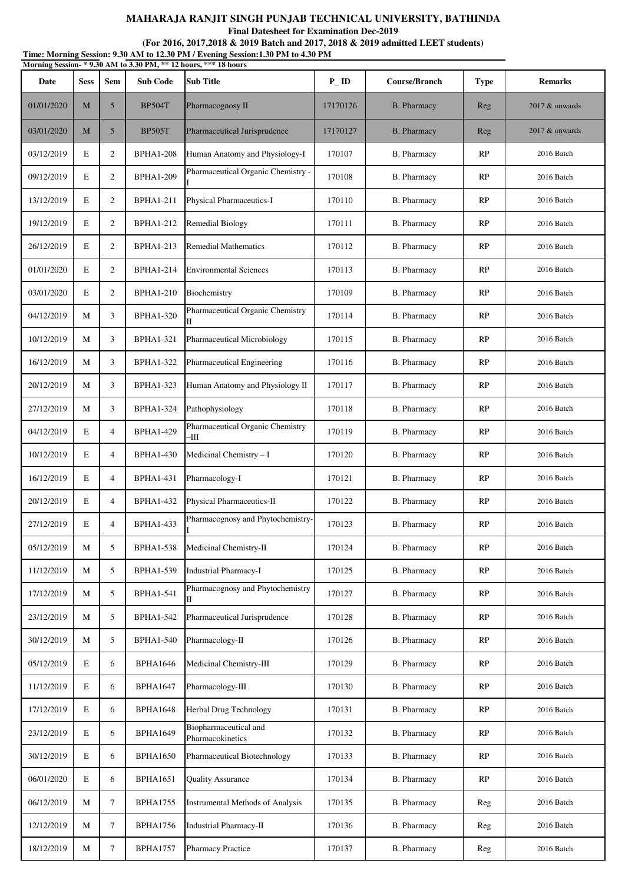**Final Datesheet for Examination Dec-2019**

**Time: Morning Session: 9.30 AM to 12.30 PM / Evening Session:1.30 PM to 4.30 PM (For 2016, 2017,2018 & 2019 Batch and 2017, 2018 & 2019 admitted LEET students)**

|            | Morning Session- * 9.30 AM to 3.30 PM, ** 12 hours, *** 18 hours |                |                  |                                           |                    |                    |             |                  |  |  |
|------------|------------------------------------------------------------------|----------------|------------------|-------------------------------------------|--------------------|--------------------|-------------|------------------|--|--|
| Date       | <b>Sess</b>                                                      | <b>Sem</b>     | <b>Sub Code</b>  | <b>Sub Title</b>                          | $P$ <sub>-ID</sub> | Course/Branch      | <b>Type</b> | <b>Remarks</b>   |  |  |
| 01/01/2020 | M                                                                | 5              | <b>BP504T</b>    | Pharmacognosy II                          | 17170126           | <b>B.</b> Pharmacy | Reg         | 2017 & onwards   |  |  |
| 03/01/2020 | M                                                                | 5              | <b>BP505T</b>    | Pharmaceutical Jurisprudence              | 17170127           | <b>B.</b> Pharmacy | Reg         | $2017$ & onwards |  |  |
| 03/12/2019 | $\mathbf E$                                                      | $\mathbf{2}$   | <b>BPHA1-208</b> | Human Anatomy and Physiology-I            | 170107             | <b>B.</b> Pharmacy | RP          | 2016 Batch       |  |  |
| 09/12/2019 | $\mathbf E$                                                      | $\mathbf{2}$   | <b>BPHA1-209</b> | Pharmaceutical Organic Chemistry -        | 170108             | <b>B.</b> Pharmacy | RP          | 2016 Batch       |  |  |
| 13/12/2019 | E                                                                | $\overline{2}$ | <b>BPHA1-211</b> | Physical Pharmaceutics-I                  | 170110             | <b>B.</b> Pharmacy | RP          | 2016 Batch       |  |  |
| 19/12/2019 | E                                                                | 2              | <b>BPHA1-212</b> | <b>Remedial Biology</b>                   | 170111             | <b>B.</b> Pharmacy | RP          | 2016 Batch       |  |  |
| 26/12/2019 | E                                                                | $\overline{2}$ | <b>BPHA1-213</b> | <b>Remedial Mathematics</b>               | 170112             | <b>B.</b> Pharmacy | RP          | 2016 Batch       |  |  |
| 01/01/2020 | E                                                                | 2              | <b>BPHA1-214</b> | <b>Environmental Sciences</b>             | 170113             | <b>B.</b> Pharmacy | RP          | 2016 Batch       |  |  |
| 03/01/2020 | E                                                                | $\overline{2}$ | <b>BPHA1-210</b> | Biochemistry                              | 170109             | <b>B.</b> Pharmacy | RP          | 2016 Batch       |  |  |
| 04/12/2019 | М                                                                | 3              | <b>BPHA1-320</b> | Pharmaceutical Organic Chemistry<br>П     | 170114             | <b>B.</b> Pharmacy | RP          | 2016 Batch       |  |  |
| 10/12/2019 | М                                                                | 3              | <b>BPHA1-321</b> | <b>Pharmaceutical Microbiology</b>        | 170115             | <b>B.</b> Pharmacy | RP          | 2016 Batch       |  |  |
| 16/12/2019 | M                                                                | 3              | <b>BPHA1-322</b> | Pharmaceutical Engineering                | 170116             | B. Pharmacy        | RP          | 2016 Batch       |  |  |
| 20/12/2019 | M                                                                | 3              | <b>BPHA1-323</b> | Human Anatomy and Physiology II           | 170117             | <b>B.</b> Pharmacy | RP          | 2016 Batch       |  |  |
| 27/12/2019 | М                                                                | 3              | <b>BPHA1-324</b> | Pathophysiology                           | 170118             | <b>B.</b> Pharmacy | RP          | 2016 Batch       |  |  |
| 04/12/2019 | E                                                                | $\overline{4}$ | <b>BPHA1-429</b> | Pharmaceutical Organic Chemistry<br>-Ш    | 170119             | B. Pharmacy        | RP          | 2016 Batch       |  |  |
| 10/12/2019 | E                                                                | $\overline{4}$ | <b>BPHA1-430</b> | Medicinal Chemistry - I                   | 170120             | <b>B.</b> Pharmacy | RP          | 2016 Batch       |  |  |
| 16/12/2019 | E                                                                | $\overline{4}$ | <b>BPHA1-431</b> | Pharmacology-I                            | 170121             | <b>B.</b> Pharmacy | RP          | 2016 Batch       |  |  |
| 20/12/2019 | E                                                                | $\overline{4}$ | <b>BPHA1-432</b> | Physical Pharmaceutics-II                 | 170122             | <b>B.</b> Pharmacy | RP          | 2016 Batch       |  |  |
| 27/12/2019 | E                                                                | $\overline{4}$ | <b>BPHA1-433</b> | Pharmacognosy and Phytochemistry-         | 170123             | <b>B.</b> Pharmacy | RP          | 2016 Batch       |  |  |
| 05/12/2019 | М                                                                | 5              | <b>BPHA1-538</b> | Medicinal Chemistry-II                    | 170124             | <b>B.</b> Pharmacy | RP          | 2016 Batch       |  |  |
| 11/12/2019 | М                                                                | 5              | <b>BPHA1-539</b> | <b>Industrial Pharmacy-I</b>              | 170125             | <b>B.</b> Pharmacy | RP          | 2016 Batch       |  |  |
| 17/12/2019 | М                                                                | 5              | <b>BPHA1-541</b> | Pharmacognosy and Phytochemistry<br>П     | 170127             | <b>B.</b> Pharmacy | RP          | 2016 Batch       |  |  |
| 23/12/2019 | М                                                                | 5              | <b>BPHA1-542</b> | Pharmaceutical Jurisprudence              | 170128             | <b>B.</b> Pharmacy | RP          | 2016 Batch       |  |  |
| 30/12/2019 | М                                                                | 5              | <b>BPHA1-540</b> | Pharmacology-II                           | 170126             | <b>B.</b> Pharmacy | RP          | 2016 Batch       |  |  |
| 05/12/2019 | $\mathbf E$                                                      | 6              | <b>BPHA1646</b>  | Medicinal Chemistry-III                   | 170129             | <b>B.</b> Pharmacy | RP          | 2016 Batch       |  |  |
| 11/12/2019 | $\mathbf E$                                                      | 6              | <b>BPHA1647</b>  | Pharmacology-III                          | 170130             | <b>B.</b> Pharmacy | RP          | 2016 Batch       |  |  |
| 17/12/2019 | E                                                                | 6              | <b>BPHA1648</b>  | Herbal Drug Technology                    | 170131             | <b>B.</b> Pharmacy | RP          | 2016 Batch       |  |  |
| 23/12/2019 | E                                                                | 6              | <b>BPHA1649</b>  | Biopharmaceutical and<br>Pharmacokinetics | 170132             | <b>B.</b> Pharmacy | RP          | 2016 Batch       |  |  |
| 30/12/2019 | $\mathbf E$                                                      | 6              | <b>BPHA1650</b>  | Pharmaceutical Biotechnology              | 170133             | <b>B.</b> Pharmacy | RP          | 2016 Batch       |  |  |
| 06/01/2020 | E                                                                | 6              | <b>BPHA1651</b>  | <b>Quality Assurance</b>                  | 170134             | <b>B.</b> Pharmacy | RP          | 2016 Batch       |  |  |
| 06/12/2019 | М                                                                | $\tau$         | <b>BPHA1755</b>  | Instrumental Methods of Analysis          | 170135             | <b>B.</b> Pharmacy | Reg         | 2016 Batch       |  |  |
| 12/12/2019 | М                                                                | $\tau$         | <b>BPHA1756</b>  | Industrial Pharmacy-II                    | 170136             | <b>B.</b> Pharmacy | Reg         | 2016 Batch       |  |  |
| 18/12/2019 | M                                                                | 7              | <b>BPHA1757</b>  | <b>Pharmacy Practice</b>                  | 170137             | <b>B.</b> Pharmacy | Reg         | 2016 Batch       |  |  |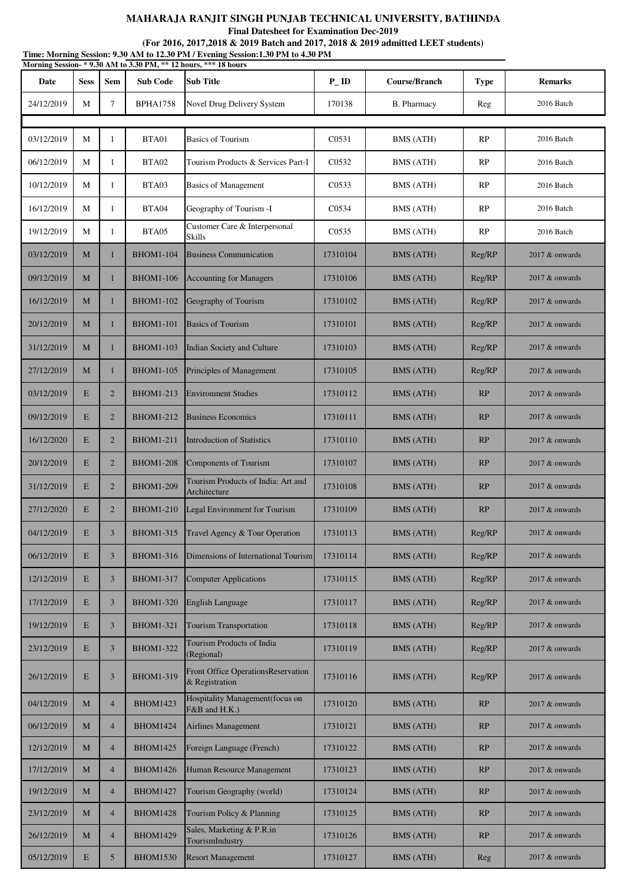**Final Datesheet for Examination Dec-2019**

|            | Time: Morning Session: 9.30 AM to 12.30 PM / Evening Session: 1.30 PM to 4.30 PM<br>Morning Session-*9.30 AM to 3.30 PM, ** 12 hours, *** 18 hours |                |                  |                                                             |                    |                    |             |                   |  |  |
|------------|----------------------------------------------------------------------------------------------------------------------------------------------------|----------------|------------------|-------------------------------------------------------------|--------------------|--------------------|-------------|-------------------|--|--|
| Date       | <b>Sess</b>                                                                                                                                        | <b>Sem</b>     | <b>Sub Code</b>  | <b>Sub Title</b>                                            | $P$ <sub>-ID</sub> | Course/Branch      | <b>Type</b> | <b>Remarks</b>    |  |  |
| 24/12/2019 | M                                                                                                                                                  | $\tau$         | <b>BPHA1758</b>  | Novel Drug Delivery System                                  | 170138             | <b>B.</b> Pharmacy | Reg         | 2016 Batch        |  |  |
| 03/12/2019 | М                                                                                                                                                  | $\mathbf{1}$   | BTA01            | <b>Basics of Tourism</b>                                    | C0531              | BMS (ATH)          | RP          | 2016 Batch        |  |  |
|            | М                                                                                                                                                  | 1              | BTA02            | Tourism Products & Services Part-I                          | C0532              |                    | RP          | 2016 Batch        |  |  |
| 06/12/2019 |                                                                                                                                                    |                |                  |                                                             |                    | BMS (ATH)          |             |                   |  |  |
| 10/12/2019 | M                                                                                                                                                  | $\mathbf{1}$   | BTA03            | <b>Basics of Management</b>                                 | C0533              | BMS (ATH)          | RP          | 2016 Batch        |  |  |
| 16/12/2019 | М                                                                                                                                                  | $\mathbf{1}$   | BTA04            | Geography of Tourism -I<br>Customer Care & Interpersonal    | C0534              | BMS (ATH)          | RP          | 2016 Batch        |  |  |
| 19/12/2019 | М                                                                                                                                                  | 1              | BTA05            | Skills                                                      | C0535              | BMS (ATH)          | RP          | 2016 Batch        |  |  |
| 03/12/2019 | M                                                                                                                                                  | $\mathbf{1}$   | <b>BHOM1-104</b> | <b>Business Communication</b>                               | 17310104           | <b>BMS</b> (ATH)   | Reg/RP      | $2017 \&$ onwards |  |  |
| 09/12/2019 | M                                                                                                                                                  | $\mathbf{1}$   | <b>BHOM1-106</b> | <b>Accounting for Managers</b>                              | 17310106           | BMS (ATH)          | Reg/RP      | $2017 \&$ onwards |  |  |
| 16/12/2019 | M                                                                                                                                                  | $\mathbf{1}$   | <b>BHOM1-102</b> | Geography of Tourism                                        | 17310102           | BMS (ATH)          | Reg/RP      | $2017 \&$ onwards |  |  |
| 20/12/2019 | M                                                                                                                                                  | $\mathbf{1}$   | <b>BHOM1-101</b> | <b>Basics of Tourism</b>                                    | 17310101           | <b>BMS</b> (ATH)   | Reg/RP      | 2017 & onwards    |  |  |
| 31/12/2019 | M                                                                                                                                                  | $\mathbf{1}$   | <b>BHOM1-103</b> | Indian Society and Culture                                  | 17310103           | <b>BMS</b> (ATH)   | Reg/RP      | 2017 & onwards    |  |  |
| 27/12/2019 | M                                                                                                                                                  | $\mathbf{1}$   | <b>BHOM1-105</b> | Principles of Management                                    | 17310105           | BMS (ATH)          | Reg/RP      | $2017 \&$ onwards |  |  |
| 03/12/2019 | E                                                                                                                                                  | $\overline{2}$ | <b>BHOM1-213</b> | <b>Environment Studies</b>                                  | 17310112           | <b>BMS</b> (ATH)   | RP          | $2017 \&$ onwards |  |  |
| 09/12/2019 | $\mathbf E$                                                                                                                                        | $\overline{2}$ | <b>BHOM1-212</b> | <b>Business Economics</b>                                   | 17310111           | BMS (ATH)          | RP          | $2017 \&$ onwards |  |  |
| 16/12/2020 | E                                                                                                                                                  | $\overline{2}$ | <b>BHOM1-211</b> | <b>Introduction of Statistics</b>                           | 17310110           | <b>BMS</b> (ATH)   | RP          | $2017 \&$ onwards |  |  |
| 20/12/2019 | E                                                                                                                                                  | $\overline{2}$ | <b>BHOM1-208</b> | Components of Tourism                                       | 17310107           | <b>BMS</b> (ATH)   | RP          | $2017 \&$ onwards |  |  |
| 31/12/2019 | E                                                                                                                                                  | $\overline{2}$ | <b>BHOM1-209</b> | Tourism Products of India: Art and<br>Architecture          | 17310108           | <b>BMS</b> (ATH)   | RP          | $2017 \&$ onwards |  |  |
| 27/12/2020 | E                                                                                                                                                  | $\overline{2}$ | <b>BHOM1-210</b> | Legal Environment for Tourism                               | 17310109           | <b>BMS</b> (ATH)   | RP          | 2017 & onwards    |  |  |
| 04/12/2019 | E                                                                                                                                                  | $\overline{3}$ | <b>BHOM1-315</b> | Travel Agency & Tour Operation                              | 17310113           | <b>BMS (ATH)</b>   | Reg/RP      | 2017 & onwards    |  |  |
| 06/12/2019 | E                                                                                                                                                  | $\overline{3}$ | <b>BHOM1-316</b> | Dimensions of International Tourism                         | 17310114           | <b>BMS</b> (ATH)   | Reg/RP      | 2017 & onwards    |  |  |
| 12/12/2019 | E                                                                                                                                                  | $\overline{3}$ | <b>BHOM1-317</b> | <b>Computer Applications</b>                                | 17310115           | <b>BMS</b> (ATH)   | Reg/RP      | 2017 & onwards    |  |  |
| 17/12/2019 | E                                                                                                                                                  | $\overline{3}$ | <b>BHOM1-320</b> | <b>English Language</b>                                     | 17310117           | <b>BMS</b> (ATH)   | Reg/RP      | 2017 & onwards    |  |  |
| 19/12/2019 | E                                                                                                                                                  | $\overline{3}$ | <b>BHOM1-321</b> | Tourism Transportation                                      | 17310118           | <b>BMS</b> (ATH)   | Reg/RP      | $2017 \&$ onwards |  |  |
| 23/12/2019 | E                                                                                                                                                  | $\overline{3}$ | <b>BHOM1-322</b> | Tourism Products of India<br>(Regional)                     | 17310119           | <b>BMS</b> (ATH)   | Reg/RP      | 2017 & onwards    |  |  |
| 26/12/2019 | E                                                                                                                                                  | $\overline{3}$ | <b>BHOM1-319</b> | <b>Front Office OperationsReservation</b><br>& Registration | 17310116           | <b>BMS</b> (ATH)   | Reg/RP      | 2017 & onwards    |  |  |
| 04/12/2019 | M                                                                                                                                                  | $\overline{4}$ | <b>BHOM1423</b>  | Hospitality Management(focus on<br>F&B and H.K.)            | 17310120           | <b>BMS</b> (ATH)   | RP          | 2017 & onwards    |  |  |
| 06/12/2019 | M                                                                                                                                                  | $\overline{4}$ | <b>BHOM1424</b>  | <b>Airlines Management</b>                                  | 17310121           | <b>BMS</b> (ATH)   | RP          | $2017 \&$ onwards |  |  |
| 12/12/2019 | M                                                                                                                                                  | $\overline{4}$ | <b>BHOM1425</b>  | Foreign Language (French)                                   | 17310122           | <b>BMS</b> (ATH)   | RP          | 2017 & onwards    |  |  |
| 17/12/2019 | M                                                                                                                                                  | $\overline{4}$ | <b>BHOM1426</b>  | Human Resource Management                                   | 17310123           | <b>BMS</b> (ATH)   | RP          | 2017 & onwards    |  |  |
| 19/12/2019 | M                                                                                                                                                  | $\overline{4}$ | <b>BHOM1427</b>  | Tourism Geography (world)                                   | 17310124           | <b>BMS</b> (ATH)   | RP          | 2017 & onwards    |  |  |
| 23/12/2019 | M                                                                                                                                                  | $\overline{4}$ | <b>BHOM1428</b>  | Tourism Policy & Planning                                   | 17310125           | <b>BMS</b> (ATH)   | RP          | 2017 & onwards    |  |  |
| 26/12/2019 | M                                                                                                                                                  | $\overline{4}$ | <b>BHOM1429</b>  | Sales, Marketing & P.R.in<br>TourismIndustry                | 17310126           | <b>BMS</b> (ATH)   | RP          | 2017 & onwards    |  |  |
| 05/12/2019 | $\mathbf E$                                                                                                                                        | 5 <sup>5</sup> | <b>BHOM1530</b>  | <b>Resort Management</b>                                    | 17310127           | <b>BMS</b> (ATH)   | Reg         | 2017 & onwards    |  |  |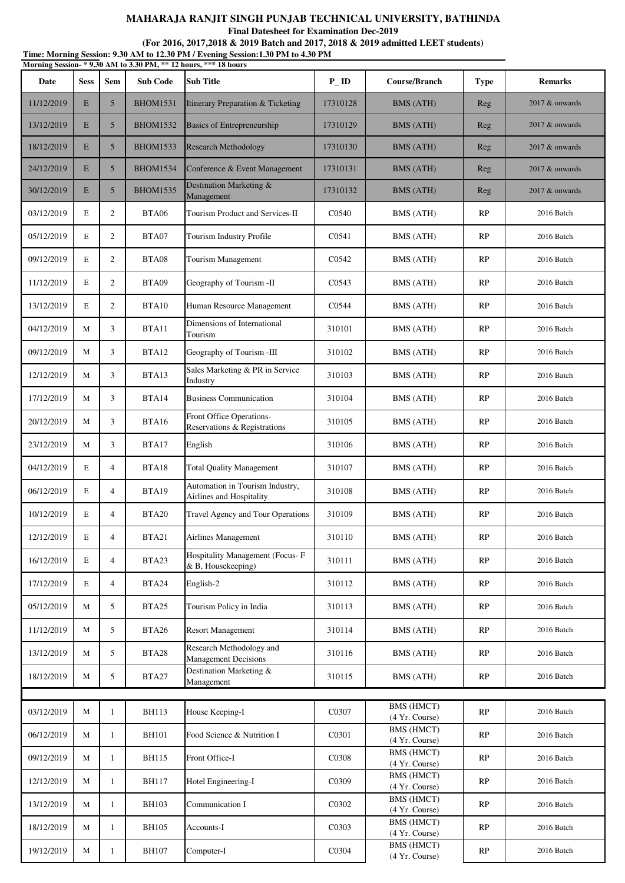**Final Datesheet for Examination Dec-2019**

|  |  | Time: Morning Session: 9.30 AM to 12.30 PM / Evening Session: 1.30 PM to 4.30 PM |  |
|--|--|----------------------------------------------------------------------------------|--|
|  |  | Morning Session- * 9.30 AM to 3.30 PM, ** 12 hours, *** 18 hours                 |  |
|  |  |                                                                                  |  |

| Date       | <b>Sess</b> | <b>Sem</b>      | <b>Sub Code</b> | <b>Sub Title</b><br>$P$ <sub>-ID</sub>                      |          | Course/Branch                       | <b>Type</b> | <b>Remarks</b>    |
|------------|-------------|-----------------|-----------------|-------------------------------------------------------------|----------|-------------------------------------|-------------|-------------------|
| 11/12/2019 | E           | $5\overline{)}$ | <b>BHOM1531</b> | Itinerary Preparation & Ticketing                           | 17310128 | <b>BMS</b> (ATH)                    | Reg         | 2017 & onwards    |
| 13/12/2019 | E           | 5 <sup>5</sup>  | <b>BHOM1532</b> | <b>Basics of Entrepreneurship</b>                           | 17310129 | <b>BMS</b> (ATH)                    | Reg         | $2017$ & onwards  |
| 18/12/2019 | E           | 5 <sup>5</sup>  | <b>BHOM1533</b> | <b>Research Methodology</b>                                 | 17310130 | <b>BMS</b> (ATH)                    | Reg         | $2017 \&$ onwards |
| 24/12/2019 | E           | 5 <sup>5</sup>  | <b>BHOM1534</b> | Conference & Event Management                               | 17310131 | <b>BMS</b> (ATH)                    | Reg         | $2017$ & onwards  |
| 30/12/2019 | E           | 5 <sup>5</sup>  | <b>BHOM1535</b> | Destination Marketing &<br>Management                       | 17310132 | <b>BMS</b> (ATH)                    | Reg         | $2017 \&$ onwards |
| 03/12/2019 | E           | $\overline{2}$  | <b>BTA06</b>    | Tourism Product and Services-II                             | C0540    | BMS (ATH)                           | RP          | 2016 Batch        |
| 05/12/2019 | Е           | $\overline{2}$  | BTA07           | Tourism Industry Profile                                    | C0541    | BMS (ATH)                           | RP          | 2016 Batch        |
| 09/12/2019 | Е           | $\overline{2}$  | BTA08           | Tourism Management                                          | C0542    | BMS (ATH)                           | RP          | 2016 Batch        |
| 11/12/2019 | Е           | $\overline{2}$  | BTA09           | Geography of Tourism -II                                    | C0543    | BMS (ATH)                           | RP          | 2016 Batch        |
| 13/12/2019 | E           | $\overline{2}$  | BTA10           | Human Resource Management                                   | C0544    | <b>BMS</b> (ATH)                    | RP          | 2016 Batch        |
| 04/12/2019 | М           | 3               | BTA11           | Dimensions of International<br>Tourism                      | 310101   | BMS (ATH)                           | RP          | 2016 Batch        |
| 09/12/2019 | М           | 3               | BTA12           | Geography of Tourism -III                                   | 310102   | BMS (ATH)                           | RP          | 2016 Batch        |
| 12/12/2019 | M           | 3               | BTA13           | Sales Marketing & PR in Service<br>Industry                 | 310103   | BMS (ATH)                           | RP          | 2016 Batch        |
| 17/12/2019 | М           | 3               | BTA14           | <b>Business Communication</b>                               | 310104   | BMS (ATH)                           | RP          | 2016 Batch        |
| 20/12/2019 | М           | 3               | BTA16           | Front Office Operations-<br>Reservations & Registrations    | 310105   | <b>BMS</b> (ATH)                    | RP          | 2016 Batch        |
| 23/12/2019 | M           | 3               | BTA17           | English                                                     | 310106   | BMS (ATH)                           | RP          | 2016 Batch        |
| 04/12/2019 | Е           | $\overline{4}$  | BTA18           | <b>Total Quality Management</b>                             | 310107   | <b>BMS</b> (ATH)                    | RP          | 2016 Batch        |
| 06/12/2019 | Е           | $\overline{4}$  | BTA19           | Automation in Tourism Industry,<br>Airlines and Hospitality | 310108   | BMS (ATH)                           | RP          | 2016 Batch        |
| 10/12/2019 | E           | $\overline{4}$  | <b>BTA20</b>    | Travel Agency and Tour Operations                           | 310109   | BMS (ATH)                           | RP          | 2016 Batch        |
| 12/12/2019 | E           | 4               | BTA21           | Airlines Management                                         | 310110   | BMS (ATH)                           | RP          | 2016 Batch        |
| 16/12/2019 | E           | $\overline{4}$  | BTA23           | Hospitality Management (Focus-F<br>& B, Housekeeping)       | 310111   | BMS (ATH)                           | RP          | 2016 Batch        |
| 17/12/2019 | Е           | $\overline{4}$  | BTA24           | English-2                                                   | 310112   | BMS (ATH)                           | RP          | 2016 Batch        |
| 05/12/2019 | М           | 5               | BTA25           | Tourism Policy in India                                     | 310113   | BMS (ATH)                           | RP          | 2016 Batch        |
| 11/12/2019 | M           | 5               | BTA26           | <b>Resort Management</b>                                    | 310114   | <b>BMS</b> (ATH)                    | RP          | 2016 Batch        |
| 13/12/2019 | М           | 5               | <b>BTA28</b>    | Research Methodology and<br><b>Management Decisions</b>     | 310116   | BMS (ATH)                           | RP          | 2016 Batch        |
| 18/12/2019 | М           | 5               | <b>BTA27</b>    | Destination Marketing &<br>Management                       | 310115   | <b>BMS</b> (ATH)                    | RP          | 2016 Batch        |
|            |             |                 |                 |                                                             |          | <b>BMS</b> (HMCT)                   |             |                   |
| 03/12/2019 | M           | 1               | <b>BH113</b>    | House Keeping-I                                             | C0307    | (4 Yr. Course)                      | RP          | 2016 Batch        |
| 06/12/2019 | M           | $\mathbf{1}$    | <b>BH101</b>    | Food Science & Nutrition I                                  | C0301    | <b>BMS (HMCT)</b><br>(4 Yr. Course) | RP          | 2016 Batch        |
| 09/12/2019 | М           | $\mathbf{1}$    | <b>BH115</b>    | Front Office-I                                              | C0308    | <b>BMS (HMCT)</b><br>(4 Yr. Course) | RP          | 2016 Batch        |
| 12/12/2019 | М           | 1               | <b>BH117</b>    | Hotel Engineering-I                                         | C0309    | BMS (HMCT)<br>(4 Yr. Course)        | RP          | 2016 Batch        |
| 13/12/2019 | М           | $\mathbf{1}$    | <b>BH103</b>    | Communication I                                             | C0302    | <b>BMS (HMCT)</b><br>(4 Yr. Course) | RP          | 2016 Batch        |
| 18/12/2019 | М           | $\mathbf{1}$    | <b>BH105</b>    | Accounts-I                                                  | C0303    | BMS (HMCT)<br>(4 Yr. Course)        | RP          | 2016 Batch        |
| 19/12/2019 | М           | 1               | <b>BH107</b>    | Computer-I                                                  | C0304    | <b>BMS (HMCT)</b><br>(4 Yr. Course) | RP          | 2016 Batch        |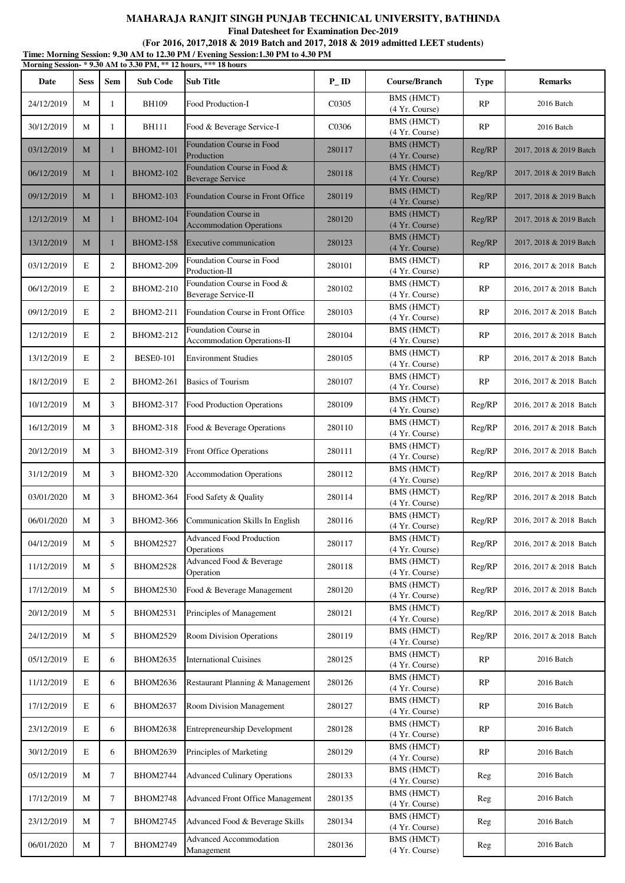**Final Datesheet for Examination Dec-2019**

**Time: Morning Session: 9.30 AM to 12.30 PM / Evening Session:1.30 PM to 4.30 PM (For 2016, 2017,2018 & 2019 Batch and 2017, 2018 & 2019 admitted LEET students)**

|            | Morning Session-*9.30 AM to 3.30 PM, ** 12 hours, *** 18 hours |                |                  |                                                         |                   |                                     |             |                         |  |  |
|------------|----------------------------------------------------------------|----------------|------------------|---------------------------------------------------------|-------------------|-------------------------------------|-------------|-------------------------|--|--|
| Date       | <b>Sess</b>                                                    | <b>Sem</b>     | <b>Sub Code</b>  | <b>Sub Title</b>                                        | $P$ <sub>ID</sub> | Course/Branch                       | <b>Type</b> | <b>Remarks</b>          |  |  |
| 24/12/2019 | М                                                              | 1              | <b>BH109</b>     | Food Production-I                                       | C0305             | <b>BMS (HMCT)</b><br>(4 Yr. Course) | RP          | 2016 Batch              |  |  |
| 30/12/2019 | М                                                              | 1              | <b>BH111</b>     | Food & Beverage Service-I                               | C0306             | <b>BMS</b> (HMCT)<br>(4 Yr. Course) | RP          | 2016 Batch              |  |  |
| 03/12/2019 | M                                                              | $\mathbf{1}$   | <b>BHOM2-101</b> | Foundation Course in Food<br>Production                 | 280117            | <b>BMS (HMCT)</b><br>(4 Yr. Course) | Reg/RP      | 2017, 2018 & 2019 Batch |  |  |
| 06/12/2019 | M                                                              | 1              | <b>BHOM2-102</b> | Foundation Course in Food &<br><b>Beverage Service</b>  | 280118            | <b>BMS (HMCT)</b><br>(4 Yr. Course) | Reg/RP      | 2017, 2018 & 2019 Batch |  |  |
| 09/12/2019 | M                                                              | $\mathbf{1}$   | <b>BHOM2-103</b> | Foundation Course in Front Office                       | 280119            | <b>BMS (HMCT)</b><br>(4 Yr. Course) | Reg/RP      | 2017, 2018 & 2019 Batch |  |  |
| 12/12/2019 | M                                                              | $\mathbf{1}$   | <b>BHOM2-104</b> | Foundation Course in<br><b>Accommodation Operations</b> | 280120            | <b>BMS (HMCT)</b><br>(4 Yr. Course) | Reg/RP      | 2017, 2018 & 2019 Batch |  |  |
| 13/12/2019 | M                                                              | 1              | <b>BHOM2-158</b> | Executive communication                                 | 280123            | <b>BMS</b> (HMCT)<br>(4 Yr. Course) | Reg/RP      | 2017, 2018 & 2019 Batch |  |  |
| 03/12/2019 | $\mathbf E$                                                    | $\mathbf{2}$   | <b>BHOM2-209</b> | Foundation Course in Food<br>Production-II              | 280101            | BMS (HMCT)<br>(4 Yr. Course)        | RP          | 2016, 2017 & 2018 Batch |  |  |
| 06/12/2019 | E                                                              | $\overline{2}$ | <b>BHOM2-210</b> | Foundation Course in Food &<br>Beverage Service-II      | 280102            | <b>BMS</b> (HMCT)<br>(4 Yr. Course) | RP          | 2016, 2017 & 2018 Batch |  |  |
| 09/12/2019 | E                                                              | $\overline{2}$ | BHOM2-211        | Foundation Course in Front Office                       | 280103            | <b>BMS (HMCT)</b><br>(4 Yr. Course) | RP          | 2016, 2017 & 2018 Batch |  |  |
| 12/12/2019 | E                                                              | $\mathfrak{2}$ | BHOM2-212        | Foundation Course in<br>Accommodation Operations-II     | 280104            | BMS (HMCT)<br>(4 Yr. Course)        | RP          | 2016, 2017 & 2018 Batch |  |  |
| 13/12/2019 | E                                                              | 2              | <b>BESE0-101</b> | <b>Environment Studies</b>                              | 280105            | BMS (HMCT)<br>(4 Yr. Course)        | RP          | 2016, 2017 & 2018 Batch |  |  |
| 18/12/2019 | E                                                              | 2              | <b>BHOM2-261</b> | <b>Basics of Tourism</b>                                | 280107            | BMS (HMCT)<br>(4 Yr. Course)        | RP          | 2016, 2017 & 2018 Batch |  |  |
| 10/12/2019 | М                                                              | 3              | BHOM2-317        | Food Production Operations                              | 280109            | <b>BMS</b> (HMCT)<br>(4 Yr. Course) | Reg/RP      | 2016, 2017 & 2018 Batch |  |  |
| 16/12/2019 | М                                                              | 3              | BHOM2-318        | Food & Beverage Operations                              | 280110            | BMS (HMCT)<br>(4 Yr. Course)        | Reg/RP      | 2016, 2017 & 2018 Batch |  |  |
| 20/12/2019 | М                                                              | 3              | BHOM2-319        | Front Office Operations                                 | 280111            | <b>BMS (HMCT)</b><br>(4 Yr. Course) | Reg/RP      | 2016, 2017 & 2018 Batch |  |  |
| 31/12/2019 | М                                                              | 3              | BHOM2-320        | <b>Accommodation Operations</b>                         | 280112            | BMS (HMCT)<br>(4 Yr. Course)        | Reg/RP      | 2016, 2017 & 2018 Batch |  |  |
| 03/01/2020 | М                                                              | 3              | BHOM2-364        | Food Safety & Quality                                   | 280114            | BMS (HMCT)<br>(4 Yr. Course)        | Reg/RP      | 2016, 2017 & 2018 Batch |  |  |
| 06/01/2020 | М                                                              | 3              | <b>BHOM2-366</b> | Communication Skills In English                         | 280116            | BMS (HMCT)<br>(4 Yr. Course)        | Reg/RP      | 2016, 2017 & 2018 Batch |  |  |
| 04/12/2019 | М                                                              | 5              | <b>BHOM2527</b>  | Advanced Food Production<br>Operations                  | 280117            | <b>BMS</b> (HMCT)<br>(4 Yr. Course) | Reg/RP      | 2016, 2017 & 2018 Batch |  |  |
| 11/12/2019 | М                                                              | 5              | <b>BHOM2528</b>  | Advanced Food & Beverage<br>Operation                   | 280118            | <b>BMS (HMCT)</b><br>(4 Yr. Course) | Reg/RP      | 2016, 2017 & 2018 Batch |  |  |
| 17/12/2019 | М                                                              | 5              | <b>BHOM2530</b>  | Food & Beverage Management                              | 280120            | <b>BMS (HMCT)</b><br>(4 Yr. Course) | Reg/RP      | 2016, 2017 & 2018 Batch |  |  |
| 20/12/2019 | М                                                              | 5              | <b>BHOM2531</b>  | Principles of Management                                | 280121            | <b>BMS</b> (HMCT)<br>(4 Yr. Course) | Reg/RP      | 2016, 2017 & 2018 Batch |  |  |
| 24/12/2019 | М                                                              | 5              | <b>BHOM2529</b>  | Room Division Operations                                | 280119            | <b>BMS</b> (HMCT)<br>(4 Yr. Course) | Reg/RP      | 2016, 2017 & 2018 Batch |  |  |
| 05/12/2019 | E                                                              | 6              | <b>BHOM2635</b>  | <b>International Cuisines</b>                           | 280125            | <b>BMS (HMCT)</b><br>(4 Yr. Course) | RP          | 2016 Batch              |  |  |
| 11/12/2019 | E                                                              | 6              | <b>BHOM2636</b>  | Restaurant Planning & Management                        | 280126            | <b>BMS (HMCT)</b><br>(4 Yr. Course) | RP          | 2016 Batch              |  |  |
| 17/12/2019 | E                                                              | 6              | <b>BHOM2637</b>  | Room Division Management                                | 280127            | BMS (HMCT)<br>(4 Yr. Course)        | RP          | 2016 Batch              |  |  |
| 23/12/2019 | E                                                              | 6              | <b>BHOM2638</b>  | <b>Entrepreneurship Development</b>                     | 280128            | <b>BMS (HMCT)</b><br>(4 Yr. Course) | RP          | 2016 Batch              |  |  |
| 30/12/2019 | E                                                              | 6              | <b>BHOM2639</b>  | Principles of Marketing                                 | 280129            | <b>BMS (HMCT)</b><br>(4 Yr. Course) | RP          | 2016 Batch              |  |  |
| 05/12/2019 | М                                                              | $\tau$         | <b>BHOM2744</b>  | <b>Advanced Culinary Operations</b>                     | 280133            | <b>BMS</b> (HMCT)<br>(4 Yr. Course) | Reg         | 2016 Batch              |  |  |
| 17/12/2019 | М                                                              | 7              | <b>BHOM2748</b>  | Advanced Front Office Management                        | 280135            | <b>BMS (HMCT)</b><br>(4 Yr. Course) | Reg         | 2016 Batch              |  |  |
| 23/12/2019 | М                                                              | $\tau$         | <b>BHOM2745</b>  | Advanced Food & Beverage Skills                         | 280134            | BMS (HMCT)<br>(4 Yr. Course)        | Reg         | 2016 Batch              |  |  |
| 06/01/2020 | M                                                              | 7              | <b>BHOM2749</b>  | Advanced Accommodation<br>Management                    | 280136            | BMS (HMCT)<br>(4 Yr. Course)        | Reg         | 2016 Batch              |  |  |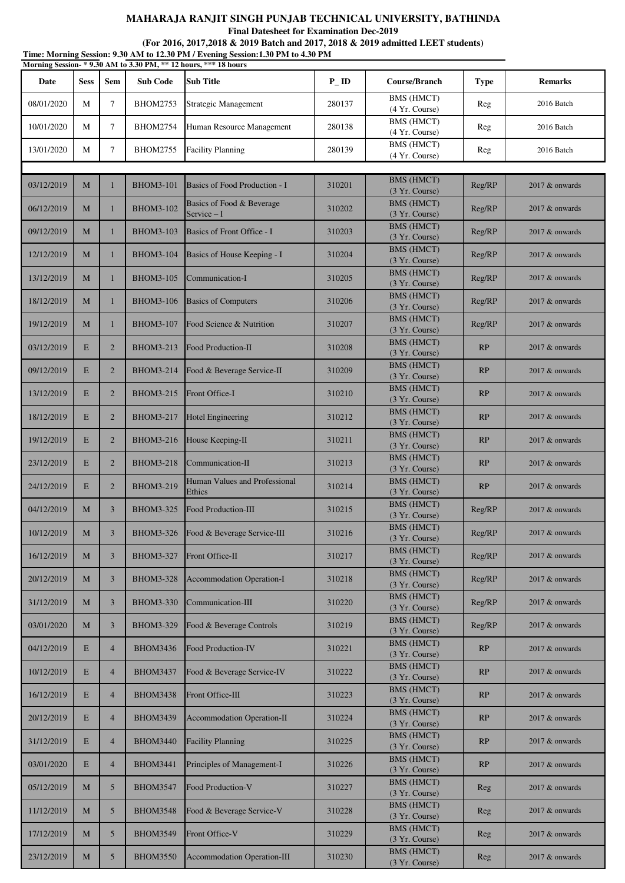**Final Datesheet for Examination Dec-2019**

| Time: Morning Session: 9.30 AM to 12.30 PM / Evening Session:1.30 PM to 4.30 PM<br>Morning Session-*9.30 AM to 3.30 PM, ** 12 hours, *** 18 hours |             |                 |                  |                                          |           |                                     |             |                  |  |  |
|---------------------------------------------------------------------------------------------------------------------------------------------------|-------------|-----------------|------------------|------------------------------------------|-----------|-------------------------------------|-------------|------------------|--|--|
| Date                                                                                                                                              | <b>Sess</b> | <b>Sem</b>      | <b>Sub Code</b>  | Sub Title                                | $P_{-}ID$ | Course/Branch                       | <b>Type</b> | <b>Remarks</b>   |  |  |
| 08/01/2020                                                                                                                                        | М           | 7               | <b>BHOM2753</b>  | Strategic Management                     | 280137    | BMS (HMCT)<br>(4 Yr. Course)        | Reg         | 2016 Batch       |  |  |
| 10/01/2020                                                                                                                                        | M           | $\tau$          | <b>BHOM2754</b>  | Human Resource Management                | 280138    | <b>BMS</b> (HMCT)<br>(4 Yr. Course) | Reg         | 2016 Batch       |  |  |
| 13/01/2020                                                                                                                                        | М           | 7               | <b>BHOM2755</b>  | <b>Facility Planning</b>                 | 280139    | BMS (HMCT)<br>(4 Yr. Course)        | Reg         | 2016 Batch       |  |  |
|                                                                                                                                                   |             |                 |                  |                                          |           |                                     |             |                  |  |  |
| 03/12/2019                                                                                                                                        | M           | $\mathbf{1}$    | <b>BHOM3-101</b> | Basics of Food Production - I            | 310201    | <b>BMS (HMCT)</b><br>(3 Yr. Course) | Reg/RP      | 2017 & onwards   |  |  |
| 06/12/2019                                                                                                                                        | M           | 1               | <b>BHOM3-102</b> | Basics of Food & Beverage<br>Service - I | 310202    | <b>BMS (HMCT)</b><br>(3 Yr. Course) | Reg/RP      | 2017 & onwards   |  |  |
| 09/12/2019                                                                                                                                        | M           | 1               | <b>BHOM3-103</b> | Basics of Front Office - I               | 310203    | <b>BMS (HMCT)</b><br>(3 Yr. Course) | Reg/RP      | 2017 & onwards   |  |  |
| 12/12/2019                                                                                                                                        | M           | 1               | <b>BHOM3-104</b> | Basics of House Keeping - I              | 310204    | <b>BMS (HMCT)</b><br>(3 Yr. Course) | Reg/RP      | 2017 & onwards   |  |  |
| 13/12/2019                                                                                                                                        | M           | 1               | <b>BHOM3-105</b> | Communication-I                          | 310205    | <b>BMS (HMCT)</b><br>(3 Yr. Course) | Reg/RP      | 2017 & onwards   |  |  |
| 18/12/2019                                                                                                                                        | M           | $\mathbf{1}$    | <b>BHOM3-106</b> | <b>Basics of Computers</b>               | 310206    | <b>BMS (HMCT)</b><br>(3 Yr. Course) | Reg/RP      | 2017 & onwards   |  |  |
| 19/12/2019                                                                                                                                        | M           | 1               | <b>BHOM3-107</b> | Food Science & Nutrition                 | 310207    | <b>BMS (HMCT)</b><br>(3 Yr. Course) | Reg/RP      | 2017 & onwards   |  |  |
| 03/12/2019                                                                                                                                        | E           | $\overline{2}$  | <b>BHOM3-213</b> | Food Production-II                       | 310208    | <b>BMS (HMCT)</b><br>(3 Yr. Course) | RP          | 2017 & onwards   |  |  |
| 09/12/2019                                                                                                                                        | E           | $\overline{2}$  | <b>BHOM3-214</b> | Food & Beverage Service-II               | 310209    | <b>BMS (HMCT)</b><br>(3 Yr. Course) | RP          | 2017 & onwards   |  |  |
| 13/12/2019                                                                                                                                        | E           | $\overline{2}$  | <b>BHOM3-215</b> | Front Office-I                           | 310210    | <b>BMS (HMCT)</b><br>(3 Yr. Course) | RP          | 2017 & onwards   |  |  |
| 18/12/2019                                                                                                                                        | E           | $\overline{2}$  | <b>BHOM3-217</b> | <b>Hotel Engineering</b>                 | 310212    | <b>BMS (HMCT)</b><br>(3 Yr. Course) | RP          | 2017 & onwards   |  |  |
| 19/12/2019                                                                                                                                        | E           | $\overline{2}$  | <b>BHOM3-216</b> | House Keeping-II                         | 310211    | <b>BMS (HMCT)</b><br>(3 Yr. Course) | RP          | 2017 & onwards   |  |  |
| 23/12/2019                                                                                                                                        | E           | $\overline{2}$  | <b>BHOM3-218</b> | Communication-II                         | 310213    | <b>BMS (HMCT)</b><br>(3 Yr. Course) | RP          | 2017 & onwards   |  |  |
| 24/12/2019                                                                                                                                        | E           | $\overline{2}$  | <b>BHOM3-219</b> | Human Values and Professional<br>Ethics  | 310214    | <b>BMS (HMCT)</b><br>(3 Yr. Course) | RP          | 2017 & onwards   |  |  |
| 04/12/2019                                                                                                                                        | M           | 3               | <b>BHOM3-325</b> | Food Production-III                      | 310215    | <b>BMS (HMCT)</b><br>(3 Yr. Course) | Reg/RP      | 2017 & onwards   |  |  |
| 10/12/2019                                                                                                                                        | M           | 3               | <b>BHOM3-326</b> | Food & Beverage Service-III              | 310216    | <b>BMS (HMCT)</b><br>(3 Yr. Course) | Reg/RP      | 2017 & onwards   |  |  |
| 16/12/2019                                                                                                                                        | M           | 3               | <b>BHOM3-327</b> | Front Office-II                          | 310217    | <b>BMS (HMCT)</b><br>(3 Yr. Course) | Reg/RP      | 2017 & onwards   |  |  |
| 20/12/2019                                                                                                                                        | M           | 3               | <b>BHOM3-328</b> | Accommodation Operation-I                | 310218    | <b>BMS (HMCT)</b><br>(3 Yr. Course) | Reg/RP      | 2017 & onwards   |  |  |
| 31/12/2019                                                                                                                                        | M           | 3               | <b>BHOM3-330</b> | Communication-III                        | 310220    | <b>BMS (HMCT)</b><br>(3 Yr. Course) | Reg/RP      | 2017 & onwards   |  |  |
| 03/01/2020                                                                                                                                        | M           | 3               | <b>BHOM3-329</b> | Food & Beverage Controls                 | 310219    | <b>BMS (HMCT)</b><br>(3 Yr. Course) | Reg/RP      | 2017 & onwards   |  |  |
| 04/12/2019                                                                                                                                        | E           | $\overline{4}$  | <b>BHOM3436</b>  | <b>Food Production-IV</b>                | 310221    | <b>BMS (HMCT)</b><br>(3 Yr. Course) | RP          | 2017 & onwards   |  |  |
| 10/12/2019                                                                                                                                        | E           | $\overline{4}$  | <b>BHOM3437</b>  | Food & Beverage Service-IV               | 310222    | <b>BMS (HMCT)</b><br>(3 Yr. Course) | RP          | 2017 & onwards   |  |  |
| 16/12/2019                                                                                                                                        | E           | $\overline{4}$  | <b>BHOM3438</b>  | Front Office-III                         | 310223    | <b>BMS (HMCT)</b><br>(3 Yr. Course) | RP          | 2017 & onwards   |  |  |
| 20/12/2019                                                                                                                                        | E           | $\overline{4}$  | <b>BHOM3439</b>  | Accommodation Operation-II               | 310224    | <b>BMS (HMCT)</b><br>(3 Yr. Course) | RP          | 2017 & onwards   |  |  |
| 31/12/2019                                                                                                                                        | E           | $\overline{4}$  | <b>BHOM3440</b>  | <b>Facility Planning</b>                 | 310225    | <b>BMS (HMCT)</b><br>(3 Yr. Course) | RP          | 2017 & onwards   |  |  |
| 03/01/2020                                                                                                                                        | $\mathbf E$ | $\overline{4}$  | <b>BHOM3441</b>  | Principles of Management-I               | 310226    | <b>BMS (HMCT)</b><br>(3 Yr. Course) | RP          | $2017$ & onwards |  |  |
| 05/12/2019                                                                                                                                        | M           | $5\overline{)}$ | <b>BHOM3547</b>  | Food Production-V                        | 310227    | <b>BMS (HMCT)</b><br>(3 Yr. Course) | Reg         | 2017 & onwards   |  |  |
| 11/12/2019                                                                                                                                        | M           | 5 <sup>5</sup>  | <b>BHOM3548</b>  | Food & Beverage Service-V                | 310228    | <b>BMS (HMCT)</b><br>(3 Yr. Course) | Reg         | $2017$ & onwards |  |  |
| 17/12/2019                                                                                                                                        | M           | 5 <sup>5</sup>  | <b>BHOM3549</b>  | Front Office-V                           | 310229    | <b>BMS</b> (HMCT)<br>(3 Yr. Course) | Reg         | $2017$ & onwards |  |  |
| 23/12/2019                                                                                                                                        | $\mathbf M$ | $\mathfrak{S}$  | <b>BHOM3550</b>  | Accommodation Operation-III              | 310230    | <b>BMS (HMCT)</b><br>(3 Yr. Course) | Reg         | $2017$ & onwards |  |  |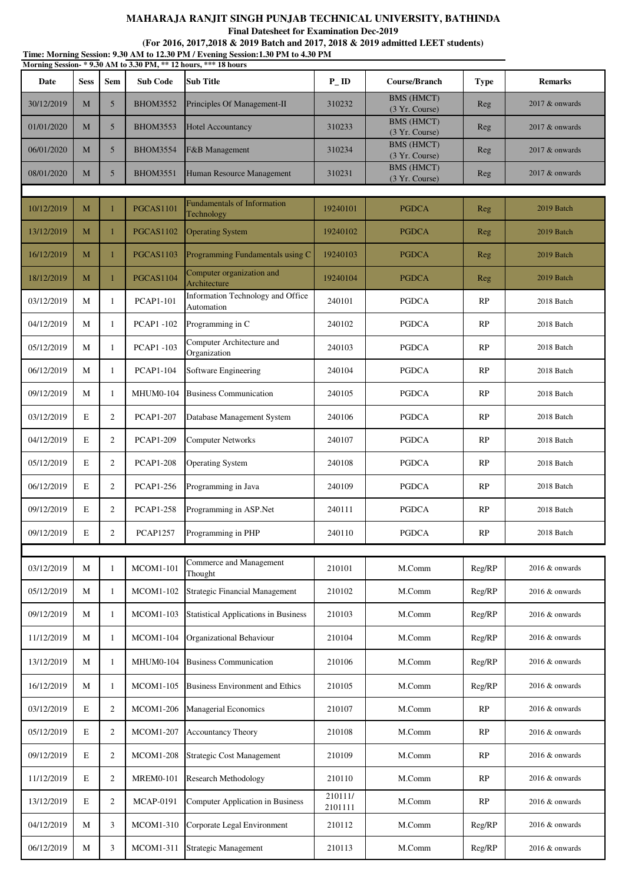**Final Datesheet for Examination Dec-2019**

| Time: Morning Session: 9.30 AM to 12.30 PM / Evening Session:1.30 PM to 4.30 PM<br>Morning Session-*9.30 AM to 3.30 PM, ** 12 hours, *** 18 hours |             |                |                  |                                                  |                    |                                     |             |                  |  |
|---------------------------------------------------------------------------------------------------------------------------------------------------|-------------|----------------|------------------|--------------------------------------------------|--------------------|-------------------------------------|-------------|------------------|--|
| Date                                                                                                                                              | <b>Sess</b> | <b>Sem</b>     | <b>Sub Code</b>  | <b>Sub Title</b>                                 | $P$ <sub>-ID</sub> | Course/Branch                       | <b>Type</b> | <b>Remarks</b>   |  |
| 30/12/2019                                                                                                                                        | M           | 5              | <b>BHOM3552</b>  | Principles Of Management-II                      | 310232             | <b>BMS</b> (HMCT)<br>(3 Yr. Course) | Reg         | 2017 & onwards   |  |
| 01/01/2020                                                                                                                                        | M           | $\mathfrak{S}$ | <b>BHOM3553</b>  | <b>Hotel Accountancy</b>                         | 310233             | <b>BMS</b> (HMCT)<br>(3 Yr. Course) | Reg         | 2017 & onwards   |  |
| 06/01/2020                                                                                                                                        | M           | 5              | <b>BHOM3554</b>  | F&B Management                                   | 310234             | <b>BMS</b> (HMCT)<br>(3 Yr. Course) | Reg         | $2017$ & onwards |  |
| 08/01/2020                                                                                                                                        | M           | 5              | <b>BHOM3551</b>  | Human Resource Management                        | 310231             | <b>BMS</b> (HMCT)<br>(3 Yr. Course) | Reg         | 2017 & onwards   |  |
|                                                                                                                                                   |             |                |                  |                                                  |                    |                                     |             |                  |  |
| 10/12/2019                                                                                                                                        | M           | 1              | <b>PGCAS1101</b> | <b>Fundamentals of Information</b><br>Technology | 19240101           | <b>PGDCA</b>                        | Reg         | 2019 Batch       |  |
| 13/12/2019                                                                                                                                        | M           | $\mathbf{1}$   | PGCAS1102        | <b>Operating System</b>                          | 19240102           | <b>PGDCA</b>                        | Reg         | 2019 Batch       |  |
| 16/12/2019                                                                                                                                        | M           | 1              | <b>PGCAS1103</b> | Programming Fundamentals using C                 | 19240103           | <b>PGDCA</b>                        | Reg         | 2019 Batch       |  |
| 18/12/2019                                                                                                                                        | M           | 1              | <b>PGCAS1104</b> | Computer organization and<br>Architecture        | 19240104           | <b>PGDCA</b>                        | Reg         | 2019 Batch       |  |
| 03/12/2019                                                                                                                                        | М           | 1              | <b>PCAP1-101</b> | Information Technology and Office<br>Automation  | 240101             | <b>PGDCA</b>                        | RP          | 2018 Batch       |  |
| 04/12/2019                                                                                                                                        | М           | 1              | <b>PCAP1-102</b> | Programming in C                                 | 240102             | <b>PGDCA</b>                        | RP          | 2018 Batch       |  |
| 05/12/2019                                                                                                                                        | М           | 1              | <b>PCAP1-103</b> | Computer Architecture and<br>Organization        | 240103             | <b>PGDCA</b>                        | RP          | 2018 Batch       |  |
| 06/12/2019                                                                                                                                        | М           | 1              | <b>PCAP1-104</b> | Software Engineering                             | 240104             | <b>PGDCA</b>                        | RP          | 2018 Batch       |  |
| 09/12/2019                                                                                                                                        | М           | 1              | MHUM0-104        | <b>Business Communication</b>                    | 240105             | <b>PGDCA</b>                        | RP          | 2018 Batch       |  |
| 03/12/2019                                                                                                                                        | E           | 2              | <b>PCAP1-207</b> | Database Management System                       | 240106             | <b>PGDCA</b>                        | RP          | 2018 Batch       |  |
| 04/12/2019                                                                                                                                        | $\mathbf E$ | 2              | <b>PCAP1-209</b> | <b>Computer Networks</b>                         | 240107             | <b>PGDCA</b>                        | RP          | 2018 Batch       |  |
| 05/12/2019                                                                                                                                        | E           | 2              | <b>PCAP1-208</b> | <b>Operating System</b>                          | 240108             | <b>PGDCA</b>                        | RP          | 2018 Batch       |  |
| 06/12/2019                                                                                                                                        | E           | 2              | <b>PCAP1-256</b> | Programming in Java                              | 240109             | <b>PGDCA</b>                        | RP          | 2018 Batch       |  |
| 09/12/2019                                                                                                                                        | E           | $\mathfrak{2}$ | <b>PCAP1-258</b> | Programming in ASP.Net                           | 240111             | <b>PGDCA</b>                        | RP          | 2018 Batch       |  |
| 09/12/2019                                                                                                                                        | E           | 2              | <b>PCAP1257</b>  | Programming in PHP                               | 240110             | <b>PGDCA</b>                        | RP          | 2018 Batch       |  |
|                                                                                                                                                   |             |                |                  | Commerce and Management                          |                    |                                     |             |                  |  |
| 03/12/2019                                                                                                                                        | М           | 1              | <b>MCOM1-101</b> | Thought                                          | 210101             | M.Comm                              | Reg/RP      | 2016 & onwards   |  |
| 05/12/2019                                                                                                                                        | М           | 1              | <b>MCOM1-102</b> | <b>Strategic Financial Management</b>            | 210102             | M.Comm                              | Reg/RP      | 2016 & onwards   |  |
| 09/12/2019                                                                                                                                        | М           | 1              | <b>MCOM1-103</b> | <b>Statistical Applications in Business</b>      | 210103             | M.Comm                              | Reg/RP      | 2016 & onwards   |  |
| 11/12/2019                                                                                                                                        | М           | 1              | <b>MCOM1-104</b> | Organizational Behaviour                         | 210104             | M.Comm                              | Reg/RP      | 2016 & onwards   |  |
| 13/12/2019                                                                                                                                        | М           | 1              | <b>MHUM0-104</b> | <b>Business Communication</b>                    | 210106             | M.Comm                              | Reg/RP      | 2016 & onwards   |  |
| 16/12/2019                                                                                                                                        | М           | 1              | <b>MCOM1-105</b> | <b>Business Environment and Ethics</b>           | 210105             | M.Comm                              | Reg/RP      | 2016 & onwards   |  |
| 03/12/2019                                                                                                                                        | E           | 2              | <b>MCOM1-206</b> | <b>Managerial Economics</b>                      | 210107             | M.Comm                              | RP          | 2016 & onwards   |  |
| 05/12/2019                                                                                                                                        | E           | 2              | <b>MCOM1-207</b> | Accountancy Theory                               | 210108             | M.Comm                              | RP          | 2016 & onwards   |  |
| 09/12/2019                                                                                                                                        | E           | 2              | <b>MCOM1-208</b> | <b>Strategic Cost Management</b>                 | 210109             | M.Comm                              | RP          | 2016 & onwards   |  |
| 11/12/2019                                                                                                                                        | E           | 2              | <b>MREM0-101</b> | <b>Research Methodology</b>                      | 210110             | M.Comm                              | RP          | 2016 & onwards   |  |
| 13/12/2019                                                                                                                                        | E           | 2              | <b>MCAP-0191</b> | Computer Application in Business                 | 210111/<br>2101111 | M.Comm                              | RP          | 2016 & onwards   |  |
| 04/12/2019                                                                                                                                        | М           | 3              | <b>MCOM1-310</b> | Corporate Legal Environment                      | 210112             | M.Comm                              | Reg/RP      | 2016 & onwards   |  |
| 06/12/2019                                                                                                                                        | M           | 3              | MCOM1-311        | Strategic Management                             | 210113             | M.Comm                              | Reg/RP      | 2016 & onwards   |  |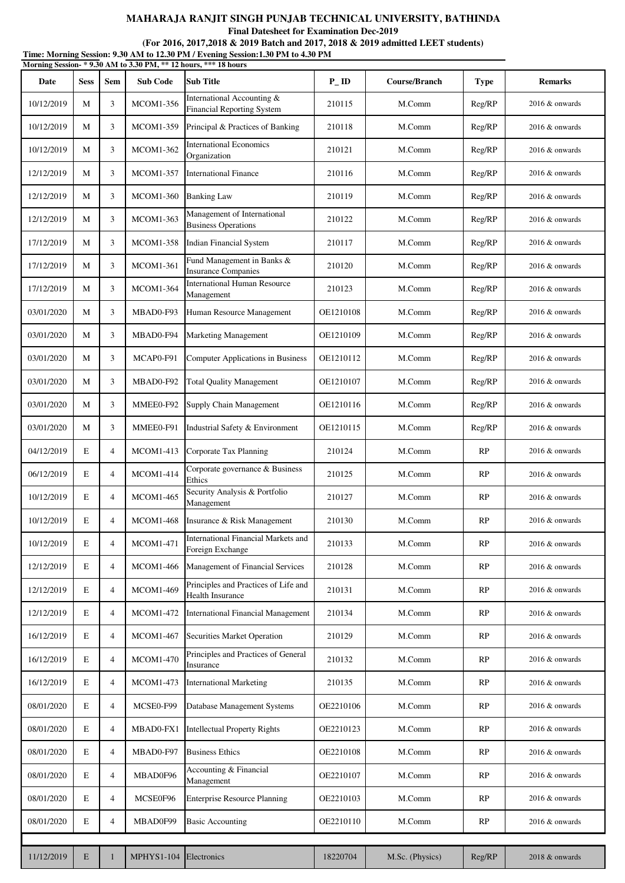**Final Datesheet for Examination Dec-2019**

**Time: Morning Session: 9.30 AM to 12.30 PM / Evening Session:1.30 PM to 4.30 PM (For 2016, 2017,2018 & 2019 Batch and 2017, 2018 & 2019 admitted LEET students)**

|            |             |                |                   | Morning Session-*9.30 AM to 3.30 PM, ** 12 hours, *** 18 hours  |           |                      |             |                   |
|------------|-------------|----------------|-------------------|-----------------------------------------------------------------|-----------|----------------------|-------------|-------------------|
| Date       | <b>Sess</b> | <b>Sem</b>     | <b>Sub Code</b>   | <b>Sub Title</b>                                                | $P_{-}ID$ | <b>Course/Branch</b> | <b>Type</b> | <b>Remarks</b>    |
| 10/12/2019 | M           | 3              | MCOM1-356         | International Accounting &<br>Financial Reporting System        | 210115    | M.Comm               | Reg/RP      | $2016 \&$ onwards |
| 10/12/2019 | M           | 3              | <b>MCOM1-359</b>  | Principal & Practices of Banking                                | 210118    | M.Comm               | Reg/RP      | 2016 & onwards    |
| 10/12/2019 | M           | 3              | <b>MCOM1-362</b>  | <b>International Economics</b><br>Organization                  | 210121    | M.Comm               | Reg/RP      | $2016 \&$ onwards |
| 12/12/2019 | M           | 3              | <b>MCOM1-357</b>  | <b>International Finance</b>                                    | 210116    | M.Comm               | Reg/RP      | 2016 & onwards    |
| 12/12/2019 | M           | 3              | <b>MCOM1-360</b>  | <b>Banking Law</b>                                              | 210119    | M.Comm               | Reg/RP      | 2016 & onwards    |
| 12/12/2019 | M           | 3              | <b>MCOM1-363</b>  | Management of International<br><b>Business Operations</b>       | 210122    | M.Comm               | Reg/RP      | 2016 & onwards    |
| 17/12/2019 | M           | 3              | <b>MCOM1-358</b>  | Indian Financial System                                         | 210117    | M.Comm               | Reg/RP      | $2016 \&$ onwards |
| 17/12/2019 | M           | 3              | MCOM1-361         | Fund Management in Banks &<br><b>Insurance Companies</b>        | 210120    | M.Comm               | Reg/RP      | 2016 & onwards    |
| 17/12/2019 | M           | 3              | <b>MCOM1-364</b>  | <b>International Human Resource</b><br>Management               | 210123    | M.Comm               | Reg/RP      | 2016 & onwards    |
| 03/01/2020 | M           | 3              | MBAD0-F93         | Human Resource Management                                       | OE1210108 | M.Comm               | Reg/RP      | 2016 & onwards    |
| 03/01/2020 | M           | 3              | MBAD0-F94         | <b>Marketing Management</b>                                     | OE1210109 | M.Comm               | Reg/RP      | 2016 & onwards    |
| 03/01/2020 | M           | 3              | MCAP0-F91         | Computer Applications in Business                               | OE1210112 | M.Comm               | Reg/RP      | 2016 & onwards    |
| 03/01/2020 | M           | 3              | MBAD0-F92         | <b>Total Quality Management</b>                                 | OE1210107 | M.Comm               | Reg/RP      | 2016 & onwards    |
| 03/01/2020 | M           | 3              | MMEE0-F92         | <b>Supply Chain Management</b>                                  | OE1210116 | M.Comm               | Reg/RP      | $2016 \&$ onwards |
| 03/01/2020 | M           | 3              | MMEE0-F91         | Industrial Safety & Environment                                 | OE1210115 | M.Comm               | Reg/RP      | $2016 \&$ onwards |
| 04/12/2019 | E           | $\overline{4}$ | MCOM1-413         | Corporate Tax Planning                                          | 210124    | M.Comm               | RP          | $2016 \&$ onwards |
| 06/12/2019 | E           | $\overline{4}$ | <b>MCOM1-414</b>  | Corporate governance & Business<br>Ethics                       | 210125    | M.Comm               | RP          | 2016 & onwards    |
| 10/12/2019 | E           | $\overline{4}$ | <b>MCOM1-465</b>  | Security Analysis & Portfolio<br>Management                     | 210127    | M.Comm               | RP          | 2016 & onwards    |
| 10/12/2019 | E           | $\overline{4}$ | <b>MCOM1-468</b>  | Insurance & Risk Management                                     | 210130    | M.Comm               | RP          | $2016 \&$ onwards |
| 10/12/2019 | E           | $\overline{4}$ | <b>MCOM1-471</b>  | International Financial Markets and<br>Foreign Exchange         | 210133    | M.Comm               | RP          | 2016 & onwards    |
| 12/12/2019 | E           | $\overline{4}$ | <b>MCOM1-466</b>  | Management of Financial Services                                | 210128    | M.Comm               | RP          | 2016 & onwards    |
| 12/12/2019 | E           | $\overline{4}$ | <b>MCOM1-469</b>  | Principles and Practices of Life and<br><b>Health Insurance</b> | 210131    | M.Comm               | RP          | 2016 & onwards    |
| 12/12/2019 | E           | $\overline{4}$ | <b>MCOM1-472</b>  | <b>International Financial Management</b>                       | 210134    | M.Comm               | RP          | 2016 & onwards    |
| 16/12/2019 | E           | $\overline{4}$ | <b>MCOM1-467</b>  | Securities Market Operation                                     | 210129    | M.Comm               | RP          | 2016 & onwards    |
| 16/12/2019 | E           | $\overline{4}$ | <b>MCOM1-470</b>  | Principles and Practices of General<br>Insurance                | 210132    | M.Comm               | RP          | 2016 & onwards    |
| 16/12/2019 | E           | $\overline{4}$ | MCOM1-473         | <b>International Marketing</b>                                  | 210135    | M.Comm               | RP          | 2016 & onwards    |
| 08/01/2020 | E           | $\overline{4}$ | MCSE0-F99         | Database Management Systems                                     | OE2210106 | M.Comm               | RP          | 2016 & onwards    |
| 08/01/2020 | E           | $\overline{4}$ | MBAD0-FX1         | <b>Intellectual Property Rights</b>                             | OE2210123 | M.Comm               | RP          | 2016 & onwards    |
| 08/01/2020 | E           | $\overline{4}$ | MBAD0-F97         | <b>Business Ethics</b>                                          | OE2210108 | M.Comm               | RP          | $2016 \&$ onwards |
| 08/01/2020 | E           | $\overline{4}$ | MBAD0F96          | Accounting & Financial<br>Management                            | OE2210107 | M.Comm               | RP          | 2016 & onwards    |
| 08/01/2020 | E           | $\overline{4}$ | MCSE0F96          | <b>Enterprise Resource Planning</b>                             | OE2210103 | M.Comm               | RP          | 2016 & onwards    |
| 08/01/2020 | E           | $\overline{4}$ | MBAD0F99          | <b>Basic Accounting</b>                                         | OE2210110 | M.Comm               | RP          | 2016 & onwards    |
|            |             |                |                   |                                                                 |           |                      |             |                   |
| 11/12/2019 | $\mathbf E$ | $\mathbf{1}$   | <b>MPHYS1-104</b> | Electronics                                                     | 18220704  | M.Sc. (Physics)      | Reg/RP      | 2018 & onwards    |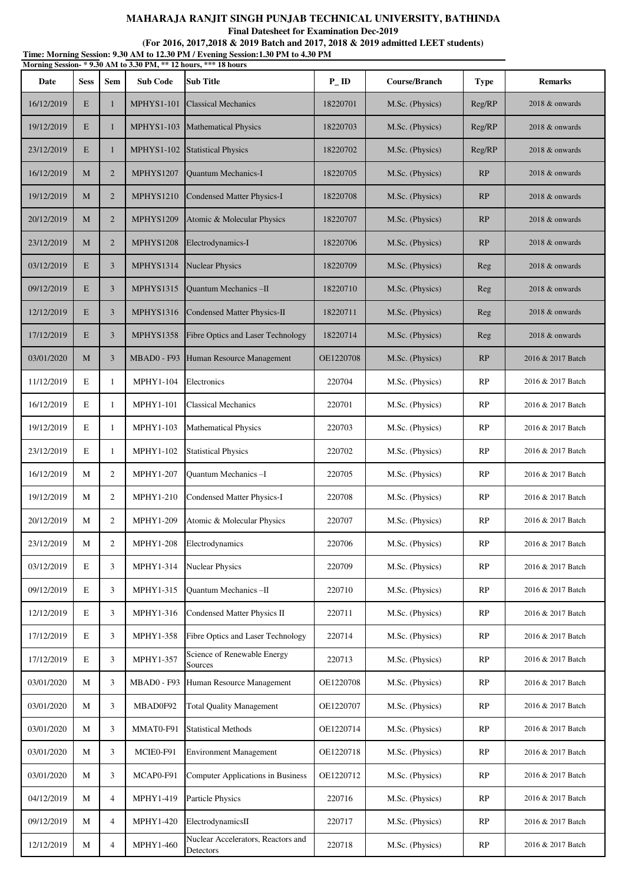|            |             |                |                    | MAHARAJA RANJIT SINGH PUNJAB TECHNICAL UNIVERSITY, BATHINDA<br><b>Final Datesheet for Examination Dec-2019</b><br>(For 2016, 2017, 2018 & 2019 Batch and 2017, 2018 & 2019 admitted LEET students) |           |                      |             |                   |
|------------|-------------|----------------|--------------------|----------------------------------------------------------------------------------------------------------------------------------------------------------------------------------------------------|-----------|----------------------|-------------|-------------------|
|            |             |                |                    | Time: Morning Session: 9.30 AM to 12.30 PM / Evening Session: 1.30 PM to 4.30 PM<br>Morning Session-*9.30 AM to 3.30 PM, ** 12 hours, *** 18 hours                                                 |           |                      |             |                   |
| Date       | <b>Sess</b> | <b>Sem</b>     | <b>Sub Code</b>    | <b>Sub Title</b>                                                                                                                                                                                   | $P_{-}ID$ | <b>Course/Branch</b> | <b>Type</b> | <b>Remarks</b>    |
| 16/12/2019 | E           | 1              | <b>MPHYS1-101</b>  | <b>Classical Mechanics</b>                                                                                                                                                                         | 18220701  | M.Sc. (Physics)      | Reg/RP      | 2018 & onwards    |
| 19/12/2019 | E           | $\mathbf{1}$   | <b>MPHYS1-103</b>  | <b>Mathematical Physics</b>                                                                                                                                                                        | 18220703  | M.Sc. (Physics)      | Reg/RP      | 2018 & onwards    |
| 23/12/2019 | E           | 1              | <b>MPHYS1-102</b>  | <b>Statistical Physics</b>                                                                                                                                                                         | 18220702  | M.Sc. (Physics)      | Reg/RP      | 2018 & onwards    |
| 16/12/2019 | M           | $\overline{2}$ | <b>MPHYS1207</b>   | Quantum Mechanics-I                                                                                                                                                                                | 18220705  | M.Sc. (Physics)      | RP          | 2018 & onwards    |
| 19/12/2019 | M           | $\overline{2}$ | <b>MPHYS1210</b>   | <b>Condensed Matter Physics-I</b>                                                                                                                                                                  | 18220708  | M.Sc. (Physics)      | RP          | 2018 & onwards    |
| 20/12/2019 | M           | $\overline{2}$ | <b>MPHYS1209</b>   | Atomic & Molecular Physics                                                                                                                                                                         | 18220707  | M.Sc. (Physics)      | RP          | 2018 & onwards    |
| 23/12/2019 | M           | $\overline{2}$ | <b>MPHYS1208</b>   | Electrodynamics-I                                                                                                                                                                                  | 18220706  | M.Sc. (Physics)      | RP          | 2018 & onwards    |
| 03/12/2019 | E           | $\overline{3}$ | MPHYS1314          | <b>Nuclear Physics</b>                                                                                                                                                                             | 18220709  | M.Sc. (Physics)      | Reg         | 2018 & onwards    |
| 09/12/2019 | E           | $\overline{3}$ | <b>MPHYS1315</b>   | <b>Ouantum Mechanics-II</b>                                                                                                                                                                        | 18220710  | M.Sc. (Physics)      | Reg         | 2018 & onwards    |
| 12/12/2019 | E           | $\overline{3}$ | <b>MPHYS1316</b>   | Condensed Matter Physics-II                                                                                                                                                                        | 18220711  | M.Sc. (Physics)      | Reg         | 2018 & onwards    |
| 17/12/2019 | E           | 3              | <b>MPHYS1358</b>   | Fibre Optics and Laser Technology                                                                                                                                                                  | 18220714  | M.Sc. (Physics)      | Reg         | 2018 & onwards    |
| 03/01/2020 | M           | $\overline{3}$ | <b>MBAD0 - F93</b> | Human Resource Management                                                                                                                                                                          | OE1220708 | M.Sc. (Physics)      | RP          | 2016 & 2017 Batch |
| 11/12/2019 | E           | $\mathbf{1}$   | <b>MPHY1-104</b>   | Electronics                                                                                                                                                                                        | 220704    | M.Sc. (Physics)      | RP          | 2016 & 2017 Batch |
| 16/12/2019 | E           | 1              | <b>MPHY1-101</b>   | <b>Classical Mechanics</b>                                                                                                                                                                         | 220701    | M.Sc. (Physics)      | RP          | 2016 & 2017 Batch |
| 19/12/2019 | E           | 1              | <b>MPHY1-103</b>   | <b>Mathematical Physics</b>                                                                                                                                                                        | 220703    | M.Sc. (Physics)      | RP          | 2016 & 2017 Batch |
| 23/12/2019 | E           | 1              | MPHY1-102          | <b>Statistical Physics</b>                                                                                                                                                                         | 220702    | M.Sc. (Physics)      | RP          | 2016 & 2017 Batch |
| 16/12/2019 | М           | $\overline{2}$ | <b>MPHY1-207</b>   | Quantum Mechanics-I                                                                                                                                                                                | 220705    | M.Sc. (Physics)      | RP          | 2016 & 2017 Batch |
| 19/12/2019 | М           | $\overline{2}$ | MPHY1-210          | <b>Condensed Matter Physics-I</b>                                                                                                                                                                  | 220708    | M.Sc. (Physics)      | RP          | 2016 & 2017 Batch |
| 20/12/2019 | М           | $\overline{2}$ | MPHY1-209          | Atomic & Molecular Physics                                                                                                                                                                         | 220707    | M.Sc. (Physics)      | RP          | 2016 & 2017 Batch |
| 23/12/2019 | М           | $\overline{2}$ | <b>MPHY1-208</b>   | Electrodynamics                                                                                                                                                                                    | 220706    | M.Sc. (Physics)      | RP          | 2016 & 2017 Batch |
| 03/12/2019 | $\mathbf E$ | 3              | MPHY1-314          | <b>Nuclear Physics</b>                                                                                                                                                                             | 220709    | M.Sc. (Physics)      | RP          | 2016 & 2017 Batch |
| 09/12/2019 | $\mathbf E$ | 3              | MPHY1-315          | Quantum Mechanics-II                                                                                                                                                                               | 220710    | M.Sc. (Physics)      | RP          | 2016 & 2017 Batch |

12/12/2019 | E 3 | MPHY1-316 Condensed Matter Physics II | 220711 | M.Sc. (Physics) | RP | 2016 & 2017 Batch

17/12/2019 E 3 MPHY1-358 Fibre Optics and Laser Technology 220714 M.Sc. (Physics) RP 2016 & 2017 Batch

03/01/2020 M 3 MBAD0 - F93 Human Resource Management OE1220708 M.Sc. (Physics) RP 2016 & 2017 Batch

03/01/2020 M 3 MBAD0F92 Total Quality Management OE1220707 M.Sc. (Physics) RP 2016 & 2017 Batch

03/01/2020 M 3 MMAT0-F91 Statistical Methods OE1220714 M.Sc. (Physics) RP 2016 & 2017 Batch

03/01/2020 M 3 MCIE0-F91 Environment Management 0E1220718 M.Sc. (Physics) RP 2016 & 2017 Batch

03/01/2020 M 3 MCAP0-F91 Computer Applications in Business OE1220712 M.Sc. (Physics) RP 2016 & 2017 Batch

04/12/2019 M 4 MPHY1-419 Particle Physics 220716 M.Sc. (Physics) RP 2016 & 2017 Batch

09/12/2019 M 4 MPHY1-420 ElectrodynamicsII 220717 M.Sc. (Physics) RP 2016 & 2017 Batch

Sources 2016 & 2017 Batch<br>Sources 2017 Batch

Procedure Procedured Accelerations, receiver stated and 220718 M.Sc. (Physics) RP 2016 & 2017 Batch

17/12/2019 E 3 MPHY1-357 Science of Renewable Energy

12/12/2019 M 4 MPHY1-460 Nuclear Accelerators, Reactors and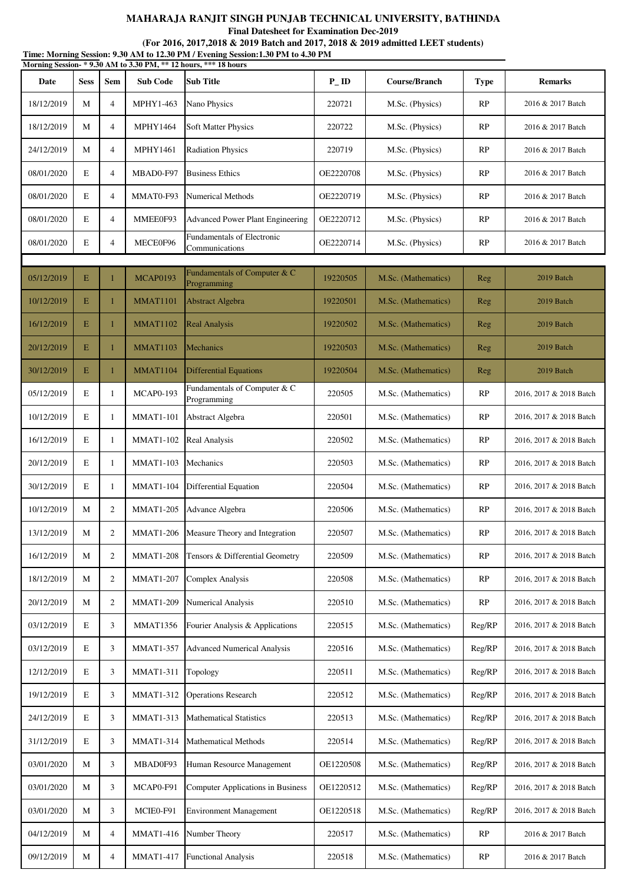**Final Datesheet for Examination Dec-2019**

| Time: Morning Session: 9.30 AM to 12.30 PM / Evening Session: 1.30 PM to 4.30 PM<br>Morning Session-*9.30 AM to 3.30 PM, ** 12 hours, *** 18 hours |             |                |                  |                                              |                   |                     |             |                         |  |
|----------------------------------------------------------------------------------------------------------------------------------------------------|-------------|----------------|------------------|----------------------------------------------|-------------------|---------------------|-------------|-------------------------|--|
| Date                                                                                                                                               | <b>Sess</b> | <b>Sem</b>     | <b>Sub Code</b>  | <b>Sub Title</b>                             | $P$ <sub>ID</sub> | Course/Branch       | <b>Type</b> | <b>Remarks</b>          |  |
| 18/12/2019                                                                                                                                         | M           | $\overline{4}$ | MPHY1-463        | Nano Physics                                 | 220721            | M.Sc. (Physics)     | RP          | 2016 & 2017 Batch       |  |
| 18/12/2019                                                                                                                                         | M           | $\overline{4}$ | <b>MPHY1464</b>  | Soft Matter Physics                          | 220722            | M.Sc. (Physics)     | RP          | 2016 & 2017 Batch       |  |
| 24/12/2019                                                                                                                                         | M           | $\overline{4}$ | <b>MPHY1461</b>  | <b>Radiation Physics</b>                     | 220719            | M.Sc. (Physics)     | RP          | 2016 & 2017 Batch       |  |
| 08/01/2020                                                                                                                                         | E           | $\overline{4}$ | MBAD0-F97        | <b>Business Ethics</b>                       | OE2220708         | M.Sc. (Physics)     | RP          | 2016 & 2017 Batch       |  |
| 08/01/2020                                                                                                                                         | E           | $\overline{4}$ | MMAT0-F93        | <b>Numerical Methods</b>                     | OE2220719         | M.Sc. (Physics)     | RP          | 2016 & 2017 Batch       |  |
| 08/01/2020                                                                                                                                         | E           | $\overline{4}$ | MMEE0F93         | <b>Advanced Power Plant Engineering</b>      | OE2220712         | M.Sc. (Physics)     | RP          | 2016 & 2017 Batch       |  |
| 08/01/2020                                                                                                                                         | E           | $\overline{4}$ | MECE0F96         | Fundamentals of Electronic<br>Communications | OE2220714         | M.Sc. (Physics)     | RP          | 2016 & 2017 Batch       |  |
|                                                                                                                                                    |             |                |                  |                                              |                   |                     |             |                         |  |
| 05/12/2019                                                                                                                                         | E           | $\mathbf{1}$   | <b>MCAP0193</b>  | Fundamentals of Computer & C<br>Programming  | 19220505          | M.Sc. (Mathematics) | Reg         | 2019 Batch              |  |
| 10/12/2019                                                                                                                                         | E           | 1              | <b>MMAT1101</b>  | <b>Abstract Algebra</b>                      | 19220501          | M.Sc. (Mathematics) | Reg         | 2019 Batch              |  |
| 16/12/2019                                                                                                                                         | Ε           | 1              | <b>MMAT1102</b>  | <b>Real Analysis</b>                         | 19220502          | M.Sc. (Mathematics) | Reg         | 2019 Batch              |  |
| 20/12/2019                                                                                                                                         | Е           | $\mathbf{1}$   | <b>MMAT1103</b>  | Mechanics                                    | 19220503          | M.Sc. (Mathematics) | Reg         | 2019 Batch              |  |
| 30/12/2019                                                                                                                                         | E           | 1              | MMAT1104         | <b>Differential Equations</b>                | 19220504          | M.Sc. (Mathematics) | Reg         | 2019 Batch              |  |
| 05/12/2019                                                                                                                                         | E           | 1              | <b>MCAP0-193</b> | Fundamentals of Computer & C<br>Programming  | 220505            | M.Sc. (Mathematics) | RP          | 2016, 2017 & 2018 Batch |  |
| 10/12/2019                                                                                                                                         | E           | 1              | <b>MMAT1-101</b> | Abstract Algebra                             | 220501            | M.Sc. (Mathematics) | RP          | 2016, 2017 & 2018 Batch |  |
| 16/12/2019                                                                                                                                         | E           | 1              | <b>MMAT1-102</b> | Real Analysis                                | 220502            | M.Sc. (Mathematics) | RP          | 2016, 2017 & 2018 Batch |  |
| 20/12/2019                                                                                                                                         | E           | -1             | <b>MMAT1-103</b> | Mechanics                                    | 220503            | M.Sc. (Mathematics) | RP          | 2016, 2017 & 2018 Batch |  |
| 30/12/2019                                                                                                                                         | E           | 1              | <b>MMAT1-104</b> | <b>Differential Equation</b>                 | 220504            | M.Sc. (Mathematics) | RP          | 2016, 2017 & 2018 Batch |  |
| 10/12/2019                                                                                                                                         | M           | 2              | <b>MMAT1-205</b> | Advance Algebra                              | 220506            | M.Sc. (Mathematics) | RP          | 2016, 2017 & 2018 Batch |  |
| 13/12/2019                                                                                                                                         | M           | 2              | <b>MMAT1-206</b> | Measure Theory and Integration               | 220507            | M.Sc. (Mathematics) | RP          | 2016, 2017 & 2018 Batch |  |
| 16/12/2019                                                                                                                                         | M           | $\overline{2}$ | <b>MMAT1-208</b> | Tensors & Differential Geometry              | 220509            | M.Sc. (Mathematics) | RP          | 2016, 2017 & 2018 Batch |  |
| 18/12/2019                                                                                                                                         | M           | $\overline{2}$ | <b>MMAT1-207</b> | Complex Analysis                             | 220508            | M.Sc. (Mathematics) | RP          | 2016, 2017 & 2018 Batch |  |
| 20/12/2019                                                                                                                                         | M           | $\overline{2}$ | <b>MMAT1-209</b> | Numerical Analysis                           | 220510            | M.Sc. (Mathematics) | RP          | 2016, 2017 & 2018 Batch |  |
| 03/12/2019                                                                                                                                         | E           | 3              | <b>MMAT1356</b>  | Fourier Analysis & Applications              | 220515            | M.Sc. (Mathematics) | Reg/RP      | 2016, 2017 & 2018 Batch |  |
| 03/12/2019                                                                                                                                         | E           | 3              | <b>MMAT1-357</b> | <b>Advanced Numerical Analysis</b>           | 220516            | M.Sc. (Mathematics) | Reg/RP      | 2016, 2017 & 2018 Batch |  |
| 12/12/2019                                                                                                                                         | E           | 3              | <b>MMAT1-311</b> | Topology                                     | 220511            | M.Sc. (Mathematics) | Reg/RP      | 2016, 2017 & 2018 Batch |  |
| 19/12/2019                                                                                                                                         | E           | 3              | <b>MMAT1-312</b> | <b>Operations Research</b>                   | 220512            | M.Sc. (Mathematics) | Reg/RP      | 2016, 2017 & 2018 Batch |  |
| 24/12/2019                                                                                                                                         | E           | 3              | <b>MMAT1-313</b> | <b>Mathematical Statistics</b>               | 220513            | M.Sc. (Mathematics) | Reg/RP      | 2016, 2017 & 2018 Batch |  |
| 31/12/2019                                                                                                                                         | E           | 3              | <b>MMAT1-314</b> | <b>Mathematical Methods</b>                  | 220514            | M.Sc. (Mathematics) | Reg/RP      | 2016, 2017 & 2018 Batch |  |
| 03/01/2020                                                                                                                                         | M           | 3              | MBAD0F93         | Human Resource Management                    | OE1220508         | M.Sc. (Mathematics) | Reg/RP      | 2016, 2017 & 2018 Batch |  |
| 03/01/2020                                                                                                                                         | M           | 3              | MCAP0-F91        | Computer Applications in Business            | OE1220512         | M.Sc. (Mathematics) | Reg/RP      | 2016, 2017 & 2018 Batch |  |
| 03/01/2020                                                                                                                                         | M           | 3              | MCIE0-F91        | <b>Environment Management</b>                | OE1220518         | M.Sc. (Mathematics) | Reg/RP      | 2016, 2017 & 2018 Batch |  |
| 04/12/2019                                                                                                                                         | M           | $\overline{4}$ | <b>MMAT1-416</b> | Number Theory                                | 220517            | M.Sc. (Mathematics) | RP          | 2016 & 2017 Batch       |  |
| 09/12/2019                                                                                                                                         | M           | $\overline{4}$ | <b>MMAT1-417</b> | <b>Functional Analysis</b>                   | 220518            | M.Sc. (Mathematics) | RP          | 2016 & 2017 Batch       |  |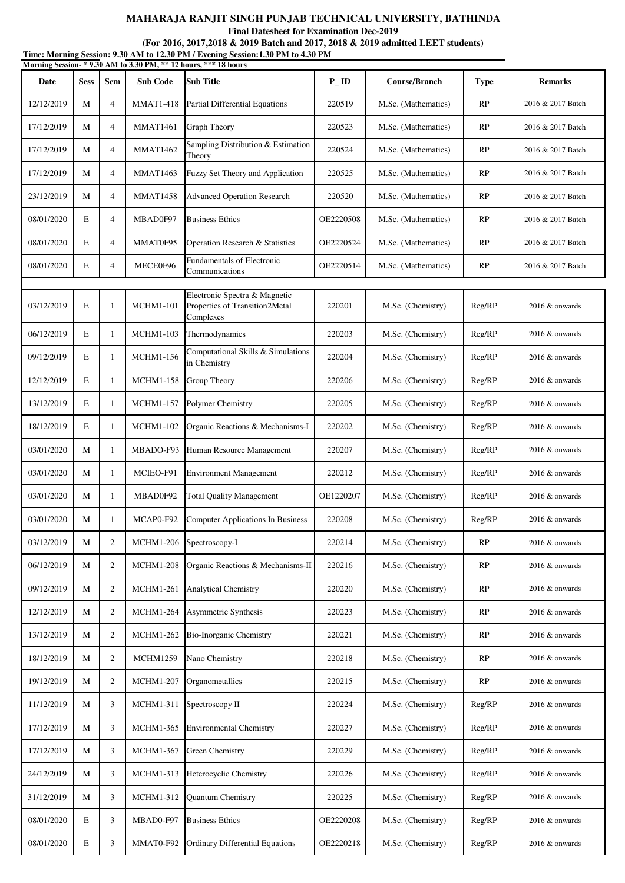**Final Datesheet for Examination Dec-2019**

# **(For 2016, 2017,2018 & 2019 Batch and 2017, 2018 & 2019 admitted LEET students)**

**Time: Morning Session: 9.30 AM to 12.30 PM / Evening Session:1.30 PM to 4.30 PM Morning Session- \* 9.30 AM to 3.30 PM, \*\* 12 hours, \*\*\* 18 hours**

| Date       | <b>Sess</b> | <b>Sem</b>     | <b>Sub Code</b>  | INTO THIS SESSION- $\cdot$ 9.30 AM to 3.30 FM, $\cdot\cdot$ 12 hours, $\cdot\cdot\cdot$ to hours<br><b>Sub Title</b> | $P_{-}ID$ | Course/Branch       | <b>Type</b> | <b>Remarks</b>    |
|------------|-------------|----------------|------------------|----------------------------------------------------------------------------------------------------------------------|-----------|---------------------|-------------|-------------------|
| 12/12/2019 | M           | $\overline{4}$ | <b>MMAT1-418</b> | <b>Partial Differential Equations</b>                                                                                | 220519    | M.Sc. (Mathematics) | RP          | 2016 & 2017 Batch |
| 17/12/2019 | M           | $\overline{4}$ | <b>MMAT1461</b>  | Graph Theory                                                                                                         | 220523    | M.Sc. (Mathematics) | RP          | 2016 & 2017 Batch |
| 17/12/2019 | M           | $\overline{4}$ | <b>MMAT1462</b>  | Sampling Distribution & Estimation<br>Theory                                                                         | 220524    | M.Sc. (Mathematics) | RP          | 2016 & 2017 Batch |
| 17/12/2019 | M           | $\overline{4}$ | <b>MMAT1463</b>  | Fuzzy Set Theory and Application                                                                                     | 220525    | M.Sc. (Mathematics) | RP          | 2016 & 2017 Batch |
| 23/12/2019 | M           | $\overline{4}$ | <b>MMAT1458</b>  | <b>Advanced Operation Research</b>                                                                                   | 220520    | M.Sc. (Mathematics) | RP          | 2016 & 2017 Batch |
| 08/01/2020 | E           | $\overline{4}$ | MBAD0F97         | <b>Business Ethics</b>                                                                                               | OE2220508 | M.Sc. (Mathematics) | RP          | 2016 & 2017 Batch |
| 08/01/2020 | E           | $\overline{4}$ | MMAT0F95         | Operation Research & Statistics                                                                                      | OE2220524 | M.Sc. (Mathematics) | RP          | 2016 & 2017 Batch |
| 08/01/2020 | E           | $\overline{4}$ | MECE0F96         | Fundamentals of Electronic<br>Communications                                                                         | OE2220514 | M.Sc. (Mathematics) | RP          | 2016 & 2017 Batch |
|            |             |                |                  |                                                                                                                      |           |                     |             |                   |
| 03/12/2019 | E           | 1              | <b>MCHM1-101</b> | Electronic Spectra & Magnetic<br>Properties of Transition2Metal<br>Complexes                                         | 220201    | M.Sc. (Chemistry)   | Reg/RP      | $2016 \&$ onwards |
| 06/12/2019 | E           | 1              | <b>MCHM1-103</b> | Thermodynamics                                                                                                       | 220203    | M.Sc. (Chemistry)   | Reg/RP      | $2016 \&$ onwards |
| 09/12/2019 | E           | 1              | <b>MCHM1-156</b> | Computational Skills & Simulations<br>in Chemistry                                                                   | 220204    | M.Sc. (Chemistry)   | Reg/RP      | $2016 \&$ onwards |
| 12/12/2019 | E           | 1              | <b>MCHM1-158</b> | Group Theory                                                                                                         | 220206    | M.Sc. (Chemistry)   | Reg/RP      | $2016 \&$ onwards |
| 13/12/2019 | E           | $\mathbf{1}$   | <b>MCHM1-157</b> | Polymer Chemistry                                                                                                    | 220205    | M.Sc. (Chemistry)   | Reg/RP      | $2016 \&$ onwards |
| 18/12/2019 | E           | 1              | <b>MCHM1-102</b> | Organic Reactions & Mechanisms-I                                                                                     | 220202    | M.Sc. (Chemistry)   | Reg/RP      | 2016 & onwards    |
| 03/01/2020 | M           | 1              | MBADO-F93        | Human Resource Management                                                                                            | 220207    | M.Sc. (Chemistry)   | Reg/RP      | $2016 \&$ onwards |
| 03/01/2020 | M           | 1              | MCIEO-F91        | <b>Environment Management</b>                                                                                        | 220212    | M.Sc. (Chemistry)   | Reg/RP      | 2016 & onwards    |
| 03/01/2020 | M           | 1              | MBAD0F92         | <b>Total Quality Management</b>                                                                                      | OE1220207 | M.Sc. (Chemistry)   | Reg/RP      | $2016 \&$ onwards |
| 03/01/2020 | M           | 1              | MCAP0-F92        | <b>Computer Applications In Business</b>                                                                             | 220208    | M.Sc. (Chemistry)   | Reg/RP      | $2016 \&$ onwards |
| 03/12/2019 | M           | $\overline{c}$ | <b>MCHM1-206</b> | Spectroscopy-I                                                                                                       | 220214    | M.Sc. (Chemistry)   | RP          | 2016 & onwards    |
| 06/12/2019 | M           | $\mathbf{2}$   | <b>MCHM1-208</b> | Organic Reactions & Mechanisms-II                                                                                    | 220216    | M.Sc. (Chemistry)   | RP          | $2016 \&$ onwards |
| 09/12/2019 | M           | $\overline{2}$ | <b>MCHM1-261</b> | <b>Analytical Chemistry</b>                                                                                          | 220220    | M.Sc. (Chemistry)   | RP          | 2016 & onwards    |
| 12/12/2019 | M           | $\overline{2}$ | <b>MCHM1-264</b> | Asymmetric Synthesis                                                                                                 | 220223    | M.Sc. (Chemistry)   | RP          | 2016 & onwards    |
| 13/12/2019 | M           | $\overline{2}$ | <b>MCHM1-262</b> | Bio-Inorganic Chemistry                                                                                              | 220221    | M.Sc. (Chemistry)   | RP          | 2016 & onwards    |
| 18/12/2019 | M           | $\overline{2}$ | <b>MCHM1259</b>  | Nano Chemistry                                                                                                       | 220218    | M.Sc. (Chemistry)   | RP          | $2016 \&$ onwards |
| 19/12/2019 | M           | $\overline{2}$ | <b>MCHM1-207</b> | Organometallics                                                                                                      | 220215    | M.Sc. (Chemistry)   | RP          | $2016 \&$ onwards |
| 11/12/2019 | M           | 3              | <b>MCHM1-311</b> | Spectroscopy II                                                                                                      | 220224    | M.Sc. (Chemistry)   | Reg/RP      | $2016 \&$ onwards |
| 17/12/2019 | M           | 3              | <b>MCHM1-365</b> | <b>Environmental Chemistry</b>                                                                                       | 220227    | M.Sc. (Chemistry)   | Reg/RP      | $2016 \&$ onwards |
| 17/12/2019 | M           | 3              | <b>MCHM1-367</b> | Green Chemistry                                                                                                      | 220229    | M.Sc. (Chemistry)   | Reg/RP      | $2016 \&$ onwards |
| 24/12/2019 | M           | 3              | MCHM1-313        | Heterocyclic Chemistry                                                                                               | 220226    | M.Sc. (Chemistry)   | Reg/RP      | $2016 \&$ onwards |
| 31/12/2019 | M           | 3              | <b>MCHM1-312</b> | Quantum Chemistry                                                                                                    | 220225    | M.Sc. (Chemistry)   | Reg/RP      | 2016 & onwards    |
| 08/01/2020 | E           | 3              | MBAD0-F97        | <b>Business Ethics</b>                                                                                               | OE2220208 | M.Sc. (Chemistry)   | Reg/RP      | $2016 \&$ onwards |
| 08/01/2020 | E           | 3              | MMAT0-F92        | <b>Ordinary Differential Equations</b>                                                                               | OE2220218 | M.Sc. (Chemistry)   | Reg/RP      | $2016 \&$ onwards |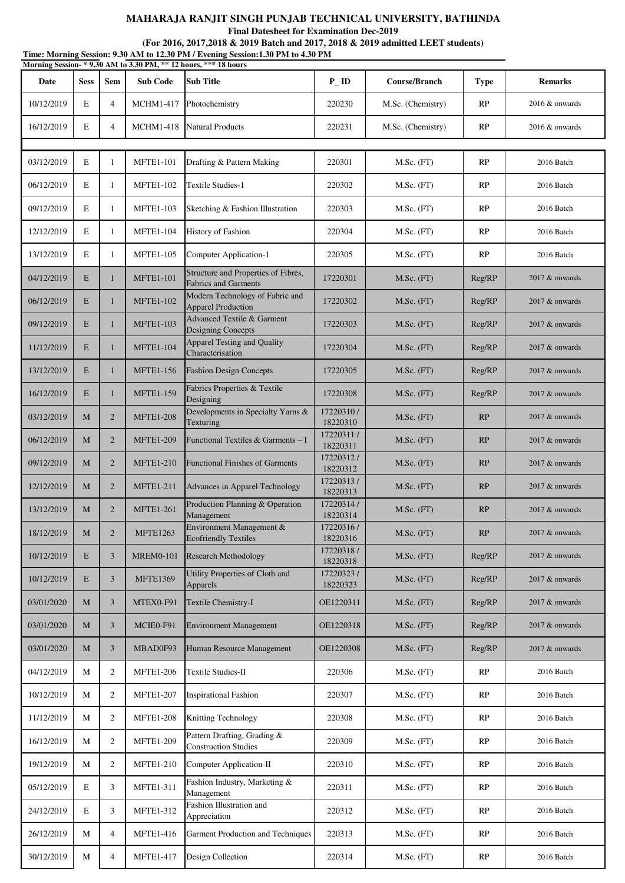**Final Datesheet for Examination Dec-2019**

|            | Time: Morning Session: 9.30 AM to 12.30 PM / Evening Session:1.30 PM to 4.30 PM<br>Morning Session-*9.30 AM to 3.30 PM, ** 12 hours, *** 18 hours |                |                  |                                                                    |                       |                   |             |                |  |  |
|------------|---------------------------------------------------------------------------------------------------------------------------------------------------|----------------|------------------|--------------------------------------------------------------------|-----------------------|-------------------|-------------|----------------|--|--|
| Date       | <b>Sess</b>                                                                                                                                       | <b>Sem</b>     | <b>Sub Code</b>  | <b>Sub Title</b>                                                   | $P$ <sub>ID</sub>     | Course/Branch     | <b>Type</b> | <b>Remarks</b> |  |  |
| 10/12/2019 | E                                                                                                                                                 | $\overline{4}$ | <b>MCHM1-417</b> | Photochemistry                                                     | 220230                | M.Sc. (Chemistry) | RP          | 2016 & onwards |  |  |
| 16/12/2019 | E                                                                                                                                                 | $\overline{4}$ | <b>MCHM1-418</b> | <b>Natural Products</b>                                            | 220231                | M.Sc. (Chemistry) | RP          | 2016 & onwards |  |  |
| 03/12/2019 | E                                                                                                                                                 | 1              | <b>MFTE1-101</b> | Drafting & Pattern Making                                          | 220301                | M.Sc. (FT)        | RP          | 2016 Batch     |  |  |
| 06/12/2019 | E                                                                                                                                                 | 1              | <b>MFTE1-102</b> | <b>Textile Studies-1</b>                                           | 220302                | $M.Sc.$ (FT)      | RP          | 2016 Batch     |  |  |
| 09/12/2019 | E                                                                                                                                                 | 1              | <b>MFTE1-103</b> | Sketching & Fashion Illustration                                   | 220303                | M.Sc. (FT)        | RP          | 2016 Batch     |  |  |
| 12/12/2019 | E                                                                                                                                                 | 1              | <b>MFTE1-104</b> | History of Fashion                                                 | 220304                | M.Sc. (FT)        | RP          | 2016 Batch     |  |  |
| 13/12/2019 | $\mathbf E$                                                                                                                                       | 1              | <b>MFTE1-105</b> | Computer Application-1                                             | 220305                | $M.Sc.$ (FT)      | RP          | 2016 Batch     |  |  |
| 04/12/2019 | E                                                                                                                                                 | 1              | <b>MFTE1-101</b> | Structure and Properties of Fibres,<br><b>Fabrics and Garments</b> | 17220301              | M.Sc. (FT)        | Reg/RP      | 2017 & onwards |  |  |
| 06/12/2019 | E                                                                                                                                                 | $\mathbf{1}$   | <b>MFTE1-102</b> | Modern Technology of Fabric and<br><b>Apparel Production</b>       | 17220302              | M.Sc. (FT)        | Reg/RP      | 2017 & onwards |  |  |
| 09/12/2019 | E                                                                                                                                                 | 1              | <b>MFTE1-103</b> | Advanced Textile & Garment<br>Designing Concepts                   | 17220303              | M.Sc. (FT)        | Reg/RP      | 2017 & onwards |  |  |
| 11/12/2019 | E                                                                                                                                                 | 1              | <b>MFTE1-104</b> | <b>Apparel Testing and Quality</b><br>Characterisation             | 17220304              | $M.Sc.$ (FT)      | Reg/RP      | 2017 & onwards |  |  |
| 13/12/2019 | E                                                                                                                                                 | 1              | <b>MFTE1-156</b> | <b>Fashion Design Concepts</b>                                     | 17220305              | M.Sc. (FT)        | Reg/RP      | 2017 & onwards |  |  |
| 16/12/2019 | E                                                                                                                                                 | 1              | <b>MFTE1-159</b> | Fabrics Properties & Textile<br>Designing                          | 17220308              | M.Sc. (FT)        | Reg/RP      | 2017 & onwards |  |  |
| 03/12/2019 | M                                                                                                                                                 | $\overline{2}$ | <b>MFTE1-208</b> | Developments in Specialty Yarns &<br>Texturing                     | 17220310/<br>18220310 | M.Sc. (FT)        | RP          | 2017 & onwards |  |  |
| 06/12/2019 | М                                                                                                                                                 | $\overline{2}$ | <b>MFTE1-209</b> | Functional Textiles & Garments - I                                 | 17220311/<br>18220311 | M.Sc. (FT)        | RP          | 2017 & onwards |  |  |
| 09/12/2019 | M                                                                                                                                                 | $\overline{2}$ | <b>MFTE1-210</b> | <b>Functional Finishes of Garments</b>                             | 17220312/<br>18220312 | M.Sc. (FT)        | RP          | 2017 & onwards |  |  |
| 12/12/2019 | M                                                                                                                                                 | 2              | <b>MFTE1-211</b> | Advances in Apparel Technology                                     | 17220313/<br>18220313 | M.Sc. (FT)        | RP          | 2017 & onwards |  |  |
| 13/12/2019 | M                                                                                                                                                 | $\overline{c}$ | <b>MFTE1-261</b> | Production Planning & Operation<br>Management                      | 17220314/<br>18220314 | M.Sc. (FT)        | RP          | 2017 & onwards |  |  |
| 18/12/2019 | М                                                                                                                                                 | $\overline{2}$ | <b>MFTE1263</b>  | Environment Management &<br><b>Ecofriendly Textiles</b>            | 17220316/<br>18220316 | $M.Sc.$ (FT)      | RP          | 2017 & onwards |  |  |
| 10/12/2019 | E                                                                                                                                                 | 3              | <b>MREM0-101</b> | <b>Research Methodology</b>                                        | 17220318/<br>18220318 | $M.Sc.$ (FT)      | Reg/RP      | 2017 & onwards |  |  |
| 10/12/2019 | E                                                                                                                                                 | 3              | <b>MFTE1369</b>  | Utility Properties of Cloth and<br>Apparels                        | 17220323/<br>18220323 | M.Sc. (FT)        | Reg/RP      | 2017 & onwards |  |  |
| 03/01/2020 | M                                                                                                                                                 | 3              | MTEX0-F91        | Textile Chemistry-I                                                | OE1220311             | M.Sc. (FT)        | Reg/RP      | 2017 & onwards |  |  |
| 03/01/2020 | M                                                                                                                                                 | 3              | MCIE0-F91        | <b>Environment Management</b>                                      | OE1220318             | M.Sc. (FT)        | Reg/RP      | 2017 & onwards |  |  |
| 03/01/2020 | M                                                                                                                                                 | 3              | MBAD0F93         | Human Resource Management                                          | OE1220308             | M.Sc. (FT)        | Reg/RP      | 2017 & onwards |  |  |
| 04/12/2019 | М                                                                                                                                                 | 2              | <b>MFTE1-206</b> | Textile Studies-II                                                 | 220306                | M.Sc. (FT)        | RP          | 2016 Batch     |  |  |
| 10/12/2019 | М                                                                                                                                                 | 2              | <b>MFTE1-207</b> | <b>Inspirational Fashion</b>                                       | 220307                | M.Sc. (FT)        | RP          | 2016 Batch     |  |  |
| 11/12/2019 | М                                                                                                                                                 | 2              | <b>MFTE1-208</b> | Knitting Technology                                                | 220308                | M.Sc. (FT)        | RP          | 2016 Batch     |  |  |
| 16/12/2019 | М                                                                                                                                                 | 2              | <b>MFTE1-209</b> | Pattern Drafting, Grading &<br><b>Construction Studies</b>         | 220309                | M.Sc. (FT)        | RP          | 2016 Batch     |  |  |
| 19/12/2019 | М                                                                                                                                                 | 2              | <b>MFTE1-210</b> | Computer Application-II                                            | 220310                | M.Sc. (FT)        | RP          | 2016 Batch     |  |  |
| 05/12/2019 | $\mathbf E$                                                                                                                                       | 3              | <b>MFTE1-311</b> | Fashion Industry, Marketing &<br>Management                        | 220311                | M.Sc. (FT)        | RP          | 2016 Batch     |  |  |
| 24/12/2019 | E                                                                                                                                                 | 3              | <b>MFTE1-312</b> | Fashion Illustration and<br>Appreciation                           | 220312                | M.Sc. (FT)        | RP          | 2016 Batch     |  |  |
| 26/12/2019 | М                                                                                                                                                 | $\overline{4}$ | <b>MFTE1-416</b> | Garment Production and Techniques                                  | 220313                | M.Sc. (FT)        | RP          | 2016 Batch     |  |  |
| 30/12/2019 | М                                                                                                                                                 | 4              | <b>MFTE1-417</b> | Design Collection                                                  | 220314                | M.Sc. (FT)        | RP          | 2016 Batch     |  |  |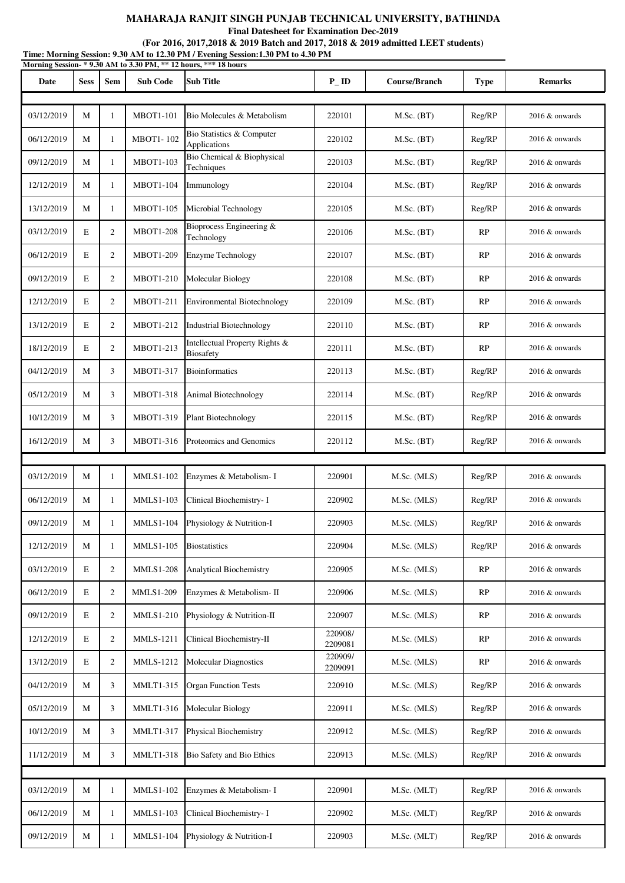**Final Datesheet for Examination Dec-2019**

| Time: Morning Session: 9.30 AM to 12.30 PM / Evening Session:1.30 PM to 4.30 PM<br>Morning Session-*9.30 AM to 3.30 PM, ** 12 hours, *** 18 hours |             |                |                  |                                                    |                    |               |             |                   |  |
|---------------------------------------------------------------------------------------------------------------------------------------------------|-------------|----------------|------------------|----------------------------------------------------|--------------------|---------------|-------------|-------------------|--|
| Date                                                                                                                                              | <b>Sess</b> | <b>Sem</b>     | <b>Sub Code</b>  | <b>Sub Title</b>                                   | $P$ <sub>ID</sub>  | Course/Branch | <b>Type</b> | <b>Remarks</b>    |  |
|                                                                                                                                                   |             |                |                  |                                                    |                    |               |             |                   |  |
| 03/12/2019                                                                                                                                        | M           | 1              | <b>MBOT1-101</b> | Bio Molecules & Metabolism                         | 220101             | M.Sc. (BT)    | Reg/RP      | 2016 & onwards    |  |
| 06/12/2019                                                                                                                                        | М           | 1              | <b>MBOT1-102</b> | Bio Statistics & Computer<br>Applications          | 220102             | M.Sc. (BT)    | Reg/RP      | $2016 \&$ onwards |  |
| 09/12/2019                                                                                                                                        | М           | 1              | <b>MBOT1-103</b> | Bio Chemical & Biophysical<br>Techniques           | 220103             | M.Sc. (BT)    | Reg/RP      | 2016 & onwards    |  |
| 12/12/2019                                                                                                                                        | M           | $\mathbf{1}$   | <b>MBOT1-104</b> | Immunology                                         | 220104             | M.Sc. (BT)    | Reg/RP      | 2016 & onwards    |  |
| 13/12/2019                                                                                                                                        | М           | 1              | <b>MBOT1-105</b> | Microbial Technology                               | 220105             | M.Sc. (BT)    | Reg/RP      | 2016 & onwards    |  |
| 03/12/2019                                                                                                                                        | E           | 2              | <b>MBOT1-208</b> | Bioprocess Engineering &<br>Technology             | 220106             | M.Sc. (BT)    | RP          | 2016 & onwards    |  |
| 06/12/2019                                                                                                                                        | E           | 2              | <b>MBOT1-209</b> | <b>Enzyme Technology</b>                           | 220107             | M.Sc. (BT)    | RP          | 2016 & onwards    |  |
| 09/12/2019                                                                                                                                        | E           | $\overline{2}$ | <b>MBOT1-210</b> | Molecular Biology                                  | 220108             | $M.Sc.$ (BT)  | RP          | 2016 & onwards    |  |
| 12/12/2019                                                                                                                                        | E           | 2              | <b>MBOT1-211</b> | <b>Environmental Biotechnology</b>                 | 220109             | M.Sc. (BT)    | RP          | 2016 & onwards    |  |
| 13/12/2019                                                                                                                                        | E           | 2              | MBOT1-212        | <b>Industrial Biotechnology</b>                    | 220110             | M.Sc. (BT)    | RP          | $2016 \&$ onwards |  |
| 18/12/2019                                                                                                                                        | E           | $\overline{2}$ | <b>MBOT1-213</b> | Intellectual Property Rights &<br><b>Biosafety</b> | 220111             | M.Sc. (BT)    | RP          | $2016 \&$ onwards |  |
| 04/12/2019                                                                                                                                        | М           | 3              | MBOT1-317        | <b>Bioinformatics</b>                              | 220113             | M.Sc. (BT)    | Reg/RP      | 2016 & onwards    |  |
| 05/12/2019                                                                                                                                        | М           | 3              | <b>MBOT1-318</b> | Animal Biotechnology                               | 220114             | M.Sc. (BT)    | Reg/RP      | 2016 & onwards    |  |
| 10/12/2019                                                                                                                                        | М           | 3              | <b>MBOT1-319</b> | Plant Biotechnology                                | 220115             | M.Sc. (BT)    | Reg/RP      | $2016 \&$ onwards |  |
| 16/12/2019                                                                                                                                        | М           | 3              | MBOT1-316        | Proteomics and Genomics                            | 220112             | M.Sc. (BT)    | Reg/RP      | 2016 & onwards    |  |
|                                                                                                                                                   |             |                |                  |                                                    |                    |               |             |                   |  |
| 03/12/2019                                                                                                                                        | М           | 1              | <b>MMLS1-102</b> | Enzymes & Metabolism-I                             | 220901             | M.Sc. (MLS)   | Reg/RP      | 2016 & onwards    |  |
| 06/12/2019                                                                                                                                        | М           | 1              | <b>MMLS1-103</b> | Clinical Biochemistry- I                           | 220902             | M.Sc. (MLS)   | Reg/RP      | 2016 & onwards    |  |
| 09/12/2019                                                                                                                                        | М           | 1              | <b>MMLS1-104</b> | Physiology & Nutrition-I                           | 220903             | M.Sc. (MLS)   | Reg/RP      | 2016 & onwards    |  |
| 12/12/2019                                                                                                                                        | М           | 1              | <b>MMLS1-105</b> | <b>Biostatistics</b>                               | 220904             | M.Sc. (MLS)   | Reg/RP      | 2016 & onwards    |  |
| 03/12/2019                                                                                                                                        | E           | $\overline{2}$ | <b>MMLS1-208</b> | Analytical Biochemistry                            | 220905             | M.Sc. (MLS)   | RP          | 2016 & onwards    |  |
| 06/12/2019                                                                                                                                        | E           | $\overline{2}$ | <b>MMLS1-209</b> | Enzymes & Metabolism- II                           | 220906             | M.Sc. (MLS)   | RP          | 2016 & onwards    |  |
| 09/12/2019                                                                                                                                        | E           | $\overline{c}$ | <b>MMLS1-210</b> | Physiology & Nutrition-II                          | 220907             | M.Sc. (MLS)   | RP          | 2016 & onwards    |  |
| 12/12/2019                                                                                                                                        | E           | $\overline{2}$ | MMLS-1211        | Clinical Biochemistry-II                           | 220908/<br>2209081 | M.Sc. (MLS)   | RP          | $2016 \&$ onwards |  |
| 13/12/2019                                                                                                                                        | E           | $\overline{2}$ | <b>MMLS-1212</b> | <b>Molecular Diagnostics</b>                       | 220909/<br>2209091 | M.Sc. (MLS)   | RP          | $2016 \&$ onwards |  |
| 04/12/2019                                                                                                                                        | М           | 3              | MMLT1-315        | <b>Organ Function Tests</b>                        | 220910             | M.Sc. (MLS)   | Reg/RP      | 2016 & onwards    |  |
| 05/12/2019                                                                                                                                        | М           | 3              | <b>MMLT1-316</b> | Molecular Biology                                  | 220911             | M.Sc. (MLS)   | Reg/RP      | $2016 \&$ onwards |  |
| 10/12/2019                                                                                                                                        | М           | 3              | <b>MMLT1-317</b> | Physical Biochemistry                              | 220912             | M.Sc. (MLS)   | Reg/RP      | 2016 & onwards    |  |
| 11/12/2019                                                                                                                                        | М           | 3              | <b>MMLT1-318</b> | Bio Safety and Bio Ethics                          | 220913             | M.Sc. (MLS)   | Reg/RP      | 2016 & onwards    |  |
|                                                                                                                                                   |             |                |                  |                                                    |                    |               |             |                   |  |
| 03/12/2019                                                                                                                                        | М           | 1              | <b>MMLS1-102</b> | Enzymes & Metabolism- I                            | 220901             | M.Sc. (MLT)   | Reg/RP      | 2016 & onwards    |  |
| 06/12/2019                                                                                                                                        | М           | $\mathbf{1}$   | <b>MMLS1-103</b> | Clinical Biochemistry-I                            | 220902             | M.Sc. (MLT)   | Reg/RP      | $2016 \&$ onwards |  |
| 09/12/2019                                                                                                                                        | М           | 1              | <b>MMLS1-104</b> | Physiology & Nutrition-I                           | 220903             | M.Sc. (MLT)   | Reg/RP      | 2016 & onwards    |  |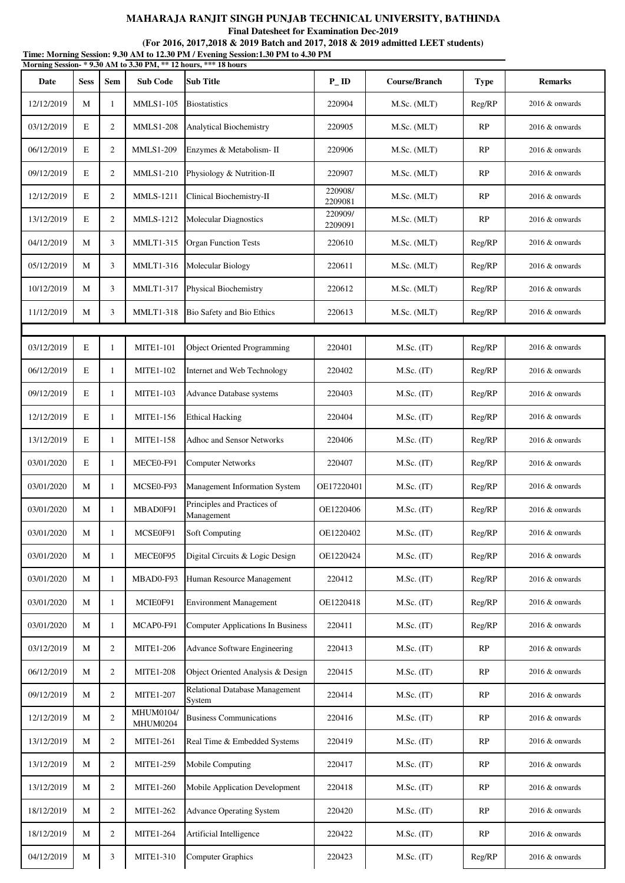**Final Datesheet for Examination Dec-2019**

#### **(For 2016, 2017,2018 & 2019 Batch and 2017, 2018 & 2019 admitted LEET students)**

**Time: Morning Session: 9.30 AM to 12.30 PM / Evening Session:1.30 PM to 4.30 PM Date Sess Sem Sub Code Sub Title P\_ ID Course/Branch Type Remarks Morning Session- \* 9.30 AM to 3.30 PM, \*\* 12 hours, \*\*\* 18 hours** 12/12/2019 M 1 MMLS1-105 Biostatistics 220904 M.Sc. (MLT) Reg/RP 2016 & onwards 03/12/2019 | E 2 | MMLS1-208 | Analytical Biochemistry | 220905 | M.Sc. (MLT) | RP | 2016 & onwards 06/12/2019 E 2 MMLS1-209 Enzymes & Metabolism- II 220906 M.Sc. (MLT) RP 2016 & onwards 09/12/2019 | E 2 | MMLS1-210 Physiology & Nutrition-II 220907 | M.Sc. (MLT) | RP | 2016 & onwards 12/12/2019 E 2 MMLS-1211 Clinical Biochemistry-II 220908/<br>2209081 M.Sc. (MLT) RP 2016 & onwards 13/12/2019 E 2 MMLS-1212 Molecular Diagnostics 220909 M.Sc. (MLT) RP 2016 & onwards 04/12/2019 | M | 3 | MMLT1-315 Organ Function Tests | 220610 | M.Sc. (MLT) | Reg/RP | 2016 & onwards 05/12/2019 | M | 3 | MMLT1-316 | Molecular Biology | 220611 | M.Sc. (MLT) | Reg/RP | 2016 & onwards 10/12/2019 M 3 MMLT1-317 Physical Biochemistry 220612 M.Sc. (MLT) Reg/RP 2016 & onwards 11/12/2019 M 3 MMLT1-318 Bio Safety and Bio Ethics 220613 M.Sc. (MLT) Reg/RP 2016 & onwards 03/12/2019 | E | 1 | MITE1-101 | Object Oriented Programming | 220401 | M.Sc. (IT) | Reg/RP | 2016 & onwards 06/12/2019 E 1 MITE1-102 Internet and Web Technology 220402 M.Sc. (IT) Reg/RP 2016 & onwards 09/12/2019 E 1 MITE1-103 Advance Database systems 220403 M.Sc. (IT) Reg/RP 2016 & onwards 12/12/2019 | E | 1 | MITE1-156 | Ethical Hacking | 220404 | M.Sc. (IT) | Reg/RP | 2016 & onwards 13/12/2019 E 1 MITE1-158 Adhoc and Sensor Networks 220406 M.Sc. (IT) Reg/RP 2016 & onwards 03/01/2020 E 1 MECE0-F91 Computer Networks 220407 M.Sc. (IT) Reg/RP 2016 & onwards 03/01/2020 M 1 MCSE0-F93 Management Information System OE17220401 M.Sc. (IT) Reg/RP 2016 & onwards 03/01/2020 M  $\begin{array}{|c|c|c|c|}\n\hline\n\end{array}$  MBAD0F91 Principles and Practices of Management CE1220406 M.Sc. (IT) Reg/RP 2016 & onwards 03/01/2020 | M | 1 | MCSE0F91 | Soft Computing | OE1220402 | M.Sc. (IT) | Reg/RP | 2016 & onwards 03/01/2020 M 1 MECE0F95 Digital Circuits & Logic Design OE1220424 M.Sc. (IT) Reg/RP 2016 & onwards 03/01/2020 M 1 MBAD0-F93 Human Resource Management 220412 M.Sc. (IT) Reg/RP 2016 & onwards 03/01/2020 M 1 MCIE0F91 Environment Management 0E1220418 M.Sc. (IT) Reg/RP 2016 & onwards 03/01/2020 M 1 MCAP0-F91 Computer Applications In Business 220411 M.Sc. (IT) Reg/RP 2016 & onwards 03/12/2019 M 2 MITE1-206 Advance Software Engineering 220413 M.Sc. (IT) RP 2016 & onwards 06/12/2019 M 2 MITE1-208 Object Oriented Analysis & Design 220415 M.Sc. (IT) RP 2016 & onwards 09/12/2019 M 2 MITE1-207 Relational Database Management System 2016 & Management 220414 M.Sc. (IT) RP 2016 & onwards 12/12/2019 M 2 MHUM0104/ MHUM0204 Business Communications 220416 M.Sc. (IT) RP 2016 & onwards 13/12/2019 M 2 MITE1-261 Real Time & Embedded Systems 220419 M.Sc. (IT) RP 2016 & onwards 13/12/2019 M 2 MITE1-259 Mobile Computing 220417 M.Sc. (IT) RP 2016 & onwards 13/12/2019 M 2 MITE1-260 Mobile Application Development 220418 M.Sc. (IT) RP 2016 & onwards 18/12/2019 M 2 MITE1-262 Advance Operating System 220420 M.Sc. (IT) RP 2016 & onwards 18/12/2019 M 2 MITE1-264 Artificial Intelligence 220422 M.Sc. (IT) RP 2016 & onwards 04/12/2019 M 3 MITE1-310 Computer Graphics 220423 M.Sc. (IT) Reg/RP 2016 & onwards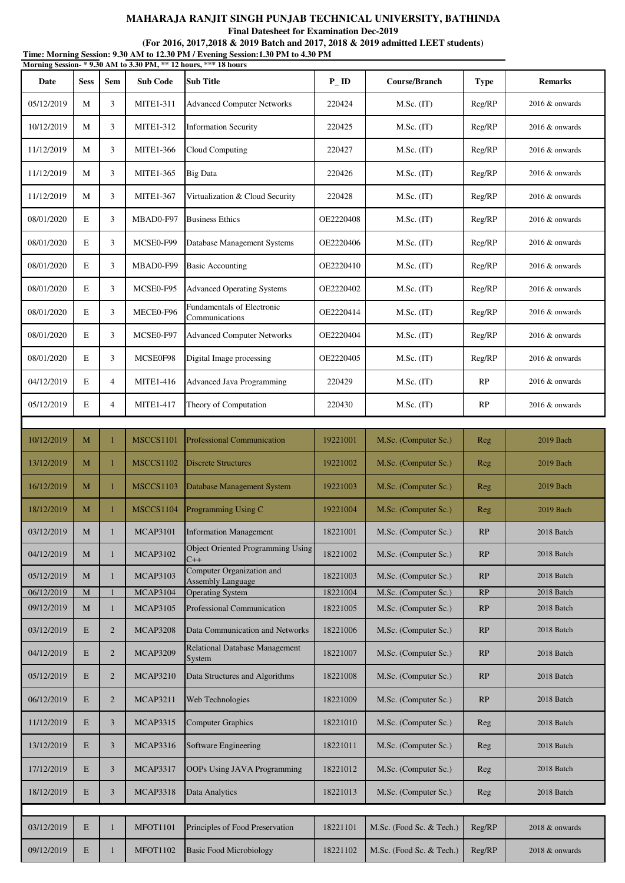**Final Datesheet for Examination Dec-2019**

| Time: Morning Session: 9.30 AM to 12.30 PM / Evening Session:1.30 PM to 4.30 PM<br>Morning Session-*9.30 AM to 3.30 PM, ** 12 hours, *** 18 hours |             |                |                  |                                                       |                   |                          |             |                   |  |
|---------------------------------------------------------------------------------------------------------------------------------------------------|-------------|----------------|------------------|-------------------------------------------------------|-------------------|--------------------------|-------------|-------------------|--|
| Date                                                                                                                                              | <b>Sess</b> | Sem            | <b>Sub Code</b>  | <b>Sub Title</b>                                      | $P$ <sub>ID</sub> | <b>Course/Branch</b>     | <b>Type</b> | <b>Remarks</b>    |  |
| 05/12/2019                                                                                                                                        | М           | 3              | <b>MITE1-311</b> | <b>Advanced Computer Networks</b>                     | 220424            | M.Sc. (IT)               | Reg/RP      | $2016 \&$ onwards |  |
| 10/12/2019                                                                                                                                        | M           | 3              | <b>MITE1-312</b> | <b>Information Security</b>                           | 220425            | $M.Sc.$ (IT)             | Reg/RP      | $2016 \&$ onwards |  |
| 11/12/2019                                                                                                                                        | М           | 3              | <b>MITE1-366</b> | Cloud Computing                                       | 220427            | M.Sc. (IT)               | Reg/RP      | 2016 & onwards    |  |
| 11/12/2019                                                                                                                                        | M           | 3              | <b>MITE1-365</b> | <b>Big Data</b>                                       | 220426            | $M.Sc.$ (IT)             | Reg/RP      | $2016 \&$ onwards |  |
| 11/12/2019                                                                                                                                        | M           | 3              | <b>MITE1-367</b> | Virtualization & Cloud Security                       | 220428            | $M.Sc.$ (IT)             | Reg/RP      | 2016 & onwards    |  |
| 08/01/2020                                                                                                                                        | E           | 3              | MBAD0-F97        | <b>Business Ethics</b>                                | OE2220408         | M.Sc. (IT)               | Reg/RP      | 2016 & onwards    |  |
| 08/01/2020                                                                                                                                        | E           | 3              | MCSE0-F99        | Database Management Systems                           | OE2220406         | M.Sc. (IT)               | Reg/RP      | $2016 \&$ onwards |  |
| 08/01/2020                                                                                                                                        | E           | 3              | MBAD0-F99        | <b>Basic Accounting</b>                               | OE2220410         | M.Sc. (IT)               | Reg/RP      | 2016 & onwards    |  |
| 08/01/2020                                                                                                                                        | $\mathbf E$ | 3              | MCSE0-F95        | <b>Advanced Operating Systems</b>                     | OE2220402         | M.Sc. (IT)               | Reg/RP      | 2016 & onwards    |  |
| 08/01/2020                                                                                                                                        | E           | 3              | MECE0-F96        | <b>Fundamentals of Electronic</b><br>Communications   | OE2220414         | M.Sc. (IT)               | Reg/RP      | $2016 \&$ onwards |  |
| 08/01/2020                                                                                                                                        | E           | 3              | MCSE0-F97        | <b>Advanced Computer Networks</b>                     | OE2220404         | M.Sc. (IT)               | Reg/RP      | $2016 \&$ onwards |  |
| 08/01/2020                                                                                                                                        | E           | 3              | MCSE0F98         | Digital Image processing                              | OE2220405         | $M.Sc.$ (IT)             | Reg/RP      | 2016 & onwards    |  |
| 04/12/2019                                                                                                                                        | E           | $\overline{4}$ | <b>MITE1-416</b> | <b>Advanced Java Programming</b>                      | 220429            | M.Sc. (IT)               | RP          | 2016 & onwards    |  |
| 05/12/2019                                                                                                                                        | E           | $\overline{4}$ | <b>MITE1-417</b> | Theory of Computation                                 | 220430            | M.Sc. (IT)               | RP          | $2016 \&$ onwards |  |
|                                                                                                                                                   |             |                |                  |                                                       |                   |                          |             |                   |  |
| 10/12/2019                                                                                                                                        | M           | 1              | <b>MSCCS1101</b> | <b>Professional Communication</b>                     | 19221001          | M.Sc. (Computer Sc.)     | Reg         | 2019 Bach         |  |
| 13/12/2019                                                                                                                                        | М           | 1              | MSCCS1102        | <b>Discrete Structures</b>                            | 19221002          | M.Sc. (Computer Sc.)     | Reg         | 2019 Bach         |  |
| 16/12/2019                                                                                                                                        | М           | 1              | <b>MSCCS1103</b> | Database Management System                            | 19221003          | M.Sc. (Computer Sc.)     | Reg         | 2019 Bach         |  |
| 18/12/2019                                                                                                                                        | M           |                | MSCCS1104        | Programming Using C                                   | 19221004          | M.Sc. (Computer Sc.)     | Reg         | 2019 Bach         |  |
| 03/12/2019                                                                                                                                        | М           | 1              | <b>MCAP3101</b>  | <b>Information Management</b>                         | 18221001          | M.Sc. (Computer Sc.)     | RP          | 2018 Batch        |  |
| 04/12/2019                                                                                                                                        | $\mathbf M$ | 1              | <b>MCAP3102</b>  | Object Oriented Programming Using<br>$C++$            | 18221002          | M.Sc. (Computer Sc.)     | RP          | 2018 Batch        |  |
| 05/12/2019                                                                                                                                        | M           | 1              | <b>MCAP3103</b>  | Computer Organization and<br><b>Assembly Language</b> | 18221003          | M.Sc. (Computer Sc.)     | RP          | 2018 Batch        |  |
| 06/12/2019                                                                                                                                        | M           |                | <b>MCAP3104</b>  | <b>Operating System</b>                               | 18221004          | M.Sc. (Computer Sc.)     | RP          | 2018 Batch        |  |
| 09/12/2019                                                                                                                                        | М           | 1              | <b>MCAP3105</b>  | Professional Communication                            | 18221005          | M.Sc. (Computer Sc.)     | RP          | 2018 Batch        |  |
| 03/12/2019                                                                                                                                        | E           | $\overline{2}$ | <b>MCAP3208</b>  | Data Communication and Networks                       | 18221006          | M.Sc. (Computer Sc.)     | RP          | 2018 Batch        |  |
| 04/12/2019                                                                                                                                        | E           | $\overline{2}$ | <b>MCAP3209</b>  | Relational Database Management<br>System              | 18221007          | M.Sc. (Computer Sc.)     | RP          | 2018 Batch        |  |
| 05/12/2019                                                                                                                                        | $\mathbf E$ | $\overline{c}$ | <b>MCAP3210</b>  | Data Structures and Algorithms                        | 18221008          | M.Sc. (Computer Sc.)     | RP          | 2018 Batch        |  |
| 06/12/2019                                                                                                                                        | E           | $\overline{2}$ | <b>MCAP3211</b>  | Web Technologies                                      | 18221009          | M.Sc. (Computer Sc.)     | RP          | 2018 Batch        |  |
| 11/12/2019                                                                                                                                        | E           | 3              | <b>MCAP3315</b>  | <b>Computer Graphics</b>                              | 18221010          | M.Sc. (Computer Sc.)     | Reg         | 2018 Batch        |  |
| 13/12/2019                                                                                                                                        | $\mathbf E$ | 3              | <b>MCAP3316</b>  | Software Engineering                                  | 18221011          | M.Sc. (Computer Sc.)     | Reg         | 2018 Batch        |  |
| 17/12/2019                                                                                                                                        | E           | 3              | <b>MCAP3317</b>  | OOPs Using JAVA Programming                           | 18221012          | M.Sc. (Computer Sc.)     | <b>Reg</b>  | 2018 Batch        |  |
| 18/12/2019                                                                                                                                        | E           | 3              | <b>MCAP3318</b>  | Data Analytics                                        | 18221013          | M.Sc. (Computer Sc.)     | Reg         | 2018 Batch        |  |
|                                                                                                                                                   |             |                |                  |                                                       |                   |                          |             |                   |  |
| 03/12/2019                                                                                                                                        | $\mathbf E$ | 1              | <b>MFOT1101</b>  | Principles of Food Preservation                       | 18221101          | M.Sc. (Food Sc. & Tech.) | Reg/RP      | 2018 & onwards    |  |
| 09/12/2019                                                                                                                                        | $\mathbf E$ |                | <b>MFOT1102</b>  | <b>Basic Food Microbiology</b>                        | 18221102          | M.Sc. (Food Sc. & Tech.) | Reg/RP      | 2018 & onwards    |  |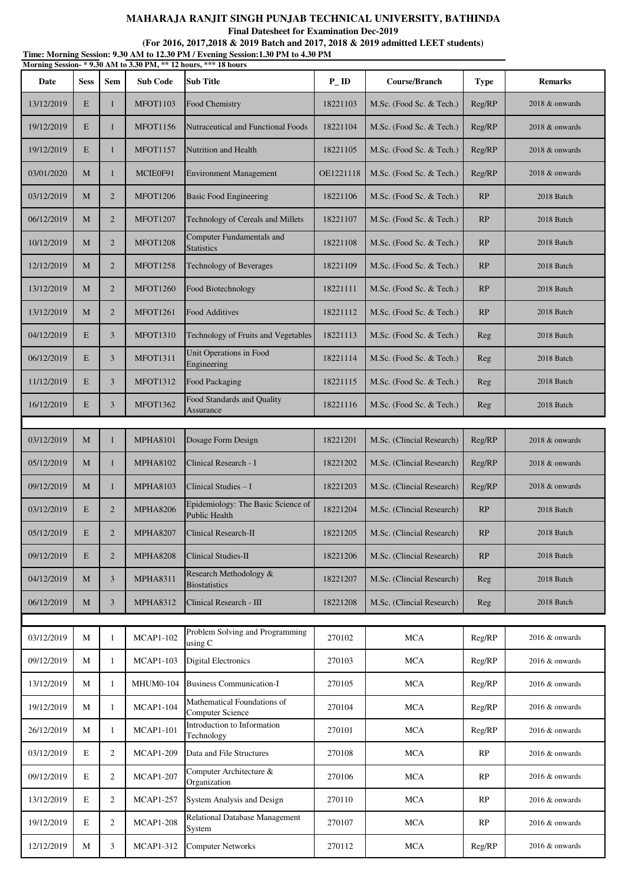**Final Datesheet for Examination Dec-2019**

| Time: Morning Session: 9.30 AM to 12.30 PM / Evening Session:1.30 PM to 4.30 PM<br>Morning Session-*9.30 AM to 3.30 PM, ** 12 hours, *** 18 hours |              |                |                  |                                                            |                   |                           |             |                |  |
|---------------------------------------------------------------------------------------------------------------------------------------------------|--------------|----------------|------------------|------------------------------------------------------------|-------------------|---------------------------|-------------|----------------|--|
| Date                                                                                                                                              | <b>Sess</b>  | <b>Sem</b>     | <b>Sub Code</b>  | Sub Title                                                  | $P$ <sub>ID</sub> | <b>Course/Branch</b>      | <b>Type</b> | <b>Remarks</b> |  |
| 13/12/2019                                                                                                                                        | E            | $\mathbf{1}$   | <b>MFOT1103</b>  | Food Chemistry                                             | 18221103          | M.Sc. (Food Sc. & Tech.)  | Reg/RP      | 2018 & onwards |  |
| 19/12/2019                                                                                                                                        | E            | 1              | <b>MFOT1156</b>  | Nutraceutical and Functional Foods                         | 18221104          | M.Sc. (Food Sc. & Tech.)  | Reg/RP      | 2018 & onwards |  |
| 19/12/2019                                                                                                                                        | E            | 1              | <b>MFOT1157</b>  | Nutrition and Health                                       | 18221105          | M.Sc. (Food Sc. & Tech.)  | Reg/RP      | 2018 & onwards |  |
| 03/01/2020                                                                                                                                        | M            | $\mathbf{1}$   | MCIE0F91         | <b>Environment Management</b>                              | OE1221118         | M.Sc. (Food Sc. & Tech.)  | Reg/RP      | 2018 & onwards |  |
| 03/12/2019                                                                                                                                        | M            | $\overline{2}$ | <b>MFOT1206</b>  | <b>Basic Food Engineering</b>                              | 18221106          | M.Sc. (Food Sc. & Tech.)  | RP          | 2018 Batch     |  |
| 06/12/2019                                                                                                                                        | М            | $\overline{2}$ | <b>MFOT1207</b>  | Technology of Cereals and Millets                          | 18221107          | M.Sc. (Food Sc. & Tech.)  | RP          | 2018 Batch     |  |
| 10/12/2019                                                                                                                                        | M            | $\overline{2}$ | <b>MFOT1208</b>  | Computer Fundamentals and<br><b>Statistics</b>             | 18221108          | M.Sc. (Food Sc. & Tech.)  | RP          | 2018 Batch     |  |
| 12/12/2019                                                                                                                                        | М            | $\overline{2}$ | <b>MFOT1258</b>  | Technology of Beverages                                    | 18221109          | M.Sc. (Food Sc. & Tech.)  | RP          | 2018 Batch     |  |
| 13/12/2019                                                                                                                                        | М            | $\overline{2}$ | <b>MFOT1260</b>  | Food Biotechnology                                         | 18221111          | M.Sc. (Food Sc. & Tech.)  | RP          | 2018 Batch     |  |
| 13/12/2019                                                                                                                                        | M            | $\overline{2}$ | <b>MFOT1261</b>  | <b>Food Additives</b>                                      | 18221112          | M.Sc. (Food Sc. & Tech.)  | RP          | 2018 Batch     |  |
| 04/12/2019                                                                                                                                        | E            | 3              | <b>MFOT1310</b>  | Technology of Fruits and Vegetables                        | 18221113          | M.Sc. (Food Sc. & Tech.)  | Reg         | 2018 Batch     |  |
| 06/12/2019                                                                                                                                        | E            | 3              | <b>MFOT1311</b>  | Unit Operations in Food<br>Engineering                     | 18221114          | M.Sc. (Food Sc. & Tech.)  | Reg         | 2018 Batch     |  |
| 11/12/2019                                                                                                                                        | E            | 3              | <b>MFOT1312</b>  | Food Packaging                                             | 18221115          | M.Sc. (Food Sc. & Tech.)  | Reg         | 2018 Batch     |  |
| 16/12/2019                                                                                                                                        | E            | 3              | <b>MFOT1362</b>  | Food Standards and Quality<br>Assurance                    | 18221116          | M.Sc. (Food Sc. & Tech.)  | Reg         | 2018 Batch     |  |
|                                                                                                                                                   |              |                |                  |                                                            |                   |                           |             |                |  |
| 03/12/2019                                                                                                                                        | M            | 1              | <b>MPHA8101</b>  | Dosage Form Design                                         | 18221201          | M.Sc. (Clincial Research) | Reg/RP      | 2018 & onwards |  |
| 05/12/2019                                                                                                                                        | M            | 1              | <b>MPHA8102</b>  | Clinical Research - I                                      | 18221202          | M.Sc. (Clincial Research) | Reg/RP      | 2018 & onwards |  |
| 09/12/2019                                                                                                                                        | М            | 1              | <b>MPHA8103</b>  | Clinical Studies - I                                       | 18221203          | M.Sc. (Clincial Research) | Reg/RP      | 2018 & onwards |  |
| 03/12/2019                                                                                                                                        | E            | $\overline{2}$ | <b>MPHA8206</b>  | Epidemiology: The Basic Science of<br><b>Public Health</b> | 18221204          | M.Sc. (Clincial Research) | RP          | 2018 Batch     |  |
| 05/12/2019                                                                                                                                        | E            | $\overline{2}$ | <b>MPHA8207</b>  | Clinical Research-II                                       | 18221205          | M.Sc. (Clincial Research) | RP          | 2018 Batch     |  |
| 09/12/2019                                                                                                                                        | E            | $\overline{2}$ | <b>MPHA8208</b>  | Clinical Studies-II                                        | 18221206          | M.Sc. (Clincial Research) | RP          | 2018 Batch     |  |
| 04/12/2019                                                                                                                                        | М            | 3              | <b>MPHA8311</b>  | Research Methodology &<br><b>Biostatistics</b>             | 18221207          | M.Sc. (Clincial Research) | Reg         | 2018 Batch     |  |
| 06/12/2019                                                                                                                                        | M            | 3              | <b>MPHA8312</b>  | Clinical Research - III                                    | 18221208          | M.Sc. (Clincial Research) | Reg         | 2018 Batch     |  |
|                                                                                                                                                   |              |                |                  |                                                            |                   |                           |             |                |  |
| 03/12/2019                                                                                                                                        | М            | 1              | <b>MCAP1-102</b> | Problem Solving and Programming<br>using C                 | 270102            | <b>MCA</b>                | Reg/RP      | 2016 & onwards |  |
| 09/12/2019                                                                                                                                        | M            | 1              | <b>MCAP1-103</b> | <b>Digital Electronics</b>                                 | 270103            | <b>MCA</b>                | Reg/RP      | 2016 & onwards |  |
| 13/12/2019                                                                                                                                        | М            | 1              | <b>MHUM0-104</b> | <b>Business Communication-I</b>                            | 270105            | <b>MCA</b>                | Reg/RP      | 2016 & onwards |  |
| 19/12/2019                                                                                                                                        | М            | 1              | <b>MCAP1-104</b> | Mathematical Foundations of<br>Computer Science            | 270104            | <b>MCA</b>                | Reg/RP      | 2016 & onwards |  |
| 26/12/2019                                                                                                                                        | М            | 1              | <b>MCAP1-101</b> | Introduction to Information<br>Technology                  | 270101            | <b>MCA</b>                | Reg/RP      | 2016 & onwards |  |
| 03/12/2019                                                                                                                                        | E            | 2              | <b>MCAP1-209</b> | Data and File Structures                                   | 270108            | <b>MCA</b>                | RP          | 2016 & onwards |  |
| 09/12/2019                                                                                                                                        | E            | 2              | <b>MCAP1-207</b> | Computer Architecture &<br>Organization                    | 270106            | <b>MCA</b>                | RP          | 2016 & onwards |  |
| 13/12/2019                                                                                                                                        | E            | $\overline{c}$ | <b>MCAP1-257</b> | <b>System Analysis and Design</b>                          | 270110            | <b>MCA</b>                | RP          | 2016 & onwards |  |
| 19/12/2019                                                                                                                                        | E            | 2              | <b>MCAP1-208</b> | Relational Database Management<br>System                   | 270107            | <b>MCA</b>                | RP          | 2016 & onwards |  |
| 12/12/2019                                                                                                                                        | $\mathbf{M}$ | 3              | <b>MCAP1-312</b> | <b>Computer Networks</b>                                   | 270112            | <b>MCA</b>                | Reg/RP      | 2016 & onwards |  |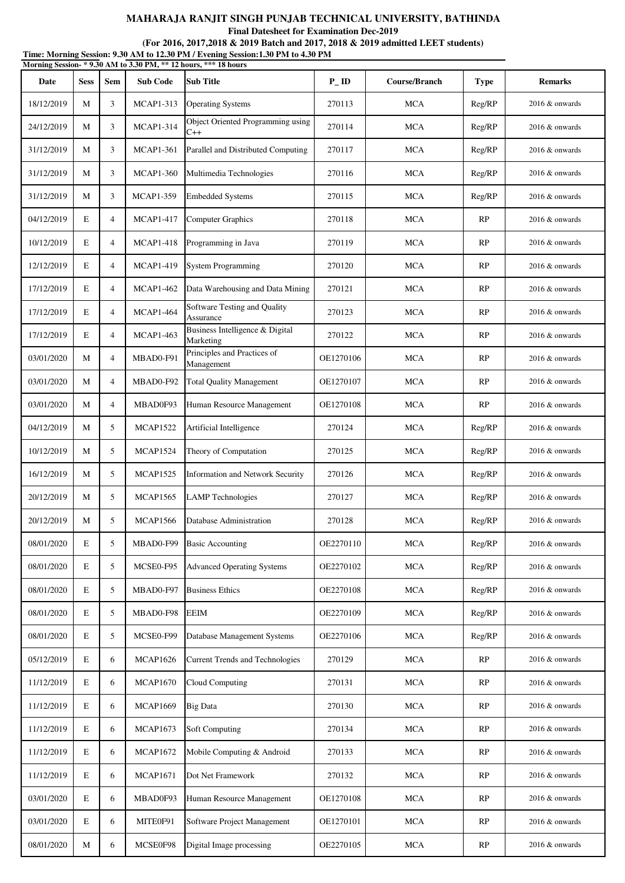**Final Datesheet for Examination Dec-2019**

**Time: Morning Session: 9.30 AM to 12.30 PM / Evening Session:1.30 PM to 4.30 PM (For 2016, 2017,2018 & 2019 Batch and 2017, 2018 & 2019 admitted LEET students)**

| Morning Session- * 9.30 AM to 3.30 PM, ** 12 hours, *** 18 hours |             |                |                  |                                              |                    |               |             |                   |
|------------------------------------------------------------------|-------------|----------------|------------------|----------------------------------------------|--------------------|---------------|-------------|-------------------|
| Date                                                             | <b>Sess</b> | <b>Sem</b>     | <b>Sub Code</b>  | <b>Sub Title</b>                             | $P$ <sub>-ID</sub> | Course/Branch | <b>Type</b> | <b>Remarks</b>    |
| 18/12/2019                                                       | М           | 3              | <b>MCAP1-313</b> | <b>Operating Systems</b>                     | 270113             | <b>MCA</b>    | Reg/RP      | 2016 & onwards    |
| 24/12/2019                                                       | М           | 3              | <b>MCAP1-314</b> | Object Oriented Programming using<br>$C++$   | 270114             | <b>MCA</b>    | Reg/RP      | $2016 \&$ onwards |
| 31/12/2019                                                       | М           | 3              | <b>MCAP1-361</b> | Parallel and Distributed Computing           | 270117             | <b>MCA</b>    | Reg/RP      | $2016 \&$ onwards |
| 31/12/2019                                                       | M           | 3              | <b>MCAP1-360</b> | Multimedia Technologies                      | 270116             | <b>MCA</b>    | Reg/RP      | 2016 & onwards    |
| 31/12/2019                                                       | М           | 3              | <b>MCAP1-359</b> | <b>Embedded Systems</b>                      | 270115             | <b>MCA</b>    | Reg/RP      | 2016 & onwards    |
| 04/12/2019                                                       | E           | $\overline{4}$ | <b>MCAP1-417</b> | <b>Computer Graphics</b>                     | 270118             | <b>MCA</b>    | RP          | 2016 & onwards    |
| 10/12/2019                                                       | E           | 4              | <b>MCAP1-418</b> | Programming in Java                          | 270119             | <b>MCA</b>    | RP          | $2016 \&$ onwards |
| 12/12/2019                                                       | E           | $\overline{4}$ | <b>MCAP1-419</b> | <b>System Programming</b>                    | 270120             | <b>MCA</b>    | RP          | 2016 & onwards    |
| 17/12/2019                                                       | E           | $\overline{4}$ | <b>MCAP1-462</b> | Data Warehousing and Data Mining             | 270121             | <b>MCA</b>    | RP          | $2016 \&$ onwards |
| 17/12/2019                                                       | E           | $\overline{4}$ | <b>MCAP1-464</b> | Software Testing and Quality<br>Assurance    | 270123             | <b>MCA</b>    | RP          | 2016 & onwards    |
| 17/12/2019                                                       | E           | $\overline{4}$ | <b>MCAP1-463</b> | Business Intelligence & Digital<br>Marketing | 270122             | <b>MCA</b>    | RP          | 2016 & onwards    |
| 03/01/2020                                                       | М           | $\overline{4}$ | MBAD0-F91        | Principles and Practices of<br>Management    | OE1270106          | <b>MCA</b>    | RP          | 2016 & onwards    |
| 03/01/2020                                                       | М           | 4              | MBAD0-F92        | <b>Total Quality Management</b>              | OE1270107          | <b>MCA</b>    | RP          | 2016 & onwards    |
| 03/01/2020                                                       | М           | $\overline{4}$ | MBAD0F93         | Human Resource Management                    | OE1270108          | <b>MCA</b>    | RP          | 2016 & onwards    |
| 04/12/2019                                                       | М           | 5              | <b>MCAP1522</b>  | Artificial Intelligence                      | 270124             | <b>MCA</b>    | Reg/RP      | 2016 & onwards    |
| 10/12/2019                                                       | М           | 5              | <b>MCAP1524</b>  | Theory of Computation                        | 270125             | <b>MCA</b>    | Reg/RP      | $2016 \&$ onwards |
| 16/12/2019                                                       | М           | 5              | <b>MCAP1525</b>  | <b>Information and Network Security</b>      | 270126             | <b>MCA</b>    | Reg/RP      | 2016 & onwards    |
| 20/12/2019                                                       | М           | 5              | <b>MCAP1565</b>  | <b>LAMP</b> Technologies                     | 270127             | <b>MCA</b>    | Reg/RP      | 2016 & onwards    |
| 20/12/2019                                                       | М           | 5              | <b>MCAP1566</b>  | Database Administration                      | 270128             | <b>MCA</b>    | Reg/RP      | 2016 & onwards    |
| 08/01/2020                                                       | E           | 5              | MBAD0-F99        | <b>Basic Accounting</b>                      | OE2270110          | <b>MCA</b>    | Reg/RP      | 2016 & onwards    |
| 08/01/2020                                                       | E           | 5              | MCSE0-F95        | <b>Advanced Operating Systems</b>            | OE2270102          | <b>MCA</b>    | Reg/RP      | 2016 & onwards    |
| 08/01/2020                                                       | $\mathbf E$ | 5              | MBAD0-F97        | <b>Business Ethics</b>                       | OE2270108          | MCA           | Reg/RP      | 2016 & onwards    |
| 08/01/2020                                                       | E           | 5              | MBAD0-F98        | <b>EEIM</b>                                  | OE2270109          | <b>MCA</b>    | Reg/RP      | 2016 & onwards    |
| 08/01/2020                                                       | $\mathbf E$ | 5              | MCSE0-F99        | Database Management Systems                  | OE2270106          | <b>MCA</b>    | Reg/RP      | 2016 & onwards    |
| 05/12/2019                                                       | $\mathbf E$ | 6              | <b>MCAP1626</b>  | <b>Current Trends and Technologies</b>       | 270129             | <b>MCA</b>    | RP          | 2016 & onwards    |
| 11/12/2019                                                       | E           | 6              | <b>MCAP1670</b>  | Cloud Computing                              | 270131             | <b>MCA</b>    | RP          | 2016 & onwards    |
| 11/12/2019                                                       | E           | 6              | <b>MCAP1669</b>  | <b>Big Data</b>                              | 270130             | <b>MCA</b>    | RP          | 2016 & onwards    |
| 11/12/2019                                                       | E           | 6              | <b>MCAP1673</b>  | Soft Computing                               | 270134             | <b>MCA</b>    | RP          | 2016 & onwards    |
| 11/12/2019                                                       | E           | 6              | <b>MCAP1672</b>  | Mobile Computing & Android                   | 270133             | <b>MCA</b>    | RP          | 2016 & onwards    |
| 11/12/2019                                                       | $\mathbf E$ | 6              | <b>MCAP1671</b>  | Dot Net Framework                            | 270132             | <b>MCA</b>    | RP          | 2016 & onwards    |
| 03/01/2020                                                       | $\mathbf E$ | 6              | MBAD0F93         | Human Resource Management                    | OE1270108          | <b>MCA</b>    | RP          | 2016 & onwards    |
| 03/01/2020                                                       | $\mathbf E$ | 6              | MITE0F91         | Software Project Management                  | OE1270101          | <b>MCA</b>    | RP          | 2016 & onwards    |
| 08/01/2020                                                       | $\mathbf M$ | 6              | MCSE0F98         | Digital Image processing                     | OE2270105          | <b>MCA</b>    | RP          | 2016 & onwards    |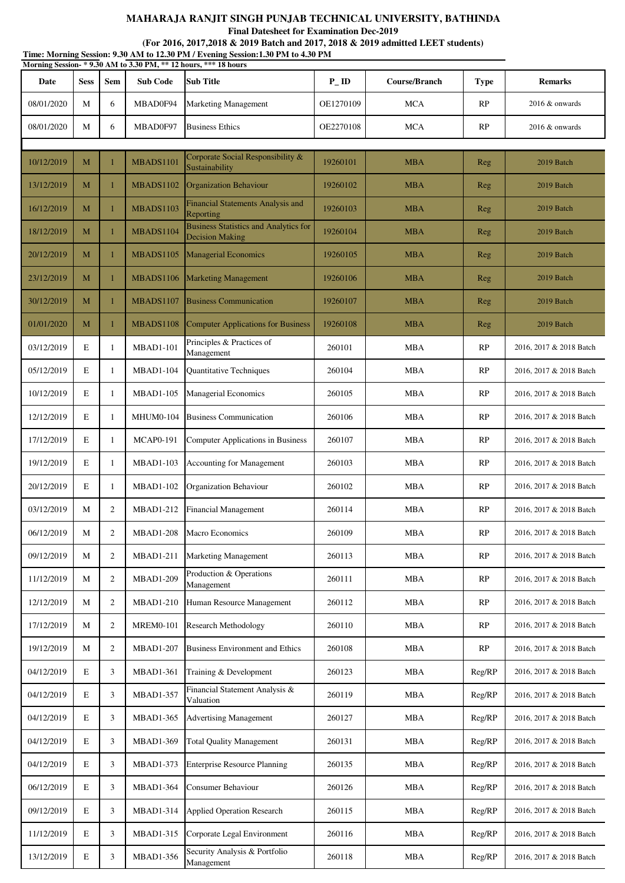**Final Datesheet for Examination Dec-2019**

| Time: Morning Session: 9.30 AM to 12.30 PM / Evening Session:1.30 PM to 4.30 PM<br>Morning Session-*9.30 AM to 3.30 PM, ** 12 hours, *** 18 hours |             |                |                  |                                                                        |                   |               |             |                         |
|---------------------------------------------------------------------------------------------------------------------------------------------------|-------------|----------------|------------------|------------------------------------------------------------------------|-------------------|---------------|-------------|-------------------------|
| Date                                                                                                                                              | <b>Sess</b> | Sem            | <b>Sub Code</b>  | <b>Sub Title</b>                                                       | $P$ <sub>ID</sub> | Course/Branch | <b>Type</b> | <b>Remarks</b>          |
| 08/01/2020                                                                                                                                        | М           | 6              | MBAD0F94         | <b>Marketing Management</b>                                            | OE1270109         | <b>MCA</b>    | RP          | $2016 \&$ onwards       |
| 08/01/2020                                                                                                                                        | М           | 6              | MBAD0F97         | <b>Business Ethics</b>                                                 | OE2270108         | <b>MCA</b>    | RP          | $2016 \&$ onwards       |
|                                                                                                                                                   |             |                |                  | Corporate Social Responsibility &                                      |                   |               |             |                         |
| 10/12/2019                                                                                                                                        | М           | 1              | MBADS1101        | Sustainability                                                         | 19260101          | <b>MBA</b>    | Reg         | 2019 Batch              |
| 13/12/2019                                                                                                                                        | M           | $\mathbf{1}$   | MBADS1102        | Organization Behaviour<br><b>Financial Statements Analysis and</b>     | 19260102          | <b>MBA</b>    | Reg         | 2019 Batch              |
| 16/12/2019                                                                                                                                        | M           | 1              | <b>MBADS1103</b> | Reporting                                                              | 19260103          | <b>MBA</b>    | Reg         | 2019 Batch              |
| 18/12/2019                                                                                                                                        | М           | $\mathbf{1}$   | MBADS1104        | <b>Business Statistics and Analytics for</b><br><b>Decision Making</b> | 19260104          | <b>MBA</b>    | Reg         | 2019 Batch              |
| 20/12/2019                                                                                                                                        | M           | $\mathbf{1}$   | MBADS1105        | <b>Managerial Economics</b>                                            | 19260105          | <b>MBA</b>    | Reg         | 2019 Batch              |
| 23/12/2019                                                                                                                                        | M           | 1              | MBADS1106        | <b>Marketing Management</b>                                            | 19260106          | <b>MBA</b>    | Reg         | 2019 Batch              |
| 30/12/2019                                                                                                                                        | М           | 1              | MBADS1107        | <b>Business Communication</b>                                          | 19260107          | <b>MBA</b>    | Reg         | 2019 Batch              |
| 01/01/2020                                                                                                                                        | M           | $\mathbf{1}$   | MBADS1108        | <b>Computer Applications for Business</b>                              | 19260108          | <b>MBA</b>    | Reg         | 2019 Batch              |
| 03/12/2019                                                                                                                                        | E           | 1              | <b>MBAD1-101</b> | Principles & Practices of<br>Management                                | 260101            | <b>MBA</b>    | RP          | 2016, 2017 & 2018 Batch |
| 05/12/2019                                                                                                                                        | E           | 1              | <b>MBAD1-104</b> | Quantitative Techniques                                                | 260104            | <b>MBA</b>    | RP          | 2016, 2017 & 2018 Batch |
| 10/12/2019                                                                                                                                        | E           | 1              | <b>MBAD1-105</b> | <b>Managerial Economics</b>                                            | 260105            | <b>MBA</b>    | RP          | 2016, 2017 & 2018 Batch |
| 12/12/2019                                                                                                                                        | E           | 1              | <b>MHUM0-104</b> | <b>Business Communication</b>                                          | 260106            | <b>MBA</b>    | RP          | 2016, 2017 & 2018 Batch |
| 17/12/2019                                                                                                                                        | E           | 1              | <b>MCAP0-191</b> | Computer Applications in Business                                      | 260107            | <b>MBA</b>    | RP          | 2016, 2017 & 2018 Batch |
| 19/12/2019                                                                                                                                        | E           | 1              | <b>MBAD1-103</b> | <b>Accounting for Management</b>                                       | 260103            | <b>MBA</b>    | RP          | 2016, 2017 & 2018 Batch |
| 20/12/2019                                                                                                                                        | E           | 1              | <b>MBAD1-102</b> | Organization Behaviour                                                 | 260102            | <b>MBA</b>    | RP          | 2016, 2017 & 2018 Batch |
| 03/12/2019                                                                                                                                        | $\mathbf M$ | $\mathfrak{2}$ | MBAD1-212        | <b>Financial Management</b>                                            | 260114            | <b>MBA</b>    | RP          | 2016, 2017 & 2018 Batch |
| 06/12/2019                                                                                                                                        | М           | $\overline{c}$ | <b>MBAD1-208</b> | Macro Economics                                                        | 260109            | <b>MBA</b>    | RP          | 2016, 2017 & 2018 Batch |
| 09/12/2019                                                                                                                                        | М           | $\overline{c}$ | <b>MBAD1-211</b> | <b>Marketing Management</b>                                            | 260113            | <b>MBA</b>    | RP          | 2016, 2017 & 2018 Batch |
| 11/12/2019                                                                                                                                        | M           | $\mathfrak{2}$ | <b>MBAD1-209</b> | Production & Operations<br>Management                                  | 260111            | <b>MBA</b>    | RP          | 2016, 2017 & 2018 Batch |
| 12/12/2019                                                                                                                                        | М           | $\mathfrak{2}$ | <b>MBAD1-210</b> | Human Resource Management                                              | 260112            | <b>MBA</b>    | RP          | 2016, 2017 & 2018 Batch |
| 17/12/2019                                                                                                                                        | М           | $\overline{c}$ | <b>MREM0-101</b> | <b>Research Methodology</b>                                            | 260110            | <b>MBA</b>    | RP          | 2016, 2017 & 2018 Batch |
| 19/12/2019                                                                                                                                        | М           | $\mathfrak{2}$ | <b>MBAD1-207</b> | <b>Business Environment and Ethics</b>                                 | 260108            | <b>MBA</b>    | RP          | 2016, 2017 & 2018 Batch |
| 04/12/2019                                                                                                                                        | E           | 3              | <b>MBAD1-361</b> | Training & Development                                                 | 260123            | <b>MBA</b>    | Reg/RP      | 2016, 2017 & 2018 Batch |
| 04/12/2019                                                                                                                                        | E           | 3              | <b>MBAD1-357</b> | Financial Statement Analysis &<br>Valuation                            | 260119            | <b>MBA</b>    | Reg/RP      | 2016, 2017 & 2018 Batch |
| 04/12/2019                                                                                                                                        | E           | 3              | MBAD1-365        | <b>Advertising Management</b>                                          | 260127            | <b>MBA</b>    | Reg/RP      | 2016, 2017 & 2018 Batch |
| 04/12/2019                                                                                                                                        | E           | 3              | <b>MBAD1-369</b> | <b>Total Quality Management</b>                                        | 260131            | <b>MBA</b>    | Reg/RP      | 2016, 2017 & 2018 Batch |
| 04/12/2019                                                                                                                                        | E           | 3              | MBAD1-373        | <b>Enterprise Resource Planning</b>                                    | 260135            | <b>MBA</b>    | Reg/RP      | 2016, 2017 & 2018 Batch |
| 06/12/2019                                                                                                                                        | E           | 3              | <b>MBAD1-364</b> | Consumer Behaviour                                                     | 260126            | <b>MBA</b>    | Reg/RP      | 2016, 2017 & 2018 Batch |
| 09/12/2019                                                                                                                                        | E           | 3              | <b>MBAD1-314</b> | <b>Applied Operation Research</b>                                      | 260115            | <b>MBA</b>    | Reg/RP      | 2016, 2017 & 2018 Batch |
| 11/12/2019                                                                                                                                        | E           | 3              | MBAD1-315        | Corporate Legal Environment                                            | 260116            | <b>MBA</b>    | Reg/RP      | 2016, 2017 & 2018 Batch |
| 13/12/2019                                                                                                                                        | Е           | 3              | MBAD1-356        | Security Analysis & Portfolio<br>Management                            | 260118            | <b>MBA</b>    | Reg/RP      | 2016, 2017 & 2018 Batch |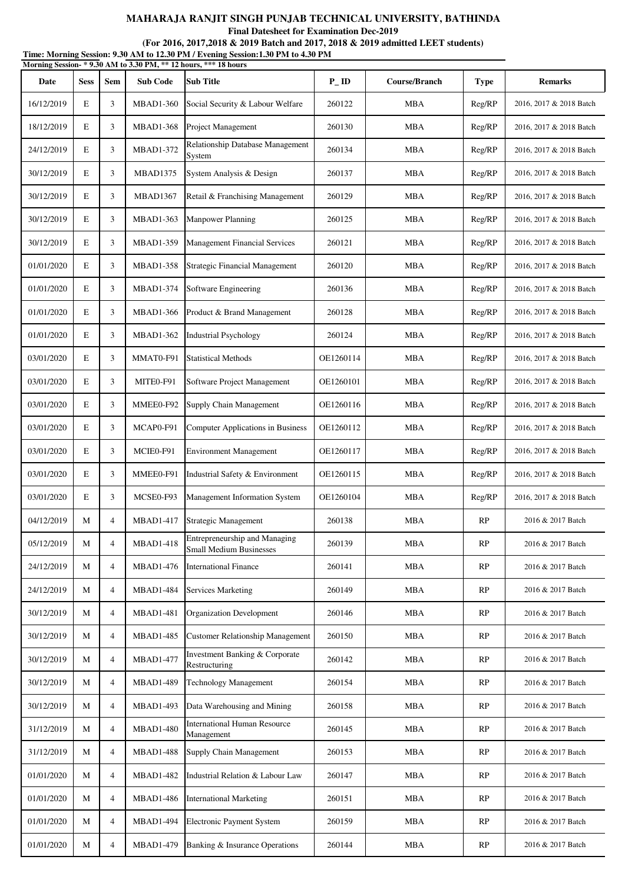**Final Datesheet for Examination Dec-2019**

| Time: Morning Session: 9.30 AM to 12.30 PM / Evening Session:1.30 PM to 4.30 PM<br>Morning Session-*9.30 AM to 3.30 PM, ** 12 hours, *** 18 hours |             |                |                  |                                                                 |                   |               |             |                         |  |  |
|---------------------------------------------------------------------------------------------------------------------------------------------------|-------------|----------------|------------------|-----------------------------------------------------------------|-------------------|---------------|-------------|-------------------------|--|--|
| Date                                                                                                                                              | <b>Sess</b> | Sem            | <b>Sub Code</b>  | <b>Sub Title</b>                                                | $P$ <sub>ID</sub> | Course/Branch | <b>Type</b> | <b>Remarks</b>          |  |  |
| 16/12/2019                                                                                                                                        | E           | 3              | <b>MBAD1-360</b> | Social Security & Labour Welfare                                | 260122            | <b>MBA</b>    | Reg/RP      | 2016, 2017 & 2018 Batch |  |  |
| 18/12/2019                                                                                                                                        | E           | 3              | <b>MBAD1-368</b> | Project Management                                              | 260130            | <b>MBA</b>    | Reg/RP      | 2016, 2017 & 2018 Batch |  |  |
| 24/12/2019                                                                                                                                        | E           | 3              | <b>MBAD1-372</b> | Relationship Database Management<br>System                      | 260134            | <b>MBA</b>    | Reg/RP      | 2016, 2017 & 2018 Batch |  |  |
| 30/12/2019                                                                                                                                        | E           | 3              | <b>MBAD1375</b>  | System Analysis & Design                                        | 260137            | <b>MBA</b>    | Reg/RP      | 2016, 2017 & 2018 Batch |  |  |
| 30/12/2019                                                                                                                                        | E           | 3              | <b>MBAD1367</b>  | Retail & Franchising Management                                 | 260129            | <b>MBA</b>    | Reg/RP      | 2016, 2017 & 2018 Batch |  |  |
| 30/12/2019                                                                                                                                        | E           | 3              | <b>MBAD1-363</b> | <b>Manpower Planning</b>                                        | 260125            | MBA           | Reg/RP      | 2016, 2017 & 2018 Batch |  |  |
| 30/12/2019                                                                                                                                        | E           | 3              | <b>MBAD1-359</b> | <b>Management Financial Services</b>                            | 260121            | MBA           | Reg/RP      | 2016, 2017 & 2018 Batch |  |  |
| 01/01/2020                                                                                                                                        | E           | 3              | <b>MBAD1-358</b> | <b>Strategic Financial Management</b>                           | 260120            | <b>MBA</b>    | Reg/RP      | 2016, 2017 & 2018 Batch |  |  |
| 01/01/2020                                                                                                                                        | E           | 3              | <b>MBAD1-374</b> | Software Engineering                                            | 260136            | <b>MBA</b>    | Reg/RP      | 2016, 2017 & 2018 Batch |  |  |
| 01/01/2020                                                                                                                                        | E           | 3              | <b>MBAD1-366</b> | Product & Brand Management                                      | 260128            | <b>MBA</b>    | Reg/RP      | 2016, 2017 & 2018 Batch |  |  |
| 01/01/2020                                                                                                                                        | E           | 3              | MBAD1-362        | <b>Industrial Psychology</b>                                    | 260124            | <b>MBA</b>    | Reg/RP      | 2016, 2017 & 2018 Batch |  |  |
| 03/01/2020                                                                                                                                        | E           | 3              | MMAT0-F91        | <b>Statistical Methods</b>                                      | OE1260114         | <b>MBA</b>    | Reg/RP      | 2016, 2017 & 2018 Batch |  |  |
| 03/01/2020                                                                                                                                        | E           | 3              | MITE0-F91        | Software Project Management                                     | OE1260101         | <b>MBA</b>    | Reg/RP      | 2016, 2017 & 2018 Batch |  |  |
| 03/01/2020                                                                                                                                        | E           | 3              | MMEE0-F92        | Supply Chain Management                                         | OE1260116         | <b>MBA</b>    | Reg/RP      | 2016, 2017 & 2018 Batch |  |  |
| 03/01/2020                                                                                                                                        | E           | 3              | MCAP0-F91        | Computer Applications in Business                               | OE1260112         | <b>MBA</b>    | Reg/RP      | 2016, 2017 & 2018 Batch |  |  |
| 03/01/2020                                                                                                                                        | E           | 3              | MCIE0-F91        | <b>Environment Management</b>                                   | OE1260117         | <b>MBA</b>    | Reg/RP      | 2016, 2017 & 2018 Batch |  |  |
| 03/01/2020                                                                                                                                        | E           | 3              | MMEE0-F91        | Industrial Safety & Environment                                 | OE1260115         | <b>MBA</b>    | Reg/RP      | 2016, 2017 & 2018 Batch |  |  |
| 03/01/2020                                                                                                                                        | E           | 3              | MCSE0-F93        | Management Information System                                   | OE1260104         | MBA           | Reg/RP      | 2016, 2017 & 2018 Batch |  |  |
| 04/12/2019                                                                                                                                        | M           | 4              | MBAD1-417        | Strategic Management                                            | 260138            | MBA           | RP.         | 2016 & 2017 Batch       |  |  |
| 05/12/2019                                                                                                                                        | M           | $\overline{4}$ | <b>MBAD1-418</b> | Entrepreneurship and Managing<br><b>Small Medium Businesses</b> | 260139            | <b>MBA</b>    | RP          | 2016 & 2017 Batch       |  |  |
| 24/12/2019                                                                                                                                        | M           | $\overline{4}$ | <b>MBAD1-476</b> | <b>International Finance</b>                                    | 260141            | <b>MBA</b>    | RP          | 2016 & 2017 Batch       |  |  |
| 24/12/2019                                                                                                                                        | M           | 4              | <b>MBAD1-484</b> | <b>Services Marketing</b>                                       | 260149            | <b>MBA</b>    | RP          | 2016 & 2017 Batch       |  |  |
| 30/12/2019                                                                                                                                        | M           | $\overline{4}$ | <b>MBAD1-481</b> | Organization Development                                        | 260146            | <b>MBA</b>    | RP          | 2016 & 2017 Batch       |  |  |
| 30/12/2019                                                                                                                                        | M           | $\overline{4}$ | <b>MBAD1-485</b> | <b>Customer Relationship Management</b>                         | 260150            | <b>MBA</b>    | RP          | 2016 & 2017 Batch       |  |  |
| 30/12/2019                                                                                                                                        | M           | $\overline{4}$ | <b>MBAD1-477</b> | Investment Banking & Corporate<br>Restructuring                 | 260142            | MBA           | RP          | 2016 & 2017 Batch       |  |  |
| 30/12/2019                                                                                                                                        | M           | $\overline{4}$ | <b>MBAD1-489</b> | <b>Technology Management</b>                                    | 260154            | <b>MBA</b>    | RP          | 2016 & 2017 Batch       |  |  |
| 30/12/2019                                                                                                                                        | M           | $\overline{4}$ | MBAD1-493        | Data Warehousing and Mining                                     | 260158            | <b>MBA</b>    | RP          | 2016 & 2017 Batch       |  |  |
| 31/12/2019                                                                                                                                        | M           | $\overline{4}$ | <b>MBAD1-480</b> | <b>International Human Resource</b><br>Management               | 260145            | <b>MBA</b>    | RP          | 2016 & 2017 Batch       |  |  |
| 31/12/2019                                                                                                                                        | M           | 4              | <b>MBAD1-488</b> | Supply Chain Management                                         | 260153            | MBA           | RP          | 2016 & 2017 Batch       |  |  |
| 01/01/2020                                                                                                                                        | M           | 4              | <b>MBAD1-482</b> | Industrial Relation & Labour Law                                | 260147            | <b>MBA</b>    | RP          | 2016 & 2017 Batch       |  |  |
| 01/01/2020                                                                                                                                        | М           | $\overline{4}$ | MBAD1-486        | <b>International Marketing</b>                                  | 260151            | MBA           | RP          | 2016 & 2017 Batch       |  |  |
| 01/01/2020                                                                                                                                        | M           | 4              | <b>MBAD1-494</b> | Electronic Payment System                                       | 260159            | <b>MBA</b>    | RP          | 2016 & 2017 Batch       |  |  |
| 01/01/2020                                                                                                                                        | M           | $\overline{4}$ | MBAD1-479        | Banking & Insurance Operations                                  | 260144            | <b>MBA</b>    | RP          | 2016 & 2017 Batch       |  |  |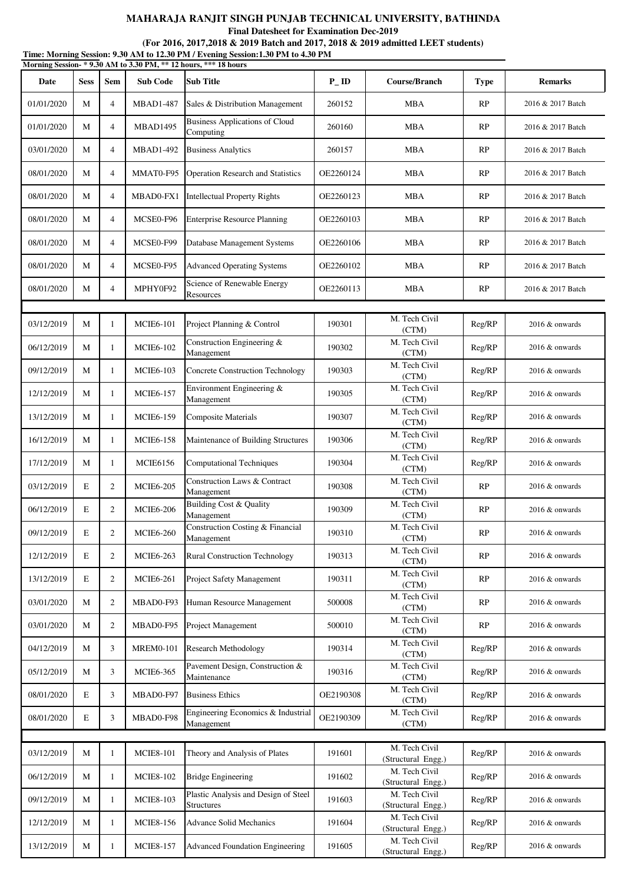**Final Datesheet for Examination Dec-2019**

| Time: Morning Session: 9.30 AM to 12.30 PM / Evening Session: 1.30 PM to 4.30 PM<br>Morning Session-*9.30 AM to 3.30 PM, ** 12 hours, *** 18 hours |             |                |                  |                                                           |           |                                      |             |                   |  |  |
|----------------------------------------------------------------------------------------------------------------------------------------------------|-------------|----------------|------------------|-----------------------------------------------------------|-----------|--------------------------------------|-------------|-------------------|--|--|
| Date                                                                                                                                               | <b>Sess</b> | <b>Sem</b>     | <b>Sub Code</b>  | <b>Sub Title</b>                                          | $P_{-}ID$ | Course/Branch                        | <b>Type</b> | <b>Remarks</b>    |  |  |
| 01/01/2020                                                                                                                                         | M           | $\overline{4}$ | <b>MBAD1-487</b> | Sales & Distribution Management                           | 260152    | MBA                                  | RP          | 2016 & 2017 Batch |  |  |
| 01/01/2020                                                                                                                                         | M           | $\overline{4}$ | MBAD1495         | <b>Business Applications of Cloud</b><br>Computing        | 260160    | <b>MBA</b>                           | RP          | 2016 & 2017 Batch |  |  |
| 03/01/2020                                                                                                                                         | M           | $\overline{4}$ | <b>MBAD1-492</b> | <b>Business Analytics</b>                                 | 260157    | <b>MBA</b>                           | RP          | 2016 & 2017 Batch |  |  |
| 08/01/2020                                                                                                                                         | M           | $\overline{4}$ | MMAT0-F95        | <b>Operation Research and Statistics</b>                  | OE2260124 | <b>MBA</b>                           | RP          | 2016 & 2017 Batch |  |  |
| 08/01/2020                                                                                                                                         | M           | $\overline{4}$ | MBAD0-FX1        | <b>Intellectual Property Rights</b>                       | OE2260123 | MBA                                  | RP          | 2016 & 2017 Batch |  |  |
| 08/01/2020                                                                                                                                         | M           | $\overline{4}$ | MCSE0-F96        | <b>Enterprise Resource Planning</b>                       | OE2260103 | MBA                                  | RP          | 2016 & 2017 Batch |  |  |
| 08/01/2020                                                                                                                                         | M           | $\overline{4}$ | MCSE0-F99        | Database Management Systems                               | OE2260106 | <b>MBA</b>                           | RP          | 2016 & 2017 Batch |  |  |
| 08/01/2020                                                                                                                                         | M           | $\overline{4}$ | MCSE0-F95        | <b>Advanced Operating Systems</b>                         | OE2260102 | MBA                                  | RP          | 2016 & 2017 Batch |  |  |
| 08/01/2020                                                                                                                                         | M           | $\overline{4}$ | MPHY0F92         | Science of Renewable Energy<br>Resources                  | OE2260113 | MBA                                  | RP          | 2016 & 2017 Batch |  |  |
|                                                                                                                                                    |             |                |                  |                                                           |           |                                      |             |                   |  |  |
| 03/12/2019                                                                                                                                         | M           | 1              | <b>MCIE6-101</b> | Project Planning & Control                                | 190301    | M. Tech Civil<br>(CTM)               | Reg/RP      | 2016 & onwards    |  |  |
| 06/12/2019                                                                                                                                         | M           | 1              | <b>MCIE6-102</b> | Construction Engineering &<br>Management                  | 190302    | M. Tech Civil<br>(CTM)               | Reg/RP      | 2016 & onwards    |  |  |
| 09/12/2019                                                                                                                                         | M           | 1              | <b>MCIE6-103</b> | <b>Concrete Construction Technology</b>                   | 190303    | M. Tech Civil<br>(CTM)               | Reg/RP      | 2016 & onwards    |  |  |
| 12/12/2019                                                                                                                                         | M           | 1              | <b>MCIE6-157</b> | Environment Engineering &<br>Management                   | 190305    | M. Tech Civil<br>(CTM)               | Reg/RP      | 2016 & onwards    |  |  |
| 13/12/2019                                                                                                                                         | M           | 1              | <b>MCIE6-159</b> | <b>Composite Materials</b>                                | 190307    | M. Tech Civil<br>(CTM)               | Reg/RP      | $2016 \&$ onwards |  |  |
| 16/12/2019                                                                                                                                         | M           | 1              | <b>MCIE6-158</b> | Maintenance of Building Structures                        | 190306    | M. Tech Civil<br>(CTM)               | Reg/RP      | $2016 \&$ onwards |  |  |
| 17/12/2019                                                                                                                                         | M           | 1              | <b>MCIE6156</b>  | <b>Computational Techniques</b>                           | 190304    | M. Tech Civil<br>(CTM)               | Reg/RP      | 2016 & onwards    |  |  |
| 03/12/2019                                                                                                                                         | E           | $\overline{2}$ | <b>MCIE6-205</b> | Construction Laws & Contract<br>Management                | 190308    | M. Tech Civil<br>(CTM)               | RP          | $2016 \&$ onwards |  |  |
| 06/12/2019                                                                                                                                         | E           | $\overline{2}$ | <b>MCIE6-206</b> | Building Cost & Quality<br>Management                     | 190309    | M. Tech Civil<br>(CTM)               | RP          | $2016 \&$ onwards |  |  |
| 09/12/2019                                                                                                                                         | E           | 2              | <b>MCIE6-260</b> | Construction Costing & Financial<br>Management            | 190310    | M. Tech Civil<br>(CTM)               | RP          | 2016 & onwards    |  |  |
| 12/12/2019                                                                                                                                         | E           | $\overline{2}$ | <b>MCIE6-263</b> | <b>Rural Construction Technology</b>                      | 190313    | M. Tech Civil<br>(CTM)               | RP          | 2016 & onwards    |  |  |
| 13/12/2019                                                                                                                                         | E           | $\overline{2}$ | <b>MCIE6-261</b> | Project Safety Management                                 | 190311    | M. Tech Civil<br>(CTM)               | RP          | 2016 & onwards    |  |  |
| 03/01/2020                                                                                                                                         | M           | $\overline{2}$ | MBAD0-F93        | Human Resource Management                                 | 500008    | M. Tech Civil<br>(CTM)               | RP          | 2016 & onwards    |  |  |
| 03/01/2020                                                                                                                                         | M           | $\overline{2}$ | MBAD0-F95        | Project Management                                        | 500010    | $\overline{M}$ . Tech Civil<br>(CTM) | RP          | 2016 & onwards    |  |  |
| 04/12/2019                                                                                                                                         | M           | 3              | <b>MREM0-101</b> | <b>Research Methodology</b>                               | 190314    | M. Tech Civil<br>(CTM)               | Reg/RP      | 2016 & onwards    |  |  |
| 05/12/2019                                                                                                                                         | M           | 3              | <b>MCIE6-365</b> | Pavement Design, Construction &<br>Maintenance            | 190316    | M. Tech Civil<br>(CTM)               | Reg/RP      | 2016 & onwards    |  |  |
| 08/01/2020                                                                                                                                         | E           | 3              | MBAD0-F97        | <b>Business Ethics</b>                                    | OE2190308 | M. Tech Civil<br>(CTM)               | Reg/RP      | 2016 & onwards    |  |  |
| 08/01/2020                                                                                                                                         | E           | 3              | MBAD0-F98        | Engineering Economics & Industrial<br>Management          | OE2190309 | M. Tech Civil<br>(CTM)               | Reg/RP      | 2016 & onwards    |  |  |
|                                                                                                                                                    |             |                |                  |                                                           |           |                                      |             |                   |  |  |
| 03/12/2019                                                                                                                                         | M           | 1              | <b>MCIE8-101</b> | Theory and Analysis of Plates                             | 191601    | M. Tech Civil<br>(Structural Engg.)  | Reg/RP      | 2016 & onwards    |  |  |
| 06/12/2019                                                                                                                                         | M           | $\mathbf{1}$   | <b>MCIE8-102</b> | <b>Bridge Engineering</b>                                 | 191602    | M. Tech Civil<br>(Structural Engg.)  | Reg/RP      | $2016 \&$ onwards |  |  |
| 09/12/2019                                                                                                                                         | M           | 1              | <b>MCIE8-103</b> | Plastic Analysis and Design of Steel<br><b>Structures</b> | 191603    | M. Tech Civil<br>(Structural Engg.)  | Reg/RP      | 2016 & onwards    |  |  |
| 12/12/2019                                                                                                                                         | M           | 1              | <b>MCIE8-156</b> | <b>Advance Solid Mechanics</b>                            | 191604    | M. Tech Civil<br>(Structural Engg.)  | Reg/RP      | 2016 & onwards    |  |  |
| 13/12/2019                                                                                                                                         | M           | 1              | <b>MCIE8-157</b> | <b>Advanced Foundation Engineering</b>                    | 191605    | M. Tech Civil<br>(Structural Engg.)  | Reg/RP      | 2016 & onwards    |  |  |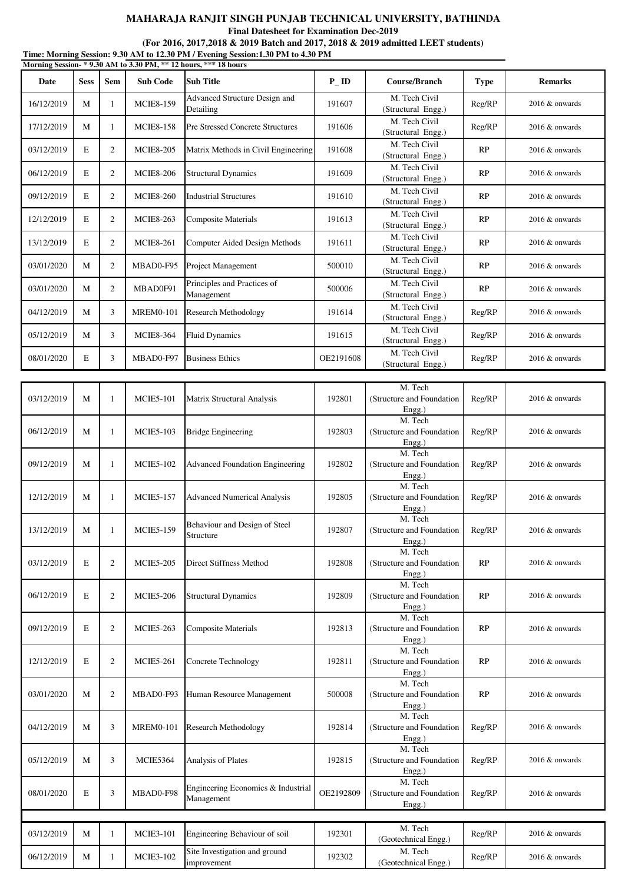**Final Datesheet for Examination Dec-2019**

|            |             |                |                  | Time: Morning Session: 9.30 AM to 12.30 PM / Evening Session:1.30 PM to 4.30 PM |           |                                                   |             |                   |
|------------|-------------|----------------|------------------|---------------------------------------------------------------------------------|-----------|---------------------------------------------------|-------------|-------------------|
|            |             |                |                  | Morning Session- * 9.30 AM to 3.30 PM, ** 12 hours, *** 18 hours                |           |                                                   |             |                   |
| Date       | <b>Sess</b> | <b>Sem</b>     | <b>Sub Code</b>  | <b>Sub Title</b>                                                                | $P_{-}ID$ | Course/Branch                                     | <b>Type</b> | <b>Remarks</b>    |
| 16/12/2019 | M           | 1              | <b>MCIE8-159</b> | Advanced Structure Design and<br>Detailing                                      | 191607    | M. Tech Civil<br>(Structural Engg.)               | Reg/RP      | 2016 & onwards    |
| 17/12/2019 | M           | 1              | <b>MCIE8-158</b> | <b>Pre Stressed Concrete Structures</b>                                         | 191606    | M. Tech Civil<br>(Structural Engg.)               | Reg/RP      | 2016 & onwards    |
| 03/12/2019 | E           | 2              | <b>MCIE8-205</b> | Matrix Methods in Civil Engineering                                             | 191608    | M. Tech Civil<br>(Structural Engg.)               | RP          | 2016 & onwards    |
| 06/12/2019 | E           | $\overline{2}$ | <b>MCIE8-206</b> | <b>Structural Dynamics</b>                                                      | 191609    | M. Tech Civil<br>(Structural Engg.)               | RP          | $2016 \&$ onwards |
| 09/12/2019 | E           | $\overline{2}$ | <b>MCIE8-260</b> | <b>Industrial Structures</b>                                                    | 191610    | M. Tech Civil<br>(Structural Engg.)               | RP          | 2016 & onwards    |
| 12/12/2019 | E           | $\overline{2}$ | <b>MCIE8-263</b> | <b>Composite Materials</b>                                                      | 191613    | M. Tech Civil<br>(Structural Engg.)               | RP          | 2016 & onwards    |
| 13/12/2019 | E           | $\overline{2}$ | <b>MCIE8-261</b> | Computer Aided Design Methods                                                   | 191611    | M. Tech Civil<br>(Structural Engg.)               | RP          | $2016 \&$ onwards |
| 03/01/2020 | M           | $\overline{2}$ | MBAD0-F95        | Project Management                                                              | 500010    | M. Tech Civil<br>(Structural Engg.)               | RP          | 2016 & onwards    |
| 03/01/2020 | M           | $\overline{2}$ | MBAD0F91         | Principles and Practices of<br>Management                                       | 500006    | M. Tech Civil<br>(Structural Engg.)               | RP          | 2016 & onwards    |
| 04/12/2019 | M           | 3              | <b>MREM0-101</b> | <b>Research Methodology</b>                                                     | 191614    | M. Tech Civil<br>(Structural Engg.)               | Reg/RP      | 2016 & onwards    |
| 05/12/2019 | M           | 3              | <b>MCIE8-364</b> | <b>Fluid Dynamics</b>                                                           | 191615    | M. Tech Civil<br>(Structural Engg.)               | Reg/RP      | 2016 & onwards    |
| 08/01/2020 | E           | 3              | MBAD0-F97        | <b>Business Ethics</b>                                                          | OE2191608 | M. Tech Civil<br>(Structural Engg.)               | Reg/RP      | 2016 & onwards    |
|            |             |                |                  |                                                                                 |           |                                                   |             |                   |
| 03/12/2019 | M           | 1              | <b>MCIE5-101</b> | <b>Matrix Structural Analysis</b>                                               | 192801    | M. Tech<br>(Structure and Foundation<br>$Engg.$ ) | Reg/RP      | 2016 & onwards    |
| 06/12/2019 | M           | 1              | <b>MCIE5-103</b> | <b>Bridge Engineering</b>                                                       | 192803    | M. Tech<br>(Structure and Foundation<br>Engg.)    | Reg/RP      | $2016 \&$ onwards |
| 09/12/2019 | M           | 1              | <b>MCIE5-102</b> | <b>Advanced Foundation Engineering</b>                                          | 192802    | M. Tech<br>(Structure and Foundation<br>Engg.)    | Reg/RP      | 2016 & onwards    |
| 12/12/2019 | M           | 1              | <b>MCIE5-157</b> | <b>Advanced Numerical Analysis</b>                                              | 192805    | M. Tech<br>(Structure and Foundation<br>Engg.)    | Reg/RP      | 2016 & onwards    |
| 13/12/2019 | M           | 1              | <b>MCIE5-159</b> | Behaviour and Design of Steel<br>Structure                                      | 192807    | M. Tech<br>(Structure and Foundation<br>$Engg.$ ) | Reg/RP      | 2016 & onwards    |
| 03/12/2019 | E           | $\overline{2}$ | <b>MCIE5-205</b> | Direct Stiffness Method                                                         | 192808    | M. Tech<br>(Structure and Foundation<br>Engg.)    | RP          | 2016 & onwards    |
| 06/12/2019 | E           | 2              | <b>MCIE5-206</b> | <b>Structural Dynamics</b>                                                      | 192809    | M. Tech<br>(Structure and Foundation<br>Engg.)    | RP          | 2016 & onwards    |
| 09/12/2019 | E           | $\overline{2}$ | <b>MCIE5-263</b> | <b>Composite Materials</b>                                                      | 192813    | M. Tech<br>(Structure and Foundation<br>Engg.)    | RP          | 2016 & onwards    |
| 12/12/2019 | E           | 2              | <b>MCIE5-261</b> | Concrete Technology                                                             | 192811    | M. Tech<br>(Structure and Foundation<br>Engg.)    | RP          | 2016 & onwards    |
| 03/01/2020 | M           | $\overline{2}$ | MBAD0-F93        | Human Resource Management                                                       | 500008    | M. Tech<br>(Structure and Foundation<br>Engg.)    | RP          | 2016 & onwards    |
| 04/12/2019 | M           | 3              | <b>MREM0-101</b> | <b>Research Methodology</b>                                                     | 192814    | M. Tech<br>(Structure and Foundation<br>Engg.)    | Reg/RP      | $2016 \&$ onwards |
| 05/12/2019 | M           | 3              | <b>MCIE5364</b>  | Analysis of Plates                                                              | 192815    | M. Tech<br>(Structure and Foundation<br>Engg.)    | Reg/RP      | 2016 & onwards    |
| 08/01/2020 | E           | 3              | MBAD0-F98        | Engineering Economics & Industrial<br>Management                                | OE2192809 | M. Tech<br>(Structure and Foundation<br>Engg.)    | Reg/RP      | $2016 \&$ onwards |
|            |             |                |                  |                                                                                 |           |                                                   |             |                   |
| 03/12/2019 | M           | 1              | <b>MCIE3-101</b> | Engineering Behaviour of soil                                                   | 192301    | M. Tech<br>(Geotechnical Engg.)                   | Reg/RP      | 2016 & onwards    |
| 06/12/2019 | M           | 1              | <b>MCIE3-102</b> | Site Investigation and ground<br>improvement                                    | 192302    | M. Tech<br>(Geotechnical Engg.)                   | Reg/RP      | 2016 & onwards    |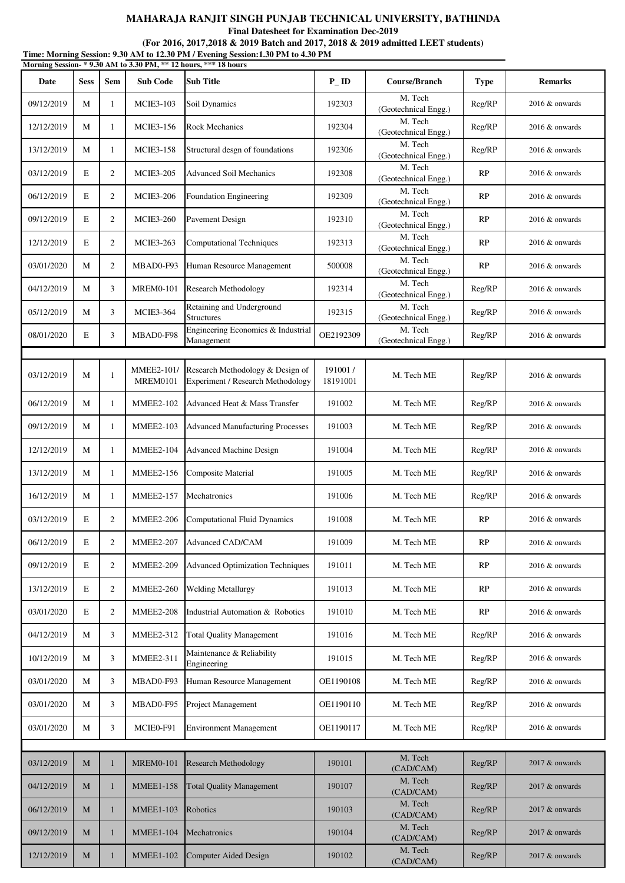**Final Datesheet for Examination Dec-2019**

|            |             |                |                                      | Time: Morning Session: 9.30 AM to 12.30 PM / Evening Session:1.30 PM to 4.30 PM<br>Morning Session-*9.30 AM to 3.30 PM, ** 12 hours, *** 18 hours |                     |                                 |             |                   |
|------------|-------------|----------------|--------------------------------------|---------------------------------------------------------------------------------------------------------------------------------------------------|---------------------|---------------------------------|-------------|-------------------|
| Date       | <b>Sess</b> | Sem            | <b>Sub Code</b>                      | <b>Sub Title</b>                                                                                                                                  | $P$ <sub>ID</sub>   | Course/Branch                   | <b>Type</b> | <b>Remarks</b>    |
| 09/12/2019 | M           | 1              | <b>MCIE3-103</b>                     | Soil Dynamics                                                                                                                                     | 192303              | M. Tech<br>(Geotechnical Engg.) | Reg/RP      | $2016 \&$ onwards |
| 12/12/2019 | M           | 1              | <b>MCIE3-156</b>                     | <b>Rock Mechanics</b>                                                                                                                             | 192304              | M. Tech<br>(Geotechnical Engg.) | Reg/RP      | $2016 \&$ onwards |
| 13/12/2019 | M           | 1              | <b>MCIE3-158</b>                     | Structural desgn of foundations                                                                                                                   | 192306              | M. Tech<br>(Geotechnical Engg.) | Reg/RP      | 2016 & onwards    |
| 03/12/2019 | E           | $\overline{c}$ | <b>MCIE3-205</b>                     | <b>Advanced Soil Mechanics</b>                                                                                                                    | 192308              | M. Tech<br>(Geotechnical Engg.) | RP          | 2016 & onwards    |
| 06/12/2019 | E           | 2              | <b>MCIE3-206</b>                     | Foundation Engineering                                                                                                                            | 192309              | M. Tech<br>(Geotechnical Engg.) | RP          | 2016 & onwards    |
| 09/12/2019 | E           | $\overline{c}$ | <b>MCIE3-260</b>                     | Pavement Design                                                                                                                                   | 192310              | M. Tech<br>(Geotechnical Engg.) | RP          | 2016 & onwards    |
| 12/12/2019 | E           | $\overline{c}$ | MCIE3-263                            | <b>Computational Techniques</b>                                                                                                                   | 192313              | M. Tech<br>(Geotechnical Engg.) | RP          | 2016 & onwards    |
| 03/01/2020 | M           | $\overline{c}$ | MBAD0-F93                            | Human Resource Management                                                                                                                         | 500008              | M. Tech<br>(Geotechnical Engg.) | RP          | $2016 \&$ onwards |
| 04/12/2019 | M           | 3              | <b>MREM0-101</b>                     | Research Methodology                                                                                                                              | 192314              | M. Tech<br>(Geotechnical Engg.) | Reg/RP      | 2016 & onwards    |
| 05/12/2019 | M           | 3              | <b>MCIE3-364</b>                     | Retaining and Underground<br><b>Structures</b>                                                                                                    | 192315              | M. Tech<br>(Geotechnical Engg.) | Reg/RP      | 2016 & onwards    |
| 08/01/2020 | E           | 3              | MBAD0-F98                            | Engineering Economics & Industrial<br>Management                                                                                                  | OE2192309           | M. Tech<br>(Geotechnical Engg.) | Reg/RP      | 2016 & onwards    |
|            |             |                |                                      |                                                                                                                                                   |                     |                                 |             |                   |
| 03/12/2019 | M           | 1              | <b>MMEE2-101/</b><br><b>MREM0101</b> | Research Methodology & Design of<br>Experiment / Research Methodology                                                                             | 191001/<br>18191001 | M. Tech ME                      | Reg/RP      | 2016 & onwards    |
| 06/12/2019 | M           | 1              | <b>MMEE2-102</b>                     | Advanced Heat & Mass Transfer                                                                                                                     | 191002              | M. Tech ME                      | Reg/RP      | 2016 & onwards    |
| 09/12/2019 | M           | 1              | <b>MMEE2-103</b>                     | <b>Advanced Manufacturing Processes</b>                                                                                                           | 191003              | M. Tech ME                      | Reg/RP      | 2016 & onwards    |
| 12/12/2019 | M           | 1              | <b>MMEE2-104</b>                     | <b>Advanced Machine Design</b>                                                                                                                    | 191004              | M. Tech ME                      | Reg/RP      | 2016 & onwards    |
| 13/12/2019 | M           | 1              | <b>MMEE2-156</b>                     | <b>Composite Material</b>                                                                                                                         | 191005              | M. Tech ME                      | Reg/RP      | 2016 & onwards    |
| 16/12/2019 | M           | 1              | <b>MMEE2-157</b>                     | Mechatronics                                                                                                                                      | 191006              | M. Tech ME                      | Reg/RP      | 2016 & onwards    |
| 03/12/2019 | E           | $\mathbf{2}$   | <b>MMEE2-206</b>                     | <b>Computational Fluid Dynamics</b>                                                                                                               | 191008              | M. Tech ME                      | RP          | 2016 & onwards    |
| 06/12/2019 | E           | 2              | <b>MMEE2-207</b>                     | Advanced CAD/CAM                                                                                                                                  | 191009              | M. Tech ME                      | RP          | 2016 & onwards    |
| 09/12/2019 | E           | $\overline{2}$ | <b>MMEE2-209</b>                     | <b>Advanced Optimization Techniques</b>                                                                                                           | 191011              | M. Tech ME                      | RP          | 2016 & onwards    |
| 13/12/2019 | E           | $\overline{c}$ | <b>MMEE2-260</b>                     | <b>Welding Metallurgy</b>                                                                                                                         | 191013              | M. Tech ME                      | RP          | 2016 & onwards    |
| 03/01/2020 | E           | 2              | <b>MMEE2-208</b>                     | Industrial Automation & Robotics                                                                                                                  | 191010              | M. Tech ME                      | RP          | 2016 & onwards    |
| 04/12/2019 | M           | 3              | <b>MMEE2-312</b>                     | <b>Total Quality Management</b>                                                                                                                   | 191016              | M. Tech ME                      | Reg/RP      | 2016 & onwards    |
| 10/12/2019 | M           | 3              | <b>MMEE2-311</b>                     | Maintenance & Reliability<br>Engineering                                                                                                          | 191015              | M. Tech ME                      | Reg/RP      | 2016 & onwards    |
| 03/01/2020 | M           | 3              | MBAD0-F93                            | Human Resource Management                                                                                                                         | OE1190108           | M. Tech ME                      | Reg/RP      | 2016 & onwards    |
| 03/01/2020 | M           | 3              | MBAD0-F95                            | Project Management                                                                                                                                | OE1190110           | M. Tech ME                      | Reg/RP      | 2016 & onwards    |
| 03/01/2020 | M           | 3              | MCIE0-F91                            | <b>Environment Management</b>                                                                                                                     | OE1190117           | M. Tech ME                      | Reg/RP      | 2016 & onwards    |
|            |             |                |                                      |                                                                                                                                                   |                     |                                 |             |                   |
| 03/12/2019 | M           | $\mathbf{1}$   | <b>MREM0-101</b>                     | <b>Research Methodology</b>                                                                                                                       | 190101              | M. Tech<br>(CAD/CAM)            | Reg/RP      | 2017 & onwards    |
| 04/12/2019 | M           | 1              | <b>MMEE1-158</b>                     | <b>Total Quality Management</b>                                                                                                                   | 190107              | M. Tech<br>(CAD/CAM)            | Reg/RP      | $2017 \&$ onwards |
| 06/12/2019 | M           | 1              | <b>MMEE1-103</b>                     | Robotics                                                                                                                                          | 190103              | M. Tech<br>(CAD/CAM)            | Reg/RP      | $2017 \&$ onwards |
| 09/12/2019 | M           | 1              | <b>MMEE1-104</b>                     | Mechatronics                                                                                                                                      | 190104              | M. Tech<br>(CAD/CAM)            | Reg/RP      | $2017 \&$ onwards |
| 12/12/2019 | M           |                | <b>MMEE1-102</b>                     | <b>Computer Aided Design</b>                                                                                                                      | 190102              | M. Tech<br>(CAD/CAM)            | Reg/RP      | 2017 & onwards    |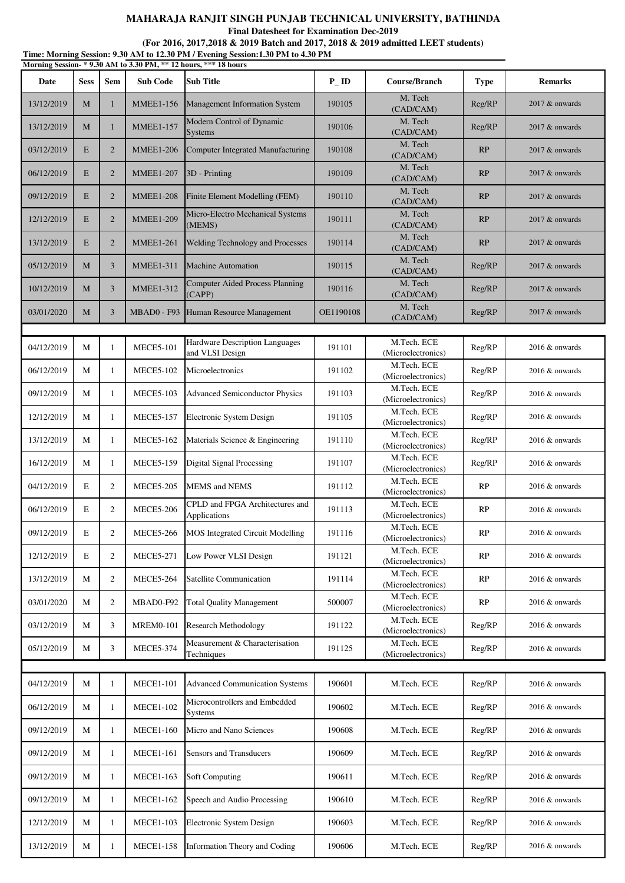**Final Datesheet for Examination Dec-2019**

| Time: Morning Session: 9.30 AM to 12.30 PM / Evening Session: 1.30 PM to 4.30 PM<br>Morning Session-*9.30 AM to 3.30 PM, ** 12 hours, *** 18 hours |             |                |                    |                                                   |                    |                                   |             |                   |  |  |
|----------------------------------------------------------------------------------------------------------------------------------------------------|-------------|----------------|--------------------|---------------------------------------------------|--------------------|-----------------------------------|-------------|-------------------|--|--|
| Date                                                                                                                                               | <b>Sess</b> | <b>Sem</b>     | <b>Sub Code</b>    | <b>Sub Title</b>                                  | $P$ <sub>-ID</sub> | Course/Branch                     | <b>Type</b> | <b>Remarks</b>    |  |  |
| 13/12/2019                                                                                                                                         | M           | $\mathbf{1}$   | <b>MMEE1-156</b>   | Management Information System                     | 190105             | M. Tech<br>(CAD/CAM)              | Reg/RP      | $2017$ & onwards  |  |  |
| 13/12/2019                                                                                                                                         | M           | $\mathbf{1}$   | <b>MMEE1-157</b>   | Modern Control of Dynamic<br><b>Systems</b>       | 190106             | M. Tech<br>(CAD/CAM)              | Reg/RP      | $2017$ & onwards  |  |  |
| 03/12/2019                                                                                                                                         | E           | $\overline{2}$ | <b>MMEE1-206</b>   | <b>Computer Integrated Manufacturing</b>          | 190108             | M. Tech<br>(CAD/CAM)              | RP          | $2017$ & onwards  |  |  |
| 06/12/2019                                                                                                                                         | E           | $\overline{2}$ | <b>MMEE1-207</b>   | 3D - Printing                                     | 190109             | M. Tech<br>(CAD/CAM)              | RP          | $2017$ & onwards  |  |  |
| 09/12/2019                                                                                                                                         | E           | $\overline{2}$ | <b>MMEE1-208</b>   | Finite Element Modelling (FEM)                    | 190110             | M. Tech<br>(CAD/CAM)              | RP          | 2017 & onwards    |  |  |
| 12/12/2019                                                                                                                                         | E           | $\overline{2}$ | <b>MMEE1-209</b>   | Micro-Electro Mechanical Systems<br>(MEMS)        | 190111             | M. Tech<br>(CAD/CAM)              | RP          | $2017$ & onwards  |  |  |
| 13/12/2019                                                                                                                                         | E           | $\overline{2}$ | <b>MMEE1-261</b>   | Welding Technology and Processes                  | 190114             | M. Tech<br>(CAD/CAM)              | RP          | $2017$ & onwards  |  |  |
| 05/12/2019                                                                                                                                         | M           | $\overline{3}$ | <b>MMEE1-311</b>   | <b>Machine Automation</b>                         | 190115             | M. Tech<br>(CAD/CAM)              | Reg/RP      | $2017$ & onwards  |  |  |
| 10/12/2019                                                                                                                                         | M           | $\overline{3}$ | <b>MMEE1-312</b>   | <b>Computer Aided Process Planning</b><br>(CAPP)  | 190116             | M. Tech<br>(CAD/CAM)              | Reg/RP      | $2017$ & onwards  |  |  |
| 03/01/2020                                                                                                                                         | M           | 3              | <b>MBAD0 - F93</b> | Human Resource Management                         | OE1190108          | M. Tech<br>(CAD/CAM)              | Reg/RP      | 2017 & onwards    |  |  |
|                                                                                                                                                    |             |                |                    |                                                   |                    |                                   |             |                   |  |  |
| 04/12/2019                                                                                                                                         | M           | $\mathbf{1}$   | <b>MECE5-101</b>   | Hardware Description Languages<br>and VLSI Design | 191101             | M.Tech. ECE<br>(Microelectronics) | Reg/RP      | 2016 & onwards    |  |  |
| 06/12/2019                                                                                                                                         | M           | $\mathbf{1}$   | <b>MECE5-102</b>   | Microelectronics                                  | 191102             | M.Tech. ECE<br>(Microelectronics) | Reg/RP      | 2016 & onwards    |  |  |
| 09/12/2019                                                                                                                                         | M           | $\mathbf{1}$   | <b>MECE5-103</b>   | <b>Advanced Semiconductor Physics</b>             | 191103             | M.Tech. ECE<br>(Microelectronics) | Reg/RP      | $2016 \&$ onwards |  |  |
| 12/12/2019                                                                                                                                         | M           | 1              | <b>MECE5-157</b>   | Electronic System Design                          | 191105             | M.Tech. ECE<br>(Microelectronics) | Reg/RP      | $2016 \&$ onwards |  |  |
| 13/12/2019                                                                                                                                         | M           | $\mathbf{1}$   | <b>MECE5-162</b>   | Materials Science & Engineering                   | 191110             | M.Tech. ECE<br>(Microelectronics) | Reg/RP      | $2016 \&$ onwards |  |  |
| 16/12/2019                                                                                                                                         | M           | $\mathbf{1}$   | <b>MECE5-159</b>   | <b>Digital Signal Processing</b>                  | 191107             | M.Tech. ECE<br>(Microelectronics) | Reg/RP      | $2016 \&$ onwards |  |  |
| 04/12/2019                                                                                                                                         | $\mathbf E$ | $\overline{2}$ | <b>MECE5-205</b>   | <b>MEMS</b> and <b>NEMS</b>                       | 191112             | M.Tech. ECE<br>(Microelectronics) | RP          | $2016 \&$ onwards |  |  |
| 06/12/2019                                                                                                                                         | E           | $\overline{2}$ | <b>MECE5-206</b>   | CPLD and FPGA Architectures and<br>Applications   | 191113             | M.Tech. ECE<br>(Microelectronics) | RP          | 2016 & onwards    |  |  |
| 09/12/2019                                                                                                                                         | E           | $\overline{2}$ | <b>MECE5-266</b>   | MOS Integrated Circuit Modelling                  | 191116             | M.Tech. ECE<br>(Microelectronics) | RP          | 2016 & onwards    |  |  |
| 12/12/2019                                                                                                                                         | E           | $\overline{2}$ | <b>MECE5-271</b>   | Low Power VLSI Design                             | 191121             | M.Tech. ECE<br>(Microelectronics) | RP          | 2016 & onwards    |  |  |
| 13/12/2019                                                                                                                                         | М           | $\overline{c}$ | <b>MECE5-264</b>   | Satellite Communication                           | 191114             | M.Tech. ECE<br>(Microelectronics) | RP          | 2016 & onwards    |  |  |
| 03/01/2020                                                                                                                                         | M           | $\overline{2}$ | MBAD0-F92          | <b>Total Quality Management</b>                   | 500007             | M.Tech. ECE<br>(Microelectronics) | RP          | 2016 & onwards    |  |  |
| 03/12/2019                                                                                                                                         | M           | 3              | <b>MREM0-101</b>   | <b>Research Methodology</b>                       | 191122             | M.Tech. ECE<br>(Microelectronics) | Reg/RP      | 2016 & onwards    |  |  |
| 05/12/2019                                                                                                                                         | М           | 3              | <b>MECE5-374</b>   | Measurement & Characterisation<br>Techniques      | 191125             | M.Tech. ECE<br>(Microelectronics) | Reg/RP      | 2016 & onwards    |  |  |
|                                                                                                                                                    |             |                |                    |                                                   |                    |                                   |             |                   |  |  |
| 04/12/2019                                                                                                                                         | M           | $\mathbf{1}$   | <b>MECE1-101</b>   | <b>Advanced Communication Systems</b>             | 190601             | M.Tech. ECE                       | Reg/RP      | 2016 & onwards    |  |  |
| 06/12/2019                                                                                                                                         | M           | $\mathbf{1}$   | <b>MECE1-102</b>   | Microcontrollers and Embedded<br><b>Systems</b>   | 190602             | M.Tech. ECE                       | Reg/RP      | 2016 & onwards    |  |  |
| 09/12/2019                                                                                                                                         | М           | $\mathbf{1}$   | <b>MECE1-160</b>   | Micro and Nano Sciences                           | 190608             | M.Tech. ECE                       | Reg/RP      | 2016 & onwards    |  |  |
| 09/12/2019                                                                                                                                         | M           | 1              | <b>MECE1-161</b>   | Sensors and Transducers                           | 190609             | M.Tech. ECE                       | Reg/RP      | 2016 & onwards    |  |  |
| 09/12/2019                                                                                                                                         | M           | $\mathbf{1}$   | <b>MECE1-163</b>   | <b>Soft Computing</b>                             | 190611             | M.Tech. ECE                       | Reg/RP      | 2016 & onwards    |  |  |
| 09/12/2019                                                                                                                                         | M           | $\mathbf{1}$   | <b>MECE1-162</b>   | Speech and Audio Processing                       | 190610             | M.Tech. ECE                       | Reg/RP      | 2016 & onwards    |  |  |
| 12/12/2019                                                                                                                                         | M           | 1              | <b>MECE1-103</b>   | Electronic System Design                          | 190603             | M.Tech. ECE                       | Reg/RP      | $2016 \&$ onwards |  |  |
| 13/12/2019                                                                                                                                         | M           |                | <b>MECE1-158</b>   | Information Theory and Coding                     | 190606             | M.Tech. ECE                       | Reg/RP      | 2016 & onwards    |  |  |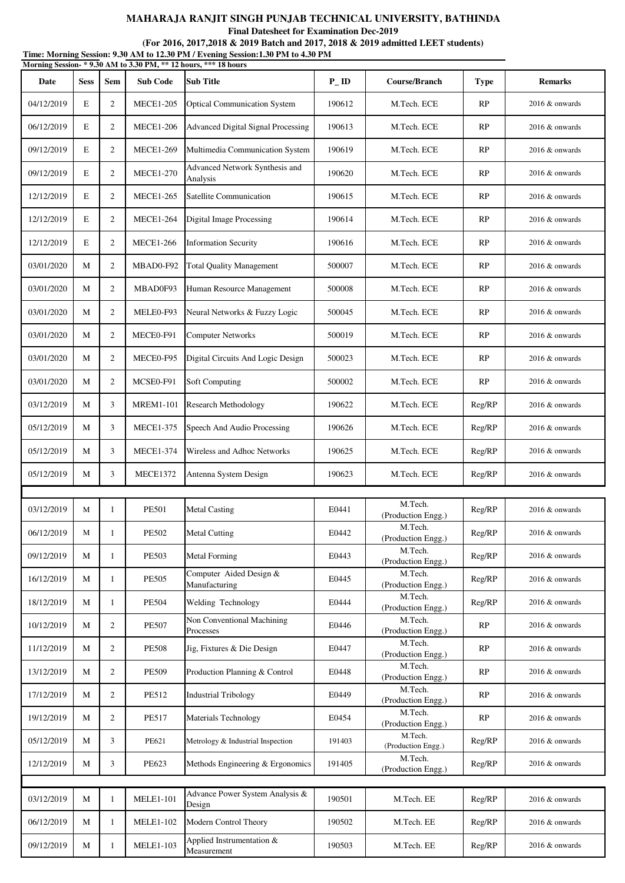**Final Datesheet for Examination Dec-2019**

|            | Time: Morning Session: 9.30 AM to 12.30 PM / Evening Session:1.30 PM to 4.30 PM<br>Morning Session-*9.30 AM to 3.30 PM, ** 12 hours, *** 18 hours |                |                  |                                            |                    |                               |             |                   |  |  |  |
|------------|---------------------------------------------------------------------------------------------------------------------------------------------------|----------------|------------------|--------------------------------------------|--------------------|-------------------------------|-------------|-------------------|--|--|--|
| Date       | <b>Sess</b>                                                                                                                                       | <b>Sem</b>     | <b>Sub Code</b>  | <b>Sub Title</b>                           | $P$ <sub>-ID</sub> | Course/Branch                 | <b>Type</b> | <b>Remarks</b>    |  |  |  |
| 04/12/2019 | E                                                                                                                                                 | 2              | <b>MECE1-205</b> | <b>Optical Communication System</b>        | 190612             | M.Tech. ECE                   | RP          | 2016 & onwards    |  |  |  |
| 06/12/2019 | E                                                                                                                                                 | $\overline{2}$ | <b>MECE1-206</b> | Advanced Digital Signal Processing         | 190613             | M.Tech. ECE                   | RP          | 2016 & onwards    |  |  |  |
| 09/12/2019 | E                                                                                                                                                 | 2              | <b>MECE1-269</b> | Multimedia Communication System            | 190619             | M.Tech. ECE                   | RP          | 2016 & onwards    |  |  |  |
| 09/12/2019 | E                                                                                                                                                 | $\overline{c}$ | <b>MECE1-270</b> | Advanced Network Synthesis and<br>Analysis | 190620             | M.Tech. ECE                   | RP          | $2016 \&$ onwards |  |  |  |
| 12/12/2019 | E                                                                                                                                                 | $\overline{2}$ | <b>MECE1-265</b> | Satellite Communication                    | 190615             | M.Tech. ECE                   | <b>RP</b>   | 2016 & onwards    |  |  |  |
| 12/12/2019 | E                                                                                                                                                 | 2              | <b>MECE1-264</b> | <b>Digital Image Processing</b>            | 190614             | M.Tech. ECE                   | RP          | 2016 & onwards    |  |  |  |
| 12/12/2019 | E                                                                                                                                                 | 2              | <b>MECE1-266</b> | <b>Information Security</b>                | 190616             | M.Tech. ECE                   | RP          | $2016 \&$ onwards |  |  |  |
| 03/01/2020 | М                                                                                                                                                 | 2              | MBAD0-F92        | <b>Total Quality Management</b>            | 500007             | M.Tech. ECE                   | <b>RP</b>   | 2016 & onwards    |  |  |  |
| 03/01/2020 | М                                                                                                                                                 | 2              | MBAD0F93         | Human Resource Management                  | 500008             | M.Tech. ECE                   | RP          | 2016 & onwards    |  |  |  |
| 03/01/2020 | М                                                                                                                                                 | 2              | MELE0-F93        | Neural Networks & Fuzzy Logic              | 500045             | M.Tech. ECE                   | RP          | $2016 \&$ onwards |  |  |  |
| 03/01/2020 | М                                                                                                                                                 | 2              | MECE0-F91        | <b>Computer Networks</b>                   | 500019             | M.Tech. ECE                   | RP          | 2016 & onwards    |  |  |  |
| 03/01/2020 | М                                                                                                                                                 | 2              | MECE0-F95        | Digital Circuits And Logic Design          | 500023             | M.Tech. ECE                   | RP          | 2016 & onwards    |  |  |  |
| 03/01/2020 | М                                                                                                                                                 | 2              | MCSE0-F91        | <b>Soft Computing</b>                      | 500002             | M.Tech. ECE                   | RP          | 2016 & onwards    |  |  |  |
| 03/12/2019 | М                                                                                                                                                 | 3              | <b>MREM1-101</b> | <b>Research Methodology</b>                | 190622             | M.Tech. ECE                   | Reg/RP      | 2016 & onwards    |  |  |  |
| 05/12/2019 | М                                                                                                                                                 | 3              | <b>MECE1-375</b> | Speech And Audio Processing                | 190626             | M.Tech. ECE                   | Reg/RP      | 2016 & onwards    |  |  |  |
| 05/12/2019 | M                                                                                                                                                 | 3              | <b>MECE1-374</b> | Wireless and Adhoc Networks                | 190625             | M.Tech. ECE                   | Reg/RP      | 2016 & onwards    |  |  |  |
| 05/12/2019 | M                                                                                                                                                 | 3              | <b>MECE1372</b>  | Antenna System Design                      | 190623             | M.Tech. ECE                   | Reg/RP      | $2016 \&$ onwards |  |  |  |
|            |                                                                                                                                                   |                |                  |                                            |                    |                               |             |                   |  |  |  |
| 03/12/2019 | М                                                                                                                                                 | 1              | <b>PE501</b>     | <b>Metal Casting</b>                       | E0441              | M.Tech.<br>(Production Engg.) | Reg/RP      | 2016 & onwards    |  |  |  |
| 06/12/2019 | М                                                                                                                                                 | $\mathbf{1}$   | <b>PE502</b>     | <b>Metal Cutting</b>                       | E0442              | M.Tech.<br>(Production Engg.) | Reg/RP      | 2016 & onwards    |  |  |  |
| 09/12/2019 | М                                                                                                                                                 | $\mathbf{1}$   | <b>PE503</b>     | <b>Metal Forming</b>                       | E0443              | M.Tech.<br>(Production Engg.) | Reg/RP      | 2016 & onwards    |  |  |  |
| 16/12/2019 | M                                                                                                                                                 | 1              | <b>PE505</b>     | Computer Aided Design &<br>Manufacturing   | E0445              | M.Tech.<br>(Production Engg.) | Reg/RP      | 2016 & onwards    |  |  |  |
| 18/12/2019 | М                                                                                                                                                 | 1              | <b>PE504</b>     | Welding Technology                         | E0444              | M.Tech.<br>(Production Engg.) | Reg/RP      | 2016 & onwards    |  |  |  |
| 10/12/2019 | М                                                                                                                                                 | $\overline{2}$ | <b>PE507</b>     | Non Conventional Machining<br>Processes    | E0446              | M.Tech.<br>(Production Engg.) | RP          | 2016 & onwards    |  |  |  |
| 11/12/2019 | М                                                                                                                                                 | $\overline{2}$ | <b>PE508</b>     | Jig, Fixtures & Die Design                 | E0447              | M.Tech.<br>(Production Engg.) | RP          | 2016 & onwards    |  |  |  |
| 13/12/2019 | М                                                                                                                                                 | $\overline{2}$ | <b>PE509</b>     | Production Planning & Control              | E0448              | M.Tech.<br>(Production Engg.) | RP          | 2016 & onwards    |  |  |  |
| 17/12/2019 | М                                                                                                                                                 | 2              | <b>PE512</b>     | <b>Industrial Tribology</b>                | E0449              | M.Tech.<br>(Production Engg.) | RP          | 2016 & onwards    |  |  |  |
| 19/12/2019 | М                                                                                                                                                 | $\overline{2}$ | <b>PE517</b>     | Materials Technology                       | E0454              | M.Tech.<br>(Production Engg.) | RP          | 2016 & onwards    |  |  |  |
| 05/12/2019 | М                                                                                                                                                 | 3              | PE621            | Metrology & Industrial Inspection          | 191403             | M.Tech.<br>(Production Engg.) | Reg/RP      | 2016 & onwards    |  |  |  |
| 12/12/2019 | М                                                                                                                                                 | 3              | PE623            | Methods Engineering & Ergonomics           | 191405             | M.Tech.<br>(Production Engg.) | Reg/RP      | 2016 & onwards    |  |  |  |
|            |                                                                                                                                                   |                |                  |                                            |                    |                               |             |                   |  |  |  |
| 03/12/2019 | $\mathbf{M}$                                                                                                                                      | 1              | <b>MELE1-101</b> | Advance Power System Analysis &<br>Design  | 190501             | M.Tech. EE                    | Reg/RP      | 2016 & onwards    |  |  |  |
| 06/12/2019 | М                                                                                                                                                 | 1              | <b>MELE1-102</b> | Modern Control Theory                      | 190502             | M.Tech. EE                    | Reg/RP      | 2016 & onwards    |  |  |  |
| 09/12/2019 | М                                                                                                                                                 | 1              | <b>MELE1-103</b> | Applied Instrumentation &<br>Measurement   | 190503             | M.Tech. EE                    | Reg/RP      | 2016 & onwards    |  |  |  |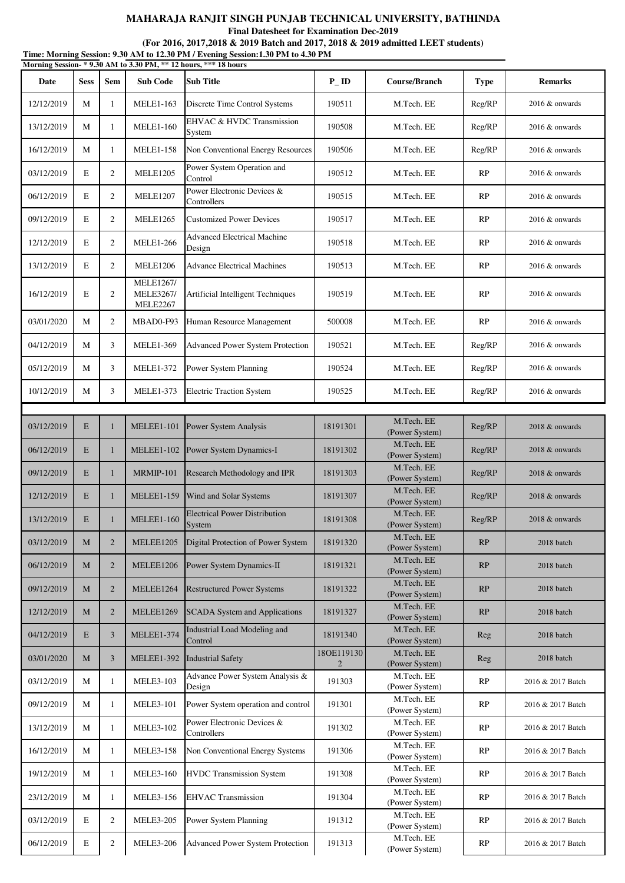**Final Datesheet for Examination Dec-2019**

| Time: Morning Session: 9.30 AM to 12.30 PM / Evening Session: 1.30 PM to 4.30 PM |  |
|----------------------------------------------------------------------------------|--|
| Morning Session- * 9.30 AM to 3.30 PM, ** 12 hours, *** 18 hours                 |  |

| Date       | <b>Sess</b> | <b>Sem</b>     | <b>Sub Code</b>                                         | <b>Sub Title</b>                               | $P$ <sub>ID</sub> | Course/Branch                | <b>Type</b> | <b>Remarks</b>    |
|------------|-------------|----------------|---------------------------------------------------------|------------------------------------------------|-------------------|------------------------------|-------------|-------------------|
| 12/12/2019 | M           | 1              | <b>MELE1-163</b>                                        | Discrete Time Control Systems                  | 190511            | M.Tech. EE                   | Reg/RP      | 2016 & onwards    |
| 13/12/2019 | M           | 1              | <b>MELE1-160</b>                                        | EHVAC & HVDC Transmission<br>System            | 190508            | M.Tech. EE                   | Reg/RP      | 2016 & onwards    |
| 16/12/2019 | M           | 1              | <b>MELE1-158</b>                                        | Non Conventional Energy Resources              | 190506            | M.Tech. EE                   | Reg/RP      | 2016 & onwards    |
| 03/12/2019 | E           | 2              | <b>MELE1205</b>                                         | Power System Operation and<br>Control          | 190512            | M.Tech. EE                   | RP          | 2016 & onwards    |
| 06/12/2019 | E           | $\overline{2}$ | <b>MELE1207</b>                                         | Power Electronic Devices &<br>Controllers      | 190515            | M.Tech. EE                   | RP          | $2016 \&$ onwards |
| 09/12/2019 | E           | $\overline{2}$ | <b>MELE1265</b>                                         | <b>Customized Power Devices</b>                | 190517            | M.Tech. EE                   | RP          | 2016 & onwards    |
| 12/12/2019 | E           | $\overline{2}$ | <b>MELE1-266</b>                                        | <b>Advanced Electrical Machine</b><br>Design   | 190518            | M.Tech. EE                   | RP          | 2016 & onwards    |
| 13/12/2019 | E           | $\overline{2}$ | <b>MELE1206</b>                                         | <b>Advance Electrical Machines</b>             | 190513            | M.Tech. EE                   | RP          | $2016 \&$ onwards |
| 16/12/2019 | E           | 2              | <b>MELE1267/</b><br><b>MELE3267/</b><br><b>MELE2267</b> | Artificial Intelligent Techniques              | 190519            | M.Tech. EE                   | RP          | $2016 \&$ onwards |
| 03/01/2020 | M           | $\mathbf{2}$   | MBAD0-F93                                               | Human Resource Management                      | 500008            | M.Tech. EE                   | RP          | 2016 & onwards    |
| 04/12/2019 | M           | 3              | <b>MELE1-369</b>                                        | Advanced Power System Protection               | 190521            | M.Tech. EE                   | Reg/RP      | 2016 & onwards    |
| 05/12/2019 | M           | 3              | <b>MELE1-372</b>                                        | Power System Planning                          | 190524            | M.Tech. EE                   | Reg/RP      | 2016 & onwards    |
| 10/12/2019 | M           | 3              | <b>MELE1-373</b>                                        | <b>Electric Traction System</b>                | 190525            | M.Tech. EE                   | Reg/RP      | $2016 \&$ onwards |
|            |             |                |                                                         |                                                |                   |                              |             |                   |
| 03/12/2019 | E           | 1              | <b>MELEE1-101</b>                                       | Power System Analysis                          | 18191301          | M.Tech. EE<br>(Power System) | Reg/RP      | 2018 & onwards    |
| 06/12/2019 | E           | $\mathbf{1}$   | <b>MELEE1-102</b>                                       | Power System Dynamics-I                        | 18191302          | M.Tech. EE<br>(Power System) | Reg/RP      | 2018 & onwards    |
| 09/12/2019 | E           | $\mathbf{1}$   | MRMIP-101                                               | Research Methodology and IPR                   | 18191303          | M.Tech. EE<br>(Power System) | Reg/RP      | 2018 & onwards    |
| 12/12/2019 | E           | $\mathbf{1}$   | <b>MELEE1-159</b>                                       | Wind and Solar Systems                         | 18191307          | M.Tech. EE<br>(Power System) | Reg/RP      | 2018 & onwards    |
| 13/12/2019 | E           | $\mathbf{1}$   | <b>MELEE1-160</b>                                       | <b>Electrical Power Distribution</b><br>System | 18191308          | M.Tech. EE<br>(Power System) | Reg/RP      | 2018 & onwards    |
| 03/12/2019 | $\mathbf M$ | $\overline{2}$ | MELEE1205                                               | Digital Protection of Power System             | 18191320          | M.Tech. EE<br>(Power System) | RP          | 2018 batch        |
| 06/12/2019 | M           | 2              | MELEE1206                                               | Power System Dynamics-II                       | 18191321          | M.Tech. EE<br>(Power System) | RP          | 2018 batch        |
| 09/12/2019 | M           | $\overline{2}$ | MELEE1264                                               | <b>Restructured Power Systems</b>              | 18191322          | M.Tech. EE<br>(Power System) | RP          | 2018 batch        |
| 12/12/2019 | M           | $\overline{2}$ | MELEE1269                                               | <b>SCADA</b> System and Applications           | 18191327          | M.Tech. EE<br>(Power System) | RP          | 2018 batch        |
| 04/12/2019 | E           | 3              | MELEE1-374                                              | Industrial Load Modeling and<br>Control        | 18191340          | M.Tech. EE<br>(Power System) | Reg         | 2018 batch        |
| 03/01/2020 | M           | 3              | <b>MELEE1-392</b>                                       | <b>Industrial Safety</b>                       | 18OE119130<br>2   | M.Tech. EE<br>(Power System) | Reg         | 2018 batch        |
| 03/12/2019 | M           | 1              | <b>MELE3-103</b>                                        | Advance Power System Analysis &<br>Design      | 191303            | M.Tech. EE<br>(Power System) | RP          | 2016 & 2017 Batch |
| 09/12/2019 | M           | 1              | <b>MELE3-101</b>                                        | Power System operation and control             | 191301            | M.Tech. EE<br>(Power System) | RP          | 2016 & 2017 Batch |
| 13/12/2019 | М           | 1              | <b>MELE3-102</b>                                        | Power Electronic Devices &<br>Controllers      | 191302            | M.Tech. EE<br>(Power System) | RP          | 2016 & 2017 Batch |
| 16/12/2019 | M           | 1              | <b>MELE3-158</b>                                        | Non Conventional Energy Systems                | 191306            | M.Tech. EE<br>(Power System) | RP          | 2016 & 2017 Batch |
| 19/12/2019 | M           | 1              | <b>MELE3-160</b>                                        | <b>HVDC</b> Transmission System                | 191308            | M.Tech. EE<br>(Power System) | RP          | 2016 & 2017 Batch |
| 23/12/2019 | M           | 1              | <b>MELE3-156</b>                                        | <b>EHVAC</b> Transmission                      | 191304            | M.Tech. EE<br>(Power System) | RP          | 2016 & 2017 Batch |
| 03/12/2019 | E           | $\overline{2}$ | <b>MELE3-205</b>                                        | Power System Planning                          | 191312            | M.Tech. EE<br>(Power System) | RP          | 2016 & 2017 Batch |
| 06/12/2019 | E           | $\overline{2}$ | <b>MELE3-206</b>                                        | Advanced Power System Protection               | 191313            | M.Tech. EE<br>(Power System) | RP          | 2016 & 2017 Batch |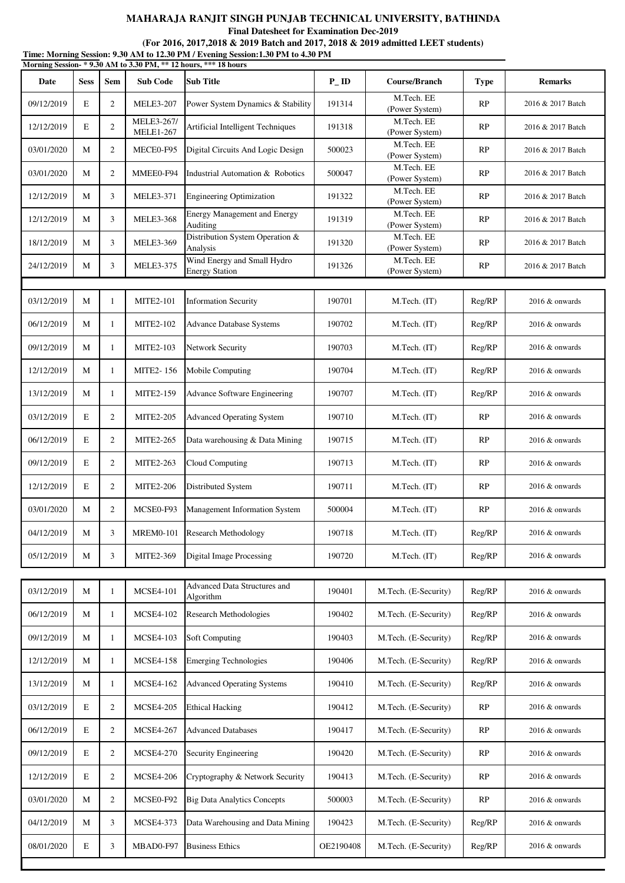**Final Datesheet for Examination Dec-2019**

|            |             |                |                                | Morning Session-*9.30 AM to 3.30 PM, ** 12 hours, *** 18 hours |                   |                              |             |                   |
|------------|-------------|----------------|--------------------------------|----------------------------------------------------------------|-------------------|------------------------------|-------------|-------------------|
| Date       | <b>Sess</b> | Sem            | <b>Sub Code</b>                | <b>Sub Title</b>                                               | $P$ <sub>ID</sub> | <b>Course/Branch</b>         | <b>Type</b> | <b>Remarks</b>    |
| 09/12/2019 | E           | 2              | <b>MELE3-207</b>               | Power System Dynamics & Stability                              | 191314            | M.Tech. EE<br>(Power System) | RP          | 2016 & 2017 Batch |
| 12/12/2019 | E           | $\mathfrak{2}$ | MELE3-267/<br><b>MELE1-267</b> | Artificial Intelligent Techniques                              | 191318            | M.Tech. EE<br>(Power System) | RP          | 2016 & 2017 Batch |
| 03/01/2020 | M           | $\mathfrak{2}$ | MECE0-F95                      | Digital Circuits And Logic Design                              | 500023            | M.Tech. EE<br>(Power System) | RP          | 2016 & 2017 Batch |
| 03/01/2020 | M           | 2              | MMEE0-F94                      | Industrial Automation & Robotics                               | 500047            | M.Tech. EE<br>(Power System) | RP          | 2016 & 2017 Batch |
| 12/12/2019 | M           | 3              | <b>MELE3-371</b>               | <b>Engineering Optimization</b>                                | 191322            | M.Tech. EE<br>(Power System) | RP          | 2016 & 2017 Batch |
| 12/12/2019 | M           | 3              | <b>MELE3-368</b>               | <b>Energy Management and Energy</b><br>Auditing                | 191319            | M.Tech. EE<br>(Power System) | RP          | 2016 & 2017 Batch |
| 18/12/2019 | M           | 3              | <b>MELE3-369</b>               | Distribution System Operation &<br>Analysis                    | 191320            | M.Tech. EE<br>(Power System) | RP          | 2016 & 2017 Batch |
| 24/12/2019 | M           | 3              | <b>MELE3-375</b>               | Wind Energy and Small Hydro<br><b>Energy Station</b>           | 191326            | M.Tech. EE<br>(Power System) | RP          | 2016 & 2017 Batch |
|            |             |                |                                |                                                                |                   |                              |             |                   |
| 03/12/2019 | M           | $\mathbf{1}$   | <b>MITE2-101</b>               | <b>Information Security</b>                                    | 190701            | M.Tech. (IT)                 | Reg/RP      | 2016 & onwards    |
| 06/12/2019 | M           | $\mathbf{1}$   | <b>MITE2-102</b>               | <b>Advance Database Systems</b>                                | 190702            | M.Tech. (IT)                 | Reg/RP      | 2016 & onwards    |
| 09/12/2019 | M           | 1              | <b>MITE2-103</b>               | Network Security                                               | 190703            | M.Tech. (IT)                 | Reg/RP      | 2016 & onwards    |
| 12/12/2019 | M           | $\mathbf{1}$   | MITE2-156                      | Mobile Computing                                               | 190704            | M.Tech. (IT)                 | Reg/RP      | 2016 & onwards    |
| 13/12/2019 | M           | $\mathbf{1}$   | MITE2-159                      | Advance Software Engineering                                   | 190707            | M.Tech. (IT)                 | Reg/RP      | 2016 & onwards    |
| 03/12/2019 | E           | 2              | <b>MITE2-205</b>               | <b>Advanced Operating System</b>                               | 190710            | M.Tech. (IT)                 | RP          | 2016 & onwards    |
| 06/12/2019 | E           | $\overline{2}$ | MITE2-265                      | Data warehousing & Data Mining                                 | 190715            | M.Tech. (IT)                 | RP          | 2016 & onwards    |
| 09/12/2019 | E           | 2              | MITE2-263                      | Cloud Computing                                                | 190713            | M.Tech. (IT)                 | RP          | 2016 & onwards    |
| 12/12/2019 | E           | $\overline{c}$ | <b>MITE2-206</b>               | Distributed System                                             | 190711            | M.Tech. (IT)                 | <b>RP</b>   | 2016 & onwards    |
| 03/01/2020 | M           | $\mathfrak{2}$ | MCSE0-F93                      | Management Information System                                  | 500004            | M.Tech. (IT)                 | RP          | 2016 & onwards    |
| 04/12/2019 | M           | 3              | <b>MREM0-101</b>               | <b>Research Methodology</b>                                    | 190718            | M.Tech. (IT)                 | Reg/RP      | 2016 & onwards    |
| 05/12/2019 | M           | 3              | MITE2-369                      | Digital Image Processing                                       | 190720            | M.Tech. (IT)                 | Reg/RP      | 2016 & onwards    |
|            |             |                |                                | Advanced Data Structures and                                   |                   |                              |             |                   |
| 03/12/2019 | M           | $\mathbf{1}$   | <b>MCSE4-101</b>               | Algorithm                                                      | 190401            | M.Tech. (E-Security)         | Reg/RP      | 2016 & onwards    |
| 06/12/2019 | M           | $\mathbf{1}$   | <b>MCSE4-102</b>               | Research Methodologies                                         | 190402            | M.Tech. (E-Security)         | Reg/RP      | 2016 & onwards    |
| 09/12/2019 | M           | $\mathbf{1}$   | <b>MCSE4-103</b>               | <b>Soft Computing</b>                                          | 190403            | M.Tech. (E-Security)         | Reg/RP      | 2016 & onwards    |
| 12/12/2019 | M           | $\mathbf{1}$   | <b>MCSE4-158</b>               | <b>Emerging Technologies</b>                                   | 190406            | M.Tech. (E-Security)         | Reg/RP      | 2016 & onwards    |
| 13/12/2019 | M           | $\mathbf{1}$   | <b>MCSE4-162</b>               | <b>Advanced Operating Systems</b>                              | 190410            | M.Tech. (E-Security)         | Reg/RP      | 2016 & onwards    |
| 03/12/2019 | E           | $\mathfrak{2}$ | <b>MCSE4-205</b>               | <b>Ethical Hacking</b>                                         | 190412            | M.Tech. (E-Security)         | RP          | 2016 & onwards    |
| 06/12/2019 | E           | $\overline{2}$ | <b>MCSE4-267</b>               | <b>Advanced Databases</b>                                      | 190417            | M.Tech. (E-Security)         | <b>RP</b>   | 2016 & onwards    |
| 09/12/2019 | E           | $\overline{c}$ | <b>MCSE4-270</b>               | Security Engineering                                           | 190420            | M.Tech. (E-Security)         | <b>RP</b>   | 2016 & onwards    |
| 12/12/2019 | E           | $\overline{2}$ | <b>MCSE4-206</b>               | Cryptography & Network Security                                | 190413            | M.Tech. (E-Security)         | <b>RP</b>   | 2016 & onwards    |
| 03/01/2020 | M           | $\mathbf{2}$   | MCSE0-F92                      | <b>Big Data Analytics Concepts</b>                             | 500003            | M.Tech. (E-Security)         | RP          | 2016 & onwards    |
| 04/12/2019 | M           | 3              | MCSE4-373                      | Data Warehousing and Data Mining                               | 190423            | M.Tech. (E-Security)         | Reg/RP      | 2016 & onwards    |

08/01/2020 E 3 MBAD0-F97 Business Ethics CE2190408 M.Tech. (E-Security) Reg/RP 2016 & onwards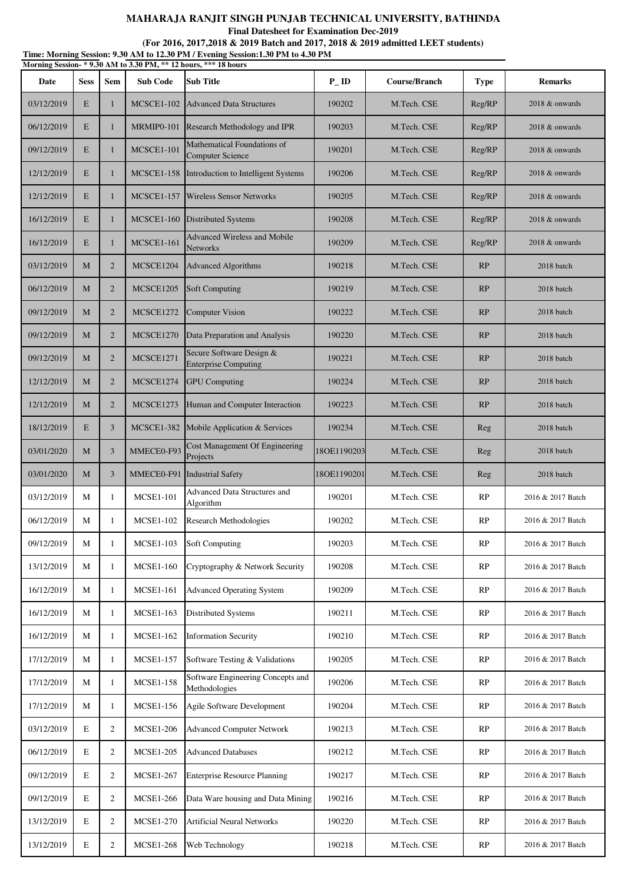**Final Datesheet for Examination Dec-2019**

**Time: Morning Session: 9.30 AM to 12.30 PM / Evening Session:1.30 PM to 4.30 PM (For 2016, 2017,2018 & 2019 Batch and 2017, 2018 & 2019 admitted LEET students)**

| Morning Session- * 9.30 AM to 3.30 PM, ** 12 hours, *** 18 hours |             |                |                   |                                                         |                   |               |             |                   |
|------------------------------------------------------------------|-------------|----------------|-------------------|---------------------------------------------------------|-------------------|---------------|-------------|-------------------|
| Date                                                             | <b>Sess</b> | <b>Sem</b>     | <b>Sub Code</b>   | <b>Sub Title</b>                                        | $P$ <sub>ID</sub> | Course/Branch | <b>Type</b> | <b>Remarks</b>    |
| 03/12/2019                                                       | E           | 1              | <b>MCSCE1-102</b> | Advanced Data Structures                                | 190202            | M.Tech. CSE   | Reg/RP      | 2018 & onwards    |
| 06/12/2019                                                       | E           | $\mathbf{1}$   | MRMIP0-101        | Research Methodology and IPR                            | 190203            | M.Tech. CSE   | Reg/RP      | 2018 & onwards    |
| 09/12/2019                                                       | E           | 1              | <b>MCSCE1-101</b> | Mathematical Foundations of<br><b>Computer Science</b>  | 190201            | M.Tech. CSE   | Reg/RP      | 2018 & onwards    |
| 12/12/2019                                                       | E           | $\mathbf{1}$   | <b>MCSCE1-158</b> | Introduction to Intelligent Systems                     | 190206            | M.Tech. CSE   | Reg/RP      | 2018 & onwards    |
| 12/12/2019                                                       | E           | 1              | <b>MCSCE1-157</b> | Wireless Sensor Networks                                | 190205            | M.Tech. CSE   | Reg/RP      | 2018 & onwards    |
| 16/12/2019                                                       | E           | 1              | <b>MCSCE1-160</b> | <b>Distributed Systems</b>                              | 190208            | M.Tech. CSE   | Reg/RP      | 2018 & onwards    |
| 16/12/2019                                                       | E           | $\mathbf{1}$   | <b>MCSCE1-161</b> | <b>Advanced Wireless and Mobile</b><br>Networks         | 190209            | M.Tech. CSE   | Reg/RP      | 2018 & onwards    |
| 03/12/2019                                                       | M           | $\overline{2}$ | MCSCE1204         | <b>Advanced Algorithms</b>                              | 190218            | M.Tech. CSE   | RP          | 2018 batch        |
| 06/12/2019                                                       | M           | $\overline{2}$ | MCSCE1205         | <b>Soft Computing</b>                                   | 190219            | M.Tech. CSE   | RP          | 2018 batch        |
| 09/12/2019                                                       | M           | $\overline{2}$ | MCSCE1272         | <b>Computer Vision</b>                                  | 190222            | M.Tech. CSE   | RP          | 2018 batch        |
| 09/12/2019                                                       | M           | $\overline{2}$ | MCSCE1270         | Data Preparation and Analysis                           | 190220            | M.Tech. CSE   | RP          | 2018 batch        |
| 09/12/2019                                                       | M           | $\overline{2}$ | <b>MCSCE1271</b>  | Secure Software Design &<br><b>Enterprise Computing</b> | 190221            | M.Tech. CSE   | RP          | 2018 batch        |
| 12/12/2019                                                       | M           | $\overline{2}$ | MCSCE1274         | <b>GPU</b> Computing                                    | 190224            | M.Tech. CSE   | RP          | 2018 batch        |
| 12/12/2019                                                       | M           | $\overline{2}$ | MCSCE1273         | Human and Computer Interaction                          | 190223            | M.Tech. CSE   | RP          | 2018 batch        |
| 18/12/2019                                                       | E           | 3              | <b>MCSCE1-382</b> | Mobile Application & Services                           | 190234            | M.Tech. CSE   | Reg         | 2018 batch        |
| 03/01/2020                                                       | M           | 3              | MMECE0-F93        | Cost Management Of Engineering<br>Projects              | 18OE1190203       | M.Tech. CSE   | Reg         | 2018 batch        |
| 03/01/2020                                                       | M           | 3              | MMECE0-F91        | <b>Industrial Safety</b>                                | 18OE1190201       | M.Tech. CSE   | Reg         | 2018 batch        |
| 03/12/2019                                                       | М           | 1              | <b>MCSE1-101</b>  | <b>Advanced Data Structures and</b><br>Algorithm        | 190201            | M.Tech. CSE   | RP          | 2016 & 2017 Batch |
| 06/12/2019                                                       | М           | 1              | <b>MCSE1-102</b>  | <b>Research Methodologies</b>                           | 190202            | M.Tech. CSE   | RP          | 2016 & 2017 Batch |
| 09/12/2019                                                       | М           | 1              | <b>MCSE1-103</b>  | <b>Soft Computing</b>                                   | 190203            | M.Tech. CSE   | RP          | 2016 & 2017 Batch |
| 13/12/2019                                                       | М           | $\mathbf{1}$   | <b>MCSE1-160</b>  | Cryptography & Network Security                         | 190208            | M.Tech. CSE   | RP          | 2016 & 2017 Batch |
| 16/12/2019                                                       | М           | 1              | <b>MCSE1-161</b>  | <b>Advanced Operating System</b>                        | 190209            | M.Tech. CSE   | RP          | 2016 & 2017 Batch |
| 16/12/2019                                                       | М           | 1              | <b>MCSE1-163</b>  | <b>Distributed Systems</b>                              | 190211            | M.Tech. CSE   | RP          | 2016 & 2017 Batch |
| 16/12/2019                                                       | М           | 1              | <b>MCSE1-162</b>  | <b>Information Security</b>                             | 190210            | M.Tech. CSE   | RP          | 2016 & 2017 Batch |
| 17/12/2019                                                       | М           | 1              | <b>MCSE1-157</b>  | Software Testing & Validations                          | 190205            | M.Tech. CSE   | RP          | 2016 & 2017 Batch |
| 17/12/2019                                                       | М           | 1              | <b>MCSE1-158</b>  | Software Engineering Concepts and<br>Methodologies      | 190206            | M.Tech. CSE   | RP          | 2016 & 2017 Batch |
| 17/12/2019                                                       | М           | $\mathbf{1}$   | <b>MCSE1-156</b>  | Agile Software Development                              | 190204            | M.Tech. CSE   | RP          | 2016 & 2017 Batch |
| 03/12/2019                                                       | E           | $\overline{2}$ | <b>MCSE1-206</b>  | <b>Advanced Computer Network</b>                        | 190213            | M.Tech. CSE   | RP          | 2016 & 2017 Batch |
| 06/12/2019                                                       | E           | $\overline{2}$ | <b>MCSE1-205</b>  | <b>Advanced Databases</b>                               | 190212            | M.Tech. CSE   | RP          | 2016 & 2017 Batch |
| 09/12/2019                                                       | $\mathbf E$ | 2              | <b>MCSE1-267</b>  | <b>Enterprise Resource Planning</b>                     | 190217            | M.Tech. CSE   | RP          | 2016 & 2017 Batch |
| 09/12/2019                                                       | E           | 2              | <b>MCSE1-266</b>  | Data Ware housing and Data Mining                       | 190216            | M.Tech. CSE   | RP          | 2016 & 2017 Batch |
| 13/12/2019                                                       | E           | $\overline{c}$ | <b>MCSE1-270</b>  | <b>Artificial Neural Networks</b>                       | 190220            | M.Tech. CSE   | RP          | 2016 & 2017 Batch |
| 13/12/2019                                                       | $\mathbf E$ | $\overline{2}$ | <b>MCSE1-268</b>  | Web Technology                                          | 190218            | M.Tech. CSE   | RP          | 2016 & 2017 Batch |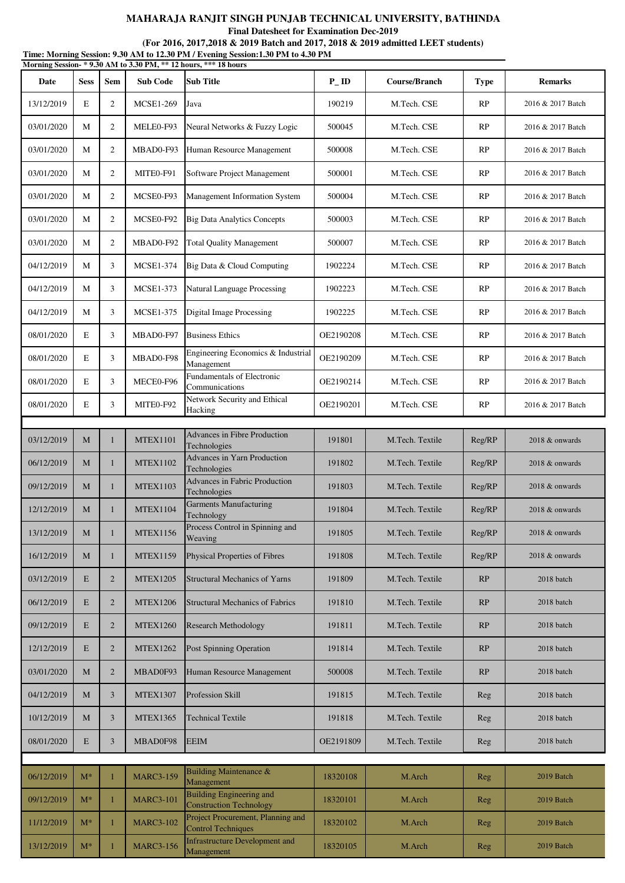**Final Datesheet for Examination Dec-2019**

|            | Time: Morning Session: 9.30 AM to 12.30 PM / Evening Session:1.30 PM to 4.30 PM<br>Morning Session-*9.30 AM to 3.30 PM, ** 12 hours, *** 18 hours |                |                  |                                                                   |                   |                 |             |                   |  |  |
|------------|---------------------------------------------------------------------------------------------------------------------------------------------------|----------------|------------------|-------------------------------------------------------------------|-------------------|-----------------|-------------|-------------------|--|--|
| Date       | <b>Sess</b>                                                                                                                                       | Sem            | <b>Sub Code</b>  | <b>Sub Title</b>                                                  | $P$ <sub>ID</sub> | Course/Branch   | <b>Type</b> | <b>Remarks</b>    |  |  |
| 13/12/2019 | E                                                                                                                                                 | 2              | <b>MCSE1-269</b> | Java                                                              | 190219            | M.Tech. CSE     | RP          | 2016 & 2017 Batch |  |  |
| 03/01/2020 | M                                                                                                                                                 | 2              | MELE0-F93        | Neural Networks & Fuzzy Logic                                     | 500045            | M.Tech. CSE     | RP          | 2016 & 2017 Batch |  |  |
| 03/01/2020 | М                                                                                                                                                 | 2              | MBAD0-F93        | Human Resource Management                                         | 500008            | M.Tech. CSE     | RP          | 2016 & 2017 Batch |  |  |
| 03/01/2020 | M                                                                                                                                                 | 2              | MITE0-F91        | Software Project Management                                       | 500001            | M.Tech. CSE     | RP          | 2016 & 2017 Batch |  |  |
| 03/01/2020 | M                                                                                                                                                 | 2              | MCSE0-F93        | Management Information System                                     | 500004            | M.Tech. CSE     | RP          | 2016 & 2017 Batch |  |  |
| 03/01/2020 | М                                                                                                                                                 | 2              | MCSE0-F92        | <b>Big Data Analytics Concepts</b>                                | 500003            | M.Tech. CSE     | RP          | 2016 & 2017 Batch |  |  |
| 03/01/2020 | M                                                                                                                                                 | 2              | MBAD0-F92        | <b>Total Quality Management</b>                                   | 500007            | M.Tech. CSE     | RP          | 2016 & 2017 Batch |  |  |
| 04/12/2019 | M                                                                                                                                                 | 3              | <b>MCSE1-374</b> | Big Data & Cloud Computing                                        | 1902224           | M.Tech. CSE     | RP          | 2016 & 2017 Batch |  |  |
| 04/12/2019 | М                                                                                                                                                 | 3              | <b>MCSE1-373</b> | Natural Language Processing                                       | 1902223           | M.Tech. CSE     | RP          | 2016 & 2017 Batch |  |  |
| 04/12/2019 | M                                                                                                                                                 | 3              | <b>MCSE1-375</b> | <b>Digital Image Processing</b>                                   | 1902225           | M.Tech. CSE     | RP          | 2016 & 2017 Batch |  |  |
| 08/01/2020 | E                                                                                                                                                 | 3              | MBAD0-F97        | <b>Business Ethics</b>                                            | OE2190208         | M.Tech. CSE     | RP          | 2016 & 2017 Batch |  |  |
| 08/01/2020 | E                                                                                                                                                 | 3              | MBAD0-F98        | Engineering Economics & Industrial<br>Management                  | OE2190209         | M.Tech. CSE     | RP          | 2016 & 2017 Batch |  |  |
| 08/01/2020 | E                                                                                                                                                 | 3              | MECE0-F96        | Fundamentals of Electronic<br>Communications                      | OE2190214         | M.Tech. CSE     | RP          | 2016 & 2017 Batch |  |  |
| 08/01/2020 | E                                                                                                                                                 | 3              | MITEO-F92        | Network Security and Ethical<br>Hacking                           | OE2190201         | M.Tech. CSE     | RP          | 2016 & 2017 Batch |  |  |
|            |                                                                                                                                                   |                |                  | Advances in Fibre Production                                      |                   |                 |             |                   |  |  |
| 03/12/2019 | M                                                                                                                                                 | 1              | <b>MTEX1101</b>  | Technologies                                                      | 191801            | M.Tech. Textile | Reg/RP      | 2018 & onwards    |  |  |
| 06/12/2019 | M                                                                                                                                                 | 1              | <b>MTEX1102</b>  | <b>Advances in Yarn Production</b><br>Technologies                | 191802            | M.Tech. Textile | Reg/RP      | 2018 & onwards    |  |  |
| 09/12/2019 | М                                                                                                                                                 | 1              | <b>MTEX1103</b>  | <b>Advances in Fabric Production</b><br>Technologies              | 191803            | M.Tech. Textile | Reg/RP      | 2018 & onwards    |  |  |
| 12/12/2019 | M                                                                                                                                                 | 1              | <b>MTEX1104</b>  | <b>Garments Manufacturing</b><br>Technology                       | 191804            | M.Tech. Textile | Reg/RP      | 2018 & onwards    |  |  |
| 13/12/2019 | М                                                                                                                                                 | 1              | <b>MTEX1156</b>  | Process Control in Spinning and<br>Weaving                        | 191805            | M.Tech. Textile | Reg/RP      | 2018 & onwards    |  |  |
| 16/12/2019 | М                                                                                                                                                 | $\mathbf{1}$   | <b>MTEX1159</b>  | Physical Properties of Fibres                                     | 191808            | M.Tech. Textile | Reg/RP      | 2018 & onwards    |  |  |
| 03/12/2019 | E                                                                                                                                                 | $\overline{2}$ | <b>MTEX1205</b>  | <b>Structural Mechanics of Yarns</b>                              | 191809            | M.Tech. Textile | RP          | 2018 batch        |  |  |
| 06/12/2019 | E                                                                                                                                                 | $\overline{2}$ | <b>MTEX1206</b>  | <b>Structural Mechanics of Fabrics</b>                            | 191810            | M.Tech. Textile | RP          | 2018 batch        |  |  |
| 09/12/2019 | E                                                                                                                                                 | $\overline{2}$ | <b>MTEX1260</b>  | <b>Research Methodology</b>                                       | 191811            | M.Tech. Textile | RP          | 2018 batch        |  |  |
| 12/12/2019 | E                                                                                                                                                 | $\overline{2}$ | <b>MTEX1262</b>  | Post Spinning Operation                                           | 191814            | M.Tech. Textile | RP          | 2018 batch        |  |  |
| 03/01/2020 | М                                                                                                                                                 | $\overline{2}$ | MBAD0F93         | Human Resource Management                                         | 500008            | M.Tech. Textile | RP          | 2018 batch        |  |  |
| 04/12/2019 | М                                                                                                                                                 | 3              | <b>MTEX1307</b>  | Profession Skill                                                  | 191815            | M.Tech. Textile | Reg         | 2018 batch        |  |  |
| 10/12/2019 | M                                                                                                                                                 | 3              | <b>MTEX1365</b>  | <b>Technical Textile</b>                                          | 191818            | M.Tech. Textile | Reg         | 2018 batch        |  |  |
| 08/01/2020 | E                                                                                                                                                 | 3              | MBAD0F98         | <b>EEIM</b>                                                       | OE2191809         | M.Tech. Textile | Reg         | 2018 batch        |  |  |
|            |                                                                                                                                                   |                |                  |                                                                   |                   |                 |             |                   |  |  |
| 06/12/2019 | $M^*$                                                                                                                                             | $\mathbf{1}$   | <b>MARC3-159</b> | Building Maintenance &<br>Management                              | 18320108          | M.Arch          | Reg         | 2019 Batch        |  |  |
| 09/12/2019 | $M^*$                                                                                                                                             | 1              | <b>MARC3-101</b> | <b>Building Engineering and</b><br><b>Construction Technology</b> | 18320101          | M.Arch          | Reg         | 2019 Batch        |  |  |
| 11/12/2019 | $M^*$                                                                                                                                             | $\mathbf{1}$   | <b>MARC3-102</b> | Project Procurement, Planning and<br><b>Control Techniques</b>    | 18320102          | M.Arch          | Reg         | 2019 Batch        |  |  |
| 13/12/2019 | $M^*$                                                                                                                                             | $\mathbf{1}$   | <b>MARC3-156</b> | <b>Infrastructure Development and</b><br>Management               | 18320105          | M.Arch          | Reg         | 2019 Batch        |  |  |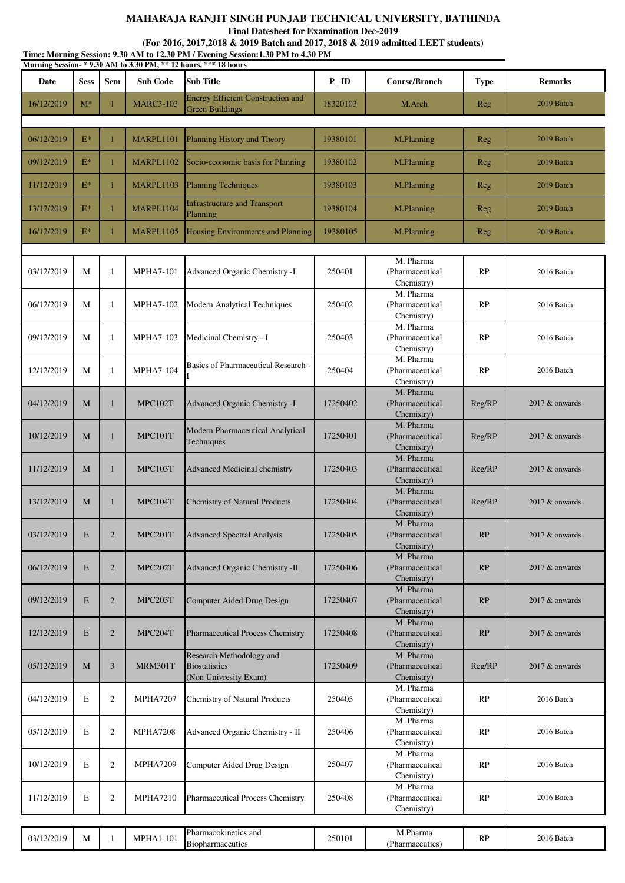**Final Datesheet for Examination Dec-2019**

| <b>Sub Title</b><br>Date<br><b>Sem</b><br><b>Sub Code</b><br>$P$ <sub>ID</sub><br>Course/Branch<br><b>Sess</b><br><b>Type</b><br><b>Energy Efficient Construction and</b><br>$M^*$<br><b>MARC3-103</b><br>M.Arch<br>16/12/2019<br>18320103<br>1<br>Reg<br><b>Green Buildings</b><br>06/12/2019<br>$E^*$<br>MARPL1101<br>19380101<br>Planning History and Theory<br>M.Planning<br>1<br>Reg<br>$E^*$<br>Socio-economic basis for Planning<br>09/12/2019<br>MARPL1102<br>19380102<br>M.Planning<br>1<br>Reg<br>$E^*$<br>MARPL1103<br><b>Planning Techniques</b><br>11/12/2019<br>$\mathbf{1}$<br>19380103<br>M.Planning<br>Reg<br><b>Infrastructure and Transport</b><br>MARPL1104<br>$E^*$<br>19380104<br>13/12/2019<br>M.Planning<br>1<br>Reg<br>Planning<br>$E^*$<br>Housing Environments and Planning<br>16/12/2019<br>MARPL1105<br>19380105<br>M.Planning<br>1<br>Reg<br>M. Pharma<br>03/12/2019<br>М<br><b>MPHA7-101</b><br>Advanced Organic Chemistry -I<br>250401<br>(Pharmaceutical<br>RP<br>1<br>Chemistry)<br>M. Pharma<br>М<br>$\mathbf{1}$<br>(Pharmaceutical<br>RP<br>06/12/2019<br><b>MPHA7-102</b><br><b>Modern Analytical Techniques</b><br>250402<br>Chemistry)<br>M. Pharma<br>09/12/2019<br>M<br><b>MPHA7-103</b><br>Medicinal Chemistry - I<br>(Pharmaceutical<br>RP<br>1<br>250403<br>Chemistry)<br>M. Pharma<br>Basics of Pharmaceutical Research -<br>M<br>$\mathbf{1}$<br><b>MPHA7-104</b><br>250404<br>RP<br>12/12/2019<br>(Pharmaceutical<br>Chemistry)<br>M. Pharma<br>MPC102T<br>(Pharmaceutical<br>04/12/2019<br>M<br>Advanced Organic Chemistry -I<br>17250402<br>Reg/RP<br>1<br>Chemistry)<br>M. Pharma<br>Modern Pharmaceutical Analytical<br><b>MPC101T</b><br>17250401<br>10/12/2019<br>M<br>$\mathbf{1}$<br>(Pharmaceutical<br>Reg/RP<br>Techniques<br>Chemistry)<br>M. Pharma<br>11/12/2019<br>MPC103T<br>17250403<br>(Pharmaceutical<br>Reg/RP<br>M<br>1<br><b>Advanced Medicinal chemistry</b><br>Chemistry)<br>M. Pharma<br><b>Chemistry of Natural Products</b><br>(Pharmaceutical<br>13/12/2019<br>M<br>MPC104T<br>17250404<br>Reg/RP<br>-1<br>Chemistry)<br>M. Pharma<br>03/12/2019<br>${\bf E}$<br>$\overline{2}$<br>MPC201T<br>17250405<br>(Pharmaceutical<br>RP<br><b>Advanced Spectral Analysis</b><br>Chemistry)<br>M. Pharma<br>06/12/2019<br>E<br>$\overline{2}$<br>MPC202T<br>Advanced Organic Chemistry -II<br>17250406<br>RP<br>(Pharmaceutical<br>Chemistry)<br>M. Pharma<br>E<br>$\overline{2}$<br>MPC203T<br>(Pharmaceutical<br>RP<br>09/12/2019<br>Computer Aided Drug Design<br>17250407<br>Chemistry)<br>M. Pharma<br>E<br>$\overline{2}$<br>MPC204T<br>Pharmaceutical Process Chemistry<br>17250408<br>(Pharmaceutical<br>RP<br>12/12/2019<br>Chemistry)<br>Research Methodology and<br>M. Pharma<br>M<br>3<br>MRM301T<br><b>Biostatistics</b><br>17250409<br>(Pharmaceutical<br>05/12/2019<br>Reg/RP<br>(Non Univresity Exam)<br>Chemistry)<br>M. Pharma<br>250405<br>04/12/2019<br>E<br>$\overline{2}$<br><b>MPHA7207</b><br><b>Chemistry of Natural Products</b><br>(Pharmaceutical<br>RP<br>Chemistry)<br>M. Pharma<br>$\overline{2}$<br>E<br><b>MPHA7208</b><br>Advanced Organic Chemistry - II<br>250406<br>(Pharmaceutical<br>RP<br>05/12/2019<br>Chemistry)<br>M. Pharma<br>$\overline{2}$<br>(Pharmaceutical<br>10/12/2019<br>E<br><b>MPHA7209</b><br>250407<br>Computer Aided Drug Design<br>RP<br>Chemistry)<br>M. Pharma<br>E<br>$\mathfrak{2}$<br>Pharmaceutical Process Chemistry<br>(Pharmaceutical<br>11/12/2019<br><b>MPHA7210</b><br>250408<br>RP |  |  | Morning Session-*9.30 AM to 3.30 PM, ** 12 hours, *** 18 hours |  |                   |
|------------------------------------------------------------------------------------------------------------------------------------------------------------------------------------------------------------------------------------------------------------------------------------------------------------------------------------------------------------------------------------------------------------------------------------------------------------------------------------------------------------------------------------------------------------------------------------------------------------------------------------------------------------------------------------------------------------------------------------------------------------------------------------------------------------------------------------------------------------------------------------------------------------------------------------------------------------------------------------------------------------------------------------------------------------------------------------------------------------------------------------------------------------------------------------------------------------------------------------------------------------------------------------------------------------------------------------------------------------------------------------------------------------------------------------------------------------------------------------------------------------------------------------------------------------------------------------------------------------------------------------------------------------------------------------------------------------------------------------------------------------------------------------------------------------------------------------------------------------------------------------------------------------------------------------------------------------------------------------------------------------------------------------------------------------------------------------------------------------------------------------------------------------------------------------------------------------------------------------------------------------------------------------------------------------------------------------------------------------------------------------------------------------------------------------------------------------------------------------------------------------------------------------------------------------------------------------------------------------------------------------------------------------------------------------------------------------------------------------------------------------------------------------------------------------------------------------------------------------------------------------------------------------------------------------------------------------------------------------------------------------------------------------------------------------------------------------------------------------------------------------------------------------------------------------------------------------------------------------------------------------------------------------------------------------------------------------------------------------------------------------------------------------------------------------------------------------------------------------------------------------------------------|--|--|----------------------------------------------------------------|--|-------------------|
|                                                                                                                                                                                                                                                                                                                                                                                                                                                                                                                                                                                                                                                                                                                                                                                                                                                                                                                                                                                                                                                                                                                                                                                                                                                                                                                                                                                                                                                                                                                                                                                                                                                                                                                                                                                                                                                                                                                                                                                                                                                                                                                                                                                                                                                                                                                                                                                                                                                                                                                                                                                                                                                                                                                                                                                                                                                                                                                                                                                                                                                                                                                                                                                                                                                                                                                                                                                                                                                                                                                              |  |  |                                                                |  | <b>Remarks</b>    |
|                                                                                                                                                                                                                                                                                                                                                                                                                                                                                                                                                                                                                                                                                                                                                                                                                                                                                                                                                                                                                                                                                                                                                                                                                                                                                                                                                                                                                                                                                                                                                                                                                                                                                                                                                                                                                                                                                                                                                                                                                                                                                                                                                                                                                                                                                                                                                                                                                                                                                                                                                                                                                                                                                                                                                                                                                                                                                                                                                                                                                                                                                                                                                                                                                                                                                                                                                                                                                                                                                                                              |  |  |                                                                |  | 2019 Batch        |
|                                                                                                                                                                                                                                                                                                                                                                                                                                                                                                                                                                                                                                                                                                                                                                                                                                                                                                                                                                                                                                                                                                                                                                                                                                                                                                                                                                                                                                                                                                                                                                                                                                                                                                                                                                                                                                                                                                                                                                                                                                                                                                                                                                                                                                                                                                                                                                                                                                                                                                                                                                                                                                                                                                                                                                                                                                                                                                                                                                                                                                                                                                                                                                                                                                                                                                                                                                                                                                                                                                                              |  |  |                                                                |  | 2019 Batch        |
|                                                                                                                                                                                                                                                                                                                                                                                                                                                                                                                                                                                                                                                                                                                                                                                                                                                                                                                                                                                                                                                                                                                                                                                                                                                                                                                                                                                                                                                                                                                                                                                                                                                                                                                                                                                                                                                                                                                                                                                                                                                                                                                                                                                                                                                                                                                                                                                                                                                                                                                                                                                                                                                                                                                                                                                                                                                                                                                                                                                                                                                                                                                                                                                                                                                                                                                                                                                                                                                                                                                              |  |  |                                                                |  | 2019 Batch        |
|                                                                                                                                                                                                                                                                                                                                                                                                                                                                                                                                                                                                                                                                                                                                                                                                                                                                                                                                                                                                                                                                                                                                                                                                                                                                                                                                                                                                                                                                                                                                                                                                                                                                                                                                                                                                                                                                                                                                                                                                                                                                                                                                                                                                                                                                                                                                                                                                                                                                                                                                                                                                                                                                                                                                                                                                                                                                                                                                                                                                                                                                                                                                                                                                                                                                                                                                                                                                                                                                                                                              |  |  |                                                                |  | 2019 Batch        |
|                                                                                                                                                                                                                                                                                                                                                                                                                                                                                                                                                                                                                                                                                                                                                                                                                                                                                                                                                                                                                                                                                                                                                                                                                                                                                                                                                                                                                                                                                                                                                                                                                                                                                                                                                                                                                                                                                                                                                                                                                                                                                                                                                                                                                                                                                                                                                                                                                                                                                                                                                                                                                                                                                                                                                                                                                                                                                                                                                                                                                                                                                                                                                                                                                                                                                                                                                                                                                                                                                                                              |  |  |                                                                |  | 2019 Batch        |
|                                                                                                                                                                                                                                                                                                                                                                                                                                                                                                                                                                                                                                                                                                                                                                                                                                                                                                                                                                                                                                                                                                                                                                                                                                                                                                                                                                                                                                                                                                                                                                                                                                                                                                                                                                                                                                                                                                                                                                                                                                                                                                                                                                                                                                                                                                                                                                                                                                                                                                                                                                                                                                                                                                                                                                                                                                                                                                                                                                                                                                                                                                                                                                                                                                                                                                                                                                                                                                                                                                                              |  |  |                                                                |  | 2019 Batch        |
|                                                                                                                                                                                                                                                                                                                                                                                                                                                                                                                                                                                                                                                                                                                                                                                                                                                                                                                                                                                                                                                                                                                                                                                                                                                                                                                                                                                                                                                                                                                                                                                                                                                                                                                                                                                                                                                                                                                                                                                                                                                                                                                                                                                                                                                                                                                                                                                                                                                                                                                                                                                                                                                                                                                                                                                                                                                                                                                                                                                                                                                                                                                                                                                                                                                                                                                                                                                                                                                                                                                              |  |  |                                                                |  |                   |
|                                                                                                                                                                                                                                                                                                                                                                                                                                                                                                                                                                                                                                                                                                                                                                                                                                                                                                                                                                                                                                                                                                                                                                                                                                                                                                                                                                                                                                                                                                                                                                                                                                                                                                                                                                                                                                                                                                                                                                                                                                                                                                                                                                                                                                                                                                                                                                                                                                                                                                                                                                                                                                                                                                                                                                                                                                                                                                                                                                                                                                                                                                                                                                                                                                                                                                                                                                                                                                                                                                                              |  |  |                                                                |  | 2016 Batch        |
|                                                                                                                                                                                                                                                                                                                                                                                                                                                                                                                                                                                                                                                                                                                                                                                                                                                                                                                                                                                                                                                                                                                                                                                                                                                                                                                                                                                                                                                                                                                                                                                                                                                                                                                                                                                                                                                                                                                                                                                                                                                                                                                                                                                                                                                                                                                                                                                                                                                                                                                                                                                                                                                                                                                                                                                                                                                                                                                                                                                                                                                                                                                                                                                                                                                                                                                                                                                                                                                                                                                              |  |  |                                                                |  | 2016 Batch        |
|                                                                                                                                                                                                                                                                                                                                                                                                                                                                                                                                                                                                                                                                                                                                                                                                                                                                                                                                                                                                                                                                                                                                                                                                                                                                                                                                                                                                                                                                                                                                                                                                                                                                                                                                                                                                                                                                                                                                                                                                                                                                                                                                                                                                                                                                                                                                                                                                                                                                                                                                                                                                                                                                                                                                                                                                                                                                                                                                                                                                                                                                                                                                                                                                                                                                                                                                                                                                                                                                                                                              |  |  |                                                                |  | 2016 Batch        |
|                                                                                                                                                                                                                                                                                                                                                                                                                                                                                                                                                                                                                                                                                                                                                                                                                                                                                                                                                                                                                                                                                                                                                                                                                                                                                                                                                                                                                                                                                                                                                                                                                                                                                                                                                                                                                                                                                                                                                                                                                                                                                                                                                                                                                                                                                                                                                                                                                                                                                                                                                                                                                                                                                                                                                                                                                                                                                                                                                                                                                                                                                                                                                                                                                                                                                                                                                                                                                                                                                                                              |  |  |                                                                |  | 2016 Batch        |
|                                                                                                                                                                                                                                                                                                                                                                                                                                                                                                                                                                                                                                                                                                                                                                                                                                                                                                                                                                                                                                                                                                                                                                                                                                                                                                                                                                                                                                                                                                                                                                                                                                                                                                                                                                                                                                                                                                                                                                                                                                                                                                                                                                                                                                                                                                                                                                                                                                                                                                                                                                                                                                                                                                                                                                                                                                                                                                                                                                                                                                                                                                                                                                                                                                                                                                                                                                                                                                                                                                                              |  |  |                                                                |  | $2017$ & onwards  |
|                                                                                                                                                                                                                                                                                                                                                                                                                                                                                                                                                                                                                                                                                                                                                                                                                                                                                                                                                                                                                                                                                                                                                                                                                                                                                                                                                                                                                                                                                                                                                                                                                                                                                                                                                                                                                                                                                                                                                                                                                                                                                                                                                                                                                                                                                                                                                                                                                                                                                                                                                                                                                                                                                                                                                                                                                                                                                                                                                                                                                                                                                                                                                                                                                                                                                                                                                                                                                                                                                                                              |  |  |                                                                |  | $2017$ & onwards  |
|                                                                                                                                                                                                                                                                                                                                                                                                                                                                                                                                                                                                                                                                                                                                                                                                                                                                                                                                                                                                                                                                                                                                                                                                                                                                                                                                                                                                                                                                                                                                                                                                                                                                                                                                                                                                                                                                                                                                                                                                                                                                                                                                                                                                                                                                                                                                                                                                                                                                                                                                                                                                                                                                                                                                                                                                                                                                                                                                                                                                                                                                                                                                                                                                                                                                                                                                                                                                                                                                                                                              |  |  |                                                                |  | 2017 & onwards    |
|                                                                                                                                                                                                                                                                                                                                                                                                                                                                                                                                                                                                                                                                                                                                                                                                                                                                                                                                                                                                                                                                                                                                                                                                                                                                                                                                                                                                                                                                                                                                                                                                                                                                                                                                                                                                                                                                                                                                                                                                                                                                                                                                                                                                                                                                                                                                                                                                                                                                                                                                                                                                                                                                                                                                                                                                                                                                                                                                                                                                                                                                                                                                                                                                                                                                                                                                                                                                                                                                                                                              |  |  |                                                                |  | 2017 & onwards    |
|                                                                                                                                                                                                                                                                                                                                                                                                                                                                                                                                                                                                                                                                                                                                                                                                                                                                                                                                                                                                                                                                                                                                                                                                                                                                                                                                                                                                                                                                                                                                                                                                                                                                                                                                                                                                                                                                                                                                                                                                                                                                                                                                                                                                                                                                                                                                                                                                                                                                                                                                                                                                                                                                                                                                                                                                                                                                                                                                                                                                                                                                                                                                                                                                                                                                                                                                                                                                                                                                                                                              |  |  |                                                                |  | 2017 & onwards    |
|                                                                                                                                                                                                                                                                                                                                                                                                                                                                                                                                                                                                                                                                                                                                                                                                                                                                                                                                                                                                                                                                                                                                                                                                                                                                                                                                                                                                                                                                                                                                                                                                                                                                                                                                                                                                                                                                                                                                                                                                                                                                                                                                                                                                                                                                                                                                                                                                                                                                                                                                                                                                                                                                                                                                                                                                                                                                                                                                                                                                                                                                                                                                                                                                                                                                                                                                                                                                                                                                                                                              |  |  |                                                                |  | $2017$ & onwards  |
|                                                                                                                                                                                                                                                                                                                                                                                                                                                                                                                                                                                                                                                                                                                                                                                                                                                                                                                                                                                                                                                                                                                                                                                                                                                                                                                                                                                                                                                                                                                                                                                                                                                                                                                                                                                                                                                                                                                                                                                                                                                                                                                                                                                                                                                                                                                                                                                                                                                                                                                                                                                                                                                                                                                                                                                                                                                                                                                                                                                                                                                                                                                                                                                                                                                                                                                                                                                                                                                                                                                              |  |  |                                                                |  | $2017 \&$ onwards |
|                                                                                                                                                                                                                                                                                                                                                                                                                                                                                                                                                                                                                                                                                                                                                                                                                                                                                                                                                                                                                                                                                                                                                                                                                                                                                                                                                                                                                                                                                                                                                                                                                                                                                                                                                                                                                                                                                                                                                                                                                                                                                                                                                                                                                                                                                                                                                                                                                                                                                                                                                                                                                                                                                                                                                                                                                                                                                                                                                                                                                                                                                                                                                                                                                                                                                                                                                                                                                                                                                                                              |  |  |                                                                |  | 2017 & onwards    |
|                                                                                                                                                                                                                                                                                                                                                                                                                                                                                                                                                                                                                                                                                                                                                                                                                                                                                                                                                                                                                                                                                                                                                                                                                                                                                                                                                                                                                                                                                                                                                                                                                                                                                                                                                                                                                                                                                                                                                                                                                                                                                                                                                                                                                                                                                                                                                                                                                                                                                                                                                                                                                                                                                                                                                                                                                                                                                                                                                                                                                                                                                                                                                                                                                                                                                                                                                                                                                                                                                                                              |  |  |                                                                |  | $2017$ & onwards  |
|                                                                                                                                                                                                                                                                                                                                                                                                                                                                                                                                                                                                                                                                                                                                                                                                                                                                                                                                                                                                                                                                                                                                                                                                                                                                                                                                                                                                                                                                                                                                                                                                                                                                                                                                                                                                                                                                                                                                                                                                                                                                                                                                                                                                                                                                                                                                                                                                                                                                                                                                                                                                                                                                                                                                                                                                                                                                                                                                                                                                                                                                                                                                                                                                                                                                                                                                                                                                                                                                                                                              |  |  |                                                                |  | 2016 Batch        |
|                                                                                                                                                                                                                                                                                                                                                                                                                                                                                                                                                                                                                                                                                                                                                                                                                                                                                                                                                                                                                                                                                                                                                                                                                                                                                                                                                                                                                                                                                                                                                                                                                                                                                                                                                                                                                                                                                                                                                                                                                                                                                                                                                                                                                                                                                                                                                                                                                                                                                                                                                                                                                                                                                                                                                                                                                                                                                                                                                                                                                                                                                                                                                                                                                                                                                                                                                                                                                                                                                                                              |  |  |                                                                |  | 2016 Batch        |
|                                                                                                                                                                                                                                                                                                                                                                                                                                                                                                                                                                                                                                                                                                                                                                                                                                                                                                                                                                                                                                                                                                                                                                                                                                                                                                                                                                                                                                                                                                                                                                                                                                                                                                                                                                                                                                                                                                                                                                                                                                                                                                                                                                                                                                                                                                                                                                                                                                                                                                                                                                                                                                                                                                                                                                                                                                                                                                                                                                                                                                                                                                                                                                                                                                                                                                                                                                                                                                                                                                                              |  |  |                                                                |  | 2016 Batch        |
| Chemistry)                                                                                                                                                                                                                                                                                                                                                                                                                                                                                                                                                                                                                                                                                                                                                                                                                                                                                                                                                                                                                                                                                                                                                                                                                                                                                                                                                                                                                                                                                                                                                                                                                                                                                                                                                                                                                                                                                                                                                                                                                                                                                                                                                                                                                                                                                                                                                                                                                                                                                                                                                                                                                                                                                                                                                                                                                                                                                                                                                                                                                                                                                                                                                                                                                                                                                                                                                                                                                                                                                                                   |  |  |                                                                |  | 2016 Batch        |
|                                                                                                                                                                                                                                                                                                                                                                                                                                                                                                                                                                                                                                                                                                                                                                                                                                                                                                                                                                                                                                                                                                                                                                                                                                                                                                                                                                                                                                                                                                                                                                                                                                                                                                                                                                                                                                                                                                                                                                                                                                                                                                                                                                                                                                                                                                                                                                                                                                                                                                                                                                                                                                                                                                                                                                                                                                                                                                                                                                                                                                                                                                                                                                                                                                                                                                                                                                                                                                                                                                                              |  |  |                                                                |  |                   |
| Pharmacokinetics and<br>M.Pharma<br>03/12/2019<br>$\mathbf{M}$<br><b>MPHA1-101</b><br>RP<br>250101<br>1<br>Biopharmaceutics<br>(Pharmaceutics)                                                                                                                                                                                                                                                                                                                                                                                                                                                                                                                                                                                                                                                                                                                                                                                                                                                                                                                                                                                                                                                                                                                                                                                                                                                                                                                                                                                                                                                                                                                                                                                                                                                                                                                                                                                                                                                                                                                                                                                                                                                                                                                                                                                                                                                                                                                                                                                                                                                                                                                                                                                                                                                                                                                                                                                                                                                                                                                                                                                                                                                                                                                                                                                                                                                                                                                                                                               |  |  |                                                                |  | 2016 Batch        |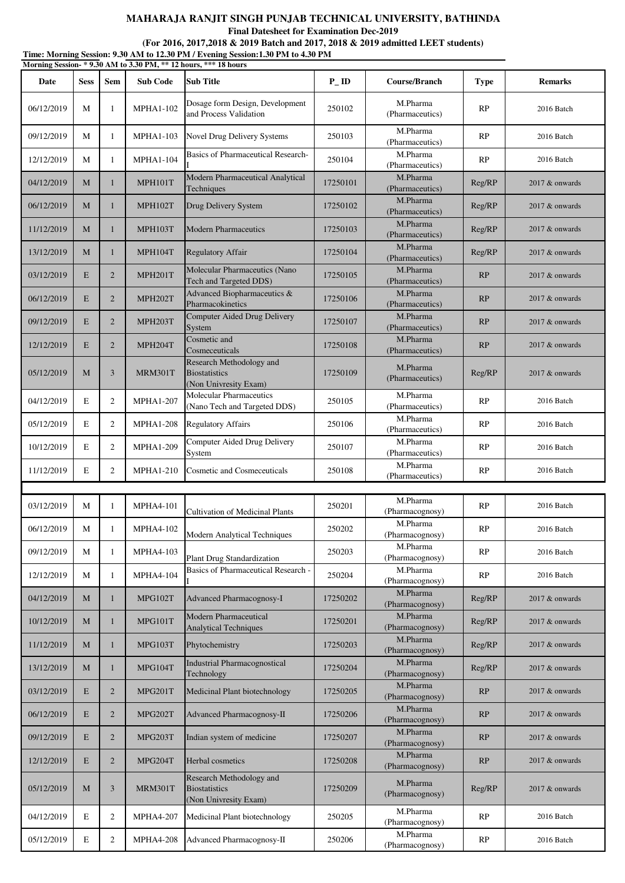**Final Datesheet for Examination Dec-2019**

### **(For 2016, 2017,2018 & 2019 Batch and 2017, 2018 & 2019 admitted LEET students)**

**Time: Morning Session: 9.30 AM to 12.30 PM / Evening Session:1.30 PM to 4.30 PM Morning Session- \* 9.30 AM to 3.30 PM, \*\* 12 hours, \*\*\* 18 hours**

| глогишд осээгон-<br>Date | <b>Sess</b> | Sem            | $2.50$ THE to $3.50$ T MI,<br><b>Sub Code</b> | Sub Title                                                                 | $P$ <sub>ID</sub> | Course/Branch               | <b>Type</b> | <b>Remarks</b>   |
|--------------------------|-------------|----------------|-----------------------------------------------|---------------------------------------------------------------------------|-------------------|-----------------------------|-------------|------------------|
| 06/12/2019               | M           | 1              | <b>MPHA1-102</b>                              | Dosage form Design, Development<br>and Process Validation                 | 250102            | M.Pharma<br>(Pharmaceutics) | RP          | 2016 Batch       |
| 09/12/2019               | M           | $\mathbf{1}$   | <b>MPHA1-103</b>                              | Novel Drug Delivery Systems                                               | 250103            | M.Pharma<br>(Pharmaceutics) | RP          | 2016 Batch       |
| 12/12/2019               | M           | $\mathbf{1}$   | <b>MPHA1-104</b>                              | <b>Basics of Pharmaceutical Research-</b>                                 | 250104            | M.Pharma<br>(Pharmaceutics) | RP          | 2016 Batch       |
| 04/12/2019               | M           | $\mathbf{1}$   | <b>MPH101T</b>                                | Modern Pharmaceutical Analytical<br>Techniques                            | 17250101          | M.Pharma<br>(Pharmaceutics) | Reg/RP      | $2017$ & onwards |
| 06/12/2019               | M           | 1              | MPH102T                                       | Drug Delivery System                                                      | 17250102          | M.Pharma<br>(Pharmaceutics) | Reg/RP      | $2017$ & onwards |
| 11/12/2019               | M           | $\mathbf{1}$   | <b>MPH103T</b>                                | <b>Modern Pharmaceutics</b>                                               | 17250103          | M.Pharma<br>(Pharmaceutics) | Reg/RP      | $2017$ & onwards |
| 13/12/2019               | M           | $\mathbf{1}$   | MPH104T                                       | <b>Regulatory Affair</b>                                                  | 17250104          | M.Pharma<br>(Pharmaceutics) | Reg/RP      | $2017$ & onwards |
| 03/12/2019               | E           | $\overline{2}$ | MPH201T                                       | Molecular Pharmaceutics (Nano<br>Tech and Targeted DDS)                   | 17250105          | M.Pharma<br>(Pharmaceutics) | RP          | $2017$ & onwards |
| 06/12/2019               | E           | $\overline{2}$ | MPH202T                                       | Advanced Biopharmaceutics &<br>Pharmacokinetics                           | 17250106          | M.Pharma<br>(Pharmaceutics) | RP          | 2017 & onwards   |
| 09/12/2019               | E           | $\overline{2}$ | MPH203T                                       | <b>Computer Aided Drug Delivery</b><br>System                             | 17250107          | M.Pharma<br>(Pharmaceutics) | RP          | $2017$ & onwards |
| 12/12/2019               | E           | $\overline{2}$ | MPH204T                                       | Cosmetic and<br>Cosmeceuticals                                            | 17250108          | M.Pharma<br>(Pharmaceutics) | RP          | 2017 & onwards   |
| 05/12/2019               | M           | 3              | MRM301T                                       | Research Methodology and<br><b>Biostatistics</b><br>(Non Univresity Exam) | 17250109          | M.Pharma<br>(Pharmaceutics) | Reg/RP      | $2017$ & onwards |
| 04/12/2019               | E           | $\overline{2}$ | <b>MPHA1-207</b>                              | <b>Molecular Pharmaceutics</b><br>(Nano Tech and Targeted DDS)            | 250105            | M.Pharma<br>(Pharmaceutics) | RP          | 2016 Batch       |
| 05/12/2019               | E           | $\overline{2}$ | <b>MPHA1-208</b>                              | <b>Regulatory Affairs</b>                                                 | 250106            | M.Pharma<br>(Pharmaceutics) | RP          | 2016 Batch       |
| 10/12/2019               | E           | $\overline{2}$ | <b>MPHA1-209</b>                              | Computer Aided Drug Delivery<br>System                                    | 250107            | M.Pharma<br>(Pharmaceutics) | RP          | 2016 Batch       |
| 11/12/2019               | E           | 2              | <b>MPHA1-210</b>                              | Cosmetic and Cosmeceuticals                                               | 250108            | M.Pharma<br>(Pharmaceutics) | RP          | 2016 Batch       |
|                          |             |                |                                               |                                                                           |                   |                             |             |                  |
| 03/12/2019               | M           | $\mathbf{1}$   | <b>MPHA4-101</b>                              | <b>Cultivation of Medicinal Plants</b>                                    | 250201            | M.Pharma<br>(Pharmacognosy) | RP          | 2016 Batch       |
| 06/12/2019               | М           | 1              | <b>MPHA4-102</b>                              | Modern Analytical Techniques                                              | 250202            | M.Pharma<br>(Pharmacognosy) | RP          | 2016 Batch       |
| 09/12/2019               | M           | 1              | <b>MPHA4-103</b>                              | Plant Drug Standardization                                                | 250203            | M.Pharma<br>(Pharmacognosy) | RP          | 2016 Batch       |
| 12/12/2019               | M           | $\mathbf{1}$   | <b>MPHA4-104</b>                              | Basics of Pharmaceutical Research                                         | 250204            | M.Pharma<br>(Pharmacognosy) | RP          | 2016 Batch       |
| 04/12/2019               | M           | $\mathbf{1}$   | <b>MPG102T</b>                                | Advanced Pharmacognosy-I                                                  | 17250202          | M.Pharma<br>(Pharmacognosy) | Reg/RP      | 2017 & onwards   |
| 10/12/2019               | M           | 1              | MPG101T                                       | Modern Pharmaceutical<br><b>Analytical Techniques</b>                     | 17250201          | M.Pharma<br>(Pharmacognosy) | Reg/RP      | 2017 & onwards   |
| 11/12/2019               | M           | 1              | MPG103T                                       | Phytochemistry                                                            | 17250203          | M.Pharma<br>(Pharmacognosy) | Reg/RP      | 2017 & onwards   |
| 13/12/2019               | M           | 1              | MPG104T                                       | <b>Industrial Pharmacognostical</b><br>Technology                         | 17250204          | M.Pharma<br>(Pharmacognosy) | Reg/RP      | 2017 & onwards   |
| 03/12/2019               | E           | $\overline{2}$ | MPG201T                                       | Medicinal Plant biotechnology                                             | 17250205          | M.Pharma<br>(Pharmacognosy) | RP          | 2017 & onwards   |
| 06/12/2019               | E           | $\overline{2}$ | MPG202T                                       | Advanced Pharmacognosy-II                                                 | 17250206          | M.Pharma<br>(Pharmacognosy) | RP          | 2017 & onwards   |
| 09/12/2019               | E           | $\overline{2}$ | MPG203T                                       | Indian system of medicine                                                 | 17250207          | M.Pharma<br>(Pharmacognosy) | RP          | 2017 & onwards   |
| 12/12/2019               | E           | $\overline{2}$ | MPG204T                                       | Herbal cosmetics                                                          | 17250208          | M.Pharma<br>(Pharmacognosy) | RP          | 2017 & onwards   |
| 05/12/2019               | M           | 3              | MRM301T                                       | Research Methodology and<br><b>Biostatistics</b><br>(Non Univresity Exam) | 17250209          | M.Pharma<br>(Pharmacognosy) | Reg/RP      | $2017$ & onwards |
| 04/12/2019               | E           | $\overline{2}$ | <b>MPHA4-207</b>                              | Medicinal Plant biotechnology                                             | 250205            | M.Pharma<br>(Pharmacognosy) | RP          | 2016 Batch       |
| 05/12/2019               | $\mathbf E$ | $\overline{2}$ | <b>MPHA4-208</b>                              | Advanced Pharmacognosy-II                                                 | 250206            | M.Pharma<br>(Pharmacognosy) | RP          | 2016 Batch       |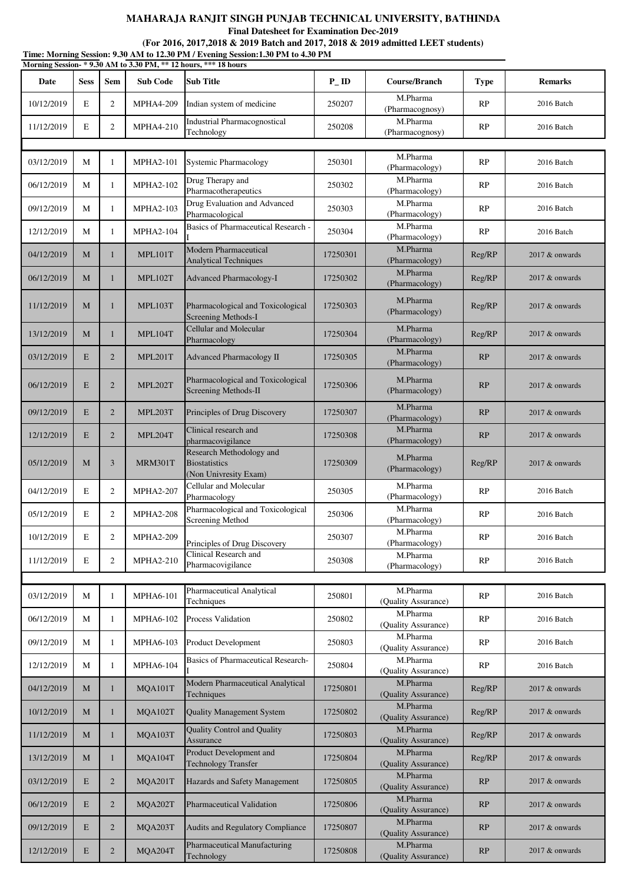**Final Datesheet for Examination Dec-2019**

| Time: Morning Session: 9.30 AM to 12.30 PM / Evening Session: 1.30 PM to 4.30 PM<br>Morning Session-*9.30 AM to 3.30 PM, ** 12 hours, *** 18 hours |             |                         |                  |                                                                           |                   |                                 |             |                   |
|----------------------------------------------------------------------------------------------------------------------------------------------------|-------------|-------------------------|------------------|---------------------------------------------------------------------------|-------------------|---------------------------------|-------------|-------------------|
| Date                                                                                                                                               | <b>Sess</b> | Sem                     | <b>Sub Code</b>  | <b>Sub Title</b>                                                          | $P$ <sub>ID</sub> | Course/Branch                   | <b>Type</b> | <b>Remarks</b>    |
| 10/12/2019                                                                                                                                         | E           | 2                       | <b>MPHA4-209</b> | Indian system of medicine                                                 | 250207            | M.Pharma<br>(Pharmacognosy)     | RP          | 2016 Batch        |
| 11/12/2019                                                                                                                                         | $\mathbf E$ | 2                       | <b>MPHA4-210</b> | <b>Industrial Pharmacognostical</b><br>Technology                         | 250208            | M.Pharma<br>(Pharmacognosy)     | RP          | 2016 Batch        |
|                                                                                                                                                    |             |                         |                  |                                                                           |                   |                                 |             |                   |
| 03/12/2019                                                                                                                                         | М           | 1                       | <b>MPHA2-101</b> | <b>Systemic Pharmacology</b>                                              | 250301            | M.Pharma<br>(Pharmacology)      | RP          | 2016 Batch        |
| 06/12/2019                                                                                                                                         | М           | 1                       | <b>MPHA2-102</b> | Drug Therapy and<br>Pharmacotherapeutics                                  | 250302            | M.Pharma<br>(Pharmacology)      | RP          | 2016 Batch        |
| 09/12/2019                                                                                                                                         | М           | 1                       | <b>MPHA2-103</b> | Drug Evaluation and Advanced<br>Pharmacological                           | 250303            | M.Pharma<br>(Pharmacology)      | RP          | 2016 Batch        |
| 12/12/2019                                                                                                                                         | М           | 1                       | <b>MPHA2-104</b> | Basics of Pharmaceutical Research -                                       | 250304            | M.Pharma<br>(Pharmacology)      | RP          | 2016 Batch        |
| 04/12/2019                                                                                                                                         | M           | 1                       | MPL101T          | Modern Pharmaceutical<br><b>Analytical Techniques</b>                     | 17250301          | M.Pharma<br>(Pharmacology)      | Reg/RP      | 2017 & onwards    |
| 06/12/2019                                                                                                                                         | М           | 1                       | MPL102T          | Advanced Pharmacology-I                                                   | 17250302          | M.Pharma<br>(Pharmacology)      | Reg/RP      | 2017 & onwards    |
| 11/12/2019                                                                                                                                         | M           | $\mathbf{1}$            | MPL103T          | Pharmacological and Toxicological<br>Screening Methods-I                  | 17250303          | M.Pharma<br>(Pharmacology)      | Reg/RP      | 2017 & onwards    |
| 13/12/2019                                                                                                                                         | M           | 1                       | MPL104T          | Cellular and Molecular<br>Pharmacology                                    | 17250304          | M.Pharma<br>(Pharmacology)      | Reg/RP      | 2017 & onwards    |
| 03/12/2019                                                                                                                                         | E           | $\overline{2}$          | MPL201T          | Advanced Pharmacology II                                                  | 17250305          | M.Pharma<br>(Pharmacology)      | RP          | 2017 & onwards    |
| 06/12/2019                                                                                                                                         | E           | $\overline{2}$          | MPL202T          | Pharmacological and Toxicological<br>Screening Methods-II                 | 17250306          | M.Pharma<br>(Pharmacology)      | RP          | 2017 & onwards    |
| 09/12/2019                                                                                                                                         | E           | $\overline{2}$          | MPL203T          | Principles of Drug Discovery                                              | 17250307          | M.Pharma<br>(Pharmacology)      | RP          | 2017 & onwards    |
| 12/12/2019                                                                                                                                         | $\mathbf E$ | $\overline{2}$          | MPL204T          | Clinical research and<br>pharmacovigilance                                | 17250308          | M.Pharma<br>(Pharmacology)      | RP          | 2017 & onwards    |
| 05/12/2019                                                                                                                                         | M           | 3                       | MRM301T          | Research Methodology and<br><b>Biostatistics</b><br>(Non Univresity Exam) | 17250309          | M.Pharma<br>(Pharmacology)      | Reg/RP      | 2017 & onwards    |
| 04/12/2019                                                                                                                                         | $\mathbf E$ | $\overline{c}$          | <b>MPHA2-207</b> | Cellular and Molecular<br>Pharmacology                                    | 250305            | M.Pharma<br>(Pharmacology)      | RP          | 2016 Batch        |
| 05/12/2019                                                                                                                                         | E           | $\overline{\mathbf{c}}$ | <b>MPHA2-208</b> | Pharmacological and Toxicological<br>Screening Method                     | 250306            | M.Pharma<br>(Pharmacology)      | RP          | 2016 Batch        |
| 10/12/2019                                                                                                                                         | $\mathbf E$ | 2                       | <b>MPHA2-209</b> | Principles of Drug Discovery                                              | 250307            | M.Pharma<br>(Pharmacology)      | RP          | 2016 Batch        |
| 11/12/2019                                                                                                                                         | $\mathbf E$ | 2                       | <b>MPHA2-210</b> | Clinical Research and<br>Pharmacovigilance                                | 250308            | M.Pharma<br>(Pharmacology)      | RP          | 2016 Batch        |
|                                                                                                                                                    |             |                         |                  |                                                                           |                   |                                 |             |                   |
| 03/12/2019                                                                                                                                         | М           | 1                       | <b>MPHA6-101</b> | Pharmaceutical Analytical<br>Techniques                                   | 250801            | M.Pharma<br>(Quality Assurance) | RP          | 2016 Batch        |
| 06/12/2019                                                                                                                                         | М           | 1                       | MPHA6-102        | <b>Process Validation</b>                                                 | 250802            | M.Pharma<br>(Quality Assurance) | RP          | 2016 Batch        |
| 09/12/2019                                                                                                                                         | М           | 1                       | MPHA6-103        | <b>Product Development</b>                                                | 250803            | M.Pharma<br>(Quality Assurance) | RP          | 2016 Batch        |
| 12/12/2019                                                                                                                                         | М           | 1                       | <b>MPHA6-104</b> | Basics of Pharmaceutical Research-                                        | 250804            | M.Pharma<br>(Quality Assurance) | RP          | 2016 Batch        |
| 04/12/2019                                                                                                                                         | М           | $\mathbf{1}$            | MQA101T          | Modern Pharmaceutical Analytical<br>Techniques                            | 17250801          | M.Pharma<br>(Quality Assurance) | Reg/RP      | $2017 \&$ onwards |
| 10/12/2019                                                                                                                                         | M           | 1                       | MQA102T          | <b>Quality Management System</b>                                          | 17250802          | M.Pharma<br>(Quality Assurance) | Reg/RP      | $2017 \&$ onwards |
| 11/12/2019                                                                                                                                         | M           | $\mathbf{1}$            | MQA103T          | <b>Quality Control and Quality</b><br>Assurance                           | 17250803          | M.Pharma<br>(Quality Assurance) | Reg/RP      | 2017 & onwards    |
| 13/12/2019                                                                                                                                         | M           | 1                       | MQA104T          | Product Development and<br><b>Technology Transfer</b>                     | 17250804          | M.Pharma<br>(Quality Assurance) | Reg/RP      | 2017 & onwards    |
| 03/12/2019                                                                                                                                         | E           | $\overline{2}$          | MQA201T          | Hazards and Safety Management                                             | 17250805          | M.Pharma<br>(Quality Assurance) | RP          | 2017 & onwards    |
| 06/12/2019                                                                                                                                         | $\mathbf E$ | $\overline{2}$          | MQA202T          | Pharmaceutical Validation                                                 | 17250806          | M.Pharma<br>(Quality Assurance) | RP          | 2017 & onwards    |
| 09/12/2019                                                                                                                                         | E           | $\overline{2}$          | MQA203T          | Audits and Regulatory Compliance                                          | 17250807          | M.Pharma<br>(Quality Assurance) | RP          | 2017 & onwards    |
| 12/12/2019                                                                                                                                         | $\mathbf E$ | $\overline{2}$          | MQA204T          | Pharmaceutical Manufacturing<br>Technology                                | 17250808          | M.Pharma<br>(Quality Assurance) | RP          | $2017 \&$ onwards |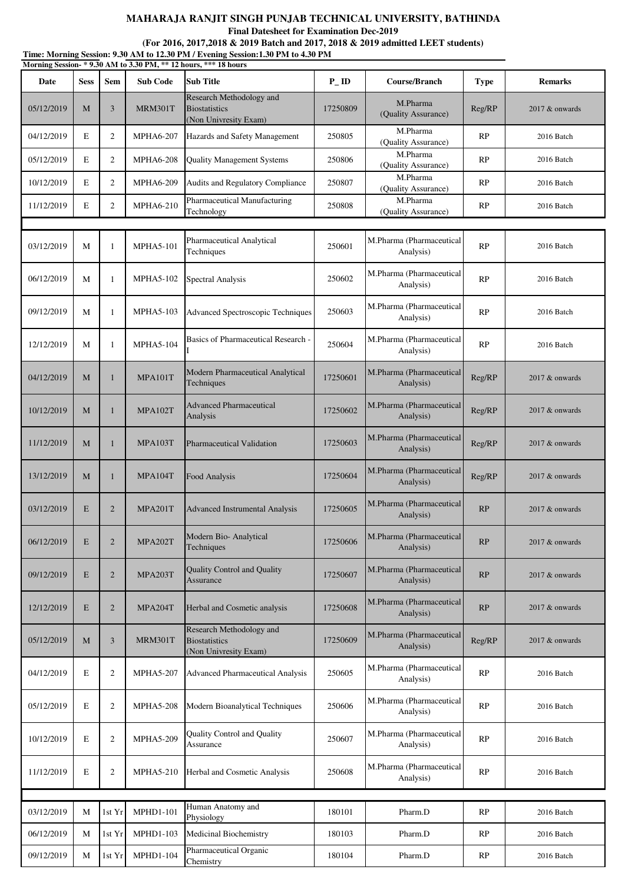**Final Datesheet for Examination Dec-2019**

**(For 2016, 2017,2018 & 2019 Batch and 2017, 2018 & 2019 admitted LEET students)**

| Time: Morning Session: 9.30 AM to 12.30 PM / Evening Session:1.30 PM to 4.30 PM<br>Morning Session-*9.30 AM to 3.30 PM, ** 12 hours, *** 18 hours |             |                |                  |                                                                           |                   |                                       |             |                  |
|---------------------------------------------------------------------------------------------------------------------------------------------------|-------------|----------------|------------------|---------------------------------------------------------------------------|-------------------|---------------------------------------|-------------|------------------|
| Date                                                                                                                                              | <b>Sess</b> | <b>Sem</b>     | <b>Sub Code</b>  | Sub Title                                                                 | $P$ <sub>ID</sub> | Course/Branch                         | <b>Type</b> | <b>Remarks</b>   |
| 05/12/2019                                                                                                                                        | M           | 3              | MRM301T          | Research Methodology and<br><b>Biostatistics</b><br>(Non Univresity Exam) | 17250809          | M.Pharma<br>(Quality Assurance)       | Reg/RP      | 2017 & onwards   |
| 04/12/2019                                                                                                                                        | E           | 2              | <b>MPHA6-207</b> | Hazards and Safety Management                                             | 250805            | M.Pharma<br>(Quality Assurance)       | RP          | 2016 Batch       |
| 05/12/2019                                                                                                                                        | E           | 2              | <b>MPHA6-208</b> | <b>Quality Management Systems</b>                                         | 250806            | M.Pharma<br>(Quality Assurance)       | RP          | 2016 Batch       |
| 10/12/2019                                                                                                                                        | E           | 2              | <b>MPHA6-209</b> | Audits and Regulatory Compliance                                          | 250807            | M.Pharma<br>(Quality Assurance)       | RP          | 2016 Batch       |
| 11/12/2019                                                                                                                                        | E           | 2              | <b>MPHA6-210</b> | Pharmaceutical Manufacturing<br>Technology                                | 250808            | M.Pharma<br>(Quality Assurance)       | RP          | 2016 Batch       |
|                                                                                                                                                   |             |                |                  |                                                                           |                   |                                       |             |                  |
| 03/12/2019                                                                                                                                        | M           | 1              | <b>MPHA5-101</b> | Pharmaceutical Analytical<br>Techniques                                   | 250601            | M.Pharma (Pharmaceutical<br>Analysis) | RP          | 2016 Batch       |
| 06/12/2019                                                                                                                                        | M           | $\mathbf{1}$   | <b>MPHA5-102</b> | Spectral Analysis                                                         | 250602            | M.Pharma (Pharmaceutical<br>Analysis) | RP          | 2016 Batch       |
| 09/12/2019                                                                                                                                        | М           | 1              | <b>MPHA5-103</b> | <b>Advanced Spectroscopic Techniques</b>                                  | 250603            | M.Pharma (Pharmaceutical<br>Analysis) | RP          | 2016 Batch       |
| 12/12/2019                                                                                                                                        | М           | 1              | <b>MPHA5-104</b> | Basics of Pharmaceutical Research -                                       | 250604            | M.Pharma (Pharmaceutical<br>Analysis) | RP          | 2016 Batch       |
| 04/12/2019                                                                                                                                        | M           | $\mathbf{1}$   | MPA101T          | Modern Pharmaceutical Analytical<br>Techniques                            | 17250601          | M.Pharma (Pharmaceutical<br>Analysis) | Reg/RP      | 2017 & onwards   |
| 10/12/2019                                                                                                                                        | M           | $\mathbf{1}$   | MPA102T          | <b>Advanced Pharmaceutical</b><br>Analysis                                | 17250602          | M.Pharma (Pharmaceutical<br>Analysis) | Reg/RP      | 2017 & onwards   |
| 11/12/2019                                                                                                                                        | M           | $\mathbf{1}$   | MPA103T          | <b>Pharmaceutical Validation</b>                                          | 17250603          | M.Pharma (Pharmaceutical<br>Analysis) | Reg/RP      | 2017 & onwards   |
| 13/12/2019                                                                                                                                        | M           | $\mathbf{1}$   | MPA104T          | Food Analysis                                                             | 17250604          | M.Pharma (Pharmaceutical<br>Analysis) | Reg/RP      | 2017 & onwards   |
| 03/12/2019                                                                                                                                        | E           | $\overline{2}$ | MPA201T          | <b>Advanced Instrumental Analysis</b>                                     | 17250605          | M.Pharma (Pharmaceutical<br>Analysis) | RP          | 2017 & onwards   |
| 06/12/2019                                                                                                                                        | E           | 2              | MPA202T          | Modern Bio- Analytical<br>Techniques                                      | 17250606          | M.Pharma (Pharmaceutical<br>Analysis) | RP          | 2017 & onwards   |
| 09/12/2019                                                                                                                                        | E           | 2              | MPA203T          | <b>Quality Control and Quality</b><br>Assurance                           | 17250607          | M.Pharma (Pharmaceutical<br>Analysis) | RP          | $2017$ & onwards |
| 12/12/2019                                                                                                                                        | E           | $\overline{2}$ | MPA204T          | Herbal and Cosmetic analysis                                              | 17250608          | M.Pharma (Pharmaceutical<br>Analysis) | RP          | 2017 & onwards   |
| 05/12/2019                                                                                                                                        | M           | 3              | MRM301T          | Research Methodology and<br><b>Biostatistics</b><br>(Non Univresity Exam) | 17250609          | M.Pharma (Pharmaceutical<br>Analysis) | Reg/RP      | 2017 & onwards   |
| 04/12/2019                                                                                                                                        | E           | $\mathfrak{2}$ | <b>MPHA5-207</b> | <b>Advanced Pharmaceutical Analysis</b>                                   | 250605            | M.Pharma (Pharmaceutical<br>Analysis) | RP          | 2016 Batch       |
| 05/12/2019                                                                                                                                        | E           | $\overline{2}$ | <b>MPHA5-208</b> | Modern Bioanalytical Techniques                                           | 250606            | M.Pharma (Pharmaceutical<br>Analysis) | RP          | 2016 Batch       |
| 10/12/2019                                                                                                                                        | E           | $\overline{2}$ | <b>MPHA5-209</b> | Quality Control and Quality<br>Assurance                                  | 250607            | M.Pharma (Pharmaceutical<br>Analysis) | RP          | 2016 Batch       |
| 11/12/2019                                                                                                                                        | E           | $\overline{2}$ | <b>MPHA5-210</b> | Herbal and Cosmetic Analysis                                              | 250608            | M.Pharma (Pharmaceutical<br>Analysis) | RP          | 2016 Batch       |
|                                                                                                                                                   |             |                |                  |                                                                           |                   |                                       |             |                  |
| 03/12/2019                                                                                                                                        | M           | 1st Yr         | MPHD1-101        | Human Anatomy and<br>Physiology                                           | 180101            | Pharm.D                               | RP          | 2016 Batch       |
| 06/12/2019                                                                                                                                        | М           | 1st Yr         | <b>MPHD1-103</b> | Medicinal Biochemistry                                                    | 180103            | Pharm.D                               | RP          | 2016 Batch       |
| 09/12/2019                                                                                                                                        | М           | 1st Yr         | MPHD1-104        | Pharmaceutical Organic<br>Chemistry                                       | 180104            | Pharm.D                               | RP          | 2016 Batch       |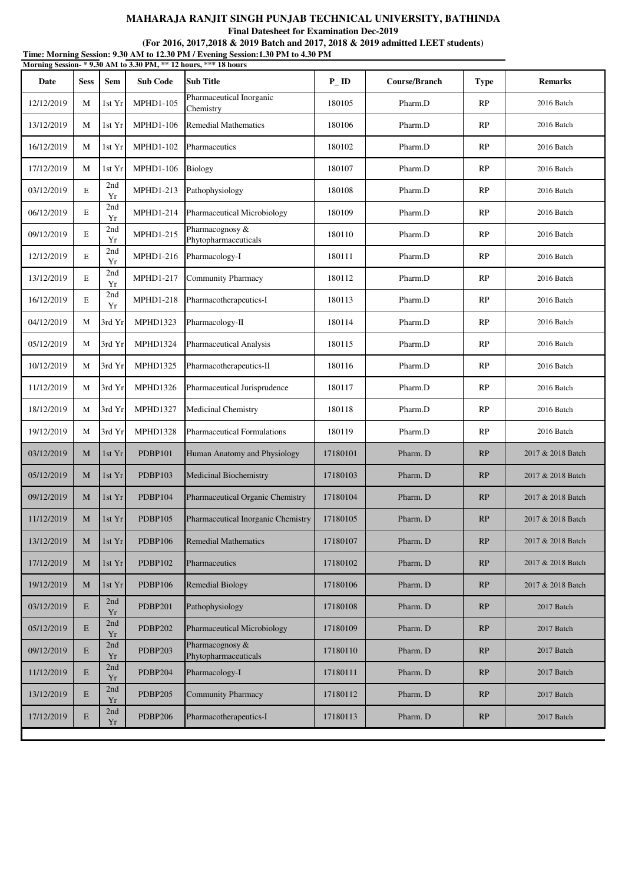**Final Datesheet for Examination Dec-2019**

**Time: Morning Session: 9.30 AM to 12.30 PM / Evening Session:1.30 PM to 4.30 PM (For 2016, 2017,2018 & 2019 Batch and 2017, 2018 & 2019 admitted LEET students)**

|            |             |                  |                  | Morning Session- * 9.30 AM to 3.30 PM, ** 12 hours, *** 18 hours |                   |               |             |                   |
|------------|-------------|------------------|------------------|------------------------------------------------------------------|-------------------|---------------|-------------|-------------------|
| Date       | <b>Sess</b> | Sem              | <b>Sub Code</b>  | <b>Sub Title</b>                                                 | $P$ <sub>ID</sub> | Course/Branch | <b>Type</b> | <b>Remarks</b>    |
| 12/12/2019 | М           | 1st Yr           | <b>MPHD1-105</b> | Pharmaceutical Inorganic<br>Chemistry                            | 180105            | Pharm.D       | RP          | 2016 Batch        |
| 13/12/2019 | М           | 1st Yr           | <b>MPHD1-106</b> | <b>Remedial Mathematics</b>                                      | 180106            | Pharm.D       | RP          | 2016 Batch        |
| 16/12/2019 | М           | 1st Yr           | MPHD1-102        | Pharmaceutics                                                    | 180102            | Pharm.D       | RP          | 2016 Batch        |
| 17/12/2019 | М           | 1st Yr           | <b>MPHD1-106</b> | Biology                                                          | 180107            | Pharm.D       | RP          | 2016 Batch        |
| 03/12/2019 | Е           | 2nd<br>Yr        | MPHD1-213        | Pathophysiology                                                  | 180108            | Pharm.D       | RP          | 2016 Batch        |
| 06/12/2019 | E           | 2nd<br>Yr        | MPHD1-214        | Pharmaceutical Microbiology                                      | 180109            | Pharm.D       | RP          | 2016 Batch        |
| 09/12/2019 | E           | 2nd<br>Yr        | MPHD1-215        | Pharmacognosy &<br>Phytopharmaceuticals                          | 180110            | Pharm.D       | RP          | 2016 Batch        |
| 12/12/2019 | E           | 2nd<br>Yr        | MPHD1-216        | Pharmacology-I                                                   | 180111            | Pharm.D       | RP          | 2016 Batch        |
| 13/12/2019 | Е           | 2nd<br>Yr        | <b>MPHD1-217</b> | <b>Community Pharmacy</b>                                        | 180112            | Pharm.D       | RP          | 2016 Batch        |
| 16/12/2019 | E           | 2nd<br>Yr        | MPHD1-218        | Pharmacotherapeutics-I                                           | 180113            | Pharm.D       | RP          | 2016 Batch        |
| 04/12/2019 | М           | 3rd Yr           | <b>MPHD1323</b>  | Pharmacology-II                                                  | 180114            | Pharm.D       | RP          | 2016 Batch        |
| 05/12/2019 | M           | 3rd Yr           | <b>MPHD1324</b>  | <b>Pharmaceutical Analysis</b>                                   | 180115            | Pharm.D       | RP          | 2016 Batch        |
| 10/12/2019 | М           | 3rd Yr           | <b>MPHD1325</b>  | Pharmacotherapeutics-II                                          | 180116            | Pharm.D       | RP          | 2016 Batch        |
| 11/12/2019 | М           | 3rd Yr           | <b>MPHD1326</b>  | Pharmaceutical Jurisprudence                                     | 180117            | Pharm.D       | RP          | 2016 Batch        |
| 18/12/2019 | М           | 3rd Yr           | <b>MPHD1327</b>  | Medicinal Chemistry                                              | 180118            | Pharm.D       | RP          | 2016 Batch        |
| 19/12/2019 | M           | 3rd Yr           | <b>MPHD1328</b>  | <b>Pharmaceutical Formulations</b>                               | 180119            | Pharm.D       | RP          | 2016 Batch        |
| 03/12/2019 | M           | 1st Yr           | <b>PDBP101</b>   | Human Anatomy and Physiology                                     | 17180101          | Pharm. D      | RP          | 2017 & 2018 Batch |
| 05/12/2019 | M           | 1st Yr           | PDBP103          | Medicinal Biochemistry                                           | 17180103          | Pharm. D      | RP          | 2017 & 2018 Batch |
| 09/12/2019 | M           | 1st Yr           | <b>PDBP104</b>   | Pharmaceutical Organic Chemistry                                 | 17180104          | Pharm. D      | RP          | 2017 & 2018 Batch |
| 11/12/2019 | M           | 1st Yr           | PDBP105          | Pharmaceutical Inorganic Chemistry                               | 17180105          | Pharm. D      | RP          | 2017 & 2018 Batch |
| 13/12/2019 | M           | 1st Yr           | <b>PDBP106</b>   | <b>Remedial Mathematics</b>                                      | 17180107          | Pharm. D      | RP          | 2017 & 2018 Batch |
| 17/12/2019 | M           | 1st Yr           | PDBP102          | Pharmaceutics                                                    | 17180102          | Pharm. D      | RP          | 2017 & 2018 Batch |
| 19/12/2019 | M           | 1st Yr           | <b>PDBP106</b>   | <b>Remedial Biology</b>                                          | 17180106          | Pharm. D      | RP          | 2017 & 2018 Batch |
| 03/12/2019 | E           | 2nd<br>Yr        | <b>PDBP201</b>   | Pathophysiology                                                  | 17180108          | Pharm. D      | RP          | 2017 Batch        |
| 05/12/2019 | E           | 2nd<br>Yr        | <b>PDBP202</b>   | <b>Pharmaceutical Microbiology</b>                               | 17180109          | Pharm. D      | RP          | 2017 Batch        |
| 09/12/2019 | E           | 2nd<br>Yr        | <b>PDBP203</b>   | Pharmacognosy &<br>Phytopharmaceuticals                          | 17180110          | Pharm. D      | RP          | 2017 Batch        |
| 11/12/2019 | E           | 2nd<br>$\rm{Yr}$ | PDBP204          | Pharmacology-I                                                   | 17180111          | Pharm. D      | RP          | 2017 Batch        |
| 13/12/2019 | E           | 2nd<br>Yr        | <b>PDBP205</b>   | <b>Community Pharmacy</b>                                        | 17180112          | Pharm. D      | RP          | 2017 Batch        |
| 17/12/2019 | E           | 2nd<br>Yr        | <b>PDBP206</b>   | Pharmacotherapeutics-I                                           | 17180113          | Pharm. D      | RP          | 2017 Batch        |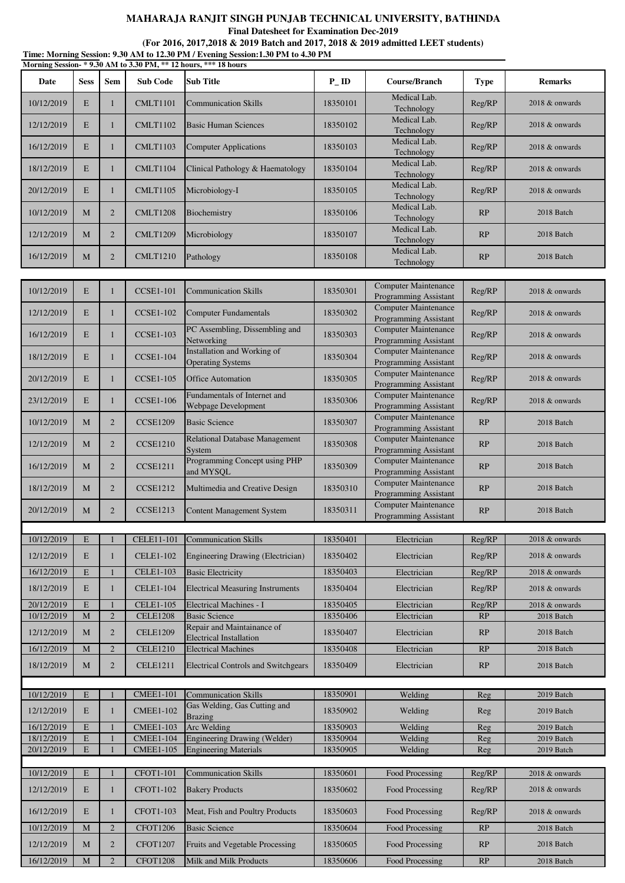**Final Datesheet for Examination Dec-2019**

**(For 2016, 2017,2018 & 2019 Batch and 2017, 2018 & 2019 admitted LEET students)**

|                          |                            |                              |                                      | Time: Morning Session: 9.30 AM to 12.30 PM / Evening Session:1.30 PM to 4.30 PM<br>Morning Session-*9.30 AM to 3.30 PM, ** 12 hours, *** 18 hours |                      |                                                             |                  |                                  |
|--------------------------|----------------------------|------------------------------|--------------------------------------|---------------------------------------------------------------------------------------------------------------------------------------------------|----------------------|-------------------------------------------------------------|------------------|----------------------------------|
| Date                     | <b>Sess</b>                | Sem                          | <b>Sub Code</b>                      | <b>Sub Title</b>                                                                                                                                  | $P$ <sub>-ID</sub>   | Course/Branch                                               | <b>Type</b>      | <b>Remarks</b>                   |
| 10/12/2019               | E                          | 1                            | <b>CMLT1101</b>                      | <b>Communication Skills</b>                                                                                                                       | 18350101             | Medical Lab.<br>Technology                                  | Reg/RP           | 2018 & onwards                   |
| 12/12/2019               | E                          | $\mathbf{1}$                 | <b>CMLT1102</b>                      | <b>Basic Human Sciences</b>                                                                                                                       | 18350102             | Medical Lab.<br>Technology                                  | Reg/RP           | 2018 & onwards                   |
| 16/12/2019               | E                          | $\mathbf{1}$                 | <b>CMLT1103</b>                      | <b>Computer Applications</b>                                                                                                                      | 18350103             | Medical Lab.<br>Technology                                  | Reg/RP           | 2018 & onwards                   |
| 18/12/2019               | E                          | 1                            | <b>CMLT1104</b>                      | Clinical Pathology & Haematology                                                                                                                  | 18350104             | Medical Lab.<br>Technology                                  | Reg/RP           | 2018 & onwards                   |
| 20/12/2019               | E                          | 1                            | <b>CMLT1105</b>                      | Microbiology-I                                                                                                                                    | 18350105             | Medical Lab.<br>Technology                                  | Reg/RP           | 2018 & onwards                   |
| 10/12/2019               | М                          | $\overline{2}$               | <b>CMLT1208</b>                      | Biochemistry                                                                                                                                      | 18350106             | Medical Lab.<br>Technology                                  | RP               | 2018 Batch                       |
| 12/12/2019               | $\mathbf M$                | $\overline{2}$               | <b>CMLT1209</b>                      | Microbiology                                                                                                                                      | 18350107             | Medical Lab.<br>Technology                                  | RP               | 2018 Batch                       |
| 16/12/2019               | M                          | $\overline{2}$               | <b>CMLT1210</b>                      | Pathology                                                                                                                                         | 18350108             | Medical Lab.<br>Technology                                  | RP               | 2018 Batch                       |
|                          |                            |                              |                                      |                                                                                                                                                   |                      |                                                             |                  |                                  |
| 10/12/2019               | $\mathbf E$                | 1                            | <b>CCSE1-101</b>                     | <b>Communication Skills</b>                                                                                                                       | 18350301             | <b>Computer Maintenance</b><br><b>Programming Assistant</b> | Reg/RP           | 2018 & onwards                   |
| 12/12/2019               | E                          | $\mathbf{1}$                 | <b>CCSE1-102</b>                     | <b>Computer Fundamentals</b>                                                                                                                      | 18350302             | <b>Computer Maintenance</b><br><b>Programming Assistant</b> | Reg/RP           | 2018 & onwards                   |
| 16/12/2019               | E                          | 1                            | <b>CCSE1-103</b>                     | PC Assembling, Dissembling and<br>Networking                                                                                                      | 18350303             | <b>Computer Maintenance</b><br><b>Programming Assistant</b> | Reg/RP           | 2018 & onwards                   |
| 18/12/2019               | E                          | 1                            | <b>CCSE1-104</b>                     | Installation and Working of<br><b>Operating Systems</b>                                                                                           | 18350304             | <b>Computer Maintenance</b><br>Programming Assistant        | Reg/RP           | 2018 & onwards                   |
| 20/12/2019               | E                          | 1                            | <b>CCSE1-105</b>                     | <b>Office Automation</b>                                                                                                                          | 18350305             | Computer Maintenance<br>Programming Assistant               | Reg/RP           | 2018 & onwards                   |
| 23/12/2019               | E                          | 1                            | <b>CCSE1-106</b>                     | Fundamentals of Internet and<br>Webpage Development                                                                                               | 18350306             | <b>Computer Maintenance</b><br>Programming Assistant        | Reg/RP           | 2018 & onwards                   |
| 10/12/2019               | М                          | $\overline{2}$               | <b>CCSE1209</b>                      | <b>Basic Science</b>                                                                                                                              | 18350307             | <b>Computer Maintenance</b><br>Programming Assistant        | RP               | 2018 Batch                       |
| 12/12/2019               | М                          | $\overline{2}$               | <b>CCSE1210</b>                      | Relational Database Management<br>System                                                                                                          | 18350308             | <b>Computer Maintenance</b><br>Programming Assistant        | RP               | 2018 Batch                       |
| 16/12/2019               | M                          | $\overline{2}$               | <b>CCSE1211</b>                      | Programming Concept using PHP<br>and MYSQL                                                                                                        | 18350309             | Computer Maintenance<br>Programming Assistant               | RP               | 2018 Batch                       |
| 18/12/2019               | M                          | $\overline{2}$               | <b>CCSE1212</b>                      | Multimedia and Creative Design                                                                                                                    | 18350310             | <b>Computer Maintenance</b><br>Programming Assistant        | RP               | 2018 Batch                       |
| 20/12/2019               | $\mathbf M$                | $\overline{2}$               | <b>CCSE1213</b>                      | <b>Content Management System</b>                                                                                                                  | 18350311             | <b>Computer Maintenance</b><br><b>Programming Assistant</b> | RP               | 2018 Batch                       |
|                          |                            |                              |                                      |                                                                                                                                                   |                      |                                                             |                  |                                  |
| 10/12/2019               | E                          |                              | <b>CELE11-101</b>                    | <b>Communication Skills</b>                                                                                                                       | 18350401             | Electrician                                                 | Reg/RP           | 2018 & onwards                   |
| 12/12/2019               | E                          | $\mathbf{1}$                 | <b>CELE1-102</b>                     | Engineering Drawing (Electrician)                                                                                                                 | 18350402             | Electrician                                                 | Reg/RP           | 2018 & onwards                   |
| 16/12/2019               | $\mathbf E$                |                              | <b>CELE1-103</b>                     | <b>Basic Electricity</b>                                                                                                                          | 18350403             | Electrician                                                 | Reg/RP           | 2018 & onwards                   |
| 18/12/2019               | E                          | 1                            | <b>CELE1-104</b>                     | <b>Electrical Measuring Instruments</b>                                                                                                           | 18350404             | Electrician                                                 | Reg/RP           | 2018 & onwards                   |
| 20/12/2019<br>10/12/2019 | $\mathbf E$<br>$\mathbf M$ | $\mathbf{1}$<br>$\mathbf{2}$ | <b>CELE1-105</b><br><b>CELE1208</b>  | Electrical Machines - I<br><b>Basic Science</b>                                                                                                   | 18350405<br>18350406 | Electrician<br>Electrician                                  | Reg/RP<br>RP     | 2018 & onwards<br>2018 Batch     |
| 12/12/2019               | M                          | $\overline{2}$               | <b>CELE1209</b>                      | Repair and Maintainance of                                                                                                                        | 18350407             | Electrician                                                 | RP               | 2018 Batch                       |
| 16/12/2019               | M                          | $\overline{2}$               | <b>CELE1210</b>                      | <b>Electrical Installation</b><br><b>Electrical Machines</b>                                                                                      | 18350408             | Electrician                                                 | RP               | 2018 Batch                       |
| 18/12/2019               | M                          | $\overline{2}$               | <b>CELE1211</b>                      | <b>Electrical Controls and Switchgears</b>                                                                                                        | 18350409             | Electrician                                                 | RP               | 2018 Batch                       |
|                          |                            |                              |                                      |                                                                                                                                                   |                      |                                                             |                  |                                  |
| 10/12/2019               | E                          |                              | <b>CMEE1-101</b>                     | <b>Communication Skills</b>                                                                                                                       | 18350901             | Welding                                                     | Reg              | 2019 Batch                       |
| 12/12/2019               | $\mathbf E$                | 1                            | <b>CMEE1-102</b>                     | Gas Welding, Gas Cutting and<br><b>Brazing</b>                                                                                                    | 18350902             | Welding                                                     | Reg              | 2019 Batch                       |
| 16/12/2019<br>18/12/2019 | $\mathbf E$<br>E           |                              | <b>CMEE1-103</b><br><b>CMEE1-104</b> | Arc Welding<br>Engineering Drawing (Welder)                                                                                                       | 18350903<br>18350904 | Welding<br>Welding                                          | Reg<br>Reg       | 2019 Batch<br>2019 Batch         |
| 20/12/2019               | $\mathbf E$                |                              | <b>CMEE1-105</b>                     | <b>Engineering Materials</b>                                                                                                                      | 18350905             | Welding                                                     | Reg              | 2019 Batch                       |
|                          |                            |                              |                                      |                                                                                                                                                   |                      |                                                             |                  |                                  |
| 10/12/2019<br>12/12/2019 | E<br>$\mathbf E$           | $\mathbf{1}$                 | <b>CFOT1-101</b><br><b>CFOT1-102</b> | <b>Communication Skills</b><br><b>Bakery Products</b>                                                                                             | 18350601<br>18350602 | Food Processing<br>Food Processing                          | Reg/RP<br>Reg/RP | 2018 & onwards<br>2018 & onwards |
| 16/12/2019               | E                          | 1                            | <b>CFOT1-103</b>                     | Meat, Fish and Poultry Products                                                                                                                   | 18350603             | Food Processing                                             | Reg/RP           | 2018 & onwards                   |
| 10/12/2019               | M                          | $\overline{2}$               | <b>CFOT1206</b>                      | <b>Basic Science</b>                                                                                                                              | 18350604             | Food Processing                                             | RP               | 2018 Batch                       |
| 12/12/2019               | $\mathbf M$                | $\overline{2}$               | <b>CFOT1207</b>                      | Fruits and Vegetable Processing                                                                                                                   | 18350605             | Food Processing                                             | RP               | 2018 Batch                       |
| 16/12/2019               | $\mathbf M$                | $\overline{2}$               | <b>CFOT1208</b>                      | Milk and Milk Products                                                                                                                            | 18350606             | Food Processing                                             | RP               | 2018 Batch                       |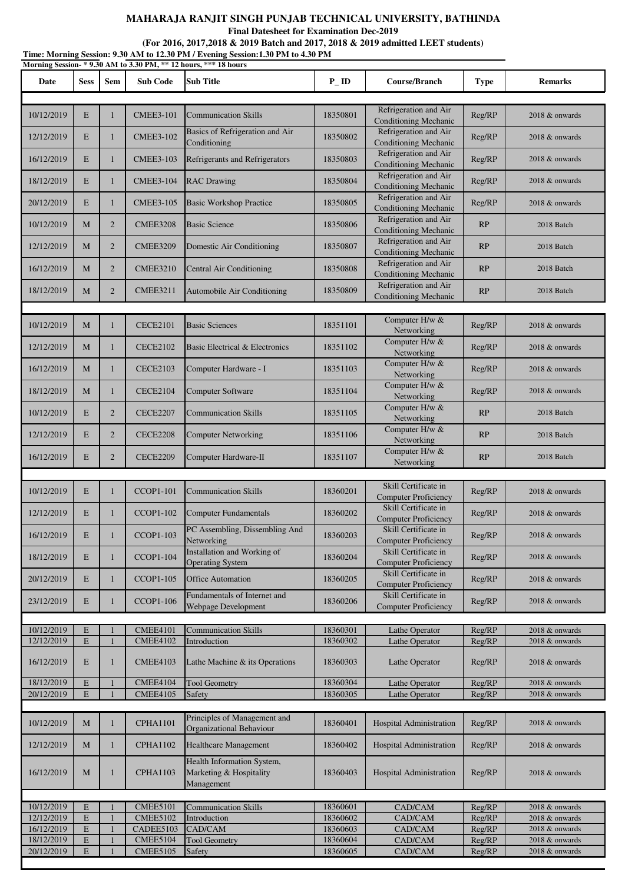**Final Datesheet for Examination Dec-2019**

**(For 2016, 2017,2018 & 2019 Batch and 2017, 2018 & 2019 admitted LEET students)**

|                          |                            |                |                                    | Time: Morning Session: 9.30 AM to 12.30 PM / Evening Session:1.30 PM to 4.30 PM<br>Morning Session-*9.30 AM to 3.30 PM, ** 12 hours, *** 18 hours |                      |                                                       |                  |                                  |
|--------------------------|----------------------------|----------------|------------------------------------|---------------------------------------------------------------------------------------------------------------------------------------------------|----------------------|-------------------------------------------------------|------------------|----------------------------------|
| Date                     | <b>Sess</b>                | <b>Sem</b>     | <b>Sub Code</b>                    | Sub Title                                                                                                                                         | $P$ <sub>ID</sub>    | Course/Branch                                         | <b>Type</b>      | <b>Remarks</b>                   |
| 10/12/2019               | E                          | $\mathbf{1}$   | <b>CMEE3-101</b>                   | <b>Communication Skills</b>                                                                                                                       | 18350801             | Refrigeration and Air<br><b>Conditioning Mechanic</b> | Reg/RP           | 2018 & onwards                   |
| 12/12/2019               | E                          | $\mathbf{1}$   | <b>CMEE3-102</b>                   | Basics of Refrigeration and Air<br>Conditioning                                                                                                   | 18350802             | Refrigeration and Air<br><b>Conditioning Mechanic</b> | Reg/RP           | 2018 & onwards                   |
| 16/12/2019               | E                          | 1              | <b>CMEE3-103</b>                   | Refrigerants and Refrigerators                                                                                                                    | 18350803             | Refrigeration and Air<br><b>Conditioning Mechanic</b> | Reg/RP           | 2018 & onwards                   |
| 18/12/2019               | E                          | $\mathbf{1}$   | <b>CMEE3-104</b>                   | <b>RAC Drawing</b>                                                                                                                                | 18350804             | Refrigeration and Air<br>Conditioning Mechanic        | Reg/RP           | 2018 & onwards                   |
| 20/12/2019               | E                          | 1              | <b>CMEE3-105</b>                   | <b>Basic Workshop Practice</b>                                                                                                                    | 18350805             | Refrigeration and Air<br><b>Conditioning Mechanic</b> | Reg/RP           | 2018 & onwards                   |
| 10/12/2019               | M                          | 2              | <b>CMEE3208</b>                    | <b>Basic Science</b>                                                                                                                              | 18350806             | Refrigeration and Air<br><b>Conditioning Mechanic</b> | RP               | 2018 Batch                       |
| 12/12/2019               | M                          | $\overline{2}$ | <b>CMEE3209</b>                    | Domestic Air Conditioning                                                                                                                         | 18350807             | Refrigeration and Air<br><b>Conditioning Mechanic</b> | RP               | 2018 Batch                       |
| 16/12/2019               | M                          | $\overline{2}$ | <b>CMEE3210</b>                    | Central Air Conditioning                                                                                                                          | 18350808             | Refrigeration and Air<br><b>Conditioning Mechanic</b> | RP               | 2018 Batch                       |
| 18/12/2019               | $\mathbf M$                | $\overline{2}$ | <b>CMEE3211</b>                    | Automobile Air Conditioning                                                                                                                       | 18350809             | Refrigeration and Air<br><b>Conditioning Mechanic</b> | RP               | 2018 Batch                       |
| 10/12/2019               | M                          | $\mathbf{1}$   | <b>CECE2101</b>                    | <b>Basic Sciences</b>                                                                                                                             | 18351101             | Computer H/w &<br>Networking                          | Reg/RP           | 2018 & onwards                   |
| 12/12/2019               | M                          | $\mathbf{1}$   | <b>CECE2102</b>                    | Basic Electrical & Electronics                                                                                                                    | 18351102             | Computer H/w &<br>Networking                          | Reg/RP           | 2018 & onwards                   |
| 16/12/2019               | M                          | $\mathbf{1}$   | <b>CECE2103</b>                    | Computer Hardware - I                                                                                                                             | 18351103             | Computer H/w &<br>Networking                          | Reg/RP           | 2018 & onwards                   |
| 18/12/2019               | M                          | $\mathbf{1}$   | <b>CECE2104</b>                    | Computer Software                                                                                                                                 | 18351104             | Computer H/w &<br>Networking                          | Reg/RP           | 2018 & onwards                   |
| 10/12/2019               | E                          | $\overline{2}$ | <b>CECE2207</b>                    | <b>Communication Skills</b>                                                                                                                       | 18351105             | Computer H/w &<br>Networking                          | RP               | 2018 Batch                       |
| 12/12/2019               | E                          | $\overline{2}$ | <b>CECE2208</b>                    | <b>Computer Networking</b>                                                                                                                        | 18351106             | Computer H/w &<br>Networking                          | RP               | 2018 Batch                       |
| 16/12/2019               | E                          | $\overline{2}$ | <b>CECE2209</b>                    | Computer Hardware-II                                                                                                                              | 18351107             | Computer H/w &<br>Networking                          | RP               | 2018 Batch                       |
|                          |                            |                |                                    |                                                                                                                                                   |                      |                                                       |                  |                                  |
| 10/12/2019               | E                          | 1              | <b>CCOP1-101</b>                   | <b>Communication Skills</b>                                                                                                                       | 18360201             | Skill Certificate in<br><b>Computer Proficiency</b>   | Reg/RP           | 2018 & onwards                   |
| 12/12/2019               | E                          |                | <b>CCOP1-102</b>                   | <b>Computer Fundamentals</b>                                                                                                                      | 18360202             | Skill Certificate in<br><b>Computer Proficiency</b>   | Reg/RP           | 2018 & onwards                   |
| 16/12/2019               | E                          | $\mathbf{1}$   | <b>CCOP1-103</b>                   | PC Assembling, Dissembling And<br>Networking                                                                                                      | 18360203             | Skill Certificate in<br><b>Computer Proficiency</b>   | Reg/RP           | 2018 & onwards                   |
| 18/12/2019               | E                          | 1              | <b>CCOP1-104</b>                   | <b>Installation and Working of</b><br><b>Operating System</b>                                                                                     | 18360204             | Skill Certificate in<br><b>Computer Proficiency</b>   | Reg/RP           | 2018 & onwards                   |
| 20/12/2019               | E                          | 1              | <b>CCOP1-105</b>                   | <b>Office Automation</b>                                                                                                                          | 18360205             | Skill Certificate in<br><b>Computer Proficiency</b>   | Reg/RP           | 2018 & onwards                   |
| 23/12/2019               | E                          | 1              | <b>CCOP1-106</b>                   | Fundamentals of Internet and<br>Webpage Development                                                                                               | 18360206             | Skill Certificate in<br><b>Computer Proficiency</b>   | Reg/RP           | 2018 & onwards                   |
|                          |                            |                |                                    |                                                                                                                                                   |                      |                                                       |                  |                                  |
| 10/12/2019<br>12/12/2019 | E<br>$\mathbf E$           |                | <b>CMEE4101</b><br><b>CMEE4102</b> | <b>Communication Skills</b><br>Introduction                                                                                                       | 18360301<br>18360302 | Lathe Operator                                        | Reg/RP           | 2018 & onwards<br>2018 & onwards |
| 16/12/2019               | E                          | 1              | <b>CMEE4103</b>                    | Lathe Machine $\&$ its Operations                                                                                                                 | 18360303             | Lathe Operator<br>Lathe Operator                      | Reg/RP<br>Reg/RP | 2018 & onwards                   |
| 18/12/2019               | E                          |                | CMEE4104                           | <b>Tool Geometry</b>                                                                                                                              | 18360304             | Lathe Operator                                        | Reg/RP           | 2018 & onwards                   |
| 20/12/2019               | ${\bf E}$                  |                | <b>CMEE4105</b>                    | Safety                                                                                                                                            | 18360305             | Lathe Operator                                        | Reg/RP           | 2018 & onwards                   |
|                          |                            |                |                                    |                                                                                                                                                   |                      |                                                       |                  |                                  |
| 10/12/2019               | M                          | $\mathbf{1}$   | <b>CPHA1101</b>                    | Principles of Management and<br>Organizational Behaviour                                                                                          | 18360401             | Hospital Administration                               | Reg/RP           | 2018 & onwards                   |
| 12/12/2019               | M                          | $\mathbf{1}$   | <b>CPHA1102</b>                    | <b>Healthcare Management</b>                                                                                                                      | 18360402             | Hospital Administration                               | Reg/RP           | 2018 & onwards                   |
| 16/12/2019               | M                          | 1              | <b>CPHA1103</b>                    | Health Information System,<br>Marketing & Hospitality<br>Management                                                                               | 18360403             | <b>Hospital Administration</b>                        | Reg/RP           | 2018 & onwards                   |
|                          |                            |                |                                    |                                                                                                                                                   |                      |                                                       |                  |                                  |
| 10/12/2019               | E                          |                | <b>CMEE5101</b>                    | <b>Communication Skills</b>                                                                                                                       | 18360601             | CAD/CAM                                               | Reg/RP           | 2018 & onwards                   |
| 12/12/2019<br>16/12/2019 | $\mathbf E$<br>$\mathbf E$ |                | <b>CMEE5102</b><br>CADEE5103       | Introduction<br>CAD/CAM                                                                                                                           | 18360602<br>18360603 | CAD/CAM<br>CAD/CAM                                    | Reg/RP<br>Reg/RP | 2018 & onwards<br>2018 & onwards |
| 18/12/2019               | ${\bf E}$                  |                | <b>CMEE5104</b>                    | <b>Tool Geometry</b>                                                                                                                              | 18360604             | CAD/CAM                                               | Reg/RP           | 2018 & onwards                   |
| 20/12/2019               | $\mathbf E$                |                | <b>CMEE5105</b>                    | Safety                                                                                                                                            | 18360605             | CAD/CAM                                               | Reg/RP           | 2018 & onwards                   |